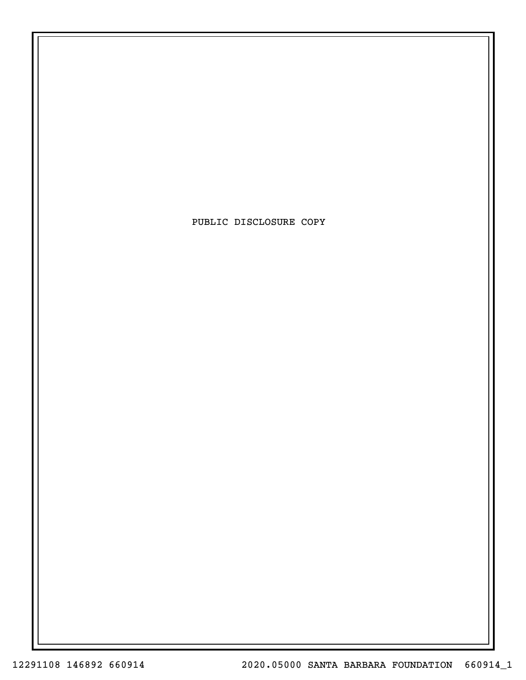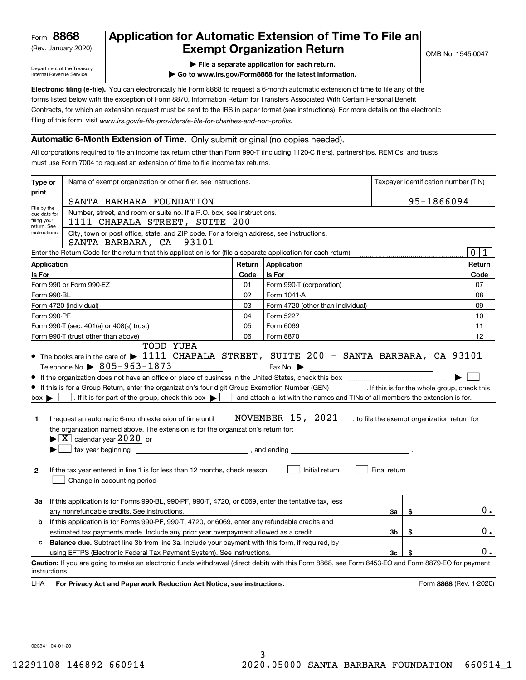(Rev. January 2020)

# **Application for Automatic Extension of Time To File an Exempt Organization Return**

Department of the Treasury Internal Revenue Service

**| File a separate application for each return.**

**| Go to www.irs.gov/Form8868 for the latest information.**

**Electronic filing (e-file).**  You can electronically file Form 8868 to request a 6-month automatic extension of time to file any of the filing of this form, visit www.irs.gov/e-file-providers/e-file-for-charities-and-non-profits. forms listed below with the exception of Form 8870, Information Return for Transfers Associated With Certain Personal Benefit Contracts, for which an extension request must be sent to the IRS in paper format (see instructions). For more details on the electronic

### **Automatic 6-Month Extension of Time.** Only submit original (no copies needed).

All corporations required to file an income tax return other than Form 990-T (including 1120-C filers), partnerships, REMICs, and trusts must use Form 7004 to request an extension of time to file income tax returns.

| Type or                                        | Name of exempt organization or other filer, see instructions.                                                                                                                                                                                                                                                                                                                                                                                                                                                                                                                                                                                        |            |                                                                                                                                                                                                    |              | Taxpayer identification number (TIN) |                |  |  |  |  |
|------------------------------------------------|------------------------------------------------------------------------------------------------------------------------------------------------------------------------------------------------------------------------------------------------------------------------------------------------------------------------------------------------------------------------------------------------------------------------------------------------------------------------------------------------------------------------------------------------------------------------------------------------------------------------------------------------------|------------|----------------------------------------------------------------------------------------------------------------------------------------------------------------------------------------------------|--------------|--------------------------------------|----------------|--|--|--|--|
| print                                          | SANTA BARBARA FOUNDATION                                                                                                                                                                                                                                                                                                                                                                                                                                                                                                                                                                                                                             | 95-1866094 |                                                                                                                                                                                                    |              |                                      |                |  |  |  |  |
| File by the<br>filing your                     | Number, street, and room or suite no. If a P.O. box, see instructions.<br>due date for<br>1111 CHAPALA STREET, SUITE 200<br>return. See<br>instructions.<br>City, town or post office, state, and ZIP code. For a foreign address, see instructions.<br>SANTA BARBARA, CA 93101                                                                                                                                                                                                                                                                                                                                                                      |            |                                                                                                                                                                                                    |              |                                      |                |  |  |  |  |
|                                                | Enter the Return Code for the return that this application is for (file a separate application for each return)                                                                                                                                                                                                                                                                                                                                                                                                                                                                                                                                      |            |                                                                                                                                                                                                    |              |                                      | 0 1            |  |  |  |  |
| <b>Application</b>                             |                                                                                                                                                                                                                                                                                                                                                                                                                                                                                                                                                                                                                                                      | Return     | Application                                                                                                                                                                                        |              |                                      | Return         |  |  |  |  |
| Is For                                         |                                                                                                                                                                                                                                                                                                                                                                                                                                                                                                                                                                                                                                                      | Code       | Is For                                                                                                                                                                                             |              |                                      | Code           |  |  |  |  |
|                                                | Form 990 or Form 990-EZ                                                                                                                                                                                                                                                                                                                                                                                                                                                                                                                                                                                                                              | 01         | Form 990-T (corporation)                                                                                                                                                                           |              |                                      | 07             |  |  |  |  |
|                                                | Form 990-BL                                                                                                                                                                                                                                                                                                                                                                                                                                                                                                                                                                                                                                          | 02         | Form 1041-A                                                                                                                                                                                        |              |                                      | 08             |  |  |  |  |
|                                                | Form 4720 (individual)                                                                                                                                                                                                                                                                                                                                                                                                                                                                                                                                                                                                                               | 03         | Form 4720 (other than individual)                                                                                                                                                                  |              |                                      | 09             |  |  |  |  |
|                                                | Form 990-PF                                                                                                                                                                                                                                                                                                                                                                                                                                                                                                                                                                                                                                          | 04         | Form 5227                                                                                                                                                                                          |              |                                      | 10             |  |  |  |  |
|                                                | Form 990-T (sec. 401(a) or 408(a) trust)                                                                                                                                                                                                                                                                                                                                                                                                                                                                                                                                                                                                             | 05         | Form 6069                                                                                                                                                                                          |              |                                      | 11             |  |  |  |  |
|                                                | Form 990-T (trust other than above)                                                                                                                                                                                                                                                                                                                                                                                                                                                                                                                                                                                                                  | 06         | Form 8870                                                                                                                                                                                          |              |                                      | 12             |  |  |  |  |
| $box \blacktriangleright$<br>1<br>$\mathbf{2}$ | Telephone No. $\triangleright$ 805-963-1873<br>If this is for a Group Return, enter the organization's four digit Group Exemption Number (GEN) [If this is for the whole group, check this<br>. If it is for part of the group, check this box $\blacktriangleright$  <br>I request an automatic 6-month extension of time until<br>the organization named above. The extension is for the organization's return for:<br>$\blacktriangleright$ $\boxed{\text{X}}$ calendar year 2020 or<br>tax year beginning<br>and ending and ending<br>If the tax year entered in line 1 is for less than 12 months, check reason:<br>Change in accounting period |            | Fax No. $\blacktriangleright$<br>and attach a list with the names and TINs of all members the extension is for.<br>NOVEMBER 15, 2021, to file the exempt organization return for<br>Initial return | Final return |                                      |                |  |  |  |  |
| За                                             | If this application is for Forms 990-BL, 990-PF, 990-T, 4720, or 6069, enter the tentative tax, less                                                                                                                                                                                                                                                                                                                                                                                                                                                                                                                                                 |            |                                                                                                                                                                                                    |              |                                      |                |  |  |  |  |
|                                                | any nonrefundable credits. See instructions.                                                                                                                                                                                                                                                                                                                                                                                                                                                                                                                                                                                                         |            |                                                                                                                                                                                                    | За           | \$                                   | $0$ .          |  |  |  |  |
| b                                              | If this application is for Forms 990-PF, 990-T, 4720, or 6069, enter any refundable credits and                                                                                                                                                                                                                                                                                                                                                                                                                                                                                                                                                      |            |                                                                                                                                                                                                    |              |                                      | 0.             |  |  |  |  |
|                                                | estimated tax payments made. Include any prior year overpayment allowed as a credit.<br><b>Balance due.</b> Subtract line 3b from line 3a. Include your payment with this form, if required, by                                                                                                                                                                                                                                                                                                                                                                                                                                                      |            |                                                                                                                                                                                                    | 3b           | \$                                   |                |  |  |  |  |
| c                                              | using EFTPS (Electronic Federal Tax Payment System). See instructions.                                                                                                                                                                                                                                                                                                                                                                                                                                                                                                                                                                               |            |                                                                                                                                                                                                    | Зc           |                                      | $\mathbf{0}$ . |  |  |  |  |
| instructions.<br>LHA                           | Caution: If you are going to make an electronic funds withdrawal (direct debit) with this Form 8868, see Form 8453-EO and Form 8879-EO for payment<br>For Privacy Act and Paperwork Reduction Act Notice, see instructions.                                                                                                                                                                                                                                                                                                                                                                                                                          |            |                                                                                                                                                                                                    |              | Form 8868 (Rev. 1-2020)              |                |  |  |  |  |

023841 04-01-20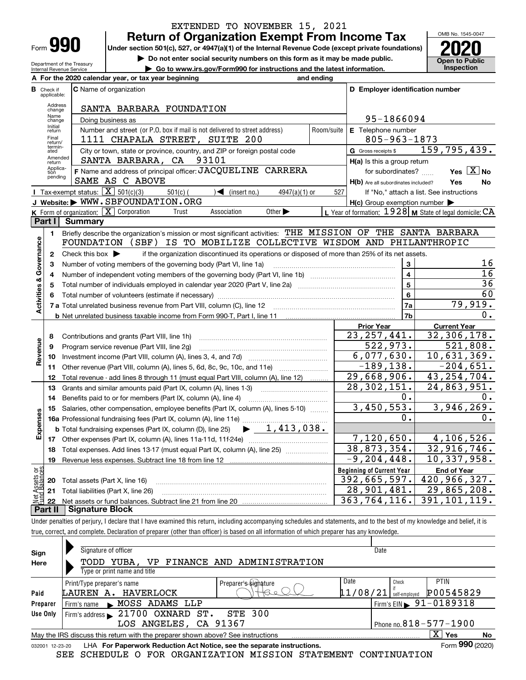| Form |  |
|------|--|

**A**

Department of the Treasury Internal Revenue Service

# **Return of Organization Exempt From Income Tax** EXTENDED TO NOVEMBER 15, 2021

**Under section 501(c), 527, or 4947(a)(1) of the Internal Revenue Code (except private foundations) 2020**

**| Do not enter social security numbers on this form as it may be made public.**

**| Go to www.irs.gov/Form990 for instructions and the latest information. Inspection**



|                         |                             | For the 2020 calendar year, or tax year beginning                                                                                                                                   | and ending |                                                     |                                                           |
|-------------------------|-----------------------------|-------------------------------------------------------------------------------------------------------------------------------------------------------------------------------------|------------|-----------------------------------------------------|-----------------------------------------------------------|
| в                       | Check if<br>applicable:     | <b>C</b> Name of organization                                                                                                                                                       |            | D Employer identification number                    |                                                           |
|                         | Address<br>change           | SANTA BARBARA FOUNDATION                                                                                                                                                            |            |                                                     |                                                           |
|                         | Name<br>change              | Doing business as                                                                                                                                                                   |            | 95-1866094                                          |                                                           |
|                         | Initial<br>return           | Number and street (or P.O. box if mail is not delivered to street address)                                                                                                          | Room/suite | E Telephone number                                  |                                                           |
|                         | Final<br>return/<br>termin- | 1111 CHAPALA STREET, SUITE 200                                                                                                                                                      |            | $805 - 963 - 1873$                                  |                                                           |
|                         | ated                        | City or town, state or province, country, and ZIP or foreign postal code                                                                                                            |            | G Gross receipts \$                                 | 159,795,439.                                              |
|                         | Amended<br>return           | 93101<br>SANTA BARBARA, CA                                                                                                                                                          |            | H(a) Is this a group return                         |                                                           |
|                         | Applica-<br>tion<br>pending | F Name and address of principal officer: JACQUELINE CARRERA                                                                                                                         |            | for subordinates?                                   | Yes $X$ No                                                |
|                         |                             | SAME AS C ABOVE                                                                                                                                                                     |            | H(b) Are all subordinates included?                 | Yes<br>No                                                 |
|                         |                             | Tax-exempt status: $\boxed{\mathbf{X}}$ 501(c)(3)<br>$\sqrt{\bullet}$ (insert no.)<br>$501(c)$ (<br>$4947(a)(1)$ or                                                                 | 527        |                                                     | If "No," attach a list. See instructions                  |
|                         |                             | J Website: WWW.SBFOUNDATION.ORG                                                                                                                                                     |            | $H(c)$ Group exemption number $\blacktriangleright$ |                                                           |
|                         |                             | <b>K</b> Form of organization: $\boxed{\mathbf{X}}$ Corporation<br>Association<br>Other $\blacktriangleright$<br>Trust                                                              |            |                                                     | L Year of formation: $1928$ M State of legal domicile: CA |
|                         | Part I                      | Summary                                                                                                                                                                             |            |                                                     |                                                           |
|                         | $\blacksquare$              | Briefly describe the organization's mission or most significant activities: THE MISSION OF THE SANTA BARBARA<br>FOUNDATION (SBF) IS TO MOBILIZE COLLECTIVE WISDOM AND PHILANTHROPIC |            |                                                     |                                                           |
| Activities & Governance |                             |                                                                                                                                                                                     |            |                                                     |                                                           |
|                         | 2<br>3                      | Check this box $\blacktriangleright$<br>if the organization discontinued its operations or disposed of more than 25% of its net assets.                                             |            | 3                                                   | 16                                                        |
|                         | 4                           | Number of voting members of the governing body (Part VI, line 1a)                                                                                                                   |            | $\overline{\mathbf{4}}$                             | $\overline{16}$                                           |
|                         | 5                           |                                                                                                                                                                                     |            | $\overline{\mathbf{5}}$                             | 36                                                        |
|                         | 6                           |                                                                                                                                                                                     |            | 6                                                   | 60                                                        |
|                         |                             |                                                                                                                                                                                     |            | 7a                                                  | 79,919.                                                   |
|                         |                             |                                                                                                                                                                                     |            | 7b                                                  | Ο.                                                        |
|                         |                             |                                                                                                                                                                                     |            | <b>Prior Year</b>                                   | <b>Current Year</b>                                       |
|                         | 8                           | Contributions and grants (Part VIII, line 1h)                                                                                                                                       |            | 23, 257, 441.                                       | 32,306,178.                                               |
|                         | 9                           | Program service revenue (Part VIII, line 2g)                                                                                                                                        |            | 522,973.                                            | 521,808.                                                  |
| Revenue                 | 10                          |                                                                                                                                                                                     |            | 6,077,630.                                          | 10,631,369.                                               |
|                         | 11                          | Other revenue (Part VIII, column (A), lines 5, 6d, 8c, 9c, 10c, and 11e)                                                                                                            |            | $-189, 138.$                                        | $-204,651.$                                               |
|                         | 12                          | Total revenue - add lines 8 through 11 (must equal Part VIII, column (A), line 12)                                                                                                  |            | 29,668,906.                                         | 43, 254, 704.                                             |
|                         | 13                          | Grants and similar amounts paid (Part IX, column (A), lines 1-3)                                                                                                                    |            | 28, 302, 151.                                       | 24,863,951.                                               |
|                         | 14                          | Benefits paid to or for members (Part IX, column (A), line 4)                                                                                                                       |            | $0$ .                                               | 0.                                                        |
|                         | 15                          | Salaries, other compensation, employee benefits (Part IX, column (A), lines 5-10)                                                                                                   |            | 3,450,553.                                          | 3,946,269.                                                |
| Expenses                |                             | 16a Professional fundraising fees (Part IX, column (A), line 11e)                                                                                                                   |            | 0.                                                  | Ο.                                                        |
|                         |                             | $\blacktriangleright$ 1,413,038.<br><b>b</b> Total fundraising expenses (Part IX, column (D), line 25)                                                                              |            |                                                     |                                                           |
|                         |                             |                                                                                                                                                                                     |            | 7,120,650.                                          | 4,106,526.                                                |
|                         | 18                          | Total expenses. Add lines 13-17 (must equal Part IX, column (A), line 25)                                                                                                           |            | 38,873,354.                                         | 32,916,746.                                               |
|                         | 19                          |                                                                                                                                                                                     |            | $-9, 204, 448.$                                     | 10,337,958.                                               |
| ៦អ្ន                    |                             |                                                                                                                                                                                     |            | <b>Beginning of Current Year</b>                    | <b>End of Year</b><br>420,966,327.                        |
| Assets<br>1 Balanc      | 20                          | Total assets (Part X, line 16)                                                                                                                                                      |            | 392,665,597.<br>28,901,481.                         | 29,865,208.                                               |
| $rac{1}{2}$             |                             | 21 Total liabilities (Part X, line 26)                                                                                                                                              |            | 363,764,116.                                        | 391,101,119.                                              |
|                         |                             | Dart II   Cianature Block                                                                                                                                                           |            |                                                     |                                                           |

**Part II Signature Block**

Under penalties of perjury, I declare that I have examined this return, including accompanying schedules and statements, and to the best of my knowledge and belief, it is true, correct, and complete. Declaration of preparer (other than officer) is based on all information of which preparer has any knowledge.

| Sign                                                                                               | Signature of officer                                                   |                      | Date     |                                        |  |  |  |  |  |  |
|----------------------------------------------------------------------------------------------------|------------------------------------------------------------------------|----------------------|----------|----------------------------------------|--|--|--|--|--|--|
| Here                                                                                               | TODD YUBA, VP FINANCE AND ADMINISTRATION                               |                      |          |                                        |  |  |  |  |  |  |
|                                                                                                    | Type or print name and title                                           |                      |          |                                        |  |  |  |  |  |  |
|                                                                                                    | Print/Type preparer's name                                             | Preparer's signature | Date     | <b>PTIN</b><br>Check                   |  |  |  |  |  |  |
| Paid                                                                                               | HAVERLOCK<br>LAUREN A.                                                 |                      | 11/08/21 | P00545829<br>self-emploved             |  |  |  |  |  |  |
| Preparer                                                                                           | MOSS ADAMS LLP<br>Firm's name<br>$\sim$                                |                      |          | Firm's EIN $\triangleright$ 91-0189318 |  |  |  |  |  |  |
| Use Only                                                                                           | 21700 OXNARD ST.<br>Firm's address $\blacktriangleright$               | <b>STE 300</b>       |          |                                        |  |  |  |  |  |  |
|                                                                                                    | LOS ANGELES, CA 91367                                                  |                      |          | Phone no. $818 - 577 - 1900$           |  |  |  |  |  |  |
| ΧI<br>Yes<br>No<br>May the IRS discuss this return with the preparer shown above? See instructions |                                                                        |                      |          |                                        |  |  |  |  |  |  |
| 032001 12-23-20                                                                                    | LHA For Paperwork Reduction Act Notice, see the separate instructions. |                      |          | Form 990 (2020)                        |  |  |  |  |  |  |
|                                                                                                    | SCHEDULE O FOR ORGANIZATION MISSION STATEMENT CONTINUATION<br>SEE      |                      |          |                                        |  |  |  |  |  |  |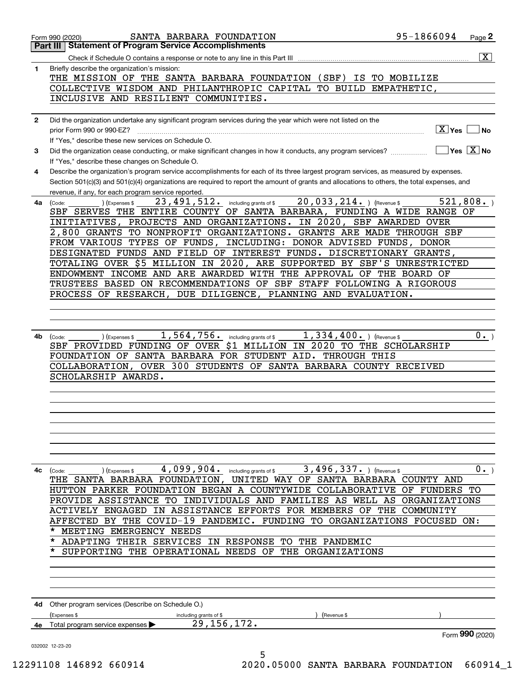|              | SANTA BARBARA FOUNDATION<br>Form 990 (2020)                                                                                                                                                         | 95-1866094             | Page <sup>2</sup>                                      |
|--------------|-----------------------------------------------------------------------------------------------------------------------------------------------------------------------------------------------------|------------------------|--------------------------------------------------------|
|              | <b>Statement of Program Service Accomplishments</b><br>Part III                                                                                                                                     |                        |                                                        |
|              |                                                                                                                                                                                                     |                        | $\overline{\mathtt{x}}$                                |
| 1            | Briefly describe the organization's mission:<br>THE MISSION OF THE SANTA BARBARA FOUNDATION (SBF)<br>IS TO MOBILIZE                                                                                 |                        |                                                        |
|              | COLLECTIVE WISDOM AND PHILANTHROPIC CAPITAL TO BUILD EMPATHETIC,                                                                                                                                    |                        |                                                        |
|              | INCLUSIVE AND RESILIENT COMMUNITIES.                                                                                                                                                                |                        |                                                        |
|              |                                                                                                                                                                                                     |                        |                                                        |
| $\mathbf{2}$ | Did the organization undertake any significant program services during the year which were not listed on the<br>prior Form 990 or 990-EZ?                                                           | $\boxed{\text{X}}$ Yes | No                                                     |
|              | If "Yes," describe these new services on Schedule O.                                                                                                                                                |                        |                                                        |
| 3            | Did the organization cease conducting, or make significant changes in how it conducts, any program services?<br>If "Yes," describe these changes on Schedule O.                                     |                        | $\overline{\mathsf{Yes} \mathrel{\;\; X} \mathsf{No}}$ |
| 4            | Describe the organization's program service accomplishments for each of its three largest program services, as measured by expenses.                                                                |                        |                                                        |
|              | Section 501(c)(3) and 501(c)(4) organizations are required to report the amount of grants and allocations to others, the total expenses, and<br>revenue, if any, for each program service reported. |                        |                                                        |
| 4a           | $20,033,214.$ ) (Revenue \$<br>23, 491, 512. including grants of \$<br>(Expenses \$<br>(Code:                                                                                                       |                        | 521,808.                                               |
|              | SBF SERVES THE ENTIRE COUNTY OF SANTA BARBARA, FUNDING A WIDE RANGE OF                                                                                                                              |                        |                                                        |
|              | PROJECTS AND ORGANIZATIONS. IN 2020, SBF AWARDED OVER<br>INITIATIVES,                                                                                                                               |                        |                                                        |
|              | 2,800 GRANTS TO NONPROFIT ORGANIZATIONS. GRANTS ARE MADE THROUGH SBF                                                                                                                                |                        |                                                        |
|              | FROM VARIOUS TYPES OF FUNDS, INCLUDING: DONOR ADVISED FUNDS, DONOR                                                                                                                                  |                        |                                                        |
|              | DESIGNATED FUNDS AND FIELD OF INTEREST FUNDS. DISCRETIONARY GRANTS,                                                                                                                                 |                        |                                                        |
|              | TOTALING OVER \$5 MILLION IN 2020, ARE SUPPORTED BY SBF'S UNRESTRICTED                                                                                                                              |                        |                                                        |
|              | ENDOWMENT INCOME AND ARE AWARDED WITH THE APPROVAL OF THE BOARD OF<br>TRUSTEES BASED ON RECOMMENDATIONS OF SBF STAFF FOLLOWING A RIGOROUS                                                           |                        |                                                        |
|              | PROCESS OF RESEARCH, DUE DILIGENCE, PLANNING AND EVALUATION.                                                                                                                                        |                        |                                                        |
|              |                                                                                                                                                                                                     |                        |                                                        |
|              |                                                                                                                                                                                                     |                        |                                                        |
|              |                                                                                                                                                                                                     |                        |                                                        |
| 4b           | $1,564,756$ and including grants of \$<br>$1,334,400.$ ) (Revenue \$<br>(Code:<br>(Expenses \$                                                                                                      |                        | 0.                                                     |
|              | SBF PROVIDED FUNDING OF OVER \$1 MILLION IN 2020 TO THE SCHOLARSHIP                                                                                                                                 |                        |                                                        |
|              | FOUNDATION OF SANTA BARBARA FOR STUDENT AID. THROUGH THIS                                                                                                                                           |                        |                                                        |
|              | COLLABORATION, OVER 300 STUDENTS OF SANTA BARBARA COUNTY RECEIVED                                                                                                                                   |                        |                                                        |
|              | SCHOLARSHIP AWARDS.                                                                                                                                                                                 |                        |                                                        |
|              |                                                                                                                                                                                                     |                        |                                                        |
|              |                                                                                                                                                                                                     |                        |                                                        |
|              |                                                                                                                                                                                                     |                        |                                                        |
|              |                                                                                                                                                                                                     |                        |                                                        |
|              |                                                                                                                                                                                                     |                        |                                                        |
|              |                                                                                                                                                                                                     |                        |                                                        |
|              |                                                                                                                                                                                                     |                        |                                                        |
| 4с           | 4,099,904. including grants of \$ 3,496,337. ) (Revenue \$<br>(Code:<br>Expenses \$                                                                                                                 |                        | 0.                                                     |
|              | THE SANTA BARBARA FOUNDATION, UNITED WAY OF SANTA BARBARA COUNTY AND<br>HUTTON PARKER FOUNDATION BEGAN A COUNTYWIDE COLLABORATIVE OF FUNDERS TO                                                     |                        |                                                        |
|              | PROVIDE ASSISTANCE TO INDIVIDUALS AND FAMILIES AS WELL AS ORGANIZATIONS                                                                                                                             |                        |                                                        |
|              | ACTIVELY ENGAGED IN ASSISTANCE EFFORTS FOR MEMBERS OF THE COMMUNITY                                                                                                                                 |                        |                                                        |
|              | AFFECTED BY THE COVID-19 PANDEMIC. FUNDING TO ORGANIZATIONS FOCUSED ON:                                                                                                                             |                        |                                                        |
|              | MEETING EMERGENCY NEEDS<br>*                                                                                                                                                                        |                        |                                                        |
|              | * ADAPTING THEIR SERVICES IN RESPONSE TO THE PANDEMIC                                                                                                                                               |                        |                                                        |
|              | $\star$<br>SUPPORTING THE OPERATIONAL NEEDS OF THE ORGANIZATIONS                                                                                                                                    |                        |                                                        |
|              |                                                                                                                                                                                                     |                        |                                                        |
|              |                                                                                                                                                                                                     |                        |                                                        |
|              |                                                                                                                                                                                                     |                        |                                                        |
|              | 4d Other program services (Describe on Schedule O.)                                                                                                                                                 |                        |                                                        |
|              | (Expenses \$<br>including grants of \$<br>(Revenue \$                                                                                                                                               |                        |                                                        |
|              | 29, 156, 172.<br>4e Total program service expenses                                                                                                                                                  |                        |                                                        |
|              |                                                                                                                                                                                                     |                        | Form 990 (2020)                                        |
|              | 032002 12-23-20<br>5                                                                                                                                                                                |                        |                                                        |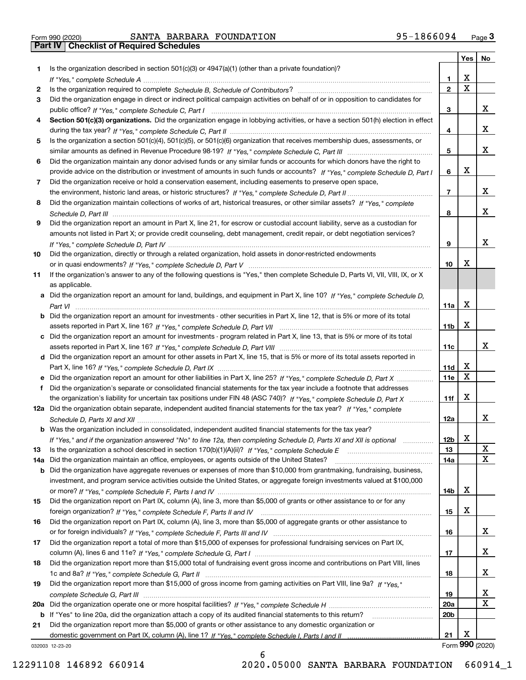| Is the organization described in section $501(c)(3)$ or $4947(a)(1)$ (other than a private foundation)?<br>1<br>х<br>1<br>If "Yes," complete Schedule A measured and the complete schedule A measured and the Schedule A measured and the<br>X<br>$\overline{2}$<br>2<br>Did the organization engage in direct or indirect political campaign activities on behalf of or in opposition to candidates for<br>3<br>x<br>3<br>Section 501(c)(3) organizations. Did the organization engage in lobbying activities, or have a section 501(h) election in effect<br>4<br>x<br>4<br>Is the organization a section 501(c)(4), 501(c)(5), or 501(c)(6) organization that receives membership dues, assessments, or<br>5<br>x<br>5<br>Did the organization maintain any donor advised funds or any similar funds or accounts for which donors have the right to<br>6<br>х<br>provide advice on the distribution or investment of amounts in such funds or accounts? If "Yes," complete Schedule D, Part I<br>6<br>Did the organization receive or hold a conservation easement, including easements to preserve open space,<br>7<br>x<br>$\overline{7}$<br>Did the organization maintain collections of works of art, historical treasures, or other similar assets? If "Yes," complete<br>8<br>x<br>8<br>Did the organization report an amount in Part X, line 21, for escrow or custodial account liability, serve as a custodian for<br>9<br>amounts not listed in Part X; or provide credit counseling, debt management, credit repair, or debt negotiation services?<br>x<br>9<br>Did the organization, directly or through a related organization, hold assets in donor-restricted endowments<br>10<br>х<br>10<br>If the organization's answer to any of the following questions is "Yes," then complete Schedule D, Parts VI, VII, VIII, IX, or X<br>11<br>as applicable.<br>a Did the organization report an amount for land, buildings, and equipment in Part X, line 10? If "Yes." complete Schedule D.<br>X<br>11a<br><b>b</b> Did the organization report an amount for investments - other securities in Part X, line 12, that is 5% or more of its total<br>х<br>11 <sub>b</sub><br>c Did the organization report an amount for investments - program related in Part X, line 13, that is 5% or more of its total<br>x<br>11c<br>d Did the organization report an amount for other assets in Part X, line 15, that is 5% or more of its total assets reported in<br>x<br>11d<br>x<br><b>11e</b><br>Did the organization's separate or consolidated financial statements for the tax year include a footnote that addresses<br>f<br>х<br>the organization's liability for uncertain tax positions under FIN 48 (ASC 740)? If "Yes," complete Schedule D, Part X<br>11f<br>12a Did the organization obtain separate, independent audited financial statements for the tax year? If "Yes," complete<br>x<br>12a<br><b>b</b> Was the organization included in consolidated, independent audited financial statements for the tax year?<br>X<br>12 <sub>b</sub><br>If "Yes," and if the organization answered "No" to line 12a, then completing Schedule D, Parts XI and XII is optional<br>х<br>Is the organization a school described in section 170(b)(1)(A)(ii)? If "Yes," complete Schedule E<br>13<br>13<br>X<br>Did the organization maintain an office, employees, or agents outside of the United States?<br>14a<br>14a<br>Did the organization have aggregate revenues or expenses of more than \$10,000 from grantmaking, fundraising, business,<br>b<br>investment, and program service activities outside the United States, or aggregate foreign investments valued at \$100,000<br>х<br>14b<br>Did the organization report on Part IX, column (A), line 3, more than \$5,000 of grants or other assistance to or for any<br>15<br>х<br>15<br>Did the organization report on Part IX, column (A), line 3, more than \$5,000 of aggregate grants or other assistance to<br>16<br>x<br>16<br>Did the organization report a total of more than \$15,000 of expenses for professional fundraising services on Part IX,<br>17<br>X<br>17<br>Did the organization report more than \$15,000 total of fundraising event gross income and contributions on Part VIII, lines<br>18<br>X<br>18<br>Did the organization report more than \$15,000 of gross income from gaming activities on Part VIII, line 9a? If "Yes."<br>19<br>x<br>19<br>x<br>20a<br>20a<br>20 <sub>b</sub><br>b If "Yes" to line 20a, did the organization attach a copy of its audited financial statements to this return?<br>Did the organization report more than \$5,000 of grants or other assistance to any domestic organization or<br>21<br>х<br>21<br>032003 12-23-20 |  |  | Yes   No |
|----------------------------------------------------------------------------------------------------------------------------------------------------------------------------------------------------------------------------------------------------------------------------------------------------------------------------------------------------------------------------------------------------------------------------------------------------------------------------------------------------------------------------------------------------------------------------------------------------------------------------------------------------------------------------------------------------------------------------------------------------------------------------------------------------------------------------------------------------------------------------------------------------------------------------------------------------------------------------------------------------------------------------------------------------------------------------------------------------------------------------------------------------------------------------------------------------------------------------------------------------------------------------------------------------------------------------------------------------------------------------------------------------------------------------------------------------------------------------------------------------------------------------------------------------------------------------------------------------------------------------------------------------------------------------------------------------------------------------------------------------------------------------------------------------------------------------------------------------------------------------------------------------------------------------------------------------------------------------------------------------------------------------------------------------------------------------------------------------------------------------------------------------------------------------------------------------------------------------------------------------------------------------------------------------------------------------------------------------------------------------------------------------------------------------------------------------------------------------------------------------------------------------------------------------------------------------------------------------------------------------------------------------------------------------------------------------------------------------------------------------------------------------------------------------------------------------------------------------------------------------------------------------------------------------------------------------------------------------------------------------------------------------------------------------------------------------------------------------------------------------------------------------------------------------------------------------------------------------------------------------------------------------------------------------------------------------------------------------------------------------------------------------------------------------------------------------------------------------------------------------------------------------------------------------------------------------------------------------------------------------------------------------------------------------------------------------------------------------------------------------------------------------------------------------------------------------------------------------------------------------------------------------------------------------------------------------------------------------------------------------------------------------------------------------------------------------------------------------------------------------------------------------------------------------------------------------------------------------------------------------------------------------------------------------------------------------------------------------------------------------------------------------------------------------------------------------------------------------------------------------------------------------------------------------------------------------------------------------------------------------------------------------------------------------------------------------------------------------------------------------------|--|--|----------|
|                                                                                                                                                                                                                                                                                                                                                                                                                                                                                                                                                                                                                                                                                                                                                                                                                                                                                                                                                                                                                                                                                                                                                                                                                                                                                                                                                                                                                                                                                                                                                                                                                                                                                                                                                                                                                                                                                                                                                                                                                                                                                                                                                                                                                                                                                                                                                                                                                                                                                                                                                                                                                                                                                                                                                                                                                                                                                                                                                                                                                                                                                                                                                                                                                                                                                                                                                                                                                                                                                                                                                                                                                                                                                                                                                                                                                                                                                                                                                                                                                                                                                                                                                                                                                                                                                                                                                                                                                                                                                                                                                                                                                                                                                                                                                          |  |  |          |
|                                                                                                                                                                                                                                                                                                                                                                                                                                                                                                                                                                                                                                                                                                                                                                                                                                                                                                                                                                                                                                                                                                                                                                                                                                                                                                                                                                                                                                                                                                                                                                                                                                                                                                                                                                                                                                                                                                                                                                                                                                                                                                                                                                                                                                                                                                                                                                                                                                                                                                                                                                                                                                                                                                                                                                                                                                                                                                                                                                                                                                                                                                                                                                                                                                                                                                                                                                                                                                                                                                                                                                                                                                                                                                                                                                                                                                                                                                                                                                                                                                                                                                                                                                                                                                                                                                                                                                                                                                                                                                                                                                                                                                                                                                                                                          |  |  |          |
|                                                                                                                                                                                                                                                                                                                                                                                                                                                                                                                                                                                                                                                                                                                                                                                                                                                                                                                                                                                                                                                                                                                                                                                                                                                                                                                                                                                                                                                                                                                                                                                                                                                                                                                                                                                                                                                                                                                                                                                                                                                                                                                                                                                                                                                                                                                                                                                                                                                                                                                                                                                                                                                                                                                                                                                                                                                                                                                                                                                                                                                                                                                                                                                                                                                                                                                                                                                                                                                                                                                                                                                                                                                                                                                                                                                                                                                                                                                                                                                                                                                                                                                                                                                                                                                                                                                                                                                                                                                                                                                                                                                                                                                                                                                                                          |  |  |          |
|                                                                                                                                                                                                                                                                                                                                                                                                                                                                                                                                                                                                                                                                                                                                                                                                                                                                                                                                                                                                                                                                                                                                                                                                                                                                                                                                                                                                                                                                                                                                                                                                                                                                                                                                                                                                                                                                                                                                                                                                                                                                                                                                                                                                                                                                                                                                                                                                                                                                                                                                                                                                                                                                                                                                                                                                                                                                                                                                                                                                                                                                                                                                                                                                                                                                                                                                                                                                                                                                                                                                                                                                                                                                                                                                                                                                                                                                                                                                                                                                                                                                                                                                                                                                                                                                                                                                                                                                                                                                                                                                                                                                                                                                                                                                                          |  |  |          |
|                                                                                                                                                                                                                                                                                                                                                                                                                                                                                                                                                                                                                                                                                                                                                                                                                                                                                                                                                                                                                                                                                                                                                                                                                                                                                                                                                                                                                                                                                                                                                                                                                                                                                                                                                                                                                                                                                                                                                                                                                                                                                                                                                                                                                                                                                                                                                                                                                                                                                                                                                                                                                                                                                                                                                                                                                                                                                                                                                                                                                                                                                                                                                                                                                                                                                                                                                                                                                                                                                                                                                                                                                                                                                                                                                                                                                                                                                                                                                                                                                                                                                                                                                                                                                                                                                                                                                                                                                                                                                                                                                                                                                                                                                                                                                          |  |  |          |
|                                                                                                                                                                                                                                                                                                                                                                                                                                                                                                                                                                                                                                                                                                                                                                                                                                                                                                                                                                                                                                                                                                                                                                                                                                                                                                                                                                                                                                                                                                                                                                                                                                                                                                                                                                                                                                                                                                                                                                                                                                                                                                                                                                                                                                                                                                                                                                                                                                                                                                                                                                                                                                                                                                                                                                                                                                                                                                                                                                                                                                                                                                                                                                                                                                                                                                                                                                                                                                                                                                                                                                                                                                                                                                                                                                                                                                                                                                                                                                                                                                                                                                                                                                                                                                                                                                                                                                                                                                                                                                                                                                                                                                                                                                                                                          |  |  |          |
|                                                                                                                                                                                                                                                                                                                                                                                                                                                                                                                                                                                                                                                                                                                                                                                                                                                                                                                                                                                                                                                                                                                                                                                                                                                                                                                                                                                                                                                                                                                                                                                                                                                                                                                                                                                                                                                                                                                                                                                                                                                                                                                                                                                                                                                                                                                                                                                                                                                                                                                                                                                                                                                                                                                                                                                                                                                                                                                                                                                                                                                                                                                                                                                                                                                                                                                                                                                                                                                                                                                                                                                                                                                                                                                                                                                                                                                                                                                                                                                                                                                                                                                                                                                                                                                                                                                                                                                                                                                                                                                                                                                                                                                                                                                                                          |  |  |          |
|                                                                                                                                                                                                                                                                                                                                                                                                                                                                                                                                                                                                                                                                                                                                                                                                                                                                                                                                                                                                                                                                                                                                                                                                                                                                                                                                                                                                                                                                                                                                                                                                                                                                                                                                                                                                                                                                                                                                                                                                                                                                                                                                                                                                                                                                                                                                                                                                                                                                                                                                                                                                                                                                                                                                                                                                                                                                                                                                                                                                                                                                                                                                                                                                                                                                                                                                                                                                                                                                                                                                                                                                                                                                                                                                                                                                                                                                                                                                                                                                                                                                                                                                                                                                                                                                                                                                                                                                                                                                                                                                                                                                                                                                                                                                                          |  |  |          |
|                                                                                                                                                                                                                                                                                                                                                                                                                                                                                                                                                                                                                                                                                                                                                                                                                                                                                                                                                                                                                                                                                                                                                                                                                                                                                                                                                                                                                                                                                                                                                                                                                                                                                                                                                                                                                                                                                                                                                                                                                                                                                                                                                                                                                                                                                                                                                                                                                                                                                                                                                                                                                                                                                                                                                                                                                                                                                                                                                                                                                                                                                                                                                                                                                                                                                                                                                                                                                                                                                                                                                                                                                                                                                                                                                                                                                                                                                                                                                                                                                                                                                                                                                                                                                                                                                                                                                                                                                                                                                                                                                                                                                                                                                                                                                          |  |  |          |
|                                                                                                                                                                                                                                                                                                                                                                                                                                                                                                                                                                                                                                                                                                                                                                                                                                                                                                                                                                                                                                                                                                                                                                                                                                                                                                                                                                                                                                                                                                                                                                                                                                                                                                                                                                                                                                                                                                                                                                                                                                                                                                                                                                                                                                                                                                                                                                                                                                                                                                                                                                                                                                                                                                                                                                                                                                                                                                                                                                                                                                                                                                                                                                                                                                                                                                                                                                                                                                                                                                                                                                                                                                                                                                                                                                                                                                                                                                                                                                                                                                                                                                                                                                                                                                                                                                                                                                                                                                                                                                                                                                                                                                                                                                                                                          |  |  |          |
|                                                                                                                                                                                                                                                                                                                                                                                                                                                                                                                                                                                                                                                                                                                                                                                                                                                                                                                                                                                                                                                                                                                                                                                                                                                                                                                                                                                                                                                                                                                                                                                                                                                                                                                                                                                                                                                                                                                                                                                                                                                                                                                                                                                                                                                                                                                                                                                                                                                                                                                                                                                                                                                                                                                                                                                                                                                                                                                                                                                                                                                                                                                                                                                                                                                                                                                                                                                                                                                                                                                                                                                                                                                                                                                                                                                                                                                                                                                                                                                                                                                                                                                                                                                                                                                                                                                                                                                                                                                                                                                                                                                                                                                                                                                                                          |  |  |          |
|                                                                                                                                                                                                                                                                                                                                                                                                                                                                                                                                                                                                                                                                                                                                                                                                                                                                                                                                                                                                                                                                                                                                                                                                                                                                                                                                                                                                                                                                                                                                                                                                                                                                                                                                                                                                                                                                                                                                                                                                                                                                                                                                                                                                                                                                                                                                                                                                                                                                                                                                                                                                                                                                                                                                                                                                                                                                                                                                                                                                                                                                                                                                                                                                                                                                                                                                                                                                                                                                                                                                                                                                                                                                                                                                                                                                                                                                                                                                                                                                                                                                                                                                                                                                                                                                                                                                                                                                                                                                                                                                                                                                                                                                                                                                                          |  |  |          |
|                                                                                                                                                                                                                                                                                                                                                                                                                                                                                                                                                                                                                                                                                                                                                                                                                                                                                                                                                                                                                                                                                                                                                                                                                                                                                                                                                                                                                                                                                                                                                                                                                                                                                                                                                                                                                                                                                                                                                                                                                                                                                                                                                                                                                                                                                                                                                                                                                                                                                                                                                                                                                                                                                                                                                                                                                                                                                                                                                                                                                                                                                                                                                                                                                                                                                                                                                                                                                                                                                                                                                                                                                                                                                                                                                                                                                                                                                                                                                                                                                                                                                                                                                                                                                                                                                                                                                                                                                                                                                                                                                                                                                                                                                                                                                          |  |  |          |
|                                                                                                                                                                                                                                                                                                                                                                                                                                                                                                                                                                                                                                                                                                                                                                                                                                                                                                                                                                                                                                                                                                                                                                                                                                                                                                                                                                                                                                                                                                                                                                                                                                                                                                                                                                                                                                                                                                                                                                                                                                                                                                                                                                                                                                                                                                                                                                                                                                                                                                                                                                                                                                                                                                                                                                                                                                                                                                                                                                                                                                                                                                                                                                                                                                                                                                                                                                                                                                                                                                                                                                                                                                                                                                                                                                                                                                                                                                                                                                                                                                                                                                                                                                                                                                                                                                                                                                                                                                                                                                                                                                                                                                                                                                                                                          |  |  |          |
|                                                                                                                                                                                                                                                                                                                                                                                                                                                                                                                                                                                                                                                                                                                                                                                                                                                                                                                                                                                                                                                                                                                                                                                                                                                                                                                                                                                                                                                                                                                                                                                                                                                                                                                                                                                                                                                                                                                                                                                                                                                                                                                                                                                                                                                                                                                                                                                                                                                                                                                                                                                                                                                                                                                                                                                                                                                                                                                                                                                                                                                                                                                                                                                                                                                                                                                                                                                                                                                                                                                                                                                                                                                                                                                                                                                                                                                                                                                                                                                                                                                                                                                                                                                                                                                                                                                                                                                                                                                                                                                                                                                                                                                                                                                                                          |  |  |          |
|                                                                                                                                                                                                                                                                                                                                                                                                                                                                                                                                                                                                                                                                                                                                                                                                                                                                                                                                                                                                                                                                                                                                                                                                                                                                                                                                                                                                                                                                                                                                                                                                                                                                                                                                                                                                                                                                                                                                                                                                                                                                                                                                                                                                                                                                                                                                                                                                                                                                                                                                                                                                                                                                                                                                                                                                                                                                                                                                                                                                                                                                                                                                                                                                                                                                                                                                                                                                                                                                                                                                                                                                                                                                                                                                                                                                                                                                                                                                                                                                                                                                                                                                                                                                                                                                                                                                                                                                                                                                                                                                                                                                                                                                                                                                                          |  |  |          |
|                                                                                                                                                                                                                                                                                                                                                                                                                                                                                                                                                                                                                                                                                                                                                                                                                                                                                                                                                                                                                                                                                                                                                                                                                                                                                                                                                                                                                                                                                                                                                                                                                                                                                                                                                                                                                                                                                                                                                                                                                                                                                                                                                                                                                                                                                                                                                                                                                                                                                                                                                                                                                                                                                                                                                                                                                                                                                                                                                                                                                                                                                                                                                                                                                                                                                                                                                                                                                                                                                                                                                                                                                                                                                                                                                                                                                                                                                                                                                                                                                                                                                                                                                                                                                                                                                                                                                                                                                                                                                                                                                                                                                                                                                                                                                          |  |  |          |
|                                                                                                                                                                                                                                                                                                                                                                                                                                                                                                                                                                                                                                                                                                                                                                                                                                                                                                                                                                                                                                                                                                                                                                                                                                                                                                                                                                                                                                                                                                                                                                                                                                                                                                                                                                                                                                                                                                                                                                                                                                                                                                                                                                                                                                                                                                                                                                                                                                                                                                                                                                                                                                                                                                                                                                                                                                                                                                                                                                                                                                                                                                                                                                                                                                                                                                                                                                                                                                                                                                                                                                                                                                                                                                                                                                                                                                                                                                                                                                                                                                                                                                                                                                                                                                                                                                                                                                                                                                                                                                                                                                                                                                                                                                                                                          |  |  |          |
|                                                                                                                                                                                                                                                                                                                                                                                                                                                                                                                                                                                                                                                                                                                                                                                                                                                                                                                                                                                                                                                                                                                                                                                                                                                                                                                                                                                                                                                                                                                                                                                                                                                                                                                                                                                                                                                                                                                                                                                                                                                                                                                                                                                                                                                                                                                                                                                                                                                                                                                                                                                                                                                                                                                                                                                                                                                                                                                                                                                                                                                                                                                                                                                                                                                                                                                                                                                                                                                                                                                                                                                                                                                                                                                                                                                                                                                                                                                                                                                                                                                                                                                                                                                                                                                                                                                                                                                                                                                                                                                                                                                                                                                                                                                                                          |  |  |          |
|                                                                                                                                                                                                                                                                                                                                                                                                                                                                                                                                                                                                                                                                                                                                                                                                                                                                                                                                                                                                                                                                                                                                                                                                                                                                                                                                                                                                                                                                                                                                                                                                                                                                                                                                                                                                                                                                                                                                                                                                                                                                                                                                                                                                                                                                                                                                                                                                                                                                                                                                                                                                                                                                                                                                                                                                                                                                                                                                                                                                                                                                                                                                                                                                                                                                                                                                                                                                                                                                                                                                                                                                                                                                                                                                                                                                                                                                                                                                                                                                                                                                                                                                                                                                                                                                                                                                                                                                                                                                                                                                                                                                                                                                                                                                                          |  |  |          |
|                                                                                                                                                                                                                                                                                                                                                                                                                                                                                                                                                                                                                                                                                                                                                                                                                                                                                                                                                                                                                                                                                                                                                                                                                                                                                                                                                                                                                                                                                                                                                                                                                                                                                                                                                                                                                                                                                                                                                                                                                                                                                                                                                                                                                                                                                                                                                                                                                                                                                                                                                                                                                                                                                                                                                                                                                                                                                                                                                                                                                                                                                                                                                                                                                                                                                                                                                                                                                                                                                                                                                                                                                                                                                                                                                                                                                                                                                                                                                                                                                                                                                                                                                                                                                                                                                                                                                                                                                                                                                                                                                                                                                                                                                                                                                          |  |  |          |
|                                                                                                                                                                                                                                                                                                                                                                                                                                                                                                                                                                                                                                                                                                                                                                                                                                                                                                                                                                                                                                                                                                                                                                                                                                                                                                                                                                                                                                                                                                                                                                                                                                                                                                                                                                                                                                                                                                                                                                                                                                                                                                                                                                                                                                                                                                                                                                                                                                                                                                                                                                                                                                                                                                                                                                                                                                                                                                                                                                                                                                                                                                                                                                                                                                                                                                                                                                                                                                                                                                                                                                                                                                                                                                                                                                                                                                                                                                                                                                                                                                                                                                                                                                                                                                                                                                                                                                                                                                                                                                                                                                                                                                                                                                                                                          |  |  |          |
|                                                                                                                                                                                                                                                                                                                                                                                                                                                                                                                                                                                                                                                                                                                                                                                                                                                                                                                                                                                                                                                                                                                                                                                                                                                                                                                                                                                                                                                                                                                                                                                                                                                                                                                                                                                                                                                                                                                                                                                                                                                                                                                                                                                                                                                                                                                                                                                                                                                                                                                                                                                                                                                                                                                                                                                                                                                                                                                                                                                                                                                                                                                                                                                                                                                                                                                                                                                                                                                                                                                                                                                                                                                                                                                                                                                                                                                                                                                                                                                                                                                                                                                                                                                                                                                                                                                                                                                                                                                                                                                                                                                                                                                                                                                                                          |  |  |          |
|                                                                                                                                                                                                                                                                                                                                                                                                                                                                                                                                                                                                                                                                                                                                                                                                                                                                                                                                                                                                                                                                                                                                                                                                                                                                                                                                                                                                                                                                                                                                                                                                                                                                                                                                                                                                                                                                                                                                                                                                                                                                                                                                                                                                                                                                                                                                                                                                                                                                                                                                                                                                                                                                                                                                                                                                                                                                                                                                                                                                                                                                                                                                                                                                                                                                                                                                                                                                                                                                                                                                                                                                                                                                                                                                                                                                                                                                                                                                                                                                                                                                                                                                                                                                                                                                                                                                                                                                                                                                                                                                                                                                                                                                                                                                                          |  |  |          |
|                                                                                                                                                                                                                                                                                                                                                                                                                                                                                                                                                                                                                                                                                                                                                                                                                                                                                                                                                                                                                                                                                                                                                                                                                                                                                                                                                                                                                                                                                                                                                                                                                                                                                                                                                                                                                                                                                                                                                                                                                                                                                                                                                                                                                                                                                                                                                                                                                                                                                                                                                                                                                                                                                                                                                                                                                                                                                                                                                                                                                                                                                                                                                                                                                                                                                                                                                                                                                                                                                                                                                                                                                                                                                                                                                                                                                                                                                                                                                                                                                                                                                                                                                                                                                                                                                                                                                                                                                                                                                                                                                                                                                                                                                                                                                          |  |  |          |
|                                                                                                                                                                                                                                                                                                                                                                                                                                                                                                                                                                                                                                                                                                                                                                                                                                                                                                                                                                                                                                                                                                                                                                                                                                                                                                                                                                                                                                                                                                                                                                                                                                                                                                                                                                                                                                                                                                                                                                                                                                                                                                                                                                                                                                                                                                                                                                                                                                                                                                                                                                                                                                                                                                                                                                                                                                                                                                                                                                                                                                                                                                                                                                                                                                                                                                                                                                                                                                                                                                                                                                                                                                                                                                                                                                                                                                                                                                                                                                                                                                                                                                                                                                                                                                                                                                                                                                                                                                                                                                                                                                                                                                                                                                                                                          |  |  |          |
|                                                                                                                                                                                                                                                                                                                                                                                                                                                                                                                                                                                                                                                                                                                                                                                                                                                                                                                                                                                                                                                                                                                                                                                                                                                                                                                                                                                                                                                                                                                                                                                                                                                                                                                                                                                                                                                                                                                                                                                                                                                                                                                                                                                                                                                                                                                                                                                                                                                                                                                                                                                                                                                                                                                                                                                                                                                                                                                                                                                                                                                                                                                                                                                                                                                                                                                                                                                                                                                                                                                                                                                                                                                                                                                                                                                                                                                                                                                                                                                                                                                                                                                                                                                                                                                                                                                                                                                                                                                                                                                                                                                                                                                                                                                                                          |  |  |          |
|                                                                                                                                                                                                                                                                                                                                                                                                                                                                                                                                                                                                                                                                                                                                                                                                                                                                                                                                                                                                                                                                                                                                                                                                                                                                                                                                                                                                                                                                                                                                                                                                                                                                                                                                                                                                                                                                                                                                                                                                                                                                                                                                                                                                                                                                                                                                                                                                                                                                                                                                                                                                                                                                                                                                                                                                                                                                                                                                                                                                                                                                                                                                                                                                                                                                                                                                                                                                                                                                                                                                                                                                                                                                                                                                                                                                                                                                                                                                                                                                                                                                                                                                                                                                                                                                                                                                                                                                                                                                                                                                                                                                                                                                                                                                                          |  |  |          |
|                                                                                                                                                                                                                                                                                                                                                                                                                                                                                                                                                                                                                                                                                                                                                                                                                                                                                                                                                                                                                                                                                                                                                                                                                                                                                                                                                                                                                                                                                                                                                                                                                                                                                                                                                                                                                                                                                                                                                                                                                                                                                                                                                                                                                                                                                                                                                                                                                                                                                                                                                                                                                                                                                                                                                                                                                                                                                                                                                                                                                                                                                                                                                                                                                                                                                                                                                                                                                                                                                                                                                                                                                                                                                                                                                                                                                                                                                                                                                                                                                                                                                                                                                                                                                                                                                                                                                                                                                                                                                                                                                                                                                                                                                                                                                          |  |  |          |
|                                                                                                                                                                                                                                                                                                                                                                                                                                                                                                                                                                                                                                                                                                                                                                                                                                                                                                                                                                                                                                                                                                                                                                                                                                                                                                                                                                                                                                                                                                                                                                                                                                                                                                                                                                                                                                                                                                                                                                                                                                                                                                                                                                                                                                                                                                                                                                                                                                                                                                                                                                                                                                                                                                                                                                                                                                                                                                                                                                                                                                                                                                                                                                                                                                                                                                                                                                                                                                                                                                                                                                                                                                                                                                                                                                                                                                                                                                                                                                                                                                                                                                                                                                                                                                                                                                                                                                                                                                                                                                                                                                                                                                                                                                                                                          |  |  |          |
|                                                                                                                                                                                                                                                                                                                                                                                                                                                                                                                                                                                                                                                                                                                                                                                                                                                                                                                                                                                                                                                                                                                                                                                                                                                                                                                                                                                                                                                                                                                                                                                                                                                                                                                                                                                                                                                                                                                                                                                                                                                                                                                                                                                                                                                                                                                                                                                                                                                                                                                                                                                                                                                                                                                                                                                                                                                                                                                                                                                                                                                                                                                                                                                                                                                                                                                                                                                                                                                                                                                                                                                                                                                                                                                                                                                                                                                                                                                                                                                                                                                                                                                                                                                                                                                                                                                                                                                                                                                                                                                                                                                                                                                                                                                                                          |  |  |          |
|                                                                                                                                                                                                                                                                                                                                                                                                                                                                                                                                                                                                                                                                                                                                                                                                                                                                                                                                                                                                                                                                                                                                                                                                                                                                                                                                                                                                                                                                                                                                                                                                                                                                                                                                                                                                                                                                                                                                                                                                                                                                                                                                                                                                                                                                                                                                                                                                                                                                                                                                                                                                                                                                                                                                                                                                                                                                                                                                                                                                                                                                                                                                                                                                                                                                                                                                                                                                                                                                                                                                                                                                                                                                                                                                                                                                                                                                                                                                                                                                                                                                                                                                                                                                                                                                                                                                                                                                                                                                                                                                                                                                                                                                                                                                                          |  |  |          |
|                                                                                                                                                                                                                                                                                                                                                                                                                                                                                                                                                                                                                                                                                                                                                                                                                                                                                                                                                                                                                                                                                                                                                                                                                                                                                                                                                                                                                                                                                                                                                                                                                                                                                                                                                                                                                                                                                                                                                                                                                                                                                                                                                                                                                                                                                                                                                                                                                                                                                                                                                                                                                                                                                                                                                                                                                                                                                                                                                                                                                                                                                                                                                                                                                                                                                                                                                                                                                                                                                                                                                                                                                                                                                                                                                                                                                                                                                                                                                                                                                                                                                                                                                                                                                                                                                                                                                                                                                                                                                                                                                                                                                                                                                                                                                          |  |  |          |
|                                                                                                                                                                                                                                                                                                                                                                                                                                                                                                                                                                                                                                                                                                                                                                                                                                                                                                                                                                                                                                                                                                                                                                                                                                                                                                                                                                                                                                                                                                                                                                                                                                                                                                                                                                                                                                                                                                                                                                                                                                                                                                                                                                                                                                                                                                                                                                                                                                                                                                                                                                                                                                                                                                                                                                                                                                                                                                                                                                                                                                                                                                                                                                                                                                                                                                                                                                                                                                                                                                                                                                                                                                                                                                                                                                                                                                                                                                                                                                                                                                                                                                                                                                                                                                                                                                                                                                                                                                                                                                                                                                                                                                                                                                                                                          |  |  |          |
|                                                                                                                                                                                                                                                                                                                                                                                                                                                                                                                                                                                                                                                                                                                                                                                                                                                                                                                                                                                                                                                                                                                                                                                                                                                                                                                                                                                                                                                                                                                                                                                                                                                                                                                                                                                                                                                                                                                                                                                                                                                                                                                                                                                                                                                                                                                                                                                                                                                                                                                                                                                                                                                                                                                                                                                                                                                                                                                                                                                                                                                                                                                                                                                                                                                                                                                                                                                                                                                                                                                                                                                                                                                                                                                                                                                                                                                                                                                                                                                                                                                                                                                                                                                                                                                                                                                                                                                                                                                                                                                                                                                                                                                                                                                                                          |  |  |          |
|                                                                                                                                                                                                                                                                                                                                                                                                                                                                                                                                                                                                                                                                                                                                                                                                                                                                                                                                                                                                                                                                                                                                                                                                                                                                                                                                                                                                                                                                                                                                                                                                                                                                                                                                                                                                                                                                                                                                                                                                                                                                                                                                                                                                                                                                                                                                                                                                                                                                                                                                                                                                                                                                                                                                                                                                                                                                                                                                                                                                                                                                                                                                                                                                                                                                                                                                                                                                                                                                                                                                                                                                                                                                                                                                                                                                                                                                                                                                                                                                                                                                                                                                                                                                                                                                                                                                                                                                                                                                                                                                                                                                                                                                                                                                                          |  |  |          |
|                                                                                                                                                                                                                                                                                                                                                                                                                                                                                                                                                                                                                                                                                                                                                                                                                                                                                                                                                                                                                                                                                                                                                                                                                                                                                                                                                                                                                                                                                                                                                                                                                                                                                                                                                                                                                                                                                                                                                                                                                                                                                                                                                                                                                                                                                                                                                                                                                                                                                                                                                                                                                                                                                                                                                                                                                                                                                                                                                                                                                                                                                                                                                                                                                                                                                                                                                                                                                                                                                                                                                                                                                                                                                                                                                                                                                                                                                                                                                                                                                                                                                                                                                                                                                                                                                                                                                                                                                                                                                                                                                                                                                                                                                                                                                          |  |  |          |
|                                                                                                                                                                                                                                                                                                                                                                                                                                                                                                                                                                                                                                                                                                                                                                                                                                                                                                                                                                                                                                                                                                                                                                                                                                                                                                                                                                                                                                                                                                                                                                                                                                                                                                                                                                                                                                                                                                                                                                                                                                                                                                                                                                                                                                                                                                                                                                                                                                                                                                                                                                                                                                                                                                                                                                                                                                                                                                                                                                                                                                                                                                                                                                                                                                                                                                                                                                                                                                                                                                                                                                                                                                                                                                                                                                                                                                                                                                                                                                                                                                                                                                                                                                                                                                                                                                                                                                                                                                                                                                                                                                                                                                                                                                                                                          |  |  |          |
|                                                                                                                                                                                                                                                                                                                                                                                                                                                                                                                                                                                                                                                                                                                                                                                                                                                                                                                                                                                                                                                                                                                                                                                                                                                                                                                                                                                                                                                                                                                                                                                                                                                                                                                                                                                                                                                                                                                                                                                                                                                                                                                                                                                                                                                                                                                                                                                                                                                                                                                                                                                                                                                                                                                                                                                                                                                                                                                                                                                                                                                                                                                                                                                                                                                                                                                                                                                                                                                                                                                                                                                                                                                                                                                                                                                                                                                                                                                                                                                                                                                                                                                                                                                                                                                                                                                                                                                                                                                                                                                                                                                                                                                                                                                                                          |  |  |          |
|                                                                                                                                                                                                                                                                                                                                                                                                                                                                                                                                                                                                                                                                                                                                                                                                                                                                                                                                                                                                                                                                                                                                                                                                                                                                                                                                                                                                                                                                                                                                                                                                                                                                                                                                                                                                                                                                                                                                                                                                                                                                                                                                                                                                                                                                                                                                                                                                                                                                                                                                                                                                                                                                                                                                                                                                                                                                                                                                                                                                                                                                                                                                                                                                                                                                                                                                                                                                                                                                                                                                                                                                                                                                                                                                                                                                                                                                                                                                                                                                                                                                                                                                                                                                                                                                                                                                                                                                                                                                                                                                                                                                                                                                                                                                                          |  |  |          |
|                                                                                                                                                                                                                                                                                                                                                                                                                                                                                                                                                                                                                                                                                                                                                                                                                                                                                                                                                                                                                                                                                                                                                                                                                                                                                                                                                                                                                                                                                                                                                                                                                                                                                                                                                                                                                                                                                                                                                                                                                                                                                                                                                                                                                                                                                                                                                                                                                                                                                                                                                                                                                                                                                                                                                                                                                                                                                                                                                                                                                                                                                                                                                                                                                                                                                                                                                                                                                                                                                                                                                                                                                                                                                                                                                                                                                                                                                                                                                                                                                                                                                                                                                                                                                                                                                                                                                                                                                                                                                                                                                                                                                                                                                                                                                          |  |  |          |
|                                                                                                                                                                                                                                                                                                                                                                                                                                                                                                                                                                                                                                                                                                                                                                                                                                                                                                                                                                                                                                                                                                                                                                                                                                                                                                                                                                                                                                                                                                                                                                                                                                                                                                                                                                                                                                                                                                                                                                                                                                                                                                                                                                                                                                                                                                                                                                                                                                                                                                                                                                                                                                                                                                                                                                                                                                                                                                                                                                                                                                                                                                                                                                                                                                                                                                                                                                                                                                                                                                                                                                                                                                                                                                                                                                                                                                                                                                                                                                                                                                                                                                                                                                                                                                                                                                                                                                                                                                                                                                                                                                                                                                                                                                                                                          |  |  |          |
|                                                                                                                                                                                                                                                                                                                                                                                                                                                                                                                                                                                                                                                                                                                                                                                                                                                                                                                                                                                                                                                                                                                                                                                                                                                                                                                                                                                                                                                                                                                                                                                                                                                                                                                                                                                                                                                                                                                                                                                                                                                                                                                                                                                                                                                                                                                                                                                                                                                                                                                                                                                                                                                                                                                                                                                                                                                                                                                                                                                                                                                                                                                                                                                                                                                                                                                                                                                                                                                                                                                                                                                                                                                                                                                                                                                                                                                                                                                                                                                                                                                                                                                                                                                                                                                                                                                                                                                                                                                                                                                                                                                                                                                                                                                                                          |  |  |          |
|                                                                                                                                                                                                                                                                                                                                                                                                                                                                                                                                                                                                                                                                                                                                                                                                                                                                                                                                                                                                                                                                                                                                                                                                                                                                                                                                                                                                                                                                                                                                                                                                                                                                                                                                                                                                                                                                                                                                                                                                                                                                                                                                                                                                                                                                                                                                                                                                                                                                                                                                                                                                                                                                                                                                                                                                                                                                                                                                                                                                                                                                                                                                                                                                                                                                                                                                                                                                                                                                                                                                                                                                                                                                                                                                                                                                                                                                                                                                                                                                                                                                                                                                                                                                                                                                                                                                                                                                                                                                                                                                                                                                                                                                                                                                                          |  |  |          |
|                                                                                                                                                                                                                                                                                                                                                                                                                                                                                                                                                                                                                                                                                                                                                                                                                                                                                                                                                                                                                                                                                                                                                                                                                                                                                                                                                                                                                                                                                                                                                                                                                                                                                                                                                                                                                                                                                                                                                                                                                                                                                                                                                                                                                                                                                                                                                                                                                                                                                                                                                                                                                                                                                                                                                                                                                                                                                                                                                                                                                                                                                                                                                                                                                                                                                                                                                                                                                                                                                                                                                                                                                                                                                                                                                                                                                                                                                                                                                                                                                                                                                                                                                                                                                                                                                                                                                                                                                                                                                                                                                                                                                                                                                                                                                          |  |  |          |
|                                                                                                                                                                                                                                                                                                                                                                                                                                                                                                                                                                                                                                                                                                                                                                                                                                                                                                                                                                                                                                                                                                                                                                                                                                                                                                                                                                                                                                                                                                                                                                                                                                                                                                                                                                                                                                                                                                                                                                                                                                                                                                                                                                                                                                                                                                                                                                                                                                                                                                                                                                                                                                                                                                                                                                                                                                                                                                                                                                                                                                                                                                                                                                                                                                                                                                                                                                                                                                                                                                                                                                                                                                                                                                                                                                                                                                                                                                                                                                                                                                                                                                                                                                                                                                                                                                                                                                                                                                                                                                                                                                                                                                                                                                                                                          |  |  |          |
|                                                                                                                                                                                                                                                                                                                                                                                                                                                                                                                                                                                                                                                                                                                                                                                                                                                                                                                                                                                                                                                                                                                                                                                                                                                                                                                                                                                                                                                                                                                                                                                                                                                                                                                                                                                                                                                                                                                                                                                                                                                                                                                                                                                                                                                                                                                                                                                                                                                                                                                                                                                                                                                                                                                                                                                                                                                                                                                                                                                                                                                                                                                                                                                                                                                                                                                                                                                                                                                                                                                                                                                                                                                                                                                                                                                                                                                                                                                                                                                                                                                                                                                                                                                                                                                                                                                                                                                                                                                                                                                                                                                                                                                                                                                                                          |  |  |          |
|                                                                                                                                                                                                                                                                                                                                                                                                                                                                                                                                                                                                                                                                                                                                                                                                                                                                                                                                                                                                                                                                                                                                                                                                                                                                                                                                                                                                                                                                                                                                                                                                                                                                                                                                                                                                                                                                                                                                                                                                                                                                                                                                                                                                                                                                                                                                                                                                                                                                                                                                                                                                                                                                                                                                                                                                                                                                                                                                                                                                                                                                                                                                                                                                                                                                                                                                                                                                                                                                                                                                                                                                                                                                                                                                                                                                                                                                                                                                                                                                                                                                                                                                                                                                                                                                                                                                                                                                                                                                                                                                                                                                                                                                                                                                                          |  |  |          |
|                                                                                                                                                                                                                                                                                                                                                                                                                                                                                                                                                                                                                                                                                                                                                                                                                                                                                                                                                                                                                                                                                                                                                                                                                                                                                                                                                                                                                                                                                                                                                                                                                                                                                                                                                                                                                                                                                                                                                                                                                                                                                                                                                                                                                                                                                                                                                                                                                                                                                                                                                                                                                                                                                                                                                                                                                                                                                                                                                                                                                                                                                                                                                                                                                                                                                                                                                                                                                                                                                                                                                                                                                                                                                                                                                                                                                                                                                                                                                                                                                                                                                                                                                                                                                                                                                                                                                                                                                                                                                                                                                                                                                                                                                                                                                          |  |  |          |
|                                                                                                                                                                                                                                                                                                                                                                                                                                                                                                                                                                                                                                                                                                                                                                                                                                                                                                                                                                                                                                                                                                                                                                                                                                                                                                                                                                                                                                                                                                                                                                                                                                                                                                                                                                                                                                                                                                                                                                                                                                                                                                                                                                                                                                                                                                                                                                                                                                                                                                                                                                                                                                                                                                                                                                                                                                                                                                                                                                                                                                                                                                                                                                                                                                                                                                                                                                                                                                                                                                                                                                                                                                                                                                                                                                                                                                                                                                                                                                                                                                                                                                                                                                                                                                                                                                                                                                                                                                                                                                                                                                                                                                                                                                                                                          |  |  |          |
|                                                                                                                                                                                                                                                                                                                                                                                                                                                                                                                                                                                                                                                                                                                                                                                                                                                                                                                                                                                                                                                                                                                                                                                                                                                                                                                                                                                                                                                                                                                                                                                                                                                                                                                                                                                                                                                                                                                                                                                                                                                                                                                                                                                                                                                                                                                                                                                                                                                                                                                                                                                                                                                                                                                                                                                                                                                                                                                                                                                                                                                                                                                                                                                                                                                                                                                                                                                                                                                                                                                                                                                                                                                                                                                                                                                                                                                                                                                                                                                                                                                                                                                                                                                                                                                                                                                                                                                                                                                                                                                                                                                                                                                                                                                                                          |  |  |          |
|                                                                                                                                                                                                                                                                                                                                                                                                                                                                                                                                                                                                                                                                                                                                                                                                                                                                                                                                                                                                                                                                                                                                                                                                                                                                                                                                                                                                                                                                                                                                                                                                                                                                                                                                                                                                                                                                                                                                                                                                                                                                                                                                                                                                                                                                                                                                                                                                                                                                                                                                                                                                                                                                                                                                                                                                                                                                                                                                                                                                                                                                                                                                                                                                                                                                                                                                                                                                                                                                                                                                                                                                                                                                                                                                                                                                                                                                                                                                                                                                                                                                                                                                                                                                                                                                                                                                                                                                                                                                                                                                                                                                                                                                                                                                                          |  |  |          |
|                                                                                                                                                                                                                                                                                                                                                                                                                                                                                                                                                                                                                                                                                                                                                                                                                                                                                                                                                                                                                                                                                                                                                                                                                                                                                                                                                                                                                                                                                                                                                                                                                                                                                                                                                                                                                                                                                                                                                                                                                                                                                                                                                                                                                                                                                                                                                                                                                                                                                                                                                                                                                                                                                                                                                                                                                                                                                                                                                                                                                                                                                                                                                                                                                                                                                                                                                                                                                                                                                                                                                                                                                                                                                                                                                                                                                                                                                                                                                                                                                                                                                                                                                                                                                                                                                                                                                                                                                                                                                                                                                                                                                                                                                                                                                          |  |  |          |
|                                                                                                                                                                                                                                                                                                                                                                                                                                                                                                                                                                                                                                                                                                                                                                                                                                                                                                                                                                                                                                                                                                                                                                                                                                                                                                                                                                                                                                                                                                                                                                                                                                                                                                                                                                                                                                                                                                                                                                                                                                                                                                                                                                                                                                                                                                                                                                                                                                                                                                                                                                                                                                                                                                                                                                                                                                                                                                                                                                                                                                                                                                                                                                                                                                                                                                                                                                                                                                                                                                                                                                                                                                                                                                                                                                                                                                                                                                                                                                                                                                                                                                                                                                                                                                                                                                                                                                                                                                                                                                                                                                                                                                                                                                                                                          |  |  |          |
| Form 990 (2020)                                                                                                                                                                                                                                                                                                                                                                                                                                                                                                                                                                                                                                                                                                                                                                                                                                                                                                                                                                                                                                                                                                                                                                                                                                                                                                                                                                                                                                                                                                                                                                                                                                                                                                                                                                                                                                                                                                                                                                                                                                                                                                                                                                                                                                                                                                                                                                                                                                                                                                                                                                                                                                                                                                                                                                                                                                                                                                                                                                                                                                                                                                                                                                                                                                                                                                                                                                                                                                                                                                                                                                                                                                                                                                                                                                                                                                                                                                                                                                                                                                                                                                                                                                                                                                                                                                                                                                                                                                                                                                                                                                                                                                                                                                                                          |  |  |          |
|                                                                                                                                                                                                                                                                                                                                                                                                                                                                                                                                                                                                                                                                                                                                                                                                                                                                                                                                                                                                                                                                                                                                                                                                                                                                                                                                                                                                                                                                                                                                                                                                                                                                                                                                                                                                                                                                                                                                                                                                                                                                                                                                                                                                                                                                                                                                                                                                                                                                                                                                                                                                                                                                                                                                                                                                                                                                                                                                                                                                                                                                                                                                                                                                                                                                                                                                                                                                                                                                                                                                                                                                                                                                                                                                                                                                                                                                                                                                                                                                                                                                                                                                                                                                                                                                                                                                                                                                                                                                                                                                                                                                                                                                                                                                                          |  |  |          |

6

032003 12-23-20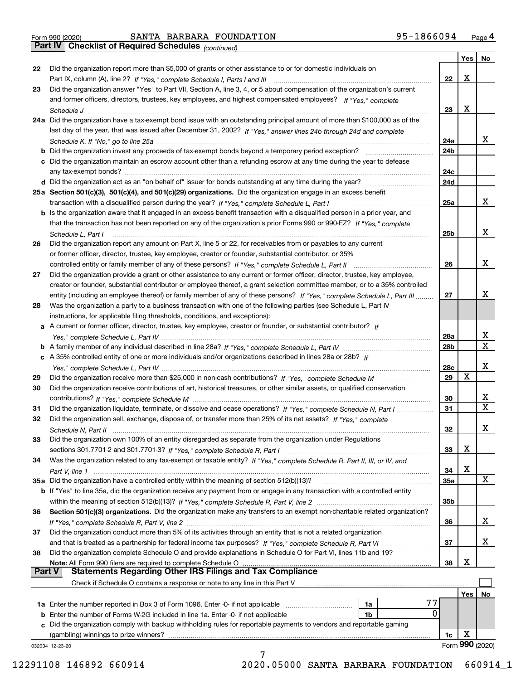|  | Form 990 (2020) |
|--|-----------------|

*(continued)*

|               |                                                                                                                              |                 | Yes | No.              |
|---------------|------------------------------------------------------------------------------------------------------------------------------|-----------------|-----|------------------|
| 22            | Did the organization report more than \$5,000 of grants or other assistance to or for domestic individuals on                |                 |     |                  |
|               |                                                                                                                              | 22              | Х   |                  |
| 23            | Did the organization answer "Yes" to Part VII, Section A, line 3, 4, or 5 about compensation of the organization's current   |                 |     |                  |
|               | and former officers, directors, trustees, key employees, and highest compensated employees? If "Yes," complete               |                 |     |                  |
|               |                                                                                                                              | 23              | Х   |                  |
|               | 24a Did the organization have a tax-exempt bond issue with an outstanding principal amount of more than \$100,000 as of the  |                 |     |                  |
|               | last day of the year, that was issued after December 31, 2002? If "Yes," answer lines 24b through 24d and complete           |                 |     |                  |
|               |                                                                                                                              | 24a             |     | x                |
|               | b Did the organization invest any proceeds of tax-exempt bonds beyond a temporary period exception?                          | 24b             |     |                  |
|               | c Did the organization maintain an escrow account other than a refunding escrow at any time during the year to defease       |                 |     |                  |
|               |                                                                                                                              | 24c             |     |                  |
|               |                                                                                                                              | 24d             |     |                  |
|               | 25a Section 501(c)(3), 501(c)(4), and 501(c)(29) organizations. Did the organization engage in an excess benefit             |                 |     |                  |
|               |                                                                                                                              | 25a             |     | х                |
|               | b Is the organization aware that it engaged in an excess benefit transaction with a disqualified person in a prior year, and |                 |     |                  |
|               | that the transaction has not been reported on any of the organization's prior Forms 990 or 990-EZ? If "Yes," complete        |                 |     |                  |
|               | Schedule L, Part I                                                                                                           | 25 <sub>b</sub> |     | х                |
| 26            | Did the organization report any amount on Part X, line 5 or 22, for receivables from or payables to any current              |                 |     |                  |
|               | or former officer, director, trustee, key employee, creator or founder, substantial contributor, or 35%                      |                 |     |                  |
|               |                                                                                                                              | 26              |     | х                |
| 27            | Did the organization provide a grant or other assistance to any current or former officer, director, trustee, key employee,  |                 |     |                  |
|               | creator or founder, substantial contributor or employee thereof, a grant selection committee member, or to a 35% controlled  |                 |     |                  |
|               | entity (including an employee thereof) or family member of any of these persons? If "Yes," complete Schedule L, Part III     | 27              |     | х                |
| 28            | Was the organization a party to a business transaction with one of the following parties (see Schedule L, Part IV            |                 |     |                  |
|               | instructions, for applicable filing thresholds, conditions, and exceptions):                                                 |                 |     |                  |
|               | a A current or former officer, director, trustee, key employee, creator or founder, or substantial contributor? If           |                 |     |                  |
|               |                                                                                                                              | 28a             |     | X                |
|               |                                                                                                                              | 28b             |     | $\mathbf X$      |
|               |                                                                                                                              |                 |     |                  |
|               | c A 35% controlled entity of one or more individuals and/or organizations described in lines 28a or 28b? If                  |                 |     | х                |
|               |                                                                                                                              | 28c             | x   |                  |
| 29            |                                                                                                                              | 29              |     |                  |
| 30            | Did the organization receive contributions of art, historical treasures, or other similar assets, or qualified conservation  |                 |     |                  |
|               |                                                                                                                              | 30              |     | X<br>$\mathbf x$ |
| 31            | Did the organization liquidate, terminate, or dissolve and cease operations? If "Yes," complete Schedule N, Part I           | 31              |     |                  |
| 32            | Did the organization sell, exchange, dispose of, or transfer more than 25% of its net assets? If "Yes," complete             |                 |     |                  |
|               | Schedule N, Part II                                                                                                          | 32              |     | х                |
| 33            | Did the organization own 100% of an entity disregarded as separate from the organization under Regulations                   |                 |     |                  |
|               |                                                                                                                              | 33              | х   |                  |
| 34            | Was the organization related to any tax-exempt or taxable entity? If "Yes," complete Schedule R, Part II, III, or IV, and    |                 |     |                  |
|               |                                                                                                                              | 34              | X   |                  |
|               | 35a Did the organization have a controlled entity within the meaning of section 512(b)(13)?                                  | <b>35a</b>      |     | X                |
|               | b If "Yes" to line 35a, did the organization receive any payment from or engage in any transaction with a controlled entity  |                 |     |                  |
|               |                                                                                                                              | 35 <sub>b</sub> |     |                  |
| 36            | Section 501(c)(3) organizations. Did the organization make any transfers to an exempt non-charitable related organization?   |                 |     |                  |
|               |                                                                                                                              | 36              |     | X                |
| 37            | Did the organization conduct more than 5% of its activities through an entity that is not a related organization             |                 |     |                  |
|               | and that is treated as a partnership for federal income tax purposes? If "Yes," complete Schedule R, Part VI                 | 37              |     | x                |
| 38            | Did the organization complete Schedule O and provide explanations in Schedule O for Part VI, lines 11b and 19?               |                 |     |                  |
|               | Note: All Form 990 filers are required to complete Schedule O                                                                | 38              | х   |                  |
| <b>Part V</b> | <b>Statements Regarding Other IRS Filings and Tax Compliance</b>                                                             |                 |     |                  |
|               | Check if Schedule O contains a response or note to any line in this Part V                                                   |                 |     |                  |
|               |                                                                                                                              |                 | Yes | No               |
|               | 77<br><b>1a</b> Enter the number reported in Box 3 of Form 1096. Enter -0- if not applicable <i>manumumumum</i><br>1a        |                 |     |                  |
|               | 0<br>1b                                                                                                                      |                 |     |                  |
|               | c Did the organization comply with backup withholding rules for reportable payments to vendors and reportable gaming         |                 |     |                  |
|               | (gambling) winnings to prize winners?                                                                                        | 1c              | х   |                  |
|               | 032004 12-23-20                                                                                                              |                 |     | Form 990 (2020)  |
|               | 7                                                                                                                            |                 |     |                  |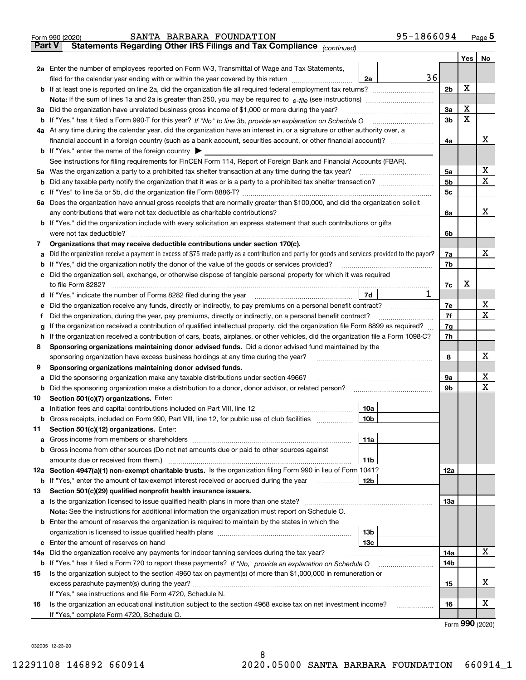|               | 95-1866094<br>SANTA BARBARA FOUNDATION<br>Form 990 (2020)                                                                                       |     |                 | $_{\text{Page}}$ 5 |  |  |  |  |  |
|---------------|-------------------------------------------------------------------------------------------------------------------------------------------------|-----|-----------------|--------------------|--|--|--|--|--|
| <b>Part V</b> | Statements Regarding Other IRS Filings and Tax Compliance (continued)                                                                           |     |                 |                    |  |  |  |  |  |
|               |                                                                                                                                                 |     | Yes             | No                 |  |  |  |  |  |
|               | 2a Enter the number of employees reported on Form W-3, Transmittal of Wage and Tax Statements,                                                  |     |                 |                    |  |  |  |  |  |
|               | filed for the calendar year ending with or within the year covered by this return www.communition<br>2a                                         | 36  | X               |                    |  |  |  |  |  |
|               |                                                                                                                                                 |     |                 |                    |  |  |  |  |  |
|               |                                                                                                                                                 |     |                 |                    |  |  |  |  |  |
| За            | Did the organization have unrelated business gross income of \$1,000 or more during the year?                                                   | 3a  | x               |                    |  |  |  |  |  |
|               |                                                                                                                                                 | 3b  | X               |                    |  |  |  |  |  |
|               | 4a At any time during the calendar year, did the organization have an interest in, or a signature or other authority over, a                    |     |                 |                    |  |  |  |  |  |
|               |                                                                                                                                                 | 4a  |                 | х                  |  |  |  |  |  |
|               | <b>b</b> If "Yes," enter the name of the foreign country $\triangleright$                                                                       |     |                 |                    |  |  |  |  |  |
|               | See instructions for filing requirements for FinCEN Form 114, Report of Foreign Bank and Financial Accounts (FBAR).                             |     |                 |                    |  |  |  |  |  |
|               | 5a Was the organization a party to a prohibited tax shelter transaction at any time during the tax year?                                        | 5а  |                 | х                  |  |  |  |  |  |
| b             |                                                                                                                                                 | 5b  |                 | Χ                  |  |  |  |  |  |
| c             |                                                                                                                                                 | 5c  |                 |                    |  |  |  |  |  |
|               | 6a Does the organization have annual gross receipts that are normally greater than \$100,000, and did the organization solicit                  |     |                 |                    |  |  |  |  |  |
|               | any contributions that were not tax deductible as charitable contributions?                                                                     | 6a  |                 | x                  |  |  |  |  |  |
|               | <b>b</b> If "Yes," did the organization include with every solicitation an express statement that such contributions or gifts                   |     |                 |                    |  |  |  |  |  |
|               | were not tax deductible?                                                                                                                        | 6b  |                 |                    |  |  |  |  |  |
| 7             | Organizations that may receive deductible contributions under section 170(c).                                                                   |     |                 |                    |  |  |  |  |  |
| а             | Did the organization receive a payment in excess of \$75 made partly as a contribution and partly for goods and services provided to the payor? | 7a  |                 | х                  |  |  |  |  |  |
| b             | If "Yes," did the organization notify the donor of the value of the goods or services provided?                                                 | 7b  |                 |                    |  |  |  |  |  |
| с             | Did the organization sell, exchange, or otherwise dispose of tangible personal property for which it was required                               |     |                 |                    |  |  |  |  |  |
|               |                                                                                                                                                 | 7c  | х               |                    |  |  |  |  |  |
| d             | 7d                                                                                                                                              | 1   |                 |                    |  |  |  |  |  |
| е             |                                                                                                                                                 | 7е  |                 | х                  |  |  |  |  |  |
| f             | Did the organization, during the year, pay premiums, directly or indirectly, on a personal benefit contract?                                    | 7f  |                 | X                  |  |  |  |  |  |
| g             | If the organization received a contribution of qualified intellectual property, did the organization file Form 8899 as required?                | 7g  |                 |                    |  |  |  |  |  |
| h             | If the organization received a contribution of cars, boats, airplanes, or other vehicles, did the organization file a Form 1098-C?              | 7h  |                 |                    |  |  |  |  |  |
| 8             | Sponsoring organizations maintaining donor advised funds. Did a donor advised fund maintained by the                                            |     |                 |                    |  |  |  |  |  |
|               | sponsoring organization have excess business holdings at any time during the year?                                                              | 8   |                 | х                  |  |  |  |  |  |
| 9             | Sponsoring organizations maintaining donor advised funds.                                                                                       |     |                 |                    |  |  |  |  |  |
| а             | Did the sponsoring organization make any taxable distributions under section 4966?                                                              | 9а  |                 | х<br>Χ             |  |  |  |  |  |
| b             | Did the sponsoring organization make a distribution to a donor, donor advisor, or related person?                                               | 9b  |                 |                    |  |  |  |  |  |
| 10            | Section 501(c)(7) organizations. Enter:                                                                                                         |     |                 |                    |  |  |  |  |  |
|               | 10a<br> 10b                                                                                                                                     |     |                 |                    |  |  |  |  |  |
|               | Gross receipts, included on Form 990, Part VIII, line 12, for public use of club facilities                                                     |     |                 |                    |  |  |  |  |  |
| 11            | Section 501(c)(12) organizations. Enter:                                                                                                        |     |                 |                    |  |  |  |  |  |
| а             | 11a<br>Gross income from other sources (Do not net amounts due or paid to other sources against                                                 |     |                 |                    |  |  |  |  |  |
| b             | 11 <sub>b</sub>                                                                                                                                 |     |                 |                    |  |  |  |  |  |
|               | 12a Section 4947(a)(1) non-exempt charitable trusts. Is the organization filing Form 990 in lieu of Form 1041?                                  | 12a |                 |                    |  |  |  |  |  |
|               | 12b<br><b>b</b> If "Yes," enter the amount of tax-exempt interest received or accrued during the year <i>manument</i> of                        |     |                 |                    |  |  |  |  |  |
| 13            | Section 501(c)(29) qualified nonprofit health insurance issuers.                                                                                |     |                 |                    |  |  |  |  |  |
| а             | Is the organization licensed to issue qualified health plans in more than one state?                                                            | 13a |                 |                    |  |  |  |  |  |
|               | Note: See the instructions for additional information the organization must report on Schedule O.                                               |     |                 |                    |  |  |  |  |  |
| b             | Enter the amount of reserves the organization is required to maintain by the states in which the                                                |     |                 |                    |  |  |  |  |  |
|               | 13 <sub>b</sub>                                                                                                                                 |     |                 |                    |  |  |  |  |  |
| c             | 13с                                                                                                                                             |     |                 |                    |  |  |  |  |  |
| 14a           | Did the organization receive any payments for indoor tanning services during the tax year?                                                      | 14a |                 | x                  |  |  |  |  |  |
|               | <b>b</b> If "Yes," has it filed a Form 720 to report these payments? If "No," provide an explanation on Schedule O                              | 14b |                 |                    |  |  |  |  |  |
| 15            | Is the organization subject to the section 4960 tax on payment(s) of more than \$1,000,000 in remuneration or                                   |     |                 |                    |  |  |  |  |  |
|               |                                                                                                                                                 | 15  |                 | х                  |  |  |  |  |  |
|               | If "Yes," see instructions and file Form 4720, Schedule N.                                                                                      |     |                 |                    |  |  |  |  |  |
| 16            | Is the organization an educational institution subject to the section 4968 excise tax on net investment income?                                 | 16  |                 | х                  |  |  |  |  |  |
|               | If "Yes," complete Form 4720, Schedule O.                                                                                                       |     |                 |                    |  |  |  |  |  |
|               |                                                                                                                                                 |     | <u>nnn 1001</u> |                    |  |  |  |  |  |

Form (2020) **990**

032005 12-23-20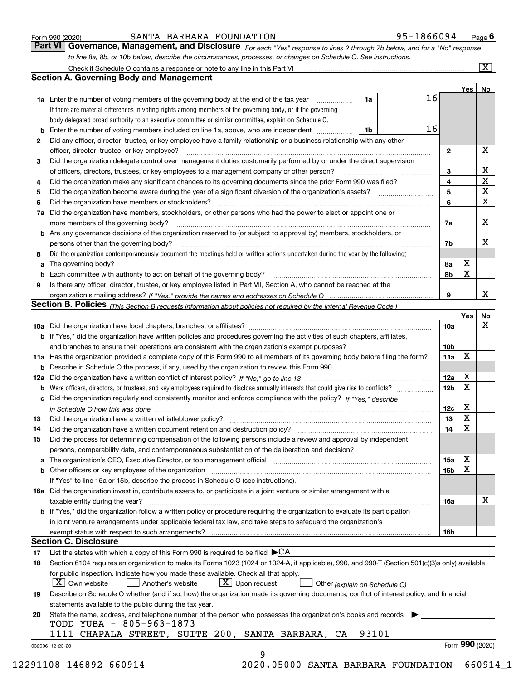|  | Form 990 (2020) |
|--|-----------------|
|  |                 |

## SANTA BARBARA FOUNDATION 95-1866094

*For each "Yes" response to lines 2 through 7b below, and for a "No" response to line 8a, 8b, or 10b below, describe the circumstances, processes, or changes on Schedule O. See instructions.* Form 990 (2020) **CONTA BARBARA FOUNDATION** 95-1866094 Page 6<br>**Part VI Governance, Management, and Disclosure** For each "Yes" response to lines 2 through 7b below, and for a "No" response

|    |                                                                                                                                                                            |       |    |                 | Yes   No        |             |
|----|----------------------------------------------------------------------------------------------------------------------------------------------------------------------------|-------|----|-----------------|-----------------|-------------|
|    | <b>1a</b> Enter the number of voting members of the governing body at the end of the tax year <i>manumum</i>                                                               | 1a    | 16 |                 |                 |             |
|    | If there are material differences in voting rights among members of the governing body, or if the governing                                                                |       |    |                 |                 |             |
|    | body delegated broad authority to an executive committee or similar committee, explain on Schedule O.                                                                      |       |    |                 |                 |             |
|    |                                                                                                                                                                            | 1b    | 16 |                 |                 |             |
| 2  | Did any officer, director, trustee, or key employee have a family relationship or a business relationship with any other                                                   |       |    |                 |                 |             |
|    | officer, director, trustee, or key employee?                                                                                                                               |       |    | $\mathbf{2}$    |                 | X           |
| 3  | Did the organization delegate control over management duties customarily performed by or under the direct supervision                                                      |       |    |                 |                 |             |
|    |                                                                                                                                                                            |       |    | 3               |                 | X           |
| 4  | Did the organization make any significant changes to its governing documents since the prior Form 990 was filed?                                                           |       |    | 4               |                 | $\mathbf X$ |
| 5  |                                                                                                                                                                            |       |    | 5               |                 | $\mathbf X$ |
| 6  | Did the organization have members or stockholders?                                                                                                                         |       |    | 6               |                 | X           |
|    | 7a Did the organization have members, stockholders, or other persons who had the power to elect or appoint one or                                                          |       |    |                 |                 |             |
|    |                                                                                                                                                                            |       |    | 7a              |                 | X           |
|    | <b>b</b> Are any governance decisions of the organization reserved to (or subject to approval by) members, stockholders, or                                                |       |    |                 |                 |             |
|    | persons other than the governing body?                                                                                                                                     |       |    | 7b              |                 | Х           |
| 8  | Did the organization contemporaneously document the meetings held or written actions undertaken during the year by the following:                                          |       |    |                 |                 |             |
| a  |                                                                                                                                                                            |       |    | 8a              | X               |             |
|    |                                                                                                                                                                            |       |    | 8b              | $\mathbf X$     |             |
| 9  | Is there any officer, director, trustee, or key employee listed in Part VII, Section A, who cannot be reached at the                                                       |       |    |                 |                 |             |
|    |                                                                                                                                                                            |       |    | 9               |                 | X           |
|    | Section B. Policies <sub>(This</sub> Section B requests information about policies not required by the Internal Revenue Code.)                                             |       |    |                 |                 |             |
|    |                                                                                                                                                                            |       |    |                 | Yes             | <b>No</b>   |
|    |                                                                                                                                                                            |       |    | <b>10a</b>      |                 | X           |
|    | <b>b</b> If "Yes," did the organization have written policies and procedures governing the activities of such chapters, affiliates,                                        |       |    |                 |                 |             |
|    |                                                                                                                                                                            |       |    | 10 <sub>b</sub> |                 |             |
|    | 11a Has the organization provided a complete copy of this Form 990 to all members of its governing body before filing the form?                                            |       |    | 11a             | X               |             |
|    | <b>b</b> Describe in Schedule O the process, if any, used by the organization to review this Form 990.                                                                     |       |    |                 |                 |             |
|    |                                                                                                                                                                            |       |    | 12a             | X               |             |
| b  |                                                                                                                                                                            |       |    | 12 <sub>b</sub> | X               |             |
|    | c Did the organization regularly and consistently monitor and enforce compliance with the policy? If "Yes," describe                                                       |       |    |                 |                 |             |
|    | in Schedule O how this was done measured and contained a state of the state of the state of the state of the s                                                             |       |    | 12c             | X               |             |
| 13 |                                                                                                                                                                            |       |    | 13              | $\mathbf X$     |             |
| 14 | Did the organization have a written document retention and destruction policy? manufactured and the organization have a written document retention and destruction policy? |       |    | 14              | $\mathbf X$     |             |
| 15 | Did the process for determining compensation of the following persons include a review and approval by independent                                                         |       |    |                 |                 |             |
|    | persons, comparability data, and contemporaneous substantiation of the deliberation and decision?                                                                          |       |    |                 |                 |             |
|    |                                                                                                                                                                            |       |    | 15a             | X               |             |
|    | <b>b</b> Other officers or key employees of the organization                                                                                                               |       |    | 15b             | X               |             |
|    | If "Yes" to line 15a or 15b, describe the process in Schedule O (see instructions).                                                                                        |       |    |                 |                 |             |
|    | 16a Did the organization invest in, contribute assets to, or participate in a joint venture or similar arrangement with a                                                  |       |    |                 |                 |             |
|    | taxable entity during the year?                                                                                                                                            |       |    | 16a             |                 | х           |
|    | b If "Yes," did the organization follow a written policy or procedure requiring the organization to evaluate its participation                                             |       |    |                 |                 |             |
|    | in joint venture arrangements under applicable federal tax law, and take steps to safeguard the organization's                                                             |       |    |                 |                 |             |
|    | exempt status with respect to such arrangements?                                                                                                                           |       |    | <b>16b</b>      |                 |             |
|    | <b>Section C. Disclosure</b>                                                                                                                                               |       |    |                 |                 |             |
| 17 | List the states with which a copy of this Form 990 is required to be filed $\blacktriangleright$ CA                                                                        |       |    |                 |                 |             |
| 18 | Section 6104 requires an organization to make its Forms 1023 (1024 or 1024-A, if applicable), 990, and 990-T (Section 501(c)(3)s only) available                           |       |    |                 |                 |             |
|    | for public inspection. Indicate how you made these available. Check all that apply.                                                                                        |       |    |                 |                 |             |
|    | $X$ Upon request<br>$ X $ Own website<br>Another's website<br>Other (explain on Schedule O)                                                                                |       |    |                 |                 |             |
| 19 | Describe on Schedule O whether (and if so, how) the organization made its governing documents, conflict of interest policy, and financial                                  |       |    |                 |                 |             |
|    | statements available to the public during the tax year.                                                                                                                    |       |    |                 |                 |             |
| 20 | State the name, address, and telephone number of the person who possesses the organization's books and records                                                             |       |    |                 |                 |             |
|    | TODD YUBA - 805-963-1873                                                                                                                                                   |       |    |                 |                 |             |
|    | 1111 CHAPALA STREET, SUITE 200, SANTA BARBARA,<br>CA                                                                                                                       | 93101 |    |                 |                 |             |
|    |                                                                                                                                                                            |       |    |                 | Form 990 (2020) |             |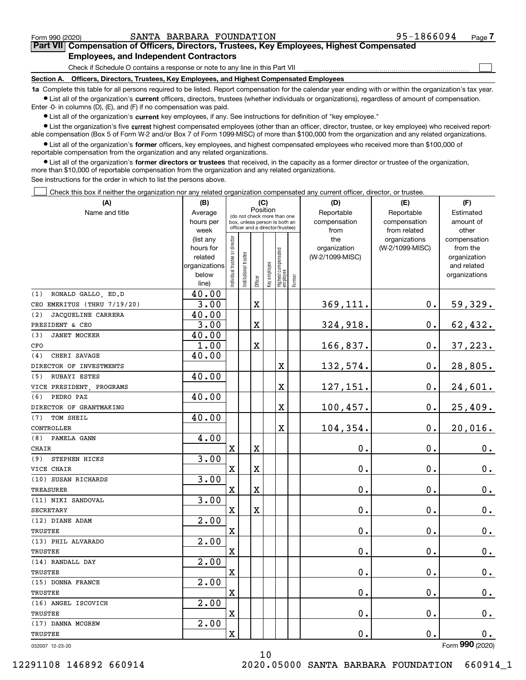$\mathcal{L}^{\text{max}}$ 

# **7Part VII Compensation of Officers, Directors, Trustees, Key Employees, Highest Compensated Employees, and Independent Contractors**

Check if Schedule O contains a response or note to any line in this Part VII

**Section A. Officers, Directors, Trustees, Key Employees, and Highest Compensated Employees**

**1a**  Complete this table for all persons required to be listed. Report compensation for the calendar year ending with or within the organization's tax year. **•** List all of the organization's current officers, directors, trustees (whether individuals or organizations), regardless of amount of compensation.

Enter -0- in columns (D), (E), and (F) if no compensation was paid.

 $\bullet$  List all of the organization's  $\,$ current key employees, if any. See instructions for definition of "key employee."

**•** List the organization's five current highest compensated employees (other than an officer, director, trustee, or key employee) who received reportable compensation (Box 5 of Form W-2 and/or Box 7 of Form 1099-MISC) of more than \$100,000 from the organization and any related organizations.

**•** List all of the organization's former officers, key employees, and highest compensated employees who received more than \$100,000 of reportable compensation from the organization and any related organizations.

**former directors or trustees**  ¥ List all of the organization's that received, in the capacity as a former director or trustee of the organization, more than \$10,000 of reportable compensation from the organization and any related organizations.

See instructions for the order in which to list the persons above.

Check this box if neither the organization nor any related organization compensated any current officer, director, or trustee.  $\mathcal{L}^{\text{max}}$ 

| (A)                         | (B)<br>(C)             |                               |                                                                  |             |              |                                  |              | (D)                 | (E)                              | (F)                      |
|-----------------------------|------------------------|-------------------------------|------------------------------------------------------------------|-------------|--------------|----------------------------------|--------------|---------------------|----------------------------------|--------------------------|
| Name and title              | Average                |                               | Position<br>(do not check more than one                          |             | Reportable   | Reportable                       |              |                     |                                  |                          |
|                             | hours per              |                               | box, unless person is both an<br>officer and a director/trustee) |             |              | compensation                     | compensation | amount of           |                                  |                          |
|                             | week                   |                               |                                                                  |             |              |                                  |              | from                | from related                     | other                    |
|                             | (list any<br>hours for |                               |                                                                  |             |              |                                  |              | the<br>organization | organizations<br>(W-2/1099-MISC) | compensation<br>from the |
|                             | related                |                               |                                                                  |             |              |                                  |              | (W-2/1099-MISC)     |                                  | organization             |
|                             | organizations          |                               |                                                                  |             |              |                                  |              |                     |                                  | and related              |
|                             | below                  | ndividual trustee or director | nstitutional trustee                                             |             | Key employee |                                  |              |                     |                                  | organizations            |
|                             | line)                  |                               |                                                                  | Officer     |              | Highest compensated<br> employee | Former       |                     |                                  |                          |
| (1)<br>RONALD GALLO, ED.D   | 40.00                  |                               |                                                                  |             |              |                                  |              |                     |                                  |                          |
| CEO EMERITUS (THRU 7/19/20) | 3.00                   |                               |                                                                  | X           |              |                                  |              | 369,111.            | 0.                               | 59,329.                  |
| JACQUELINE CARRERA<br>(2)   | 40.00                  |                               |                                                                  |             |              |                                  |              |                     |                                  |                          |
| PRESIDENT & CEO             | 3.00                   |                               |                                                                  | X           |              |                                  |              | 324,918.            | 0.                               | 62,432.                  |
| <b>JANET MOCKER</b><br>(3)  | 40.00                  |                               |                                                                  |             |              |                                  |              |                     |                                  |                          |
| CFO                         | 1.00                   |                               |                                                                  | X           |              |                                  |              | 166,837.            | 0.                               | 37,223.                  |
| (4)<br>CHERI SAVAGE         | 40.00                  |                               |                                                                  |             |              |                                  |              |                     |                                  |                          |
| DIRECTOR OF INVESTMENTS     |                        |                               |                                                                  |             |              | $\mathbf X$                      |              | 132,574.            | 0.                               | 28,805.                  |
| RUBAYI ESTES<br>(5)         | 40.00                  |                               |                                                                  |             |              |                                  |              |                     |                                  |                          |
| VICE PRESIDENT, PROGRAMS    |                        |                               |                                                                  |             |              | X                                |              | 127,151.            | 0.                               | 24,601.                  |
| PEDRO PAZ<br>(6)            | 40.00                  |                               |                                                                  |             |              |                                  |              |                     |                                  |                          |
| DIRECTOR OF GRANTMAKING     |                        |                               |                                                                  |             |              | X                                |              | 100, 457.           | 0.                               | 25,409.                  |
| TOM SHEIL<br>(7)            | 40.00                  |                               |                                                                  |             |              |                                  |              |                     |                                  |                          |
| CONTROLLER                  |                        |                               |                                                                  |             |              | X                                |              | 104,354.            | 0.                               | 20,016.                  |
| (8)<br>PAMELA GANN          | 4.00                   |                               |                                                                  |             |              |                                  |              |                     |                                  |                          |
| CHAIR                       |                        | $\mathbf X$                   |                                                                  | X           |              |                                  |              | 0.                  | 0.                               | 0.                       |
| STEPHEN HICKS<br>(9)        | 3.00                   |                               |                                                                  |             |              |                                  |              |                     |                                  |                          |
| VICE CHAIR                  |                        | Χ                             |                                                                  | Χ           |              |                                  |              | 0.                  | 0.                               | $\mathbf 0$ .            |
| (10) SUSAN RICHARDS         | 3.00                   |                               |                                                                  |             |              |                                  |              |                     |                                  |                          |
| <b>TREASURER</b>            |                        | $\mathbf X$                   |                                                                  | $\mathbf X$ |              |                                  |              | 0.                  | 0.                               | $0_{.}$                  |
| (11) NIKI SANDOVAL          | 3.00                   |                               |                                                                  |             |              |                                  |              |                     |                                  |                          |
| <b>SECRETARY</b>            |                        | X                             |                                                                  | $\mathbf X$ |              |                                  |              | 0.                  | 0.                               | $0_{.}$                  |
| (12) DIANE ADAM             | 2.00                   |                               |                                                                  |             |              |                                  |              |                     |                                  |                          |
| <b>TRUSTEE</b>              |                        | $\rm X$                       |                                                                  |             |              |                                  |              | 0.                  | 0.                               | $\mathbf 0$ .            |
| (13) PHIL ALVARADO          | 2.00                   |                               |                                                                  |             |              |                                  |              |                     |                                  |                          |
| TRUSTEE                     |                        | X                             |                                                                  |             |              |                                  |              | 0.                  | 0.                               | 0.                       |
| (14) RANDALL DAY            | 2.00                   |                               |                                                                  |             |              |                                  |              |                     |                                  |                          |
| <b>TRUSTEE</b>              |                        | $\mathbf X$                   |                                                                  |             |              |                                  |              | 0.                  | 0.                               | 0.                       |
| (15) DONNA FRANCE           | 2.00                   |                               |                                                                  |             |              |                                  |              |                     |                                  |                          |
| TRUSTEE                     |                        | $\mathbf X$                   |                                                                  |             |              |                                  |              | 0.                  | 0.                               | $\mathbf 0$ .            |
| (16) ANGEL ISCOVICH         | 2.00                   |                               |                                                                  |             |              |                                  |              |                     |                                  |                          |
| <b>TRUSTEE</b>              |                        | X                             |                                                                  |             |              |                                  |              | 0.                  | 0.                               | 0.                       |
| (17) DANNA MCGREW           | 2.00                   |                               |                                                                  |             |              |                                  |              |                     |                                  |                          |
| TRUSTEE                     |                        | $\overline{\textbf{X}}$       |                                                                  |             |              |                                  |              | 0.                  | 0.                               | 0.<br>$\overline{2}$     |

10

032007 12-23-20

Form (2020) **990**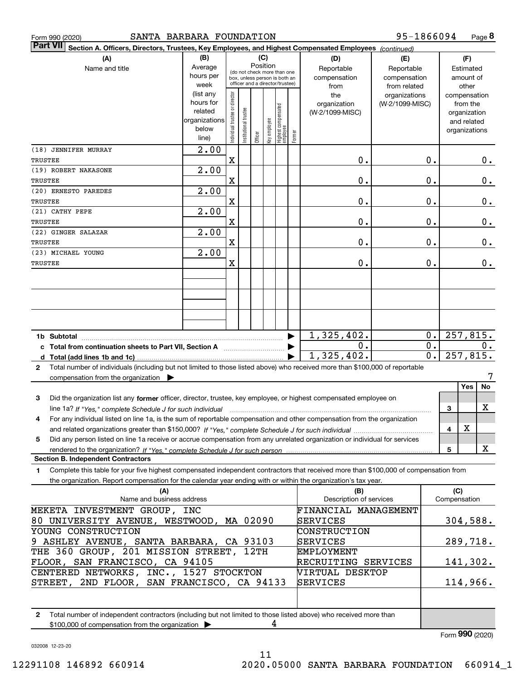|                                                           | Form 990 (2020)                                                   |                                                                                           | SANTA BARBARA FOUNDATION |                                |                       |         |              |                                                              |        |                                                                                                                                      | 95-1866094      |                  |               |              | Page 8 |
|-----------------------------------------------------------|-------------------------------------------------------------------|-------------------------------------------------------------------------------------------|--------------------------|--------------------------------|-----------------------|---------|--------------|--------------------------------------------------------------|--------|--------------------------------------------------------------------------------------------------------------------------------------|-----------------|------------------|---------------|--------------|--------|
|                                                           | <b>Part VII</b>                                                   |                                                                                           |                          |                                |                       |         |              |                                                              |        | Section A. Officers, Directors, Trustees, Key Employees, and Highest Compensated Employees (continued)                               |                 |                  |               |              |        |
|                                                           |                                                                   | (A)                                                                                       | (B)                      |                                |                       |         | (C)          |                                                              |        | (D)                                                                                                                                  | (E)             |                  |               | (F)          |        |
|                                                           |                                                                   | Name and title                                                                            | Average                  |                                |                       |         | Position     |                                                              |        | Reportable                                                                                                                           | Reportable      |                  |               | Estimated    |        |
|                                                           |                                                                   |                                                                                           | hours per                |                                |                       |         |              | (do not check more than one<br>box, unless person is both an |        | compensation                                                                                                                         | compensation    |                  |               | amount of    |        |
|                                                           |                                                                   |                                                                                           | week                     |                                |                       |         |              | officer and a director/trustee)                              |        | from                                                                                                                                 | from related    |                  |               | other        |        |
|                                                           |                                                                   |                                                                                           | (list any                |                                |                       |         |              |                                                              |        | the                                                                                                                                  | organizations   |                  | compensation  |              |        |
|                                                           |                                                                   |                                                                                           | hours for                |                                |                       |         |              |                                                              |        | organization                                                                                                                         | (W-2/1099-MISC) |                  |               | from the     |        |
|                                                           |                                                                   |                                                                                           | related<br>organizations |                                |                       |         |              |                                                              |        | (W-2/1099-MISC)                                                                                                                      |                 |                  |               | organization |        |
|                                                           |                                                                   |                                                                                           | below                    |                                |                       |         |              |                                                              |        |                                                                                                                                      |                 |                  |               | and related  |        |
|                                                           |                                                                   |                                                                                           | line)                    | Individual trustee or director | Institutional trustee | Officer | Key employee | Highest compensated<br>  employee                            | Former |                                                                                                                                      |                 |                  | organizations |              |        |
|                                                           |                                                                   |                                                                                           | 2.00                     |                                |                       |         |              |                                                              |        |                                                                                                                                      |                 |                  |               |              |        |
|                                                           | (18) JENNIFER MURRAY                                              |                                                                                           |                          | $\mathbf X$                    |                       |         |              |                                                              |        |                                                                                                                                      |                 |                  |               |              |        |
| TRUSTEE                                                   |                                                                   |                                                                                           |                          |                                |                       |         |              |                                                              |        | 0.                                                                                                                                   |                 | 0.               |               |              | 0.     |
|                                                           | (19) ROBERT NAKASONE                                              |                                                                                           | $\overline{2.00}$        |                                |                       |         |              |                                                              |        |                                                                                                                                      |                 |                  |               |              |        |
| TRUSTEE                                                   |                                                                   |                                                                                           |                          | X                              |                       |         |              |                                                              |        | 0.                                                                                                                                   |                 | 0.               |               |              | 0.     |
|                                                           | (20) ERNESTO PAREDES                                              |                                                                                           | $\overline{2.00}$        |                                |                       |         |              |                                                              |        |                                                                                                                                      |                 |                  |               |              |        |
| TRUSTEE                                                   |                                                                   |                                                                                           |                          | X                              |                       |         |              |                                                              |        | 0.                                                                                                                                   |                 | 0.               |               |              | 0.     |
|                                                           | (21) CATHY PEPE                                                   |                                                                                           | $\overline{2.00}$        |                                |                       |         |              |                                                              |        |                                                                                                                                      |                 |                  |               |              |        |
| TRUSTEE                                                   |                                                                   |                                                                                           |                          | X                              |                       |         |              |                                                              |        | 0.                                                                                                                                   |                 | 0.               |               |              | 0.     |
|                                                           | (22) GINGER SALAZAR                                               |                                                                                           | $\overline{2.00}$        |                                |                       |         |              |                                                              |        |                                                                                                                                      |                 |                  |               |              |        |
| TRUSTEE                                                   |                                                                   |                                                                                           |                          | $\mathbf X$                    |                       |         |              |                                                              |        | 0.                                                                                                                                   |                 | 0.               |               |              | 0.     |
|                                                           | (23) MICHAEL YOUNG                                                |                                                                                           | 2.00                     |                                |                       |         |              |                                                              |        |                                                                                                                                      |                 |                  |               |              |        |
| TRUSTEE                                                   |                                                                   |                                                                                           |                          | X                              |                       |         |              |                                                              |        | 0.                                                                                                                                   |                 | 0.               |               |              | 0.     |
|                                                           |                                                                   |                                                                                           |                          |                                |                       |         |              |                                                              |        |                                                                                                                                      |                 |                  |               |              |        |
|                                                           |                                                                   |                                                                                           |                          |                                |                       |         |              |                                                              |        |                                                                                                                                      |                 |                  |               |              |        |
|                                                           |                                                                   |                                                                                           |                          |                                |                       |         |              |                                                              |        |                                                                                                                                      |                 |                  |               |              |        |
|                                                           |                                                                   |                                                                                           |                          |                                |                       |         |              |                                                              |        |                                                                                                                                      |                 |                  |               |              |        |
|                                                           |                                                                   |                                                                                           |                          |                                |                       |         |              |                                                              |        |                                                                                                                                      |                 |                  |               |              |        |
|                                                           |                                                                   |                                                                                           |                          |                                |                       |         |              |                                                              |        |                                                                                                                                      |                 |                  |               |              |        |
|                                                           |                                                                   |                                                                                           |                          |                                |                       |         |              |                                                              | ▶      | 1,325,402.                                                                                                                           |                 | $\overline{0}$ . | 257,815.      |              |        |
|                                                           |                                                                   | c Total from continuation sheets to Part VII, Section A <b>manual</b> Testion Structure 1 |                          |                                |                       |         |              |                                                              |        | 0.                                                                                                                                   |                 | $\overline{0}$ . |               |              | 0.     |
|                                                           |                                                                   |                                                                                           |                          |                                |                       |         |              |                                                              |        | 1,325,402.                                                                                                                           |                 | 0.               | 257,815.      |              |        |
| $\mathbf{2}$                                              |                                                                   |                                                                                           |                          |                                |                       |         |              |                                                              |        | Total number of individuals (including but not limited to those listed above) who received more than \$100,000 of reportable         |                 |                  |               |              |        |
|                                                           |                                                                   | compensation from the organization $\blacktriangleright$                                  |                          |                                |                       |         |              |                                                              |        |                                                                                                                                      |                 |                  |               |              | 7      |
|                                                           |                                                                   |                                                                                           |                          |                                |                       |         |              |                                                              |        |                                                                                                                                      |                 |                  |               | Yes          | No     |
| 3                                                         |                                                                   |                                                                                           |                          |                                |                       |         |              |                                                              |        | Did the organization list any former officer, director, trustee, key employee, or highest compensated employee on                    |                 |                  |               |              |        |
|                                                           |                                                                   |                                                                                           |                          |                                |                       |         |              |                                                              |        |                                                                                                                                      |                 |                  |               |              | X      |
|                                                           |                                                                   |                                                                                           |                          |                                |                       |         |              |                                                              |        | line 1a? If "Yes," complete Schedule J for such individual manumental content content from the complete schedu                       |                 |                  | 3             |              |        |
|                                                           |                                                                   |                                                                                           |                          |                                |                       |         |              |                                                              |        | For any individual listed on line 1a, is the sum of reportable compensation and other compensation from the organization             |                 |                  |               | X            |        |
|                                                           |                                                                   |                                                                                           |                          |                                |                       |         |              |                                                              |        |                                                                                                                                      |                 |                  | 4             |              |        |
| 5                                                         |                                                                   |                                                                                           |                          |                                |                       |         |              |                                                              |        | Did any person listed on line 1a receive or accrue compensation from any unrelated organization or individual for services           |                 |                  |               |              |        |
|                                                           |                                                                   | rendered to the organization? If "Yes." complete Schedule J for such person               |                          |                                |                       |         |              |                                                              |        |                                                                                                                                      |                 |                  | 5             |              | X      |
|                                                           | <b>Section B. Independent Contractors</b>                         |                                                                                           |                          |                                |                       |         |              |                                                              |        |                                                                                                                                      |                 |                  |               |              |        |
| 1.                                                        |                                                                   |                                                                                           |                          |                                |                       |         |              |                                                              |        | Complete this table for your five highest compensated independent contractors that received more than \$100,000 of compensation from |                 |                  |               |              |        |
|                                                           |                                                                   |                                                                                           |                          |                                |                       |         |              |                                                              |        | the organization. Report compensation for the calendar year ending with or within the organization's tax year.                       |                 |                  |               |              |        |
|                                                           |                                                                   |                                                                                           | (A)                      |                                |                       |         |              |                                                              |        | (B)                                                                                                                                  |                 |                  | (C)           |              |        |
|                                                           |                                                                   | Name and business address                                                                 |                          |                                |                       |         |              |                                                              |        | Description of services                                                                                                              |                 |                  | Compensation  |              |        |
|                                                           |                                                                   | MEKETA INVESTMENT GROUP, INC                                                              |                          |                                |                       |         |              |                                                              |        | FINANCIAL MANAGEMENT                                                                                                                 |                 |                  |               |              |        |
|                                                           |                                                                   | 80 UNIVERSITY AVENUE, WESTWOOD, MA 02090                                                  |                          |                                |                       |         |              |                                                              |        | SERVICES                                                                                                                             |                 |                  | 304,588.      |              |        |
|                                                           | YOUNG CONSTRUCTION                                                |                                                                                           |                          |                                |                       |         |              |                                                              |        | CONSTRUCTION                                                                                                                         |                 |                  |               |              |        |
|                                                           |                                                                   | 9 ASHLEY AVENUE, SANTA BARBARA, CA 93103                                                  |                          |                                |                       |         |              |                                                              |        | SERVICES                                                                                                                             |                 |                  | 289,718.      |              |        |
|                                                           | THE 360 GROUP, 201 MISSION STREET, 12TH<br>EMPLOYMENT             |                                                                                           |                          |                                |                       |         |              |                                                              |        |                                                                                                                                      |                 |                  |               |              |        |
|                                                           | FLOOR, SAN FRANCISCO, CA 94105<br>RECRUITING SERVICES<br>141,302. |                                                                                           |                          |                                |                       |         |              |                                                              |        |                                                                                                                                      |                 |                  |               |              |        |
| CENTERED NETWORKS, INC., 1527 STOCKTON<br>VIRTUAL DESKTOP |                                                                   |                                                                                           |                          |                                |                       |         |              |                                                              |        |                                                                                                                                      |                 |                  |               |              |        |
|                                                           |                                                                   | STREET, 2ND FLOOR, SAN FRANCISCO, CA 94133                                                |                          |                                |                       |         |              |                                                              |        | SERVICES                                                                                                                             |                 |                  | 114,966.      |              |        |
|                                                           |                                                                   |                                                                                           |                          |                                |                       |         |              |                                                              |        |                                                                                                                                      |                 |                  |               |              |        |
|                                                           |                                                                   |                                                                                           |                          |                                |                       |         |              |                                                              |        |                                                                                                                                      |                 |                  |               |              |        |
|                                                           |                                                                   |                                                                                           |                          |                                |                       |         |              |                                                              |        |                                                                                                                                      |                 |                  |               |              |        |

**2**Total number of independent contractors (including but not limited to those listed above) who received more than \$100,000 of compensation from the organization 4

Form (2020) **990**

032008 12-23-20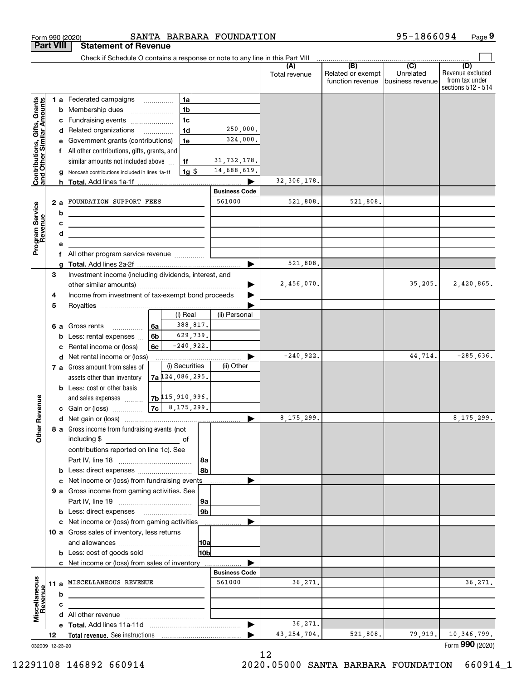|                                                                                         |                       |                                                                                                             | Form 990 (2020)                                                                                                                                                                                                                                                                                                                                                                                                     |                 |                                                                                             |                                | SANTA BARBARA FOUNDATION                                                               |                           |                                              | 95-1866094                                       | Page 9                                    |
|-----------------------------------------------------------------------------------------|-----------------------|-------------------------------------------------------------------------------------------------------------|---------------------------------------------------------------------------------------------------------------------------------------------------------------------------------------------------------------------------------------------------------------------------------------------------------------------------------------------------------------------------------------------------------------------|-----------------|---------------------------------------------------------------------------------------------|--------------------------------|----------------------------------------------------------------------------------------|---------------------------|----------------------------------------------|--------------------------------------------------|-------------------------------------------|
|                                                                                         | <b>Part VIII</b>      |                                                                                                             | <b>Statement of Revenue</b>                                                                                                                                                                                                                                                                                                                                                                                         |                 |                                                                                             |                                |                                                                                        |                           |                                              |                                                  |                                           |
|                                                                                         |                       |                                                                                                             | Check if Schedule O contains a response or note to any line in this Part VIII                                                                                                                                                                                                                                                                                                                                       |                 |                                                                                             |                                |                                                                                        | (A)<br>Total revenue      | (B)<br>Related or exempt<br>function revenue | $\overline{C}$<br>Unrelated<br>lbusiness revenue | (D)<br>Revenue excluded<br>from tax under |
| Contributions, Gifts, Grants<br>and Other Similar Amounts<br>Program Service<br>Revenue |                       | b<br>c<br>d                                                                                                 | 1 a Federated campaigns<br><b>b</b> Membership dues<br>$\ldots \ldots \ldots \ldots \ldots$<br>c Fundraising events<br>d Related organizations<br>e Government grants (contributions)<br>f All other contributions, gifts, grants, and<br>similar amounts not included above<br>g Noncash contributions included in lines 1a-1f<br>2 a FOUNDATION SUPPORT FEES<br><u> 1989 - Johann Barbara, martxa alemaniar a</u> |                 | <b>1a</b><br>1 <sub>b</sub><br>1 <sub>c</sub><br>1 <sub>d</sub><br>1e<br>1f<br><u>1g \$</u> |                                | 250,000.<br>324,000.<br>31, 732, 178.<br>14,688,619.<br><b>Business Code</b><br>561000 | 32, 306, 178.<br>521,808. | 521,808.                                     |                                                  | sections 512 - 514                        |
|                                                                                         |                       | е                                                                                                           | f All other program service revenue                                                                                                                                                                                                                                                                                                                                                                                 |                 |                                                                                             |                                |                                                                                        |                           |                                              |                                                  |                                           |
|                                                                                         |                       |                                                                                                             |                                                                                                                                                                                                                                                                                                                                                                                                                     |                 |                                                                                             |                                |                                                                                        | 521,808.                  |                                              |                                                  |                                           |
|                                                                                         | 3<br>4                | Investment income (including dividends, interest, and<br>Income from investment of tax-exempt bond proceeds |                                                                                                                                                                                                                                                                                                                                                                                                                     |                 |                                                                                             |                                |                                                                                        | 2,456,070.                |                                              | 35, 205.                                         | 2,420,865.                                |
|                                                                                         | 5                     |                                                                                                             | 6 a Gross rents<br><b>b</b> Less: rental expenses<br>c Rental income or (loss)                                                                                                                                                                                                                                                                                                                                      | ∣6a<br>6b<br>6c | (i) Real<br>388,817.<br>629,739.<br>$-240,922.$                                             |                                | (ii) Personal                                                                          | $-240,922.$               |                                              | 44,714.                                          | $-285,636.$                               |
| evenue                                                                                  |                       |                                                                                                             | d Net rental income or (loss)<br>7 a Gross amount from sales of<br>assets other than inventory<br><b>b</b> Less: cost or other basis<br>and sales expenses<br>c Gain or (loss)                                                                                                                                                                                                                                      |                 | (i) Securities<br>7a 124,086,295.<br>$ 7b ^{115}$ , 910, 996.<br>$ 7c $ 8, 175, 299.        |                                | (ii) Other                                                                             |                           |                                              |                                                  |                                           |
| Œ.<br><b>Other</b>                                                                      |                       |                                                                                                             | 8 a Gross income from fundraising events (not<br>including \$<br>contributions reported on line 1c). See<br><b>b</b> Less: direct expenses <b>constants b</b>                                                                                                                                                                                                                                                       |                 |                                                                                             | l 8a<br>l 8b                   |                                                                                        | 8,175,299.                |                                              |                                                  | 8,175,299.                                |
|                                                                                         |                       |                                                                                                             | c Net income or (loss) from fundraising events<br>9 a Gross income from gaming activities. See                                                                                                                                                                                                                                                                                                                      |                 |                                                                                             | 9a                             |                                                                                        |                           |                                              |                                                  |                                           |
|                                                                                         |                       |                                                                                                             | c Net income or (loss) from gaming activities<br>10 a Gross sales of inventory, less returns<br><b>b</b> Less: cost of goods sold                                                                                                                                                                                                                                                                                   |                 |                                                                                             | 9b <br> 10a<br>10 <sub>b</sub> |                                                                                        |                           |                                              |                                                  |                                           |
|                                                                                         |                       | b                                                                                                           | c Net income or (loss) from sales of inventory<br>11 a MISCELLANEOUS REVENUE<br><u>and the state of the state of the state of the state of the state of the state of the state of the state of the state of the state of the state of the state of the state of the state of the state of the state of the state</u>                                                                                                |                 |                                                                                             |                                | <b>Business Code</b><br>561000                                                         | 36,271.                   |                                              |                                                  | 36, 271.                                  |
| Miscellaneous<br>Revenu                                                                 |                       | с                                                                                                           |                                                                                                                                                                                                                                                                                                                                                                                                                     |                 |                                                                                             |                                | ▶                                                                                      | 36,271.                   |                                              |                                                  |                                           |
|                                                                                         | 12<br>032009 12-23-20 |                                                                                                             |                                                                                                                                                                                                                                                                                                                                                                                                                     |                 |                                                                                             |                                |                                                                                        | 43, 254, 704.             | 521,808.                                     | 79,919.                                          | 10,346,799.<br>Form 990 (2020)            |

032009 12-23-20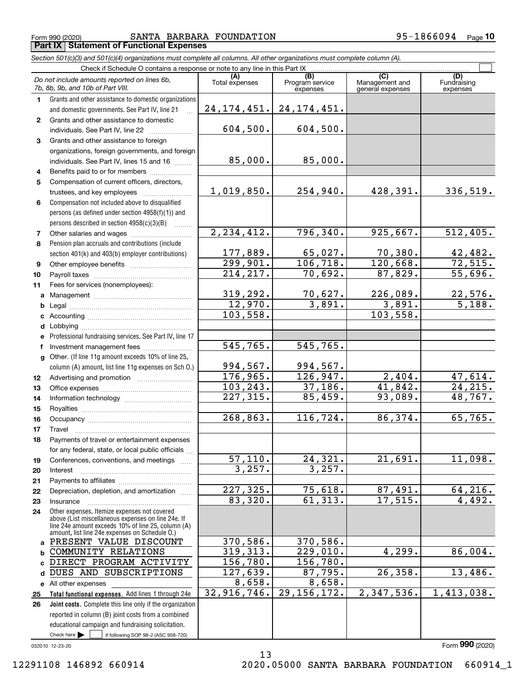$_{\rm Form}$  990 (2020) SANTA BARBARA FOUNDATION 95-1866094 Page **Part IX Statement of Functional Expenses**

|              | Section 501(c)(3) and 501(c)(4) organizations must complete all columns. All other organizations must complete column (A).                                                                                 |                             |                                    |                                           |                                |
|--------------|------------------------------------------------------------------------------------------------------------------------------------------------------------------------------------------------------------|-----------------------------|------------------------------------|-------------------------------------------|--------------------------------|
|              | Check if Schedule O contains a response or note to any line in this Part IX.                                                                                                                               |                             |                                    |                                           |                                |
|              | Do not include amounts reported on lines 6b,<br>7b, 8b, 9b, and 10b of Part VIII.                                                                                                                          | Total expenses              | (B)<br>Program service<br>expenses | (C)<br>Management and<br>general expenses | (D)<br>Fundraising<br>expenses |
| 1.           | Grants and other assistance to domestic organizations                                                                                                                                                      |                             |                                    |                                           |                                |
|              | and domestic governments. See Part IV, line 21                                                                                                                                                             | 24, 174, 451.               | 24, 174, 451.                      |                                           |                                |
| $\mathbf{2}$ | Grants and other assistance to domestic                                                                                                                                                                    |                             |                                    |                                           |                                |
|              | individuals. See Part IV, line 22                                                                                                                                                                          | 604,500.                    | 604,500.                           |                                           |                                |
| 3            | Grants and other assistance to foreign                                                                                                                                                                     |                             |                                    |                                           |                                |
|              | organizations, foreign governments, and foreign                                                                                                                                                            |                             |                                    |                                           |                                |
|              | individuals. See Part IV, lines 15 and 16                                                                                                                                                                  | 85,000.                     | 85,000.                            |                                           |                                |
| 4            | Benefits paid to or for members                                                                                                                                                                            |                             |                                    |                                           |                                |
| 5            | Compensation of current officers, directors,                                                                                                                                                               |                             |                                    |                                           |                                |
|              | trustees, and key employees                                                                                                                                                                                | 1,019,850.                  | 254,940.                           | 428,391.                                  | 336, 519.                      |
| 6            | Compensation not included above to disqualified                                                                                                                                                            |                             |                                    |                                           |                                |
|              | persons (as defined under section 4958(f)(1)) and                                                                                                                                                          |                             |                                    |                                           |                                |
|              | persons described in section 4958(c)(3)(B)                                                                                                                                                                 |                             |                                    |                                           |                                |
| 7            | Other salaries and wages                                                                                                                                                                                   | 2, 234, 412.                | 796, 340.                          | 925,667.                                  | 512,405.                       |
| 8            | Pension plan accruals and contributions (include                                                                                                                                                           |                             |                                    |                                           |                                |
|              | section 401(k) and 403(b) employer contributions)                                                                                                                                                          | $\frac{177,889.}{299,901.}$ | $\frac{65,027.}{106,718.}$         | 70,380.                                   | $\frac{42,482}{72,515}$        |
| 9            |                                                                                                                                                                                                            |                             |                                    | 120,668.                                  |                                |
| 10           |                                                                                                                                                                                                            | 214, 217.                   | 70,692.                            | 87,829.                                   | 55,696.                        |
| 11           | Fees for services (nonemployees):                                                                                                                                                                          |                             |                                    |                                           |                                |
| a            |                                                                                                                                                                                                            | 319, 292.                   | <u>70,627.</u>                     | 226,089.                                  | $\frac{22,576}{5,188}$ .       |
| b            |                                                                                                                                                                                                            | 12,970.                     | 3,891.                             | 3,891.                                    |                                |
| c            |                                                                                                                                                                                                            | 103,558.                    |                                    | 103,558.                                  |                                |
| d            |                                                                                                                                                                                                            |                             |                                    |                                           |                                |
| е            | Professional fundraising services. See Part IV, line 17                                                                                                                                                    |                             |                                    |                                           |                                |
| f            | Investment management fees                                                                                                                                                                                 | 545, 765.                   | 545,765.                           |                                           |                                |
| g            | Other. (If line 11g amount exceeds 10% of line 25,                                                                                                                                                         |                             |                                    |                                           |                                |
|              | column (A) amount, list line 11g expenses on Sch O.)                                                                                                                                                       | 994,567.                    | 994,567.                           |                                           |                                |
| 12           |                                                                                                                                                                                                            | 176,965.                    | 126,947.                           | 2,404.                                    | 47,614.                        |
| 13           |                                                                                                                                                                                                            | 103, 243.                   | 37,186.                            | 41,842.                                   | 24, 215.                       |
| 14           |                                                                                                                                                                                                            | 227, 315.                   | 85,459.                            | 93,089.                                   | 48,767.                        |
| 15           |                                                                                                                                                                                                            |                             |                                    |                                           |                                |
| 16           |                                                                                                                                                                                                            | 268,863.                    | 116,724.                           | 86,374.                                   | 65,765.                        |
| 17           |                                                                                                                                                                                                            |                             |                                    |                                           |                                |
| 18           | Payments of travel or entertainment expenses                                                                                                                                                               |                             |                                    |                                           |                                |
|              | for any federal, state, or local public officials                                                                                                                                                          |                             |                                    |                                           |                                |
| 19           | Conferences, conventions, and meetings                                                                                                                                                                     | 57, 110.                    | 24, 321.                           | 21,691.                                   | 11,098.                        |
| 20           | Interest                                                                                                                                                                                                   | 3,257.                      | 3,257.                             |                                           |                                |
| 21           |                                                                                                                                                                                                            |                             |                                    |                                           |                                |
| 22           | Depreciation, depletion, and amortization                                                                                                                                                                  | 227, 325.                   | 75,618.                            | 87,491.                                   | 64, 216.                       |
| 23           | Insurance                                                                                                                                                                                                  | 83,320.                     | 61, 313.                           | 17,515.                                   | 4,492.                         |
| 24           | Other expenses. Itemize expenses not covered<br>above (List miscellaneous expenses on line 24e. If<br>line 24e amount exceeds 10% of line 25, column (A)<br>amount, list line 24e expenses on Schedule O.) |                             |                                    |                                           |                                |
| a            | PRESENT VALUE DISCOUNT                                                                                                                                                                                     | 370,586.                    | 370,586.                           |                                           |                                |
| b            | COMMUNITY RELATIONS                                                                                                                                                                                        | 319,313.                    | 229,010.                           | 4,299.                                    | 86,004.                        |
| C.           | DIRECT PROGRAM ACTIVITY                                                                                                                                                                                    | 156, 780.                   | 156, 780.                          |                                           |                                |
| d            | DUES AND SUBSCRIPTIONS                                                                                                                                                                                     | 127,639.                    | 87,795.                            | 26, 358.                                  | 13,486.                        |
|              | e All other expenses                                                                                                                                                                                       | 8,658.                      | 8,658.                             |                                           |                                |
| 25           | Total functional expenses. Add lines 1 through 24e                                                                                                                                                         | 32,916,746.                 | 29, 156, 172.                      | 2,347,536.                                | 1,413,038.                     |
| 26           | Joint costs. Complete this line only if the organization                                                                                                                                                   |                             |                                    |                                           |                                |
|              | reported in column (B) joint costs from a combined                                                                                                                                                         |                             |                                    |                                           |                                |
|              | educational campaign and fundraising solicitation.                                                                                                                                                         |                             |                                    |                                           |                                |

13

032010 12-23-20

Check here

 $\mathcal{L}^{\text{max}}$ 

if following SOP 98-2 (ASC 958-720)

Form (2020) **990**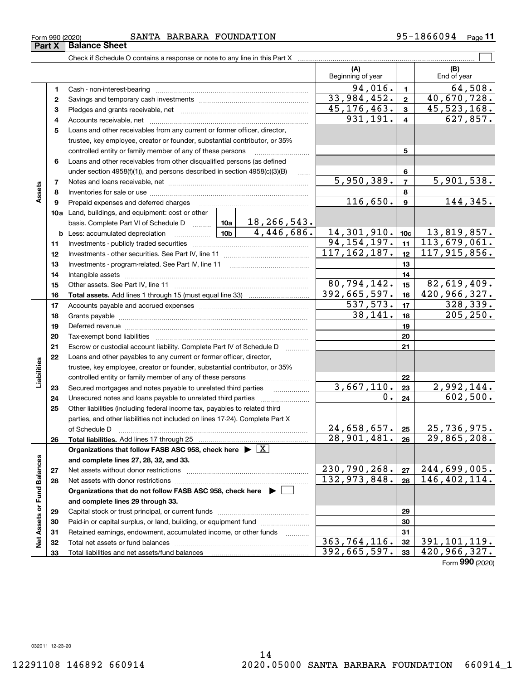# $_{\rm Form}$  990 (2020) SANTA BARBARA FOUNDATION 95-1866094 Page

|                             |          |                                                                                    |                           | (A)<br>Beginning of year |                         | (B)<br>End of year          |
|-----------------------------|----------|------------------------------------------------------------------------------------|---------------------------|--------------------------|-------------------------|-----------------------------|
|                             | 1        | Cash - non-interest-bearing                                                        |                           | 94,016.                  | $\mathbf{1}$            | 64,508.                     |
|                             | 2        |                                                                                    |                           | 33,984,452.              | $\overline{\mathbf{2}}$ | 40,670,728.                 |
|                             | з        |                                                                                    |                           | 45, 176, 463.            | $\overline{3}$          | 45, 523, 168.               |
|                             | 4        |                                                                                    | 931, 191.                 | $\overline{4}$           | 627,857.                |                             |
|                             | 5        | Loans and other receivables from any current or former officer, director,          |                           |                          |                         |                             |
|                             |          | trustee, key employee, creator or founder, substantial contributor, or 35%         |                           |                          |                         |                             |
|                             |          | controlled entity or family member of any of these persons                         |                           | 5                        |                         |                             |
|                             | 6        | Loans and other receivables from other disqualified persons (as defined            |                           |                          |                         |                             |
|                             |          | under section 4958(f)(1)), and persons described in section 4958(c)(3)(B)          |                           | 6                        |                         |                             |
|                             | 7        |                                                                                    |                           | 5,950,389.               | $\overline{7}$          | 5,901,538.                  |
| Assets                      | 8        |                                                                                    |                           |                          | 8                       |                             |
|                             | 9        | Prepaid expenses and deferred charges                                              |                           | 116,650.                 | $\mathbf{9}$            | 144, 345.                   |
|                             |          | 10a Land, buildings, and equipment: cost or other                                  |                           |                          |                         |                             |
|                             |          | basis. Complete Part VI of Schedule D  10a                                         | 18,266,543.<br>4,446,686. |                          |                         |                             |
|                             |          | <u>  1</u> 0b<br><b>b</b> Less: accumulated depreciation                           | 14,301,910.               | 10c                      | 13,819,857.             |                             |
|                             | 11       |                                                                                    | 94, 154, 197.             | 11                       | 113,679,061.            |                             |
|                             | 12       |                                                                                    | 117, 162, 187.            | 12                       | 117, 915, 856.          |                             |
|                             | 13       |                                                                                    |                           | 13                       |                         |                             |
|                             | 14       |                                                                                    |                           | 14                       |                         |                             |
|                             | 15       |                                                                                    |                           | 80,794,142.              | 15                      | 82,619,409.                 |
|                             | 16       |                                                                                    |                           | 392,665,597.<br>537,573. | 16<br>17                | 420, 966, 327.<br>328, 339. |
|                             | 17       |                                                                                    | 38,141.                   | 18                       | 205, 250.               |                             |
|                             | 18       |                                                                                    |                           | 19                       |                         |                             |
|                             | 19<br>20 |                                                                                    |                           | 20                       |                         |                             |
|                             | 21       | Escrow or custodial account liability. Complete Part IV of Schedule D              |                           |                          | 21                      |                             |
|                             | 22       | Loans and other payables to any current or former officer, director,               |                           |                          |                         |                             |
| Liabilities                 |          | trustee, key employee, creator or founder, substantial contributor, or 35%         |                           |                          |                         |                             |
|                             |          | controlled entity or family member of any of these persons                         |                           |                          | 22                      |                             |
|                             | 23       | Secured mortgages and notes payable to unrelated third parties                     |                           | 3,667,110.               | 23                      | 2,992,144.                  |
|                             | 24       | Unsecured notes and loans payable to unrelated third parties                       |                           | 0.                       | 24                      | 602,500.                    |
|                             | 25       | Other liabilities (including federal income tax, payables to related third         |                           |                          |                         |                             |
|                             |          | parties, and other liabilities not included on lines 17-24). Complete Part X       |                           |                          |                         |                             |
|                             |          | of Schedule D                                                                      |                           | 24,658,657.              | 25                      | 25,736,975.                 |
|                             | 26       |                                                                                    |                           | 28,901,481.              | 26                      | 29,865,208.                 |
|                             |          | Organizations that follow FASB ASC 958, check here $\blacktriangleright \boxed{X}$ |                           |                          |                         |                             |
|                             |          | and complete lines 27, 28, 32, and 33.                                             |                           |                          |                         |                             |
|                             | 27       | Net assets without donor restrictions                                              |                           | 230,790,268.             | 27                      | 244,699,005.                |
|                             | 28       |                                                                                    |                           | 132,973,848.             | 28                      | 146, 402, 114.              |
|                             |          | Organizations that do not follow FASB ASC 958, check here ▶ [                      |                           |                          |                         |                             |
| Net Assets or Fund Balances |          | and complete lines 29 through 33.                                                  |                           |                          |                         |                             |
|                             | 29       |                                                                                    |                           |                          | 29                      |                             |
|                             | 30       | Paid-in or capital surplus, or land, building, or equipment fund                   |                           |                          | 30                      |                             |
|                             | 31       | Retained earnings, endowment, accumulated income, or other funds                   | .                         |                          | 31                      |                             |
|                             | 32       | Total net assets or fund balances                                                  |                           | 363, 764, 116.           | 32                      | 391, 101, 119.              |
|                             | 33       |                                                                                    |                           | 392,665,597.             | 33                      | 420,966,327.                |

14

Form (2020) **990**

 $\Box$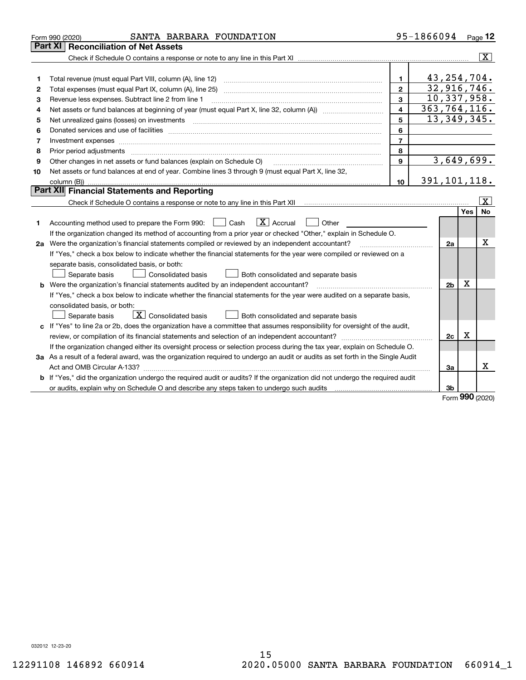|    | SANTA BARBARA FOUNDATION<br>Form 990 (2020)                                                                                     |                | 95-1866094     |     | Page 12                 |
|----|---------------------------------------------------------------------------------------------------------------------------------|----------------|----------------|-----|-------------------------|
|    | Part XI<br><b>Reconciliation of Net Assets</b>                                                                                  |                |                |     |                         |
|    |                                                                                                                                 |                |                |     | $\overline{\mathbf{X}}$ |
|    |                                                                                                                                 |                |                |     |                         |
| 1  |                                                                                                                                 | $\mathbf{1}$   | 43, 254, 704.  |     |                         |
| 2  |                                                                                                                                 | $\overline{2}$ | 32,916,746.    |     |                         |
| З  | Revenue less expenses. Subtract line 2 from line 1                                                                              | 3              | 10,337,958.    |     |                         |
| 4  |                                                                                                                                 | 4              | 363,764,116.   |     |                         |
| 5  | Net unrealized gains (losses) on investments                                                                                    | 5              | 13, 349, 345.  |     |                         |
| 6  |                                                                                                                                 | 6              |                |     |                         |
| 7  | Investment expenses                                                                                                             | $\overline{7}$ |                |     |                         |
| 8  |                                                                                                                                 | 8              |                |     |                         |
| 9  | Other changes in net assets or fund balances (explain on Schedule O)                                                            | 9              | 3,649,699.     |     |                         |
| 10 | Net assets or fund balances at end of year. Combine lines 3 through 9 (must equal Part X, line 32,                              |                |                |     |                         |
|    |                                                                                                                                 | 10             | 391, 101, 118. |     |                         |
|    | <b>Part XII</b> Financial Statements and Reporting                                                                              |                |                |     |                         |
|    |                                                                                                                                 |                |                |     | X                       |
|    |                                                                                                                                 |                |                | Yes | No                      |
| 1  | $\boxed{\text{X}}$ Accrual<br>Accounting method used to prepare the Form 990: <u>June</u> Cash<br>Other<br>$\perp$              |                |                |     |                         |
|    | If the organization changed its method of accounting from a prior year or checked "Other," explain in Schedule O.               |                |                |     |                         |
|    | 2a Were the organization's financial statements compiled or reviewed by an independent accountant?                              |                | 2a             |     | х                       |
|    | If "Yes," check a box below to indicate whether the financial statements for the year were compiled or reviewed on a            |                |                |     |                         |
|    | separate basis, consolidated basis, or both:                                                                                    |                |                |     |                         |
|    | Separate basis<br><b>Consolidated basis</b><br>Both consolidated and separate basis                                             |                |                |     |                         |
|    | b Were the organization's financial statements audited by an independent accountant?                                            |                | 2 <sub>b</sub> | х   |                         |
|    | If "Yes," check a box below to indicate whether the financial statements for the year were audited on a separate basis,         |                |                |     |                         |
|    | consolidated basis, or both:                                                                                                    |                |                |     |                         |
|    | $\boxed{\textbf{X}}$ Consolidated basis<br>Separate basis<br>Both consolidated and separate basis                               |                |                |     |                         |
|    | c If "Yes" to line 2a or 2b, does the organization have a committee that assumes responsibility for oversight of the audit,     |                |                |     |                         |
|    |                                                                                                                                 |                | 2c             | х   |                         |
|    | If the organization changed either its oversight process or selection process during the tax year, explain on Schedule O.       |                |                |     |                         |
|    | 3a As a result of a federal award, was the organization required to undergo an audit or audits as set forth in the Single Audit |                |                |     |                         |
|    |                                                                                                                                 |                | 3a             |     | х                       |
|    | b If "Yes," did the organization undergo the required audit or audits? If the organization did not undergo the required audit   |                |                |     |                         |
|    | or audits, explain why on Schedule O and describe any steps taken to undergo such audits manufactured content to                |                | 3b             |     |                         |
|    |                                                                                                                                 |                |                | nnn |                         |

Form (2020) **990**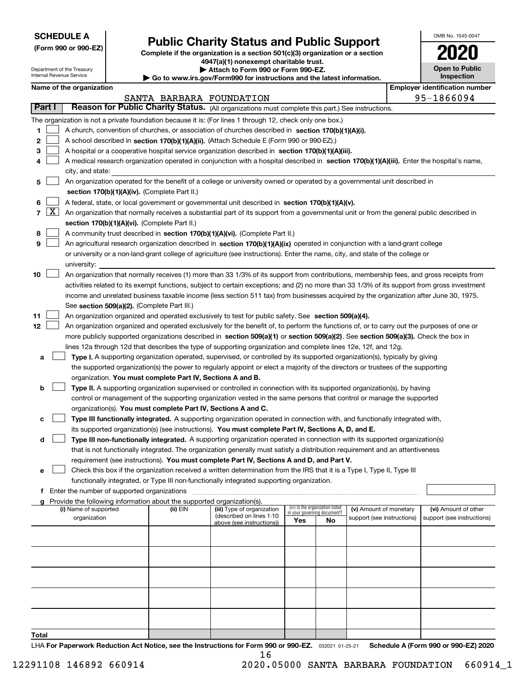| <b>SCHEDULE A</b> |
|-------------------|
|-------------------|

Department of the Treasury Internal Revenue Service

**(Form 990 or 990-EZ)**

# **Public Charity Status and Public Support**

**Complete if the organization is a section 501(c)(3) organization or a section 4947(a)(1) nonexempt charitable trust.**

| Attach to Form 990 or Form 990-EZ. |
|------------------------------------|
|                                    |

**| Go to www.irs.gov/Form990 for instructions and the latest information.**

| OMB No. 1545-0047                   |
|-------------------------------------|
|                                     |
| <b>Open to Public</b><br>Inspection |

|  | Name of the organization |
|--|--------------------------|
|--|--------------------------|

|        | Name of the organization<br><b>Employer identification number</b> |                                                                                                                                              |                          |                                                        |                                                                |    |                            |  |                            |  |  |
|--------|-------------------------------------------------------------------|----------------------------------------------------------------------------------------------------------------------------------------------|--------------------------|--------------------------------------------------------|----------------------------------------------------------------|----|----------------------------|--|----------------------------|--|--|
|        |                                                                   |                                                                                                                                              | SANTA BARBARA FOUNDATION |                                                        |                                                                |    |                            |  | 95-1866094                 |  |  |
| Part I |                                                                   | Reason for Public Charity Status. (All organizations must complete this part.) See instructions.                                             |                          |                                                        |                                                                |    |                            |  |                            |  |  |
|        |                                                                   | The organization is not a private foundation because it is: (For lines 1 through 12, check only one box.)                                    |                          |                                                        |                                                                |    |                            |  |                            |  |  |
| 1      |                                                                   | A church, convention of churches, or association of churches described in section 170(b)(1)(A)(i).                                           |                          |                                                        |                                                                |    |                            |  |                            |  |  |
| 2      |                                                                   | A school described in section 170(b)(1)(A)(ii). (Attach Schedule E (Form 990 or 990-EZ).)                                                    |                          |                                                        |                                                                |    |                            |  |                            |  |  |
| з      |                                                                   | A hospital or a cooperative hospital service organization described in section 170(b)(1)(A)(iii).                                            |                          |                                                        |                                                                |    |                            |  |                            |  |  |
|        |                                                                   | A medical research organization operated in conjunction with a hospital described in section 170(b)(1)(A)(iii). Enter the hospital's name,   |                          |                                                        |                                                                |    |                            |  |                            |  |  |
|        |                                                                   | city, and state:                                                                                                                             |                          |                                                        |                                                                |    |                            |  |                            |  |  |
| 5      |                                                                   | An organization operated for the benefit of a college or university owned or operated by a governmental unit described in                    |                          |                                                        |                                                                |    |                            |  |                            |  |  |
|        |                                                                   | section 170(b)(1)(A)(iv). (Complete Part II.)                                                                                                |                          |                                                        |                                                                |    |                            |  |                            |  |  |
| 6      |                                                                   | A federal, state, or local government or governmental unit described in section 170(b)(1)(A)(v).                                             |                          |                                                        |                                                                |    |                            |  |                            |  |  |
|        | $7 \times$                                                        | An organization that normally receives a substantial part of its support from a governmental unit or from the general public described in    |                          |                                                        |                                                                |    |                            |  |                            |  |  |
|        |                                                                   | section 170(b)(1)(A)(vi). (Complete Part II.)                                                                                                |                          |                                                        |                                                                |    |                            |  |                            |  |  |
| 8      |                                                                   | A community trust described in section 170(b)(1)(A)(vi). (Complete Part II.)                                                                 |                          |                                                        |                                                                |    |                            |  |                            |  |  |
| 9      |                                                                   | An agricultural research organization described in section 170(b)(1)(A)(ix) operated in conjunction with a land-grant college                |                          |                                                        |                                                                |    |                            |  |                            |  |  |
|        |                                                                   | or university or a non-land-grant college of agriculture (see instructions). Enter the name, city, and state of the college or               |                          |                                                        |                                                                |    |                            |  |                            |  |  |
|        |                                                                   | university:                                                                                                                                  |                          |                                                        |                                                                |    |                            |  |                            |  |  |
| 10     |                                                                   | An organization that normally receives (1) more than 33 1/3% of its support from contributions, membership fees, and gross receipts from     |                          |                                                        |                                                                |    |                            |  |                            |  |  |
|        |                                                                   | activities related to its exempt functions, subject to certain exceptions; and (2) no more than 33 1/3% of its support from gross investment |                          |                                                        |                                                                |    |                            |  |                            |  |  |
|        |                                                                   | income and unrelated business taxable income (less section 511 tax) from businesses acquired by the organization after June 30, 1975.        |                          |                                                        |                                                                |    |                            |  |                            |  |  |
|        |                                                                   | See section 509(a)(2). (Complete Part III.)                                                                                                  |                          |                                                        |                                                                |    |                            |  |                            |  |  |
| 11     |                                                                   | An organization organized and operated exclusively to test for public safety. See section 509(a)(4).                                         |                          |                                                        |                                                                |    |                            |  |                            |  |  |
| 12     |                                                                   | An organization organized and operated exclusively for the benefit of, to perform the functions of, or to carry out the purposes of one or   |                          |                                                        |                                                                |    |                            |  |                            |  |  |
|        |                                                                   | more publicly supported organizations described in section 509(a)(1) or section 509(a)(2). See section 509(a)(3). Check the box in           |                          |                                                        |                                                                |    |                            |  |                            |  |  |
|        |                                                                   | lines 12a through 12d that describes the type of supporting organization and complete lines 12e, 12f, and 12g.                               |                          |                                                        |                                                                |    |                            |  |                            |  |  |
| а      |                                                                   | Type I. A supporting organization operated, supervised, or controlled by its supported organization(s), typically by giving                  |                          |                                                        |                                                                |    |                            |  |                            |  |  |
|        |                                                                   | the supported organization(s) the power to regularly appoint or elect a majority of the directors or trustees of the supporting              |                          |                                                        |                                                                |    |                            |  |                            |  |  |
|        |                                                                   | organization. You must complete Part IV, Sections A and B.                                                                                   |                          |                                                        |                                                                |    |                            |  |                            |  |  |
| b      |                                                                   | Type II. A supporting organization supervised or controlled in connection with its supported organization(s), by having                      |                          |                                                        |                                                                |    |                            |  |                            |  |  |
|        |                                                                   | control or management of the supporting organization vested in the same persons that control or manage the supported                         |                          |                                                        |                                                                |    |                            |  |                            |  |  |
|        |                                                                   | organization(s). You must complete Part IV, Sections A and C.                                                                                |                          |                                                        |                                                                |    |                            |  |                            |  |  |
| с      |                                                                   | Type III functionally integrated. A supporting organization operated in connection with, and functionally integrated with,                   |                          |                                                        |                                                                |    |                            |  |                            |  |  |
|        |                                                                   | its supported organization(s) (see instructions). You must complete Part IV, Sections A, D, and E.                                           |                          |                                                        |                                                                |    |                            |  |                            |  |  |
| d      |                                                                   | Type III non-functionally integrated. A supporting organization operated in connection with its supported organization(s)                    |                          |                                                        |                                                                |    |                            |  |                            |  |  |
|        |                                                                   | that is not functionally integrated. The organization generally must satisfy a distribution requirement and an attentiveness                 |                          |                                                        |                                                                |    |                            |  |                            |  |  |
|        |                                                                   | requirement (see instructions). You must complete Part IV, Sections A and D, and Part V.                                                     |                          |                                                        |                                                                |    |                            |  |                            |  |  |
| е      |                                                                   | Check this box if the organization received a written determination from the IRS that it is a Type I, Type II, Type III                      |                          |                                                        |                                                                |    |                            |  |                            |  |  |
|        |                                                                   | functionally integrated, or Type III non-functionally integrated supporting organization.                                                    |                          |                                                        |                                                                |    |                            |  |                            |  |  |
|        |                                                                   | f Enter the number of supported organizations                                                                                                |                          |                                                        |                                                                |    |                            |  |                            |  |  |
|        |                                                                   | g Provide the following information about the supported organization(s).                                                                     |                          |                                                        |                                                                |    |                            |  |                            |  |  |
|        |                                                                   | (i) Name of supported                                                                                                                        | (ii) EIN                 | (iii) Type of organization<br>(described on lines 1-10 | (iv) Is the organization listed<br>in your governing document? |    | (v) Amount of monetary     |  | (vi) Amount of other       |  |  |
|        |                                                                   | organization                                                                                                                                 |                          | above (see instructions))                              | Yes                                                            | No | support (see instructions) |  | support (see instructions) |  |  |
|        |                                                                   |                                                                                                                                              |                          |                                                        |                                                                |    |                            |  |                            |  |  |
|        |                                                                   |                                                                                                                                              |                          |                                                        |                                                                |    |                            |  |                            |  |  |
|        |                                                                   |                                                                                                                                              |                          |                                                        |                                                                |    |                            |  |                            |  |  |
|        |                                                                   |                                                                                                                                              |                          |                                                        |                                                                |    |                            |  |                            |  |  |
|        |                                                                   |                                                                                                                                              |                          |                                                        |                                                                |    |                            |  |                            |  |  |
|        |                                                                   |                                                                                                                                              |                          |                                                        |                                                                |    |                            |  |                            |  |  |
|        |                                                                   |                                                                                                                                              |                          |                                                        |                                                                |    |                            |  |                            |  |  |
|        |                                                                   |                                                                                                                                              |                          |                                                        |                                                                |    |                            |  |                            |  |  |
|        |                                                                   |                                                                                                                                              |                          |                                                        |                                                                |    |                            |  |                            |  |  |
| Total  |                                                                   |                                                                                                                                              |                          |                                                        |                                                                |    |                            |  |                            |  |  |

LHA For Paperwork Reduction Act Notice, see the Instructions for Form 990 or 990-EZ. <sub>032021</sub> o1-25-21 Schedule A (Form 990 or 990-EZ) 2020 16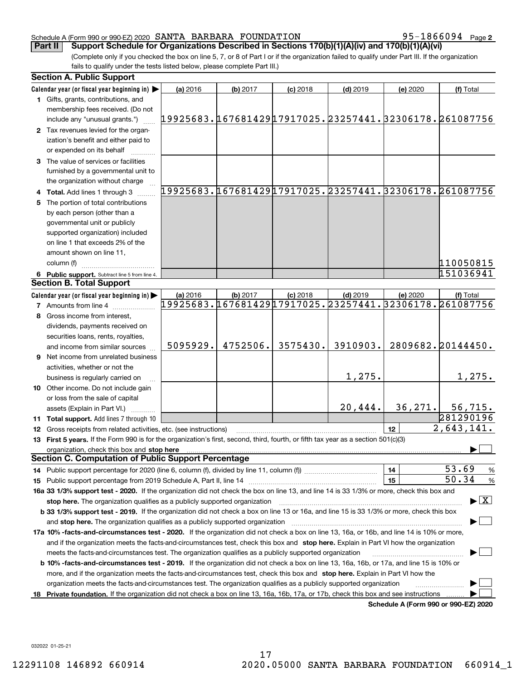95-1866094 Page 2

(Complete only if you checked the box on line 5, 7, or 8 of Part I or if the organization failed to qualify under Part III. If the organization fails to qualify under the tests listed below, please complete Part III.) **Part II** Support Schedule for Organizations Described in Sections 170(b)(1)(A)(iv) and 170(b)(1)(A)(vi)

| <b>Section A. Public Support</b>                                                                                                               |          |          |            |            |                                      |                                                        |
|------------------------------------------------------------------------------------------------------------------------------------------------|----------|----------|------------|------------|--------------------------------------|--------------------------------------------------------|
| Calendar year (or fiscal year beginning in)                                                                                                    | (a) 2016 | (b) 2017 | $(c)$ 2018 | $(d)$ 2019 | (e) 2020                             | (f) Total                                              |
| 1 Gifts, grants, contributions, and                                                                                                            |          |          |            |            |                                      |                                                        |
| membership fees received. (Do not                                                                                                              |          |          |            |            |                                      |                                                        |
| include any "unusual grants.")                                                                                                                 |          |          |            |            |                                      | 19925683.16768142917917025.23257441.32306178.261087756 |
| 2 Tax revenues levied for the organ-                                                                                                           |          |          |            |            |                                      |                                                        |
| ization's benefit and either paid to                                                                                                           |          |          |            |            |                                      |                                                        |
| or expended on its behalf                                                                                                                      |          |          |            |            |                                      |                                                        |
| 3 The value of services or facilities                                                                                                          |          |          |            |            |                                      |                                                        |
| furnished by a governmental unit to                                                                                                            |          |          |            |            |                                      |                                                        |
| the organization without charge                                                                                                                |          |          |            |            |                                      |                                                        |
| 4 Total. Add lines 1 through 3                                                                                                                 |          |          |            |            |                                      | 19925683.16768142917917025.23257441.32306178.261087756 |
| 5 The portion of total contributions                                                                                                           |          |          |            |            |                                      |                                                        |
| by each person (other than a                                                                                                                   |          |          |            |            |                                      |                                                        |
| governmental unit or publicly                                                                                                                  |          |          |            |            |                                      |                                                        |
| supported organization) included                                                                                                               |          |          |            |            |                                      |                                                        |
| on line 1 that exceeds 2% of the                                                                                                               |          |          |            |            |                                      |                                                        |
| amount shown on line 11,                                                                                                                       |          |          |            |            |                                      |                                                        |
| column (f)                                                                                                                                     |          |          |            |            |                                      | 110050815                                              |
| 6 Public support. Subtract line 5 from line 4.                                                                                                 |          |          |            |            |                                      | 151036941                                              |
| <b>Section B. Total Support</b>                                                                                                                |          |          |            |            |                                      |                                                        |
| Calendar year (or fiscal year beginning in)                                                                                                    | (a) 2016 | (b) 2017 | $(c)$ 2018 | $(d)$ 2019 | (e) 2020                             | (f) Total                                              |
| <b>7</b> Amounts from line 4                                                                                                                   |          |          |            |            |                                      | 19925683.16768142917917025.23257441.32306178.261087756 |
| 8 Gross income from interest,                                                                                                                  |          |          |            |            |                                      |                                                        |
| dividends, payments received on                                                                                                                |          |          |            |            |                                      |                                                        |
| securities loans, rents, royalties,                                                                                                            |          |          |            |            |                                      |                                                        |
| and income from similar sources                                                                                                                | 5095929. | 4752506. | 3575430.   | 3910903.   |                                      | 2809682.20144450.                                      |
| <b>9</b> Net income from unrelated business                                                                                                    |          |          |            |            |                                      |                                                        |
| activities, whether or not the                                                                                                                 |          |          |            |            |                                      |                                                        |
| business is regularly carried on                                                                                                               |          |          |            | 1,275.     |                                      | 1,275.                                                 |
| <b>10</b> Other income. Do not include gain                                                                                                    |          |          |            |            |                                      |                                                        |
| or loss from the sale of capital                                                                                                               |          |          |            |            |                                      |                                                        |
| assets (Explain in Part VI.) <b>Constant</b>                                                                                                   |          |          |            | 20,444.    | 36, 271.                             | 56, 715.                                               |
| 11 Total support. Add lines 7 through 10                                                                                                       |          |          |            |            |                                      | 281290196                                              |
| 12 Gross receipts from related activities, etc. (see instructions)                                                                             |          |          |            |            | 12                                   | 2,643,141.                                             |
| 13 First 5 years. If the Form 990 is for the organization's first, second, third, fourth, or fifth tax year as a section 501(c)(3)             |          |          |            |            |                                      |                                                        |
| organization, check this box and stop here                                                                                                     |          |          |            |            |                                      |                                                        |
| <b>Section C. Computation of Public Support Percentage</b>                                                                                     |          |          |            |            |                                      |                                                        |
|                                                                                                                                                |          |          |            |            | 14                                   | 53.69<br>%                                             |
|                                                                                                                                                |          |          |            |            | 15                                   | 50.34<br>$\%$                                          |
| 16a 33 1/3% support test - 2020. If the organization did not check the box on line 13, and line 14 is 33 1/3% or more, check this box and      |          |          |            |            |                                      |                                                        |
| stop here. The organization qualifies as a publicly supported organization                                                                     |          |          |            |            |                                      | $\blacktriangleright$ $\boxed{\text{X}}$               |
| b 33 1/3% support test - 2019. If the organization did not check a box on line 13 or 16a, and line 15 is 33 1/3% or more, check this box       |          |          |            |            |                                      |                                                        |
| and stop here. The organization qualifies as a publicly supported organization                                                                 |          |          |            |            |                                      |                                                        |
| 17a 10% -facts-and-circumstances test - 2020. If the organization did not check a box on line 13, 16a, or 16b, and line 14 is 10% or more,     |          |          |            |            |                                      |                                                        |
| and if the organization meets the facts-and-circumstances test, check this box and stop here. Explain in Part VI how the organization          |          |          |            |            |                                      |                                                        |
| meets the facts-and-circumstances test. The organization qualifies as a publicly supported organization                                        |          |          |            |            |                                      |                                                        |
| <b>b 10% -facts-and-circumstances test - 2019.</b> If the organization did not check a box on line 13, 16a, 16b, or 17a, and line 15 is 10% or |          |          |            |            |                                      |                                                        |
| more, and if the organization meets the facts-and-circumstances test, check this box and stop here. Explain in Part VI how the                 |          |          |            |            |                                      |                                                        |
| organization meets the facts-and-circumstances test. The organization qualifies as a publicly supported organization                           |          |          |            |            |                                      |                                                        |
| 18 Private foundation. If the organization did not check a box on line 13, 16a, 16b, 17a, or 17b, check this box and see instructions          |          |          |            |            |                                      |                                                        |
|                                                                                                                                                |          |          |            |            | Schedule A (Form 990 or 990-F7) 2020 |                                                        |

**Schedule A (Form 990 or 990-EZ) 2020**

032022 01-25-21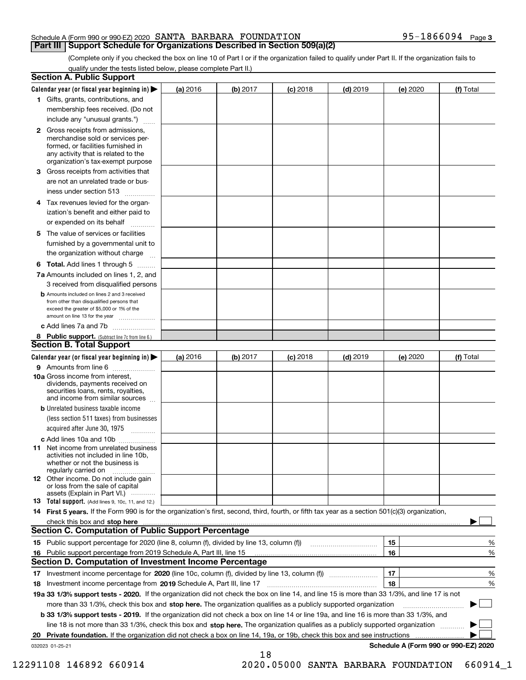(Complete only if you checked the box on line 10 of Part I or if the organization failed to qualify under Part II. If the organization fails to qualify under the tests listed below, please complete Part II.)

|    | <b>Section A. Public Support</b>                                                                                                                                                                                             |          |          |                 |            |          |                                      |
|----|------------------------------------------------------------------------------------------------------------------------------------------------------------------------------------------------------------------------------|----------|----------|-----------------|------------|----------|--------------------------------------|
|    | Calendar year (or fiscal year beginning in) $\blacktriangleright$                                                                                                                                                            | (a) 2016 | (b) 2017 | <b>(c)</b> 2018 | $(d)$ 2019 | (e) 2020 | (f) Total                            |
|    | 1 Gifts, grants, contributions, and                                                                                                                                                                                          |          |          |                 |            |          |                                      |
|    | membership fees received. (Do not                                                                                                                                                                                            |          |          |                 |            |          |                                      |
|    | include any "unusual grants.")                                                                                                                                                                                               |          |          |                 |            |          |                                      |
|    | <b>2</b> Gross receipts from admissions,<br>merchandise sold or services per-<br>formed, or facilities furnished in<br>any activity that is related to the<br>organization's tax-exempt purpose                              |          |          |                 |            |          |                                      |
|    | 3 Gross receipts from activities that<br>are not an unrelated trade or bus-                                                                                                                                                  |          |          |                 |            |          |                                      |
|    | iness under section 513                                                                                                                                                                                                      |          |          |                 |            |          |                                      |
|    | 4 Tax revenues levied for the organ-                                                                                                                                                                                         |          |          |                 |            |          |                                      |
|    | ization's benefit and either paid to<br>or expended on its behalf<br>.                                                                                                                                                       |          |          |                 |            |          |                                      |
|    | 5 The value of services or facilities<br>furnished by a governmental unit to                                                                                                                                                 |          |          |                 |            |          |                                      |
|    | the organization without charge                                                                                                                                                                                              |          |          |                 |            |          |                                      |
|    | <b>6 Total.</b> Add lines 1 through 5                                                                                                                                                                                        |          |          |                 |            |          |                                      |
|    | 7a Amounts included on lines 1, 2, and<br>3 received from disqualified persons                                                                                                                                               |          |          |                 |            |          |                                      |
|    | <b>b</b> Amounts included on lines 2 and 3 received<br>from other than disqualified persons that<br>exceed the greater of \$5,000 or 1% of the<br>amount on line 13 for the year                                             |          |          |                 |            |          |                                      |
|    | c Add lines 7a and 7b                                                                                                                                                                                                        |          |          |                 |            |          |                                      |
|    | 8 Public support. (Subtract line 7c from line 6.)<br><b>Section B. Total Support</b>                                                                                                                                         |          |          |                 |            |          |                                      |
|    | Calendar year (or fiscal year beginning in)                                                                                                                                                                                  | (a) 2016 | (b) 2017 | <b>(c)</b> 2018 | $(d)$ 2019 | (e) 2020 | (f) Total                            |
|    | 9 Amounts from line 6                                                                                                                                                                                                        |          |          |                 |            |          |                                      |
|    | <b>10a</b> Gross income from interest,<br>dividends, payments received on<br>securities loans, rents, royalties,<br>and income from similar sources                                                                          |          |          |                 |            |          |                                      |
|    | <b>b</b> Unrelated business taxable income<br>(less section 511 taxes) from businesses                                                                                                                                       |          |          |                 |            |          |                                      |
|    | acquired after June 30, 1975                                                                                                                                                                                                 |          |          |                 |            |          |                                      |
|    | c Add lines 10a and 10b                                                                                                                                                                                                      |          |          |                 |            |          |                                      |
|    | 11 Net income from unrelated business<br>activities not included in line 10b,<br>whether or not the business is<br>regularly carried on                                                                                      |          |          |                 |            |          |                                      |
|    | <b>12</b> Other income. Do not include gain<br>or loss from the sale of capital<br>assets (Explain in Part VI.)                                                                                                              |          |          |                 |            |          |                                      |
|    | 13 Total support. (Add lines 9, 10c, 11, and 12.)                                                                                                                                                                            |          |          |                 |            |          |                                      |
|    | 14 First 5 years. If the Form 990 is for the organization's first, second, third, fourth, or fifth tax year as a section 501(c)(3) organization,                                                                             |          |          |                 |            |          |                                      |
|    | check this box and stop here <b>contractly and stop here contractly and stop here contractly and stop here contractly and stop here contractly and stop here contractly and stop here contractly</b> and <b>contractly</b> a |          |          |                 |            |          |                                      |
|    | <b>Section C. Computation of Public Support Percentage</b>                                                                                                                                                                   |          |          |                 |            |          |                                      |
|    |                                                                                                                                                                                                                              |          |          |                 |            | 15       | %                                    |
|    | 16 Public support percentage from 2019 Schedule A, Part III, line 15                                                                                                                                                         |          |          |                 |            | 16       | $\%$                                 |
|    | <b>Section D. Computation of Investment Income Percentage</b>                                                                                                                                                                |          |          |                 |            |          |                                      |
| 17 | Investment income percentage for 2020 (line 10c, column (f), divided by line 13, column (f))                                                                                                                                 |          |          |                 |            | 17       | $\%$                                 |
| 18 | Investment income percentage from 2019 Schedule A, Part III, line 17                                                                                                                                                         |          |          |                 |            | 18       | %                                    |
|    | 19a 33 1/3% support tests - 2020. If the organization did not check the box on line 14, and line 15 is more than 33 1/3%, and line 17 is not                                                                                 |          |          |                 |            |          |                                      |
|    | more than 33 1/3%, check this box and stop here. The organization qualifies as a publicly supported organization                                                                                                             |          |          |                 |            |          | ▶                                    |
|    | b 33 1/3% support tests - 2019. If the organization did not check a box on line 14 or line 19a, and line 16 is more than 33 1/3%, and                                                                                        |          |          |                 |            |          |                                      |
|    | line 18 is not more than 33 1/3%, check this box and stop here. The organization qualifies as a publicly supported organization                                                                                              |          |          |                 |            |          |                                      |
| 20 | Private foundation. If the organization did not check a box on line 14, 19a, or 19b, check this box and see instructions                                                                                                     |          |          |                 |            |          |                                      |
|    | 032023 01-25-21                                                                                                                                                                                                              |          | 18       |                 |            |          | Schedule A (Form 990 or 990-EZ) 2020 |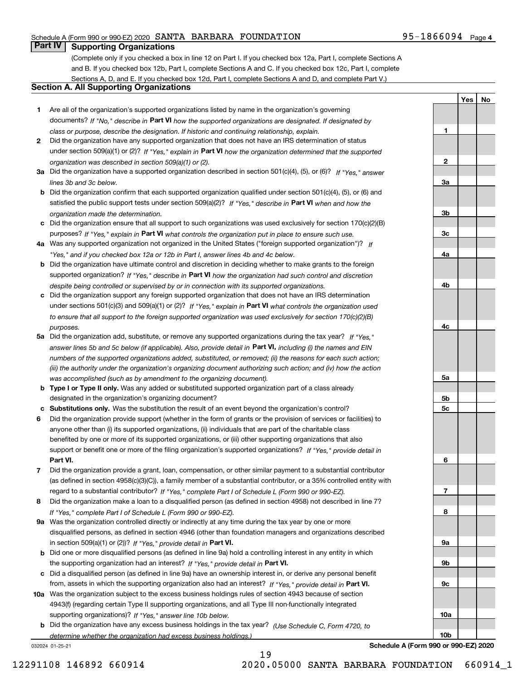# **Part IV Supporting Organizations**

(Complete only if you checked a box in line 12 on Part I. If you checked box 12a, Part I, complete Sections A and B. If you checked box 12b, Part I, complete Sections A and C. If you checked box 12c, Part I, complete Sections A, D, and E. If you checked box 12d, Part I, complete Sections A and D, and complete Part V.)

### **Section A. All Supporting Organizations**

- **1** Are all of the organization's supported organizations listed by name in the organization's governing documents? If "No," describe in **Part VI** how the supported organizations are designated. If designated by *class or purpose, describe the designation. If historic and continuing relationship, explain.*
- **2** Did the organization have any supported organization that does not have an IRS determination of status under section 509(a)(1) or (2)? If "Yes," explain in Part VI how the organization determined that the supported *organization was described in section 509(a)(1) or (2).*
- **3a** Did the organization have a supported organization described in section 501(c)(4), (5), or (6)? If "Yes," answer *lines 3b and 3c below.*
- **b** Did the organization confirm that each supported organization qualified under section 501(c)(4), (5), or (6) and satisfied the public support tests under section 509(a)(2)? If "Yes," describe in **Part VI** when and how the *organization made the determination.*
- **c**Did the organization ensure that all support to such organizations was used exclusively for section 170(c)(2)(B) purposes? If "Yes," explain in **Part VI** what controls the organization put in place to ensure such use.
- **4a***If* Was any supported organization not organized in the United States ("foreign supported organization")? *"Yes," and if you checked box 12a or 12b in Part I, answer lines 4b and 4c below.*
- **b** Did the organization have ultimate control and discretion in deciding whether to make grants to the foreign supported organization? If "Yes," describe in **Part VI** how the organization had such control and discretion *despite being controlled or supervised by or in connection with its supported organizations.*
- **c** Did the organization support any foreign supported organization that does not have an IRS determination under sections 501(c)(3) and 509(a)(1) or (2)? If "Yes," explain in **Part VI** what controls the organization used *to ensure that all support to the foreign supported organization was used exclusively for section 170(c)(2)(B) purposes.*
- **5a** Did the organization add, substitute, or remove any supported organizations during the tax year? If "Yes," answer lines 5b and 5c below (if applicable). Also, provide detail in **Part VI,** including (i) the names and EIN *numbers of the supported organizations added, substituted, or removed; (ii) the reasons for each such action; (iii) the authority under the organization's organizing document authorizing such action; and (iv) how the action was accomplished (such as by amendment to the organizing document).*
- **b** Type I or Type II only. Was any added or substituted supported organization part of a class already designated in the organization's organizing document?
- **cSubstitutions only.**  Was the substitution the result of an event beyond the organization's control?
- **6** Did the organization provide support (whether in the form of grants or the provision of services or facilities) to **Part VI.** *If "Yes," provide detail in* support or benefit one or more of the filing organization's supported organizations? anyone other than (i) its supported organizations, (ii) individuals that are part of the charitable class benefited by one or more of its supported organizations, or (iii) other supporting organizations that also
- **7**Did the organization provide a grant, loan, compensation, or other similar payment to a substantial contributor *If "Yes," complete Part I of Schedule L (Form 990 or 990-EZ).* regard to a substantial contributor? (as defined in section 4958(c)(3)(C)), a family member of a substantial contributor, or a 35% controlled entity with
- **8** Did the organization make a loan to a disqualified person (as defined in section 4958) not described in line 7? *If "Yes," complete Part I of Schedule L (Form 990 or 990-EZ).*
- **9a** Was the organization controlled directly or indirectly at any time during the tax year by one or more in section 509(a)(1) or (2))? If "Yes," *provide detail in* <code>Part VI.</code> disqualified persons, as defined in section 4946 (other than foundation managers and organizations described
- **b** Did one or more disqualified persons (as defined in line 9a) hold a controlling interest in any entity in which the supporting organization had an interest? If "Yes," provide detail in P**art VI**.
- **c**Did a disqualified person (as defined in line 9a) have an ownership interest in, or derive any personal benefit from, assets in which the supporting organization also had an interest? If "Yes," provide detail in P**art VI.**
- **10a** Was the organization subject to the excess business holdings rules of section 4943 because of section supporting organizations)? If "Yes," answer line 10b below. 4943(f) (regarding certain Type II supporting organizations, and all Type III non-functionally integrated
- **b** Did the organization have any excess business holdings in the tax year? (Use Schedule C, Form 4720, to *determine whether the organization had excess business holdings.)*

19

032024 01-25-21

**9b9c10a10bSchedule A (Form 990 or 990-EZ) 2020**

**1**

**2**

**3a**

**3b**

**3c**

**4a**

**4b**

**4c**

**5a**

**5b5c**

**6**

**7**

**8**

**9a**

**YesNo**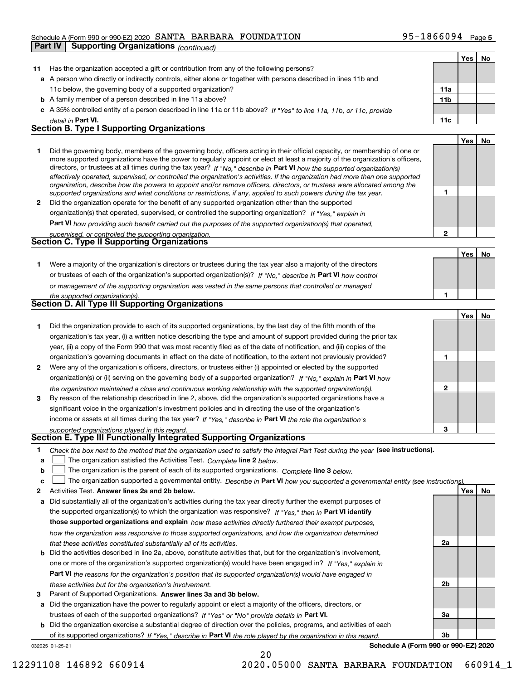|    | Part IV | $\frac{1}{2}$ and $\frac{1}{2}$ and $\frac{1}{2}$ and $\frac{1}{2}$ and $\frac{1}{2}$ and $\frac{1}{2}$ and $\frac{1}{2}$ and $\frac{1}{2}$ and $\frac{1}{2}$ and $\frac{1}{2}$ and $\frac{1}{2}$ and $\frac{1}{2}$ and $\frac{1}{2}$ and $\frac{1}{2}$ and $\frac{1}{2}$ and $\frac{1}{2}$ a<br><b>Supporting Organizations (continued)</b> |                 |     |    |
|----|---------|----------------------------------------------------------------------------------------------------------------------------------------------------------------------------------------------------------------------------------------------------------------------------------------------------------------------------------------------|-----------------|-----|----|
|    |         |                                                                                                                                                                                                                                                                                                                                              |                 | Yes | No |
| 11 |         | Has the organization accepted a gift or contribution from any of the following persons?                                                                                                                                                                                                                                                      |                 |     |    |
|    |         | a A person who directly or indirectly controls, either alone or together with persons described in lines 11b and                                                                                                                                                                                                                             |                 |     |    |
|    |         | 11c below, the governing body of a supported organization?                                                                                                                                                                                                                                                                                   | 11a             |     |    |
|    |         | <b>b</b> A family member of a person described in line 11a above?                                                                                                                                                                                                                                                                            | 11 <sub>b</sub> |     |    |
| с  |         | A 35% controlled entity of a person described in line 11a or 11b above? If "Yes" to line 11a, 11b, or 11c, provide                                                                                                                                                                                                                           |                 |     |    |
|    |         | detail in <b>Part VI.</b>                                                                                                                                                                                                                                                                                                                    | 11c             |     |    |
|    |         | <b>Section B. Type I Supporting Organizations</b>                                                                                                                                                                                                                                                                                            |                 |     |    |
|    |         |                                                                                                                                                                                                                                                                                                                                              |                 | Yes | No |
| 1  |         | Did the governing body, members of the governing body, officers acting in their official capacity, or membership of one or                                                                                                                                                                                                                   |                 |     |    |
|    |         | more supported organizations have the power to regularly appoint or elect at least a majority of the organization's officers,                                                                                                                                                                                                                |                 |     |    |
|    |         | directors, or trustees at all times during the tax year? If "No," describe in Part VI how the supported organization(s)                                                                                                                                                                                                                      |                 |     |    |
|    |         | effectively operated, supervised, or controlled the organization's activities. If the organization had more than one supported                                                                                                                                                                                                               |                 |     |    |
|    |         | organization, describe how the powers to appoint and/or remove officers, directors, or trustees were allocated among the<br>supported organizations and what conditions or restrictions, if any, applied to such powers during the tax year.                                                                                                 | 1               |     |    |
| 2  |         | Did the organization operate for the benefit of any supported organization other than the supported                                                                                                                                                                                                                                          |                 |     |    |
|    |         | organization(s) that operated, supervised, or controlled the supporting organization? If "Yes," explain in                                                                                                                                                                                                                                   |                 |     |    |
|    |         | Part VI how providing such benefit carried out the purposes of the supported organization(s) that operated,                                                                                                                                                                                                                                  |                 |     |    |
|    |         | supervised, or controlled the supporting organization.                                                                                                                                                                                                                                                                                       | 2               |     |    |
|    |         | Section C. Type II Supporting Organizations                                                                                                                                                                                                                                                                                                  |                 |     |    |
|    |         |                                                                                                                                                                                                                                                                                                                                              |                 | Yes | No |
| 1. |         | Were a majority of the organization's directors or trustees during the tax year also a majority of the directors                                                                                                                                                                                                                             |                 |     |    |
|    |         | or trustees of each of the organization's supported organization(s)? If "No," describe in Part VI how control                                                                                                                                                                                                                                |                 |     |    |
|    |         | or management of the supporting organization was vested in the same persons that controlled or managed                                                                                                                                                                                                                                       |                 |     |    |
|    |         | the supported organization(s).                                                                                                                                                                                                                                                                                                               | 1               |     |    |
|    |         | <b>Section D. All Type III Supporting Organizations</b>                                                                                                                                                                                                                                                                                      |                 |     |    |
|    |         |                                                                                                                                                                                                                                                                                                                                              |                 | Yes | No |
| 1  |         | Did the organization provide to each of its supported organizations, by the last day of the fifth month of the                                                                                                                                                                                                                               |                 |     |    |
|    |         | organization's tax year, (i) a written notice describing the type and amount of support provided during the prior tax                                                                                                                                                                                                                        |                 |     |    |
|    |         | year, (ii) a copy of the Form 990 that was most recently filed as of the date of notification, and (iii) copies of the                                                                                                                                                                                                                       |                 |     |    |
|    |         | organization's governing documents in effect on the date of notification, to the extent not previously provided?                                                                                                                                                                                                                             | 1               |     |    |
| 2  |         | Were any of the organization's officers, directors, or trustees either (i) appointed or elected by the supported                                                                                                                                                                                                                             |                 |     |    |
|    |         | organization(s) or (ii) serving on the governing body of a supported organization? If "No, " explain in Part VI how                                                                                                                                                                                                                          |                 |     |    |
|    |         | the organization maintained a close and continuous working relationship with the supported organization(s).                                                                                                                                                                                                                                  | $\mathbf 2$     |     |    |
| 3  |         | By reason of the relationship described in line 2, above, did the organization's supported organizations have a                                                                                                                                                                                                                              |                 |     |    |
|    |         | significant voice in the organization's investment policies and in directing the use of the organization's                                                                                                                                                                                                                                   |                 |     |    |
|    |         | income or assets at all times during the tax year? If "Yes," describe in Part VI the role the organization's                                                                                                                                                                                                                                 |                 |     |    |
|    |         | supported organizations played in this regard.                                                                                                                                                                                                                                                                                               | 3               |     |    |
|    |         | Section E. Type III Functionally Integrated Supporting Organizations                                                                                                                                                                                                                                                                         |                 |     |    |
| 1  |         | Check the box next to the method that the organization used to satisfy the Integral Part Test during the year (see instructions).                                                                                                                                                                                                            |                 |     |    |
| а  |         | The organization satisfied the Activities Test. Complete line 2 below.                                                                                                                                                                                                                                                                       |                 |     |    |
| b  |         | The organization is the parent of each of its supported organizations. Complete line 3 below.                                                                                                                                                                                                                                                |                 |     |    |
| c  |         | The organization supported a governmental entity. Describe in Part VI how you supported a governmental entity (see instructions)                                                                                                                                                                                                             |                 |     |    |
| 2  |         | Activities Test. Answer lines 2a and 2b below.                                                                                                                                                                                                                                                                                               |                 | Yes | No |

**a** Did substantially all of the organization's activities during the tax year directly further the exempt purposes of **b** Did the activities described in line 2a, above, constitute activities that, but for the organization's involvement, the supported organization(s) to which the organization was responsive? If "Yes," then in **Part VI identify those supported organizations and explain**  *how these activities directly furthered their exempt purposes,* **Part VI**  *the reasons for the organization's position that its supported organization(s) would have engaged in how the organization was responsive to those supported organizations, and how the organization determined that these activities constituted substantially all of its activities.* one or more of the organization's supported organization(s) would have been engaged in? If "Yes," e*xplain in* 

**b** Did the organization exercise a substantial degree of direction over the policies, programs, and activities of each

of its supported organizations? If "Yes," describe in Part VI the role played by the organization in this regard.

20

**a** Did the organization have the power to regularly appoint or elect a majority of the officers, directors, or

trustees of each of the supported organizations? If "Yes" or "No" provide details in **Part VI.** 



032025 01-25-21

**Schedule A (Form 990 or 990-EZ) 2020**

**3** Parent of Supported Organizations. Answer lines 3a and 3b below.

*these activities but for the organization's involvement.*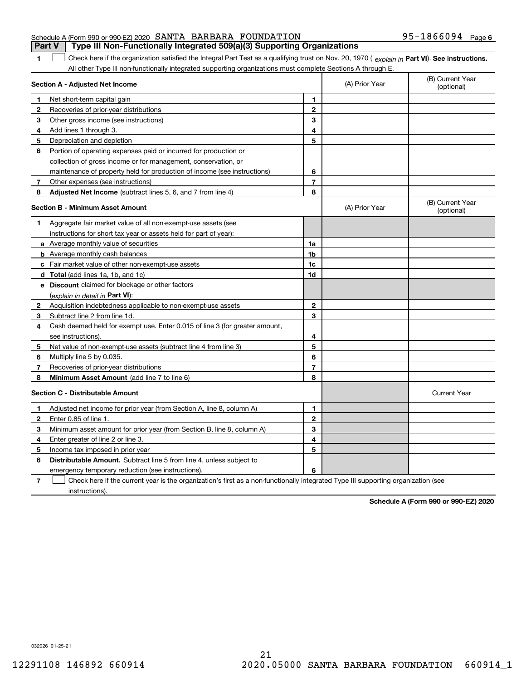|                                                               |  | <b>Part V</b> Type III Non-Functionally Integrated 509(a)(3) Supporting Organizations |                   |  |
|---------------------------------------------------------------|--|---------------------------------------------------------------------------------------|-------------------|--|
| Schedule A (Form 990 or 990-EZ) 2020 SANTA BARBARA FOUNDATION |  |                                                                                       | 95-1866094 Page 6 |  |

1 Check here if the organization satisfied the Integral Part Test as a qualifying trust on Nov. 20, 1970 (explain in Part VI). See instructions. All other Type III non-functionally integrated supporting organizations must complete Sections A through E.

|              | Section A - Adjusted Net Income                                                                                                   |                | (A) Prior Year | (B) Current Year<br>(optional) |
|--------------|-----------------------------------------------------------------------------------------------------------------------------------|----------------|----------------|--------------------------------|
| 1            | Net short-term capital gain                                                                                                       | 1              |                |                                |
| 2            | Recoveries of prior-year distributions                                                                                            | $\overline{2}$ |                |                                |
| З            | Other gross income (see instructions)                                                                                             | 3              |                |                                |
| 4            | Add lines 1 through 3.                                                                                                            | 4              |                |                                |
| 5            | Depreciation and depletion                                                                                                        | 5              |                |                                |
| 6            | Portion of operating expenses paid or incurred for production or                                                                  |                |                |                                |
|              | collection of gross income or for management, conservation, or                                                                    |                |                |                                |
|              | maintenance of property held for production of income (see instructions)                                                          | 6              |                |                                |
| 7            | Other expenses (see instructions)                                                                                                 | $\overline{7}$ |                |                                |
| 8            | Adjusted Net Income (subtract lines 5, 6, and 7 from line 4)                                                                      | 8              |                |                                |
|              | <b>Section B - Minimum Asset Amount</b>                                                                                           |                | (A) Prior Year | (B) Current Year<br>(optional) |
| 1            | Aggregate fair market value of all non-exempt-use assets (see                                                                     |                |                |                                |
|              | instructions for short tax year or assets held for part of year):                                                                 |                |                |                                |
|              | <b>a</b> Average monthly value of securities                                                                                      | 1a             |                |                                |
|              | <b>b</b> Average monthly cash balances                                                                                            | 1b             |                |                                |
|              | c Fair market value of other non-exempt-use assets                                                                                | 1c             |                |                                |
|              | d Total (add lines 1a, 1b, and 1c)                                                                                                | 1d             |                |                                |
|              | e Discount claimed for blockage or other factors                                                                                  |                |                |                                |
|              | (explain in detail in Part VI):                                                                                                   |                |                |                                |
| $\mathbf{2}$ | Acquisition indebtedness applicable to non-exempt-use assets                                                                      | $\mathbf 2$    |                |                                |
| 3            | Subtract line 2 from line 1d.                                                                                                     | 3              |                |                                |
| 4            | Cash deemed held for exempt use. Enter 0.015 of line 3 (for greater amount,                                                       |                |                |                                |
|              | see instructions).                                                                                                                | 4              |                |                                |
| 5            | Net value of non-exempt-use assets (subtract line 4 from line 3)                                                                  | 5              |                |                                |
| 6            | Multiply line 5 by 0.035.                                                                                                         | 6              |                |                                |
| 7            | Recoveries of prior-year distributions                                                                                            | 7              |                |                                |
| 8            | Minimum Asset Amount (add line 7 to line 6)                                                                                       | 8              |                |                                |
|              | <b>Section C - Distributable Amount</b>                                                                                           |                |                | <b>Current Year</b>            |
| 1            | Adjusted net income for prior year (from Section A, line 8, column A)                                                             | $\mathbf{1}$   |                |                                |
| 2            | Enter 0.85 of line 1.                                                                                                             | $\overline{2}$ |                |                                |
| з            | Minimum asset amount for prior year (from Section B, line 8, column A)                                                            | 3              |                |                                |
| 4            | Enter greater of line 2 or line 3.                                                                                                | 4              |                |                                |
| 5            | Income tax imposed in prior year                                                                                                  | 5              |                |                                |
| 6            | <b>Distributable Amount.</b> Subtract line 5 from line 4, unless subject to                                                       |                |                |                                |
|              | emergency temporary reduction (see instructions).                                                                                 | 6              |                |                                |
| 7            | Check here if the current year is the organization's first as a non-functionally integrated Type III supporting organization (see |                |                |                                |

instructions).

**1**

**Schedule A (Form 990 or 990-EZ) 2020**

032026 01-25-21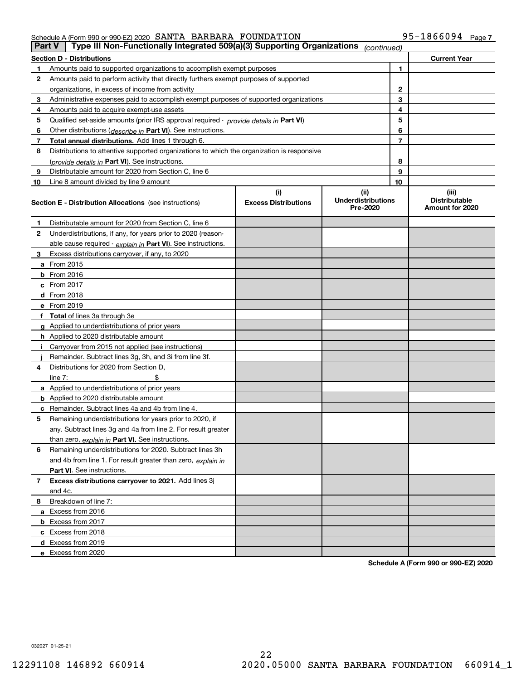|    | Type III Non-Functionally Integrated 509(a)(3) Supporting Organizations<br><b>Part V</b><br>(continued) |                                    |                                               |    |                                                  |  |
|----|---------------------------------------------------------------------------------------------------------|------------------------------------|-----------------------------------------------|----|--------------------------------------------------|--|
|    | <b>Section D - Distributions</b>                                                                        |                                    |                                               |    | <b>Current Year</b>                              |  |
| 1  | Amounts paid to supported organizations to accomplish exempt purposes                                   |                                    |                                               | 1  |                                                  |  |
| 2  | Amounts paid to perform activity that directly furthers exempt purposes of supported                    |                                    |                                               |    |                                                  |  |
|    | organizations, in excess of income from activity                                                        |                                    |                                               | 2  |                                                  |  |
| 3  | Administrative expenses paid to accomplish exempt purposes of supported organizations                   |                                    |                                               | 3  |                                                  |  |
| 4  | Amounts paid to acquire exempt-use assets                                                               |                                    |                                               | 4  |                                                  |  |
| 5  | Qualified set-aside amounts (prior IRS approval required - provide details in Part VI)                  |                                    |                                               | 5  |                                                  |  |
| 6  | Other distributions ( <i>describe in</i> Part VI). See instructions.                                    |                                    |                                               | 6  |                                                  |  |
| 7  | Total annual distributions. Add lines 1 through 6.                                                      |                                    |                                               | 7  |                                                  |  |
| 8  | Distributions to attentive supported organizations to which the organization is responsive              |                                    |                                               |    |                                                  |  |
|    | (provide details in Part VI). See instructions.                                                         |                                    |                                               | 8  |                                                  |  |
| 9  | Distributable amount for 2020 from Section C, line 6                                                    |                                    |                                               | 9  |                                                  |  |
| 10 | Line 8 amount divided by line 9 amount                                                                  |                                    |                                               | 10 |                                                  |  |
|    | <b>Section E - Distribution Allocations</b> (see instructions)                                          | (i)<br><b>Excess Distributions</b> | (ii)<br><b>Underdistributions</b><br>Pre-2020 |    | (iii)<br><b>Distributable</b><br>Amount for 2020 |  |
| 1  | Distributable amount for 2020 from Section C, line 6                                                    |                                    |                                               |    |                                                  |  |
| 2  | Underdistributions, if any, for years prior to 2020 (reason-                                            |                                    |                                               |    |                                                  |  |
|    | able cause required - explain in Part VI). See instructions.                                            |                                    |                                               |    |                                                  |  |
| 3  | Excess distributions carryover, if any, to 2020                                                         |                                    |                                               |    |                                                  |  |
|    | a From 2015                                                                                             |                                    |                                               |    |                                                  |  |
|    | <b>b</b> From 2016                                                                                      |                                    |                                               |    |                                                  |  |
|    | $c$ From 2017                                                                                           |                                    |                                               |    |                                                  |  |
|    | d From 2018                                                                                             |                                    |                                               |    |                                                  |  |
|    | e From 2019                                                                                             |                                    |                                               |    |                                                  |  |
|    | f Total of lines 3a through 3e                                                                          |                                    |                                               |    |                                                  |  |
|    | g Applied to underdistributions of prior years                                                          |                                    |                                               |    |                                                  |  |
|    | <b>h</b> Applied to 2020 distributable amount                                                           |                                    |                                               |    |                                                  |  |
|    | Carryover from 2015 not applied (see instructions)                                                      |                                    |                                               |    |                                                  |  |
|    | Remainder. Subtract lines 3g, 3h, and 3i from line 3f.                                                  |                                    |                                               |    |                                                  |  |
| 4  | Distributions for 2020 from Section D,                                                                  |                                    |                                               |    |                                                  |  |
|    | line $7:$                                                                                               |                                    |                                               |    |                                                  |  |
|    | a Applied to underdistributions of prior years                                                          |                                    |                                               |    |                                                  |  |
|    | <b>b</b> Applied to 2020 distributable amount                                                           |                                    |                                               |    |                                                  |  |
|    | c Remainder. Subtract lines 4a and 4b from line 4.                                                      |                                    |                                               |    |                                                  |  |
| 5. | Remaining underdistributions for years prior to 2020, if                                                |                                    |                                               |    |                                                  |  |
|    | any. Subtract lines 3g and 4a from line 2. For result greater                                           |                                    |                                               |    |                                                  |  |
|    | than zero, explain in Part VI. See instructions.                                                        |                                    |                                               |    |                                                  |  |
| 6  | Remaining underdistributions for 2020. Subtract lines 3h                                                |                                    |                                               |    |                                                  |  |
|    | and 4b from line 1. For result greater than zero, explain in                                            |                                    |                                               |    |                                                  |  |
|    | Part VI. See instructions.                                                                              |                                    |                                               |    |                                                  |  |
| 7  | Excess distributions carryover to 2021. Add lines 3j                                                    |                                    |                                               |    |                                                  |  |
|    | and 4c.                                                                                                 |                                    |                                               |    |                                                  |  |
| 8  | Breakdown of line 7:                                                                                    |                                    |                                               |    |                                                  |  |
|    | a Excess from 2016                                                                                      |                                    |                                               |    |                                                  |  |
|    | <b>b</b> Excess from 2017                                                                               |                                    |                                               |    |                                                  |  |
|    | c Excess from 2018                                                                                      |                                    |                                               |    |                                                  |  |
|    | d Excess from 2019                                                                                      |                                    |                                               |    |                                                  |  |
|    | e Excess from 2020                                                                                      |                                    |                                               |    |                                                  |  |

**Schedule A (Form 990 or 990-EZ) 2020**

032027 01-25-21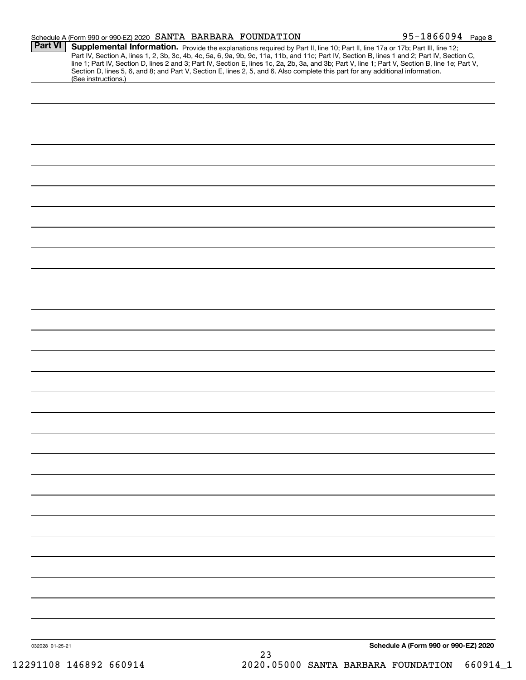|                 | Schedule A (Form 990 or 990-EZ) 2020 SANTA BARBARA FOUNDATION |    | $95 - 1866094$ Page 8                                                                                                                                                                                                                                                                                                                                                                                                                                                                                                                                                |
|-----------------|---------------------------------------------------------------|----|----------------------------------------------------------------------------------------------------------------------------------------------------------------------------------------------------------------------------------------------------------------------------------------------------------------------------------------------------------------------------------------------------------------------------------------------------------------------------------------------------------------------------------------------------------------------|
| <b>Part VI</b>  | (See instructions.)                                           |    | Supplemental Information. Provide the explanations required by Part II, line 10; Part II, line 17a or 17b; Part III, line 12;<br>Part IV, Section A, lines 1, 2, 3b, 3c, 4b, 4c, 5a, 6, 9a, 9b, 9c, 11a, 11b, and 11c; Part IV, Section B, lines 1 and 2; Part IV, Section C,<br>line 1; Part IV, Section D, lines 2 and 3; Part IV, Section E, lines 1c, 2a, 2b, 3a, and 3b; Part V, line 1; Part V, Section B, line 1e; Part V,<br>Section D, lines 5, 6, and 8; and Part V, Section E, lines 2, 5, and 6. Also complete this part for any additional information. |
|                 |                                                               |    |                                                                                                                                                                                                                                                                                                                                                                                                                                                                                                                                                                      |
|                 |                                                               |    |                                                                                                                                                                                                                                                                                                                                                                                                                                                                                                                                                                      |
|                 |                                                               |    |                                                                                                                                                                                                                                                                                                                                                                                                                                                                                                                                                                      |
|                 |                                                               |    |                                                                                                                                                                                                                                                                                                                                                                                                                                                                                                                                                                      |
|                 |                                                               |    |                                                                                                                                                                                                                                                                                                                                                                                                                                                                                                                                                                      |
|                 |                                                               |    |                                                                                                                                                                                                                                                                                                                                                                                                                                                                                                                                                                      |
|                 |                                                               |    |                                                                                                                                                                                                                                                                                                                                                                                                                                                                                                                                                                      |
|                 |                                                               |    |                                                                                                                                                                                                                                                                                                                                                                                                                                                                                                                                                                      |
|                 |                                                               |    |                                                                                                                                                                                                                                                                                                                                                                                                                                                                                                                                                                      |
|                 |                                                               |    |                                                                                                                                                                                                                                                                                                                                                                                                                                                                                                                                                                      |
|                 |                                                               |    |                                                                                                                                                                                                                                                                                                                                                                                                                                                                                                                                                                      |
|                 |                                                               |    |                                                                                                                                                                                                                                                                                                                                                                                                                                                                                                                                                                      |
|                 |                                                               |    |                                                                                                                                                                                                                                                                                                                                                                                                                                                                                                                                                                      |
|                 |                                                               |    |                                                                                                                                                                                                                                                                                                                                                                                                                                                                                                                                                                      |
|                 |                                                               |    |                                                                                                                                                                                                                                                                                                                                                                                                                                                                                                                                                                      |
|                 |                                                               |    |                                                                                                                                                                                                                                                                                                                                                                                                                                                                                                                                                                      |
|                 |                                                               |    |                                                                                                                                                                                                                                                                                                                                                                                                                                                                                                                                                                      |
|                 |                                                               |    |                                                                                                                                                                                                                                                                                                                                                                                                                                                                                                                                                                      |
|                 |                                                               |    |                                                                                                                                                                                                                                                                                                                                                                                                                                                                                                                                                                      |
|                 |                                                               |    |                                                                                                                                                                                                                                                                                                                                                                                                                                                                                                                                                                      |
|                 |                                                               |    |                                                                                                                                                                                                                                                                                                                                                                                                                                                                                                                                                                      |
|                 |                                                               |    |                                                                                                                                                                                                                                                                                                                                                                                                                                                                                                                                                                      |
|                 |                                                               |    |                                                                                                                                                                                                                                                                                                                                                                                                                                                                                                                                                                      |
|                 |                                                               |    |                                                                                                                                                                                                                                                                                                                                                                                                                                                                                                                                                                      |
|                 |                                                               |    |                                                                                                                                                                                                                                                                                                                                                                                                                                                                                                                                                                      |
| 032028 01-25-21 |                                                               |    | Schedule A (Form 990 or 990-EZ) 2020                                                                                                                                                                                                                                                                                                                                                                                                                                                                                                                                 |
|                 |                                                               | 23 |                                                                                                                                                                                                                                                                                                                                                                                                                                                                                                                                                                      |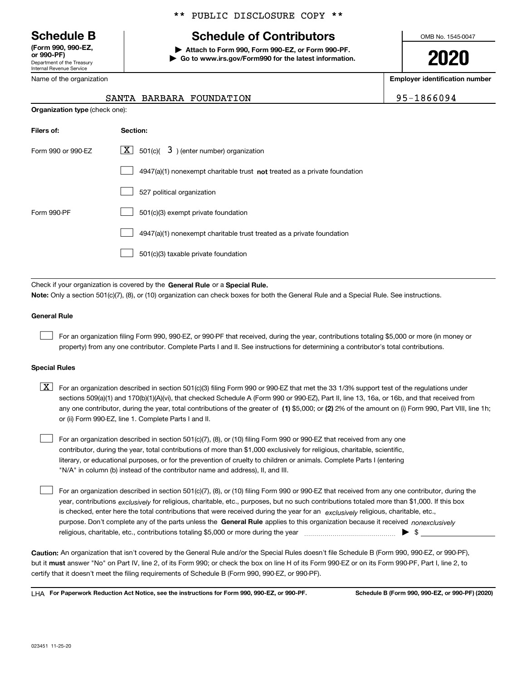Department of the Treasury Internal Revenue Service **(Form 990, 990-EZ, or 990-PF)**

Name of the organization

### \*\* PUBLIC DISCLOSURE COPY \*\*

# **Schedule B Schedule of Contributors**

**| Attach to Form 990, Form 990-EZ, or Form 990-PF. | Go to www.irs.gov/Form990 for the latest information.** OMB No. 1545-0047

**2020**

**Employer identification number**

SANTA BARBARA FOUNDATION **195-1866094** 

|                    | <b>Organization type (check one):</b>                                       |  |  |  |  |
|--------------------|-----------------------------------------------------------------------------|--|--|--|--|
| Filers of:         | Section:                                                                    |  |  |  |  |
| Form 990 or 990-EZ | $ \mathbf{X} $ 501(c)( 3) (enter number) organization                       |  |  |  |  |
|                    | $4947(a)(1)$ nonexempt charitable trust not treated as a private foundation |  |  |  |  |
|                    | 527 political organization                                                  |  |  |  |  |
| Form 990-PF        | 501(c)(3) exempt private foundation                                         |  |  |  |  |
|                    | 4947(a)(1) nonexempt charitable trust treated as a private foundation       |  |  |  |  |
|                    | 501(c)(3) taxable private foundation                                        |  |  |  |  |

Check if your organization is covered by the **General Rule** or a **Special Rule. Note:**  Only a section 501(c)(7), (8), or (10) organization can check boxes for both the General Rule and a Special Rule. See instructions.

### **General Rule**

 $\mathcal{L}^{\text{max}}$ 

For an organization filing Form 990, 990-EZ, or 990-PF that received, during the year, contributions totaling \$5,000 or more (in money or property) from any one contributor. Complete Parts I and II. See instructions for determining a contributor's total contributions.

#### **Special Rules**

any one contributor, during the year, total contributions of the greater of  $\,$  (1) \$5,000; or **(2)** 2% of the amount on (i) Form 990, Part VIII, line 1h;  $\boxed{\textbf{X}}$  For an organization described in section 501(c)(3) filing Form 990 or 990-EZ that met the 33 1/3% support test of the regulations under sections 509(a)(1) and 170(b)(1)(A)(vi), that checked Schedule A (Form 990 or 990-EZ), Part II, line 13, 16a, or 16b, and that received from or (ii) Form 990-EZ, line 1. Complete Parts I and II.

For an organization described in section 501(c)(7), (8), or (10) filing Form 990 or 990-EZ that received from any one contributor, during the year, total contributions of more than \$1,000 exclusively for religious, charitable, scientific, literary, or educational purposes, or for the prevention of cruelty to children or animals. Complete Parts I (entering "N/A" in column (b) instead of the contributor name and address), II, and III.  $\mathcal{L}^{\text{max}}$ 

purpose. Don't complete any of the parts unless the **General Rule** applies to this organization because it received *nonexclusively* year, contributions <sub>exclusively</sub> for religious, charitable, etc., purposes, but no such contributions totaled more than \$1,000. If this box is checked, enter here the total contributions that were received during the year for an  $\;$ exclusively religious, charitable, etc., For an organization described in section 501(c)(7), (8), or (10) filing Form 990 or 990-EZ that received from any one contributor, during the religious, charitable, etc., contributions totaling \$5,000 or more during the year  $\Box$ — $\Box$   $\Box$  $\mathcal{L}^{\text{max}}$ 

**Caution:**  An organization that isn't covered by the General Rule and/or the Special Rules doesn't file Schedule B (Form 990, 990-EZ, or 990-PF),  **must** but it answer "No" on Part IV, line 2, of its Form 990; or check the box on line H of its Form 990-EZ or on its Form 990-PF, Part I, line 2, to certify that it doesn't meet the filing requirements of Schedule B (Form 990, 990-EZ, or 990-PF).

**For Paperwork Reduction Act Notice, see the instructions for Form 990, 990-EZ, or 990-PF. Schedule B (Form 990, 990-EZ, or 990-PF) (2020)** LHA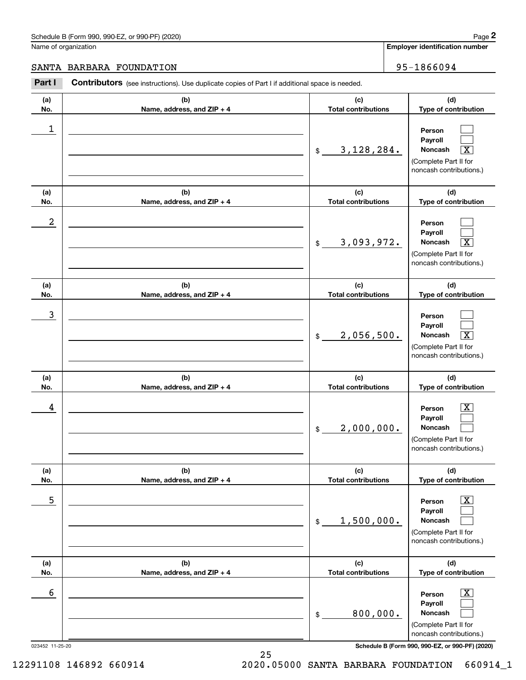# Schedule B (Form 990, 990-EZ, or 990-PF) (2020) Page 2

## SANTA BARBARA FOUNDATION 95-1866094

|                      | Schedule B (Form 990, 990-EZ, or 990-PF) (2020)                                                |                                   | Page 2                                                                                                      |
|----------------------|------------------------------------------------------------------------------------------------|-----------------------------------|-------------------------------------------------------------------------------------------------------------|
| Name of organization |                                                                                                |                                   | <b>Employer identification number</b>                                                                       |
|                      | SANTA BARBARA FOUNDATION                                                                       |                                   | 95-1866094                                                                                                  |
| Part I               | Contributors (see instructions). Use duplicate copies of Part I if additional space is needed. |                                   |                                                                                                             |
| (a)<br>No.           | (b)<br>Name, address, and ZIP + 4                                                              | (c)<br><b>Total contributions</b> | (d)<br>Type of contribution                                                                                 |
| 1                    |                                                                                                | 3, 128, 284.<br>\$                | Person<br>Payroll<br>Noncash<br>$\overline{\text{X}}$<br>(Complete Part II for<br>noncash contributions.)   |
| (a)<br>No.           | (b)<br>Name, address, and ZIP + 4                                                              | (c)<br><b>Total contributions</b> | (d)<br>Type of contribution                                                                                 |
| $\boldsymbol{2}$     |                                                                                                | 3,093,972.<br>\$                  | Person<br>Payroll<br>Noncash<br>$\overline{\text{X}}$<br>(Complete Part II for<br>noncash contributions.)   |
| (a)<br>No.           | (b)<br>Name, address, and ZIP + 4                                                              | (c)<br><b>Total contributions</b> | (d)<br>Type of contribution                                                                                 |
| 3                    |                                                                                                | 2,056,500.<br>\$                  | Person<br>Payroll<br>$\overline{\mathbf{X}}$<br>Noncash<br>(Complete Part II for<br>noncash contributions.) |
| (a)<br>No.           | (b)<br>Name, address, and ZIP + 4                                                              | (c)<br><b>Total contributions</b> | (d)<br>Type of contribution                                                                                 |
| 4                    |                                                                                                | 2,000,000.<br>\$                  | $\mathbf{X}$<br>Person<br>Payroll<br>Noncash<br>(Complete Part II for<br>noncash contributions.)            |
| (a)<br>No.           | (b)<br>Name, address, and ZIP + 4                                                              | (c)<br><b>Total contributions</b> | (d)<br>Type of contribution                                                                                 |
| 5                    |                                                                                                | 1,500,000.<br>\$                  | $\boxed{\text{X}}$<br>Person<br>Payroll<br>Noncash<br>(Complete Part II for<br>noncash contributions.)      |
| (a)<br>No.           | (b)<br>Name, address, and ZIP + 4                                                              | (c)<br><b>Total contributions</b> | (d)<br>Type of contribution                                                                                 |
| 6                    |                                                                                                | 800,000.<br>\$                    | $\boxed{\text{X}}$<br>Person<br>Payroll<br>Noncash<br>(Complete Part II for<br>noncash contributions.)      |
| 023452 11-25-20      |                                                                                                |                                   | Schedule B (Form 990, 990-EZ, or 990-PF) (2020)                                                             |

25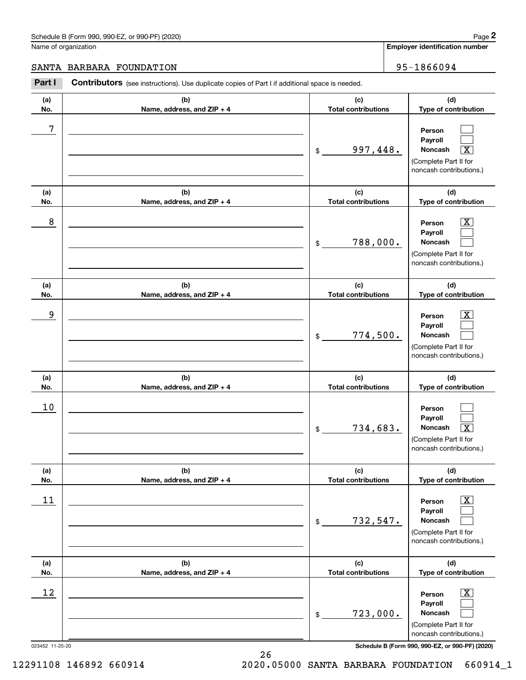# Schedule B (Form 990, 990-EZ, or 990-PF) (2020) Page 2

## SANTA BARBARA FOUNDATION 95-1866094

|                      | Schedule B (Form 990, 990-EZ, or 990-PF) (2020)                                                       |                                   | Page 2                                                                                                      |
|----------------------|-------------------------------------------------------------------------------------------------------|-----------------------------------|-------------------------------------------------------------------------------------------------------------|
| Name of organization |                                                                                                       |                                   | <b>Employer identification number</b>                                                                       |
|                      | SANTA BARBARA FOUNDATION                                                                              |                                   | 95-1866094                                                                                                  |
| Part I               | <b>Contributors</b> (see instructions). Use duplicate copies of Part I if additional space is needed. |                                   |                                                                                                             |
| (a)<br>No.           | (b)<br>Name, address, and ZIP + 4                                                                     | (c)<br><b>Total contributions</b> | (d)<br>Type of contribution                                                                                 |
| 7                    |                                                                                                       | 997,448.<br>\$                    | Person<br>Payroll<br>Noncash<br>$\overline{\texttt{X}}$<br>(Complete Part II for<br>noncash contributions.) |
| (a)<br>No.           | (b)<br>Name, address, and ZIP + 4                                                                     | (c)<br><b>Total contributions</b> | (d)<br>Type of contribution                                                                                 |
| 8                    |                                                                                                       | 788,000.<br>\$                    | X<br>Person<br>Payroll<br>Noncash<br>(Complete Part II for<br>noncash contributions.)                       |
| (a)<br>No.           | (b)<br>Name, address, and ZIP + 4                                                                     | (c)<br><b>Total contributions</b> | (d)<br>Type of contribution                                                                                 |
| 9                    |                                                                                                       | 774,500.<br>\$                    | X<br>Person<br>Payroll<br>Noncash<br>(Complete Part II for<br>noncash contributions.)                       |
| (a)<br>No.           | (b)<br>Name, address, and ZIP + 4                                                                     | (c)<br><b>Total contributions</b> | (d)<br>Type of contribution                                                                                 |
| 10                   |                                                                                                       | 734,683.<br>\$                    | Person<br>Payroll<br>Noncash<br>$\boxed{\text{X}}$<br>(Complete Part II for<br>noncash contributions.)      |
| (a)<br>No.           | (b)<br>Name, address, and ZIP + 4                                                                     | (c)<br><b>Total contributions</b> | (d)<br>Type of contribution                                                                                 |
| 11                   |                                                                                                       | 732,547.<br>\$                    | $\boxed{\text{X}}$<br>Person<br>Payroll<br>Noncash<br>(Complete Part II for<br>noncash contributions.)      |
| (a)<br>No.           | (b)<br>Name, address, and ZIP + 4                                                                     | (c)<br><b>Total contributions</b> | (d)<br>Type of contribution                                                                                 |
| 12                   |                                                                                                       | 723,000.<br>\$                    | $\boxed{\text{X}}$<br>Person<br>Payroll<br>Noncash<br>(Complete Part II for<br>noncash contributions.)      |
| 023452 11-25-20      |                                                                                                       |                                   | Schedule B (Form 990, 990-EZ, or 990-PF) (2020)                                                             |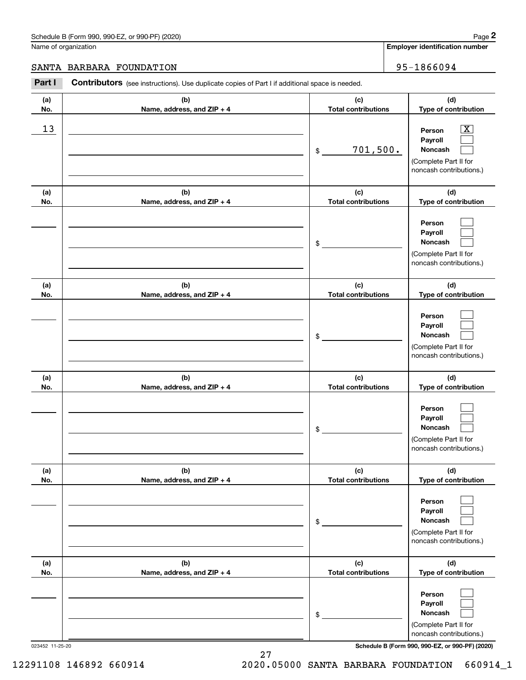# SANTA BARBARA FOUNDATION 95-1866094

|            | Schedule B (Form 990, 990-EZ, or 990-PF) (2020)                                                |                                   | Page 2                                                                                                    |
|------------|------------------------------------------------------------------------------------------------|-----------------------------------|-----------------------------------------------------------------------------------------------------------|
|            | Name of organization                                                                           |                                   | <b>Employer identification number</b>                                                                     |
|            | SANTA BARBARA FOUNDATION                                                                       |                                   | 95-1866094                                                                                                |
| Part I     | Contributors (see instructions). Use duplicate copies of Part I if additional space is needed. |                                   |                                                                                                           |
| (a)<br>No. | (b)<br>Name, address, and ZIP + 4                                                              | (c)<br><b>Total contributions</b> | (d)<br>Type of contribution                                                                               |
| 13         |                                                                                                | 701,500.<br>\$                    | $\overline{\text{X}}$<br>Person<br>Payroll<br>Noncash<br>(Complete Part II for<br>noncash contributions.) |
| (a)<br>No. | (b)<br>Name, address, and ZIP + 4                                                              | (c)<br><b>Total contributions</b> | (d)<br>Type of contribution                                                                               |
|            |                                                                                                | \$                                | Person<br>Payroll<br>Noncash<br>(Complete Part II for<br>noncash contributions.)                          |
| (a)<br>No. | (b)<br>Name, address, and ZIP + 4                                                              | (c)<br><b>Total contributions</b> | (d)<br>Type of contribution                                                                               |
|            |                                                                                                | \$                                | Person<br>Payroll<br>Noncash<br>(Complete Part II for<br>noncash contributions.)                          |
| (a)<br>No. | (b)<br>Name, address, and ZIP + 4                                                              | (c)<br><b>Total contributions</b> | (d)<br>Type of contribution                                                                               |
|            |                                                                                                | \$                                | Person<br>Payroll<br>Noncash<br>(Complete Part II for<br>noncash contributions.)                          |
| (a)<br>No. | (b)<br>Name, address, and ZIP + 4                                                              | (c)<br><b>Total contributions</b> | (d)<br>Type of contribution                                                                               |
|            |                                                                                                | \$                                | Person<br>Payroll<br>Noncash<br>(Complete Part II for<br>noncash contributions.)                          |
| (a)<br>No. | (b)<br>Name, address, and ZIP + 4                                                              | (c)<br><b>Total contributions</b> | (d)<br>Type of contribution                                                                               |
|            |                                                                                                | \$                                | Person<br>Payroll<br>Noncash<br>(Complete Part II for<br>noncash contributions.)                          |

27

023452 11-25-20 **Schedule B (Form 990, 990-EZ, or 990-PF) (2020)**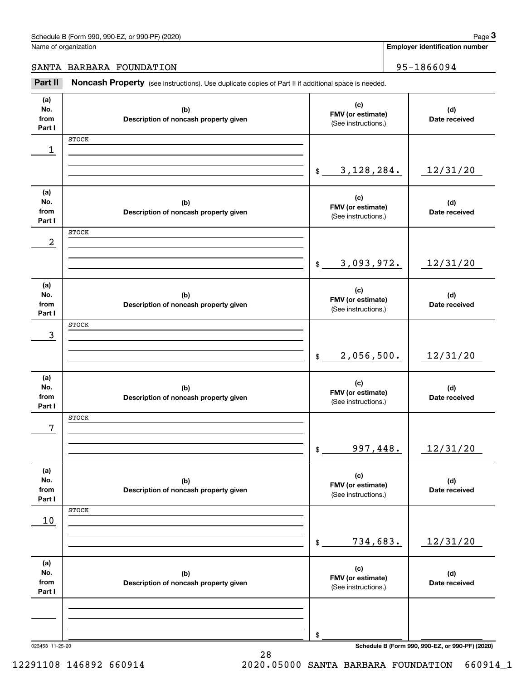**Employer identification number**

SANTA BARBARA FOUNDATION 95-1866094

Chedule B (Form 990, 990-EZ, or 990-PF) (2020)<br> **3Part II is additional space is needed.**<br> **3Part II is ADDAREA PROPERTY** (see instructions). Use duplicate copies of Part II if additional space is needed.

| (a)<br>No.<br>from<br>Part I | (b)<br>Description of noncash property given | (c)<br>FMV (or estimate)<br>(See instructions.) | (d)<br>Date received                            |
|------------------------------|----------------------------------------------|-------------------------------------------------|-------------------------------------------------|
|                              | <b>STOCK</b>                                 |                                                 |                                                 |
| 1                            |                                              |                                                 |                                                 |
|                              |                                              | 3, 128, 284.<br>$$\mathbb{S}$$                  | 12/31/20                                        |
|                              |                                              |                                                 |                                                 |
| (a)                          |                                              |                                                 |                                                 |
| No.                          | (b)                                          | (c)<br>FMV (or estimate)                        | (d)                                             |
| from<br>Part I               | Description of noncash property given        | (See instructions.)                             | Date received                                   |
|                              | <b>STOCK</b>                                 |                                                 |                                                 |
| $\boldsymbol{2}$             |                                              |                                                 |                                                 |
|                              |                                              |                                                 |                                                 |
|                              |                                              | 3,093,972.<br>\$                                | 12/31/20                                        |
|                              |                                              |                                                 |                                                 |
| (a)<br>No.                   | (b)                                          | (c)                                             | (d)                                             |
| from                         | Description of noncash property given        | FMV (or estimate)                               | Date received                                   |
| Part I                       |                                              | (See instructions.)                             |                                                 |
|                              | <b>STOCK</b>                                 |                                                 |                                                 |
| 3                            |                                              |                                                 |                                                 |
|                              |                                              | 2,056,500.<br>$$\mathbb{S}$$                    | 12/31/20                                        |
|                              |                                              |                                                 |                                                 |
| (a)                          |                                              |                                                 |                                                 |
| No.                          | (b)                                          | (c)<br>FMV (or estimate)                        | (d)                                             |
| from<br>Part I               | Description of noncash property given        | (See instructions.)                             | Date received                                   |
|                              | <b>STOCK</b>                                 |                                                 |                                                 |
| 7                            |                                              |                                                 |                                                 |
|                              |                                              |                                                 |                                                 |
|                              |                                              | 997, 448.<br>$\$$                               | 12/31/20                                        |
|                              |                                              |                                                 |                                                 |
| (a)<br>No.                   |                                              | (c)                                             |                                                 |
| from                         | (b)<br>Description of noncash property given | FMV (or estimate)                               | (d)<br>Date received                            |
| Part I                       |                                              | (See instructions.)                             |                                                 |
|                              | STOCK                                        |                                                 |                                                 |
| 10                           |                                              |                                                 |                                                 |
|                              |                                              | 734,683.                                        | 12/31/20                                        |
|                              |                                              | $\,$                                            |                                                 |
| (a)                          |                                              |                                                 |                                                 |
| No.                          | (b)                                          | (c)<br>FMV (or estimate)                        | (d)                                             |
| from                         | Description of noncash property given        | (See instructions.)                             | Date received                                   |
| Part I                       |                                              |                                                 |                                                 |
|                              |                                              |                                                 |                                                 |
|                              |                                              |                                                 |                                                 |
|                              |                                              | \$                                              |                                                 |
| 023453 11-25-20              |                                              |                                                 | Schedule B (Form 990, 990-EZ, or 990-PF) (2020) |

28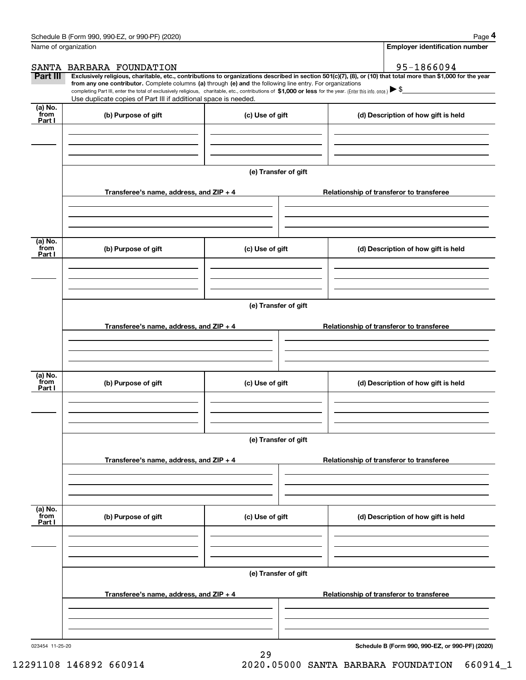|                           | Schedule B (Form 990, 990-EZ, or 990-PF) (2020)                                                                                                                                                                                                                                                 |                      |  | Page 4                                                                                                                                                         |  |  |  |
|---------------------------|-------------------------------------------------------------------------------------------------------------------------------------------------------------------------------------------------------------------------------------------------------------------------------------------------|----------------------|--|----------------------------------------------------------------------------------------------------------------------------------------------------------------|--|--|--|
| Name of organization      |                                                                                                                                                                                                                                                                                                 |                      |  | <b>Employer identification number</b>                                                                                                                          |  |  |  |
|                           | SANTA BARBARA FOUNDATION                                                                                                                                                                                                                                                                        |                      |  | 95-1866094                                                                                                                                                     |  |  |  |
| Part III                  | from any one contributor. Complete columns (a) through (e) and the following line entry. For organizations<br>completing Part III, enter the total of exclusively religious, charitable, etc., contributions of \$1,000 or less for the year. (Enter this info. once.) $\blacktriangleright$ \$ |                      |  | Exclusively religious, charitable, etc., contributions to organizations described in section 501(c)(7), (8), or (10) that total more than \$1,000 for the year |  |  |  |
|                           | Use duplicate copies of Part III if additional space is needed.                                                                                                                                                                                                                                 |                      |  |                                                                                                                                                                |  |  |  |
| (a) No.<br>from<br>Part I | (b) Purpose of gift                                                                                                                                                                                                                                                                             | (c) Use of gift      |  | (d) Description of how gift is held                                                                                                                            |  |  |  |
|                           |                                                                                                                                                                                                                                                                                                 |                      |  |                                                                                                                                                                |  |  |  |
|                           |                                                                                                                                                                                                                                                                                                 |                      |  |                                                                                                                                                                |  |  |  |
|                           |                                                                                                                                                                                                                                                                                                 | (e) Transfer of gift |  |                                                                                                                                                                |  |  |  |
|                           | Transferee's name, address, and ZIP + 4                                                                                                                                                                                                                                                         |                      |  | Relationship of transferor to transferee                                                                                                                       |  |  |  |
|                           |                                                                                                                                                                                                                                                                                                 |                      |  |                                                                                                                                                                |  |  |  |
| (a) No.<br>from<br>Part I | (b) Purpose of gift                                                                                                                                                                                                                                                                             | (c) Use of gift      |  | (d) Description of how gift is held                                                                                                                            |  |  |  |
|                           |                                                                                                                                                                                                                                                                                                 |                      |  |                                                                                                                                                                |  |  |  |
|                           |                                                                                                                                                                                                                                                                                                 |                      |  |                                                                                                                                                                |  |  |  |
|                           | (e) Transfer of gift                                                                                                                                                                                                                                                                            |                      |  |                                                                                                                                                                |  |  |  |
|                           | Transferee's name, address, and ZIP + 4                                                                                                                                                                                                                                                         |                      |  | Relationship of transferor to transferee                                                                                                                       |  |  |  |
|                           |                                                                                                                                                                                                                                                                                                 |                      |  |                                                                                                                                                                |  |  |  |
| (a) No.<br>from<br>Part I | (b) Purpose of gift                                                                                                                                                                                                                                                                             | (c) Use of gift      |  | (d) Description of how gift is held                                                                                                                            |  |  |  |
|                           |                                                                                                                                                                                                                                                                                                 |                      |  |                                                                                                                                                                |  |  |  |
|                           |                                                                                                                                                                                                                                                                                                 | (e) Transfer of gift |  |                                                                                                                                                                |  |  |  |
|                           | Transferee's name, address, and ZIP + 4                                                                                                                                                                                                                                                         |                      |  | Relationship of transferor to transferee                                                                                                                       |  |  |  |
|                           |                                                                                                                                                                                                                                                                                                 |                      |  |                                                                                                                                                                |  |  |  |
| (a) No.<br>from<br>Part I | (b) Purpose of gift                                                                                                                                                                                                                                                                             | (c) Use of gift      |  | (d) Description of how gift is held                                                                                                                            |  |  |  |
|                           |                                                                                                                                                                                                                                                                                                 |                      |  |                                                                                                                                                                |  |  |  |
|                           |                                                                                                                                                                                                                                                                                                 |                      |  |                                                                                                                                                                |  |  |  |
|                           |                                                                                                                                                                                                                                                                                                 | (e) Transfer of gift |  |                                                                                                                                                                |  |  |  |
|                           | Transferee's name, address, and ZIP + 4                                                                                                                                                                                                                                                         |                      |  | Relationship of transferor to transferee                                                                                                                       |  |  |  |
|                           |                                                                                                                                                                                                                                                                                                 |                      |  |                                                                                                                                                                |  |  |  |
|                           |                                                                                                                                                                                                                                                                                                 |                      |  |                                                                                                                                                                |  |  |  |

29

023454 11-25-20

**Schedule B (Form 990, 990-EZ, or 990-PF) (2020)**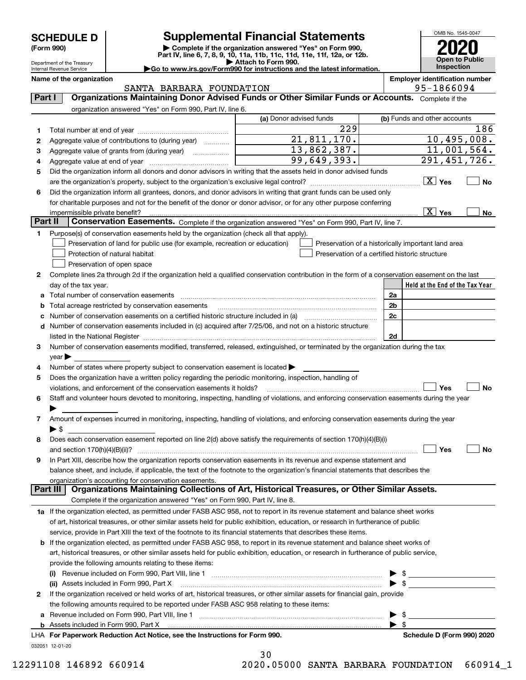| <b>SCHEDULE D</b> |  |
|-------------------|--|
|-------------------|--|

Department of the Treasury Internal Revenue Service

# **SCHEDULE D Supplemental Financial Statements**

(Form 990)<br>
Pepartment of the Treasury<br>
Department of the Treasury<br>
Department of the Treasury<br>
Department of the Treasury<br> **Co to www.irs.gov/Form990 for instructions and the latest information.**<br> **Co to www.irs.gov/Form9** 

OMB No. 1545-0047 **Open to Public Inspection2020**

|  |  |  | ≻Go to www.irs.gov/Form990 for instructions and the latest inform |  |  |  |
|--|--|--|-------------------------------------------------------------------|--|--|--|
|  |  |  |                                                                   |  |  |  |

**Name of the organization Employer identification number**

|         | SANTA BARBARA FOUNDATION                                                                                                                       |                                                    |                         | 95-1866094                      |
|---------|------------------------------------------------------------------------------------------------------------------------------------------------|----------------------------------------------------|-------------------------|---------------------------------|
| Part I  | Organizations Maintaining Donor Advised Funds or Other Similar Funds or Accounts. Complete if the                                              |                                                    |                         |                                 |
|         | organization answered "Yes" on Form 990, Part IV, line 6.                                                                                      |                                                    |                         |                                 |
|         |                                                                                                                                                | (a) Donor advised funds                            |                         | (b) Funds and other accounts    |
| 1       |                                                                                                                                                | 229                                                |                         | 186                             |
| 2       | Aggregate value of contributions to (during year)                                                                                              | 21,811,170.                                        |                         | 10,495,008.                     |
| з       | Aggregate value of grants from (during year)                                                                                                   | 13,862,387.                                        |                         | 11,001,564.                     |
| 4       |                                                                                                                                                | 99,649,393.                                        |                         | 291,451,726.                    |
| 5       | Did the organization inform all donors and donor advisors in writing that the assets held in donor advised funds                               |                                                    |                         |                                 |
|         |                                                                                                                                                |                                                    |                         | $\boxed{\text{X}}$ Yes<br>No    |
| 6       | Did the organization inform all grantees, donors, and donor advisors in writing that grant funds can be used only                              |                                                    |                         |                                 |
|         | for charitable purposes and not for the benefit of the donor or donor advisor, or for any other purpose conferring                             |                                                    |                         |                                 |
|         | impermissible private benefit?                                                                                                                 |                                                    |                         | $\boxed{\text{X}}$ Yes<br>No    |
| Part II | Conservation Easements. Complete if the organization answered "Yes" on Form 990, Part IV, line 7.                                              |                                                    |                         |                                 |
| 1.      |                                                                                                                                                |                                                    |                         |                                 |
|         | Purpose(s) of conservation easements held by the organization (check all that apply).                                                          |                                                    |                         |                                 |
|         | Preservation of land for public use (for example, recreation or education)                                                                     | Preservation of a historically important land area |                         |                                 |
|         | Protection of natural habitat                                                                                                                  | Preservation of a certified historic structure     |                         |                                 |
|         | Preservation of open space                                                                                                                     |                                                    |                         |                                 |
| 2       | Complete lines 2a through 2d if the organization held a qualified conservation contribution in the form of a conservation easement on the last |                                                    |                         |                                 |
|         | day of the tax year.                                                                                                                           |                                                    |                         | Held at the End of the Tax Year |
|         |                                                                                                                                                |                                                    | 2a                      |                                 |
|         | Total acreage restricted by conservation easements                                                                                             |                                                    | 2 <sub>b</sub>          |                                 |
|         |                                                                                                                                                |                                                    | 2c                      |                                 |
| d       | Number of conservation easements included in (c) acquired after 7/25/06, and not on a historic structure                                       |                                                    |                         |                                 |
|         | listed in the National Register [111] [12] The Mational Register [11] Matter Matter Matter Matter Matter Matte                                 |                                                    | 2d                      |                                 |
| 3       | Number of conservation easements modified, transferred, released, extinguished, or terminated by the organization during the tax               |                                                    |                         |                                 |
|         | $year \blacktriangleright$                                                                                                                     |                                                    |                         |                                 |
| 4       | Number of states where property subject to conservation easement is located >                                                                  |                                                    |                         |                                 |
| 5       | Does the organization have a written policy regarding the periodic monitoring, inspection, handling of                                         |                                                    |                         |                                 |
|         | violations, and enforcement of the conservation easements it holds?                                                                            |                                                    |                         | Yes<br>No                       |
| 6       | Staff and volunteer hours devoted to monitoring, inspecting, handling of violations, and enforcing conservation easements during the year      |                                                    |                         |                                 |
|         |                                                                                                                                                |                                                    |                         |                                 |
| 7       | Amount of expenses incurred in monitoring, inspecting, handling of violations, and enforcing conservation easements during the year            |                                                    |                         |                                 |
|         | ▶ \$                                                                                                                                           |                                                    |                         |                                 |
| 8       | Does each conservation easement reported on line 2(d) above satisfy the requirements of section 170(h)(4)(B)(i)                                |                                                    |                         |                                 |
|         | and section $170(h)(4)(B)(ii)?$                                                                                                                |                                                    |                         | Yes<br>No                       |
| 9       | In Part XIII, describe how the organization reports conservation easements in its revenue and expense statement and                            |                                                    |                         |                                 |
|         | balance sheet, and include, if applicable, the text of the footnote to the organization's financial statements that describes the              |                                                    |                         |                                 |
|         | organization's accounting for conservation easements.                                                                                          |                                                    |                         |                                 |
|         | Organizations Maintaining Collections of Art, Historical Treasures, or Other Similar Assets.<br>Part III                                       |                                                    |                         |                                 |
|         | Complete if the organization answered "Yes" on Form 990, Part IV, line 8.                                                                      |                                                    |                         |                                 |
|         | 1a If the organization elected, as permitted under FASB ASC 958, not to report in its revenue statement and balance sheet works                |                                                    |                         |                                 |
|         | of art, historical treasures, or other similar assets held for public exhibition, education, or research in furtherance of public              |                                                    |                         |                                 |
|         | service, provide in Part XIII the text of the footnote to its financial statements that describes these items.                                 |                                                    |                         |                                 |
| b       | If the organization elected, as permitted under FASB ASC 958, to report in its revenue statement and balance sheet works of                    |                                                    |                         |                                 |
|         | art, historical treasures, or other similar assets held for public exhibition, education, or research in furtherance of public service,        |                                                    |                         |                                 |
|         | provide the following amounts relating to these items:                                                                                         |                                                    |                         |                                 |
|         |                                                                                                                                                |                                                    |                         | \$                              |
|         | (ii) Assets included in Form 990, Part X                                                                                                       |                                                    |                         |                                 |
|         |                                                                                                                                                |                                                    |                         | $\frac{1}{2}$                   |
| 2       | If the organization received or held works of art, historical treasures, or other similar assets for financial gain, provide                   |                                                    |                         |                                 |
|         | the following amounts required to be reported under FASB ASC 958 relating to these items:                                                      |                                                    |                         |                                 |
| а       | Revenue included on Form 990, Part VIII, line 1 manufactured contracts and contracts and contracts and contracts                               |                                                    |                         | $\frac{1}{2}$                   |
| b       |                                                                                                                                                |                                                    | $\blacktriangleright$ s |                                 |
|         | LHA For Paperwork Reduction Act Notice, see the Instructions for Form 990.                                                                     |                                                    |                         | Schedule D (Form 990) 2020      |
|         | 032051 12-01-20                                                                                                                                |                                                    |                         |                                 |

| 30 |  |           |  |  |
|----|--|-----------|--|--|
| ົົ |  | 0 F O O O |  |  |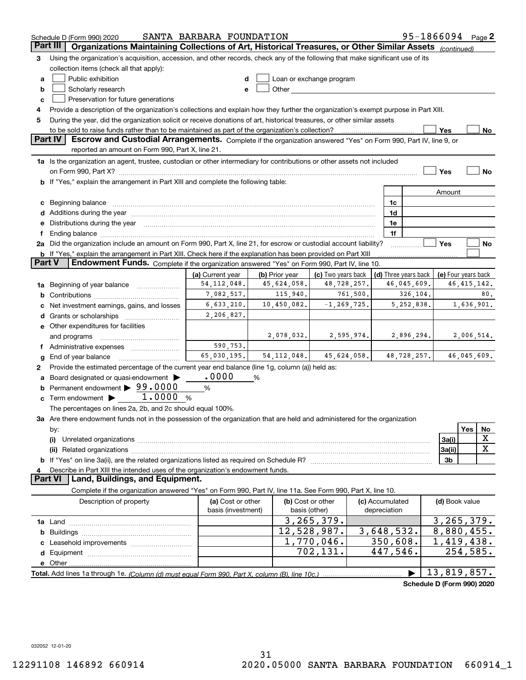|          | Schedule D (Form 990) 2020                                                                                                                                                                                                        | SANTA BARBARA FOUNDATION |                |                                                                                                                                                                                                                               |                 |                      | 95-1866094 Page 2          |     |               |  |  |
|----------|-----------------------------------------------------------------------------------------------------------------------------------------------------------------------------------------------------------------------------------|--------------------------|----------------|-------------------------------------------------------------------------------------------------------------------------------------------------------------------------------------------------------------------------------|-----------------|----------------------|----------------------------|-----|---------------|--|--|
| Part III | Organizations Maintaining Collections of Art, Historical Treasures, or Other Similar Assets (continued)                                                                                                                           |                          |                |                                                                                                                                                                                                                               |                 |                      |                            |     |               |  |  |
| 3        | Using the organization's acquisition, accession, and other records, check any of the following that make significant use of its                                                                                                   |                          |                |                                                                                                                                                                                                                               |                 |                      |                            |     |               |  |  |
|          | collection items (check all that apply):                                                                                                                                                                                          |                          |                |                                                                                                                                                                                                                               |                 |                      |                            |     |               |  |  |
| a        | Public exhibition                                                                                                                                                                                                                 |                          |                | Loan or exchange program                                                                                                                                                                                                      |                 |                      |                            |     |               |  |  |
| b        | Scholarly research                                                                                                                                                                                                                | e                        |                | Other and the contract of the contract of the contract of the contract of the contract of the contract of the contract of the contract of the contract of the contract of the contract of the contract of the contract of the |                 |                      |                            |     |               |  |  |
| c        | Preservation for future generations                                                                                                                                                                                               |                          |                |                                                                                                                                                                                                                               |                 |                      |                            |     |               |  |  |
|          |                                                                                                                                                                                                                                   |                          |                |                                                                                                                                                                                                                               |                 |                      |                            |     |               |  |  |
|          | Provide a description of the organization's collections and explain how they further the organization's exempt purpose in Part XIII.<br>4                                                                                         |                          |                |                                                                                                                                                                                                                               |                 |                      |                            |     |               |  |  |
|          | During the year, did the organization solicit or receive donations of art, historical treasures, or other similar assets<br>5<br>to be sold to raise funds rather than to be maintained as part of the organization's collection? |                          |                |                                                                                                                                                                                                                               |                 |                      |                            |     |               |  |  |
|          | <b>Part IV</b><br>Escrow and Custodial Arrangements. Complete if the organization answered "Yes" on Form 990, Part IV, line 9, or                                                                                                 |                          |                |                                                                                                                                                                                                                               |                 |                      | Yes                        |     | No            |  |  |
|          | reported an amount on Form 990, Part X, line 21.                                                                                                                                                                                  |                          |                |                                                                                                                                                                                                                               |                 |                      |                            |     |               |  |  |
|          |                                                                                                                                                                                                                                   |                          |                |                                                                                                                                                                                                                               |                 |                      |                            |     |               |  |  |
|          | 1a Is the organization an agent, trustee, custodian or other intermediary for contributions or other assets not included                                                                                                          |                          |                |                                                                                                                                                                                                                               |                 |                      |                            |     |               |  |  |
|          |                                                                                                                                                                                                                                   |                          |                |                                                                                                                                                                                                                               |                 |                      | Yes                        |     | No            |  |  |
|          | <b>b</b> If "Yes," explain the arrangement in Part XIII and complete the following table:                                                                                                                                         |                          |                |                                                                                                                                                                                                                               |                 |                      |                            |     |               |  |  |
|          |                                                                                                                                                                                                                                   |                          |                |                                                                                                                                                                                                                               |                 |                      | Amount                     |     |               |  |  |
| c        | Beginning balance <b>contract to the contract of the contract of the contract of the contract of the contract of t</b>                                                                                                            |                          |                |                                                                                                                                                                                                                               | 1c              |                      |                            |     |               |  |  |
|          |                                                                                                                                                                                                                                   |                          |                |                                                                                                                                                                                                                               | 1d              |                      |                            |     |               |  |  |
|          | Distributions during the year manufactured and continuum and contact the year manufactured and contact the year                                                                                                                   |                          |                |                                                                                                                                                                                                                               | 1e              |                      |                            |     |               |  |  |
|          | Ending balance manufactured and contract and contract of the contract of the contract of the contract of the contract of the contract of the contract of the contract of the contract of the contract of the contract of the c    |                          |                |                                                                                                                                                                                                                               | 1f              |                      |                            |     |               |  |  |
|          | 2a Did the organization include an amount on Form 990, Part X, line 21, for escrow or custodial account liability?                                                                                                                |                          |                |                                                                                                                                                                                                                               |                 |                      | Yes                        |     | No            |  |  |
|          | <b>b</b> If "Yes," explain the arrangement in Part XIII. Check here if the explanation has been provided on Part XIII                                                                                                             |                          |                |                                                                                                                                                                                                                               |                 |                      |                            |     |               |  |  |
| Part V   | Endowment Funds. Complete if the organization answered "Yes" on Form 990, Part IV, line 10.                                                                                                                                       |                          |                |                                                                                                                                                                                                                               |                 |                      |                            |     |               |  |  |
|          |                                                                                                                                                                                                                                   | (a) Current year         | (b) Prior year | (c) Two years back                                                                                                                                                                                                            |                 | (d) Three years back | (e) Four years back        |     |               |  |  |
| 1a       | Beginning of year balance                                                                                                                                                                                                         | 54, 112, 048.            | 45,624,058.    | 48,728,257.                                                                                                                                                                                                                   |                 | 46,045,609.          |                            |     | 46, 415, 142. |  |  |
| b        |                                                                                                                                                                                                                                   | 7,082,517.               | 115,940.       | 761,500.                                                                                                                                                                                                                      |                 | 326,104.             |                            |     | 80.           |  |  |
|          | 6,633,210.<br>10,450,082.<br>$-1, 269, 725.$<br>5, 252, 838.<br>1,636,901.<br>Net investment earnings, gains, and losses                                                                                                          |                          |                |                                                                                                                                                                                                                               |                 |                      |                            |     |               |  |  |
| d        | Grants or scholarships                                                                                                                                                                                                            | 2,206,827.               |                |                                                                                                                                                                                                                               |                 |                      |                            |     |               |  |  |
|          | e Other expenditures for facilities                                                                                                                                                                                               |                          |                |                                                                                                                                                                                                                               |                 |                      |                            |     |               |  |  |
|          | and programs                                                                                                                                                                                                                      |                          | 2,078,032.     | 2,595,974.                                                                                                                                                                                                                    |                 | 2,896,294.           |                            |     | 2,006,514.    |  |  |
|          | f Administrative expenses                                                                                                                                                                                                         | 590,753.                 |                |                                                                                                                                                                                                                               |                 |                      |                            |     |               |  |  |
| g        | End of year balance                                                                                                                                                                                                               | 65,030,195.              | 54, 112, 048.  | 45,624,058.                                                                                                                                                                                                                   |                 | 48,728,257.          |                            |     | 46,045,609.   |  |  |
| 2        | Provide the estimated percentage of the current year end balance (line 1g, column (a)) held as:                                                                                                                                   |                          |                |                                                                                                                                                                                                                               |                 |                      |                            |     |               |  |  |
|          | Board designated or quasi-endowment                                                                                                                                                                                               | .0000                    | %              |                                                                                                                                                                                                                               |                 |                      |                            |     |               |  |  |
|          | Permanent endowment > 99.0000                                                                                                                                                                                                     | %                        |                |                                                                                                                                                                                                                               |                 |                      |                            |     |               |  |  |
| c        | Term endowment $\blacktriangleright$ 1.0000 %                                                                                                                                                                                     |                          |                |                                                                                                                                                                                                                               |                 |                      |                            |     |               |  |  |
|          | The percentages on lines 2a, 2b, and 2c should equal 100%.                                                                                                                                                                        |                          |                |                                                                                                                                                                                                                               |                 |                      |                            |     |               |  |  |
|          | 3a Are there endowment funds not in the possession of the organization that are held and administered for the organization                                                                                                        |                          |                |                                                                                                                                                                                                                               |                 |                      |                            |     |               |  |  |
|          |                                                                                                                                                                                                                                   |                          |                |                                                                                                                                                                                                                               |                 |                      |                            | Yes |               |  |  |
|          | by:                                                                                                                                                                                                                               |                          |                |                                                                                                                                                                                                                               |                 |                      |                            |     | No<br>х       |  |  |
|          | (i)                                                                                                                                                                                                                               |                          |                |                                                                                                                                                                                                                               |                 |                      | 3a(i)                      |     | X             |  |  |
|          |                                                                                                                                                                                                                                   |                          |                |                                                                                                                                                                                                                               |                 |                      | 3a(ii)                     |     |               |  |  |
|          |                                                                                                                                                                                                                                   |                          |                |                                                                                                                                                                                                                               |                 |                      | 3 <sub>b</sub>             |     |               |  |  |
|          | Describe in Part XIII the intended uses of the organization's endowment funds.<br>Land, Buildings, and Equipment.<br><b>Part VI</b>                                                                                               |                          |                |                                                                                                                                                                                                                               |                 |                      |                            |     |               |  |  |
|          |                                                                                                                                                                                                                                   |                          |                |                                                                                                                                                                                                                               |                 |                      |                            |     |               |  |  |
|          | Complete if the organization answered "Yes" on Form 990, Part IV, line 11a. See Form 990, Part X, line 10.                                                                                                                        |                          |                |                                                                                                                                                                                                                               |                 |                      |                            |     |               |  |  |
|          | Description of property                                                                                                                                                                                                           | (a) Cost or other        |                | (b) Cost or other                                                                                                                                                                                                             | (c) Accumulated |                      | (d) Book value             |     |               |  |  |
|          |                                                                                                                                                                                                                                   | basis (investment)       |                | basis (other)                                                                                                                                                                                                                 | depreciation    |                      |                            |     |               |  |  |
|          |                                                                                                                                                                                                                                   |                          |                | 3, 265, 379.                                                                                                                                                                                                                  |                 |                      | 3, 265, 379.               |     |               |  |  |
| b        |                                                                                                                                                                                                                                   |                          |                | 12,528,987.                                                                                                                                                                                                                   | 3,648,532.      |                      | 8,880,455.                 |     |               |  |  |
|          |                                                                                                                                                                                                                                   |                          |                | 1,770,046.                                                                                                                                                                                                                    | 350,608.        |                      | $\overline{1,419,438.}$    |     |               |  |  |
|          |                                                                                                                                                                                                                                   |                          |                | 702,131.                                                                                                                                                                                                                      | 447,546.        |                      | 254,585.                   |     |               |  |  |
|          | e Other                                                                                                                                                                                                                           |                          |                |                                                                                                                                                                                                                               |                 |                      |                            |     |               |  |  |
|          | Total. Add lines 1a through 1e. (Column (d) must equal Form 990. Part X, column (B), line 10c.)                                                                                                                                   |                          |                |                                                                                                                                                                                                                               |                 |                      | 13,819,857.                |     |               |  |  |
|          |                                                                                                                                                                                                                                   |                          |                |                                                                                                                                                                                                                               |                 |                      | Schedule D (Form 990) 2020 |     |               |  |  |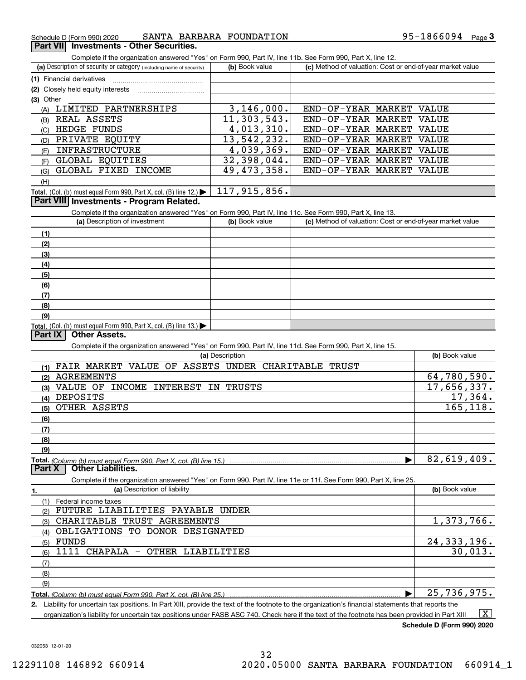# **3Part VII Investments - Other Securities.**

Complete if the organization answered "Yes" on Form 990, Part IV, line 11b. See Form 990, Part X, line 12.

| (a) Description of security or category (including name of security)                   | (b) Book value | (c) Method of valuation: Cost or end-of-year market value |  |  |  |  |
|----------------------------------------------------------------------------------------|----------------|-----------------------------------------------------------|--|--|--|--|
| (1) Financial derivatives                                                              |                |                                                           |  |  |  |  |
| (2) Closely held equity interests                                                      |                |                                                           |  |  |  |  |
| $(3)$ Other                                                                            |                |                                                           |  |  |  |  |
| LIMITED PARTNERSHIPS<br>(A)                                                            | 3, 146, 000.   | END-OF-YEAR MARKET VALUE                                  |  |  |  |  |
| REAL ASSETS<br>(B)                                                                     | 11, 303, 543.  | END-OF-YEAR MARKET VALUE                                  |  |  |  |  |
| HEDGE FUNDS<br>(C)                                                                     | 4,013,310.     | END-OF-YEAR MARKET<br><b>VALUE</b>                        |  |  |  |  |
| PRIVATE EQUITY<br>(D)                                                                  | 13,542,232.    | END-OF-YEAR MARKET VALUE                                  |  |  |  |  |
| INFRASTRUCTURE<br>(E)                                                                  | 4,039,369.     | END-OF-YEAR MARKET VALUE                                  |  |  |  |  |
| GLOBAL EQUITIES<br>(F)                                                                 | 32,398,044.    | END-OF-YEAR MARKET<br>VALUE                               |  |  |  |  |
| GLOBAL FIXED INCOME<br>(G)                                                             | 49,473,358.    | END-OF-YEAR MARKET VALUE                                  |  |  |  |  |
| (H)                                                                                    |                |                                                           |  |  |  |  |
| Total. (Col. (b) must equal Form 990, Part X, col. (B) line 12.) $\blacktriangleright$ | 117,915,856.   |                                                           |  |  |  |  |

#### **Part VIII Investments - Program Related.**

Complete if the organization answered "Yes" on Form 990, Part IV, line 11c. See Form 990, Part X, line 13.

| (a) Description of investment                                                                 | (b) Book value | (c) Method of valuation: Cost or end-of-year market value |
|-----------------------------------------------------------------------------------------------|----------------|-----------------------------------------------------------|
| (1)                                                                                           |                |                                                           |
| (2)                                                                                           |                |                                                           |
| $\left(3\right)$                                                                              |                |                                                           |
| (4)                                                                                           |                |                                                           |
| (5)                                                                                           |                |                                                           |
| (6)                                                                                           |                |                                                           |
| (7)                                                                                           |                |                                                           |
| (8)                                                                                           |                |                                                           |
| (9)                                                                                           |                |                                                           |
| <b>Total.</b> (Col. (b) must equal Form 990, Part X, col. (B) line 13.) $\blacktriangleright$ |                |                                                           |

#### <u>Total. (Col. (I</u><br>**Part IX Other Assets.**

Complete if the organization answered "Yes" on Form 990, Part IV, line 11d. See Form 990, Part X, line 15.

| oomploto il tho organization anoworda - roo- on riomn ooo, rianti ry, illio il rati ooo riomn ooo, rianti vi, illio rot<br>(a) Description |                |
|--------------------------------------------------------------------------------------------------------------------------------------------|----------------|
|                                                                                                                                            | (b) Book value |
| <b>FAIR MARKET</b><br>VALUE OF<br>ASSETS UNDER CHARITABLE<br>TRUST<br>(1)                                                                  |                |
| <b>AGREEMENTS</b><br>(2)                                                                                                                   | 64,780,590.    |
| OF<br>VALUE<br><b>INCOME</b><br>INTEREST<br>ΙN<br>TRUSTS<br>(3)                                                                            | 17,656,337.    |
| DEPOSITS<br>(4)                                                                                                                            | 17,364.        |
| OTHER ASSETS<br>(5)                                                                                                                        | 165, 118.      |
| (6)                                                                                                                                        |                |
| (7)                                                                                                                                        |                |
| (8)                                                                                                                                        |                |
| (9)                                                                                                                                        |                |
| Total. (Column (b) must equal Form 990. Part X. col. (B) line 15.)                                                                         | 82,619,409.    |
|                                                                                                                                            |                |
| <b>Other Liabilities.</b><br>Part X                                                                                                        |                |
| Complete if the organization answered "Yes" on Form 990, Part IV, line 11e or 11f. See Form 990, Part X, line 25.                          |                |
| (a) Description of liability<br>1.                                                                                                         | (b) Book value |
| (1)<br>Federal income taxes                                                                                                                |                |
| FUTURE LIABILITIES PAYABLE<br>UNDER<br>(2)                                                                                                 |                |
| <b>CHARITABLE</b><br>TRUST AGREEMENTS<br>(3)                                                                                               | 1,373,766.     |
| TO DONOR DESIGNATED<br>OBLIGATIONS<br>(4)                                                                                                  |                |
| FUNDS<br>(5)                                                                                                                               | 24, 333, 196.  |
| $1111$ CHAPALA $-$<br>OTHER LIABILITIES<br>(6)                                                                                             | 30,013.        |
| (7)                                                                                                                                        |                |
| (8)                                                                                                                                        |                |
| (9)                                                                                                                                        |                |

**Total.**  *(Column (b) must equal Form 990, Part X, col. (B) line 25.)* | 25,736,975.

**2.** Liability for uncertain tax positions. In Part XIII, provide the text of the footnote to the organization's financial statements that reports the organization's liability for uncertain tax positions under FASB ASC 740. Check here if the text of the footnote has been provided in Part XIII  $\boxed{\text{X}}$ 

**Schedule D (Form 990) 2020**

032053 12-01-20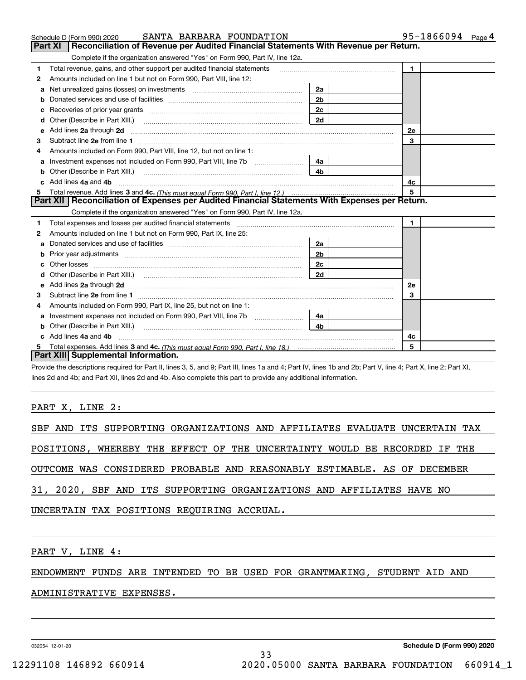|    | SANTA BARBARA FOUNDATION<br>Schedule D (Form 990) 2020                                                                                                                                                                                                                                                                                                                                                                                                       |                | 95-1866094 Page 4 |
|----|--------------------------------------------------------------------------------------------------------------------------------------------------------------------------------------------------------------------------------------------------------------------------------------------------------------------------------------------------------------------------------------------------------------------------------------------------------------|----------------|-------------------|
|    | Reconciliation of Revenue per Audited Financial Statements With Revenue per Return.<br>Part XI                                                                                                                                                                                                                                                                                                                                                               |                |                   |
|    | Complete if the organization answered "Yes" on Form 990, Part IV, line 12a.                                                                                                                                                                                                                                                                                                                                                                                  |                |                   |
| 1  | Total revenue, gains, and other support per audited financial statements                                                                                                                                                                                                                                                                                                                                                                                     |                | $\mathbf{1}$      |
| 2  | Amounts included on line 1 but not on Form 990, Part VIII, line 12:                                                                                                                                                                                                                                                                                                                                                                                          |                |                   |
| a  | Net unrealized gains (losses) on investments [11] matter matter was not all the unrealized matter was not all the unreality of the unreality of the unreality of the unreality of the unreality of the unreality of the unreal                                                                                                                                                                                                                               | 2a             |                   |
| b  |                                                                                                                                                                                                                                                                                                                                                                                                                                                              | 2 <sub>b</sub> |                   |
| c  |                                                                                                                                                                                                                                                                                                                                                                                                                                                              | 2c             |                   |
| d  | Other (Describe in Part XIII.)                                                                                                                                                                                                                                                                                                                                                                                                                               | 2d             |                   |
| е  | Add lines 2a through 2d                                                                                                                                                                                                                                                                                                                                                                                                                                      |                | <b>2e</b>         |
| з  |                                                                                                                                                                                                                                                                                                                                                                                                                                                              |                | 3                 |
|    | Amounts included on Form 990, Part VIII, line 12, but not on line 1:                                                                                                                                                                                                                                                                                                                                                                                         |                |                   |
| a  |                                                                                                                                                                                                                                                                                                                                                                                                                                                              | 4a             |                   |
| b  | Other (Describe in Part XIII.)                                                                                                                                                                                                                                                                                                                                                                                                                               | 4b             |                   |
| c  | Add lines 4a and 4b                                                                                                                                                                                                                                                                                                                                                                                                                                          |                | 4c                |
| 5  |                                                                                                                                                                                                                                                                                                                                                                                                                                                              |                | 5                 |
|    | Part XII   Reconciliation of Expenses per Audited Financial Statements With Expenses per Return.                                                                                                                                                                                                                                                                                                                                                             |                |                   |
|    | Complete if the organization answered "Yes" on Form 990, Part IV, line 12a.                                                                                                                                                                                                                                                                                                                                                                                  |                |                   |
| 1  | Total expenses and losses per audited financial statements                                                                                                                                                                                                                                                                                                                                                                                                   |                | $\blacksquare$    |
| 2  | Amounts included on line 1 but not on Form 990, Part IX, line 25:                                                                                                                                                                                                                                                                                                                                                                                            |                |                   |
| a  |                                                                                                                                                                                                                                                                                                                                                                                                                                                              | 2a             |                   |
| b  |                                                                                                                                                                                                                                                                                                                                                                                                                                                              | 2 <sub>b</sub> |                   |
|    |                                                                                                                                                                                                                                                                                                                                                                                                                                                              | 2c             |                   |
| d  |                                                                                                                                                                                                                                                                                                                                                                                                                                                              | 2d             |                   |
| е  | Add lines 2a through 2d <b>continuum contract and all and all and all and all and all and all and all and all and a</b>                                                                                                                                                                                                                                                                                                                                      |                | 2е                |
| 3  |                                                                                                                                                                                                                                                                                                                                                                                                                                                              |                | 3                 |
| 4  | Amounts included on Form 990, Part IX, line 25, but not on line 1:                                                                                                                                                                                                                                                                                                                                                                                           |                |                   |
| а  |                                                                                                                                                                                                                                                                                                                                                                                                                                                              | 4a             |                   |
|    | Other (Describe in Part XIII.)<br>$\overline{a_1, \ldots, a_n, \ldots, a_n, \ldots, a_n, \ldots, a_n, \ldots, a_n, \ldots, a_n, \ldots, a_n, \ldots, a_n, \ldots, a_n, \ldots, a_n, \ldots, a_n, \ldots, a_n, \ldots, a_n, \ldots, a_n, \ldots, a_n, \ldots, a_n, \ldots, a_n, \ldots, a_n, \ldots, a_n, \ldots, a_n, \ldots, a_n, \ldots, a_n, \ldots, a_n, \ldots, a_n, \ldots, a_n, \ldots, a_n, \ldots, a_n, \ldots, a_n, \ldots, a_n, \ldots, a_n, \ld$ | 4 <sub>b</sub> |                   |
| c. | Add lines 4a and 4b                                                                                                                                                                                                                                                                                                                                                                                                                                          |                | 4c                |
|    |                                                                                                                                                                                                                                                                                                                                                                                                                                                              |                | 5                 |
|    | Part XIII Supplemental Information.                                                                                                                                                                                                                                                                                                                                                                                                                          |                |                   |

Provide the descriptions required for Part II, lines 3, 5, and 9; Part III, lines 1a and 4; Part IV, lines 1b and 2b; Part V, line 4; Part X, line 2; Part XI, lines 2d and 4b; and Part XII, lines 2d and 4b. Also complete this part to provide any additional information.

# PART X, LINE 2:

|  |  | SBF AND ITS SUPPORTING ORGANIZATIONS AND AFFILIATES EVALUATE UNCERTAIN TAX |  |  |  |  |  |
|--|--|----------------------------------------------------------------------------|--|--|--|--|--|
|  |  | POSITIONS, WHEREBY THE EFFECT OF THE UNCERTAINTY WOULD BE RECORDED IF THE  |  |  |  |  |  |
|  |  | OUTCOME WAS CONSIDERED PROBABLE AND REASONABLY ESTIMABLE. AS OF DECEMBER   |  |  |  |  |  |
|  |  | 31, 2020, SBF AND ITS SUPPORTING ORGANIZATIONS AND AFFILIATES HAVE NO      |  |  |  |  |  |
|  |  | UNCERTAIN TAX POSITIONS REQUIRING ACCRUAL.                                 |  |  |  |  |  |
|  |  |                                                                            |  |  |  |  |  |

PART V, LINE 4:

ENDOWMENT FUNDS ARE INTENDED TO BE USED FOR GRANTMAKING, STUDENT AID AND

### ADMINISTRATIVE EXPENSES.

032054 12-01-20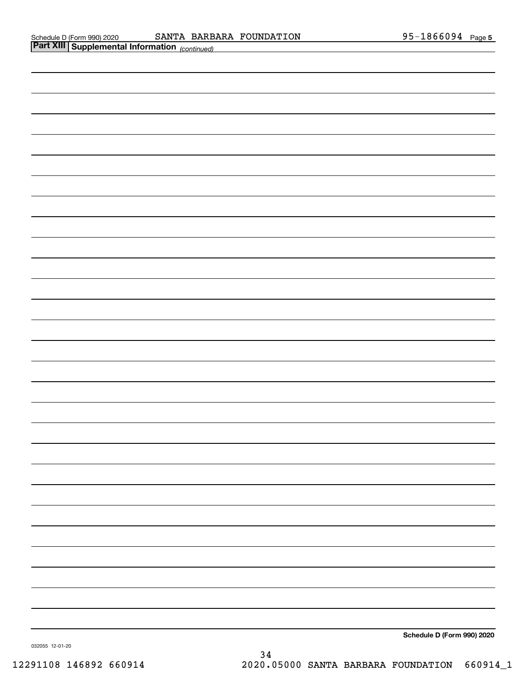| <b>Part XIII Supplemental Information</b> (continued) |                            |
|-------------------------------------------------------|----------------------------|
|                                                       |                            |
|                                                       |                            |
|                                                       |                            |
|                                                       |                            |
|                                                       |                            |
|                                                       |                            |
|                                                       |                            |
|                                                       |                            |
|                                                       |                            |
|                                                       |                            |
|                                                       |                            |
|                                                       |                            |
|                                                       |                            |
|                                                       |                            |
|                                                       |                            |
|                                                       |                            |
|                                                       |                            |
|                                                       |                            |
|                                                       |                            |
|                                                       |                            |
|                                                       |                            |
|                                                       |                            |
|                                                       |                            |
|                                                       |                            |
|                                                       |                            |
|                                                       |                            |
|                                                       |                            |
|                                                       |                            |
|                                                       |                            |
|                                                       | Cabadule D (Faum 000) 0000 |

**Schedule D (Form 990) 2020**

032055 12-01-20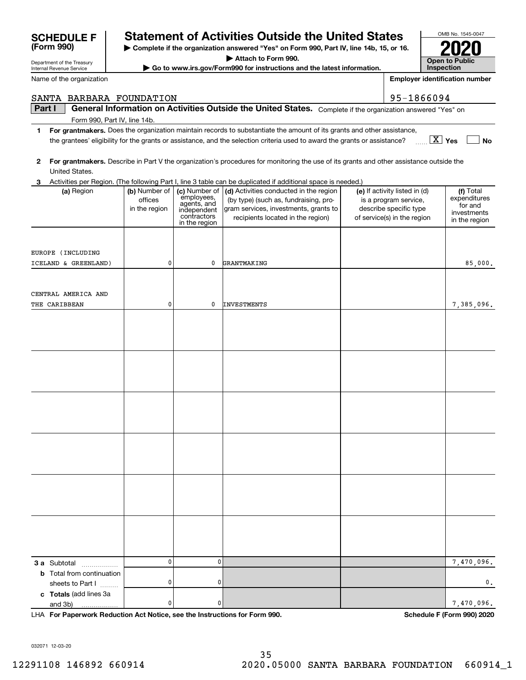|                                                  |                                           |                                                                                           |                                                                                                                                                                                                                                                                               | 95-1866094                                                                                                      |                                                                      |
|--------------------------------------------------|-------------------------------------------|-------------------------------------------------------------------------------------------|-------------------------------------------------------------------------------------------------------------------------------------------------------------------------------------------------------------------------------------------------------------------------------|-----------------------------------------------------------------------------------------------------------------|----------------------------------------------------------------------|
| SANTA BARBARA FOUNDATION<br>Part I               |                                           |                                                                                           | General Information on Activities Outside the United States. Complete if the organization answered "Yes" on                                                                                                                                                                   |                                                                                                                 |                                                                      |
| Form 990, Part IV, line 14b.                     |                                           |                                                                                           |                                                                                                                                                                                                                                                                               |                                                                                                                 |                                                                      |
| 1                                                |                                           |                                                                                           | For grantmakers. Does the organization maintain records to substantiate the amount of its grants and other assistance,<br>the grantees' eligibility for the grants or assistance, and the selection criteria used to award the grants or assistance?                          |                                                                                                                 | $\boxed{\text{X}}$ Yes<br><b>No</b>                                  |
| $\mathbf{2}$<br>United States.                   |                                           |                                                                                           | For grantmakers. Describe in Part V the organization's procedures for monitoring the use of its grants and other assistance outside the                                                                                                                                       |                                                                                                                 |                                                                      |
| 3<br>(a) Region                                  | (b) Number of<br>offices<br>in the region | (c) Number of<br>employees,<br>agents, and<br>independent<br>contractors<br>in the region | Activities per Region. (The following Part I, line 3 table can be duplicated if additional space is needed.)<br>(d) Activities conducted in the region<br>(by type) (such as, fundraising, pro-<br>gram services, investments, grants to<br>recipients located in the region) | (e) If activity listed in (d)<br>is a program service,<br>describe specific type<br>of service(s) in the region | (f) Total<br>expenditures<br>for and<br>investments<br>in the region |
| EUROPE (INCLUDING                                |                                           |                                                                                           |                                                                                                                                                                                                                                                                               |                                                                                                                 |                                                                      |
| ICELAND & GREENLAND)                             | 0                                         | 0                                                                                         | GRANTMAKING                                                                                                                                                                                                                                                                   |                                                                                                                 | 85,000,                                                              |
| CENTRAL AMERICA AND<br>THE CARIBBEAN             | 0                                         | 0                                                                                         | <b>INVESTMENTS</b>                                                                                                                                                                                                                                                            |                                                                                                                 | 7,385,096.                                                           |
|                                                  |                                           |                                                                                           |                                                                                                                                                                                                                                                                               |                                                                                                                 |                                                                      |
|                                                  |                                           |                                                                                           |                                                                                                                                                                                                                                                                               |                                                                                                                 |                                                                      |
|                                                  |                                           |                                                                                           |                                                                                                                                                                                                                                                                               |                                                                                                                 |                                                                      |
|                                                  |                                           |                                                                                           |                                                                                                                                                                                                                                                                               |                                                                                                                 |                                                                      |
|                                                  |                                           |                                                                                           |                                                                                                                                                                                                                                                                               |                                                                                                                 |                                                                      |
|                                                  |                                           |                                                                                           |                                                                                                                                                                                                                                                                               |                                                                                                                 |                                                                      |
|                                                  |                                           |                                                                                           |                                                                                                                                                                                                                                                                               |                                                                                                                 |                                                                      |
| 3 a Subtotal<br><b>b</b> Total from continuation | 0                                         | 0                                                                                         |                                                                                                                                                                                                                                                                               |                                                                                                                 | 7,470,096.                                                           |
| sheets to Part I                                 | 0                                         | 0                                                                                         |                                                                                                                                                                                                                                                                               |                                                                                                                 | 0.                                                                   |
| c Totals (add lines 3a<br>and 3b)                | 0                                         | 0                                                                                         |                                                                                                                                                                                                                                                                               |                                                                                                                 | 7,470,096.                                                           |

**| Complete if the organization answered "Yes" on Form 990, Part IV, line 14b, 15, or 16. | Attach to Form 990. | Go to www.irs.gov/Form990 for instructions and the latest information.**

**SCHEDULE F Statement of Activities Outside the United States**

**For Paperwork Reduction Act Notice, see the Instructions for Form 990. Schedule F (Form 990) 2020** LHA

032071 12-03-20

Department of the Treasury Internal Revenue Service

**(Form 990)**

Name of the organization

OMB No. 1545-0047

**2020**

**Open to Public InspectionEmployer identification number**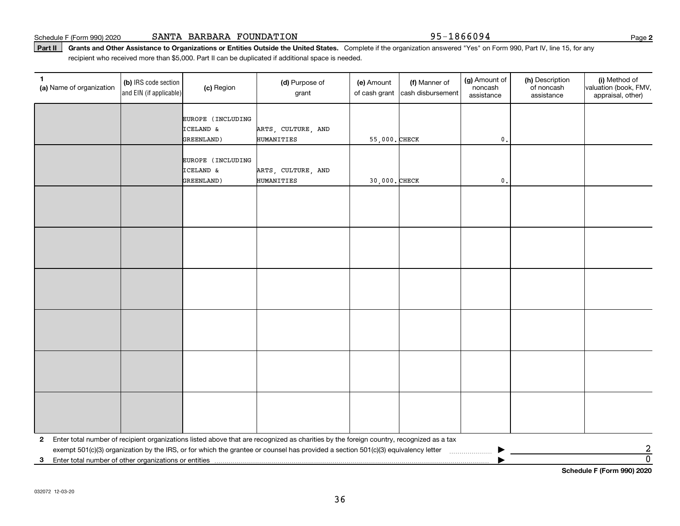Part II | Grants and Other Assistance to Organizations or Entities Outside the United States. Complete if the organization answered "Yes" on Form 990, Part IV, line 15, for any recipient who received more than \$5,000. Part II can be duplicated if additional space is needed.

| $\mathbf{1}$<br>(a) Name of organization                | (b) IRS code section<br>and EIN (if applicable) | (c) Region                                   | (d) Purpose of<br>grant                                                                                                                                                                                                                                                        | (e) Amount<br>of cash grant | (f) Manner of<br>cash disbursement | (g) Amount of<br>noncash<br>assistance | (h) Description<br>of noncash<br>assistance | (i) Method of<br>valuation (book, FMV,<br>appraisal, other) |
|---------------------------------------------------------|-------------------------------------------------|----------------------------------------------|--------------------------------------------------------------------------------------------------------------------------------------------------------------------------------------------------------------------------------------------------------------------------------|-----------------------------|------------------------------------|----------------------------------------|---------------------------------------------|-------------------------------------------------------------|
|                                                         |                                                 | EUROPE (INCLUDING<br>ICELAND &<br>GREENLAND) | ARTS, CULTURE, AND<br>HUMANITIES                                                                                                                                                                                                                                               | 55,000. CHECK               |                                    | $\mathfrak o$ .                        |                                             |                                                             |
|                                                         |                                                 | EUROPE (INCLUDING<br>ICELAND &<br>GREENLAND) | ARTS, CULTURE, AND<br>HUMANITIES                                                                                                                                                                                                                                               | 30,000. CHECK               |                                    | $\mathsf{0}$ .                         |                                             |                                                             |
|                                                         |                                                 |                                              |                                                                                                                                                                                                                                                                                |                             |                                    |                                        |                                             |                                                             |
|                                                         |                                                 |                                              |                                                                                                                                                                                                                                                                                |                             |                                    |                                        |                                             |                                                             |
|                                                         |                                                 |                                              |                                                                                                                                                                                                                                                                                |                             |                                    |                                        |                                             |                                                             |
|                                                         |                                                 |                                              |                                                                                                                                                                                                                                                                                |                             |                                    |                                        |                                             |                                                             |
|                                                         |                                                 |                                              |                                                                                                                                                                                                                                                                                |                             |                                    |                                        |                                             |                                                             |
|                                                         |                                                 |                                              |                                                                                                                                                                                                                                                                                |                             |                                    |                                        |                                             |                                                             |
| 3 Enter total number of other organizations or entities |                                                 |                                              | 2 Enter total number of recipient organizations listed above that are recognized as charities by the foreign country, recognized as a tax<br>exempt 501(c)(3) organization by the IRS, or for which the grantee or counsel has provided a section 501(c)(3) equivalency letter |                             |                                    |                                        |                                             | $\frac{2}{0}$                                               |

**Schedule F (Form 990) 2020**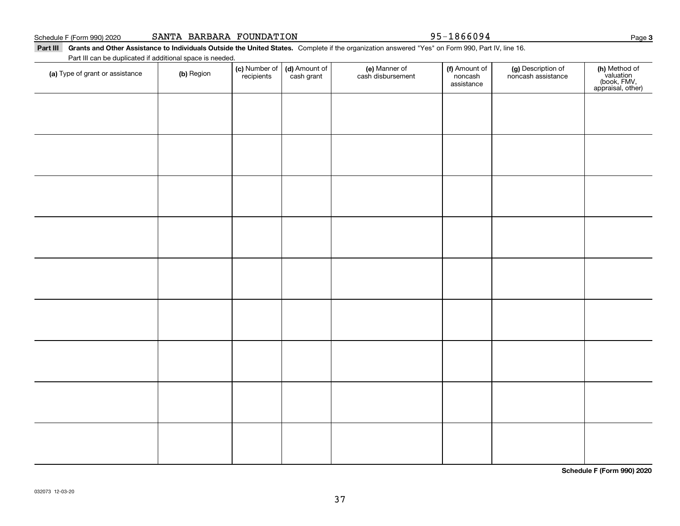Part III Grants and Other Assistance to Individuals Outside the United States. Complete if the organization answered "Yes" on Form 990, Part IV, line 16. Part III can be duplicated if additional space is needed.

| (a) Type of grant or assistance | (b) Region | (c) Number of<br>recipients | (d) Amount of<br>cash grant | (e) Manner of<br>cash disbursement | (f) Amount of<br>noncash<br>assistance | (g) Description of<br>noncash assistance | (h) Method of<br>valuation<br>(book, FMV,<br>appraisal, other) |
|---------------------------------|------------|-----------------------------|-----------------------------|------------------------------------|----------------------------------------|------------------------------------------|----------------------------------------------------------------|
|                                 |            |                             |                             |                                    |                                        |                                          |                                                                |
|                                 |            |                             |                             |                                    |                                        |                                          |                                                                |
|                                 |            |                             |                             |                                    |                                        |                                          |                                                                |
|                                 |            |                             |                             |                                    |                                        |                                          |                                                                |
|                                 |            |                             |                             |                                    |                                        |                                          |                                                                |
|                                 |            |                             |                             |                                    |                                        |                                          |                                                                |
|                                 |            |                             |                             |                                    |                                        |                                          |                                                                |
|                                 |            |                             |                             |                                    |                                        |                                          |                                                                |
|                                 |            |                             |                             |                                    |                                        |                                          |                                                                |
|                                 |            |                             |                             |                                    |                                        |                                          |                                                                |
|                                 |            |                             |                             |                                    |                                        |                                          |                                                                |
|                                 |            |                             |                             |                                    |                                        |                                          |                                                                |
|                                 |            |                             |                             |                                    |                                        |                                          |                                                                |
|                                 |            |                             |                             |                                    |                                        |                                          |                                                                |

**Schedule F (Form 990) 2020**

**3**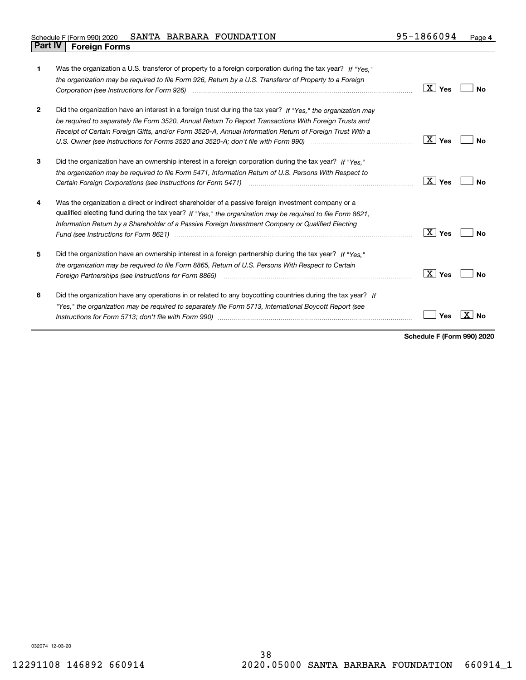| Schedule F (Form 990) 2020     | SANTA BARBARA | FOUNDATION | 1866094<br>$95 -$ | Page 4 |
|--------------------------------|---------------|------------|-------------------|--------|
| <b>Part IV   Foreign Forms</b> |               |            |                   |        |

| 1            | Was the organization a U.S. transferor of property to a foreign corporation during the tax year? If "Yes."   |                                   |    |
|--------------|--------------------------------------------------------------------------------------------------------------|-----------------------------------|----|
|              | the organization may be required to file Form 926, Return by a U.S. Transferor of Property to a Foreign      |                                   |    |
|              |                                                                                                              | $\lfloor$ $\mathbf{X}\rfloor$ Yes | No |
| $\mathbf{2}$ | Did the organization have an interest in a foreign trust during the tax year? If "Yes," the organization may |                                   |    |
|              | be required to separately file Form 3520, Annual Return To Report Transactions With Foreign Trusts and       |                                   |    |
|              | Receipt of Certain Foreign Gifts, and/or Form 3520-A, Annual Information Return of Foreign Trust With a      |                                   |    |
|              | U.S. Owner (see Instructions for Forms 3520 and 3520-A; don't file with Form 990) manufactured and the U.S.  | ∣X ∣ Yes                          | N٥ |
| 3            | Did the organization have an ownership interest in a foreign corporation during the tax year? If "Yes."      |                                   |    |
|              | the organization may be required to file Form 5471, Information Return of U.S. Persons With Respect to       |                                   |    |
|              |                                                                                                              | $\overline{X}$ Yes                | Nο |
| 4            | Was the organization a direct or indirect shareholder of a passive foreign investment company or a           |                                   |    |
|              | qualified electing fund during the tax year? If "Yes," the organization may be required to file Form 8621,   |                                   |    |
|              | Information Return by a Shareholder of a Passive Foreign Investment Company or Qualified Electing            |                                   |    |
|              |                                                                                                              | $\vert X \vert$ Yes               | Nο |
| 5            | Did the organization have an ownership interest in a foreign partnership during the tax year? If "Yes."      |                                   |    |
|              | the organization may be required to file Form 8865, Return of U.S. Persons With Respect to Certain           |                                   |    |
|              |                                                                                                              | $\vert X \vert$ Yes               | Nο |
| 6            | Did the organization have any operations in or related to any boycotting countries during the tax year? If   |                                   |    |
|              | "Yes," the organization may be required to separately file Form 5713, International Boycott Report (see      |                                   |    |
|              |                                                                                                              | Yes                               |    |
|              |                                                                                                              |                                   |    |

**Schedule F (Form 990) 2020**

032074 12-03-20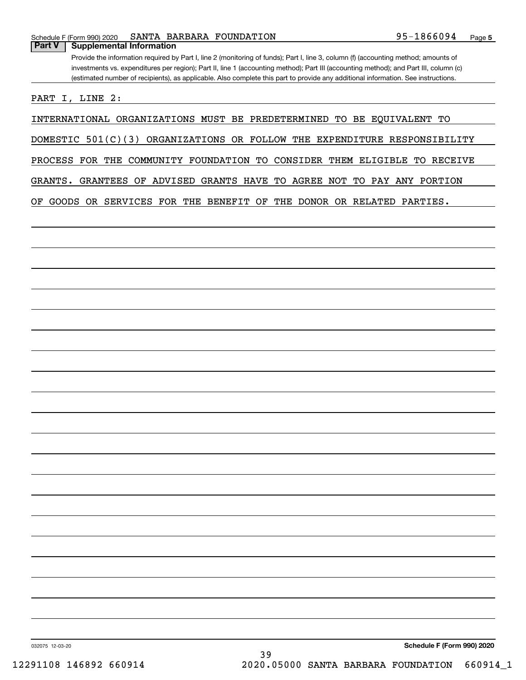Provide the information required by Part I, line 2 (monitoring of funds); Part I, line 3, column (f) (accounting method; amounts of investments vs. expenditures per region); Part II, line 1 (accounting method); Part III (accounting method); and Part III, column (c) (estimated number of recipients), as applicable. Also complete this part to provide any additional information. See instructions. **Part V Supplemental Information**

PART I, LINE 2:

INTERNATIONAL ORGANIZATIONS MUST BE PREDETERMINED TO BE EQUIVALENT TO

DOMESTIC 501(C)(3) ORGANIZATIONS OR FOLLOW THE EXPENDITURE RESPONSIBILITY

PROCESS FOR THE COMMUNITY FOUNDATION TO CONSIDER THEM ELIGIBLE TO RECEIVE

GRANTS. GRANTEES OF ADVISED GRANTS HAVE TO AGREE NOT TO PAY ANY PORTION

OF GOODS OR SERVICES FOR THE BENEFIT OF THE DONOR OR RELATED PARTIES.

**Schedule F (Form 990) 2020**

032075 12-03-20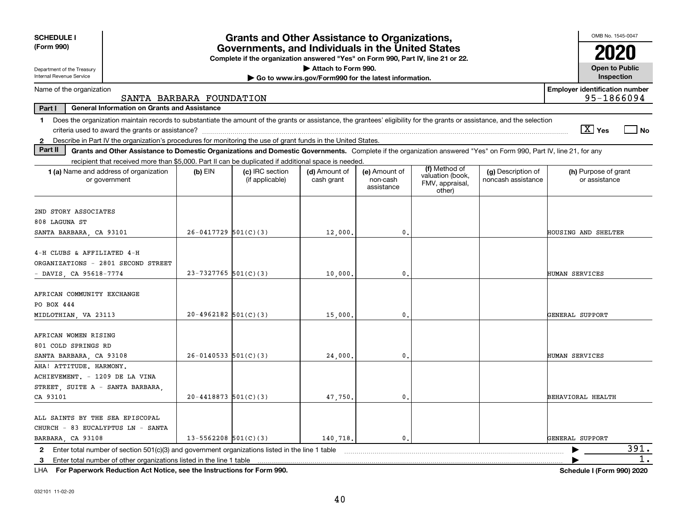| <b>SCHEDULE I</b>                                                                                                                                                             |                            | <b>Grants and Other Assistance to Organizations,</b>                                                                                  |                                                       |                                         |                                               |                                          | OMB No. 1545-0047                                   |
|-------------------------------------------------------------------------------------------------------------------------------------------------------------------------------|----------------------------|---------------------------------------------------------------------------------------------------------------------------------------|-------------------------------------------------------|-----------------------------------------|-----------------------------------------------|------------------------------------------|-----------------------------------------------------|
| (Form 990)                                                                                                                                                                    |                            | Governments, and Individuals in the United States<br>Complete if the organization answered "Yes" on Form 990, Part IV, line 21 or 22. |                                                       |                                         |                                               |                                          |                                                     |
| Department of the Treasury                                                                                                                                                    |                            |                                                                                                                                       | Attach to Form 990.                                   |                                         |                                               |                                          | <b>Open to Public</b>                               |
| Internal Revenue Service                                                                                                                                                      |                            |                                                                                                                                       | Go to www.irs.gov/Form990 for the latest information. |                                         |                                               |                                          | Inspection                                          |
| Name of the organization                                                                                                                                                      | SANTA BARBARA FOUNDATION   |                                                                                                                                       |                                                       |                                         |                                               |                                          | <b>Employer identification number</b><br>95-1866094 |
| Part I<br><b>General Information on Grants and Assistance</b>                                                                                                                 |                            |                                                                                                                                       |                                                       |                                         |                                               |                                          |                                                     |
| 1 Does the organization maintain records to substantiate the amount of the grants or assistance, the grantees' eligibility for the grants or assistance, and the selection    |                            |                                                                                                                                       |                                                       |                                         |                                               |                                          |                                                     |
|                                                                                                                                                                               |                            |                                                                                                                                       |                                                       |                                         |                                               |                                          | $\boxed{\text{X}}$ Yes<br>  No                      |
| 2 Describe in Part IV the organization's procedures for monitoring the use of grant funds in the United States.                                                               |                            |                                                                                                                                       |                                                       |                                         |                                               |                                          |                                                     |
| Part II<br>Grants and Other Assistance to Domestic Organizations and Domestic Governments. Complete if the organization answered "Yes" on Form 990, Part IV, line 21, for any |                            |                                                                                                                                       |                                                       |                                         |                                               |                                          |                                                     |
| recipient that received more than \$5,000. Part II can be duplicated if additional space is needed.                                                                           |                            |                                                                                                                                       |                                                       |                                         | (f) Method of                                 |                                          |                                                     |
| 1 (a) Name and address of organization<br>or government                                                                                                                       | $(b)$ EIN                  | (c) IRC section<br>(if applicable)                                                                                                    | (d) Amount of<br>cash grant                           | (e) Amount of<br>non-cash<br>assistance | valuation (book,<br>FMV, appraisal,<br>other) | (g) Description of<br>noncash assistance | (h) Purpose of grant<br>or assistance               |
| 2ND STORY ASSOCIATES                                                                                                                                                          |                            |                                                                                                                                       |                                                       |                                         |                                               |                                          |                                                     |
| 808 LAGUNA ST                                                                                                                                                                 |                            |                                                                                                                                       |                                                       |                                         |                                               |                                          |                                                     |
| SANTA BARBARA, CA 93101                                                                                                                                                       | $26-0417729$ 501(C)(3)     |                                                                                                                                       | 12,000,                                               | $\mathbf{0}$ .                          |                                               |                                          | HOUSING AND SHELTER                                 |
| 4-H CLUBS & AFFILIATED 4-H<br>ORGANIZATIONS - 2801 SECOND STREET<br>DAVIS, CA 95618-7774                                                                                      | $23 - 7327765$ 501(C)(3)   |                                                                                                                                       | 10,000,                                               | $\mathbf{0}$                            |                                               |                                          | HUMAN SERVICES                                      |
| AFRICAN COMMUNITY EXCHANGE<br>PO BOX 444<br>MIDLOTHIAN, VA 23113                                                                                                              | $20-4962182$ 501(C)(3)     |                                                                                                                                       | 15,000,                                               | $\mathbf{0}$                            |                                               |                                          | GENERAL SUPPORT                                     |
| AFRICAN WOMEN RISING<br>801 COLD SPRINGS RD<br>SANTA BARBARA, CA 93108                                                                                                        | $26 - 0140533$ $501(C)(3)$ |                                                                                                                                       | 24,000                                                | 0.                                      |                                               |                                          | HUMAN SERVICES                                      |
| AHA! ATTITUDE. HARMONY.<br>ACHIEVEMENT. - 1209 DE LA VINA<br>STREET, SUITE A - SANTA BARBARA,<br>CA 93101                                                                     | $20 - 4418873$ 501(C)(3)   |                                                                                                                                       | 47,750.                                               | 0.                                      |                                               |                                          | BEHAVIORAL HEALTH                                   |
| ALL SAINTS BY THE SEA EPISCOPAL<br>CHURCH - 83 EUCALYPTUS LN - SANTA<br>BARBARA, CA 93108                                                                                     | $13 - 5562208$ $501(C)(3)$ |                                                                                                                                       | 140,718,                                              | $\mathbf{0}$                            |                                               |                                          | GENERAL SUPPORT                                     |
| 2 Enter total number of section 501(c)(3) and government organizations listed in the line 1 table                                                                             |                            |                                                                                                                                       |                                                       |                                         |                                               |                                          | 391.                                                |
| 3 Enter total number of other organizations listed in the line 1 table                                                                                                        |                            |                                                                                                                                       |                                                       |                                         |                                               |                                          | 1.                                                  |

**For Paperwork Reduction Act Notice, see the Instructions for Form 990. Schedule I (Form 990) 2020** LHA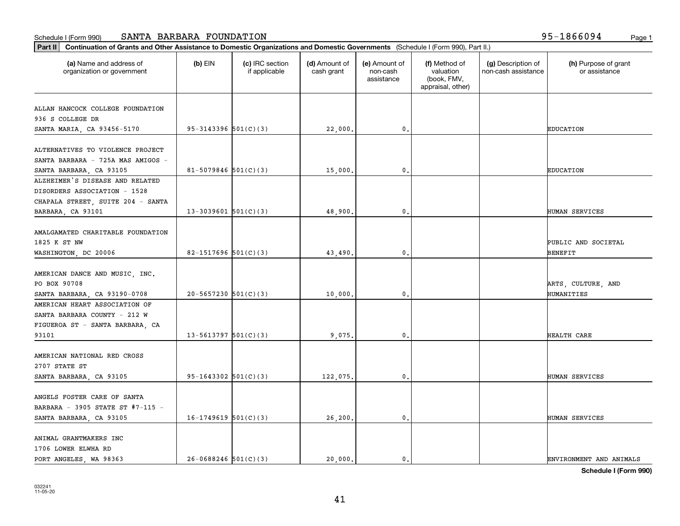| (a) Name and address of<br>organization or government | $(b)$ EIN                  | (c) IRC section<br>if applicable | (d) Amount of<br>cash grant | (e) Amount of<br>non-cash<br>assistance | (f) Method of<br>valuation<br>(book, FMV,<br>appraisal, other) | (g) Description of<br>non-cash assistance | (h) Purpose of grant<br>or assistance |
|-------------------------------------------------------|----------------------------|----------------------------------|-----------------------------|-----------------------------------------|----------------------------------------------------------------|-------------------------------------------|---------------------------------------|
| ALLAN HANCOCK COLLEGE FOUNDATION                      |                            |                                  |                             |                                         |                                                                |                                           |                                       |
| 936 S COLLEGE DR                                      |                            |                                  |                             |                                         |                                                                |                                           |                                       |
| SANTA MARIA, CA 93456-5170                            | $95 - 3143396$ $501(C)(3)$ |                                  | 22,000.                     | 0.                                      |                                                                |                                           | EDUCATION                             |
|                                                       |                            |                                  |                             |                                         |                                                                |                                           |                                       |
| ALTERNATIVES TO VIOLENCE PROJECT                      |                            |                                  |                             |                                         |                                                                |                                           |                                       |
| SANTA BARBARA - 725A MAS AMIGOS -                     |                            |                                  |                             |                                         |                                                                |                                           |                                       |
| SANTA BARBARA, CA 93105                               | 81-5079846 $501(C)(3)$     |                                  | 15,000.                     | 0.                                      |                                                                |                                           | <b>EDUCATION</b>                      |
| ALZHEIMER'S DISEASE AND RELATED                       |                            |                                  |                             |                                         |                                                                |                                           |                                       |
| DISORDERS ASSOCIATION - 1528                          |                            |                                  |                             |                                         |                                                                |                                           |                                       |
| CHAPALA STREET, SUITE 204 - SANTA                     |                            |                                  |                             |                                         |                                                                |                                           |                                       |
| BARBARA, CA 93101                                     | $13-3039601$ 501(C)(3)     |                                  | 48,900.                     | $\mathbf{0}$ .                          |                                                                |                                           | HUMAN SERVICES                        |
|                                                       |                            |                                  |                             |                                         |                                                                |                                           |                                       |
| AMALGAMATED CHARITABLE FOUNDATION                     |                            |                                  |                             |                                         |                                                                |                                           |                                       |
| 1825 K ST NW                                          |                            |                                  |                             |                                         |                                                                |                                           | PUBLIC AND SOCIETAL                   |
| WASHINGTON, DC 20006                                  | 82-1517696 $501(C)(3)$     |                                  | 43,490.                     | 0.                                      |                                                                |                                           | BENEFIT                               |
|                                                       |                            |                                  |                             |                                         |                                                                |                                           |                                       |
| AMERICAN DANCE AND MUSIC, INC.                        |                            |                                  |                             |                                         |                                                                |                                           |                                       |
| PO BOX 90708                                          |                            |                                  |                             |                                         |                                                                |                                           | ARTS, CULTURE, AND                    |
| SANTA BARBARA, CA 93190-0708                          | $20 - 5657230$ $501(C)(3)$ |                                  | 10,000.                     | 0.                                      |                                                                |                                           | HUMANITIES                            |
| AMERICAN HEART ASSOCIATION OF                         |                            |                                  |                             |                                         |                                                                |                                           |                                       |
| SANTA BARBARA COUNTY - 212 W                          |                            |                                  |                             |                                         |                                                                |                                           |                                       |
| FIGUEROA ST - SANTA BARBARA, CA                       |                            |                                  |                             |                                         |                                                                |                                           |                                       |
| 93101                                                 | $13 - 5613797$ $501(C)(3)$ |                                  | 9.075.                      | 0.                                      |                                                                |                                           | HEALTH CARE                           |
|                                                       |                            |                                  |                             |                                         |                                                                |                                           |                                       |
| AMERICAN NATIONAL RED CROSS                           |                            |                                  |                             |                                         |                                                                |                                           |                                       |
| 2707 STATE ST                                         |                            |                                  |                             |                                         |                                                                |                                           |                                       |
| SANTA BARBARA, CA 93105                               | $95-1643302$ $501(C)(3)$   |                                  | 122,075.                    | 0.                                      |                                                                |                                           | HUMAN SERVICES                        |
|                                                       |                            |                                  |                             |                                         |                                                                |                                           |                                       |
| ANGELS FOSTER CARE OF SANTA                           |                            |                                  |                             |                                         |                                                                |                                           |                                       |
| BARBARA - 3905 STATE ST #7-115 -                      |                            |                                  |                             |                                         |                                                                |                                           |                                       |
| SANTA BARBARA, CA 93105                               | $16-1749619$ 501(C)(3)     |                                  | 26,200.                     | 0.                                      |                                                                |                                           | HUMAN SERVICES                        |
|                                                       |                            |                                  |                             |                                         |                                                                |                                           |                                       |
| ANIMAL GRANTMAKERS INC                                |                            |                                  |                             |                                         |                                                                |                                           |                                       |
| 1706 LOWER ELWHA RD                                   |                            |                                  |                             |                                         |                                                                |                                           |                                       |
| PORT ANGELES, WA 98363                                | $26 - 0688246$ 501(C)(3)   |                                  | 20,000.                     | 0.                                      |                                                                |                                           | ENVIRONMENT AND ANIMALS               |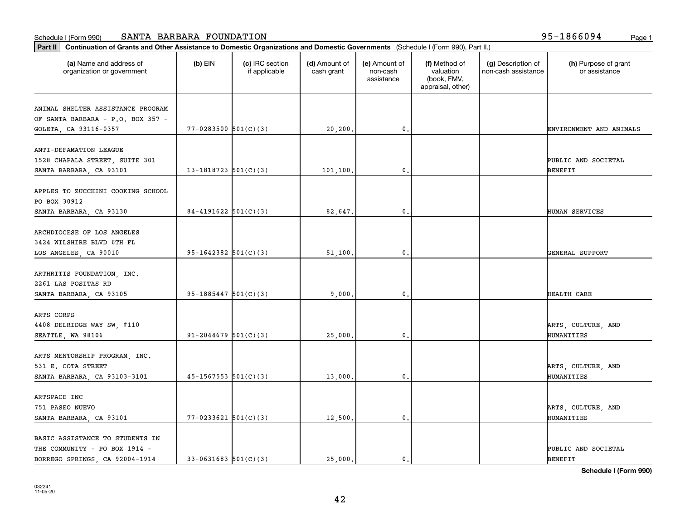| (a) Name and address of<br>organization or government | $(b)$ EIN                  | (c) IRC section<br>if applicable | (d) Amount of<br>cash grant | (e) Amount of<br>non-cash<br>assistance | (f) Method of<br>valuation<br>(book, FMV,<br>appraisal, other) | (g) Description of<br>non-cash assistance | (h) Purpose of grant<br>or assistance |
|-------------------------------------------------------|----------------------------|----------------------------------|-----------------------------|-----------------------------------------|----------------------------------------------------------------|-------------------------------------------|---------------------------------------|
| ANIMAL SHELTER ASSISTANCE PROGRAM                     |                            |                                  |                             |                                         |                                                                |                                           |                                       |
| OF SANTA BARBARA - P.O. BOX 357 -                     |                            |                                  |                             |                                         |                                                                |                                           |                                       |
| GOLETA, CA 93116-0357                                 | $77 - 0283500$ 501(C)(3)   |                                  | 20, 200.                    | 0.                                      |                                                                |                                           | ENVIRONMENT AND ANIMALS               |
| ANTI-DEFAMATION LEAGUE                                |                            |                                  |                             |                                         |                                                                |                                           |                                       |
| 1528 CHAPALA STREET, SUITE 301                        |                            |                                  |                             |                                         |                                                                |                                           | PUBLIC AND SOCIETAL                   |
| SANTA BARBARA, CA 93101                               | 13-1818723 $501(C)(3)$     |                                  | 101,100.                    | 0.                                      |                                                                |                                           | <b>BENEFIT</b>                        |
|                                                       |                            |                                  |                             |                                         |                                                                |                                           |                                       |
| APPLES TO ZUCCHINI COOKING SCHOOL                     |                            |                                  |                             |                                         |                                                                |                                           |                                       |
| PO BOX 30912                                          | $84 - 4191622$ 501(C)(3)   |                                  |                             | $\mathbf{0}$ .                          |                                                                |                                           | HUMAN SERVICES                        |
| SANTA BARBARA, CA 93130                               |                            |                                  | 82,647.                     |                                         |                                                                |                                           |                                       |
| ARCHDIOCESE OF LOS ANGELES                            |                            |                                  |                             |                                         |                                                                |                                           |                                       |
| 3424 WILSHIRE BLVD 6TH FL                             |                            |                                  |                             |                                         |                                                                |                                           |                                       |
| LOS ANGELES, CA 90010                                 | 95-1642382 $501(C)(3)$     |                                  | 51,100.                     | 0.                                      |                                                                |                                           | GENERAL SUPPORT                       |
|                                                       |                            |                                  |                             |                                         |                                                                |                                           |                                       |
| ARTHRITIS FOUNDATION, INC.                            |                            |                                  |                             |                                         |                                                                |                                           |                                       |
| 2261 LAS POSITAS RD                                   |                            |                                  |                             |                                         |                                                                |                                           |                                       |
| SANTA BARBARA, CA 93105                               | $95-1885447$ $501(C)(3)$   |                                  | 9,000,                      | 0.                                      |                                                                |                                           | HEALTH CARE                           |
|                                                       |                            |                                  |                             |                                         |                                                                |                                           |                                       |
| ARTS CORPS                                            |                            |                                  |                             |                                         |                                                                |                                           |                                       |
| 4408 DELRIDGE WAY SW, #110                            |                            |                                  |                             |                                         |                                                                |                                           | ARTS, CULTURE, AND                    |
| SEATTLE, WA 98106                                     | $91 - 2044679$ 501(C)(3)   |                                  | 25,000.                     | 0.                                      |                                                                |                                           | HUMANITIES                            |
|                                                       |                            |                                  |                             |                                         |                                                                |                                           |                                       |
| ARTS MENTORSHIP PROGRAM, INC.<br>531 E. COTA STREET   |                            |                                  |                             |                                         |                                                                |                                           | ARTS, CULTURE, AND                    |
|                                                       | $45 - 1567553$ $501(C)(3)$ |                                  |                             |                                         |                                                                |                                           | HUMANITIES                            |
| SANTA BARBARA, CA 93103-3101                          |                            |                                  | 13,000.                     | $\mathbf{0}$ .                          |                                                                |                                           |                                       |
| ARTSPACE INC                                          |                            |                                  |                             |                                         |                                                                |                                           |                                       |
| 751 PASEO NUEVO                                       |                            |                                  |                             |                                         |                                                                |                                           | ARTS, CULTURE, AND                    |
| SANTA BARBARA, CA 93101                               | $77 - 0233621$ 501(C)(3)   |                                  | 12,500.                     | $\mathbf 0$ .                           |                                                                |                                           | HUMANITIES                            |
|                                                       |                            |                                  |                             |                                         |                                                                |                                           |                                       |
| BASIC ASSISTANCE TO STUDENTS IN                       |                            |                                  |                             |                                         |                                                                |                                           |                                       |
| THE COMMUNITY - PO BOX 1914 -                         |                            |                                  |                             |                                         |                                                                |                                           | PUBLIC AND SOCIETAL                   |
| BORREGO SPRINGS, CA 92004-1914                        | $33 - 0631683$ $501(C)(3)$ |                                  | 25.000.                     | $\mathbf{0}$ .                          |                                                                |                                           | <b>BENEFIT</b>                        |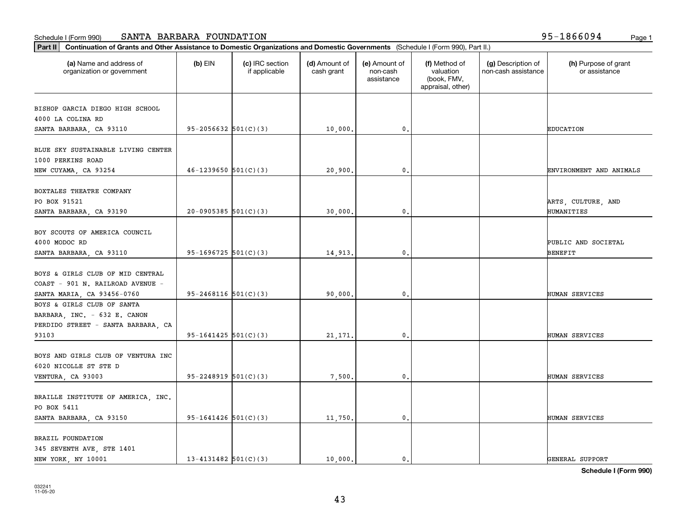| (a) Name and address of                                 | $(b)$ EIN                  | (c) IRC section | (d) Amount of | (e) Amount of          | (f) Method of                                 | (g) Description of  | (h) Purpose of grant    |
|---------------------------------------------------------|----------------------------|-----------------|---------------|------------------------|-----------------------------------------------|---------------------|-------------------------|
| organization or government                              |                            | if applicable   | cash grant    | non-cash<br>assistance | valuation<br>(book, FMV,<br>appraisal, other) | non-cash assistance | or assistance           |
| BISHOP GARCIA DIEGO HIGH SCHOOL                         |                            |                 |               |                        |                                               |                     |                         |
| 4000 LA COLINA RD                                       |                            |                 |               |                        |                                               |                     |                         |
| SANTA BARBARA, CA 93110                                 | $95 - 2056632$ $501(C)(3)$ |                 | 10,000.       | $\mathbf 0$ .          |                                               |                     | <b>EDUCATION</b>        |
|                                                         |                            |                 |               |                        |                                               |                     |                         |
| BLUE SKY SUSTAINABLE LIVING CENTER<br>1000 PERKINS ROAD |                            |                 |               |                        |                                               |                     |                         |
| NEW CUYAMA, CA 93254                                    | $46 - 1239650$ 501(C)(3)   |                 | 20,900,       | $\mathbf{0}$           |                                               |                     | ENVIRONMENT AND ANIMALS |
|                                                         |                            |                 |               |                        |                                               |                     |                         |
| BOXTALES THEATRE COMPANY                                |                            |                 |               |                        |                                               |                     |                         |
| PO BOX 91521                                            |                            |                 |               |                        |                                               |                     | ARTS, CULTURE, AND      |
| SANTA BARBARA, CA 93190                                 | $20-0905385$ 501(C)(3)     |                 | 30,000.       | 0.                     |                                               |                     | HUMANITIES              |
|                                                         |                            |                 |               |                        |                                               |                     |                         |
| BOY SCOUTS OF AMERICA COUNCIL<br>4000 MODOC RD          |                            |                 |               |                        |                                               |                     | PUBLIC AND SOCIETAL     |
| SANTA BARBARA, CA 93110                                 | $95-1696725$ $501(C)(3)$   |                 | 14,913.       | $\mathbf{0}$           |                                               |                     | BENEFIT                 |
|                                                         |                            |                 |               |                        |                                               |                     |                         |
| BOYS & GIRLS CLUB OF MID CENTRAL                        |                            |                 |               |                        |                                               |                     |                         |
| COAST - 901 N. RAILROAD AVENUE -                        |                            |                 |               |                        |                                               |                     |                         |
| SANTA MARIA, CA 93456-0760                              | $95 - 2468116$ $501(C)(3)$ |                 | 90,000,       | $\mathbf{0}$           |                                               |                     | HUMAN SERVICES          |
| BOYS & GIRLS CLUB OF SANTA                              |                            |                 |               |                        |                                               |                     |                         |
| BARBARA, INC. - 632 E. CANON                            |                            |                 |               |                        |                                               |                     |                         |
| PERDIDO STREET - SANTA BARBARA, CA                      |                            |                 |               |                        |                                               |                     |                         |
| 93103                                                   | $95-1641425$ $501(C)(3)$   |                 | 21,171.       | $\mathbf{0}$           |                                               |                     | HUMAN SERVICES          |
|                                                         |                            |                 |               |                        |                                               |                     |                         |
| BOYS AND GIRLS CLUB OF VENTURA INC                      |                            |                 |               |                        |                                               |                     |                         |
| 6020 NICOLLE ST STE D                                   |                            |                 |               |                        |                                               |                     |                         |
| VENTURA, CA 93003                                       | $95 - 2248919$ $501(C)(3)$ |                 | 7,500         | 0.                     |                                               |                     | HUMAN SERVICES          |
| BRAILLE INSTITUTE OF AMERICA, INC.                      |                            |                 |               |                        |                                               |                     |                         |
| PO BOX 5411                                             |                            |                 |               |                        |                                               |                     |                         |
| SANTA BARBARA, CA 93150                                 | $95-1641426$ $501(C)(3)$   |                 | 11,750.       | $\mathbf{0}$           |                                               |                     | HUMAN SERVICES          |
|                                                         |                            |                 |               |                        |                                               |                     |                         |
| BRAZIL FOUNDATION                                       |                            |                 |               |                        |                                               |                     |                         |
| 345 SEVENTH AVE, STE 1401                               |                            |                 |               |                        |                                               |                     |                         |
| NEW YORK, NY 10001                                      | $13 - 4131482$ $501(C)(3)$ |                 | 10,000.       | $\mathbf{0}$ .         |                                               |                     | GENERAL SUPPORT         |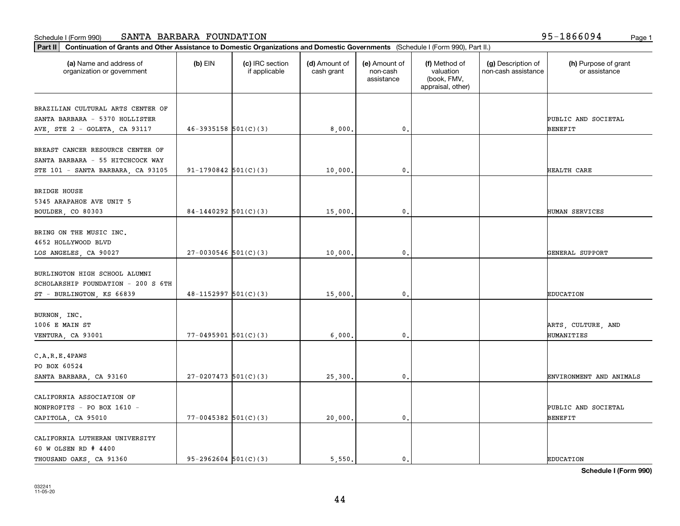| Part II   Continuation of Grants and Other Assistance to Domestic Organizations and Domestic Governments (Schedule I (Form 990), Part II.) |                            |                                  |                             |                                         |                                                                |                                           |                                       |
|--------------------------------------------------------------------------------------------------------------------------------------------|----------------------------|----------------------------------|-----------------------------|-----------------------------------------|----------------------------------------------------------------|-------------------------------------------|---------------------------------------|
| (a) Name and address of<br>organization or government                                                                                      | $(b)$ EIN                  | (c) IRC section<br>if applicable | (d) Amount of<br>cash grant | (e) Amount of<br>non-cash<br>assistance | (f) Method of<br>valuation<br>(book, FMV,<br>appraisal, other) | (g) Description of<br>non-cash assistance | (h) Purpose of grant<br>or assistance |
| BRAZILIAN CULTURAL ARTS CENTER OF                                                                                                          |                            |                                  |                             |                                         |                                                                |                                           |                                       |
| SANTA BARBARA - 5370 HOLLISTER                                                                                                             |                            |                                  |                             |                                         |                                                                |                                           | PUBLIC AND SOCIETAL                   |
| AVE, STE 2 - GOLETA, CA 93117                                                                                                              | $46 - 3935158$ $501(C)(3)$ |                                  | 8,000,                      | $\mathfrak o$ .                         |                                                                |                                           | <b>BENEFIT</b>                        |
| BREAST CANCER RESOURCE CENTER OF                                                                                                           |                            |                                  |                             |                                         |                                                                |                                           |                                       |
| SANTA BARBARA - 55 HITCHCOCK WAY                                                                                                           |                            |                                  |                             |                                         |                                                                |                                           |                                       |
| STE 101 - SANTA BARBARA, CA 93105                                                                                                          | $91-1790842$ 501(C)(3)     |                                  | 10,000                      | $\mathfrak{o}$ .                        |                                                                |                                           | HEALTH CARE                           |
| <b>BRIDGE HOUSE</b>                                                                                                                        |                            |                                  |                             |                                         |                                                                |                                           |                                       |
| 5345 ARAPAHOE AVE UNIT 5                                                                                                                   |                            |                                  |                             |                                         |                                                                |                                           |                                       |
| BOULDER, CO 80303                                                                                                                          | $84-1440292$ 501(C)(3)     |                                  | 15,000.                     | $\mathbf{0}$ .                          |                                                                |                                           | HUMAN SERVICES                        |
| BRING ON THE MUSIC INC.                                                                                                                    |                            |                                  |                             |                                         |                                                                |                                           |                                       |
| 4652 HOLLYWOOD BLVD                                                                                                                        |                            |                                  |                             |                                         |                                                                |                                           |                                       |
| LOS ANGELES, CA 90027                                                                                                                      | $27-0030546$ 501(C)(3)     |                                  | 10,000                      | $\mathbf 0$ .                           |                                                                |                                           | GENERAL SUPPORT                       |
|                                                                                                                                            |                            |                                  |                             |                                         |                                                                |                                           |                                       |
| BURLINGTON HIGH SCHOOL ALUMNI                                                                                                              |                            |                                  |                             |                                         |                                                                |                                           |                                       |
| SCHOLARSHIP FOUNDATION - 200 S 6TH                                                                                                         |                            |                                  |                             |                                         |                                                                |                                           |                                       |
| ST - BURLINGTON, KS 66839                                                                                                                  | $48-1152997$ 501(C)(3)     |                                  | 15,000                      | $\mathbf{0}$                            |                                                                |                                           | <b>EDUCATION</b>                      |
| BURNON, INC.                                                                                                                               |                            |                                  |                             |                                         |                                                                |                                           |                                       |
| 1006 E MAIN ST                                                                                                                             |                            |                                  |                             |                                         |                                                                |                                           | ARTS, CULTURE, AND                    |
| VENTURA, CA 93001                                                                                                                          | $77 - 0495901$ 501(C)(3)   |                                  | 6,000.                      | 0.                                      |                                                                |                                           | HUMANITIES                            |
| C.A.R.E.4PAWS                                                                                                                              |                            |                                  |                             |                                         |                                                                |                                           |                                       |
| PO BOX 60524                                                                                                                               |                            |                                  |                             |                                         |                                                                |                                           |                                       |
| SANTA BARBARA, CA 93160                                                                                                                    | $27-0207473$ 501(C)(3)     |                                  | 25,300                      | $\mathbf{0}$ .                          |                                                                |                                           | ENVIRONMENT AND ANIMALS               |
|                                                                                                                                            |                            |                                  |                             |                                         |                                                                |                                           |                                       |
| CALIFORNIA ASSOCIATION OF                                                                                                                  |                            |                                  |                             |                                         |                                                                |                                           |                                       |
| NONPROFITS - PO BOX 1610 -                                                                                                                 |                            |                                  |                             |                                         |                                                                |                                           | PUBLIC AND SOCIETAL                   |
| CAPITOLA, CA 95010                                                                                                                         | $77 - 0045382$ 501(C)(3)   |                                  | 20,000.                     | $\mathbf 0$ .                           |                                                                |                                           | BENEFIT                               |
| CALIFORNIA LUTHERAN UNIVERSITY                                                                                                             |                            |                                  |                             |                                         |                                                                |                                           |                                       |
| 60 W OLSEN RD # 4400                                                                                                                       |                            |                                  |                             |                                         |                                                                |                                           |                                       |
| THOUSAND OAKS, CA 91360                                                                                                                    | $95-2962604$ $501(C)(3)$   |                                  | 5.550.                      | $\mathbf{0}$ .                          |                                                                |                                           | <b>EDUCATION</b>                      |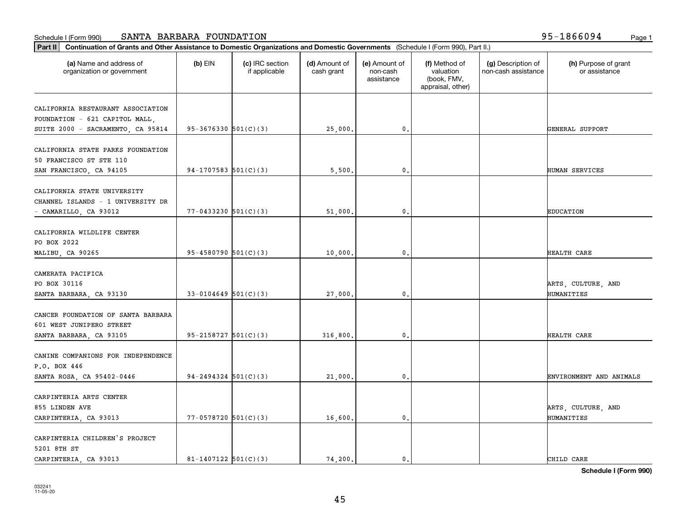| Part II   Continuation of Grants and Other Assistance to Domestic Organizations and Domestic Governments (Schedule I (Form 990), Part II.) |                            |                                  |                             |                                         |                                                                |                                           |                                       |
|--------------------------------------------------------------------------------------------------------------------------------------------|----------------------------|----------------------------------|-----------------------------|-----------------------------------------|----------------------------------------------------------------|-------------------------------------------|---------------------------------------|
| (a) Name and address of<br>organization or government                                                                                      | $(b)$ EIN                  | (c) IRC section<br>if applicable | (d) Amount of<br>cash grant | (e) Amount of<br>non-cash<br>assistance | (f) Method of<br>valuation<br>(book, FMV,<br>appraisal, other) | (g) Description of<br>non-cash assistance | (h) Purpose of grant<br>or assistance |
| CALIFORNIA RESTAURANT ASSOCIATION                                                                                                          |                            |                                  |                             |                                         |                                                                |                                           |                                       |
| FOUNDATION - 621 CAPITOL MALL,                                                                                                             |                            |                                  |                             |                                         |                                                                |                                           |                                       |
| SUITE 2000 - SACRAMENTO, CA 95814                                                                                                          | $95-3676330$ $501(C)(3)$   |                                  | 25,000.                     | 0.                                      |                                                                |                                           | GENERAL SUPPORT                       |
|                                                                                                                                            |                            |                                  |                             |                                         |                                                                |                                           |                                       |
| CALIFORNIA STATE PARKS FOUNDATION                                                                                                          |                            |                                  |                             |                                         |                                                                |                                           |                                       |
| 50 FRANCISCO ST STE 110                                                                                                                    |                            |                                  |                             |                                         |                                                                |                                           |                                       |
| SAN FRANCISCO, CA 94105                                                                                                                    | 94-1707583 $501(C)(3)$     |                                  | 5,500.                      | 0.                                      |                                                                |                                           | HUMAN SERVICES                        |
| CALIFORNIA STATE UNIVERSITY                                                                                                                |                            |                                  |                             |                                         |                                                                |                                           |                                       |
| CHANNEL ISLANDS - 1 UNIVERSITY DR                                                                                                          |                            |                                  |                             |                                         |                                                                |                                           |                                       |
| - CAMARILLO, CA 93012                                                                                                                      | $77 - 0433230$ 501(C)(3)   |                                  | 51,000.                     | 0.                                      |                                                                |                                           | <b>EDUCATION</b>                      |
|                                                                                                                                            |                            |                                  |                             |                                         |                                                                |                                           |                                       |
| CALIFORNIA WILDLIFE CENTER                                                                                                                 |                            |                                  |                             |                                         |                                                                |                                           |                                       |
| PO BOX 2022                                                                                                                                |                            |                                  |                             |                                         |                                                                |                                           |                                       |
| MALIBU, CA 90265                                                                                                                           | $95 - 4580790$ $501(C)(3)$ |                                  | 10,000.                     | 0.                                      |                                                                |                                           | HEALTH CARE                           |
|                                                                                                                                            |                            |                                  |                             |                                         |                                                                |                                           |                                       |
| CAMERATA PACIFICA                                                                                                                          |                            |                                  |                             |                                         |                                                                |                                           |                                       |
| PO BOX 30116                                                                                                                               |                            |                                  |                             |                                         |                                                                |                                           | ARTS, CULTURE, AND                    |
| SANTA BARBARA, CA 93130                                                                                                                    | $33-0104649$ 501(C)(3)     |                                  | 27,000.                     | 0.                                      |                                                                |                                           | HUMANITIES                            |
| CANCER FOUNDATION OF SANTA BARBARA                                                                                                         |                            |                                  |                             |                                         |                                                                |                                           |                                       |
| 601 WEST JUNIPERO STREET                                                                                                                   |                            |                                  |                             |                                         |                                                                |                                           |                                       |
| SANTA BARBARA, CA 93105                                                                                                                    | $95 - 2158727$ $501(C)(3)$ |                                  | 316,800.                    | 0.                                      |                                                                |                                           | HEALTH CARE                           |
|                                                                                                                                            |                            |                                  |                             |                                         |                                                                |                                           |                                       |
| CANINE COMPANIONS FOR INDEPENDENCE                                                                                                         |                            |                                  |                             |                                         |                                                                |                                           |                                       |
| P.O. BOX 446                                                                                                                               |                            |                                  |                             |                                         |                                                                |                                           |                                       |
| SANTA ROSA, CA 95402-0446                                                                                                                  | $94 - 2494324$ $501(C)(3)$ |                                  | 21,000.                     | 0.                                      |                                                                |                                           | ENVIRONMENT AND ANIMALS               |
|                                                                                                                                            |                            |                                  |                             |                                         |                                                                |                                           |                                       |
| CARPINTERIA ARTS CENTER                                                                                                                    |                            |                                  |                             |                                         |                                                                |                                           |                                       |
| 855 LINDEN AVE                                                                                                                             | $77 - 0578720$ 501(C)(3)   |                                  | 16,600.                     | $\mathbf{0}$ .                          |                                                                |                                           | ARTS, CULTURE, AND<br>HUMANITIES      |
| CARPINTERIA, CA 93013                                                                                                                      |                            |                                  |                             |                                         |                                                                |                                           |                                       |
| CARPINTERIA CHILDREN'S PROJECT                                                                                                             |                            |                                  |                             |                                         |                                                                |                                           |                                       |
| 5201 8TH ST                                                                                                                                |                            |                                  |                             |                                         |                                                                |                                           |                                       |
| CARPINTERIA, CA 93013                                                                                                                      | 81-1407122 $501(C)(3)$     |                                  | 74.200.                     | $\mathbf{0}$ .                          |                                                                |                                           | CHILD CARE                            |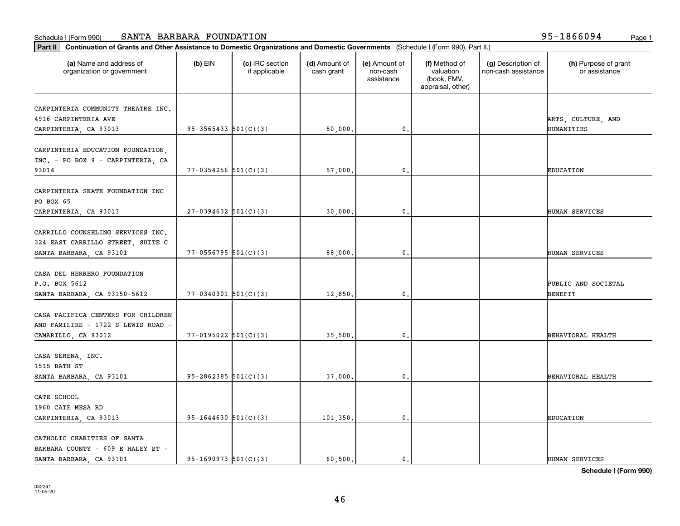| Part II   Continuation of Grants and Other Assistance to Domestic Organizations and Domestic Governments (Schedule I (Form 990), Part II.) |                            |                                  |                             |                                         |                                                                |                                           |                                       |
|--------------------------------------------------------------------------------------------------------------------------------------------|----------------------------|----------------------------------|-----------------------------|-----------------------------------------|----------------------------------------------------------------|-------------------------------------------|---------------------------------------|
| (a) Name and address of<br>organization or government                                                                                      | $(b)$ EIN                  | (c) IRC section<br>if applicable | (d) Amount of<br>cash grant | (e) Amount of<br>non-cash<br>assistance | (f) Method of<br>valuation<br>(book, FMV,<br>appraisal, other) | (g) Description of<br>non-cash assistance | (h) Purpose of grant<br>or assistance |
| CARPINTERIA COMMUNITY THEATRE INC.                                                                                                         |                            |                                  |                             |                                         |                                                                |                                           |                                       |
| 4916 CARPINTERIA AVE                                                                                                                       |                            |                                  |                             |                                         |                                                                |                                           | ARTS, CULTURE, AND                    |
| CARPINTERIA, CA 93013                                                                                                                      | $95 - 3565433$ $501(C)(3)$ |                                  | 50,000.                     | $\mathfrak o$ .                         |                                                                |                                           | HUMANITIES                            |
|                                                                                                                                            |                            |                                  |                             |                                         |                                                                |                                           |                                       |
| CARPINTERIA EDUCATION FOUNDATION,                                                                                                          |                            |                                  |                             |                                         |                                                                |                                           |                                       |
| INC. - PO BOX 9 - CARPINTERIA, CA                                                                                                          |                            |                                  |                             |                                         |                                                                |                                           |                                       |
| 93014                                                                                                                                      | $77 - 0354256$ 501(C)(3)   |                                  | 57,000                      | 0.                                      |                                                                |                                           | <b>EDUCATION</b>                      |
| CARPINTERIA SKATE FOUNDATION INC                                                                                                           |                            |                                  |                             |                                         |                                                                |                                           |                                       |
| PO BOX 65                                                                                                                                  |                            |                                  |                             |                                         |                                                                |                                           |                                       |
| CARPINTERIA, CA 93013                                                                                                                      | $27-0394632$ 501(C)(3)     |                                  | 30,000,                     | $\mathbf{0}$ .                          |                                                                |                                           | HUMAN SERVICES                        |
|                                                                                                                                            |                            |                                  |                             |                                         |                                                                |                                           |                                       |
| CARRILLO COUNSELING SERVICES INC.                                                                                                          |                            |                                  |                             |                                         |                                                                |                                           |                                       |
| 324 EAST CARRILLO STREET, SUITE C                                                                                                          |                            |                                  |                             |                                         |                                                                |                                           |                                       |
| SANTA BARBARA, CA 93101                                                                                                                    | $77 - 0556795$ 501(C)(3)   |                                  | 88,000                      | 0.                                      |                                                                |                                           | HUMAN SERVICES                        |
|                                                                                                                                            |                            |                                  |                             |                                         |                                                                |                                           |                                       |
| CASA DEL HERRERO FOUNDATION<br>P.O. BOX 5612                                                                                               |                            |                                  |                             |                                         |                                                                |                                           |                                       |
| SANTA BARBARA, CA 93150-5612                                                                                                               | $77 - 0340301$ 501(C)(3)   |                                  | 12,850                      | $\mathbf{0}$                            |                                                                |                                           | PUBLIC AND SOCIETAL<br><b>BENEFIT</b> |
|                                                                                                                                            |                            |                                  |                             |                                         |                                                                |                                           |                                       |
| CASA PACIFICA CENTERS FOR CHILDREN                                                                                                         |                            |                                  |                             |                                         |                                                                |                                           |                                       |
| AND FAMILIES - 1722 S LEWIS ROAD -                                                                                                         |                            |                                  |                             |                                         |                                                                |                                           |                                       |
| CAMARILLO, CA 93012                                                                                                                        | $77 - 0195022$ $501(C)(3)$ |                                  | 35,500.                     | 0.                                      |                                                                |                                           | BEHAVIORAL HEALTH                     |
|                                                                                                                                            |                            |                                  |                             |                                         |                                                                |                                           |                                       |
| CASA SERENA, INC.                                                                                                                          |                            |                                  |                             |                                         |                                                                |                                           |                                       |
| 1515 BATH ST                                                                                                                               |                            |                                  |                             |                                         |                                                                |                                           |                                       |
| SANTA BARBARA, CA 93101                                                                                                                    | $95 - 2862385$ $501(C)(3)$ |                                  | 37,000                      | $\mathbf{0}$ .                          |                                                                |                                           | BEHAVIORAL HEALTH                     |
| CATE SCHOOL                                                                                                                                |                            |                                  |                             |                                         |                                                                |                                           |                                       |
| 1960 CATE MESA RD                                                                                                                          |                            |                                  |                             |                                         |                                                                |                                           |                                       |
| CARPINTERIA, CA 93013                                                                                                                      | $95 - 1644630$ 501(C)(3)   |                                  | 101,350.                    | $\mathbf{0}$ .                          |                                                                |                                           | <b>EDUCATION</b>                      |
|                                                                                                                                            |                            |                                  |                             |                                         |                                                                |                                           |                                       |
| CATHOLIC CHARITIES OF SANTA                                                                                                                |                            |                                  |                             |                                         |                                                                |                                           |                                       |
| BARBARA COUNTY - 609 E HALEY ST -                                                                                                          |                            |                                  |                             |                                         |                                                                |                                           |                                       |
| SANTA BARBARA, CA 93101                                                                                                                    | $95-1690973$ $501(C)(3)$   |                                  | 60.500.                     | 0.                                      |                                                                |                                           | HUMAN SERVICES                        |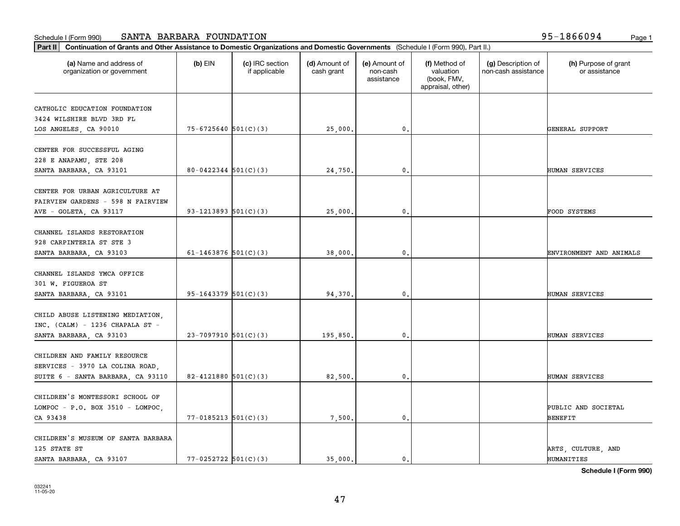| (a) Name and address of<br>organization or government | $(b)$ EIN                  | (c) IRC section<br>if applicable | (d) Amount of<br>cash grant | (e) Amount of<br>non-cash<br>assistance | (f) Method of<br>valuation<br>(book, FMV,<br>appraisal, other) | (g) Description of<br>non-cash assistance | (h) Purpose of grant<br>or assistance |
|-------------------------------------------------------|----------------------------|----------------------------------|-----------------------------|-----------------------------------------|----------------------------------------------------------------|-------------------------------------------|---------------------------------------|
| CATHOLIC EDUCATION FOUNDATION                         |                            |                                  |                             |                                         |                                                                |                                           |                                       |
| 3424 WILSHIRE BLVD 3RD FL                             |                            |                                  |                             |                                         |                                                                |                                           |                                       |
| LOS ANGELES, CA 90010                                 | $75 - 6725640$ $501(C)(3)$ |                                  | 25,000.                     | 0.                                      |                                                                |                                           | GENERAL SUPPORT                       |
|                                                       |                            |                                  |                             |                                         |                                                                |                                           |                                       |
| CENTER FOR SUCCESSFUL AGING                           |                            |                                  |                             |                                         |                                                                |                                           |                                       |
| 228 E ANAPAMU, STE 208                                |                            |                                  |                             |                                         |                                                                |                                           |                                       |
| SANTA BARBARA, CA 93101                               | $80 - 0422344$ $501(C)(3)$ |                                  | 24,750.                     | 0.                                      |                                                                |                                           | HUMAN SERVICES                        |
| CENTER FOR URBAN AGRICULTURE AT                       |                            |                                  |                             |                                         |                                                                |                                           |                                       |
| FAIRVIEW GARDENS - 598 N FAIRVIEW                     |                            |                                  |                             |                                         |                                                                |                                           |                                       |
| AVE - GOLETA, CA 93117                                | 93-1213893 $501(C)(3)$     |                                  | 25,000.                     | 0.                                      |                                                                |                                           | FOOD SYSTEMS                          |
|                                                       |                            |                                  |                             |                                         |                                                                |                                           |                                       |
| CHANNEL ISLANDS RESTORATION                           |                            |                                  |                             |                                         |                                                                |                                           |                                       |
| 928 CARPINTERIA ST STE 3                              |                            |                                  |                             |                                         |                                                                |                                           |                                       |
| SANTA BARBARA, CA 93103                               | 61-1463876 $501(C)(3)$     |                                  | 38,000.                     | 0.                                      |                                                                |                                           | ENVIRONMENT AND ANIMALS               |
| CHANNEL ISLANDS YMCA OFFICE                           |                            |                                  |                             |                                         |                                                                |                                           |                                       |
|                                                       |                            |                                  |                             |                                         |                                                                |                                           |                                       |
| 301 W. FIGUEROA ST                                    |                            |                                  |                             |                                         |                                                                |                                           |                                       |
| SANTA BARBARA, CA 93101                               | $95-1643379$ $501(C)(3)$   |                                  | 94,370.                     | $\mathbf{0}$                            |                                                                |                                           | HUMAN SERVICES                        |
| CHILD ABUSE LISTENING MEDIATION,                      |                            |                                  |                             |                                         |                                                                |                                           |                                       |
| INC. (CALM) - 1236 CHAPALA ST -                       |                            |                                  |                             |                                         |                                                                |                                           |                                       |
| SANTA BARBARA, CA 93103                               | $23-7097910$ 501(C)(3)     |                                  | 195,850.                    | 0.                                      |                                                                |                                           | HUMAN SERVICES                        |
|                                                       |                            |                                  |                             |                                         |                                                                |                                           |                                       |
| CHILDREN AND FAMILY RESOURCE                          |                            |                                  |                             |                                         |                                                                |                                           |                                       |
| SERVICES - 3970 LA COLINA ROAD,                       |                            |                                  |                             |                                         |                                                                |                                           |                                       |
| SUITE 6 - SANTA BARBARA, CA 93110                     | 82-4121880 $501(C)(3)$     |                                  | 82,500.                     | 0.                                      |                                                                |                                           | HUMAN SERVICES                        |
|                                                       |                            |                                  |                             |                                         |                                                                |                                           |                                       |
| CHILDREN'S MONTESSORI SCHOOL OF                       |                            |                                  |                             |                                         |                                                                |                                           |                                       |
| LOMPOC - P.O. BOX 3510 - LOMPOC,                      |                            |                                  |                             |                                         |                                                                |                                           | PUBLIC AND SOCIETAL                   |
| CA 93438                                              | $77 - 0185213$ $501(C)(3)$ |                                  | 7,500.                      | $\mathbf{0}$ .                          |                                                                |                                           | <b>BENEFIT</b>                        |
| CHILDREN'S MUSEUM OF SANTA BARBARA                    |                            |                                  |                             |                                         |                                                                |                                           |                                       |
| 125 STATE ST                                          |                            |                                  |                             |                                         |                                                                |                                           | ARTS, CULTURE, AND                    |
| SANTA BARBARA, CA 93107                               | $77 - 0252722$ 501(C)(3)   |                                  | 35.000.                     | 0.                                      |                                                                |                                           | HUMANITIES                            |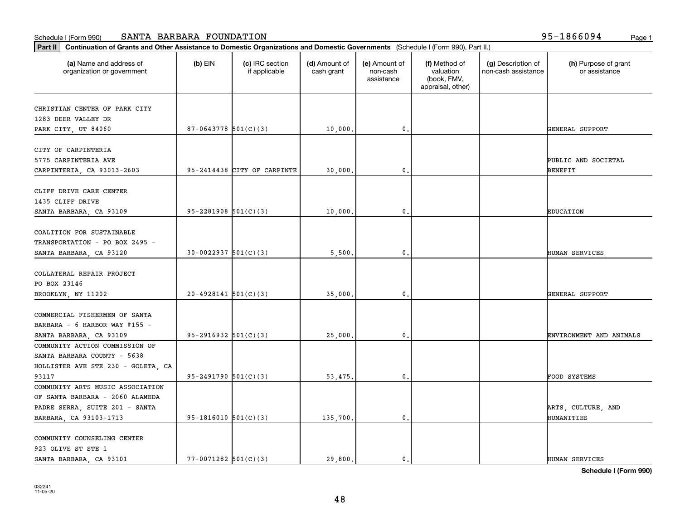| (a) Name and address of<br>$(b)$ EIN<br>(c) IRC section<br>organization or government<br>if applicable<br>$87-0643778$ 501(C)(3)<br>95-2414438 CITY OF CARPINTE | (d) Amount of |                                         |                                                                |                                           |                                       |
|-----------------------------------------------------------------------------------------------------------------------------------------------------------------|---------------|-----------------------------------------|----------------------------------------------------------------|-------------------------------------------|---------------------------------------|
| CHRISTIAN CENTER OF PARK CITY<br>1283 DEER VALLEY DR<br>PARK CITY, UT 84060                                                                                     | cash grant    | (e) Amount of<br>non-cash<br>assistance | (f) Method of<br>valuation<br>(book, FMV,<br>appraisal, other) | (g) Description of<br>non-cash assistance | (h) Purpose of grant<br>or assistance |
|                                                                                                                                                                 |               |                                         |                                                                |                                           |                                       |
|                                                                                                                                                                 |               |                                         |                                                                |                                           |                                       |
| CITY OF CARPINTERIA<br>5775 CARPINTERIA AVE<br>CARPINTERIA, CA 93013-2603<br>CLIFF DRIVE CARE CENTER                                                            | 10,000.       | 0.                                      |                                                                |                                           | GENERAL SUPPORT                       |
|                                                                                                                                                                 |               |                                         |                                                                |                                           |                                       |
|                                                                                                                                                                 |               |                                         |                                                                |                                           |                                       |
|                                                                                                                                                                 |               |                                         |                                                                |                                           | PUBLIC AND SOCIETAL                   |
|                                                                                                                                                                 | 30,000.       | 0.                                      |                                                                |                                           | <b>BENEFIT</b>                        |
|                                                                                                                                                                 |               |                                         |                                                                |                                           |                                       |
|                                                                                                                                                                 |               |                                         |                                                                |                                           |                                       |
| 1435 CLIFF DRIVE                                                                                                                                                |               |                                         |                                                                |                                           |                                       |
| $95 - 2281908$ $501(C)(3)$<br>SANTA BARBARA, CA 93109                                                                                                           | 10,000.       | 0.                                      |                                                                |                                           | <b>EDUCATION</b>                      |
|                                                                                                                                                                 |               |                                         |                                                                |                                           |                                       |
| COALITION FOR SUSTAINABLE                                                                                                                                       |               |                                         |                                                                |                                           |                                       |
| TRANSPORTATION - PO BOX 2495 -                                                                                                                                  |               |                                         |                                                                |                                           |                                       |
| $30-0022937$ 501(C)(3)<br>SANTA BARBARA, CA 93120                                                                                                               | 5,500.        | 0.                                      |                                                                |                                           | HUMAN SERVICES                        |
|                                                                                                                                                                 |               |                                         |                                                                |                                           |                                       |
| COLLATERAL REPAIR PROJECT                                                                                                                                       |               |                                         |                                                                |                                           |                                       |
| PO BOX 23146                                                                                                                                                    |               |                                         |                                                                |                                           |                                       |
| $20 - 4928141$ $501(C)(3)$<br>BROOKLYN, NY 11202                                                                                                                | 35,000        | $\mathbf{0}$                            |                                                                |                                           | GENERAL SUPPORT                       |
|                                                                                                                                                                 |               |                                         |                                                                |                                           |                                       |
| COMMERCIAL FISHERMEN OF SANTA                                                                                                                                   |               |                                         |                                                                |                                           |                                       |
| BARBARA - 6 HARBOR WAY #155 -                                                                                                                                   |               |                                         |                                                                |                                           |                                       |
| $95-2916932$ $501(C)(3)$<br>SANTA BARBARA, CA 93109                                                                                                             | 25,000.       | 0.                                      |                                                                |                                           | ENVIRONMENT AND ANIMALS               |
| COMMUNITY ACTION COMMISSION OF                                                                                                                                  |               |                                         |                                                                |                                           |                                       |
| SANTA BARBARA COUNTY - 5638                                                                                                                                     |               |                                         |                                                                |                                           |                                       |
| HOLLISTER AVE STE 230 - GOLETA, CA                                                                                                                              |               |                                         |                                                                |                                           |                                       |
| $95 - 2491790$ $501(C)(3)$<br>93117                                                                                                                             | 53,475.       | 0.                                      |                                                                |                                           | <b>FOOD SYSTEMS</b>                   |
| COMMUNITY ARTS MUSIC ASSOCIATION                                                                                                                                |               |                                         |                                                                |                                           |                                       |
| OF SANTA BARBARA - 2060 ALAMEDA                                                                                                                                 |               |                                         |                                                                |                                           |                                       |
| PADRE SERRA, SUITE 201 - SANTA                                                                                                                                  |               |                                         |                                                                |                                           | ARTS, CULTURE, AND                    |
| $95-1816010$ $501(C)(3)$<br>BARBARA, CA 93103-1713                                                                                                              | 135,700.      | $\mathbf{0}$ .                          |                                                                |                                           | HUMANITIES                            |
|                                                                                                                                                                 |               |                                         |                                                                |                                           |                                       |
| COMMUNITY COUNSELING CENTER                                                                                                                                     |               |                                         |                                                                |                                           |                                       |
| 923 OLIVE ST STE 1                                                                                                                                              |               |                                         |                                                                |                                           |                                       |
| $77 - 0071282$ 501(C)(3)<br>SANTA BARBARA, CA 93101                                                                                                             | 29,800.       | $\mathfrak{o}$ .                        |                                                                |                                           | HUMAN SERVICES                        |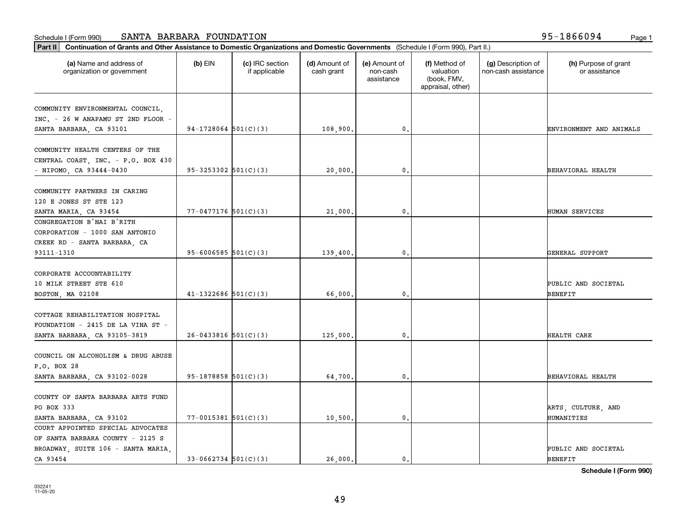| Part II   Continuation of Grants and Other Assistance to Domestic Organizations and Domestic Governments (Schedule I (Form 990), Part II.) |                            |                                  |                             |                                         |                                                                |                                           |                                       |
|--------------------------------------------------------------------------------------------------------------------------------------------|----------------------------|----------------------------------|-----------------------------|-----------------------------------------|----------------------------------------------------------------|-------------------------------------------|---------------------------------------|
| (a) Name and address of<br>organization or government                                                                                      | $(b)$ EIN                  | (c) IRC section<br>if applicable | (d) Amount of<br>cash grant | (e) Amount of<br>non-cash<br>assistance | (f) Method of<br>valuation<br>(book, FMV,<br>appraisal, other) | (g) Description of<br>non-cash assistance | (h) Purpose of grant<br>or assistance |
| COMMUNITY ENVIRONMENTAL COUNCIL,                                                                                                           |                            |                                  |                             |                                         |                                                                |                                           |                                       |
| INC. - 26 W ANAPAMU ST 2ND FLOOR -                                                                                                         |                            |                                  |                             |                                         |                                                                |                                           |                                       |
| SANTA BARBARA, CA 93101                                                                                                                    | $94-1728064$ 501(C)(3)     |                                  | 108,900.                    | $\mathbf{0}$                            |                                                                |                                           | ENVIRONMENT AND ANIMALS               |
|                                                                                                                                            |                            |                                  |                             |                                         |                                                                |                                           |                                       |
| COMMUNITY HEALTH CENTERS OF THE                                                                                                            |                            |                                  |                             |                                         |                                                                |                                           |                                       |
| CENTRAL COAST, INC. - P.O. BOX 430                                                                                                         |                            |                                  |                             |                                         |                                                                |                                           |                                       |
| $-$ NIPOMO, CA 93444-0430                                                                                                                  | $95 - 3253302$ $501(C)(3)$ |                                  | 20,000.                     | $\mathbf{0}$                            |                                                                |                                           | BEHAVIORAL HEALTH                     |
|                                                                                                                                            |                            |                                  |                             |                                         |                                                                |                                           |                                       |
| COMMUNITY PARTNERS IN CARING                                                                                                               |                            |                                  |                             |                                         |                                                                |                                           |                                       |
| 120 E JONES ST STE 123                                                                                                                     |                            |                                  |                             |                                         |                                                                |                                           |                                       |
| SANTA MARIA, CA 93454                                                                                                                      | $77 - 0477176$ 501(C)(3)   |                                  | 21,000.                     | 0.                                      |                                                                |                                           | HUMAN SERVICES                        |
| CONGREGATION B'NAI B'RITH                                                                                                                  |                            |                                  |                             |                                         |                                                                |                                           |                                       |
| CORPORATION - 1000 SAN ANTONIO                                                                                                             |                            |                                  |                             |                                         |                                                                |                                           |                                       |
| CREEK RD - SANTA BARBARA, CA                                                                                                               |                            |                                  |                             |                                         |                                                                |                                           |                                       |
| 93111-1310                                                                                                                                 | 95-6006585 $501(C)(3)$     |                                  | 139,400.                    | 0.                                      |                                                                |                                           | GENERAL SUPPORT                       |
| CORPORATE ACCOUNTABILITY                                                                                                                   |                            |                                  |                             |                                         |                                                                |                                           |                                       |
| 10 MILK STREET STE 610                                                                                                                     |                            |                                  |                             |                                         |                                                                |                                           | PUBLIC AND SOCIETAL                   |
| BOSTON, MA 02108                                                                                                                           | $41 - 1322686$ 501(C)(3)   |                                  | 66,000                      | $\mathbf{0}$                            |                                                                |                                           | BENEFIT                               |
|                                                                                                                                            |                            |                                  |                             |                                         |                                                                |                                           |                                       |
| COTTAGE REHABILITATION HOSPITAL                                                                                                            |                            |                                  |                             |                                         |                                                                |                                           |                                       |
| FOUNDATION - 2415 DE LA VINA ST -                                                                                                          |                            |                                  |                             |                                         |                                                                |                                           |                                       |
| SANTA BARBARA, CA 93105-3819                                                                                                               | $26 - 0433816$ 501(C)(3)   |                                  | 125,000,                    | $\mathbf{0}$                            |                                                                |                                           | HEALTH CARE                           |
|                                                                                                                                            |                            |                                  |                             |                                         |                                                                |                                           |                                       |
| COUNCIL ON ALCOHOLISM & DRUG ABUSE                                                                                                         |                            |                                  |                             |                                         |                                                                |                                           |                                       |
| P.O. BOX 28                                                                                                                                |                            |                                  |                             |                                         |                                                                |                                           |                                       |
| SANTA BARBARA, CA 93102-0028                                                                                                               | $95-1878858$ $501(C)(3)$   |                                  | 64,700.                     | 0.                                      |                                                                |                                           | BEHAVIORAL HEALTH                     |
|                                                                                                                                            |                            |                                  |                             |                                         |                                                                |                                           |                                       |
| COUNTY OF SANTA BARBARA ARTS FUND                                                                                                          |                            |                                  |                             |                                         |                                                                |                                           |                                       |
| PO BOX 333                                                                                                                                 |                            |                                  |                             |                                         |                                                                |                                           | ARTS, CULTURE, AND                    |
| SANTA BARBARA, CA 93102                                                                                                                    | $77 - 0015381$ 501(C)(3)   |                                  | 10,500.                     | $\mathbf{0}$ .                          |                                                                |                                           | HUMANITIES                            |
| COURT APPOINTED SPECIAL ADVOCATES                                                                                                          |                            |                                  |                             |                                         |                                                                |                                           |                                       |
| OF SANTA BARBARA COUNTY - 2125 S                                                                                                           |                            |                                  |                             |                                         |                                                                |                                           |                                       |
| BROADWAY, SUITE 106 - SANTA MARIA,                                                                                                         |                            |                                  |                             |                                         |                                                                |                                           | PUBLIC AND SOCIETAL                   |
| CA 93454                                                                                                                                   | $33-0662734$ $501(C)(3)$   |                                  | 26,000.                     | $\mathbf{0}$                            |                                                                |                                           | <b>BENEFIT</b>                        |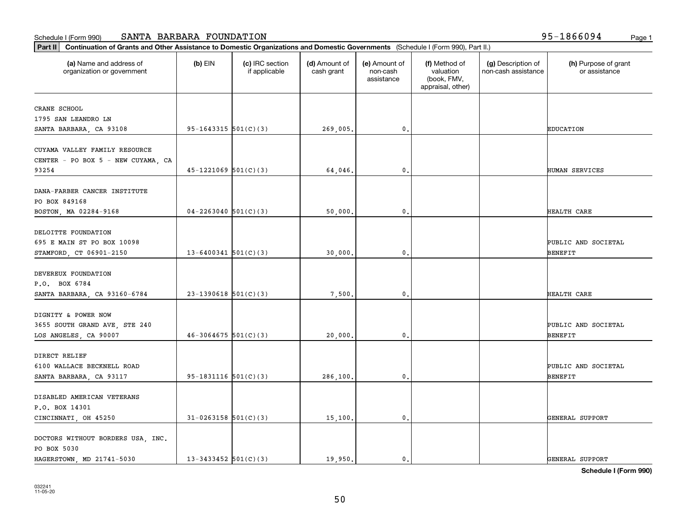| (a) Name and address of<br>organization or government | $(b)$ EIN                  | (c) IRC section<br>if applicable | (d) Amount of<br>cash grant | (e) Amount of<br>non-cash<br>assistance | (f) Method of<br>valuation<br>(book, FMV,<br>appraisal, other) | (g) Description of<br>non-cash assistance | (h) Purpose of grant<br>or assistance |
|-------------------------------------------------------|----------------------------|----------------------------------|-----------------------------|-----------------------------------------|----------------------------------------------------------------|-------------------------------------------|---------------------------------------|
| CRANE SCHOOL                                          |                            |                                  |                             |                                         |                                                                |                                           |                                       |
| 1795 SAN LEANDRO LN                                   |                            |                                  |                             |                                         |                                                                |                                           |                                       |
| SANTA BARBARA, CA 93108                               | $95-1643315$ $501(C)(3)$   |                                  | 269,005.                    | $\mathbf{0}$ .                          |                                                                |                                           | <b>EDUCATION</b>                      |
|                                                       |                            |                                  |                             |                                         |                                                                |                                           |                                       |
| CUYAMA VALLEY FAMILY RESOURCE                         |                            |                                  |                             |                                         |                                                                |                                           |                                       |
| CENTER - PO BOX 5 - NEW CUYAMA, CA                    |                            |                                  |                             |                                         |                                                                |                                           |                                       |
| 93254                                                 | $45 - 1221069$ $501(C)(3)$ |                                  | 64,046.                     | 0.                                      |                                                                |                                           | HUMAN SERVICES                        |
|                                                       |                            |                                  |                             |                                         |                                                                |                                           |                                       |
| DANA-FARBER CANCER INSTITUTE                          |                            |                                  |                             |                                         |                                                                |                                           |                                       |
| PO BOX 849168                                         |                            |                                  |                             |                                         |                                                                |                                           |                                       |
| BOSTON, MA 02284-9168                                 | $04 - 2263040$ 501(C)(3)   |                                  | 50,000.                     | 0.                                      |                                                                |                                           | HEALTH CARE                           |
| DELOITTE FOUNDATION                                   |                            |                                  |                             |                                         |                                                                |                                           |                                       |
| 695 E MAIN ST PO BOX 10098                            |                            |                                  |                             |                                         |                                                                |                                           | PUBLIC AND SOCIETAL                   |
| STAMFORD, CT 06901-2150                               | $13 - 6400341$ $501(C)(3)$ |                                  | 30,000.                     | $\mathbf 0$ .                           |                                                                |                                           | BENEFIT                               |
|                                                       |                            |                                  |                             |                                         |                                                                |                                           |                                       |
| DEVEREUX FOUNDATION                                   |                            |                                  |                             |                                         |                                                                |                                           |                                       |
| P.O. BOX 6784                                         |                            |                                  |                             |                                         |                                                                |                                           |                                       |
| SANTA BARBARA, CA 93160-6784                          | $23-1390618$ 501(C)(3)     |                                  | 7,500.                      | 0.                                      |                                                                |                                           | HEALTH CARE                           |
|                                                       |                            |                                  |                             |                                         |                                                                |                                           |                                       |
| DIGNITY & POWER NOW                                   |                            |                                  |                             |                                         |                                                                |                                           |                                       |
| 3655 SOUTH GRAND AVE, STE 240                         |                            |                                  |                             |                                         |                                                                |                                           | PUBLIC AND SOCIETAL                   |
| LOS ANGELES, CA 90007                                 | $46 - 3064675$ 501(C)(3)   |                                  | 20,000.                     | 0.                                      |                                                                |                                           | BENEFIT                               |
|                                                       |                            |                                  |                             |                                         |                                                                |                                           |                                       |
| DIRECT RELIEF                                         |                            |                                  |                             |                                         |                                                                |                                           |                                       |
| 6100 WALLACE BECKNELL ROAD                            |                            |                                  |                             |                                         |                                                                |                                           | PUBLIC AND SOCIETAL                   |
| SANTA BARBARA, CA 93117                               | $95-1831116$ $501(C)(3)$   |                                  | 286,100.                    | 0.                                      |                                                                |                                           | BENEFIT                               |
|                                                       |                            |                                  |                             |                                         |                                                                |                                           |                                       |
| DISABLED AMERICAN VETERANS                            |                            |                                  |                             |                                         |                                                                |                                           |                                       |
| P.O. BOX 14301                                        |                            |                                  |                             |                                         |                                                                |                                           |                                       |
| CINCINNATI, OH 45250                                  | $31-0263158$ $501(C)(3)$   |                                  | 15,100.                     | 0.                                      |                                                                |                                           | GENERAL SUPPORT                       |
| DOCTORS WITHOUT BORDERS USA, INC.                     |                            |                                  |                             |                                         |                                                                |                                           |                                       |
| PO BOX 5030                                           |                            |                                  |                             |                                         |                                                                |                                           |                                       |
| HAGERSTOWN, MD 21741-5030                             | $13 - 3433452$ 501(C)(3)   |                                  | 19,950.                     | $\mathbf{0}$ .                          |                                                                |                                           | GENERAL SUPPORT                       |
|                                                       |                            |                                  |                             |                                         |                                                                |                                           |                                       |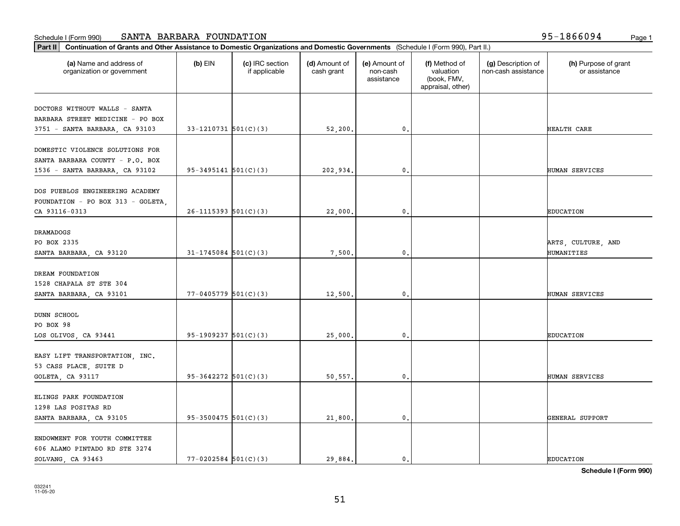| (a) Name and address of<br>organization or government | $(b)$ EIN                  | (c) IRC section<br>if applicable | (d) Amount of<br>cash grant | (e) Amount of<br>non-cash<br>assistance | (f) Method of<br>valuation<br>(book, FMV,<br>appraisal, other) | (g) Description of<br>non-cash assistance | (h) Purpose of grant<br>or assistance |
|-------------------------------------------------------|----------------------------|----------------------------------|-----------------------------|-----------------------------------------|----------------------------------------------------------------|-------------------------------------------|---------------------------------------|
| DOCTORS WITHOUT WALLS - SANTA                         |                            |                                  |                             |                                         |                                                                |                                           |                                       |
| BARBARA STREET MEDICINE - PO BOX                      |                            |                                  |                             |                                         |                                                                |                                           |                                       |
| 3751 - SANTA BARBARA, CA 93103                        | $33 - 1210731$ $501(C)(3)$ |                                  | 52,200.                     | $\mathbf{0}$ .                          |                                                                |                                           | HEALTH CARE                           |
|                                                       |                            |                                  |                             |                                         |                                                                |                                           |                                       |
| DOMESTIC VIOLENCE SOLUTIONS FOR                       |                            |                                  |                             |                                         |                                                                |                                           |                                       |
| SANTA BARBARA COUNTY - P.O. BOX                       | $95-3495141$ $501(C)(3)$   |                                  |                             | 0.                                      |                                                                |                                           | HUMAN SERVICES                        |
| 1536 - SANTA BARBARA, CA 93102                        |                            |                                  | 202,934.                    |                                         |                                                                |                                           |                                       |
| DOS PUEBLOS ENGINEERING ACADEMY                       |                            |                                  |                             |                                         |                                                                |                                           |                                       |
| FOUNDATION - PO BOX 313 - GOLETA,                     |                            |                                  |                             |                                         |                                                                |                                           |                                       |
| CA 93116-0313                                         | $26 - 1115393$ $501(C)(3)$ |                                  | 22,000.                     | $\mathbf{0}$ .                          |                                                                |                                           | <b>EDUCATION</b>                      |
|                                                       |                            |                                  |                             |                                         |                                                                |                                           |                                       |
| <b>DRAMADOGS</b>                                      |                            |                                  |                             |                                         |                                                                |                                           |                                       |
| PO BOX 2335                                           |                            |                                  |                             |                                         |                                                                |                                           | ARTS, CULTURE, AND                    |
| SANTA BARBARA, CA 93120                               | $31 - 1745084$ 501(C)(3)   |                                  | 7,500                       | 0.                                      |                                                                |                                           | HUMANITIES                            |
| DREAM FOUNDATION                                      |                            |                                  |                             |                                         |                                                                |                                           |                                       |
|                                                       |                            |                                  |                             |                                         |                                                                |                                           |                                       |
| 1528 CHAPALA ST STE 304                               |                            |                                  |                             |                                         |                                                                |                                           |                                       |
| SANTA BARBARA, CA 93101                               | $77 - 0405779$ 501(C)(3)   |                                  | 12,500                      | $\mathbf{0}$                            |                                                                |                                           | HUMAN SERVICES                        |
| <b>DUNN SCHOOL</b>                                    |                            |                                  |                             |                                         |                                                                |                                           |                                       |
| PO BOX 98                                             |                            |                                  |                             |                                         |                                                                |                                           |                                       |
| LOS OLIVOS, CA 93441                                  | $95-1909237$ $501(C)(3)$   |                                  | 25,000.                     | 0.                                      |                                                                |                                           | <b>EDUCATION</b>                      |
|                                                       |                            |                                  |                             |                                         |                                                                |                                           |                                       |
| EASY LIFT TRANSPORTATION, INC.                        |                            |                                  |                             |                                         |                                                                |                                           |                                       |
| 53 CASS PLACE, SUITE D                                |                            |                                  |                             |                                         |                                                                |                                           |                                       |
| GOLETA, CA 93117                                      | $95-3642272$ $501(C)(3)$   |                                  | 50,557.                     | 0.                                      |                                                                |                                           | HUMAN SERVICES                        |
| ELINGS PARK FOUNDATION                                |                            |                                  |                             |                                         |                                                                |                                           |                                       |
|                                                       |                            |                                  |                             |                                         |                                                                |                                           |                                       |
| 1298 LAS POSITAS RD                                   |                            |                                  |                             |                                         |                                                                |                                           |                                       |
| SANTA BARBARA, CA 93105                               | $95-3500475$ 501(C)(3)     |                                  | 21,800.                     | $\mathbf{0}$ .                          |                                                                |                                           | GENERAL SUPPORT                       |
| ENDOWMENT FOR YOUTH COMMITTEE                         |                            |                                  |                             |                                         |                                                                |                                           |                                       |
| 606 ALAMO PINTADO RD STE 3274                         |                            |                                  |                             |                                         |                                                                |                                           |                                       |
| SOLVANG, CA 93463                                     | $77 - 0202584$ 501(C)(3)   |                                  | 29.884.                     | $\mathbf 0$ .                           |                                                                |                                           | <b>EDUCATION</b>                      |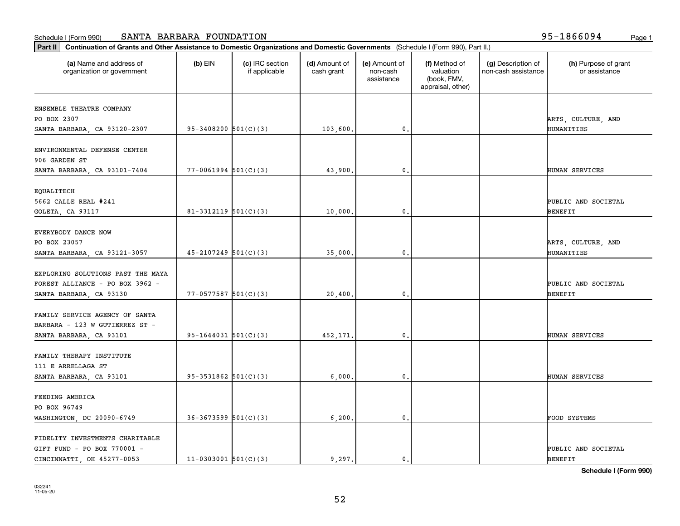| Part II   Continuation of Grants and Other Assistance to Domestic Organizations and Domestic Governments (Schedule I (Form 990), Part II.) |                          |                                  |                             |                                         |                                                                |                                           |                                       |
|--------------------------------------------------------------------------------------------------------------------------------------------|--------------------------|----------------------------------|-----------------------------|-----------------------------------------|----------------------------------------------------------------|-------------------------------------------|---------------------------------------|
| (a) Name and address of<br>organization or government                                                                                      | $(b)$ EIN                | (c) IRC section<br>if applicable | (d) Amount of<br>cash grant | (e) Amount of<br>non-cash<br>assistance | (f) Method of<br>valuation<br>(book, FMV,<br>appraisal, other) | (g) Description of<br>non-cash assistance | (h) Purpose of grant<br>or assistance |
| ENSEMBLE THEATRE COMPANY                                                                                                                   |                          |                                  |                             |                                         |                                                                |                                           |                                       |
| PO BOX 2307                                                                                                                                |                          |                                  |                             |                                         |                                                                |                                           | ARTS, CULTURE, AND                    |
| SANTA BARBARA, CA 93120-2307                                                                                                               | $95-3408200$ $501(C)(3)$ |                                  | 103,600.                    | 0.                                      |                                                                |                                           | HUMANITIES                            |
|                                                                                                                                            |                          |                                  |                             |                                         |                                                                |                                           |                                       |
| ENVIRONMENTAL DEFENSE CENTER                                                                                                               |                          |                                  |                             |                                         |                                                                |                                           |                                       |
| 906 GARDEN ST                                                                                                                              |                          |                                  |                             |                                         |                                                                |                                           |                                       |
| SANTA BARBARA, CA 93101-7404                                                                                                               | $77 - 0061994$ 501(C)(3) |                                  | 43,900.                     | 0.                                      |                                                                |                                           | HUMAN SERVICES                        |
|                                                                                                                                            |                          |                                  |                             |                                         |                                                                |                                           |                                       |
| EQUALITECH<br>5662 CALLE REAL #241                                                                                                         |                          |                                  |                             |                                         |                                                                |                                           | PUBLIC AND SOCIETAL                   |
|                                                                                                                                            |                          |                                  |                             | $\mathbf{0}$ .                          |                                                                |                                           |                                       |
| GOLETA, CA 93117                                                                                                                           | 81-3312119 $501(C)(3)$   |                                  | 10,000.                     |                                         |                                                                |                                           | BENEFIT                               |
| EVERYBODY DANCE NOW                                                                                                                        |                          |                                  |                             |                                         |                                                                |                                           |                                       |
| PO BOX 23057                                                                                                                               |                          |                                  |                             |                                         |                                                                |                                           | ARTS, CULTURE, AND                    |
| SANTA BARBARA, CA 93121-3057                                                                                                               | $45 - 2107249$ 501(C)(3) |                                  | 35,000.                     | 0.                                      |                                                                |                                           | HUMANITIES                            |
|                                                                                                                                            |                          |                                  |                             |                                         |                                                                |                                           |                                       |
| EXPLORING SOLUTIONS PAST THE MAYA                                                                                                          |                          |                                  |                             |                                         |                                                                |                                           |                                       |
| FOREST ALLIANCE - PO BOX 3962 -                                                                                                            |                          |                                  |                             |                                         |                                                                |                                           | PUBLIC AND SOCIETAL                   |
| SANTA BARBARA, CA 93130                                                                                                                    | $77 - 0577587$ 501(C)(3) |                                  | 20,400.                     | 0.                                      |                                                                |                                           | <b>BENEFIT</b>                        |
|                                                                                                                                            |                          |                                  |                             |                                         |                                                                |                                           |                                       |
| FAMILY SERVICE AGENCY OF SANTA                                                                                                             |                          |                                  |                             |                                         |                                                                |                                           |                                       |
| BARBARA - 123 W GUTIERREZ ST -                                                                                                             |                          |                                  |                             |                                         |                                                                |                                           |                                       |
| SANTA BARBARA, CA 93101                                                                                                                    | $95-1644031$ $501(C)(3)$ |                                  | 452,171.                    | 0.                                      |                                                                |                                           | HUMAN SERVICES                        |
|                                                                                                                                            |                          |                                  |                             |                                         |                                                                |                                           |                                       |
| FAMILY THERAPY INSTITUTE                                                                                                                   |                          |                                  |                             |                                         |                                                                |                                           |                                       |
| 111 E ARRELLAGA ST                                                                                                                         |                          |                                  |                             |                                         |                                                                |                                           |                                       |
| SANTA BARBARA, CA 93101                                                                                                                    | $95-3531862$ $501(C)(3)$ |                                  | 6,000,                      | 0.                                      |                                                                |                                           | HUMAN SERVICES                        |
|                                                                                                                                            |                          |                                  |                             |                                         |                                                                |                                           |                                       |
| FEEDING AMERICA                                                                                                                            |                          |                                  |                             |                                         |                                                                |                                           |                                       |
| PO BOX 96749                                                                                                                               |                          |                                  |                             |                                         |                                                                |                                           |                                       |
| WASHINGTON, DC 20090-6749                                                                                                                  | $36-3673599$ $501(C)(3)$ |                                  | 6,200.                      | $\mathbf{0}$ .                          |                                                                |                                           | FOOD SYSTEMS                          |
| FIDELITY INVESTMENTS CHARITABLE                                                                                                            |                          |                                  |                             |                                         |                                                                |                                           |                                       |
| GIFT FUND - PO BOX 770001 -                                                                                                                |                          |                                  |                             |                                         |                                                                |                                           | PUBLIC AND SOCIETAL                   |
| CINCINNATTI, OH 45277-0053                                                                                                                 |                          |                                  | 9.297.                      |                                         |                                                                |                                           |                                       |
|                                                                                                                                            | $11-0303001$ 501(C)(3)   |                                  |                             | 0.                                      |                                                                |                                           | <b>BENEFIT</b>                        |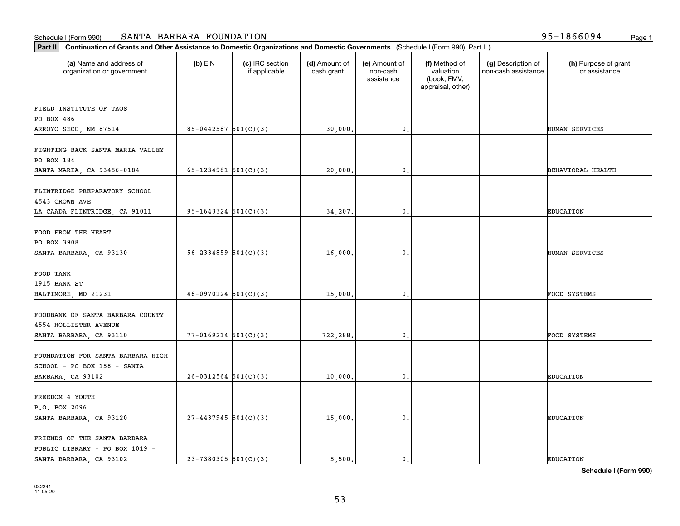| Part II   Continuation of Grants and Other Assistance to Domestic Organizations and Domestic Governments (Schedule I (Form 990), Part II.) |                            |                                  |                             |                                         |                                                                |                                           |                                       |
|--------------------------------------------------------------------------------------------------------------------------------------------|----------------------------|----------------------------------|-----------------------------|-----------------------------------------|----------------------------------------------------------------|-------------------------------------------|---------------------------------------|
| (a) Name and address of<br>organization or government                                                                                      | $(b)$ EIN                  | (c) IRC section<br>if applicable | (d) Amount of<br>cash grant | (e) Amount of<br>non-cash<br>assistance | (f) Method of<br>valuation<br>(book, FMV,<br>appraisal, other) | (g) Description of<br>non-cash assistance | (h) Purpose of grant<br>or assistance |
| FIELD INSTITUTE OF TAOS                                                                                                                    |                            |                                  |                             |                                         |                                                                |                                           |                                       |
| PO BOX 486                                                                                                                                 |                            |                                  |                             |                                         |                                                                |                                           |                                       |
| ARROYO SECO, NM 87514                                                                                                                      | $85 - 0442587$ 501(C)(3)   |                                  | 30,000.                     | $\mathbf{0}$ .                          |                                                                |                                           | HUMAN SERVICES                        |
|                                                                                                                                            |                            |                                  |                             |                                         |                                                                |                                           |                                       |
| FIGHTING BACK SANTA MARIA VALLEY                                                                                                           |                            |                                  |                             |                                         |                                                                |                                           |                                       |
| PO BOX 184                                                                                                                                 |                            |                                  |                             |                                         |                                                                |                                           |                                       |
| SANTA MARIA, CA 93456-0184                                                                                                                 | 65-1234981 $501(C)(3)$     |                                  | 20,000,                     | $\mathbf 0$ .                           |                                                                |                                           | BEHAVIORAL HEALTH                     |
|                                                                                                                                            |                            |                                  |                             |                                         |                                                                |                                           |                                       |
| FLINTRIDGE PREPARATORY SCHOOL                                                                                                              |                            |                                  |                             |                                         |                                                                |                                           |                                       |
| 4543 CROWN AVE                                                                                                                             |                            |                                  |                             |                                         |                                                                |                                           |                                       |
| LA CAADA FLINTRIDGE, CA 91011                                                                                                              | $95-1643324$ $501(C)(3)$   |                                  | 34,207.                     | 0.                                      |                                                                |                                           | <b>EDUCATION</b>                      |
| FOOD FROM THE HEART                                                                                                                        |                            |                                  |                             |                                         |                                                                |                                           |                                       |
| PO BOX 3908                                                                                                                                |                            |                                  |                             |                                         |                                                                |                                           |                                       |
| SANTA BARBARA, CA 93130                                                                                                                    | $56 - 2334859$ $501(C)(3)$ |                                  | 16,000.                     | $\mathbf 0$ .                           |                                                                |                                           | HUMAN SERVICES                        |
|                                                                                                                                            |                            |                                  |                             |                                         |                                                                |                                           |                                       |
| FOOD TANK                                                                                                                                  |                            |                                  |                             |                                         |                                                                |                                           |                                       |
| 1915 BANK ST                                                                                                                               |                            |                                  |                             |                                         |                                                                |                                           |                                       |
| BALTIMORE, MD 21231                                                                                                                        | $46-0970124$ 501(C)(3)     |                                  | 15,000.                     | 0.                                      |                                                                |                                           | FOOD SYSTEMS                          |
|                                                                                                                                            |                            |                                  |                             |                                         |                                                                |                                           |                                       |
| FOODBANK OF SANTA BARBARA COUNTY                                                                                                           |                            |                                  |                             |                                         |                                                                |                                           |                                       |
| 4554 HOLLISTER AVENUE                                                                                                                      |                            |                                  |                             |                                         |                                                                |                                           |                                       |
| SANTA BARBARA, CA 93110                                                                                                                    | $77 - 0169214$ $501(C)(3)$ |                                  | 722,288.                    | $\mathbf 0$ .                           |                                                                |                                           | FOOD SYSTEMS                          |
|                                                                                                                                            |                            |                                  |                             |                                         |                                                                |                                           |                                       |
| FOUNDATION FOR SANTA BARBARA HIGH                                                                                                          |                            |                                  |                             |                                         |                                                                |                                           |                                       |
| SCHOOL - PO BOX 158 - SANTA                                                                                                                |                            |                                  |                             |                                         |                                                                |                                           |                                       |
| BARBARA, CA 93102                                                                                                                          | $26-0312564$ $501(C)(3)$   |                                  | 10,000.                     | 0.                                      |                                                                |                                           | <b>EDUCATION</b>                      |
|                                                                                                                                            |                            |                                  |                             |                                         |                                                                |                                           |                                       |
| FREEDOM 4 YOUTH                                                                                                                            |                            |                                  |                             |                                         |                                                                |                                           |                                       |
| P.O. BOX 2096                                                                                                                              |                            |                                  |                             |                                         |                                                                |                                           |                                       |
| SANTA BARBARA, CA 93120                                                                                                                    | $27 - 4437945$ 501(C)(3)   |                                  | 15,000.                     | 0.                                      |                                                                |                                           | <b>EDUCATION</b>                      |
|                                                                                                                                            |                            |                                  |                             |                                         |                                                                |                                           |                                       |
| FRIENDS OF THE SANTA BARBARA<br>PUBLIC LIBRARY - PO BOX 1019 -                                                                             |                            |                                  |                             |                                         |                                                                |                                           |                                       |
| SANTA BARBARA, CA 93102                                                                                                                    | $23 - 7380305$ 501(C)(3)   |                                  | 5,500.                      | $\mathbf{0}$ .                          |                                                                |                                           | <b>EDUCATION</b>                      |
|                                                                                                                                            |                            |                                  |                             |                                         |                                                                |                                           |                                       |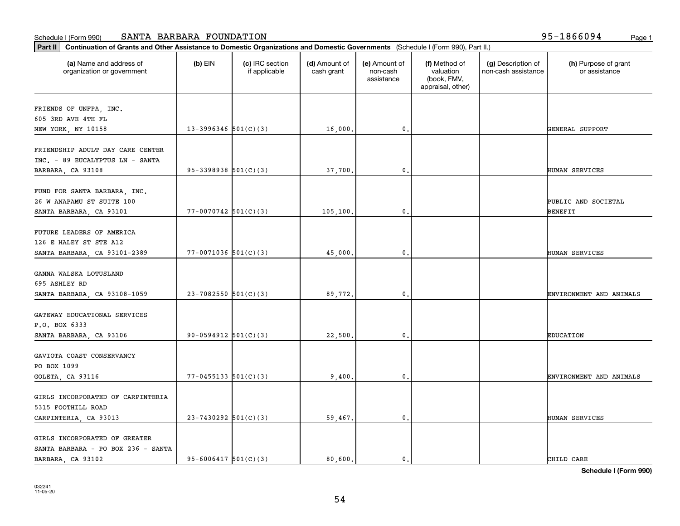| (a) Name and address of<br>organization or government | $(b)$ EIN                  | (c) IRC section<br>if applicable | (d) Amount of<br>cash grant | (e) Amount of<br>non-cash<br>assistance | (f) Method of<br>valuation<br>(book, FMV,<br>appraisal, other) | (g) Description of<br>non-cash assistance | (h) Purpose of grant<br>or assistance |
|-------------------------------------------------------|----------------------------|----------------------------------|-----------------------------|-----------------------------------------|----------------------------------------------------------------|-------------------------------------------|---------------------------------------|
| FRIENDS OF UNFPA, INC.                                |                            |                                  |                             |                                         |                                                                |                                           |                                       |
| 605 3RD AVE 4TH FL                                    |                            |                                  |                             |                                         |                                                                |                                           |                                       |
| NEW YORK, NY 10158                                    | $13-3996346$ $501(C)(3)$   |                                  | 16,000.                     | $\mathbf 0$ .                           |                                                                |                                           | GENERAL SUPPORT                       |
| FRIENDSHIP ADULT DAY CARE CENTER                      |                            |                                  |                             |                                         |                                                                |                                           |                                       |
| INC. - 89 EUCALYPTUS LN - SANTA                       |                            |                                  |                             |                                         |                                                                |                                           |                                       |
| BARBARA, CA 93108                                     | $95-3398938$ $501(C)(3)$   |                                  | 37,700.                     | $\mathbf{0}$                            |                                                                |                                           | HUMAN SERVICES                        |
|                                                       |                            |                                  |                             |                                         |                                                                |                                           |                                       |
| FUND FOR SANTA BARBARA, INC.                          |                            |                                  |                             |                                         |                                                                |                                           |                                       |
| 26 W ANAPAMU ST SUITE 100                             |                            |                                  |                             |                                         |                                                                |                                           | PUBLIC AND SOCIETAL                   |
| SANTA BARBARA, CA 93101                               | $77 - 0070742$ 501(C)(3)   |                                  | 105,100.                    | 0.                                      |                                                                |                                           | BENEFIT                               |
| FUTURE LEADERS OF AMERICA                             |                            |                                  |                             |                                         |                                                                |                                           |                                       |
| 126 E HALEY ST STE A12                                |                            |                                  |                             |                                         |                                                                |                                           |                                       |
| SANTA BARBARA, CA 93101-2389                          | $77 - 0071036$ 501(C)(3)   |                                  | 45,000                      | 0                                       |                                                                |                                           | HUMAN SERVICES                        |
|                                                       |                            |                                  |                             |                                         |                                                                |                                           |                                       |
| GANNA WALSKA LOTUSLAND                                |                            |                                  |                             |                                         |                                                                |                                           |                                       |
| 695 ASHLEY RD                                         |                            |                                  |                             |                                         |                                                                |                                           |                                       |
| SANTA BARBARA, CA 93108-1059                          | $23 - 7082550$ 501(C)(3)   |                                  | 89,772.                     | $\mathbf{0}$                            |                                                                |                                           | ENVIRONMENT AND ANIMALS               |
|                                                       |                            |                                  |                             |                                         |                                                                |                                           |                                       |
| GATEWAY EDUCATIONAL SERVICES                          |                            |                                  |                             |                                         |                                                                |                                           |                                       |
| P.O. BOX 6333                                         |                            |                                  |                             |                                         |                                                                |                                           |                                       |
| SANTA BARBARA, CA 93106                               | $90-0594912$ $501(C)(3)$   |                                  | 22,500.                     | $\mathbf{0}$                            |                                                                |                                           | <b>EDUCATION</b>                      |
|                                                       |                            |                                  |                             |                                         |                                                                |                                           |                                       |
| GAVIOTA COAST CONSERVANCY                             |                            |                                  |                             |                                         |                                                                |                                           |                                       |
| PO BOX 1099                                           |                            |                                  |                             |                                         |                                                                |                                           |                                       |
| GOLETA, CA 93116                                      | $77 - 0455133$ $501(C)(3)$ |                                  | 9,400.                      | 0.                                      |                                                                |                                           | ENVIRONMENT AND ANIMALS               |
| GIRLS INCORPORATED OF CARPINTERIA                     |                            |                                  |                             |                                         |                                                                |                                           |                                       |
| 5315 FOOTHILL ROAD                                    |                            |                                  |                             |                                         |                                                                |                                           |                                       |
| CARPINTERIA, CA 93013                                 | $23 - 7430292$ 501(C)(3)   |                                  | 59,467.                     | $\mathbf{0}$                            |                                                                |                                           | HUMAN SERVICES                        |
|                                                       |                            |                                  |                             |                                         |                                                                |                                           |                                       |
| GIRLS INCORPORATED OF GREATER                         |                            |                                  |                             |                                         |                                                                |                                           |                                       |
| SANTA BARBARA - PO BOX 236 - SANTA                    |                            |                                  |                             |                                         |                                                                |                                           |                                       |
| BARBARA, CA 93102                                     | $95 - 6006417$ $501(C)(3)$ |                                  | 80,600.                     | 0.                                      |                                                                |                                           | CHILD CARE                            |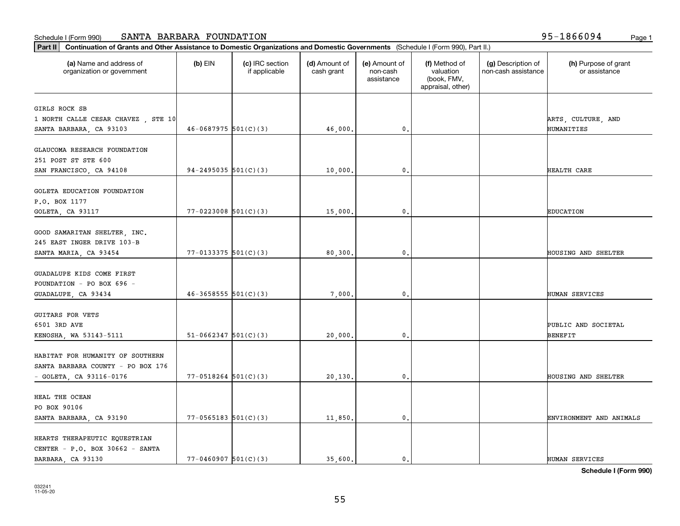| Part II   Continuation of Grants and Other Assistance to Domestic Organizations and Domestic Governments (Schedule I (Form 990), Part II.) |                            |                                  |                             |                                         |                                                                |                                           |                                       |
|--------------------------------------------------------------------------------------------------------------------------------------------|----------------------------|----------------------------------|-----------------------------|-----------------------------------------|----------------------------------------------------------------|-------------------------------------------|---------------------------------------|
| (a) Name and address of<br>organization or government                                                                                      | $(b)$ EIN                  | (c) IRC section<br>if applicable | (d) Amount of<br>cash grant | (e) Amount of<br>non-cash<br>assistance | (f) Method of<br>valuation<br>(book, FMV,<br>appraisal, other) | (g) Description of<br>non-cash assistance | (h) Purpose of grant<br>or assistance |
| GIRLS ROCK SB                                                                                                                              |                            |                                  |                             |                                         |                                                                |                                           |                                       |
| 1 NORTH CALLE CESAR CHAVEZ, STE 10                                                                                                         |                            |                                  |                             |                                         |                                                                |                                           | ARTS, CULTURE, AND                    |
| SANTA BARBARA, CA 93103                                                                                                                    | $46-0687975$ 501(C)(3)     |                                  | 46,000.                     | 0.                                      |                                                                |                                           | HUMANITIES                            |
|                                                                                                                                            |                            |                                  |                             |                                         |                                                                |                                           |                                       |
| GLAUCOMA RESEARCH FOUNDATION                                                                                                               |                            |                                  |                             |                                         |                                                                |                                           |                                       |
| 251 POST ST STE 600                                                                                                                        |                            |                                  |                             |                                         |                                                                |                                           |                                       |
| SAN FRANCISCO, CA 94108                                                                                                                    | $94 - 2495035$ 501(C)(3)   |                                  | 10,000.                     | $\mathbf{0}$                            |                                                                |                                           | HEALTH CARE                           |
|                                                                                                                                            |                            |                                  |                             |                                         |                                                                |                                           |                                       |
| GOLETA EDUCATION FOUNDATION                                                                                                                |                            |                                  |                             |                                         |                                                                |                                           |                                       |
| P.O. BOX 1177                                                                                                                              |                            |                                  |                             |                                         |                                                                |                                           |                                       |
| GOLETA, CA 93117                                                                                                                           | $77 - 0223008$ 501(C)(3)   |                                  | 15,000.                     | $\mathbf{0}$ .                          |                                                                |                                           | <b>EDUCATION</b>                      |
|                                                                                                                                            |                            |                                  |                             |                                         |                                                                |                                           |                                       |
| GOOD SAMARITAN SHELTER, INC.                                                                                                               |                            |                                  |                             |                                         |                                                                |                                           |                                       |
| 245 EAST INGER DRIVE 103-B                                                                                                                 |                            |                                  |                             |                                         |                                                                |                                           |                                       |
| SANTA MARIA, CA 93454                                                                                                                      | $77 - 0133375$ 501(C)(3)   |                                  | 80,300                      | 0.                                      |                                                                |                                           | HOUSING AND SHELTER                   |
|                                                                                                                                            |                            |                                  |                             |                                         |                                                                |                                           |                                       |
| GUADALUPE KIDS COME FIRST                                                                                                                  |                            |                                  |                             |                                         |                                                                |                                           |                                       |
| FOUNDATION - PO BOX 696 -                                                                                                                  |                            |                                  |                             |                                         |                                                                |                                           |                                       |
| GUADALUPE, CA 93434                                                                                                                        | $46 - 3658555$ $501(C)(3)$ |                                  | 7,000                       | $\mathbf{0}$                            |                                                                |                                           | HUMAN SERVICES                        |
| <b>GUITARS FOR VETS</b>                                                                                                                    |                            |                                  |                             |                                         |                                                                |                                           |                                       |
| 6501 3RD AVE                                                                                                                               |                            |                                  |                             |                                         |                                                                |                                           | PUBLIC AND SOCIETAL                   |
|                                                                                                                                            | $51-0662347$ $501(C)(3)$   |                                  | 20,000.                     | $\mathbf{0}$                            |                                                                |                                           | BENEFIT                               |
| KENOSHA, WA 53143-5111                                                                                                                     |                            |                                  |                             |                                         |                                                                |                                           |                                       |
| HABITAT FOR HUMANITY OF SOUTHERN                                                                                                           |                            |                                  |                             |                                         |                                                                |                                           |                                       |
| SANTA BARBARA COUNTY - PO BOX 176                                                                                                          |                            |                                  |                             |                                         |                                                                |                                           |                                       |
| $-$ GOLETA, CA 93116-0176                                                                                                                  | $77 - 0518264$ 501(C)(3)   |                                  | 20,130.                     | 0.                                      |                                                                |                                           | HOUSING AND SHELTER                   |
|                                                                                                                                            |                            |                                  |                             |                                         |                                                                |                                           |                                       |
| HEAL THE OCEAN                                                                                                                             |                            |                                  |                             |                                         |                                                                |                                           |                                       |
| PO BOX 90106                                                                                                                               |                            |                                  |                             |                                         |                                                                |                                           |                                       |
| SANTA BARBARA, CA 93190                                                                                                                    | $77 - 0565183$ $501(C)(3)$ |                                  | 11,850.                     | $\mathbf{0}$ .                          |                                                                |                                           | ENVIRONMENT AND ANIMALS               |
|                                                                                                                                            |                            |                                  |                             |                                         |                                                                |                                           |                                       |
| HEARTS THERAPEUTIC EQUESTRIAN                                                                                                              |                            |                                  |                             |                                         |                                                                |                                           |                                       |
| CENTER - P.O. BOX 30662 - SANTA                                                                                                            |                            |                                  |                             |                                         |                                                                |                                           |                                       |
| BARBARA, CA 93130                                                                                                                          | $77 - 0460907$ 501(C)(3)   |                                  | 35,600.                     | 0.                                      |                                                                |                                           | HUMAN SERVICES                        |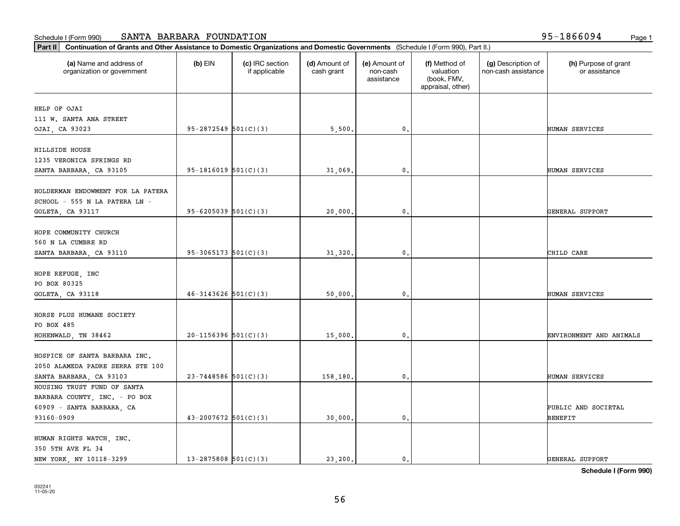| (a) Name and address of<br>organization or government | $(b)$ EIN                  | (c) IRC section<br>if applicable | (d) Amount of<br>cash grant | (e) Amount of<br>non-cash<br>assistance | (f) Method of<br>valuation<br>(book, FMV,<br>appraisal, other) | (g) Description of<br>non-cash assistance | (h) Purpose of grant<br>or assistance |
|-------------------------------------------------------|----------------------------|----------------------------------|-----------------------------|-----------------------------------------|----------------------------------------------------------------|-------------------------------------------|---------------------------------------|
| HELP OF OJAI                                          |                            |                                  |                             |                                         |                                                                |                                           |                                       |
| 111 W. SANTA ANA STREET                               |                            |                                  |                             |                                         |                                                                |                                           |                                       |
| OJAI, CA 93023                                        | $95 - 2872549$ $501(C)(3)$ |                                  | 5,500.                      | 0.                                      |                                                                |                                           | HUMAN SERVICES                        |
|                                                       |                            |                                  |                             |                                         |                                                                |                                           |                                       |
| HILLSIDE HOUSE                                        |                            |                                  |                             |                                         |                                                                |                                           |                                       |
| 1235 VERONICA SPRINGS RD                              |                            |                                  |                             |                                         |                                                                |                                           |                                       |
| SANTA BARBARA, CA 93105                               | $95-1816019$ $501(C)(3)$   |                                  | 31,069.                     | 0.                                      |                                                                |                                           | HUMAN SERVICES                        |
| HOLDERMAN ENDOWMENT FOR LA PATERA                     |                            |                                  |                             |                                         |                                                                |                                           |                                       |
| SCHOOL - 555 N LA PATERA LN -                         |                            |                                  |                             |                                         |                                                                |                                           |                                       |
|                                                       | $95 - 6205039$ 501(C)(3)   |                                  |                             | $\mathbf{0}$ .                          |                                                                |                                           |                                       |
| GOLETA, CA 93117                                      |                            |                                  | 20,000.                     |                                         |                                                                |                                           | GENERAL SUPPORT                       |
| HOPE COMMUNITY CHURCH                                 |                            |                                  |                             |                                         |                                                                |                                           |                                       |
| 560 N LA CUMBRE RD                                    |                            |                                  |                             |                                         |                                                                |                                           |                                       |
| SANTA BARBARA, CA 93110                               | $95-3065173$ $501(C)(3)$   |                                  | 31,320.                     | 0.                                      |                                                                |                                           | CHILD CARE                            |
|                                                       |                            |                                  |                             |                                         |                                                                |                                           |                                       |
| HOPE REFUGE, INC                                      |                            |                                  |                             |                                         |                                                                |                                           |                                       |
| PO BOX 80325                                          |                            |                                  |                             |                                         |                                                                |                                           |                                       |
| GOLETA, CA 93118                                      | $46 - 3143626$ $501(C)(3)$ |                                  | 50,000                      | $\mathbf{0}$                            |                                                                |                                           | HUMAN SERVICES                        |
|                                                       |                            |                                  |                             |                                         |                                                                |                                           |                                       |
| HORSE PLUS HUMANE SOCIETY                             |                            |                                  |                             |                                         |                                                                |                                           |                                       |
| PO BOX 485                                            |                            |                                  |                             |                                         |                                                                |                                           |                                       |
| HOHENWALD, TN 38462                                   | $20-1156396$ $501(C)(3)$   |                                  | 15,000.                     | 0.                                      |                                                                |                                           | ENVIRONMENT AND ANIMALS               |
|                                                       |                            |                                  |                             |                                         |                                                                |                                           |                                       |
| HOSPICE OF SANTA BARBARA INC.                         |                            |                                  |                             |                                         |                                                                |                                           |                                       |
| 2050 ALAMEDA PADRE SERRA STE 100                      |                            |                                  |                             |                                         |                                                                |                                           |                                       |
| SANTA BARBARA, CA 93103                               | $23 - 7448586$ 501(C)(3)   |                                  | 158,180.                    | 0.                                      |                                                                |                                           | HUMAN SERVICES                        |
| HOUSING TRUST FUND OF SANTA                           |                            |                                  |                             |                                         |                                                                |                                           |                                       |
| BARBARA COUNTY, INC. - PO BOX                         |                            |                                  |                             |                                         |                                                                |                                           |                                       |
| 60909 - SANTA BARBARA, CA                             |                            |                                  |                             |                                         |                                                                |                                           | PUBLIC AND SOCIETAL                   |
| 93160-0909                                            | $43 - 2007672$ 501(C)(3)   |                                  | 30,000.                     | $\mathbf{0}$ .                          |                                                                |                                           | BENEFIT                               |
|                                                       |                            |                                  |                             |                                         |                                                                |                                           |                                       |
| HUMAN RIGHTS WATCH, INC.                              |                            |                                  |                             |                                         |                                                                |                                           |                                       |
| 350 5TH AVE FL 34                                     |                            |                                  |                             |                                         |                                                                |                                           |                                       |
| NEW YORK, NY 10118-3299                               | $13 - 2875808$ $501(C)(3)$ |                                  | 23,200.                     | 0.                                      |                                                                |                                           | GENERAL SUPPORT                       |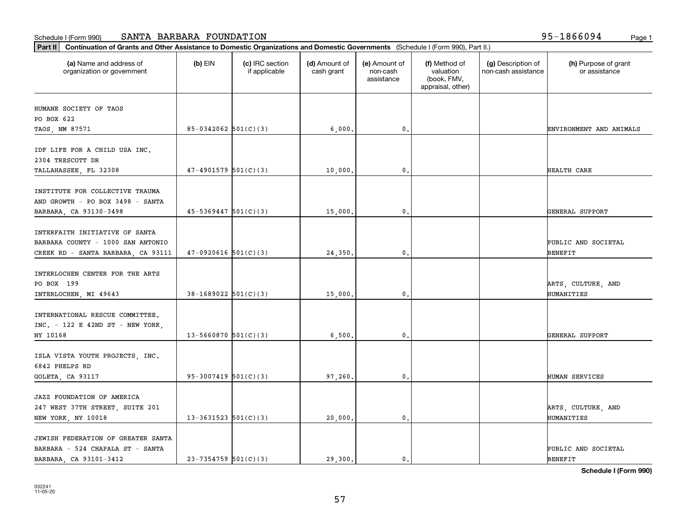| (a) Name and address of<br>organization or government                                                     | $(b)$ EIN                  | (c) IRC section<br>if applicable | (d) Amount of<br>cash grant | (e) Amount of<br>non-cash<br>assistance | (f) Method of<br>valuation<br>(book, FMV,<br>appraisal, other) | (g) Description of<br>non-cash assistance | (h) Purpose of grant<br>or assistance |
|-----------------------------------------------------------------------------------------------------------|----------------------------|----------------------------------|-----------------------------|-----------------------------------------|----------------------------------------------------------------|-------------------------------------------|---------------------------------------|
| HUMANE SOCIETY OF TAOS                                                                                    |                            |                                  |                             |                                         |                                                                |                                           |                                       |
| PO BOX 622                                                                                                |                            |                                  |                             |                                         |                                                                |                                           |                                       |
| TAOS, NM 87571                                                                                            | $85-0342062$ $501(C)(3)$   |                                  | 6,000.                      | 0.                                      |                                                                |                                           | ENVIRONMENT AND ANIMALS               |
| IDF LIFE FOR A CHILD USA INC.<br>2304 TRESCOTT DR                                                         |                            |                                  |                             |                                         |                                                                |                                           |                                       |
| TALLAHASSEE, FL 32308                                                                                     | $47-4901579$ $501(C)(3)$   |                                  | 10,000.                     | 0.                                      |                                                                |                                           | HEALTH CARE                           |
| INSTITUTE FOR COLLECTIVE TRAUMA<br>AND GROWTH - PO BOX 3498 - SANTA<br>BARBARA, CA 93130-3498             | $45 - 5369447$ $501(C)(3)$ |                                  | 15,000.                     | 0.                                      |                                                                |                                           | GENERAL SUPPORT                       |
|                                                                                                           |                            |                                  |                             |                                         |                                                                |                                           |                                       |
| INTERFAITH INITIATIVE OF SANTA<br>BARBARA COUNTY - 1000 SAN ANTONIO<br>CREEK RD - SANTA BARBARA, CA 93111 | $47-0920616$ 501(C)(3)     |                                  | 24,350.                     | 0.                                      |                                                                |                                           | PUBLIC AND SOCIETAL<br><b>BENEFIT</b> |
| INTERLOCHEN CENTER FOR THE ARTS<br>PO BOX 199                                                             |                            |                                  |                             |                                         |                                                                |                                           | ARTS, CULTURE, AND                    |
| INTERLOCHEN, MI 49643                                                                                     | $38-1689022$ $501(C)(3)$   |                                  | 15,000                      | $\mathbf{0}$                            |                                                                |                                           | HUMANITIES                            |
| INTERNATIONAL RESCUE COMMITTEE.<br>$INC. - 122 E 42ND ST - NEW YORK,$<br>NY 10168                         | $13 - 5660870$ $501(C)(3)$ |                                  | 6,500                       | 0.                                      |                                                                |                                           | GENERAL SUPPORT                       |
| ISLA VISTA YOUTH PROJECTS, INC.<br>6842 PHELPS RD                                                         |                            |                                  |                             |                                         |                                                                |                                           |                                       |
| GOLETA, CA 93117                                                                                          | $95-3007419$ 501(C)(3)     |                                  | 97,260.                     | 0.                                      |                                                                |                                           | HUMAN SERVICES                        |
| JAZZ FOUNDATION OF AMERICA<br>247 WEST 37TH STREET, SUITE 201<br>NEW YORK, NY 10018                       | $13 - 3631523$ $501(C)(3)$ |                                  | 20,000.                     | $\mathbf{0}$ .                          |                                                                |                                           | ARTS, CULTURE, AND<br>HUMANITIES      |
| JEWISH FEDERATION OF GREATER SANTA<br>BARBARA - 524 CHAPALA ST - SANTA<br>BARBARA, CA 93101-3412          | $23 - 7354759$ 501(C)(3)   |                                  | 29,300.                     | $\mathfrak{o}$ .                        |                                                                |                                           | PUBLIC AND SOCIETAL<br><b>BENEFIT</b> |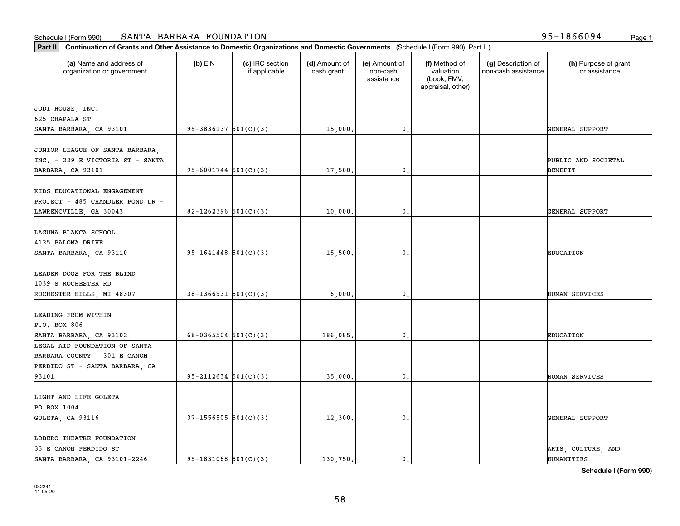| (a) Name and address of<br>organization or government | $(b)$ EIN                  | (c) IRC section<br>if applicable | (d) Amount of<br>cash grant | (e) Amount of<br>non-cash<br>assistance | (f) Method of<br>valuation<br>(book, FMV,<br>appraisal, other) | (g) Description of<br>non-cash assistance | (h) Purpose of grant<br>or assistance |
|-------------------------------------------------------|----------------------------|----------------------------------|-----------------------------|-----------------------------------------|----------------------------------------------------------------|-------------------------------------------|---------------------------------------|
| JODI HOUSE, INC.                                      |                            |                                  |                             |                                         |                                                                |                                           |                                       |
| 625 CHAPALA ST                                        |                            |                                  |                             |                                         |                                                                |                                           |                                       |
| SANTA BARBARA, CA 93101                               | $95-3836137$ $501(C)(3)$   |                                  | 15,000.                     | 0.                                      |                                                                |                                           | GENERAL SUPPORT                       |
|                                                       |                            |                                  |                             |                                         |                                                                |                                           |                                       |
| JUNIOR LEAGUE OF SANTA BARBARA,                       |                            |                                  |                             |                                         |                                                                |                                           |                                       |
| INC. - 229 E VICTORIA ST - SANTA                      |                            |                                  |                             |                                         |                                                                |                                           | PUBLIC AND SOCIETAL                   |
| BARBARA, CA 93101                                     | $95 - 6001744$ $501(C)(3)$ |                                  | 17,500.                     | $\mathbf 0$                             |                                                                |                                           | BENEFIT                               |
|                                                       |                            |                                  |                             |                                         |                                                                |                                           |                                       |
| KIDS EDUCATIONAL ENGAGEMENT                           |                            |                                  |                             |                                         |                                                                |                                           |                                       |
| PROJECT - 485 CHANDLER POND DR -                      | $82 - 1262396$ 501(C)(3)   |                                  |                             |                                         |                                                                |                                           |                                       |
| LAWRENCVILLE, GA 30043                                |                            |                                  | 10,000.                     | 0.                                      |                                                                |                                           | GENERAL SUPPORT                       |
| LAGUNA BLANCA SCHOOL                                  |                            |                                  |                             |                                         |                                                                |                                           |                                       |
| 4125 PALOMA DRIVE                                     |                            |                                  |                             |                                         |                                                                |                                           |                                       |
| SANTA BARBARA, CA 93110                               | $95-1641448$ $501(C)(3)$   |                                  | 15,500.                     | $\mathbf 0$                             |                                                                |                                           | <b>EDUCATION</b>                      |
|                                                       |                            |                                  |                             |                                         |                                                                |                                           |                                       |
| LEADER DOGS FOR THE BLIND                             |                            |                                  |                             |                                         |                                                                |                                           |                                       |
| 1039 S ROCHESTER RD                                   |                            |                                  |                             |                                         |                                                                |                                           |                                       |
| ROCHESTER HILLS, MI 48307                             | $38-1366931$ $501(C)(3)$   |                                  | 6,000                       | $\mathbf{0}$                            |                                                                |                                           | HUMAN SERVICES                        |
|                                                       |                            |                                  |                             |                                         |                                                                |                                           |                                       |
| LEADING FROM WITHIN                                   |                            |                                  |                             |                                         |                                                                |                                           |                                       |
| P.O. BOX 806                                          |                            |                                  |                             |                                         |                                                                |                                           |                                       |
| SANTA BARBARA, CA 93102                               | 68-0365504 $501(C)(3)$     |                                  | 186,085.                    | 0.                                      |                                                                |                                           | <b>EDUCATION</b>                      |
| LEGAL AID FOUNDATION OF SANTA                         |                            |                                  |                             |                                         |                                                                |                                           |                                       |
| BARBARA COUNTY - 301 E CANON                          |                            |                                  |                             |                                         |                                                                |                                           |                                       |
| PERDIDO ST - SANTA BARBARA, CA                        |                            |                                  |                             |                                         |                                                                |                                           |                                       |
| 93101                                                 | $95 - 2112634$ $501(C)(3)$ |                                  | 35,000.                     | 0.                                      |                                                                |                                           | HUMAN SERVICES                        |
|                                                       |                            |                                  |                             |                                         |                                                                |                                           |                                       |
| LIGHT AND LIFE GOLETA                                 |                            |                                  |                             |                                         |                                                                |                                           |                                       |
| PO BOX 1004                                           |                            |                                  |                             |                                         |                                                                |                                           |                                       |
| GOLETA, CA 93116                                      | $37-1556505$ $501(C)(3)$   |                                  | 12,300.                     | $\mathbf{0}$                            |                                                                |                                           | GENERAL SUPPORT                       |
|                                                       |                            |                                  |                             |                                         |                                                                |                                           |                                       |
| LOBERO THEATRE FOUNDATION                             |                            |                                  |                             |                                         |                                                                |                                           |                                       |
| 33 E CANON PERDIDO ST                                 |                            |                                  |                             |                                         |                                                                |                                           | ARTS, CULTURE, AND                    |
| SANTA BARBARA, CA 93101-2246                          | $95-1831068$ $501(C)(3)$   |                                  | 130,750.                    | $\mathbf{0}$ .                          |                                                                |                                           | HUMANITIES                            |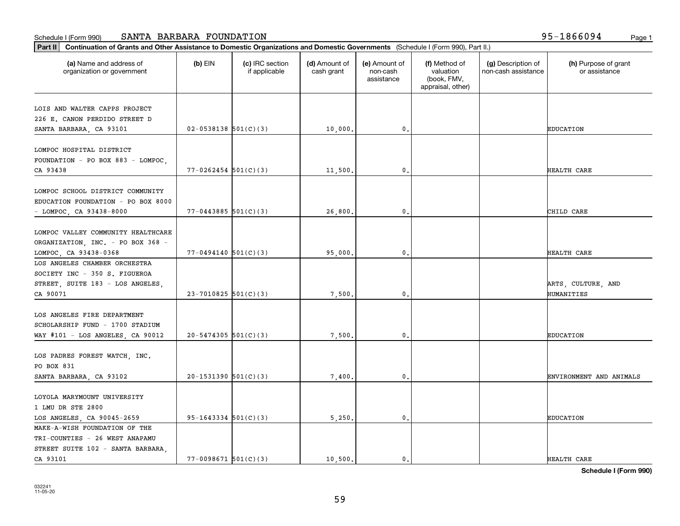| (a) Name and address of<br>organization or government          | $(b)$ EIN                  | (c) IRC section<br>if applicable | (d) Amount of<br>cash grant | (e) Amount of<br>non-cash<br>assistance | (f) Method of<br>valuation<br>(book, FMV,<br>appraisal, other) | (g) Description of<br>non-cash assistance | (h) Purpose of grant<br>or assistance |
|----------------------------------------------------------------|----------------------------|----------------------------------|-----------------------------|-----------------------------------------|----------------------------------------------------------------|-------------------------------------------|---------------------------------------|
| LOIS AND WALTER CAPPS PROJECT                                  |                            |                                  |                             |                                         |                                                                |                                           |                                       |
| 226 E. CANON PERDIDO STREET D                                  |                            |                                  |                             |                                         |                                                                |                                           |                                       |
| SANTA BARBARA, CA 93101                                        | $02 - 0538138$ $501(C)(3)$ |                                  | 10,000.                     | 0.                                      |                                                                |                                           | <b>EDUCATION</b>                      |
| LOMPOC HOSPITAL DISTRICT                                       |                            |                                  |                             |                                         |                                                                |                                           |                                       |
| FOUNDATION - PO BOX 883 - LOMPOC,                              |                            |                                  |                             |                                         |                                                                |                                           |                                       |
| CA 93438                                                       | $77 - 0262454$ 501(C)(3)   |                                  | 11,500.                     | 0.                                      |                                                                |                                           | HEALTH CARE                           |
| LOMPOC SCHOOL DISTRICT COMMUNITY                               |                            |                                  |                             |                                         |                                                                |                                           |                                       |
| EDUCATION FOUNDATION - PO BOX 8000                             |                            |                                  |                             |                                         |                                                                |                                           |                                       |
| - LOMPOC, CA 93438-8000                                        | $77 - 0443885$ 501(C)(3)   |                                  | 26,800.                     | 0.                                      |                                                                |                                           | CHILD CARE                            |
|                                                                |                            |                                  |                             |                                         |                                                                |                                           |                                       |
| LOMPOC VALLEY COMMUNITY HEALTHCARE                             |                            |                                  |                             |                                         |                                                                |                                           |                                       |
| ORGANIZATION, INC. - PO BOX 368 -                              |                            |                                  |                             |                                         |                                                                |                                           |                                       |
| LOMPOC, CA 93438-0368                                          | $77 - 0494140$ $501(C)(3)$ |                                  | 95,000.                     | 0.                                      |                                                                |                                           | HEALTH CARE                           |
| LOS ANGELES CHAMBER ORCHESTRA                                  |                            |                                  |                             |                                         |                                                                |                                           |                                       |
| SOCIETY INC - 350 S. FIGUEROA                                  |                            |                                  |                             |                                         |                                                                |                                           |                                       |
| STREET, SUITE 183 - LOS ANGELES,                               |                            |                                  |                             |                                         |                                                                |                                           | ARTS, CULTURE, AND                    |
| CA 90071                                                       | $23 - 7010825$ 501(C)(3)   |                                  | 7,500.                      | $\mathbf{0}$                            |                                                                |                                           | HUMANITIES                            |
|                                                                |                            |                                  |                             |                                         |                                                                |                                           |                                       |
| LOS ANGELES FIRE DEPARTMENT<br>SCHOLARSHIP FUND - 1700 STADIUM |                            |                                  |                             |                                         |                                                                |                                           |                                       |
| WAY $#101 - LOS ANGELES$ , CA 90012                            | $20 - 5474305$ 501(C)(3)   |                                  | 7,500.                      | 0.                                      |                                                                |                                           | <b>EDUCATION</b>                      |
|                                                                |                            |                                  |                             |                                         |                                                                |                                           |                                       |
| LOS PADRES FOREST WATCH, INC.                                  |                            |                                  |                             |                                         |                                                                |                                           |                                       |
| PO BOX 831                                                     |                            |                                  |                             |                                         |                                                                |                                           |                                       |
| SANTA BARBARA, CA 93102                                        | $20-1531390$ $501(C)(3)$   |                                  | 7,400.                      | 0.                                      |                                                                |                                           | ENVIRONMENT AND ANIMALS               |
|                                                                |                            |                                  |                             |                                         |                                                                |                                           |                                       |
| LOYOLA MARYMOUNT UNIVERSITY<br>1 LMU DR STE 2800               |                            |                                  |                             |                                         |                                                                |                                           |                                       |
| LOS ANGELES, CA 90045-2659                                     | $95-1643334$ $501(C)(3)$   |                                  | 5,250.                      | $\mathbf{0}$ .                          |                                                                |                                           | <b>EDUCATION</b>                      |
| MAKE-A-WISH FOUNDATION OF THE                                  |                            |                                  |                             |                                         |                                                                |                                           |                                       |
| TRI-COUNTIES - 26 WEST ANAPAMU                                 |                            |                                  |                             |                                         |                                                                |                                           |                                       |
| STREET SUITE 102 - SANTA BARBARA,                              |                            |                                  |                             |                                         |                                                                |                                           |                                       |
| CA 93101                                                       | $77 - 0098671$ 501(C)(3)   |                                  | 10.500.                     | $\mathbf{0}$ .                          |                                                                |                                           | HEALTH CARE                           |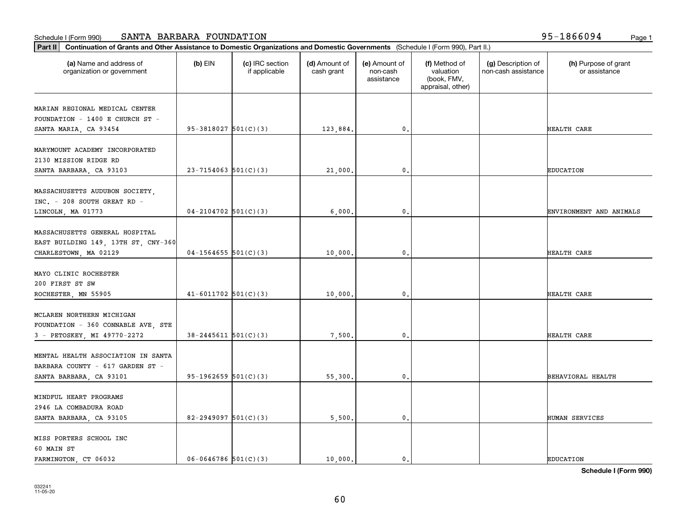| (a) Name and address of                                       | $(b)$ EIN                  | (c) IRC section | (d) Amount of | (e) Amount of          | (f) Method of                                 | (g) Description of  | (h) Purpose of grant    |
|---------------------------------------------------------------|----------------------------|-----------------|---------------|------------------------|-----------------------------------------------|---------------------|-------------------------|
| organization or government                                    |                            | if applicable   | cash grant    | non-cash<br>assistance | valuation<br>(book, FMV,<br>appraisal, other) | non-cash assistance | or assistance           |
| MARIAN REGIONAL MEDICAL CENTER                                |                            |                 |               |                        |                                               |                     |                         |
| FOUNDATION - 1400 E CHURCH ST -                               |                            |                 |               |                        |                                               |                     |                         |
| SANTA MARIA, CA 93454                                         | $95-3818027$ $501(C)(3)$   |                 | 123,884.      | $\mathbf 0$ .          |                                               |                     | HEALTH CARE             |
| MARYMOUNT ACADEMY INCORPORATED                                |                            |                 |               |                        |                                               |                     |                         |
| 2130 MISSION RIDGE RD                                         |                            |                 |               |                        |                                               |                     |                         |
| SANTA BARBARA, CA 93103                                       | $23 - 7154063$ 501(C)(3)   |                 | 21,000.       | $\mathbf{0}$           |                                               |                     | <b>EDUCATION</b>        |
|                                                               |                            |                 |               |                        |                                               |                     |                         |
| MASSACHUSETTS AUDUBON SOCIETY,<br>INC. - 208 SOUTH GREAT RD - |                            |                 |               |                        |                                               |                     |                         |
| LINCOLN, MA 01773                                             | $04-2104702$ 501(C)(3)     |                 | 6,000         | 0.                     |                                               |                     | ENVIRONMENT AND ANIMALS |
|                                                               |                            |                 |               |                        |                                               |                     |                         |
| MASSACHUSETTS GENERAL HOSPITAL                                |                            |                 |               |                        |                                               |                     |                         |
| EAST BUILDING 149, 13TH ST, CNY-360                           |                            |                 |               |                        |                                               |                     |                         |
| CHARLESTOWN, MA 02129                                         | $04-1564655$ $501(C)(3)$   |                 | 10,000        | $\mathbf{0}$           |                                               |                     | HEALTH CARE             |
|                                                               |                            |                 |               |                        |                                               |                     |                         |
| MAYO CLINIC ROCHESTER                                         |                            |                 |               |                        |                                               |                     |                         |
| 200 FIRST ST SW                                               |                            |                 |               |                        |                                               |                     |                         |
| ROCHESTER, MN 55905                                           | $41-6011702$ 501(C)(3)     |                 | 10,000.       | $\mathbf{0}$           |                                               |                     | HEALTH CARE             |
| MCLAREN NORTHERN MICHIGAN                                     |                            |                 |               |                        |                                               |                     |                         |
| FOUNDATION - 360 CONNABLE AVE, STE                            |                            |                 |               |                        |                                               |                     |                         |
| 3 - PETOSKEY, MI 49770-2272                                   | $38 - 2445611$ $501(C)(3)$ |                 | 7,500         | 0.                     |                                               |                     | HEALTH CARE             |
|                                                               |                            |                 |               |                        |                                               |                     |                         |
| MENTAL HEALTH ASSOCIATION IN SANTA                            |                            |                 |               |                        |                                               |                     |                         |
| BARBARA COUNTY - 617 GARDEN ST -                              |                            |                 |               |                        |                                               |                     |                         |
| SANTA BARBARA, CA 93101                                       | $95-1962659$ $501(C)(3)$   |                 | 55,300.       | 0.                     |                                               |                     | BEHAVIORAL HEALTH       |
|                                                               |                            |                 |               |                        |                                               |                     |                         |
| MINDFUL HEART PROGRAMS                                        |                            |                 |               |                        |                                               |                     |                         |
| 2946 LA COMBADURA ROAD                                        |                            |                 |               |                        |                                               |                     |                         |
| SANTA BARBARA, CA 93105                                       | 82-2949097 $501(C)(3)$     |                 | 5,500.        | $\mathbf{0}$           |                                               |                     | HUMAN SERVICES          |
| MISS PORTERS SCHOOL INC                                       |                            |                 |               |                        |                                               |                     |                         |
| 60 MAIN ST                                                    |                            |                 |               |                        |                                               |                     |                         |
| FARMINGTON, CT 06032                                          | $06 - 0646786$ 501(C)(3)   |                 | 10,000.       | $\mathbf{0}$ .         |                                               |                     | <b>EDUCATION</b>        |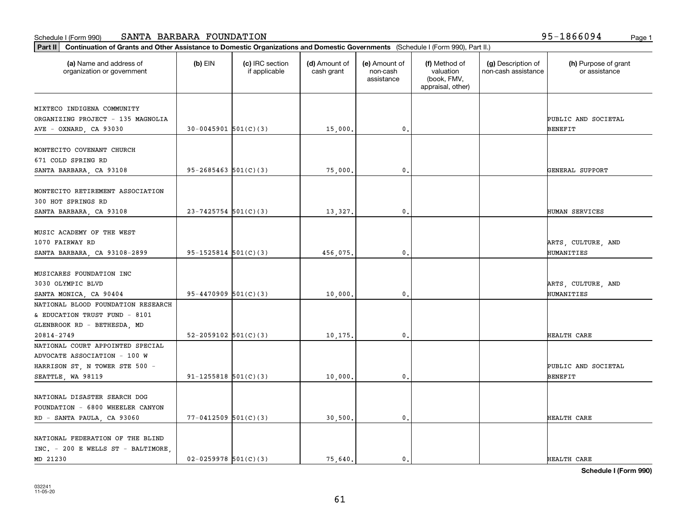| (a) Name and address of<br>organization or government | $(b)$ EIN                  | (c) IRC section<br>if applicable | (d) Amount of<br>cash grant | (e) Amount of<br>non-cash<br>assistance | (f) Method of<br>valuation<br>(book, FMV,<br>appraisal, other) | (g) Description of<br>non-cash assistance | (h) Purpose of grant<br>or assistance |
|-------------------------------------------------------|----------------------------|----------------------------------|-----------------------------|-----------------------------------------|----------------------------------------------------------------|-------------------------------------------|---------------------------------------|
| MIXTECO INDIGENA COMMUNITY                            |                            |                                  |                             |                                         |                                                                |                                           |                                       |
| ORGANIZING PROJECT - 135 MAGNOLIA                     |                            |                                  |                             |                                         |                                                                |                                           | PUBLIC AND SOCIETAL                   |
| AVE - OXNARD, CA 93030                                | $30 - 0045901$ $501(C)(3)$ |                                  | 15,000.                     | 0.                                      |                                                                |                                           | <b>BENEFIT</b>                        |
|                                                       |                            |                                  |                             |                                         |                                                                |                                           |                                       |
| MONTECITO COVENANT CHURCH                             |                            |                                  |                             |                                         |                                                                |                                           |                                       |
| 671 COLD SPRING RD                                    |                            |                                  |                             |                                         |                                                                |                                           |                                       |
| SANTA BARBARA, CA 93108                               | $95 - 2685463$ $501(C)(3)$ |                                  | 75,000,                     | 0.                                      |                                                                |                                           | GENERAL SUPPORT                       |
|                                                       |                            |                                  |                             |                                         |                                                                |                                           |                                       |
| MONTECITO RETIREMENT ASSOCIATION                      |                            |                                  |                             |                                         |                                                                |                                           |                                       |
| 300 HOT SPRINGS RD                                    |                            |                                  |                             |                                         |                                                                |                                           |                                       |
| SANTA BARBARA, CA 93108                               | $23 - 7425754$ 501(C)(3)   |                                  | 13,327.                     | 0.                                      |                                                                |                                           | HUMAN SERVICES                        |
|                                                       |                            |                                  |                             |                                         |                                                                |                                           |                                       |
| MUSIC ACADEMY OF THE WEST                             |                            |                                  |                             |                                         |                                                                |                                           |                                       |
| 1070 FAIRWAY RD                                       |                            |                                  |                             |                                         |                                                                |                                           | ARTS, CULTURE, AND                    |
| SANTA BARBARA, CA 93108-2899                          | $95-1525814$ $501(C)(3)$   |                                  | 456,075.                    | 0.                                      |                                                                |                                           | HUMANITIES                            |
|                                                       |                            |                                  |                             |                                         |                                                                |                                           |                                       |
| MUSICARES FOUNDATION INC                              |                            |                                  |                             |                                         |                                                                |                                           |                                       |
| 3030 OLYMPIC BLVD                                     |                            |                                  |                             |                                         |                                                                |                                           | ARTS, CULTURE, AND                    |
| SANTA MONICA, CA 90404                                | $95 - 4470909$ $501(C)(3)$ |                                  | 10,000                      | $\mathbf{0}$                            |                                                                |                                           | HUMANITIES                            |
| NATIONAL BLOOD FOUNDATION RESEARCH                    |                            |                                  |                             |                                         |                                                                |                                           |                                       |
| & EDUCATION TRUST FUND - 8101                         |                            |                                  |                             |                                         |                                                                |                                           |                                       |
| GLENBROOK RD - BETHESDA, MD                           |                            |                                  |                             |                                         |                                                                |                                           |                                       |
| 20814-2749                                            | 52-2059102 $501(C)(3)$     |                                  | 10,175.                     | 0.                                      |                                                                |                                           | HEALTH CARE                           |
| NATIONAL COURT APPOINTED SPECIAL                      |                            |                                  |                             |                                         |                                                                |                                           |                                       |
| ADVOCATE ASSOCIATION - 100 W                          |                            |                                  |                             |                                         |                                                                |                                           |                                       |
| HARRISON ST, N TOWER STE 500 -                        |                            |                                  |                             |                                         |                                                                |                                           | PUBLIC AND SOCIETAL                   |
| SEATTLE, WA 98119                                     | $91 - 1255818$ $501(C)(3)$ |                                  | 10,000.                     | 0.                                      |                                                                |                                           | <b>BENEFIT</b>                        |
|                                                       |                            |                                  |                             |                                         |                                                                |                                           |                                       |
| NATIONAL DISASTER SEARCH DOG                          |                            |                                  |                             |                                         |                                                                |                                           |                                       |
| FOUNDATION - 6800 WHEELER CANYON                      |                            |                                  |                             |                                         |                                                                |                                           |                                       |
| RD - SANTA PAULA, CA 93060                            | $77 - 0412509$ 501(C)(3)   |                                  | 30,500.                     | 0.                                      |                                                                |                                           | HEALTH CARE                           |
|                                                       |                            |                                  |                             |                                         |                                                                |                                           |                                       |
| NATIONAL FEDERATION OF THE BLIND                      |                            |                                  |                             |                                         |                                                                |                                           |                                       |
| INC. - 200 E WELLS ST - BALTIMORE                     |                            |                                  |                             |                                         |                                                                |                                           |                                       |
| MD 21230                                              | $02 - 0259978$ $501(C)(3)$ |                                  | 75,640.                     | $\mathbf{0}$ .                          |                                                                |                                           | HEALTH CARE                           |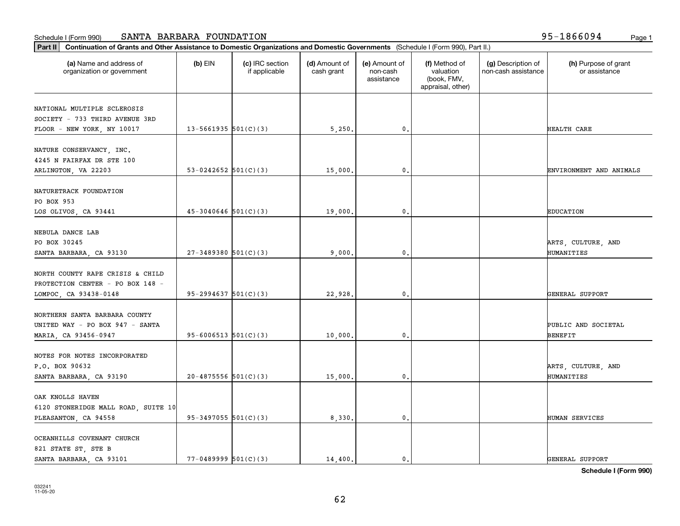| Part II   Continuation of Grants and Other Assistance to Domestic Organizations and Domestic Governments (Schedule I (Form 990), Part II.) |                            |                                  |                             |                                         |                                                                |                                           |                                       |
|--------------------------------------------------------------------------------------------------------------------------------------------|----------------------------|----------------------------------|-----------------------------|-----------------------------------------|----------------------------------------------------------------|-------------------------------------------|---------------------------------------|
| (a) Name and address of<br>organization or government                                                                                      | $(b)$ EIN                  | (c) IRC section<br>if applicable | (d) Amount of<br>cash grant | (e) Amount of<br>non-cash<br>assistance | (f) Method of<br>valuation<br>(book, FMV,<br>appraisal, other) | (g) Description of<br>non-cash assistance | (h) Purpose of grant<br>or assistance |
| NATIONAL MULTIPLE SCLEROSIS                                                                                                                |                            |                                  |                             |                                         |                                                                |                                           |                                       |
| SOCIETY - 733 THIRD AVENUE 3RD                                                                                                             |                            |                                  |                             |                                         |                                                                |                                           |                                       |
| FLOOR - NEW YORK, NY 10017                                                                                                                 | 13-5661935 $501(C)(3)$     |                                  | 5,250.                      | $\mathfrak o$ .                         |                                                                |                                           | HEALTH CARE                           |
|                                                                                                                                            |                            |                                  |                             |                                         |                                                                |                                           |                                       |
| NATURE CONSERVANCY, INC.                                                                                                                   |                            |                                  |                             |                                         |                                                                |                                           |                                       |
| 4245 N FAIRFAX DR STE 100                                                                                                                  |                            |                                  |                             |                                         |                                                                |                                           |                                       |
| ARLINGTON, VA 22203                                                                                                                        | 53-0242652 $ 501(C)(3) $   |                                  | 15,000                      | $\mathfrak{o}$ .                        |                                                                |                                           | ENVIRONMENT AND ANIMALS               |
| NATURETRACK FOUNDATION                                                                                                                     |                            |                                  |                             |                                         |                                                                |                                           |                                       |
| PO BOX 953                                                                                                                                 |                            |                                  |                             |                                         |                                                                |                                           |                                       |
| LOS OLIVOS, CA 93441                                                                                                                       | $45 - 3040646$ 501(C)(3)   |                                  | 19,000.                     | $\mathfrak{o}$ .                        |                                                                |                                           | <b>EDUCATION</b>                      |
|                                                                                                                                            |                            |                                  |                             |                                         |                                                                |                                           |                                       |
| NEBULA DANCE LAB                                                                                                                           |                            |                                  |                             |                                         |                                                                |                                           |                                       |
| PO BOX 30245                                                                                                                               |                            |                                  |                             |                                         |                                                                |                                           | ARTS, CULTURE, AND                    |
| SANTA BARBARA, CA 93130                                                                                                                    | $27 - 3489380$ 501(C)(3)   |                                  | 9,000.                      | $\mathfrak o$ .                         |                                                                |                                           | HUMANITIES                            |
|                                                                                                                                            |                            |                                  |                             |                                         |                                                                |                                           |                                       |
| NORTH COUNTY RAPE CRISIS & CHILD                                                                                                           |                            |                                  |                             |                                         |                                                                |                                           |                                       |
| PROTECTION CENTER - PO BOX 148 -                                                                                                           |                            |                                  |                             |                                         |                                                                |                                           |                                       |
| LOMPOC, CA 93438-0148                                                                                                                      | $95 - 2994637$ $501(C)(3)$ |                                  | 22,928.                     | $\mathbf{0}$                            |                                                                |                                           | GENERAL SUPPORT                       |
|                                                                                                                                            |                            |                                  |                             |                                         |                                                                |                                           |                                       |
| NORTHERN SANTA BARBARA COUNTY                                                                                                              |                            |                                  |                             |                                         |                                                                |                                           |                                       |
| UNITED WAY - PO BOX 947 - SANTA                                                                                                            |                            |                                  |                             |                                         |                                                                |                                           | PUBLIC AND SOCIETAL                   |
| MARIA, CA 93456-0947                                                                                                                       | $95 - 6006513$ $501(C)(3)$ |                                  | 10,000.                     | 0.                                      |                                                                |                                           | <b>BENEFIT</b>                        |
| NOTES FOR NOTES INCORPORATED                                                                                                               |                            |                                  |                             |                                         |                                                                |                                           |                                       |
| P.O. BOX 90632                                                                                                                             |                            |                                  |                             |                                         |                                                                |                                           | ARTS, CULTURE, AND                    |
| SANTA BARBARA, CA 93190                                                                                                                    | $20-4875556$ $501(C)(3)$   |                                  | 15,000.                     | $\mathbf{0}$ .                          |                                                                |                                           | HUMANITIES                            |
|                                                                                                                                            |                            |                                  |                             |                                         |                                                                |                                           |                                       |
| OAK KNOLLS HAVEN                                                                                                                           |                            |                                  |                             |                                         |                                                                |                                           |                                       |
| 6120 STONERIDGE MALL ROAD, SUITE 10                                                                                                        |                            |                                  |                             |                                         |                                                                |                                           |                                       |
| PLEASANTON, CA 94558                                                                                                                       | $95-3497055$ 501(C)(3)     |                                  | 8,330.                      | $\mathbf 0$ .                           |                                                                |                                           | HUMAN SERVICES                        |
|                                                                                                                                            |                            |                                  |                             |                                         |                                                                |                                           |                                       |
| OCEANHILLS COVENANT CHURCH                                                                                                                 |                            |                                  |                             |                                         |                                                                |                                           |                                       |
| 821 STATE ST, STE B                                                                                                                        |                            |                                  |                             |                                         |                                                                |                                           |                                       |
| SANTA BARBARA, CA 93101                                                                                                                    | $77 - 0489999$ $501(C)(3)$ |                                  | 14,400.                     | $\mathbf{0}$ .                          |                                                                |                                           | GENERAL SUPPORT                       |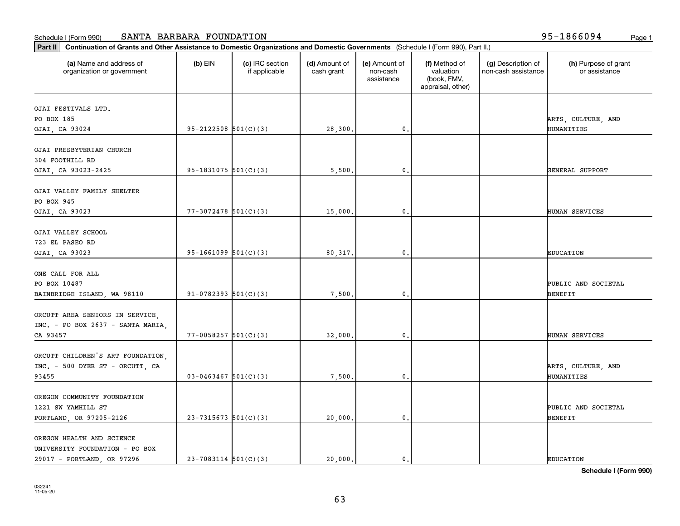| Part II   Continuation of Grants and Other Assistance to Domestic Organizations and Domestic Governments (Schedule I (Form 990), Part II.) |                            |                                  |                             |                                         |                                                                |                                           |                                       |
|--------------------------------------------------------------------------------------------------------------------------------------------|----------------------------|----------------------------------|-----------------------------|-----------------------------------------|----------------------------------------------------------------|-------------------------------------------|---------------------------------------|
| (a) Name and address of<br>organization or government                                                                                      | $(b)$ EIN                  | (c) IRC section<br>if applicable | (d) Amount of<br>cash grant | (e) Amount of<br>non-cash<br>assistance | (f) Method of<br>valuation<br>(book, FMV,<br>appraisal, other) | (g) Description of<br>non-cash assistance | (h) Purpose of grant<br>or assistance |
| OJAI FESTIVALS LTD.                                                                                                                        |                            |                                  |                             |                                         |                                                                |                                           |                                       |
| PO BOX 185                                                                                                                                 |                            |                                  |                             |                                         |                                                                |                                           | ARTS, CULTURE, AND                    |
| OJAI, CA 93024                                                                                                                             | $95 - 2122508$ $501(C)(3)$ |                                  | 28,300.                     | $\mathbf{0}$ .                          |                                                                |                                           | HUMANITIES                            |
|                                                                                                                                            |                            |                                  |                             |                                         |                                                                |                                           |                                       |
| OJAI PRESBYTERIAN CHURCH                                                                                                                   |                            |                                  |                             |                                         |                                                                |                                           |                                       |
| 304 FOOTHILL RD                                                                                                                            |                            |                                  |                             |                                         |                                                                |                                           |                                       |
| OJAI, CA 93023-2425                                                                                                                        | $95-1831075$ 501(C)(3)     |                                  | 5,500.                      | 0.                                      |                                                                |                                           | GENERAL SUPPORT                       |
|                                                                                                                                            |                            |                                  |                             |                                         |                                                                |                                           |                                       |
| OJAI VALLEY FAMILY SHELTER<br>PO BOX 945                                                                                                   |                            |                                  |                             |                                         |                                                                |                                           |                                       |
| OJAI, CA 93023                                                                                                                             | $77 - 3072478$ 501(C)(3)   |                                  | 15,000.                     | 0.                                      |                                                                |                                           | HUMAN SERVICES                        |
|                                                                                                                                            |                            |                                  |                             |                                         |                                                                |                                           |                                       |
| OJAI VALLEY SCHOOL                                                                                                                         |                            |                                  |                             |                                         |                                                                |                                           |                                       |
| 723 EL PASEO RD                                                                                                                            |                            |                                  |                             |                                         |                                                                |                                           |                                       |
| OJAI, CA 93023                                                                                                                             | $95-1661099$ $501(C)(3)$   |                                  | 80, 317.                    | 0.                                      |                                                                |                                           | <b>EDUCATION</b>                      |
|                                                                                                                                            |                            |                                  |                             |                                         |                                                                |                                           |                                       |
| ONE CALL FOR ALL                                                                                                                           |                            |                                  |                             |                                         |                                                                |                                           |                                       |
| PO BOX 10487                                                                                                                               |                            |                                  |                             |                                         |                                                                |                                           | PUBLIC AND SOCIETAL                   |
| BAINBRIDGE ISLAND, WA 98110                                                                                                                | $91-0782393$ $501(C)(3)$   |                                  | 7,500.                      | 0.                                      |                                                                |                                           | <b>BENEFIT</b>                        |
|                                                                                                                                            |                            |                                  |                             |                                         |                                                                |                                           |                                       |
| ORCUTT AREA SENIORS IN SERVICE,                                                                                                            |                            |                                  |                             |                                         |                                                                |                                           |                                       |
| INC. - PO BOX 2637 - SANTA MARIA,<br>CA 93457                                                                                              | $77 - 0058257$ $501(C)(3)$ |                                  | 32,000.                     | 0.                                      |                                                                |                                           | HUMAN SERVICES                        |
|                                                                                                                                            |                            |                                  |                             |                                         |                                                                |                                           |                                       |
| ORCUTT CHILDREN'S ART FOUNDATION,                                                                                                          |                            |                                  |                             |                                         |                                                                |                                           |                                       |
| INC. - 500 DYER ST - ORCUTT, CA                                                                                                            |                            |                                  |                             |                                         |                                                                |                                           | ARTS, CULTURE, AND                    |
| 93455                                                                                                                                      | $03 - 0463467$ 501(C)(3)   |                                  | 7,500.                      | 0.                                      |                                                                |                                           | HUMANITIES                            |
|                                                                                                                                            |                            |                                  |                             |                                         |                                                                |                                           |                                       |
| OREGON COMMUNITY FOUNDATION                                                                                                                |                            |                                  |                             |                                         |                                                                |                                           |                                       |
| 1221 SW YAMHILL ST                                                                                                                         |                            |                                  |                             |                                         |                                                                |                                           | PUBLIC AND SOCIETAL                   |
| PORTLAND, OR 97205-2126                                                                                                                    | $23-7315673$ 501(C)(3)     |                                  | 20,000.                     | 0.                                      |                                                                |                                           | <b>BENEFIT</b>                        |
|                                                                                                                                            |                            |                                  |                             |                                         |                                                                |                                           |                                       |
| OREGON HEALTH AND SCIENCE                                                                                                                  |                            |                                  |                             |                                         |                                                                |                                           |                                       |
| UNIVERSITY FOUNDATION - PO BOX                                                                                                             |                            |                                  |                             |                                         |                                                                |                                           |                                       |
| 29017 - PORTLAND, OR 97296                                                                                                                 | $23 - 7083114$ 501(C)(3)   |                                  | 20,000.                     | $\mathbf{0}$ .                          |                                                                |                                           | <b>EDUCATION</b>                      |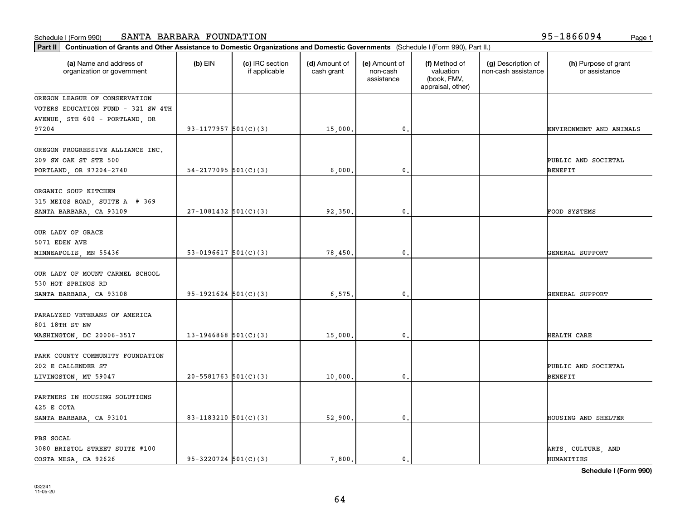| Part II   Continuation of Grants and Other Assistance to Domestic Organizations and Domestic Governments (Schedule I (Form 990), Part II.) |                            |                                  |                             |                                         |                                                                |                                           |                                       |
|--------------------------------------------------------------------------------------------------------------------------------------------|----------------------------|----------------------------------|-----------------------------|-----------------------------------------|----------------------------------------------------------------|-------------------------------------------|---------------------------------------|
| (a) Name and address of<br>organization or government                                                                                      | $(b)$ EIN                  | (c) IRC section<br>if applicable | (d) Amount of<br>cash grant | (e) Amount of<br>non-cash<br>assistance | (f) Method of<br>valuation<br>(book, FMV,<br>appraisal, other) | (g) Description of<br>non-cash assistance | (h) Purpose of grant<br>or assistance |
| OREGON LEAGUE OF CONSERVATION                                                                                                              |                            |                                  |                             |                                         |                                                                |                                           |                                       |
| VOTERS EDUCATION FUND - 321 SW 4TH                                                                                                         |                            |                                  |                             |                                         |                                                                |                                           |                                       |
| AVENUE, STE 600 - PORTLAND, OR                                                                                                             |                            |                                  |                             |                                         |                                                                |                                           |                                       |
| 97204                                                                                                                                      | 93-1177957 $501(C)(3)$     |                                  | 15,000.                     | 0.                                      |                                                                |                                           | ENVIRONMENT AND ANIMALS               |
| OREGON PROGRESSIVE ALLIANCE INC.<br>209 SW OAK ST STE 500<br>PORTLAND, OR 97204-2740                                                       | $54 - 2177095$ 501(C)(3)   |                                  | 6,000,                      | 0.                                      |                                                                |                                           | PUBLIC AND SOCIETAL<br><b>BENEFIT</b> |
| ORGANIC SOUP KITCHEN<br>315 MEIGS ROAD, SUITE A # 369<br>SANTA BARBARA, CA 93109                                                           | $27-1081432$ 501(C)(3)     |                                  | 92,350.                     | 0.                                      |                                                                |                                           | FOOD SYSTEMS                          |
|                                                                                                                                            |                            |                                  |                             |                                         |                                                                |                                           |                                       |
| OUR LADY OF GRACE<br>5071 EDEN AVE                                                                                                         |                            |                                  |                             |                                         |                                                                |                                           |                                       |
| MINNEAPOLIS, MN 55436                                                                                                                      | 53-0196617 $501(C)(3)$     |                                  | 78,450.                     | 0.                                      |                                                                |                                           | GENERAL SUPPORT                       |
| OUR LADY OF MOUNT CARMEL SCHOOL<br>530 HOT SPRINGS RD                                                                                      |                            |                                  |                             |                                         |                                                                |                                           |                                       |
| SANTA BARBARA, CA 93108                                                                                                                    | $95-1921624$ $501(C)(3)$   |                                  | 6, 575.                     | $\mathbf{0}$                            |                                                                |                                           | GENERAL SUPPORT                       |
| PARALYZED VETERANS OF AMERICA<br>801 18TH ST NW<br>WASHINGTON, DC 20006-3517                                                               | $13-1946868$ $501(C)(3)$   |                                  | 15,000.                     | 0.                                      |                                                                |                                           | HEALTH CARE                           |
| PARK COUNTY COMMUNITY FOUNDATION                                                                                                           |                            |                                  |                             |                                         |                                                                |                                           |                                       |
| 202 E CALLENDER ST<br>LIVINGSTON, MT 59047                                                                                                 | $20 - 5581763$ $501(C)(3)$ |                                  | 10,000.                     | 0.                                      |                                                                |                                           | PUBLIC AND SOCIETAL<br><b>BENEFIT</b> |
| PARTNERS IN HOUSING SOLUTIONS<br>425 E COTA                                                                                                |                            |                                  |                             |                                         |                                                                |                                           |                                       |
| SANTA BARBARA, CA 93101                                                                                                                    | 83-1183210 $501(C)(3)$     |                                  | 52,900.                     | $\mathbf{0}$ .                          |                                                                |                                           | HOUSING AND SHELTER                   |
| PBS SOCAL<br>3080 BRISTOL STREET SUITE #100                                                                                                |                            |                                  |                             |                                         |                                                                |                                           | ARTS, CULTURE, AND                    |
| COSTA MESA, CA 92626                                                                                                                       | $95 - 3220724$ 501(C)(3)   |                                  | 7.800.                      | $\mathbf{0}$ .                          |                                                                |                                           | HUMANITIES                            |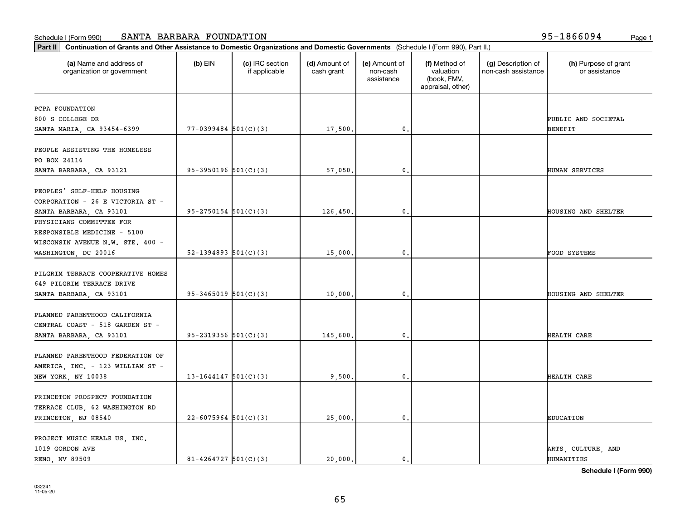**Part II Continuation of Grants and Other Assistance to Domestic Organizations and Domestic Governments**  (Schedule I (Form 990), Part II.)

| (a) Name and address of<br>organization or government | $(b)$ EIN                  | (c) IRC section<br>if applicable | (d) Amount of<br>cash grant | (e) Amount of<br>non-cash<br>assistance | (f) Method of<br>valuation<br>(book, FMV,<br>appraisal, other) | (g) Description of<br>non-cash assistance | (h) Purpose of grant<br>or assistance |
|-------------------------------------------------------|----------------------------|----------------------------------|-----------------------------|-----------------------------------------|----------------------------------------------------------------|-------------------------------------------|---------------------------------------|
| PCPA FOUNDATION                                       |                            |                                  |                             |                                         |                                                                |                                           |                                       |
| 800 S COLLEGE DR                                      |                            |                                  |                             |                                         |                                                                |                                           | PUBLIC AND SOCIETAL                   |
| SANTA MARIA, CA 93454-6399                            | $77-0399484$ 501(C)(3)     |                                  | 17,500.                     | 0.                                      |                                                                |                                           | <b>BENEFIT</b>                        |
|                                                       |                            |                                  |                             |                                         |                                                                |                                           |                                       |
| PEOPLE ASSISTING THE HOMELESS                         |                            |                                  |                             |                                         |                                                                |                                           |                                       |
| PO BOX 24116                                          |                            |                                  |                             |                                         |                                                                |                                           |                                       |
| SANTA BARBARA, CA 93121                               | $95-3950196$ $501(C)(3)$   |                                  | 57,050.                     | $\mathbf{0}$                            |                                                                |                                           | HUMAN SERVICES                        |
| PEOPLES' SELF-HELP HOUSING                            |                            |                                  |                             |                                         |                                                                |                                           |                                       |
| CORPORATION - 26 E VICTORIA ST -                      |                            |                                  |                             |                                         |                                                                |                                           |                                       |
| SANTA BARBARA, CA 93101                               | $95 - 2750154$ $501(C)(3)$ |                                  | 126,450.                    | $\mathbf 0$                             |                                                                |                                           | HOUSING AND SHELTER                   |
| PHYSICIANS COMMITTEE FOR                              |                            |                                  |                             |                                         |                                                                |                                           |                                       |
| RESPONSIBLE MEDICINE - 5100                           |                            |                                  |                             |                                         |                                                                |                                           |                                       |
| WISCONSIN AVENUE N.W. STE. 400 -                      |                            |                                  |                             |                                         |                                                                |                                           |                                       |
| WASHINGTON, DC 20016                                  | 52-1394893 $501(C)(3)$     |                                  | 15,000.                     | 0.                                      |                                                                |                                           | FOOD SYSTEMS                          |
|                                                       |                            |                                  |                             |                                         |                                                                |                                           |                                       |
| PILGRIM TERRACE COOPERATIVE HOMES                     |                            |                                  |                             |                                         |                                                                |                                           |                                       |
| 649 PILGRIM TERRACE DRIVE                             |                            |                                  |                             |                                         |                                                                |                                           |                                       |
| SANTA BARBARA, CA 93101                               | $95-3465019$ $501(C)(3)$   |                                  | 10,000.                     | 0.                                      |                                                                |                                           | HOUSING AND SHELTER                   |
|                                                       |                            |                                  |                             |                                         |                                                                |                                           |                                       |
| PLANNED PARENTHOOD CALIFORNIA                         |                            |                                  |                             |                                         |                                                                |                                           |                                       |
| CENTRAL COAST - 518 GARDEN ST -                       |                            |                                  |                             |                                         |                                                                |                                           |                                       |
| SANTA BARBARA, CA 93101                               | 95-2319356 $501(C)(3)$     |                                  | 145,600.                    | 0.                                      |                                                                |                                           | HEALTH CARE                           |
|                                                       |                            |                                  |                             |                                         |                                                                |                                           |                                       |
| PLANNED PARENTHOOD FEDERATION OF                      |                            |                                  |                             |                                         |                                                                |                                           |                                       |
| AMERICA, INC. - 123 WILLIAM ST -                      | $13 - 1644147$ 501(C)(3)   |                                  |                             |                                         |                                                                |                                           | HEALTH CARE                           |
| NEW YORK, NY 10038                                    |                            |                                  | 9,500.                      | 0.                                      |                                                                |                                           |                                       |
| PRINCETON PROSPECT FOUNDATION                         |                            |                                  |                             |                                         |                                                                |                                           |                                       |
| TERRACE CLUB, 62 WASHINGTON RD                        |                            |                                  |                             |                                         |                                                                |                                           |                                       |
| PRINCETON, NJ 08540                                   | $22 - 6075964$ 501(C)(3)   |                                  | 25,000.                     | 0.                                      |                                                                |                                           | <b>EDUCATION</b>                      |
|                                                       |                            |                                  |                             |                                         |                                                                |                                           |                                       |
| PROJECT MUSIC HEALS US, INC.                          |                            |                                  |                             |                                         |                                                                |                                           |                                       |
| 1019 GORDON AVE                                       |                            |                                  |                             |                                         |                                                                |                                           | ARTS, CULTURE, AND                    |
| RENO, NV 89509                                        | $81 - 4264727$ 501(C)(3)   |                                  | 20,000.                     | $\mathbf{0}$ .                          |                                                                |                                           | HUMANITIES                            |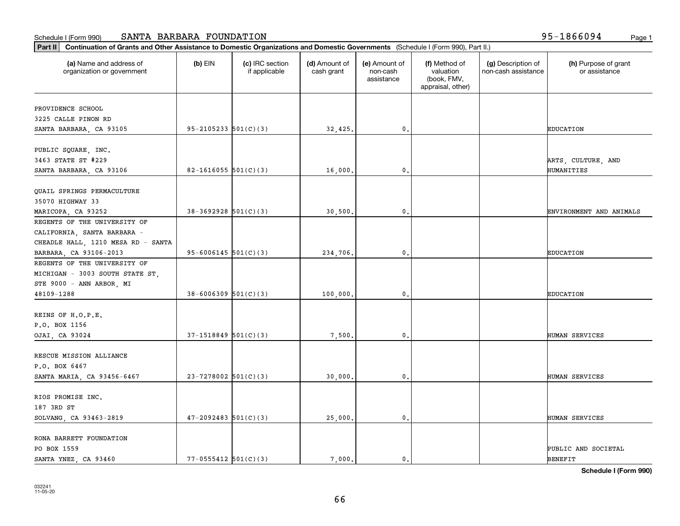| (a) Name and address of<br>organization or government | $(b)$ EIN                  | (c) IRC section<br>if applicable | (d) Amount of<br>cash grant | (e) Amount of<br>non-cash<br>assistance | (f) Method of<br>valuation<br>(book, FMV,<br>appraisal, other) | (g) Description of<br>non-cash assistance | (h) Purpose of grant<br>or assistance |
|-------------------------------------------------------|----------------------------|----------------------------------|-----------------------------|-----------------------------------------|----------------------------------------------------------------|-------------------------------------------|---------------------------------------|
| PROVIDENCE SCHOOL                                     |                            |                                  |                             |                                         |                                                                |                                           |                                       |
| 3225 CALLE PINON RD                                   |                            |                                  |                             |                                         |                                                                |                                           |                                       |
| SANTA BARBARA, CA 93105                               | $95 - 2105233$ $501(C)(3)$ |                                  | 32,425.                     | 0.                                      |                                                                |                                           | <b>EDUCATION</b>                      |
|                                                       |                            |                                  |                             |                                         |                                                                |                                           |                                       |
| PUBLIC SQUARE, INC.                                   |                            |                                  |                             |                                         |                                                                |                                           |                                       |
| 3463 STATE ST #229                                    |                            |                                  |                             |                                         |                                                                |                                           | ARTS, CULTURE, AND                    |
| SANTA BARBARA, CA 93106                               | 82-1616055 $501(C)(3)$     |                                  | 16,000.                     | 0.                                      |                                                                |                                           | HUMANITIES                            |
| QUAIL SPRINGS PERMACULTURE                            |                            |                                  |                             |                                         |                                                                |                                           |                                       |
| 35070 HIGHWAY 33                                      |                            |                                  |                             |                                         |                                                                |                                           |                                       |
| MARICOPA, CA 93252                                    | $38-3692928$ 501(C)(3)     |                                  | 30,500.                     | 0.                                      |                                                                |                                           | ENVIRONMENT AND ANIMALS               |
| REGENTS OF THE UNIVERSITY OF                          |                            |                                  |                             |                                         |                                                                |                                           |                                       |
| CALIFORNIA, SANTA BARBARA -                           |                            |                                  |                             |                                         |                                                                |                                           |                                       |
| CHEADLE HALL, 1210 MESA RD - SANTA                    |                            |                                  |                             |                                         |                                                                |                                           |                                       |
| BARBARA, CA 93106-2013                                | $95 - 6006145$ 501(C)(3)   |                                  | 234,706.                    | 0.                                      |                                                                |                                           | <b>EDUCATION</b>                      |
| REGENTS OF THE UNIVERSITY OF                          |                            |                                  |                             |                                         |                                                                |                                           |                                       |
| MICHIGAN - 3003 SOUTH STATE ST,                       |                            |                                  |                             |                                         |                                                                |                                           |                                       |
| STE 9000 - ANN ARBOR, MI                              |                            |                                  |                             |                                         |                                                                |                                           |                                       |
| 48109-1288                                            | $38 - 6006309$ $501(C)(3)$ |                                  | 100,000.                    | 0.                                      |                                                                |                                           | <b>EDUCATION</b>                      |
|                                                       |                            |                                  |                             |                                         |                                                                |                                           |                                       |
| REINS OF H.O.P.E.                                     |                            |                                  |                             |                                         |                                                                |                                           |                                       |
| P.O. BOX 1156                                         |                            |                                  |                             |                                         |                                                                |                                           |                                       |
| OJAI, CA 93024                                        | $37-1518849$ $501(C)(3)$   |                                  | 7,500.                      | 0.                                      |                                                                |                                           | HUMAN SERVICES                        |
|                                                       |                            |                                  |                             |                                         |                                                                |                                           |                                       |
| RESCUE MISSION ALLIANCE                               |                            |                                  |                             |                                         |                                                                |                                           |                                       |
| P.O. BOX 6467                                         |                            |                                  |                             |                                         |                                                                |                                           |                                       |
| SANTA MARIA, CA 93456-6467                            | $23 - 7278002$ 501(C)(3)   |                                  | 30,000.                     | 0.                                      |                                                                |                                           | HUMAN SERVICES                        |
| RIOS PROMISE INC.                                     |                            |                                  |                             |                                         |                                                                |                                           |                                       |
|                                                       |                            |                                  |                             |                                         |                                                                |                                           |                                       |
| 187 3RD ST                                            | $47 - 2092483$ 501(C)(3)   |                                  |                             |                                         |                                                                |                                           |                                       |
| SOLVANG, CA 93463-2819                                |                            |                                  | 25,000.                     | $\mathbf{0}$ .                          |                                                                |                                           | HUMAN SERVICES                        |
| RONA BARRETT FOUNDATION                               |                            |                                  |                             |                                         |                                                                |                                           |                                       |
| PO BOX 1559                                           |                            |                                  |                             |                                         |                                                                |                                           | PUBLIC AND SOCIETAL                   |
| SANTA YNEZ, CA 93460                                  | $77 - 0555412$ 501(C)(3)   |                                  | 7.000.                      | 0.                                      |                                                                |                                           | <b>BENEFIT</b>                        |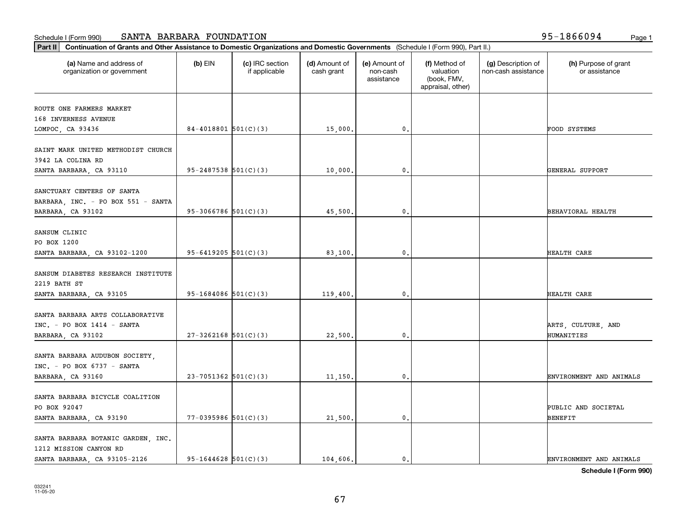| (a) Name and address of<br>organization or government          | $(b)$ EIN                  | (c) IRC section<br>if applicable | (d) Amount of<br>cash grant | (e) Amount of<br>non-cash<br>assistance | (f) Method of<br>valuation<br>(book, FMV,<br>appraisal, other) | (g) Description of<br>non-cash assistance | (h) Purpose of grant<br>or assistance |
|----------------------------------------------------------------|----------------------------|----------------------------------|-----------------------------|-----------------------------------------|----------------------------------------------------------------|-------------------------------------------|---------------------------------------|
| ROUTE ONE FARMERS MARKET                                       |                            |                                  |                             |                                         |                                                                |                                           |                                       |
| 168 INVERNESS AVENUE                                           |                            |                                  |                             |                                         |                                                                |                                           |                                       |
| LOMPOC, CA 93436                                               | $84-4018801$ 501(C)(3)     |                                  | 15,000.                     | 0.                                      |                                                                |                                           | FOOD SYSTEMS                          |
| SAINT MARK UNITED METHODIST CHURCH                             |                            |                                  |                             |                                         |                                                                |                                           |                                       |
| 3942 LA COLINA RD                                              |                            |                                  |                             |                                         |                                                                |                                           |                                       |
| SANTA BARBARA, CA 93110                                        | $95 - 2487538$ $501(C)(3)$ |                                  | 10,000.                     | $\mathbf{0}$                            |                                                                |                                           | GENERAL SUPPORT                       |
| SANCTUARY CENTERS OF SANTA                                     |                            |                                  |                             |                                         |                                                                |                                           |                                       |
| BARBARA, INC. - PO BOX 551 - SANTA                             |                            |                                  |                             |                                         |                                                                |                                           |                                       |
| BARBARA, CA 93102                                              | $95-3066786$ 501(C)(3)     |                                  | 45,500.                     | $\mathbf{0}$ .                          |                                                                |                                           | BEHAVIORAL HEALTH                     |
|                                                                |                            |                                  |                             |                                         |                                                                |                                           |                                       |
| SANSUM CLINIC                                                  |                            |                                  |                             |                                         |                                                                |                                           |                                       |
| PO BOX 1200                                                    |                            |                                  |                             |                                         |                                                                |                                           |                                       |
| SANTA BARBARA, CA 93102-1200                                   | $95 - 6419205$ $501(C)(3)$ |                                  | 83,100                      | 0.                                      |                                                                |                                           | HEALTH CARE                           |
| SANSUM DIABETES RESEARCH INSTITUTE                             |                            |                                  |                             |                                         |                                                                |                                           |                                       |
| 2219 BATH ST                                                   |                            |                                  |                             |                                         |                                                                |                                           |                                       |
| SANTA BARBARA, CA 93105                                        | $95-1684086$ $501(C)(3)$   |                                  | 119,400.                    | $\mathbf{0}$                            |                                                                |                                           | HEALTH CARE                           |
|                                                                |                            |                                  |                             |                                         |                                                                |                                           |                                       |
| SANTA BARBARA ARTS COLLABORATIVE                               |                            |                                  |                             |                                         |                                                                |                                           |                                       |
| $INC. - PO BOX 1414 - SANTA$                                   |                            |                                  |                             |                                         |                                                                |                                           | ARTS, CULTURE, AND                    |
| BARBARA, CA 93102                                              | $27 - 3262168$ 501(C)(3)   |                                  | 22,500.                     | $\mathbf{0}$                            |                                                                |                                           | HUMANITIES                            |
|                                                                |                            |                                  |                             |                                         |                                                                |                                           |                                       |
| SANTA BARBARA AUDUBON SOCIETY,<br>$INC. - PO BOX 6737 - SANTA$ |                            |                                  |                             |                                         |                                                                |                                           |                                       |
|                                                                | $23 - 7051362$ 501(C)(3)   |                                  |                             | 0.                                      |                                                                |                                           |                                       |
| BARBARA, CA 93160                                              |                            |                                  | 11,150.                     |                                         |                                                                |                                           | ENVIRONMENT AND ANIMALS               |
| SANTA BARBARA BICYCLE COALITION                                |                            |                                  |                             |                                         |                                                                |                                           |                                       |
| PO BOX 92047                                                   |                            |                                  |                             |                                         |                                                                |                                           | PUBLIC AND SOCIETAL                   |
| SANTA BARBARA, CA 93190                                        | $77 - 0395986$ 501(C)(3)   |                                  | 21,500.                     | $\mathbf{0}$ .                          |                                                                |                                           | BENEFIT                               |
|                                                                |                            |                                  |                             |                                         |                                                                |                                           |                                       |
| SANTA BARBARA BOTANIC GARDEN, INC.                             |                            |                                  |                             |                                         |                                                                |                                           |                                       |
| 1212 MISSION CANYON RD                                         |                            |                                  |                             |                                         |                                                                |                                           |                                       |
| SANTA BARBARA, CA 93105-2126                                   | $95 - 1644628$ 501(C)(3)   |                                  | 104,606.                    | 0.                                      |                                                                |                                           | ENVIRONMENT AND ANIMALS               |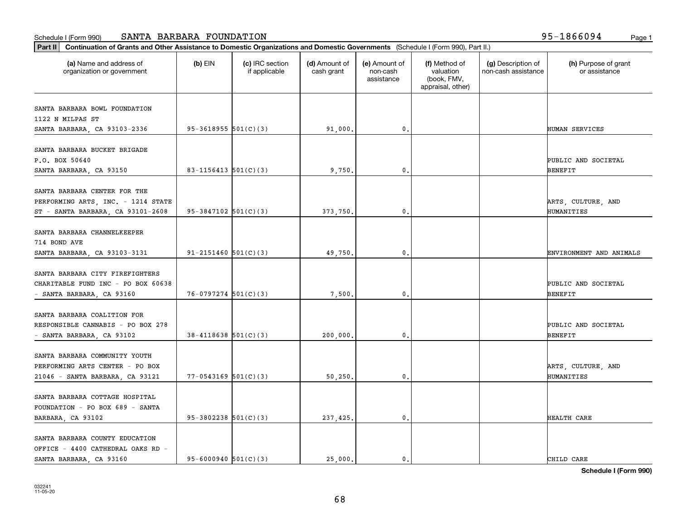|                                                                                                         | Part II   Continuation of Grants and Other Assistance to Domestic Organizations and Domestic Governments (Schedule I (Form 990), Part II.) |                                  |                             |                                         |                                                                |                                           |                                       |  |  |  |  |
|---------------------------------------------------------------------------------------------------------|--------------------------------------------------------------------------------------------------------------------------------------------|----------------------------------|-----------------------------|-----------------------------------------|----------------------------------------------------------------|-------------------------------------------|---------------------------------------|--|--|--|--|
| (a) Name and address of<br>organization or government                                                   | $(b)$ EIN                                                                                                                                  | (c) IRC section<br>if applicable | (d) Amount of<br>cash grant | (e) Amount of<br>non-cash<br>assistance | (f) Method of<br>valuation<br>(book, FMV,<br>appraisal, other) | (g) Description of<br>non-cash assistance | (h) Purpose of grant<br>or assistance |  |  |  |  |
| SANTA BARBARA BOWL FOUNDATION                                                                           |                                                                                                                                            |                                  |                             |                                         |                                                                |                                           |                                       |  |  |  |  |
| 1122 N MILPAS ST                                                                                        |                                                                                                                                            |                                  |                             |                                         |                                                                |                                           |                                       |  |  |  |  |
| SANTA BARBARA, CA 93103-2336                                                                            | $95-3618955$ $501(C)(3)$                                                                                                                   |                                  | 91,000.                     | 0.                                      |                                                                |                                           | HUMAN SERVICES                        |  |  |  |  |
| SANTA BARBARA BUCKET BRIGADE<br>P.O. BOX 50640                                                          |                                                                                                                                            |                                  |                             |                                         |                                                                |                                           | PUBLIC AND SOCIETAL                   |  |  |  |  |
| SANTA BARBARA, CA 93150                                                                                 | $83 - 1156413$ $501(C)(3)$                                                                                                                 |                                  | 9,750.                      | 0.                                      |                                                                |                                           | <b>BENEFIT</b>                        |  |  |  |  |
| SANTA BARBARA CENTER FOR THE<br>PERFORMING ARTS, INC. - 1214 STATE<br>ST - SANTA BARBARA, CA 93101-2608 | $95-3847102$ 501(C)(3)                                                                                                                     |                                  | 373,750.                    | 0.                                      |                                                                |                                           | ARTS, CULTURE, AND<br>HUMANITIES      |  |  |  |  |
| SANTA BARBARA CHANNELKEEPER<br>714 BOND AVE<br>SANTA BARBARA, CA 93103-3131                             | 91-2151460 $501(C)(3)$                                                                                                                     |                                  | 49,750.                     | 0.                                      |                                                                |                                           | ENVIRONMENT AND ANIMALS               |  |  |  |  |
| SANTA BARBARA CITY FIREFIGHTERS<br>CHARITABLE FUND INC - PO BOX 60638<br>- SANTA BARBARA, CA 93160      | $76-0797274$ 501(C)(3)                                                                                                                     |                                  | 7,500.                      | 0.                                      |                                                                |                                           | PUBLIC AND SOCIETAL<br><b>BENEFIT</b> |  |  |  |  |
| SANTA BARBARA COALITION FOR<br>RESPONSIBLE CANNABIS - PO BOX 278<br>- SANTA BARBARA, CA 93102           | $38 - 4118638$ $501(C)(3)$                                                                                                                 |                                  | 200,000,                    | 0.                                      |                                                                |                                           | PUBLIC AND SOCIETAL<br><b>BENEFIT</b> |  |  |  |  |
| SANTA BARBARA COMMUNITY YOUTH<br>PERFORMING ARTS CENTER - PO BOX<br>21046 - SANTA BARBARA, CA 93121     | $77 - 0543169$ $501(C)(3)$                                                                                                                 |                                  | 50, 250.                    | 0.                                      |                                                                |                                           | ARTS, CULTURE, AND<br>HUMANITIES      |  |  |  |  |
| SANTA BARBARA COTTAGE HOSPITAL<br>FOUNDATION - PO BOX 689 - SANTA<br>BARBARA, CA 93102                  | $95-3802238$ $501(C)(3)$                                                                                                                   |                                  | 237,425.                    | 0.                                      |                                                                |                                           | HEALTH CARE                           |  |  |  |  |
| SANTA BARBARA COUNTY EDUCATION<br>OFFICE - 4400 CATHEDRAL OAKS RD -<br>SANTA BARBARA, CA 93160          | 95-6000940 $501(C)(3)$                                                                                                                     |                                  | 25.000.                     | 0.                                      |                                                                |                                           | CHILD CARE                            |  |  |  |  |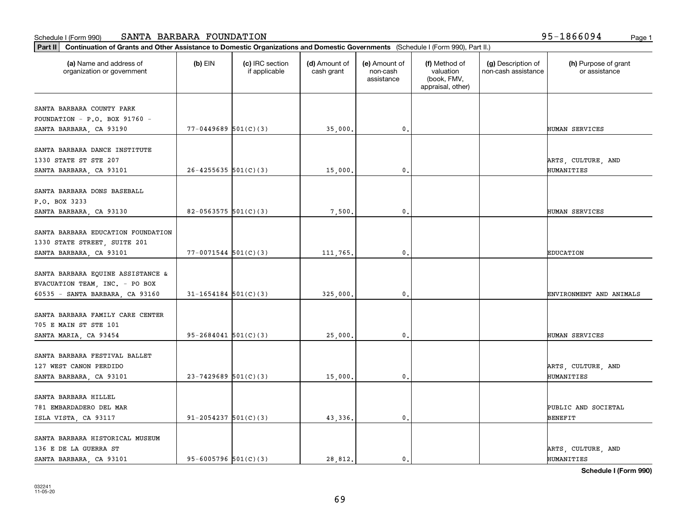| (a) Name and address of<br>organization or government | $(b)$ EIN                  | (c) IRC section<br>if applicable | (d) Amount of<br>cash grant | (e) Amount of<br>non-cash<br>assistance | (f) Method of<br>valuation<br>(book, FMV,<br>appraisal, other) | (g) Description of<br>non-cash assistance | (h) Purpose of grant<br>or assistance |
|-------------------------------------------------------|----------------------------|----------------------------------|-----------------------------|-----------------------------------------|----------------------------------------------------------------|-------------------------------------------|---------------------------------------|
| SANTA BARBARA COUNTY PARK                             |                            |                                  |                             |                                         |                                                                |                                           |                                       |
| FOUNDATION - P.O. BOX 91760 -                         |                            |                                  |                             |                                         |                                                                |                                           |                                       |
| SANTA BARBARA, CA 93190                               | $77 - 0449689$ 501(C)(3)   |                                  | 35,000.                     | 0.                                      |                                                                |                                           | HUMAN SERVICES                        |
|                                                       |                            |                                  |                             |                                         |                                                                |                                           |                                       |
| SANTA BARBARA DANCE INSTITUTE                         |                            |                                  |                             |                                         |                                                                |                                           |                                       |
| 1330 STATE ST STE 207                                 |                            |                                  |                             |                                         |                                                                |                                           | ARTS, CULTURE, AND                    |
| SANTA BARBARA, CA 93101                               | $26 - 4255635$ 501(C)(3)   |                                  | 15,000.                     | 0.                                      |                                                                |                                           | HUMANITIES                            |
|                                                       |                            |                                  |                             |                                         |                                                                |                                           |                                       |
| SANTA BARBARA DONS BASEBALL                           |                            |                                  |                             |                                         |                                                                |                                           |                                       |
| P.O. BOX 3233                                         |                            |                                  |                             |                                         |                                                                |                                           |                                       |
| SANTA BARBARA, CA 93130                               | 82-0563575 $501(C)(3)$     |                                  | 7,500.                      | 0.                                      |                                                                |                                           | HUMAN SERVICES                        |
| SANTA BARBARA EDUCATION FOUNDATION                    |                            |                                  |                             |                                         |                                                                |                                           |                                       |
|                                                       |                            |                                  |                             |                                         |                                                                |                                           |                                       |
| 1330 STATE STREET, SUITE 201                          |                            |                                  |                             |                                         |                                                                |                                           |                                       |
| SANTA BARBARA, CA 93101                               | $77 - 0071544$ $501(C)(3)$ |                                  | 111,765.                    | 0.                                      |                                                                |                                           | <b>EDUCATION</b>                      |
| SANTA BARBARA EQUINE ASSISTANCE &                     |                            |                                  |                             |                                         |                                                                |                                           |                                       |
| EVACUATION TEAM, INC. - PO BOX                        |                            |                                  |                             |                                         |                                                                |                                           |                                       |
| 60535 - SANTA BARBARA, CA 93160                       | $31 - 1654184$ $501(C)(3)$ |                                  | 325,000.                    | $\mathbf 0$                             |                                                                |                                           | ENVIRONMENT AND ANIMALS               |
|                                                       |                            |                                  |                             |                                         |                                                                |                                           |                                       |
| SANTA BARBARA FAMILY CARE CENTER                      |                            |                                  |                             |                                         |                                                                |                                           |                                       |
| 705 E MAIN ST STE 101                                 |                            |                                  |                             |                                         |                                                                |                                           |                                       |
| SANTA MARIA, CA 93454                                 | $95 - 2684041$ $501(C)(3)$ |                                  | 25,000.                     | 0.                                      |                                                                |                                           | HUMAN SERVICES                        |
|                                                       |                            |                                  |                             |                                         |                                                                |                                           |                                       |
| SANTA BARBARA FESTIVAL BALLET                         |                            |                                  |                             |                                         |                                                                |                                           |                                       |
| 127 WEST CANON PERDIDO                                |                            |                                  |                             |                                         |                                                                |                                           | ARTS, CULTURE, AND                    |
| SANTA BARBARA, CA 93101                               | $23-7429689$ $501(C)(3)$   |                                  | 15,000.                     | 0.                                      |                                                                |                                           | HUMANITIES                            |
|                                                       |                            |                                  |                             |                                         |                                                                |                                           |                                       |
| SANTA BARBARA HILLEL                                  |                            |                                  |                             |                                         |                                                                |                                           |                                       |
| 781 EMBARDADERO DEL MAR                               |                            |                                  |                             |                                         |                                                                |                                           | PUBLIC AND SOCIETAL                   |
| ISLA VISTA, CA 93117                                  | $91 - 2054237$ $501(C)(3)$ |                                  | 43,336.                     | 0.                                      |                                                                |                                           | <b>BENEFIT</b>                        |
|                                                       |                            |                                  |                             |                                         |                                                                |                                           |                                       |
| SANTA BARBARA HISTORICAL MUSEUM                       |                            |                                  |                             |                                         |                                                                |                                           |                                       |
| 136 E DE LA GUERRA ST                                 |                            |                                  |                             |                                         |                                                                |                                           | ARTS, CULTURE, AND                    |
| SANTA BARBARA, CA 93101                               | $95 - 6005796$ $501(C)(3)$ |                                  | 28,812.                     | 0.                                      |                                                                |                                           | HUMANITIES                            |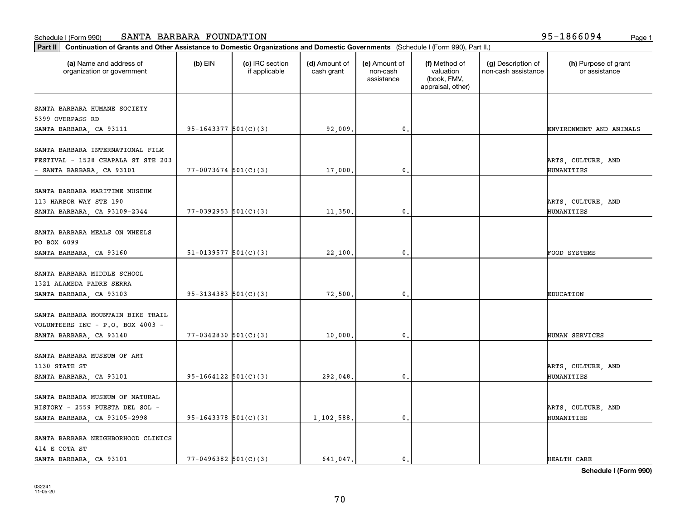| (a) Name and address of<br>organization or government                  | $(b)$ EIN                  | (c) IRC section<br>if applicable | (d) Amount of<br>cash grant | (e) Amount of<br>non-cash<br>assistance | (f) Method of<br>valuation<br>(book, FMV,<br>appraisal, other) | (g) Description of<br>non-cash assistance | (h) Purpose of grant<br>or assistance |
|------------------------------------------------------------------------|----------------------------|----------------------------------|-----------------------------|-----------------------------------------|----------------------------------------------------------------|-------------------------------------------|---------------------------------------|
| SANTA BARBARA HUMANE SOCIETY                                           |                            |                                  |                             |                                         |                                                                |                                           |                                       |
| 5399 OVERPASS RD                                                       |                            |                                  |                             |                                         |                                                                |                                           |                                       |
| SANTA BARBARA, CA 93111                                                | $95 - 1643377$ $501(C)(3)$ |                                  | 92,009.                     | 0.                                      |                                                                |                                           | ENVIRONMENT AND ANIMALS               |
| SANTA BARBARA INTERNATIONAL FILM<br>FESTIVAL - 1528 CHAPALA ST STE 203 |                            |                                  |                             |                                         |                                                                |                                           | ARTS, CULTURE, AND                    |
| - SANTA BARBARA, CA 93101                                              | $77 - 0073674$ 501(C)(3)   |                                  | 17,000.                     | 0.                                      |                                                                |                                           | HUMANITIES                            |
|                                                                        |                            |                                  |                             |                                         |                                                                |                                           |                                       |
| SANTA BARBARA MARITIME MUSEUM<br>113 HARBOR WAY STE 190                |                            |                                  |                             |                                         |                                                                |                                           | ARTS, CULTURE, AND                    |
| SANTA BARBARA, CA 93109-2344                                           | $77 - 0392953$ $501(C)(3)$ |                                  | 11,350.                     | 0.                                      |                                                                |                                           | HUMANITIES                            |
|                                                                        |                            |                                  |                             |                                         |                                                                |                                           |                                       |
| SANTA BARBARA MEALS ON WHEELS                                          |                            |                                  |                             |                                         |                                                                |                                           |                                       |
| PO BOX 6099                                                            |                            |                                  |                             |                                         |                                                                |                                           |                                       |
| SANTA BARBARA, CA 93160                                                | $51-0139577$ $501(C)(3)$   |                                  | 22,100.                     | 0.                                      |                                                                |                                           | FOOD SYSTEMS                          |
| SANTA BARBARA MIDDLE SCHOOL                                            |                            |                                  |                             |                                         |                                                                |                                           |                                       |
| 1321 ALAMEDA PADRE SERRA                                               |                            |                                  |                             |                                         |                                                                |                                           |                                       |
| SANTA BARBARA, CA 93103                                                | $95 - 3134383$ $501(C)(3)$ |                                  | 72,500                      | $\mathbf{0}$                            |                                                                |                                           | <b>EDUCATION</b>                      |
|                                                                        |                            |                                  |                             |                                         |                                                                |                                           |                                       |
| SANTA BARBARA MOUNTAIN BIKE TRAIL                                      |                            |                                  |                             |                                         |                                                                |                                           |                                       |
| VOLUNTEERS INC - P.O. BOX 4003 -                                       |                            |                                  |                             |                                         |                                                                |                                           |                                       |
| SANTA BARBARA, CA 93140                                                | $77 - 0342830$ 501(C)(3)   |                                  | 10,000.                     | 0.                                      |                                                                |                                           | HUMAN SERVICES                        |
|                                                                        |                            |                                  |                             |                                         |                                                                |                                           |                                       |
| SANTA BARBARA MUSEUM OF ART<br>1130 STATE ST                           |                            |                                  |                             |                                         |                                                                |                                           | ARTS, CULTURE, AND                    |
| SANTA BARBARA, CA 93101                                                | $95-1664122$ $501(C)(3)$   |                                  | 292,048.                    | 0.                                      |                                                                |                                           | HUMANITIES                            |
|                                                                        |                            |                                  |                             |                                         |                                                                |                                           |                                       |
| SANTA BARBARA MUSEUM OF NATURAL                                        |                            |                                  |                             |                                         |                                                                |                                           |                                       |
| HISTORY - 2559 PUESTA DEL SOL -                                        |                            |                                  |                             |                                         |                                                                |                                           | ARTS, CULTURE, AND                    |
| SANTA BARBARA, CA 93105-2998                                           | $95-1643378$ $501(C)(3)$   |                                  | 1,102,588.                  | $\mathbf{0}$ .                          |                                                                |                                           | HUMANITIES                            |
|                                                                        |                            |                                  |                             |                                         |                                                                |                                           |                                       |
| SANTA BARBARA NEIGHBORHOOD CLINICS<br>414 E COTA ST                    |                            |                                  |                             |                                         |                                                                |                                           |                                       |
| SANTA BARBARA, CA 93101                                                | $77 - 0496382$ 501(C)(3)   |                                  | 641.047.                    | $\mathfrak{o}$ .                        |                                                                |                                           | HEALTH CARE                           |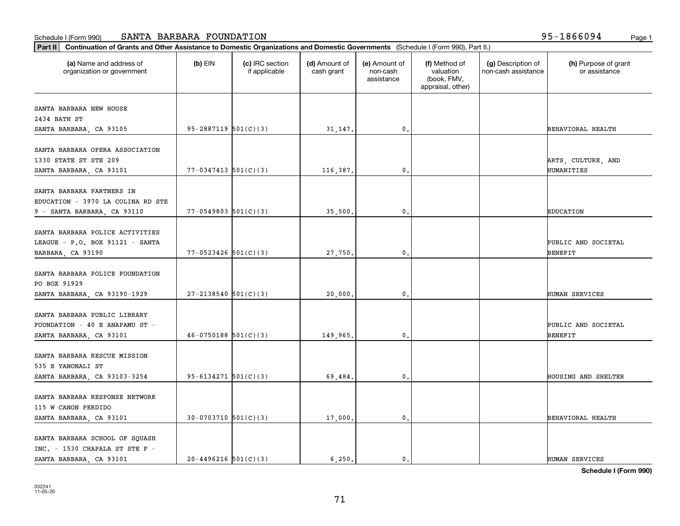| (a) Name and address of<br>organization or government | $(b)$ EIN                  | (c) IRC section<br>if applicable | (d) Amount of<br>cash grant | (e) Amount of<br>non-cash<br>assistance | (f) Method of<br>valuation<br>(book, FMV,<br>appraisal, other) | (g) Description of<br>non-cash assistance | (h) Purpose of grant<br>or assistance |
|-------------------------------------------------------|----------------------------|----------------------------------|-----------------------------|-----------------------------------------|----------------------------------------------------------------|-------------------------------------------|---------------------------------------|
| SANTA BARBARA NEW HOUSE                               |                            |                                  |                             |                                         |                                                                |                                           |                                       |
| 2434 BATH ST                                          |                            |                                  |                             |                                         |                                                                |                                           |                                       |
| SANTA BARBARA, CA 93105                               | $95 - 2887119$ $501(C)(3)$ |                                  | 31,147.                     | 0.                                      |                                                                |                                           | BEHAVIORAL HEALTH                     |
|                                                       |                            |                                  |                             |                                         |                                                                |                                           |                                       |
| SANTA BARBARA OPERA ASSOCIATION                       |                            |                                  |                             |                                         |                                                                |                                           |                                       |
| 1330 STATE ST STE 209                                 |                            |                                  |                             | 0.                                      |                                                                |                                           | ARTS, CULTURE, AND                    |
| SANTA BARBARA, CA 93101                               | $77 - 0347413$ $501(C)(3)$ |                                  | 116,387.                    |                                         |                                                                |                                           | HUMANITIES                            |
| SANTA BARBARA PARTNERS IN                             |                            |                                  |                             |                                         |                                                                |                                           |                                       |
| EDUCATION - 3970 LA COLINA RD STE                     |                            |                                  |                             |                                         |                                                                |                                           |                                       |
| 9 - SANTA BARBARA, CA 93110                           | $77 - 0549803$ $501(C)(3)$ |                                  | 35,500.                     | 0.                                      |                                                                |                                           | <b>EDUCATION</b>                      |
|                                                       |                            |                                  |                             |                                         |                                                                |                                           |                                       |
| SANTA BARBARA POLICE ACTIVITIES                       |                            |                                  |                             |                                         |                                                                |                                           |                                       |
| LEAGUE - P.O. BOX 91121 - SANTA                       |                            |                                  |                             |                                         |                                                                |                                           | PUBLIC AND SOCIETAL                   |
| BARBARA, CA 93190                                     | $77 - 0523426$ 501(C)(3)   |                                  | 27,750.                     | 0.                                      |                                                                |                                           | <b>BENEFIT</b>                        |
| SANTA BARBARA POLICE FOUNDATION                       |                            |                                  |                             |                                         |                                                                |                                           |                                       |
| PO BOX 91929                                          |                            |                                  |                             |                                         |                                                                |                                           |                                       |
|                                                       | $27 - 2138540$ 501(C)(3)   |                                  | 20,000.                     | $\mathbf{0}$                            |                                                                |                                           | HUMAN SERVICES                        |
| SANTA BARBARA, CA 93190-1929                          |                            |                                  |                             |                                         |                                                                |                                           |                                       |
| SANTA BARBARA PUBLIC LIBRARY                          |                            |                                  |                             |                                         |                                                                |                                           |                                       |
| FOUNDATION - 40 E ANAPAMU ST -                        |                            |                                  |                             |                                         |                                                                |                                           | PUBLIC AND SOCIETAL                   |
| SANTA BARBARA, CA 93101                               | $46-0750188$ $501(C)(3)$   |                                  | 149,965.                    | 0.                                      |                                                                |                                           | <b>BENEFIT</b>                        |
|                                                       |                            |                                  |                             |                                         |                                                                |                                           |                                       |
| SANTA BARBARA RESCUE MISSION                          |                            |                                  |                             |                                         |                                                                |                                           |                                       |
| 535 E YANONALI ST                                     |                            |                                  |                             |                                         |                                                                |                                           |                                       |
| SANTA BARBARA, CA 93103-3254                          | $95 - 6134271$ $501(C)(3)$ |                                  | 69,484.                     | 0.                                      |                                                                |                                           | HOUSING AND SHELTER                   |
| SANTA BARBARA RESPONSE NETWORK                        |                            |                                  |                             |                                         |                                                                |                                           |                                       |
| 115 W CANON PERDIDO                                   |                            |                                  |                             |                                         |                                                                |                                           |                                       |
| SANTA BARBARA, CA 93101                               | $30-0703710$ 501(C)(3)     |                                  | 17,000.                     | $\mathbf{0}$ .                          |                                                                |                                           | BEHAVIORAL HEALTH                     |
|                                                       |                            |                                  |                             |                                         |                                                                |                                           |                                       |
| SANTA BARBARA SCHOOL OF SQUASH                        |                            |                                  |                             |                                         |                                                                |                                           |                                       |
| $INC. - 1530$ CHAPALA ST STE F -                      |                            |                                  |                             |                                         |                                                                |                                           |                                       |
| SANTA BARBARA, CA 93101                               | $20 - 4496216$ 501(C)(3)   |                                  | 6,250.                      | $\mathbf{0}$ .                          |                                                                |                                           | HUMAN SERVICES                        |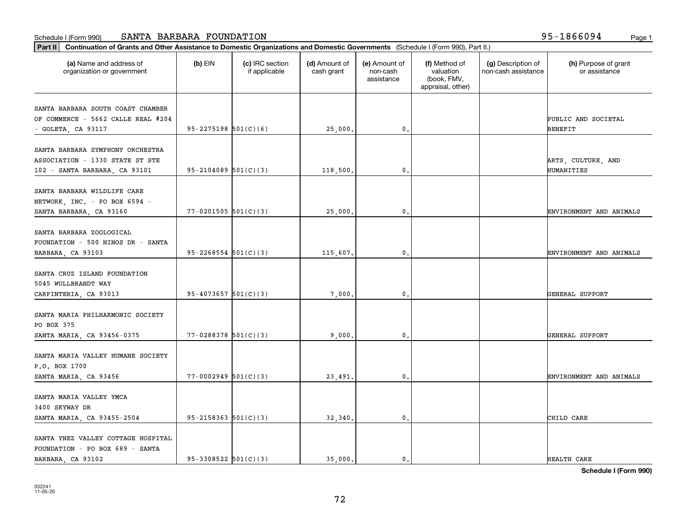| (a) Name and address of<br>organization or government | $(b)$ EIN                  | (c) IRC section<br>if applicable | (d) Amount of<br>cash grant | (e) Amount of<br>non-cash<br>assistance | (f) Method of<br>valuation<br>(book, FMV,<br>appraisal, other) | (g) Description of<br>non-cash assistance | (h) Purpose of grant<br>or assistance |
|-------------------------------------------------------|----------------------------|----------------------------------|-----------------------------|-----------------------------------------|----------------------------------------------------------------|-------------------------------------------|---------------------------------------|
|                                                       |                            |                                  |                             |                                         |                                                                |                                           |                                       |
| SANTA BARBARA SOUTH COAST CHAMBER                     |                            |                                  |                             |                                         |                                                                |                                           |                                       |
| OF COMMERCE - 5662 CALLE REAL #204                    |                            |                                  |                             |                                         |                                                                |                                           | PUBLIC AND SOCIETAL                   |
| - GOLETA, CA 93117                                    | $95 - 2275198$ 501(C)(6)   |                                  | 25,000.                     | $\mathbf{0}$ .                          |                                                                |                                           | <b>BENEFIT</b>                        |
| SANTA BARBARA SYMPHONY ORCHESTRA                      |                            |                                  |                             |                                         |                                                                |                                           |                                       |
| ASSOCIATION - 1330 STATE ST STE                       |                            |                                  |                             |                                         |                                                                |                                           | ARTS, CULTURE, AND                    |
| 102 - SANTA BARBARA, CA 93101                         | $95-2104089$ $501(C)(3)$   |                                  | 118,500.                    | 0.                                      |                                                                |                                           | HUMANITIES                            |
|                                                       |                            |                                  |                             |                                         |                                                                |                                           |                                       |
| SANTA BARBARA WILDLIFE CARE                           |                            |                                  |                             |                                         |                                                                |                                           |                                       |
| NETWORK, INC. - PO BOX 6594 -                         |                            |                                  |                             |                                         |                                                                |                                           |                                       |
| SANTA BARBARA, CA 93160                               | $77 - 0201505$ 501(C)(3)   |                                  | 25,000.                     | 0.                                      |                                                                |                                           | ENVIRONMENT AND ANIMALS               |
|                                                       |                            |                                  |                             |                                         |                                                                |                                           |                                       |
| SANTA BARBARA ZOOLOGICAL                              |                            |                                  |                             |                                         |                                                                |                                           |                                       |
| FOUNDATION - 500 NINOS DR - SANTA                     |                            |                                  |                             |                                         |                                                                |                                           |                                       |
| BARBARA, CA 93103                                     | $95 - 2268554$ $501(C)(3)$ |                                  | 115,607.                    | $\mathbf 0$ .                           |                                                                |                                           | ENVIRONMENT AND ANIMALS               |
| SANTA CRUZ ISLAND FOUNDATION                          |                            |                                  |                             |                                         |                                                                |                                           |                                       |
| 5045 WULLBRANDT WAY                                   |                            |                                  |                             |                                         |                                                                |                                           |                                       |
| CARPINTERIA, CA 93013                                 | $95 - 4073657$ $501(C)(3)$ |                                  | 7,000.                      | 0.                                      |                                                                |                                           | GENERAL SUPPORT                       |
|                                                       |                            |                                  |                             |                                         |                                                                |                                           |                                       |
| SANTA MARIA PHILHARMONIC SOCIETY                      |                            |                                  |                             |                                         |                                                                |                                           |                                       |
| PO BOX 375                                            |                            |                                  |                             |                                         |                                                                |                                           |                                       |
| SANTA MARIA, CA 93456-0375                            | $77 - 0288378$ 501(C)(3)   |                                  | 9,000.                      | $\mathbf 0$ .                           |                                                                |                                           | GENERAL SUPPORT                       |
|                                                       |                            |                                  |                             |                                         |                                                                |                                           |                                       |
| SANTA MARIA VALLEY HUMANE SOCIETY                     |                            |                                  |                             |                                         |                                                                |                                           |                                       |
| P.O. BOX 1700                                         |                            |                                  |                             |                                         |                                                                |                                           |                                       |
| SANTA MARIA, CA 93456                                 | $77 - 0002949$ 501(C)(3)   |                                  | 23,491.                     | 0.                                      |                                                                |                                           | ENVIRONMENT AND ANIMALS               |
| SANTA MARIA VALLEY YMCA                               |                            |                                  |                             |                                         |                                                                |                                           |                                       |
| 3400 SKYWAY DR                                        |                            |                                  |                             |                                         |                                                                |                                           |                                       |
| SANTA MARIA, CA 93455-2504                            | $95-2158363$ $501(C)(3)$   |                                  | 32,340.                     | $\mathbf 0$ .                           |                                                                |                                           | CHILD CARE                            |
|                                                       |                            |                                  |                             |                                         |                                                                |                                           |                                       |
| SANTA YNEZ VALLEY COTTAGE HOSPITAL                    |                            |                                  |                             |                                         |                                                                |                                           |                                       |
| FOUNDATION - PO BOX 689 - SANTA                       |                            |                                  |                             |                                         |                                                                |                                           |                                       |
| BARBARA, CA 93102                                     | $95-3308522$ $501(C)(3)$   |                                  | 35,000.                     | $\mathbf{0}$ .                          |                                                                |                                           | HEALTH CARE                           |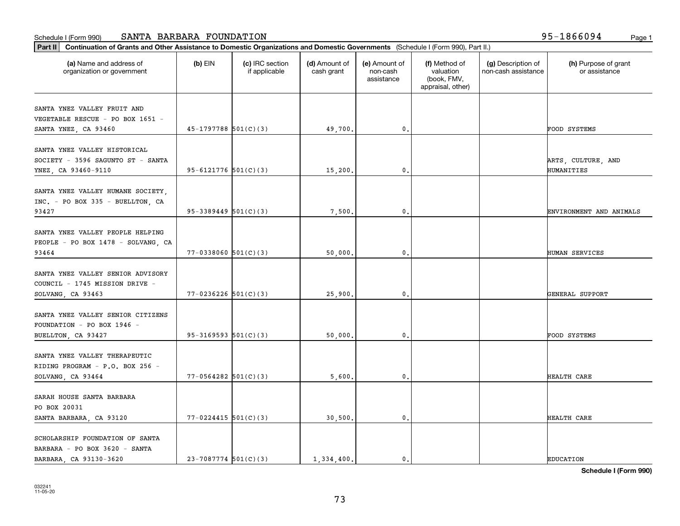| (a) Name and address of<br>organization or government                                      | $(b)$ EIN                  | (c) IRC section<br>if applicable | (d) Amount of<br>cash grant | (e) Amount of<br>non-cash<br>assistance | (f) Method of<br>valuation<br>(book, FMV,<br>appraisal, other) | (g) Description of<br>non-cash assistance | (h) Purpose of grant<br>or assistance |
|--------------------------------------------------------------------------------------------|----------------------------|----------------------------------|-----------------------------|-----------------------------------------|----------------------------------------------------------------|-------------------------------------------|---------------------------------------|
| SANTA YNEZ VALLEY FRUIT AND<br>VEGETABLE RESCUE - PO BOX 1651 -                            |                            |                                  |                             |                                         |                                                                |                                           |                                       |
| SANTA YNEZ, CA 93460                                                                       | $45-1797788$ 501(C)(3)     |                                  | 49,700.                     | 0.                                      |                                                                |                                           | <b>FOOD SYSTEMS</b>                   |
| SANTA YNEZ VALLEY HISTORICAL<br>SOCIETY - 3596 SAGUNTO ST - SANTA<br>YNEZ, CA 93460-9110   | $95 - 6121776$ $501(C)(3)$ |                                  | 15,200.                     | 0.                                      |                                                                |                                           | ARTS, CULTURE, AND<br>HUMANITIES      |
| SANTA YNEZ VALLEY HUMANE SOCIETY,<br>INC. - PO BOX 335 - BUELLTON, CA<br>93427             | $95-3389449$ $501(C)(3)$   |                                  | 7,500.                      | 0.                                      |                                                                |                                           | ENVIRONMENT AND ANIMALS               |
| SANTA YNEZ VALLEY PEOPLE HELPING<br>PEOPLE - PO BOX 1478 - SOLVANG, CA<br>93464            | $77 - 0338060$ 501(C)(3)   |                                  | 50,000.                     | 0.                                      |                                                                |                                           | HUMAN SERVICES                        |
| SANTA YNEZ VALLEY SENIOR ADVISORY<br>COUNCIL - 1745 MISSION DRIVE -<br>SOLVANG, CA 93463   | $77 - 0236226$ 501(C)(3)   |                                  | 25,900.                     | $\mathbf 0$                             |                                                                |                                           | GENERAL SUPPORT                       |
| SANTA YNEZ VALLEY SENIOR CITIZENS<br>FOUNDATION - PO BOX 1946 -<br>BUELLTON, CA 93427      | $95-3169593$ $501(C)(3)$   |                                  | 50,000.                     | 0.                                      |                                                                |                                           | FOOD SYSTEMS                          |
| SANTA YNEZ VALLEY THERAPEUTIC<br>RIDING PROGRAM - P.O. BOX 256 -<br>SOLVANG, CA 93464      | $77 - 0564282$ 501(C)(3)   |                                  | 5,600.                      | 0.                                      |                                                                |                                           | HEALTH CARE                           |
| SARAH HOUSE SANTA BARBARA<br>PO BOX 20031<br>SANTA BARBARA, CA 93120                       | $77 - 0224415$ 501(C)(3)   |                                  | 30,500.                     | $\mathbf{0}$ .                          |                                                                |                                           | HEALTH CARE                           |
| SCHOLARSHIP FOUNDATION OF SANTA<br>BARBARA - PO BOX 3620 - SANTA<br>BARBARA, CA 93130-3620 | $23 - 7087774$ 501(C)(3)   |                                  | 1,334,400.                  | $\mathbf{0}$ .                          |                                                                |                                           | <b>EDUCATION</b>                      |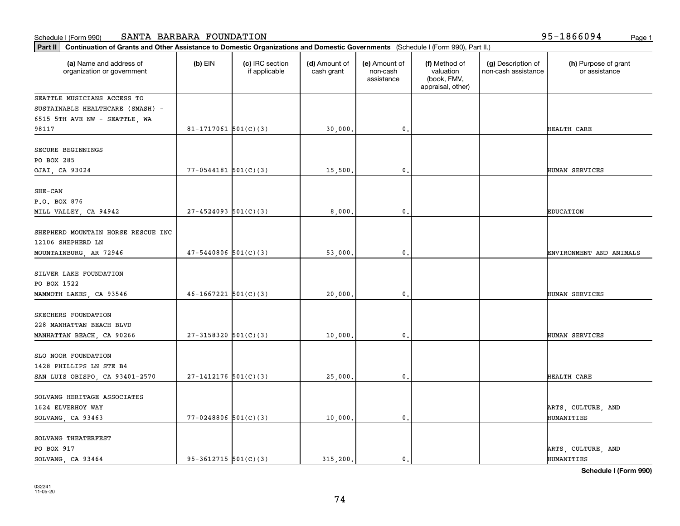| Part II   Continuation of Grants and Other Assistance to Domestic Organizations and Domestic Governments (Schedule I (Form 990), Part II.) |                            |                                  |                             |                                         |                                                                |                                           |                                       |
|--------------------------------------------------------------------------------------------------------------------------------------------|----------------------------|----------------------------------|-----------------------------|-----------------------------------------|----------------------------------------------------------------|-------------------------------------------|---------------------------------------|
| (a) Name and address of<br>organization or government                                                                                      | $(b)$ EIN                  | (c) IRC section<br>if applicable | (d) Amount of<br>cash grant | (e) Amount of<br>non-cash<br>assistance | (f) Method of<br>valuation<br>(book, FMV,<br>appraisal, other) | (g) Description of<br>non-cash assistance | (h) Purpose of grant<br>or assistance |
| SEATTLE MUSICIANS ACCESS TO                                                                                                                |                            |                                  |                             |                                         |                                                                |                                           |                                       |
| SUSTAINABLE HEALTHCARE (SMASH) -                                                                                                           |                            |                                  |                             |                                         |                                                                |                                           |                                       |
| 6515 5TH AVE NW - SEATTLE, WA                                                                                                              |                            |                                  |                             |                                         |                                                                |                                           |                                       |
| 98117                                                                                                                                      | 81-1717061 $501(C)(3)$     |                                  | 30,000.                     | $\mathbf{0}$ .                          |                                                                |                                           | HEALTH CARE                           |
| SECURE BEGINNINGS<br>PO BOX 285                                                                                                            |                            |                                  |                             |                                         |                                                                |                                           |                                       |
| OJAI, CA 93024                                                                                                                             | $77 - 0544181$ $501(C)(3)$ |                                  | 15,500.                     | $\mathbf{0}$                            |                                                                |                                           | HUMAN SERVICES                        |
|                                                                                                                                            |                            |                                  |                             |                                         |                                                                |                                           |                                       |
| $SHE-CAN$                                                                                                                                  |                            |                                  |                             |                                         |                                                                |                                           |                                       |
| P.O. BOX 876                                                                                                                               |                            |                                  |                             |                                         |                                                                |                                           |                                       |
| MILL VALLEY, CA 94942                                                                                                                      | $27 - 4524093$ 501(C)(3)   |                                  | 8,000                       | $\mathbf{0}$ .                          |                                                                |                                           | EDUCATION                             |
| SHEPHERD MOUNTAIN HORSE RESCUE INC<br>12106 SHEPHERD LN                                                                                    |                            |                                  |                             |                                         |                                                                |                                           |                                       |
| MOUNTAINBURG, AR 72946                                                                                                                     | $47 - 5440806$ 501(C)(3)   |                                  | 53,000                      | 0.                                      |                                                                |                                           | ENVIRONMENT AND ANIMALS               |
|                                                                                                                                            |                            |                                  |                             |                                         |                                                                |                                           |                                       |
| SILVER LAKE FOUNDATION                                                                                                                     |                            |                                  |                             |                                         |                                                                |                                           |                                       |
| PO BOX 1522                                                                                                                                |                            |                                  |                             |                                         |                                                                |                                           |                                       |
| MAMMOTH LAKES, CA 93546                                                                                                                    | $46 - 1667221$ 501(C)(3)   |                                  | 20,000                      | $\mathbf{0}$                            |                                                                |                                           | <b>HUMAN SERVICES</b>                 |
| SKECHERS FOUNDATION                                                                                                                        |                            |                                  |                             |                                         |                                                                |                                           |                                       |
| 228 MANHATTAN BEACH BLVD                                                                                                                   |                            |                                  |                             |                                         |                                                                |                                           |                                       |
| MANHATTAN BEACH, CA 90266                                                                                                                  | $27-3158320$ 501(C)(3)     |                                  | 10,000.                     | $\mathbf{0}$                            |                                                                |                                           | HUMAN SERVICES                        |
|                                                                                                                                            |                            |                                  |                             |                                         |                                                                |                                           |                                       |
| SLO NOOR FOUNDATION                                                                                                                        |                            |                                  |                             |                                         |                                                                |                                           |                                       |
| 1428 PHILLIPS LN STE B4                                                                                                                    |                            |                                  |                             |                                         |                                                                |                                           |                                       |
| SAN LUIS OBISPO, CA 93401-2570                                                                                                             | $27-1412176$ 501(C)(3)     |                                  | 25,000.                     | $\mathbf{0}$ .                          |                                                                |                                           | HEALTH CARE                           |
|                                                                                                                                            |                            |                                  |                             |                                         |                                                                |                                           |                                       |
| SOLVANG HERITAGE ASSOCIATES                                                                                                                |                            |                                  |                             |                                         |                                                                |                                           |                                       |
| 1624 ELVERHOY WAY                                                                                                                          |                            |                                  |                             |                                         |                                                                |                                           | ARTS, CULTURE, AND                    |
| SOLVANG, CA 93463                                                                                                                          | $77 - 0248806$ 501(C)(3)   |                                  | 10,000.                     | $\mathbf{0}$ .                          |                                                                |                                           | HUMANITIES                            |
|                                                                                                                                            |                            |                                  |                             |                                         |                                                                |                                           |                                       |
| SOLVANG THEATERFEST                                                                                                                        |                            |                                  |                             |                                         |                                                                |                                           |                                       |
| PO BOX 917                                                                                                                                 |                            |                                  |                             |                                         |                                                                |                                           | ARTS, CULTURE, AND                    |
| SOLVANG, CA 93464                                                                                                                          | $95-3612715$ 501(C)(3)     |                                  | 315.200.                    | $\mathbf 0$ .                           |                                                                |                                           | HUMANITIES                            |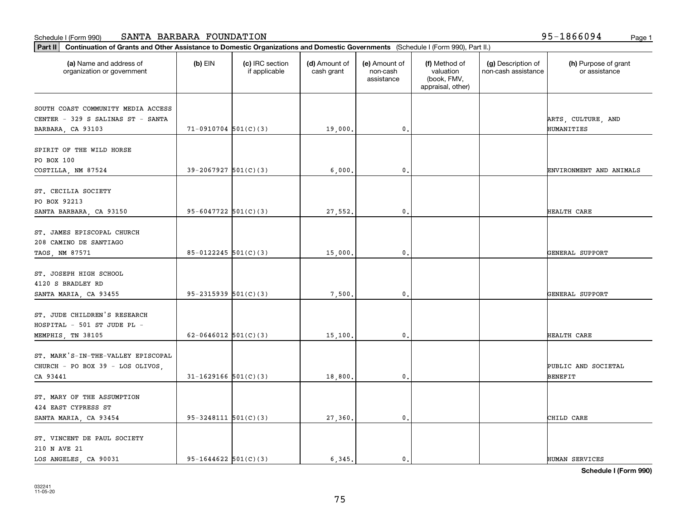| Part II   Continuation of Grants and Other Assistance to Domestic Organizations and Domestic Governments (Schedule I (Form 990), Part II.) |                            |                                  |                             |                                         |                                                                |                                           |                                       |
|--------------------------------------------------------------------------------------------------------------------------------------------|----------------------------|----------------------------------|-----------------------------|-----------------------------------------|----------------------------------------------------------------|-------------------------------------------|---------------------------------------|
| (a) Name and address of<br>organization or government                                                                                      | $(b)$ EIN                  | (c) IRC section<br>if applicable | (d) Amount of<br>cash grant | (e) Amount of<br>non-cash<br>assistance | (f) Method of<br>valuation<br>(book, FMV,<br>appraisal, other) | (g) Description of<br>non-cash assistance | (h) Purpose of grant<br>or assistance |
|                                                                                                                                            |                            |                                  |                             |                                         |                                                                |                                           |                                       |
| SOUTH COAST COMMUNITY MEDIA ACCESS<br>CENTER - 329 S SALINAS ST - SANTA                                                                    |                            |                                  |                             |                                         |                                                                |                                           | ARTS, CULTURE, AND                    |
| BARBARA, CA 93103                                                                                                                          | $71-0910704$ 501(C)(3)     |                                  | 19,000.                     | $\mathfrak o$ .                         |                                                                |                                           | HUMANITIES                            |
|                                                                                                                                            |                            |                                  |                             |                                         |                                                                |                                           |                                       |
| SPIRIT OF THE WILD HORSE                                                                                                                   |                            |                                  |                             |                                         |                                                                |                                           |                                       |
| PO BOX 100                                                                                                                                 |                            |                                  |                             |                                         |                                                                |                                           |                                       |
| COSTILLA, NM 87524                                                                                                                         | $39 - 2067927$ 501(C)(3)   |                                  | 6,000.                      | $\mathfrak{o}$ .                        |                                                                |                                           | ENVIRONMENT AND ANIMALS               |
|                                                                                                                                            |                            |                                  |                             |                                         |                                                                |                                           |                                       |
| ST. CECILIA SOCIETY                                                                                                                        |                            |                                  |                             |                                         |                                                                |                                           |                                       |
| PO BOX 92213                                                                                                                               |                            |                                  |                             |                                         |                                                                |                                           |                                       |
| SANTA BARBARA, CA 93150                                                                                                                    | 95-6047722 $501(C)(3)$     |                                  | 27,552.                     | $\mathbf{0}$ .                          |                                                                |                                           | HEALTH CARE                           |
|                                                                                                                                            |                            |                                  |                             |                                         |                                                                |                                           |                                       |
| ST. JAMES EPISCOPAL CHURCH                                                                                                                 |                            |                                  |                             |                                         |                                                                |                                           |                                       |
| 208 CAMINO DE SANTIAGO                                                                                                                     |                            |                                  |                             |                                         |                                                                |                                           |                                       |
| TAOS, NM 87571                                                                                                                             | 85-0122245 $501(C)(3)$     |                                  | 15,000.                     | 0.                                      |                                                                |                                           | GENERAL SUPPORT                       |
|                                                                                                                                            |                            |                                  |                             |                                         |                                                                |                                           |                                       |
| ST. JOSEPH HIGH SCHOOL                                                                                                                     |                            |                                  |                             |                                         |                                                                |                                           |                                       |
| 4120 S BRADLEY RD                                                                                                                          | $95 - 2315939$ $501(C)(3)$ |                                  |                             | $\mathbf{0}$                            |                                                                |                                           | GENERAL SUPPORT                       |
| SANTA MARIA, CA 93455                                                                                                                      |                            |                                  | 7,500                       |                                         |                                                                |                                           |                                       |
| ST. JUDE CHILDREN'S RESEARCH                                                                                                               |                            |                                  |                             |                                         |                                                                |                                           |                                       |
| HOSPITAL - 501 ST JUDE PL -                                                                                                                |                            |                                  |                             |                                         |                                                                |                                           |                                       |
| MEMPHIS, TN 38105                                                                                                                          | 62-0646012 $501(C)(3)$     |                                  | 15,100.                     | 0.                                      |                                                                |                                           | HEALTH CARE                           |
|                                                                                                                                            |                            |                                  |                             |                                         |                                                                |                                           |                                       |
| ST. MARK'S-IN-THE-VALLEY EPISCOPAL                                                                                                         |                            |                                  |                             |                                         |                                                                |                                           |                                       |
| CHURCH - PO BOX 39 - LOS OLIVOS,                                                                                                           |                            |                                  |                             |                                         |                                                                |                                           | PUBLIC AND SOCIETAL                   |
| CA 93441                                                                                                                                   | $31-1629166$ $501(C)(3)$   |                                  | 18,800.                     | $\mathbf{0}$ .                          |                                                                |                                           | <b>BENEFIT</b>                        |
|                                                                                                                                            |                            |                                  |                             |                                         |                                                                |                                           |                                       |
| ST. MARY OF THE ASSUMPTION                                                                                                                 |                            |                                  |                             |                                         |                                                                |                                           |                                       |
| 424 EAST CYPRESS ST                                                                                                                        |                            |                                  |                             |                                         |                                                                |                                           |                                       |
| SANTA MARIA, CA 93454                                                                                                                      | $95 - 3248111$ $501(C)(3)$ |                                  | 27,360.                     | $\mathbf 0$ .                           |                                                                |                                           | CHILD CARE                            |
|                                                                                                                                            |                            |                                  |                             |                                         |                                                                |                                           |                                       |
| ST. VINCENT DE PAUL SOCIETY                                                                                                                |                            |                                  |                             |                                         |                                                                |                                           |                                       |
| 210 N AVE 21                                                                                                                               |                            |                                  |                             |                                         |                                                                |                                           |                                       |
| LOS ANGELES, CA 90031                                                                                                                      | $95-1644622$ $501(C)(3)$   |                                  | 6.345.                      | $\mathbf{0}$ .                          |                                                                |                                           | HUMAN SERVICES                        |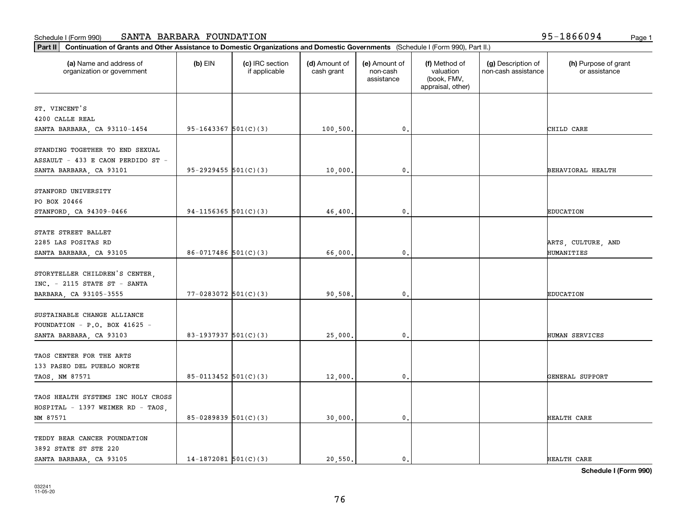| (a) Name and address of<br>organization or government | $(b)$ EIN                  | (c) IRC section<br>if applicable | (d) Amount of<br>cash grant | (e) Amount of<br>non-cash<br>assistance | (f) Method of<br>valuation<br>(book, FMV,<br>appraisal, other) | (g) Description of<br>non-cash assistance | (h) Purpose of grant<br>or assistance |
|-------------------------------------------------------|----------------------------|----------------------------------|-----------------------------|-----------------------------------------|----------------------------------------------------------------|-------------------------------------------|---------------------------------------|
| ST. VINCENT'S                                         |                            |                                  |                             |                                         |                                                                |                                           |                                       |
| 4200 CALLE REAL                                       |                            |                                  |                             |                                         |                                                                |                                           |                                       |
| SANTA BARBARA, CA 93110-1454                          | 95-1643367 $501(C)(3)$     |                                  | 100, 500.                   | $\mathbf{0}$ .                          |                                                                |                                           | CHILD CARE                            |
|                                                       |                            |                                  |                             |                                         |                                                                |                                           |                                       |
| STANDING TOGETHER TO END SEXUAL                       |                            |                                  |                             |                                         |                                                                |                                           |                                       |
| ASSAULT - 433 E CAON PERDIDO ST -                     |                            |                                  |                             |                                         |                                                                |                                           |                                       |
| SANTA BARBARA, CA 93101                               | $95 - 2929455$ $501(C)(3)$ |                                  | 10,000.                     | 0.                                      |                                                                |                                           | BEHAVIORAL HEALTH                     |
|                                                       |                            |                                  |                             |                                         |                                                                |                                           |                                       |
| STANFORD UNIVERSITY<br>PO BOX 20466                   |                            |                                  |                             |                                         |                                                                |                                           |                                       |
| STANFORD, CA 94309-0466                               | 94-1156365 $501(C)(3)$     |                                  | 46,400.                     | 0.                                      |                                                                |                                           | <b>EDUCATION</b>                      |
|                                                       |                            |                                  |                             |                                         |                                                                |                                           |                                       |
| STATE STREET BALLET                                   |                            |                                  |                             |                                         |                                                                |                                           |                                       |
| 2285 LAS POSITAS RD                                   |                            |                                  |                             |                                         |                                                                |                                           | ARTS, CULTURE, AND                    |
| SANTA BARBARA, CA 93105                               | $86-0717486$ 501(C)(3)     |                                  | 66,000.                     | $\mathbf 0$ .                           |                                                                |                                           | HUMANITIES                            |
|                                                       |                            |                                  |                             |                                         |                                                                |                                           |                                       |
| STORYTELLER CHILDREN'S CENTER,                        |                            |                                  |                             |                                         |                                                                |                                           |                                       |
| $INC. - 2115$ STATE ST - SANTA                        |                            |                                  |                             |                                         |                                                                |                                           |                                       |
| BARBARA, CA 93105-3555                                | $77 - 0283072$ 501(C)(3)   |                                  | 90,508.                     | 0.                                      |                                                                |                                           | <b>EDUCATION</b>                      |
|                                                       |                            |                                  |                             |                                         |                                                                |                                           |                                       |
| SUSTAINABLE CHANGE ALLIANCE                           |                            |                                  |                             |                                         |                                                                |                                           |                                       |
| FOUNDATION - P.O. BOX 41625 -                         |                            |                                  |                             |                                         |                                                                |                                           |                                       |
| SANTA BARBARA, CA 93103                               | 83-1937937 $501(C)(3)$     |                                  | 25,000.                     | 0.                                      |                                                                |                                           | HUMAN SERVICES                        |
| TAOS CENTER FOR THE ARTS                              |                            |                                  |                             |                                         |                                                                |                                           |                                       |
|                                                       |                            |                                  |                             |                                         |                                                                |                                           |                                       |
| 133 PASEO DEL PUEBLO NORTE                            | 85-0113452 501(C)(3)       |                                  |                             | 0.                                      |                                                                |                                           | GENERAL SUPPORT                       |
| TAOS, NM 87571                                        |                            |                                  | 12,000.                     |                                         |                                                                |                                           |                                       |
| TAOS HEALTH SYSTEMS INC HOLY CROSS                    |                            |                                  |                             |                                         |                                                                |                                           |                                       |
| HOSPITAL - 1397 WEIMER RD - TAOS,                     |                            |                                  |                             |                                         |                                                                |                                           |                                       |
| NM 87571                                              | 85-0289839 501(C)(3)       |                                  | 30,000.                     | 0.                                      |                                                                |                                           | HEALTH CARE                           |
|                                                       |                            |                                  |                             |                                         |                                                                |                                           |                                       |
| TEDDY BEAR CANCER FOUNDATION                          |                            |                                  |                             |                                         |                                                                |                                           |                                       |
| 3892 STATE ST STE 220                                 |                            |                                  |                             |                                         |                                                                |                                           |                                       |
| SANTA BARBARA, CA 93105                               | $14-1872081$ 501(C)(3)     |                                  | 20,550.                     | $\mathbf{0}$ .                          |                                                                |                                           | HEALTH CARE                           |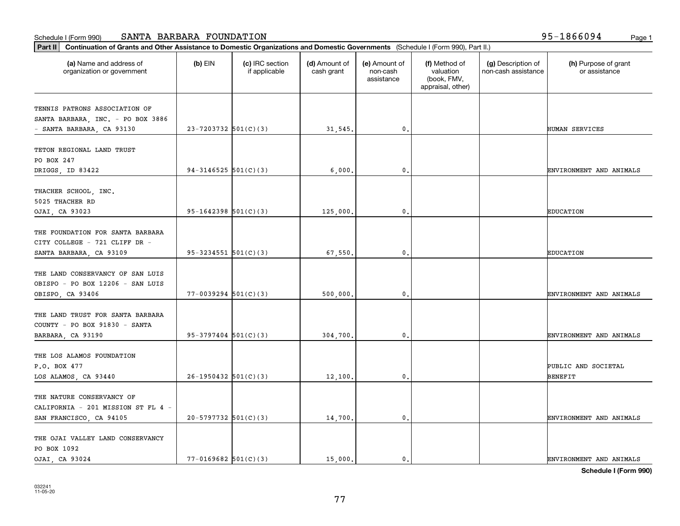| Part II   Continuation of Grants and Other Assistance to Domestic Organizations and Domestic Governments (Schedule I (Form 990), Part II.) |                            |                                  |                             |                                         |                                                                |                                           |                                       |
|--------------------------------------------------------------------------------------------------------------------------------------------|----------------------------|----------------------------------|-----------------------------|-----------------------------------------|----------------------------------------------------------------|-------------------------------------------|---------------------------------------|
| (a) Name and address of<br>organization or government                                                                                      | $(b)$ EIN                  | (c) IRC section<br>if applicable | (d) Amount of<br>cash grant | (e) Amount of<br>non-cash<br>assistance | (f) Method of<br>valuation<br>(book, FMV,<br>appraisal, other) | (g) Description of<br>non-cash assistance | (h) Purpose of grant<br>or assistance |
| TENNIS PATRONS ASSOCIATION OF                                                                                                              |                            |                                  |                             |                                         |                                                                |                                           |                                       |
| SANTA BARBARA, INC. - PO BOX 3886                                                                                                          |                            |                                  |                             |                                         |                                                                |                                           |                                       |
| - SANTA BARBARA, CA 93130                                                                                                                  | $23 - 7203732$ 501(C)(3)   |                                  | 31,545.                     | 0.                                      |                                                                |                                           | HUMAN SERVICES                        |
|                                                                                                                                            |                            |                                  |                             |                                         |                                                                |                                           |                                       |
| TETON REGIONAL LAND TRUST                                                                                                                  |                            |                                  |                             |                                         |                                                                |                                           |                                       |
| PO BOX 247                                                                                                                                 |                            |                                  |                             |                                         |                                                                |                                           |                                       |
| DRIGGS, ID 83422                                                                                                                           | $94-3146525$ $501(C)(3)$   |                                  | 6,000,                      | 0.                                      |                                                                |                                           | ENVIRONMENT AND ANIMALS               |
| THACHER SCHOOL, INC.                                                                                                                       |                            |                                  |                             |                                         |                                                                |                                           |                                       |
| 5025 THACHER RD                                                                                                                            |                            |                                  |                             |                                         |                                                                |                                           |                                       |
| OJAI, CA 93023                                                                                                                             | $95-1642398$ $501(C)(3)$   |                                  | 125,000.                    | $\mathbf{0}$ .                          |                                                                |                                           | <b>EDUCATION</b>                      |
|                                                                                                                                            |                            |                                  |                             |                                         |                                                                |                                           |                                       |
| THE FOUNDATION FOR SANTA BARBARA                                                                                                           |                            |                                  |                             |                                         |                                                                |                                           |                                       |
| CITY COLLEGE - 721 CLIFF DR -                                                                                                              |                            |                                  |                             |                                         |                                                                |                                           |                                       |
| SANTA BARBARA, CA 93109                                                                                                                    | $95 - 3234551$ $501(C)(3)$ |                                  | 67,550.                     | 0.                                      |                                                                |                                           | <b>EDUCATION</b>                      |
| THE LAND CONSERVANCY OF SAN LUIS                                                                                                           |                            |                                  |                             |                                         |                                                                |                                           |                                       |
| OBISPO - PO BOX 12206 - SAN LUIS                                                                                                           |                            |                                  |                             |                                         |                                                                |                                           |                                       |
| OBISPO, CA 93406                                                                                                                           | $77 - 0039294$ 501(C)(3)   |                                  | 500,000,                    | 0.                                      |                                                                |                                           | ENVIRONMENT AND ANIMALS               |
|                                                                                                                                            |                            |                                  |                             |                                         |                                                                |                                           |                                       |
| THE LAND TRUST FOR SANTA BARBARA                                                                                                           |                            |                                  |                             |                                         |                                                                |                                           |                                       |
| COUNTY - PO BOX 91830 - SANTA                                                                                                              |                            |                                  |                             |                                         |                                                                |                                           |                                       |
| BARBARA, CA 93190                                                                                                                          | $95-3797404$ $501(C)(3)$   |                                  | 304,700.                    | 0.                                      |                                                                |                                           | ENVIRONMENT AND ANIMALS               |
|                                                                                                                                            |                            |                                  |                             |                                         |                                                                |                                           |                                       |
| THE LOS ALAMOS FOUNDATION                                                                                                                  |                            |                                  |                             |                                         |                                                                |                                           |                                       |
| P.O. BOX 477                                                                                                                               |                            |                                  |                             |                                         |                                                                |                                           | PUBLIC AND SOCIETAL                   |
| LOS ALAMOS, CA 93440                                                                                                                       | $26-1950432$ 501(C)(3)     |                                  | 12,100.                     | 0.                                      |                                                                |                                           | BENEFIT                               |
| THE NATURE CONSERVANCY OF                                                                                                                  |                            |                                  |                             |                                         |                                                                |                                           |                                       |
| CALIFORNIA - 201 MISSION ST FL 4 -                                                                                                         |                            |                                  |                             |                                         |                                                                |                                           |                                       |
| SAN FRANCISCO, CA 94105                                                                                                                    | $20-5797732$ 501(C)(3)     |                                  | 14,700.                     | $\mathbf{0}$ .                          |                                                                |                                           | ENVIRONMENT AND ANIMALS               |
|                                                                                                                                            |                            |                                  |                             |                                         |                                                                |                                           |                                       |
| THE OJAI VALLEY LAND CONSERVANCY                                                                                                           |                            |                                  |                             |                                         |                                                                |                                           |                                       |
| PO BOX 1092                                                                                                                                |                            |                                  |                             |                                         |                                                                |                                           |                                       |
| OJAI, CA 93024                                                                                                                             | $77-0169682$ $501(C)(3)$   |                                  | 15,000.                     | $\mathfrak{o}$ .                        |                                                                |                                           | ENVIRONMENT AND ANIMALS               |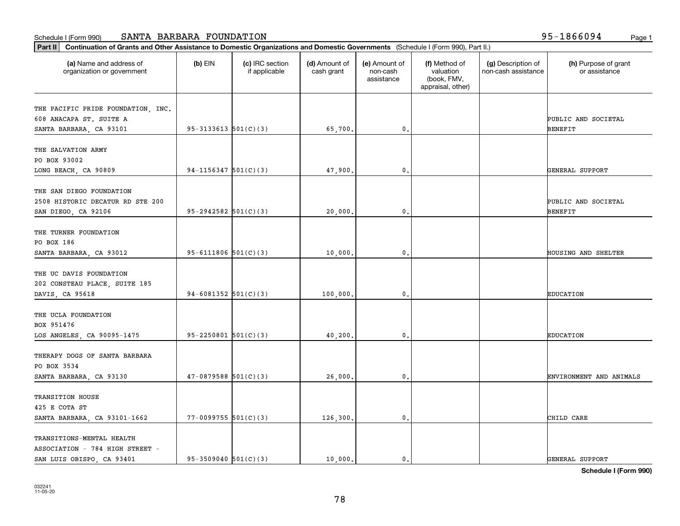| Part II   Continuation of Grants and Other Assistance to Domestic Organizations and Domestic Governments (Schedule I (Form 990), Part II.) |                            |                                  |                             |                                         |                                                                |                                           |                                       |
|--------------------------------------------------------------------------------------------------------------------------------------------|----------------------------|----------------------------------|-----------------------------|-----------------------------------------|----------------------------------------------------------------|-------------------------------------------|---------------------------------------|
| (a) Name and address of<br>organization or government                                                                                      | $(b)$ EIN                  | (c) IRC section<br>if applicable | (d) Amount of<br>cash grant | (e) Amount of<br>non-cash<br>assistance | (f) Method of<br>valuation<br>(book, FMV,<br>appraisal, other) | (g) Description of<br>non-cash assistance | (h) Purpose of grant<br>or assistance |
|                                                                                                                                            |                            |                                  |                             |                                         |                                                                |                                           |                                       |
| THE PACIFIC PRIDE FOUNDATION, INC.<br>608 ANACAPA ST. SUITE A                                                                              |                            |                                  |                             |                                         |                                                                |                                           | PUBLIC AND SOCIETAL                   |
| SANTA BARBARA, CA 93101                                                                                                                    | $95 - 3133613$ $501(C)(3)$ |                                  | 65,700.                     | 0.                                      |                                                                |                                           | <b>BENEFIT</b>                        |
|                                                                                                                                            |                            |                                  |                             |                                         |                                                                |                                           |                                       |
| THE SALVATION ARMY                                                                                                                         |                            |                                  |                             |                                         |                                                                |                                           |                                       |
| PO BOX 93002                                                                                                                               |                            |                                  |                             |                                         |                                                                |                                           |                                       |
| LONG BEACH, CA 90809                                                                                                                       | $94-1156347$ $501(C)(3)$   |                                  | 47,900.                     | 0.                                      |                                                                |                                           | GENERAL SUPPORT                       |
|                                                                                                                                            |                            |                                  |                             |                                         |                                                                |                                           |                                       |
| THE SAN DIEGO FOUNDATION                                                                                                                   |                            |                                  |                             |                                         |                                                                |                                           |                                       |
| 2508 HISTORIC DECATUR RD STE 200                                                                                                           |                            |                                  |                             |                                         |                                                                |                                           | PUBLIC AND SOCIETAL                   |
| SAN DIEGO, CA 92106                                                                                                                        | $95-2942582$ $501(C)(3)$   |                                  | 20,000.                     | $\mathbf{0}$ .                          |                                                                |                                           | BENEFIT                               |
|                                                                                                                                            |                            |                                  |                             |                                         |                                                                |                                           |                                       |
| THE TURNER FOUNDATION                                                                                                                      |                            |                                  |                             |                                         |                                                                |                                           |                                       |
| PO BOX 186                                                                                                                                 |                            |                                  |                             |                                         |                                                                |                                           |                                       |
| SANTA BARBARA, CA 93012                                                                                                                    | 95-6111806 $501(C)(3)$     |                                  | 10,000.                     | 0.                                      |                                                                |                                           | <b>HOUSING AND SHELTER</b>            |
|                                                                                                                                            |                            |                                  |                             |                                         |                                                                |                                           |                                       |
| THE UC DAVIS FOUNDATION                                                                                                                    |                            |                                  |                             |                                         |                                                                |                                           |                                       |
| 202 CONSTEAU PLACE, SUITE 185                                                                                                              |                            |                                  |                             |                                         |                                                                |                                           |                                       |
| DAVIS, CA 95618                                                                                                                            | 94-6081352 $501(C)(3)$     |                                  | 100,000.                    | 0.                                      |                                                                |                                           | <b>EDUCATION</b>                      |
| THE UCLA FOUNDATION                                                                                                                        |                            |                                  |                             |                                         |                                                                |                                           |                                       |
| BOX 951476                                                                                                                                 |                            |                                  |                             |                                         |                                                                |                                           |                                       |
| LOS ANGELES, CA 90095-1475                                                                                                                 | $95 - 2250801$ $501(C)(3)$ |                                  | 40,200.                     | 0.                                      |                                                                |                                           | <b>EDUCATION</b>                      |
|                                                                                                                                            |                            |                                  |                             |                                         |                                                                |                                           |                                       |
| THERAPY DOGS OF SANTA BARBARA                                                                                                              |                            |                                  |                             |                                         |                                                                |                                           |                                       |
| PO BOX 3534                                                                                                                                |                            |                                  |                             |                                         |                                                                |                                           |                                       |
| SANTA BARBARA, CA 93130                                                                                                                    | $47-0879588$ 501(C)(3)     |                                  | 26,000.                     | 0.                                      |                                                                |                                           | ENVIRONMENT AND ANIMALS               |
|                                                                                                                                            |                            |                                  |                             |                                         |                                                                |                                           |                                       |
| TRANSITION HOUSE                                                                                                                           |                            |                                  |                             |                                         |                                                                |                                           |                                       |
| 425 E COTA ST                                                                                                                              |                            |                                  |                             |                                         |                                                                |                                           |                                       |
| SANTA BARBARA, CA 93101-1662                                                                                                               | $77-0099755$ 501(C)(3)     |                                  | 126,300.                    | $\mathbf{0}$ .                          |                                                                |                                           | CHILD CARE                            |
|                                                                                                                                            |                            |                                  |                             |                                         |                                                                |                                           |                                       |
| TRANSITIONS-MENTAL HEALTH                                                                                                                  |                            |                                  |                             |                                         |                                                                |                                           |                                       |
| ASSOCIATION - 784 HIGH STREET -                                                                                                            |                            |                                  |                             |                                         |                                                                |                                           |                                       |
| SAN LUIS OBISPO, CA 93401                                                                                                                  | $95-3509040$ $501(C)(3)$   |                                  | 10.000.                     | $\mathfrak{o}$ .                        |                                                                |                                           | GENERAL SUPPORT                       |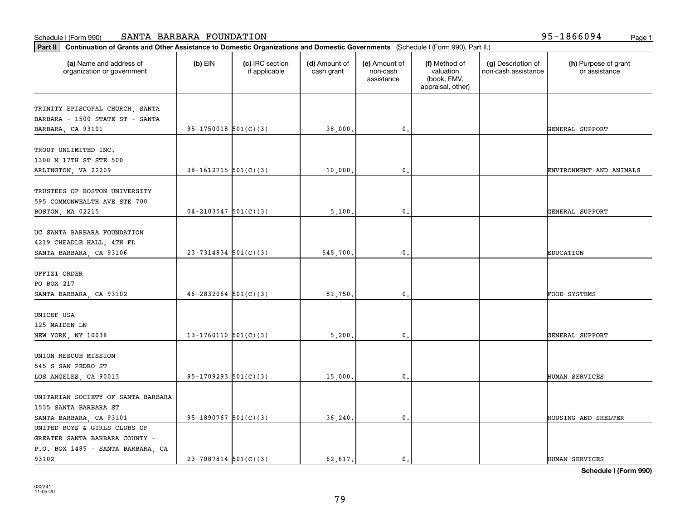| Part II   Continuation of Grants and Other Assistance to Domestic Organizations and Domestic Governments (Schedule I (Form 990), Part II.) |                          |                                  |                             |                                         |                                                                |                                           |                                       |
|--------------------------------------------------------------------------------------------------------------------------------------------|--------------------------|----------------------------------|-----------------------------|-----------------------------------------|----------------------------------------------------------------|-------------------------------------------|---------------------------------------|
| (a) Name and address of<br>organization or government                                                                                      | $(b)$ EIN                | (c) IRC section<br>if applicable | (d) Amount of<br>cash grant | (e) Amount of<br>non-cash<br>assistance | (f) Method of<br>valuation<br>(book, FMV,<br>appraisal, other) | (g) Description of<br>non-cash assistance | (h) Purpose of grant<br>or assistance |
|                                                                                                                                            |                          |                                  |                             |                                         |                                                                |                                           |                                       |
| TRINITY EPISCOPAL CHURCH, SANTA<br>BARBARA - 1500 STATE ST - SANTA                                                                         |                          |                                  |                             |                                         |                                                                |                                           |                                       |
| BARBARA, CA 93101                                                                                                                          | $95-1750018$ $501(C)(3)$ |                                  | 38,000.                     | $\mathfrak o$ .                         |                                                                |                                           | GENERAL SUPPORT                       |
|                                                                                                                                            |                          |                                  |                             |                                         |                                                                |                                           |                                       |
| TROUT UNLIMITED INC.                                                                                                                       |                          |                                  |                             |                                         |                                                                |                                           |                                       |
| 1300 N 17TH ST STE 500                                                                                                                     |                          |                                  |                             |                                         |                                                                |                                           |                                       |
| ARLINGTON, VA 22209                                                                                                                        | $38-1612715$ $501(C)(3)$ |                                  | 10,000                      | $\mathfrak{o}$ .                        |                                                                |                                           | ENVIRONMENT AND ANIMALS               |
|                                                                                                                                            |                          |                                  |                             |                                         |                                                                |                                           |                                       |
| TRUSTEES OF BOSTON UNIVERSITY                                                                                                              |                          |                                  |                             |                                         |                                                                |                                           |                                       |
| 595 COMMONWEALTH AVE STE 700                                                                                                               |                          |                                  |                             |                                         |                                                                |                                           |                                       |
| BOSTON, MA 02215                                                                                                                           | $04 - 2103547$ 501(C)(3) |                                  | 5,100.                      | $\mathbf{0}$ .                          |                                                                |                                           | GENERAL SUPPORT                       |
|                                                                                                                                            |                          |                                  |                             |                                         |                                                                |                                           |                                       |
| UC SANTA BARBARA FOUNDATION                                                                                                                |                          |                                  |                             |                                         |                                                                |                                           |                                       |
| 4219 CHEADLE HALL, 4TH FL                                                                                                                  |                          |                                  |                             |                                         |                                                                |                                           |                                       |
| SANTA BARBARA, CA 93106                                                                                                                    | $23 - 7314834$ 501(C)(3) |                                  | 545,700.                    | 0.                                      |                                                                |                                           | <b>EDUCATION</b>                      |
|                                                                                                                                            |                          |                                  |                             |                                         |                                                                |                                           |                                       |
| UFFIZI ORDER                                                                                                                               |                          |                                  |                             |                                         |                                                                |                                           |                                       |
| PO BOX 217                                                                                                                                 |                          |                                  |                             |                                         |                                                                |                                           |                                       |
| SANTA BARBARA, CA 93102                                                                                                                    | $46 - 2832064$ 501(C)(3) |                                  | 81,750                      | $\mathbf{0}$                            |                                                                |                                           | FOOD SYSTEMS                          |
|                                                                                                                                            |                          |                                  |                             |                                         |                                                                |                                           |                                       |
| UNICEF USA                                                                                                                                 |                          |                                  |                             |                                         |                                                                |                                           |                                       |
| 125 MAIDEN LN                                                                                                                              |                          |                                  |                             |                                         |                                                                |                                           |                                       |
| NEW YORK, NY 10038                                                                                                                         | 13-1760110 $501(C)(3)$   |                                  | 5,200.                      | 0.                                      |                                                                |                                           | GENERAL SUPPORT                       |
|                                                                                                                                            |                          |                                  |                             |                                         |                                                                |                                           |                                       |
| UNION RESCUE MISSION                                                                                                                       |                          |                                  |                             |                                         |                                                                |                                           |                                       |
| 545 S SAN PEDRO ST                                                                                                                         |                          |                                  |                             |                                         |                                                                |                                           |                                       |
| LOS ANGELES, CA 90013                                                                                                                      | $95-1709293$ $501(C)(3)$ |                                  | 15,000.                     | $\mathbf{0}$ .                          |                                                                |                                           | HUMAN SERVICES                        |
| UNITARIAN SOCIETY OF SANTA BARBARA                                                                                                         |                          |                                  |                             |                                         |                                                                |                                           |                                       |
| 1535 SANTA BARBARA ST                                                                                                                      |                          |                                  |                             |                                         |                                                                |                                           |                                       |
| SANTA BARBARA, CA 93101                                                                                                                    | $95-1890767$ 501(C)(3)   |                                  | 36,240.                     | $\mathfrak o$ .                         |                                                                |                                           | HOUSING AND SHELTER                   |
| UNITED BOYS & GIRLS CLUBS OF                                                                                                               |                          |                                  |                             |                                         |                                                                |                                           |                                       |
| GREATER SANTA BARBARA COUNTY -                                                                                                             |                          |                                  |                             |                                         |                                                                |                                           |                                       |
| P.O. BOX 1485 - SANTA BARBARA, CA                                                                                                          |                          |                                  |                             |                                         |                                                                |                                           |                                       |
| 93102                                                                                                                                      | $23 - 7087814$ 501(C)(3) |                                  | 62,617.                     | $\mathbf{0}$ .                          |                                                                |                                           | HUMAN SERVICES                        |
|                                                                                                                                            |                          |                                  |                             |                                         |                                                                |                                           |                                       |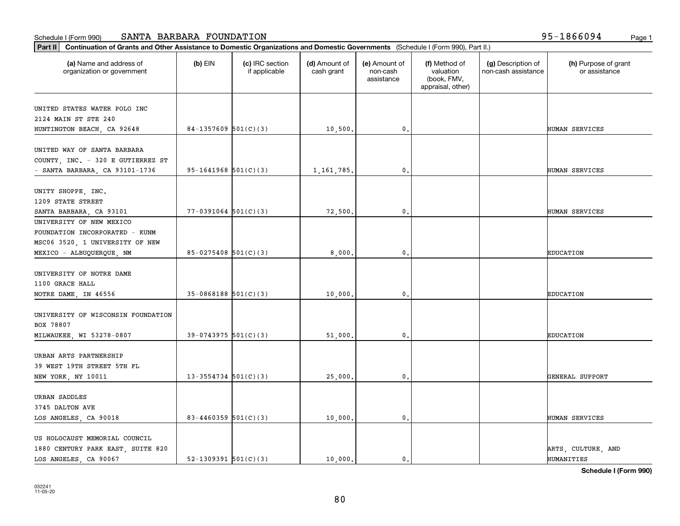| Part II   Continuation of Grants and Other Assistance to Domestic Organizations and Domestic Governments (Schedule I (Form 990), Part II.) |                          |                                  |                             |                                         |                                                                |                                           |                                       |
|--------------------------------------------------------------------------------------------------------------------------------------------|--------------------------|----------------------------------|-----------------------------|-----------------------------------------|----------------------------------------------------------------|-------------------------------------------|---------------------------------------|
| (a) Name and address of<br>organization or government                                                                                      | $(b)$ EIN                | (c) IRC section<br>if applicable | (d) Amount of<br>cash grant | (e) Amount of<br>non-cash<br>assistance | (f) Method of<br>valuation<br>(book, FMV,<br>appraisal, other) | (g) Description of<br>non-cash assistance | (h) Purpose of grant<br>or assistance |
| UNITED STATES WATER POLO INC                                                                                                               |                          |                                  |                             |                                         |                                                                |                                           |                                       |
| 2124 MAIN ST STE 240                                                                                                                       |                          |                                  |                             |                                         |                                                                |                                           |                                       |
| HUNTINGTON BEACH, CA 92648                                                                                                                 | $84-1357609$ 501(C)(3)   |                                  | 10,500.                     | $\mathbf{0}$                            |                                                                |                                           | HUMAN SERVICES                        |
|                                                                                                                                            |                          |                                  |                             |                                         |                                                                |                                           |                                       |
| UNITED WAY OF SANTA BARBARA                                                                                                                |                          |                                  |                             |                                         |                                                                |                                           |                                       |
| COUNTY, INC. - 320 E GUTIERREZ ST                                                                                                          |                          |                                  |                             |                                         |                                                                |                                           |                                       |
| - SANTA BARBARA, CA 93101-1736                                                                                                             | $95-1641968$ $501(C)(3)$ |                                  | 1, 161, 785.                | 0.                                      |                                                                |                                           | HUMAN SERVICES                        |
|                                                                                                                                            |                          |                                  |                             |                                         |                                                                |                                           |                                       |
| UNITY SHOPPE, INC.                                                                                                                         |                          |                                  |                             |                                         |                                                                |                                           |                                       |
| 1209 STATE STREET                                                                                                                          |                          |                                  |                             |                                         |                                                                |                                           |                                       |
| SANTA BARBARA, CA 93101                                                                                                                    | $77 - 0391064$ 501(C)(3) |                                  | 72,500.                     | 0.                                      |                                                                |                                           | HUMAN SERVICES                        |
| UNIVERSITY OF NEW MEXICO                                                                                                                   |                          |                                  |                             |                                         |                                                                |                                           |                                       |
| FOUNDATION INCORPORATED - KUNM                                                                                                             |                          |                                  |                             |                                         |                                                                |                                           |                                       |
| MSC06 3520, 1 UNIVERSITY OF NEW                                                                                                            |                          |                                  |                             |                                         |                                                                |                                           |                                       |
| MEXICO - ALBUQUERQUE, NM                                                                                                                   | $85-0275408$ 501(C)(3)   |                                  | 8,000.                      | 0.                                      |                                                                |                                           | EDUCATION                             |
|                                                                                                                                            |                          |                                  |                             |                                         |                                                                |                                           |                                       |
| UNIVERSITY OF NOTRE DAME                                                                                                                   |                          |                                  |                             |                                         |                                                                |                                           |                                       |
| 1100 GRACE HALL                                                                                                                            |                          |                                  |                             |                                         |                                                                |                                           |                                       |
| NOTRE DAME, IN 46556                                                                                                                       | $35-0868188$ $501(C)(3)$ |                                  | 10,000.                     | $\mathbf{0}$                            |                                                                |                                           | <b>EDUCATION</b>                      |
|                                                                                                                                            |                          |                                  |                             |                                         |                                                                |                                           |                                       |
| UNIVERSITY OF WISCONSIN FOUNDATION                                                                                                         |                          |                                  |                             |                                         |                                                                |                                           |                                       |
| BOX 78807                                                                                                                                  |                          |                                  |                             |                                         |                                                                |                                           |                                       |
| MILWAUKEE, WI 53278-0807                                                                                                                   | $39-0743975$ 501(C)(3)   |                                  | 51,000.                     | 0.                                      |                                                                |                                           | <b>EDUCATION</b>                      |
|                                                                                                                                            |                          |                                  |                             |                                         |                                                                |                                           |                                       |
| URBAN ARTS PARTNERSHIP                                                                                                                     |                          |                                  |                             |                                         |                                                                |                                           |                                       |
| 39 WEST 19TH STREET 5TH FL                                                                                                                 |                          |                                  |                             |                                         |                                                                |                                           |                                       |
| NEW YORK, NY 10011                                                                                                                         | $13 - 3554734$ 501(C)(3) |                                  | 25,000.                     | 0.                                      |                                                                |                                           | GENERAL SUPPORT                       |
|                                                                                                                                            |                          |                                  |                             |                                         |                                                                |                                           |                                       |
| URBAN SADDLES                                                                                                                              |                          |                                  |                             |                                         |                                                                |                                           |                                       |
| 3745 DALTON AVE                                                                                                                            |                          |                                  |                             |                                         |                                                                |                                           |                                       |
| LOS ANGELES, CA 90018                                                                                                                      | $83 - 4460359$ 501(C)(3) |                                  | 10,000.                     | $\mathbf{0}$ .                          |                                                                |                                           | HUMAN SERVICES                        |
|                                                                                                                                            |                          |                                  |                             |                                         |                                                                |                                           |                                       |
| US HOLOCAUST MEMORIAL COUNCIL                                                                                                              |                          |                                  |                             |                                         |                                                                |                                           |                                       |
| 1880 CENTURY PARK EAST, SUITE 820                                                                                                          |                          |                                  |                             |                                         |                                                                |                                           | ARTS, CULTURE, AND                    |
| LOS ANGELES, CA 90067                                                                                                                      | $52-1309391$ $501(C)(3)$ |                                  | 10,000.                     | $\mathbf{0}$                            |                                                                |                                           | HUMANITIES                            |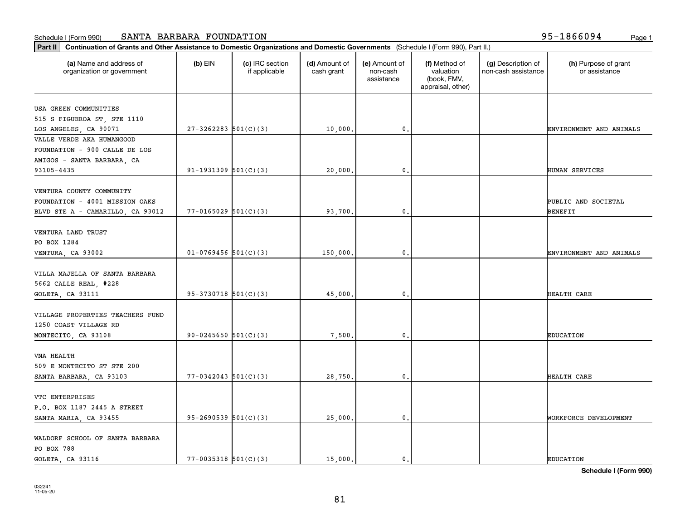| Part II   Continuation of Grants and Other Assistance to Domestic Organizations and Domestic Governments (Schedule I (Form 990), Part II.) |                            |                                  |                             |                                         |                                                                |                                           |                                       |
|--------------------------------------------------------------------------------------------------------------------------------------------|----------------------------|----------------------------------|-----------------------------|-----------------------------------------|----------------------------------------------------------------|-------------------------------------------|---------------------------------------|
| (a) Name and address of<br>organization or government                                                                                      | $(b)$ EIN                  | (c) IRC section<br>if applicable | (d) Amount of<br>cash grant | (e) Amount of<br>non-cash<br>assistance | (f) Method of<br>valuation<br>(book, FMV,<br>appraisal, other) | (g) Description of<br>non-cash assistance | (h) Purpose of grant<br>or assistance |
| USA GREEN COMMUNITIES                                                                                                                      |                            |                                  |                             |                                         |                                                                |                                           |                                       |
| 515 S FIGUEROA ST, STE 1110                                                                                                                |                            |                                  |                             |                                         |                                                                |                                           |                                       |
| LOS ANGELES, CA 90071                                                                                                                      | $27 - 3262283$ 501(C)(3)   |                                  | 10,000.                     | $\mathbf{0}$ .                          |                                                                |                                           | ENVIRONMENT AND ANIMALS               |
| VALLE VERDE AKA HUMANGOOD                                                                                                                  |                            |                                  |                             |                                         |                                                                |                                           |                                       |
| FOUNDATION - 900 CALLE DE LOS                                                                                                              |                            |                                  |                             |                                         |                                                                |                                           |                                       |
| AMIGOS - SANTA BARBARA, CA                                                                                                                 |                            |                                  |                             |                                         |                                                                |                                           |                                       |
| 93105-4435                                                                                                                                 | $91-1931309$ $501(C)(3)$   |                                  | 20,000.                     | $\mathbf{0}$                            |                                                                |                                           | HUMAN SERVICES                        |
|                                                                                                                                            |                            |                                  |                             |                                         |                                                                |                                           |                                       |
| VENTURA COUNTY COMMUNITY                                                                                                                   |                            |                                  |                             |                                         |                                                                |                                           |                                       |
| FOUNDATION - 4001 MISSION OAKS                                                                                                             |                            |                                  |                             |                                         |                                                                |                                           | PUBLIC AND SOCIETAL                   |
| BLVD STE A - CAMARILLO, CA 93012                                                                                                           | $77 - 0165029$ 501(C)(3)   |                                  | 93,700.                     | $\mathbf{0}$ .                          |                                                                |                                           | BENEFIT                               |
|                                                                                                                                            |                            |                                  |                             |                                         |                                                                |                                           |                                       |
| VENTURA LAND TRUST                                                                                                                         |                            |                                  |                             |                                         |                                                                |                                           |                                       |
| PO BOX 1284                                                                                                                                |                            |                                  |                             |                                         |                                                                |                                           |                                       |
| VENTURA, CA 93002                                                                                                                          | $01-0769456$ 501(C)(3)     |                                  | 150,000                     | 0.                                      |                                                                |                                           | ENVIRONMENT AND ANIMALS               |
| VILLA MAJELLA OF SANTA BARBARA                                                                                                             |                            |                                  |                             |                                         |                                                                |                                           |                                       |
| 5662 CALLE REAL, #228                                                                                                                      |                            |                                  |                             |                                         |                                                                |                                           |                                       |
| GOLETA, CA 93111                                                                                                                           | $95-3730718$ $501(C)(3)$   |                                  | 45,000                      | $\mathbf{0}$                            |                                                                |                                           | HEALTH CARE                           |
|                                                                                                                                            |                            |                                  |                             |                                         |                                                                |                                           |                                       |
| VILLAGE PROPERTIES TEACHERS FUND                                                                                                           |                            |                                  |                             |                                         |                                                                |                                           |                                       |
| 1250 COAST VILLAGE RD                                                                                                                      |                            |                                  |                             |                                         |                                                                |                                           |                                       |
| MONTECITO, CA 93108                                                                                                                        | 90-0245650 $501(C)(3)$     |                                  | 7,500.                      | 0.                                      |                                                                |                                           | <b>EDUCATION</b>                      |
|                                                                                                                                            |                            |                                  |                             |                                         |                                                                |                                           |                                       |
| VNA HEALTH                                                                                                                                 |                            |                                  |                             |                                         |                                                                |                                           |                                       |
| 509 E MONTECITO ST STE 200                                                                                                                 |                            |                                  |                             |                                         |                                                                |                                           |                                       |
| SANTA BARBARA, CA 93103                                                                                                                    | $77 - 0342043$ 501(C)(3)   |                                  | 28,750.                     | 0.                                      |                                                                |                                           | HEALTH CARE                           |
|                                                                                                                                            |                            |                                  |                             |                                         |                                                                |                                           |                                       |
| VTC ENTERPRISES                                                                                                                            |                            |                                  |                             |                                         |                                                                |                                           |                                       |
| P.O. BOX 1187 2445 A STREET                                                                                                                |                            |                                  |                             |                                         |                                                                |                                           |                                       |
| SANTA MARIA, CA 93455                                                                                                                      | $95-2690539$ $501(C)(3)$   |                                  | 25,000.                     | $\mathbf{0}$ .                          |                                                                |                                           | WORKFORCE DEVELOPMENT                 |
| WALDORF SCHOOL OF SANTA BARBARA                                                                                                            |                            |                                  |                             |                                         |                                                                |                                           |                                       |
| PO BOX 788                                                                                                                                 |                            |                                  |                             |                                         |                                                                |                                           |                                       |
| GOLETA, CA 93116                                                                                                                           | $77 - 0035318$ $501(C)(3)$ |                                  | 15,000.                     | $\mathbf 0$ .                           |                                                                |                                           | <b>EDUCATION</b>                      |
|                                                                                                                                            |                            |                                  |                             |                                         |                                                                |                                           |                                       |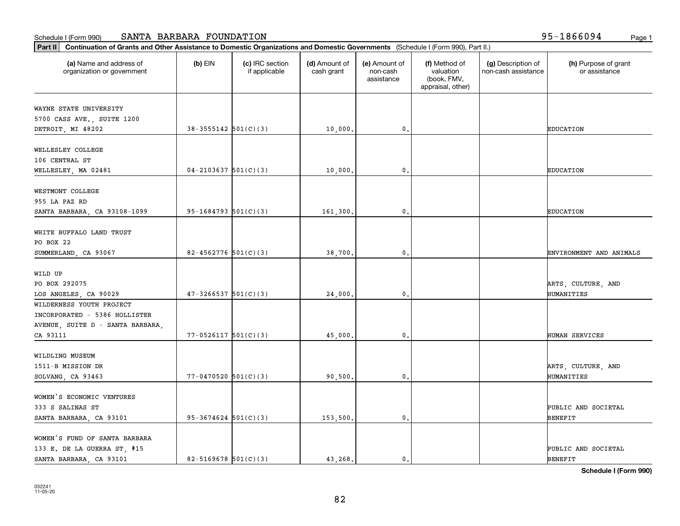| (a) Name and address of<br>organization or government | $(b)$ EIN                  | (c) IRC section<br>if applicable | (d) Amount of<br>cash grant | (e) Amount of<br>non-cash<br>assistance | (f) Method of<br>valuation<br>(book, FMV,<br>appraisal, other) | (g) Description of<br>non-cash assistance | (h) Purpose of grant<br>or assistance |
|-------------------------------------------------------|----------------------------|----------------------------------|-----------------------------|-----------------------------------------|----------------------------------------------------------------|-------------------------------------------|---------------------------------------|
| WAYNE STATE UNIVERSITY                                |                            |                                  |                             |                                         |                                                                |                                           |                                       |
| 5700 CASS AVE., SUITE 1200                            |                            |                                  |                             |                                         |                                                                |                                           |                                       |
| DETROIT, MI 48202                                     | $38-3555142$ $501(C)(3)$   |                                  | 10,000.                     | $\mathbf{0}$ .                          |                                                                |                                           | <b>EDUCATION</b>                      |
|                                                       |                            |                                  |                             |                                         |                                                                |                                           |                                       |
| WELLESLEY COLLEGE                                     |                            |                                  |                             |                                         |                                                                |                                           |                                       |
| 106 CENTRAL ST                                        |                            |                                  |                             |                                         |                                                                |                                           |                                       |
| WELLESLEY, MA 02481                                   | $04 - 2103637$ 501(C)(3)   |                                  | 10,000.                     | $\mathbf{0}$                            |                                                                |                                           | <b>EDUCATION</b>                      |
| WESTMONT COLLEGE                                      |                            |                                  |                             |                                         |                                                                |                                           |                                       |
| 955 LA PAZ RD                                         |                            |                                  |                             |                                         |                                                                |                                           |                                       |
| SANTA BARBARA, CA 93108-1099                          | $95 - 1684793$ 501(C)(3)   |                                  | 161,300.                    | $\mathbf{0}$ .                          |                                                                |                                           | EDUCATION                             |
|                                                       |                            |                                  |                             |                                         |                                                                |                                           |                                       |
| WHITE BUFFALO LAND TRUST                              |                            |                                  |                             |                                         |                                                                |                                           |                                       |
| PO BOX 22                                             |                            |                                  |                             |                                         |                                                                |                                           |                                       |
| SUMMERLAND, CA 93067                                  | 82-4562776 $501(C)(3)$     |                                  | 38,700                      | 0.                                      |                                                                |                                           | ENVIRONMENT AND ANIMALS               |
|                                                       |                            |                                  |                             |                                         |                                                                |                                           |                                       |
| WILD UP                                               |                            |                                  |                             |                                         |                                                                |                                           |                                       |
| PO BOX 292075                                         |                            |                                  |                             |                                         |                                                                |                                           | ARTS, CULTURE, AND                    |
| LOS ANGELES, CA 90029                                 | $47 - 3266537$ 501(C)(3)   |                                  | 24,000                      | $\mathbf{0}$                            |                                                                |                                           | HUMANITIES                            |
| WILDERNESS YOUTH PROJECT                              |                            |                                  |                             |                                         |                                                                |                                           |                                       |
| INCORPORATED - 5386 HOLLISTER                         |                            |                                  |                             |                                         |                                                                |                                           |                                       |
| AVENUE, SUITE D - SANTA BARBARA,                      |                            |                                  |                             |                                         |                                                                |                                           |                                       |
| CA 93111                                              | $77 - 0526117$ $501(C)(3)$ |                                  | 45,000.                     | $\mathbf{0}$                            |                                                                |                                           | HUMAN SERVICES                        |
|                                                       |                            |                                  |                             |                                         |                                                                |                                           |                                       |
| WILDLING MUSEUM                                       |                            |                                  |                             |                                         |                                                                |                                           |                                       |
| 1511-B MISSION DR                                     |                            |                                  |                             |                                         |                                                                |                                           | ARTS, CULTURE, AND                    |
| SOLVANG, CA 93463                                     | $77 - 0470520$ 501(C)(3)   |                                  | 90,500,                     | $\mathbf{0}$ .                          |                                                                |                                           | HUMANITIES                            |
| WOMEN'S ECONOMIC VENTURES                             |                            |                                  |                             |                                         |                                                                |                                           |                                       |
| 333 S SALINAS ST                                      |                            |                                  |                             |                                         |                                                                |                                           | PUBLIC AND SOCIETAL                   |
| SANTA BARBARA, CA 93101                               | $95 - 3674624$ $501(C)(3)$ |                                  | 153,500.                    | $\mathbf{0}$ .                          |                                                                |                                           | BENEFIT                               |
|                                                       |                            |                                  |                             |                                         |                                                                |                                           |                                       |
| WOMEN'S FUND OF SANTA BARBARA                         |                            |                                  |                             |                                         |                                                                |                                           |                                       |
| 133 E. DE LA GUERRA ST, #15                           |                            |                                  |                             |                                         |                                                                |                                           | PUBLIC AND SOCIETAL                   |
| SANTA BARBARA, CA 93101                               | $82 - 5169678$ 501(C)(3)   |                                  | 43.268.                     | $\mathbf{0}$                            |                                                                |                                           | <b>BENEFIT</b>                        |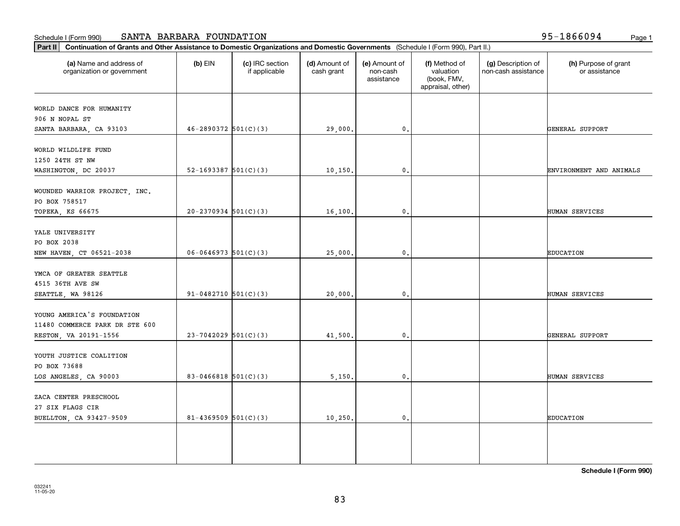| (a) Name and address of<br>organization or government | $(b)$ EIN                  | (c) IRC section<br>if applicable | (d) Amount of<br>cash grant | (e) Amount of<br>non-cash<br>assistance | (f) Method of<br>valuation<br>(book, FMV,<br>appraisal, other) | (g) Description of<br>non-cash assistance | (h) Purpose of grant<br>or assistance |
|-------------------------------------------------------|----------------------------|----------------------------------|-----------------------------|-----------------------------------------|----------------------------------------------------------------|-------------------------------------------|---------------------------------------|
| WORLD DANCE FOR HUMANITY                              |                            |                                  |                             |                                         |                                                                |                                           |                                       |
| 906 N NOPAL ST                                        |                            |                                  |                             |                                         |                                                                |                                           |                                       |
| SANTA BARBARA, CA 93103                               | $46 - 2890372$ $501(C)(3)$ |                                  | 29,000.                     | 0.                                      |                                                                |                                           | GENERAL SUPPORT                       |
|                                                       |                            |                                  |                             |                                         |                                                                |                                           |                                       |
| WORLD WILDLIFE FUND                                   |                            |                                  |                             |                                         |                                                                |                                           |                                       |
| 1250 24TH ST NW                                       |                            |                                  |                             |                                         |                                                                |                                           |                                       |
| WASHINGTON, DC 20037                                  | 52-1693387 $501(C)(3)$     |                                  | 10, 150.                    | $\mathbf 0$ .                           |                                                                |                                           | ENVIRONMENT AND ANIMALS               |
|                                                       |                            |                                  |                             |                                         |                                                                |                                           |                                       |
| WOUNDED WARRIOR PROJECT, INC.                         |                            |                                  |                             |                                         |                                                                |                                           |                                       |
| PO BOX 758517                                         |                            |                                  |                             |                                         |                                                                |                                           |                                       |
| TOPEKA, KS 66675                                      | $20-2370934$ 501(C)(3)     |                                  | 16,100.                     | $\mathbf{0}$ .                          |                                                                |                                           | HUMAN SERVICES                        |
| YALE UNIVERSITY                                       |                            |                                  |                             |                                         |                                                                |                                           |                                       |
| PO BOX 2038                                           |                            |                                  |                             |                                         |                                                                |                                           |                                       |
| NEW HAVEN, CT 06521-2038                              | $06 - 0646973$ 501(C)(3)   |                                  | 25,000.                     | 0.                                      |                                                                |                                           | <b>EDUCATION</b>                      |
|                                                       |                            |                                  |                             |                                         |                                                                |                                           |                                       |
| YMCA OF GREATER SEATTLE                               |                            |                                  |                             |                                         |                                                                |                                           |                                       |
| 4515 36TH AVE SW                                      |                            |                                  |                             |                                         |                                                                |                                           |                                       |
| SEATTLE, WA 98126                                     | 91-0482710 $501(C)(3)$     |                                  | 20,000.                     | 0.                                      |                                                                |                                           | HUMAN SERVICES                        |
|                                                       |                            |                                  |                             |                                         |                                                                |                                           |                                       |
| YOUNG AMERICA'S FOUNDATION                            |                            |                                  |                             |                                         |                                                                |                                           |                                       |
| 11480 COMMERCE PARK DR STE 600                        |                            |                                  |                             |                                         |                                                                |                                           |                                       |
| RESTON, VA 20191-1556                                 | $23 - 7042029$ 501(C)(3)   |                                  | 41,500.                     | 0.                                      |                                                                |                                           | GENERAL SUPPORT                       |
|                                                       |                            |                                  |                             |                                         |                                                                |                                           |                                       |
| YOUTH JUSTICE COALITION                               |                            |                                  |                             |                                         |                                                                |                                           |                                       |
| PO BOX 73688                                          |                            |                                  |                             |                                         |                                                                |                                           |                                       |
| LOS ANGELES, CA 90003                                 | $83 - 0466818$ 501(C)(3)   |                                  | 5,150.                      | 0.                                      |                                                                |                                           | HUMAN SERVICES                        |
|                                                       |                            |                                  |                             |                                         |                                                                |                                           |                                       |
| ZACA CENTER PRESCHOOL                                 |                            |                                  |                             |                                         |                                                                |                                           |                                       |
| 27 SIX FLAGS CIR                                      |                            |                                  |                             |                                         |                                                                |                                           |                                       |
| BUELLTON, CA 93427-9509                               | 81-4369509 $501(C)(3)$     |                                  | 10, 250.                    | 0.                                      |                                                                |                                           | <b>EDUCATION</b>                      |
|                                                       |                            |                                  |                             |                                         |                                                                |                                           |                                       |
|                                                       |                            |                                  |                             |                                         |                                                                |                                           |                                       |
|                                                       |                            |                                  |                             |                                         |                                                                |                                           |                                       |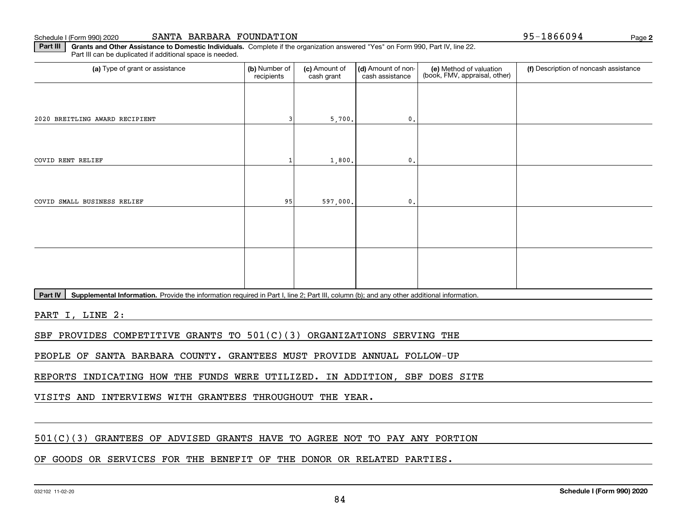Schedule I (Form 990) 2020

**2**95-1866094

**Part III | Grants and Other Assistance to Domestic Individuals. Complete if the organization answered "Yes" on Form 990, Part IV, line 22.** Part III can be duplicated if additional space is needed.

| (a) Type of grant or assistance | (b) Number of<br>recipients | (c) Amount of<br>cash grant | (d) Amount of non-<br>cash assistance | (e) Method of valuation<br>(book, FMV, appraisal, other) | (f) Description of noncash assistance |
|---------------------------------|-----------------------------|-----------------------------|---------------------------------------|----------------------------------------------------------|---------------------------------------|
|                                 |                             |                             |                                       |                                                          |                                       |
| 2020 BREITLING AWARD RECIPIENT  |                             | 5,700.                      | 0.                                    |                                                          |                                       |
|                                 |                             |                             |                                       |                                                          |                                       |
| COVID RENT RELIEF               |                             | 1,800.                      | $\mathfrak{o}$ .                      |                                                          |                                       |
|                                 |                             |                             |                                       |                                                          |                                       |
| COVID SMALL BUSINESS RELIEF     | 95                          | 597,000.                    | 0.                                    |                                                          |                                       |
|                                 |                             |                             |                                       |                                                          |                                       |
|                                 |                             |                             |                                       |                                                          |                                       |
|                                 |                             |                             |                                       |                                                          |                                       |
|                                 |                             |                             |                                       |                                                          |                                       |

Part IV | Supplemental Information. Provide the information required in Part I, line 2; Part III, column (b); and any other additional information.

PART I, LINE 2:

SBF PROVIDES COMPETITIVE GRANTS TO 501(C)(3) ORGANIZATIONS SERVING THE

PEOPLE OF SANTA BARBARA COUNTY. GRANTEES MUST PROVIDE ANNUAL FOLLOW-UP

REPORTS INDICATING HOW THE FUNDS WERE UTILIZED. IN ADDITION, SBF DOES SITE

VISITS AND INTERVIEWS WITH GRANTEES THROUGHOUT THE YEAR.

## 501(C)(3) GRANTEES OF ADVISED GRANTS HAVE TO AGREE NOT TO PAY ANY PORTION

## OF GOODS OR SERVICES FOR THE BENEFIT OF THE DONOR OR RELATED PARTIES.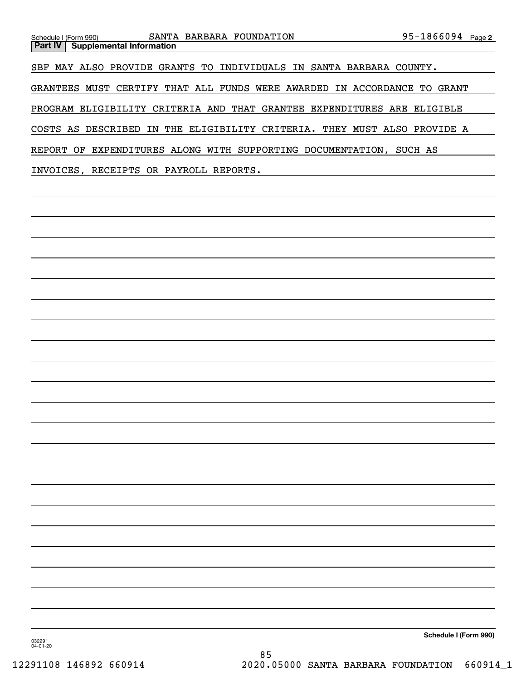| SANTA BARBARA FOUNDATION<br>Schedule I (Form 990)                        | $95 - 1866094$ Page 2 |  |
|--------------------------------------------------------------------------|-----------------------|--|
| Part IV  <br><b>Supplemental Information</b>                             |                       |  |
|                                                                          |                       |  |
| SBF MAY ALSO PROVIDE GRANTS TO INDIVIDUALS IN SANTA BARBARA COUNTY.      |                       |  |
| GRANTEES MUST CERTIFY THAT ALL FUNDS WERE AWARDED IN ACCORDANCE TO GRANT |                       |  |
|                                                                          |                       |  |
| PROGRAM ELIGIBILITY CRITERIA AND THAT GRANTEE EXPENDITURES ARE ELIGIBLE  |                       |  |
| COSTS AS DESCRIBED IN THE ELIGIBILITY CRITERIA. THEY MUST ALSO PROVIDE A |                       |  |
| REPORT OF EXPENDITURES ALONG WITH SUPPORTING DOCUMENTATION,              | SUCH AS               |  |
| INVOICES, RECEIPTS OR PAYROLL REPORTS.                                   |                       |  |

**Schedule I (Form 990)**

032291 04-01-20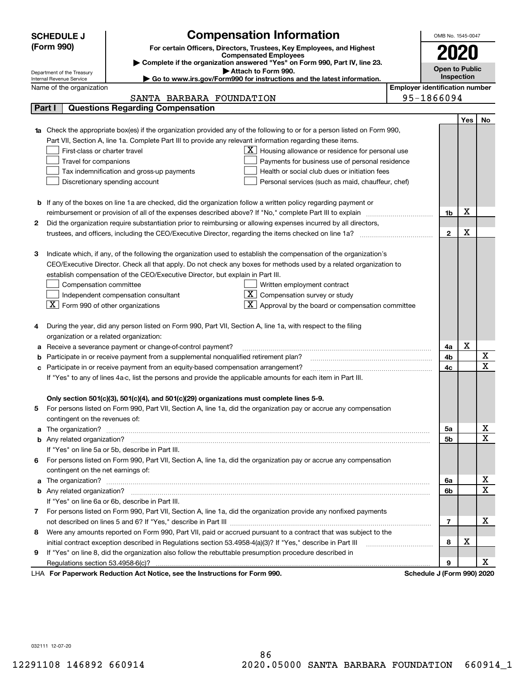| (Form 990)<br>For certain Officers, Directors, Trustees, Key Employees, and Highest<br>2020<br><b>Compensated Employees</b><br>Complete if the organization answered "Yes" on Form 990, Part IV, line 23.<br><b>Open to Public</b><br>Attach to Form 990.<br>Department of the Treasury<br>Inspection<br>$\blacktriangleright$ Go to www.irs.gov/Form990 for instructions and the latest information.<br>Internal Revenue Service<br><b>Employer identification number</b><br>Name of the organization<br>95-1866094<br>SANTA BARBARA FOUNDATION<br><b>Questions Regarding Compensation</b><br>Part I<br>Yes<br>No<br>Check the appropriate box(es) if the organization provided any of the following to or for a person listed on Form 990,<br>Part VII, Section A, line 1a. Complete Part III to provide any relevant information regarding these items.<br>First-class or charter travel<br>$\mathbf{X}$ Housing allowance or residence for personal use<br>Travel for companions<br>Payments for business use of personal residence<br>Tax indemnification and gross-up payments<br>Health or social club dues or initiation fees<br>Discretionary spending account<br>Personal services (such as maid, chauffeur, chef)<br><b>b</b> If any of the boxes on line 1a are checked, did the organization follow a written policy regarding payment or<br>х<br>reimbursement or provision of all of the expenses described above? If "No," complete Part III to explain<br>1b<br>Did the organization require substantiation prior to reimbursing or allowing expenses incurred by all directors,<br>2<br>х<br>$\mathbf{2}$<br>Indicate which, if any, of the following the organization used to establish the compensation of the organization's<br>з<br>CEO/Executive Director. Check all that apply. Do not check any boxes for methods used by a related organization to<br>establish compensation of the CEO/Executive Director, but explain in Part III.<br>Compensation committee<br>Written employment contract<br>$\overline{X}$ Compensation survey or study<br>Independent compensation consultant<br>$\boxed{\textbf{X}}$ Form 990 of other organizations<br>$\overline{\mathbf{X}}$ Approval by the board or compensation committee<br>During the year, did any person listed on Form 990, Part VII, Section A, line 1a, with respect to the filing<br>4<br>organization or a related organization:<br>X<br>Receive a severance payment or change-of-control payment?<br>4a<br>а<br>X<br>Participate in or receive payment from a supplemental nonqualified retirement plan?<br>4b<br>b<br>$\mathbf x$<br>Participate in or receive payment from an equity-based compensation arrangement?<br>4c<br>с<br>If "Yes" to any of lines 4a-c, list the persons and provide the applicable amounts for each item in Part III.<br>Only section 501(c)(3), 501(c)(4), and 501(c)(29) organizations must complete lines 5-9.<br>For persons listed on Form 990, Part VII, Section A, line 1a, did the organization pay or accrue any compensation<br>5<br>contingent on the revenues of:<br>x<br>5a<br>a<br>$\mathbf X$<br>5b<br>If "Yes" on line 5a or 5b, describe in Part III.<br>For persons listed on Form 990, Part VII, Section A, line 1a, did the organization pay or accrue any compensation<br>6.<br>contingent on the net earnings of:<br>х<br>6a<br>a<br>$\mathbf X$<br>6b<br>If "Yes" on line 6a or 6b, describe in Part III.<br>7 For persons listed on Form 990, Part VII, Section A, line 1a, did the organization provide any nonfixed payments<br>х<br>7<br>Were any amounts reported on Form 990, Part VII, paid or accrued pursuant to a contract that was subject to the<br>8<br>х<br>initial contract exception described in Regulations section 53.4958-4(a)(3)? If "Yes," describe in Part III<br>8<br>If "Yes" on line 8, did the organization also follow the rebuttable presumption procedure described in<br>9<br>х<br>9<br>LHA For Paperwork Reduction Act Notice, see the Instructions for Form 990.<br>Schedule J (Form 990) 2020 | <b>SCHEDULE J</b> | <b>Compensation Information</b> |  | OMB No. 1545-0047 |  |  |  |  |
|----------------------------------------------------------------------------------------------------------------------------------------------------------------------------------------------------------------------------------------------------------------------------------------------------------------------------------------------------------------------------------------------------------------------------------------------------------------------------------------------------------------------------------------------------------------------------------------------------------------------------------------------------------------------------------------------------------------------------------------------------------------------------------------------------------------------------------------------------------------------------------------------------------------------------------------------------------------------------------------------------------------------------------------------------------------------------------------------------------------------------------------------------------------------------------------------------------------------------------------------------------------------------------------------------------------------------------------------------------------------------------------------------------------------------------------------------------------------------------------------------------------------------------------------------------------------------------------------------------------------------------------------------------------------------------------------------------------------------------------------------------------------------------------------------------------------------------------------------------------------------------------------------------------------------------------------------------------------------------------------------------------------------------------------------------------------------------------------------------------------------------------------------------------------------------------------------------------------------------------------------------------------------------------------------------------------------------------------------------------------------------------------------------------------------------------------------------------------------------------------------------------------------------------------------------------------------------------------------------------------------------------------------------------------------------------------------------------------------------------------------------------------------------------------------------------------------------------------------------------------------------------------------------------------------------------------------------------------------------------------------------------------------------------------------------------------------------------------------------------------------------------------------------------------------------------------------------------------------------------------------------------------------------------------------------------------------------------------------------------------------------------------------------------------------------------------------------------------------------------------------------------------------------------------------------------------------------------------------------------------------------------------------------------------------------------------------------------------------------------------------------------------------------------------------------------------------------------------------------------------------------------------------------------------------------------------------------------------------------------------------------------------------------------------------------------------|-------------------|---------------------------------|--|-------------------|--|--|--|--|
|                                                                                                                                                                                                                                                                                                                                                                                                                                                                                                                                                                                                                                                                                                                                                                                                                                                                                                                                                                                                                                                                                                                                                                                                                                                                                                                                                                                                                                                                                                                                                                                                                                                                                                                                                                                                                                                                                                                                                                                                                                                                                                                                                                                                                                                                                                                                                                                                                                                                                                                                                                                                                                                                                                                                                                                                                                                                                                                                                                                                                                                                                                                                                                                                                                                                                                                                                                                                                                                                                                                                                                                                                                                                                                                                                                                                                                                                                                                                                                                                                                                                      |                   |                                 |  |                   |  |  |  |  |
|                                                                                                                                                                                                                                                                                                                                                                                                                                                                                                                                                                                                                                                                                                                                                                                                                                                                                                                                                                                                                                                                                                                                                                                                                                                                                                                                                                                                                                                                                                                                                                                                                                                                                                                                                                                                                                                                                                                                                                                                                                                                                                                                                                                                                                                                                                                                                                                                                                                                                                                                                                                                                                                                                                                                                                                                                                                                                                                                                                                                                                                                                                                                                                                                                                                                                                                                                                                                                                                                                                                                                                                                                                                                                                                                                                                                                                                                                                                                                                                                                                                                      |                   |                                 |  |                   |  |  |  |  |
|                                                                                                                                                                                                                                                                                                                                                                                                                                                                                                                                                                                                                                                                                                                                                                                                                                                                                                                                                                                                                                                                                                                                                                                                                                                                                                                                                                                                                                                                                                                                                                                                                                                                                                                                                                                                                                                                                                                                                                                                                                                                                                                                                                                                                                                                                                                                                                                                                                                                                                                                                                                                                                                                                                                                                                                                                                                                                                                                                                                                                                                                                                                                                                                                                                                                                                                                                                                                                                                                                                                                                                                                                                                                                                                                                                                                                                                                                                                                                                                                                                                                      |                   |                                 |  |                   |  |  |  |  |
|                                                                                                                                                                                                                                                                                                                                                                                                                                                                                                                                                                                                                                                                                                                                                                                                                                                                                                                                                                                                                                                                                                                                                                                                                                                                                                                                                                                                                                                                                                                                                                                                                                                                                                                                                                                                                                                                                                                                                                                                                                                                                                                                                                                                                                                                                                                                                                                                                                                                                                                                                                                                                                                                                                                                                                                                                                                                                                                                                                                                                                                                                                                                                                                                                                                                                                                                                                                                                                                                                                                                                                                                                                                                                                                                                                                                                                                                                                                                                                                                                                                                      |                   |                                 |  |                   |  |  |  |  |
|                                                                                                                                                                                                                                                                                                                                                                                                                                                                                                                                                                                                                                                                                                                                                                                                                                                                                                                                                                                                                                                                                                                                                                                                                                                                                                                                                                                                                                                                                                                                                                                                                                                                                                                                                                                                                                                                                                                                                                                                                                                                                                                                                                                                                                                                                                                                                                                                                                                                                                                                                                                                                                                                                                                                                                                                                                                                                                                                                                                                                                                                                                                                                                                                                                                                                                                                                                                                                                                                                                                                                                                                                                                                                                                                                                                                                                                                                                                                                                                                                                                                      |                   |                                 |  |                   |  |  |  |  |
|                                                                                                                                                                                                                                                                                                                                                                                                                                                                                                                                                                                                                                                                                                                                                                                                                                                                                                                                                                                                                                                                                                                                                                                                                                                                                                                                                                                                                                                                                                                                                                                                                                                                                                                                                                                                                                                                                                                                                                                                                                                                                                                                                                                                                                                                                                                                                                                                                                                                                                                                                                                                                                                                                                                                                                                                                                                                                                                                                                                                                                                                                                                                                                                                                                                                                                                                                                                                                                                                                                                                                                                                                                                                                                                                                                                                                                                                                                                                                                                                                                                                      |                   |                                 |  |                   |  |  |  |  |
|                                                                                                                                                                                                                                                                                                                                                                                                                                                                                                                                                                                                                                                                                                                                                                                                                                                                                                                                                                                                                                                                                                                                                                                                                                                                                                                                                                                                                                                                                                                                                                                                                                                                                                                                                                                                                                                                                                                                                                                                                                                                                                                                                                                                                                                                                                                                                                                                                                                                                                                                                                                                                                                                                                                                                                                                                                                                                                                                                                                                                                                                                                                                                                                                                                                                                                                                                                                                                                                                                                                                                                                                                                                                                                                                                                                                                                                                                                                                                                                                                                                                      |                   |                                 |  |                   |  |  |  |  |
|                                                                                                                                                                                                                                                                                                                                                                                                                                                                                                                                                                                                                                                                                                                                                                                                                                                                                                                                                                                                                                                                                                                                                                                                                                                                                                                                                                                                                                                                                                                                                                                                                                                                                                                                                                                                                                                                                                                                                                                                                                                                                                                                                                                                                                                                                                                                                                                                                                                                                                                                                                                                                                                                                                                                                                                                                                                                                                                                                                                                                                                                                                                                                                                                                                                                                                                                                                                                                                                                                                                                                                                                                                                                                                                                                                                                                                                                                                                                                                                                                                                                      |                   |                                 |  |                   |  |  |  |  |
|                                                                                                                                                                                                                                                                                                                                                                                                                                                                                                                                                                                                                                                                                                                                                                                                                                                                                                                                                                                                                                                                                                                                                                                                                                                                                                                                                                                                                                                                                                                                                                                                                                                                                                                                                                                                                                                                                                                                                                                                                                                                                                                                                                                                                                                                                                                                                                                                                                                                                                                                                                                                                                                                                                                                                                                                                                                                                                                                                                                                                                                                                                                                                                                                                                                                                                                                                                                                                                                                                                                                                                                                                                                                                                                                                                                                                                                                                                                                                                                                                                                                      |                   |                                 |  |                   |  |  |  |  |
|                                                                                                                                                                                                                                                                                                                                                                                                                                                                                                                                                                                                                                                                                                                                                                                                                                                                                                                                                                                                                                                                                                                                                                                                                                                                                                                                                                                                                                                                                                                                                                                                                                                                                                                                                                                                                                                                                                                                                                                                                                                                                                                                                                                                                                                                                                                                                                                                                                                                                                                                                                                                                                                                                                                                                                                                                                                                                                                                                                                                                                                                                                                                                                                                                                                                                                                                                                                                                                                                                                                                                                                                                                                                                                                                                                                                                                                                                                                                                                                                                                                                      |                   |                                 |  |                   |  |  |  |  |
|                                                                                                                                                                                                                                                                                                                                                                                                                                                                                                                                                                                                                                                                                                                                                                                                                                                                                                                                                                                                                                                                                                                                                                                                                                                                                                                                                                                                                                                                                                                                                                                                                                                                                                                                                                                                                                                                                                                                                                                                                                                                                                                                                                                                                                                                                                                                                                                                                                                                                                                                                                                                                                                                                                                                                                                                                                                                                                                                                                                                                                                                                                                                                                                                                                                                                                                                                                                                                                                                                                                                                                                                                                                                                                                                                                                                                                                                                                                                                                                                                                                                      |                   |                                 |  |                   |  |  |  |  |
|                                                                                                                                                                                                                                                                                                                                                                                                                                                                                                                                                                                                                                                                                                                                                                                                                                                                                                                                                                                                                                                                                                                                                                                                                                                                                                                                                                                                                                                                                                                                                                                                                                                                                                                                                                                                                                                                                                                                                                                                                                                                                                                                                                                                                                                                                                                                                                                                                                                                                                                                                                                                                                                                                                                                                                                                                                                                                                                                                                                                                                                                                                                                                                                                                                                                                                                                                                                                                                                                                                                                                                                                                                                                                                                                                                                                                                                                                                                                                                                                                                                                      |                   |                                 |  |                   |  |  |  |  |
|                                                                                                                                                                                                                                                                                                                                                                                                                                                                                                                                                                                                                                                                                                                                                                                                                                                                                                                                                                                                                                                                                                                                                                                                                                                                                                                                                                                                                                                                                                                                                                                                                                                                                                                                                                                                                                                                                                                                                                                                                                                                                                                                                                                                                                                                                                                                                                                                                                                                                                                                                                                                                                                                                                                                                                                                                                                                                                                                                                                                                                                                                                                                                                                                                                                                                                                                                                                                                                                                                                                                                                                                                                                                                                                                                                                                                                                                                                                                                                                                                                                                      |                   |                                 |  |                   |  |  |  |  |
|                                                                                                                                                                                                                                                                                                                                                                                                                                                                                                                                                                                                                                                                                                                                                                                                                                                                                                                                                                                                                                                                                                                                                                                                                                                                                                                                                                                                                                                                                                                                                                                                                                                                                                                                                                                                                                                                                                                                                                                                                                                                                                                                                                                                                                                                                                                                                                                                                                                                                                                                                                                                                                                                                                                                                                                                                                                                                                                                                                                                                                                                                                                                                                                                                                                                                                                                                                                                                                                                                                                                                                                                                                                                                                                                                                                                                                                                                                                                                                                                                                                                      |                   |                                 |  |                   |  |  |  |  |
|                                                                                                                                                                                                                                                                                                                                                                                                                                                                                                                                                                                                                                                                                                                                                                                                                                                                                                                                                                                                                                                                                                                                                                                                                                                                                                                                                                                                                                                                                                                                                                                                                                                                                                                                                                                                                                                                                                                                                                                                                                                                                                                                                                                                                                                                                                                                                                                                                                                                                                                                                                                                                                                                                                                                                                                                                                                                                                                                                                                                                                                                                                                                                                                                                                                                                                                                                                                                                                                                                                                                                                                                                                                                                                                                                                                                                                                                                                                                                                                                                                                                      |                   |                                 |  |                   |  |  |  |  |
|                                                                                                                                                                                                                                                                                                                                                                                                                                                                                                                                                                                                                                                                                                                                                                                                                                                                                                                                                                                                                                                                                                                                                                                                                                                                                                                                                                                                                                                                                                                                                                                                                                                                                                                                                                                                                                                                                                                                                                                                                                                                                                                                                                                                                                                                                                                                                                                                                                                                                                                                                                                                                                                                                                                                                                                                                                                                                                                                                                                                                                                                                                                                                                                                                                                                                                                                                                                                                                                                                                                                                                                                                                                                                                                                                                                                                                                                                                                                                                                                                                                                      |                   |                                 |  |                   |  |  |  |  |
|                                                                                                                                                                                                                                                                                                                                                                                                                                                                                                                                                                                                                                                                                                                                                                                                                                                                                                                                                                                                                                                                                                                                                                                                                                                                                                                                                                                                                                                                                                                                                                                                                                                                                                                                                                                                                                                                                                                                                                                                                                                                                                                                                                                                                                                                                                                                                                                                                                                                                                                                                                                                                                                                                                                                                                                                                                                                                                                                                                                                                                                                                                                                                                                                                                                                                                                                                                                                                                                                                                                                                                                                                                                                                                                                                                                                                                                                                                                                                                                                                                                                      |                   |                                 |  |                   |  |  |  |  |
|                                                                                                                                                                                                                                                                                                                                                                                                                                                                                                                                                                                                                                                                                                                                                                                                                                                                                                                                                                                                                                                                                                                                                                                                                                                                                                                                                                                                                                                                                                                                                                                                                                                                                                                                                                                                                                                                                                                                                                                                                                                                                                                                                                                                                                                                                                                                                                                                                                                                                                                                                                                                                                                                                                                                                                                                                                                                                                                                                                                                                                                                                                                                                                                                                                                                                                                                                                                                                                                                                                                                                                                                                                                                                                                                                                                                                                                                                                                                                                                                                                                                      |                   |                                 |  |                   |  |  |  |  |
|                                                                                                                                                                                                                                                                                                                                                                                                                                                                                                                                                                                                                                                                                                                                                                                                                                                                                                                                                                                                                                                                                                                                                                                                                                                                                                                                                                                                                                                                                                                                                                                                                                                                                                                                                                                                                                                                                                                                                                                                                                                                                                                                                                                                                                                                                                                                                                                                                                                                                                                                                                                                                                                                                                                                                                                                                                                                                                                                                                                                                                                                                                                                                                                                                                                                                                                                                                                                                                                                                                                                                                                                                                                                                                                                                                                                                                                                                                                                                                                                                                                                      |                   |                                 |  |                   |  |  |  |  |
|                                                                                                                                                                                                                                                                                                                                                                                                                                                                                                                                                                                                                                                                                                                                                                                                                                                                                                                                                                                                                                                                                                                                                                                                                                                                                                                                                                                                                                                                                                                                                                                                                                                                                                                                                                                                                                                                                                                                                                                                                                                                                                                                                                                                                                                                                                                                                                                                                                                                                                                                                                                                                                                                                                                                                                                                                                                                                                                                                                                                                                                                                                                                                                                                                                                                                                                                                                                                                                                                                                                                                                                                                                                                                                                                                                                                                                                                                                                                                                                                                                                                      |                   |                                 |  |                   |  |  |  |  |
|                                                                                                                                                                                                                                                                                                                                                                                                                                                                                                                                                                                                                                                                                                                                                                                                                                                                                                                                                                                                                                                                                                                                                                                                                                                                                                                                                                                                                                                                                                                                                                                                                                                                                                                                                                                                                                                                                                                                                                                                                                                                                                                                                                                                                                                                                                                                                                                                                                                                                                                                                                                                                                                                                                                                                                                                                                                                                                                                                                                                                                                                                                                                                                                                                                                                                                                                                                                                                                                                                                                                                                                                                                                                                                                                                                                                                                                                                                                                                                                                                                                                      |                   |                                 |  |                   |  |  |  |  |
|                                                                                                                                                                                                                                                                                                                                                                                                                                                                                                                                                                                                                                                                                                                                                                                                                                                                                                                                                                                                                                                                                                                                                                                                                                                                                                                                                                                                                                                                                                                                                                                                                                                                                                                                                                                                                                                                                                                                                                                                                                                                                                                                                                                                                                                                                                                                                                                                                                                                                                                                                                                                                                                                                                                                                                                                                                                                                                                                                                                                                                                                                                                                                                                                                                                                                                                                                                                                                                                                                                                                                                                                                                                                                                                                                                                                                                                                                                                                                                                                                                                                      |                   |                                 |  |                   |  |  |  |  |
|                                                                                                                                                                                                                                                                                                                                                                                                                                                                                                                                                                                                                                                                                                                                                                                                                                                                                                                                                                                                                                                                                                                                                                                                                                                                                                                                                                                                                                                                                                                                                                                                                                                                                                                                                                                                                                                                                                                                                                                                                                                                                                                                                                                                                                                                                                                                                                                                                                                                                                                                                                                                                                                                                                                                                                                                                                                                                                                                                                                                                                                                                                                                                                                                                                                                                                                                                                                                                                                                                                                                                                                                                                                                                                                                                                                                                                                                                                                                                                                                                                                                      |                   |                                 |  |                   |  |  |  |  |
|                                                                                                                                                                                                                                                                                                                                                                                                                                                                                                                                                                                                                                                                                                                                                                                                                                                                                                                                                                                                                                                                                                                                                                                                                                                                                                                                                                                                                                                                                                                                                                                                                                                                                                                                                                                                                                                                                                                                                                                                                                                                                                                                                                                                                                                                                                                                                                                                                                                                                                                                                                                                                                                                                                                                                                                                                                                                                                                                                                                                                                                                                                                                                                                                                                                                                                                                                                                                                                                                                                                                                                                                                                                                                                                                                                                                                                                                                                                                                                                                                                                                      |                   |                                 |  |                   |  |  |  |  |
|                                                                                                                                                                                                                                                                                                                                                                                                                                                                                                                                                                                                                                                                                                                                                                                                                                                                                                                                                                                                                                                                                                                                                                                                                                                                                                                                                                                                                                                                                                                                                                                                                                                                                                                                                                                                                                                                                                                                                                                                                                                                                                                                                                                                                                                                                                                                                                                                                                                                                                                                                                                                                                                                                                                                                                                                                                                                                                                                                                                                                                                                                                                                                                                                                                                                                                                                                                                                                                                                                                                                                                                                                                                                                                                                                                                                                                                                                                                                                                                                                                                                      |                   |                                 |  |                   |  |  |  |  |
|                                                                                                                                                                                                                                                                                                                                                                                                                                                                                                                                                                                                                                                                                                                                                                                                                                                                                                                                                                                                                                                                                                                                                                                                                                                                                                                                                                                                                                                                                                                                                                                                                                                                                                                                                                                                                                                                                                                                                                                                                                                                                                                                                                                                                                                                                                                                                                                                                                                                                                                                                                                                                                                                                                                                                                                                                                                                                                                                                                                                                                                                                                                                                                                                                                                                                                                                                                                                                                                                                                                                                                                                                                                                                                                                                                                                                                                                                                                                                                                                                                                                      |                   |                                 |  |                   |  |  |  |  |
|                                                                                                                                                                                                                                                                                                                                                                                                                                                                                                                                                                                                                                                                                                                                                                                                                                                                                                                                                                                                                                                                                                                                                                                                                                                                                                                                                                                                                                                                                                                                                                                                                                                                                                                                                                                                                                                                                                                                                                                                                                                                                                                                                                                                                                                                                                                                                                                                                                                                                                                                                                                                                                                                                                                                                                                                                                                                                                                                                                                                                                                                                                                                                                                                                                                                                                                                                                                                                                                                                                                                                                                                                                                                                                                                                                                                                                                                                                                                                                                                                                                                      |                   |                                 |  |                   |  |  |  |  |
|                                                                                                                                                                                                                                                                                                                                                                                                                                                                                                                                                                                                                                                                                                                                                                                                                                                                                                                                                                                                                                                                                                                                                                                                                                                                                                                                                                                                                                                                                                                                                                                                                                                                                                                                                                                                                                                                                                                                                                                                                                                                                                                                                                                                                                                                                                                                                                                                                                                                                                                                                                                                                                                                                                                                                                                                                                                                                                                                                                                                                                                                                                                                                                                                                                                                                                                                                                                                                                                                                                                                                                                                                                                                                                                                                                                                                                                                                                                                                                                                                                                                      |                   |                                 |  |                   |  |  |  |  |
|                                                                                                                                                                                                                                                                                                                                                                                                                                                                                                                                                                                                                                                                                                                                                                                                                                                                                                                                                                                                                                                                                                                                                                                                                                                                                                                                                                                                                                                                                                                                                                                                                                                                                                                                                                                                                                                                                                                                                                                                                                                                                                                                                                                                                                                                                                                                                                                                                                                                                                                                                                                                                                                                                                                                                                                                                                                                                                                                                                                                                                                                                                                                                                                                                                                                                                                                                                                                                                                                                                                                                                                                                                                                                                                                                                                                                                                                                                                                                                                                                                                                      |                   |                                 |  |                   |  |  |  |  |
|                                                                                                                                                                                                                                                                                                                                                                                                                                                                                                                                                                                                                                                                                                                                                                                                                                                                                                                                                                                                                                                                                                                                                                                                                                                                                                                                                                                                                                                                                                                                                                                                                                                                                                                                                                                                                                                                                                                                                                                                                                                                                                                                                                                                                                                                                                                                                                                                                                                                                                                                                                                                                                                                                                                                                                                                                                                                                                                                                                                                                                                                                                                                                                                                                                                                                                                                                                                                                                                                                                                                                                                                                                                                                                                                                                                                                                                                                                                                                                                                                                                                      |                   |                                 |  |                   |  |  |  |  |
|                                                                                                                                                                                                                                                                                                                                                                                                                                                                                                                                                                                                                                                                                                                                                                                                                                                                                                                                                                                                                                                                                                                                                                                                                                                                                                                                                                                                                                                                                                                                                                                                                                                                                                                                                                                                                                                                                                                                                                                                                                                                                                                                                                                                                                                                                                                                                                                                                                                                                                                                                                                                                                                                                                                                                                                                                                                                                                                                                                                                                                                                                                                                                                                                                                                                                                                                                                                                                                                                                                                                                                                                                                                                                                                                                                                                                                                                                                                                                                                                                                                                      |                   |                                 |  |                   |  |  |  |  |
|                                                                                                                                                                                                                                                                                                                                                                                                                                                                                                                                                                                                                                                                                                                                                                                                                                                                                                                                                                                                                                                                                                                                                                                                                                                                                                                                                                                                                                                                                                                                                                                                                                                                                                                                                                                                                                                                                                                                                                                                                                                                                                                                                                                                                                                                                                                                                                                                                                                                                                                                                                                                                                                                                                                                                                                                                                                                                                                                                                                                                                                                                                                                                                                                                                                                                                                                                                                                                                                                                                                                                                                                                                                                                                                                                                                                                                                                                                                                                                                                                                                                      |                   |                                 |  |                   |  |  |  |  |
|                                                                                                                                                                                                                                                                                                                                                                                                                                                                                                                                                                                                                                                                                                                                                                                                                                                                                                                                                                                                                                                                                                                                                                                                                                                                                                                                                                                                                                                                                                                                                                                                                                                                                                                                                                                                                                                                                                                                                                                                                                                                                                                                                                                                                                                                                                                                                                                                                                                                                                                                                                                                                                                                                                                                                                                                                                                                                                                                                                                                                                                                                                                                                                                                                                                                                                                                                                                                                                                                                                                                                                                                                                                                                                                                                                                                                                                                                                                                                                                                                                                                      |                   |                                 |  |                   |  |  |  |  |
|                                                                                                                                                                                                                                                                                                                                                                                                                                                                                                                                                                                                                                                                                                                                                                                                                                                                                                                                                                                                                                                                                                                                                                                                                                                                                                                                                                                                                                                                                                                                                                                                                                                                                                                                                                                                                                                                                                                                                                                                                                                                                                                                                                                                                                                                                                                                                                                                                                                                                                                                                                                                                                                                                                                                                                                                                                                                                                                                                                                                                                                                                                                                                                                                                                                                                                                                                                                                                                                                                                                                                                                                                                                                                                                                                                                                                                                                                                                                                                                                                                                                      |                   |                                 |  |                   |  |  |  |  |
|                                                                                                                                                                                                                                                                                                                                                                                                                                                                                                                                                                                                                                                                                                                                                                                                                                                                                                                                                                                                                                                                                                                                                                                                                                                                                                                                                                                                                                                                                                                                                                                                                                                                                                                                                                                                                                                                                                                                                                                                                                                                                                                                                                                                                                                                                                                                                                                                                                                                                                                                                                                                                                                                                                                                                                                                                                                                                                                                                                                                                                                                                                                                                                                                                                                                                                                                                                                                                                                                                                                                                                                                                                                                                                                                                                                                                                                                                                                                                                                                                                                                      |                   |                                 |  |                   |  |  |  |  |
|                                                                                                                                                                                                                                                                                                                                                                                                                                                                                                                                                                                                                                                                                                                                                                                                                                                                                                                                                                                                                                                                                                                                                                                                                                                                                                                                                                                                                                                                                                                                                                                                                                                                                                                                                                                                                                                                                                                                                                                                                                                                                                                                                                                                                                                                                                                                                                                                                                                                                                                                                                                                                                                                                                                                                                                                                                                                                                                                                                                                                                                                                                                                                                                                                                                                                                                                                                                                                                                                                                                                                                                                                                                                                                                                                                                                                                                                                                                                                                                                                                                                      |                   |                                 |  |                   |  |  |  |  |
|                                                                                                                                                                                                                                                                                                                                                                                                                                                                                                                                                                                                                                                                                                                                                                                                                                                                                                                                                                                                                                                                                                                                                                                                                                                                                                                                                                                                                                                                                                                                                                                                                                                                                                                                                                                                                                                                                                                                                                                                                                                                                                                                                                                                                                                                                                                                                                                                                                                                                                                                                                                                                                                                                                                                                                                                                                                                                                                                                                                                                                                                                                                                                                                                                                                                                                                                                                                                                                                                                                                                                                                                                                                                                                                                                                                                                                                                                                                                                                                                                                                                      |                   |                                 |  |                   |  |  |  |  |
|                                                                                                                                                                                                                                                                                                                                                                                                                                                                                                                                                                                                                                                                                                                                                                                                                                                                                                                                                                                                                                                                                                                                                                                                                                                                                                                                                                                                                                                                                                                                                                                                                                                                                                                                                                                                                                                                                                                                                                                                                                                                                                                                                                                                                                                                                                                                                                                                                                                                                                                                                                                                                                                                                                                                                                                                                                                                                                                                                                                                                                                                                                                                                                                                                                                                                                                                                                                                                                                                                                                                                                                                                                                                                                                                                                                                                                                                                                                                                                                                                                                                      |                   |                                 |  |                   |  |  |  |  |
|                                                                                                                                                                                                                                                                                                                                                                                                                                                                                                                                                                                                                                                                                                                                                                                                                                                                                                                                                                                                                                                                                                                                                                                                                                                                                                                                                                                                                                                                                                                                                                                                                                                                                                                                                                                                                                                                                                                                                                                                                                                                                                                                                                                                                                                                                                                                                                                                                                                                                                                                                                                                                                                                                                                                                                                                                                                                                                                                                                                                                                                                                                                                                                                                                                                                                                                                                                                                                                                                                                                                                                                                                                                                                                                                                                                                                                                                                                                                                                                                                                                                      |                   |                                 |  |                   |  |  |  |  |
|                                                                                                                                                                                                                                                                                                                                                                                                                                                                                                                                                                                                                                                                                                                                                                                                                                                                                                                                                                                                                                                                                                                                                                                                                                                                                                                                                                                                                                                                                                                                                                                                                                                                                                                                                                                                                                                                                                                                                                                                                                                                                                                                                                                                                                                                                                                                                                                                                                                                                                                                                                                                                                                                                                                                                                                                                                                                                                                                                                                                                                                                                                                                                                                                                                                                                                                                                                                                                                                                                                                                                                                                                                                                                                                                                                                                                                                                                                                                                                                                                                                                      |                   |                                 |  |                   |  |  |  |  |
|                                                                                                                                                                                                                                                                                                                                                                                                                                                                                                                                                                                                                                                                                                                                                                                                                                                                                                                                                                                                                                                                                                                                                                                                                                                                                                                                                                                                                                                                                                                                                                                                                                                                                                                                                                                                                                                                                                                                                                                                                                                                                                                                                                                                                                                                                                                                                                                                                                                                                                                                                                                                                                                                                                                                                                                                                                                                                                                                                                                                                                                                                                                                                                                                                                                                                                                                                                                                                                                                                                                                                                                                                                                                                                                                                                                                                                                                                                                                                                                                                                                                      |                   |                                 |  |                   |  |  |  |  |
|                                                                                                                                                                                                                                                                                                                                                                                                                                                                                                                                                                                                                                                                                                                                                                                                                                                                                                                                                                                                                                                                                                                                                                                                                                                                                                                                                                                                                                                                                                                                                                                                                                                                                                                                                                                                                                                                                                                                                                                                                                                                                                                                                                                                                                                                                                                                                                                                                                                                                                                                                                                                                                                                                                                                                                                                                                                                                                                                                                                                                                                                                                                                                                                                                                                                                                                                                                                                                                                                                                                                                                                                                                                                                                                                                                                                                                                                                                                                                                                                                                                                      |                   |                                 |  |                   |  |  |  |  |
|                                                                                                                                                                                                                                                                                                                                                                                                                                                                                                                                                                                                                                                                                                                                                                                                                                                                                                                                                                                                                                                                                                                                                                                                                                                                                                                                                                                                                                                                                                                                                                                                                                                                                                                                                                                                                                                                                                                                                                                                                                                                                                                                                                                                                                                                                                                                                                                                                                                                                                                                                                                                                                                                                                                                                                                                                                                                                                                                                                                                                                                                                                                                                                                                                                                                                                                                                                                                                                                                                                                                                                                                                                                                                                                                                                                                                                                                                                                                                                                                                                                                      |                   |                                 |  |                   |  |  |  |  |
|                                                                                                                                                                                                                                                                                                                                                                                                                                                                                                                                                                                                                                                                                                                                                                                                                                                                                                                                                                                                                                                                                                                                                                                                                                                                                                                                                                                                                                                                                                                                                                                                                                                                                                                                                                                                                                                                                                                                                                                                                                                                                                                                                                                                                                                                                                                                                                                                                                                                                                                                                                                                                                                                                                                                                                                                                                                                                                                                                                                                                                                                                                                                                                                                                                                                                                                                                                                                                                                                                                                                                                                                                                                                                                                                                                                                                                                                                                                                                                                                                                                                      |                   |                                 |  |                   |  |  |  |  |
|                                                                                                                                                                                                                                                                                                                                                                                                                                                                                                                                                                                                                                                                                                                                                                                                                                                                                                                                                                                                                                                                                                                                                                                                                                                                                                                                                                                                                                                                                                                                                                                                                                                                                                                                                                                                                                                                                                                                                                                                                                                                                                                                                                                                                                                                                                                                                                                                                                                                                                                                                                                                                                                                                                                                                                                                                                                                                                                                                                                                                                                                                                                                                                                                                                                                                                                                                                                                                                                                                                                                                                                                                                                                                                                                                                                                                                                                                                                                                                                                                                                                      |                   |                                 |  |                   |  |  |  |  |
|                                                                                                                                                                                                                                                                                                                                                                                                                                                                                                                                                                                                                                                                                                                                                                                                                                                                                                                                                                                                                                                                                                                                                                                                                                                                                                                                                                                                                                                                                                                                                                                                                                                                                                                                                                                                                                                                                                                                                                                                                                                                                                                                                                                                                                                                                                                                                                                                                                                                                                                                                                                                                                                                                                                                                                                                                                                                                                                                                                                                                                                                                                                                                                                                                                                                                                                                                                                                                                                                                                                                                                                                                                                                                                                                                                                                                                                                                                                                                                                                                                                                      |                   |                                 |  |                   |  |  |  |  |
|                                                                                                                                                                                                                                                                                                                                                                                                                                                                                                                                                                                                                                                                                                                                                                                                                                                                                                                                                                                                                                                                                                                                                                                                                                                                                                                                                                                                                                                                                                                                                                                                                                                                                                                                                                                                                                                                                                                                                                                                                                                                                                                                                                                                                                                                                                                                                                                                                                                                                                                                                                                                                                                                                                                                                                                                                                                                                                                                                                                                                                                                                                                                                                                                                                                                                                                                                                                                                                                                                                                                                                                                                                                                                                                                                                                                                                                                                                                                                                                                                                                                      |                   |                                 |  |                   |  |  |  |  |
|                                                                                                                                                                                                                                                                                                                                                                                                                                                                                                                                                                                                                                                                                                                                                                                                                                                                                                                                                                                                                                                                                                                                                                                                                                                                                                                                                                                                                                                                                                                                                                                                                                                                                                                                                                                                                                                                                                                                                                                                                                                                                                                                                                                                                                                                                                                                                                                                                                                                                                                                                                                                                                                                                                                                                                                                                                                                                                                                                                                                                                                                                                                                                                                                                                                                                                                                                                                                                                                                                                                                                                                                                                                                                                                                                                                                                                                                                                                                                                                                                                                                      |                   |                                 |  |                   |  |  |  |  |
|                                                                                                                                                                                                                                                                                                                                                                                                                                                                                                                                                                                                                                                                                                                                                                                                                                                                                                                                                                                                                                                                                                                                                                                                                                                                                                                                                                                                                                                                                                                                                                                                                                                                                                                                                                                                                                                                                                                                                                                                                                                                                                                                                                                                                                                                                                                                                                                                                                                                                                                                                                                                                                                                                                                                                                                                                                                                                                                                                                                                                                                                                                                                                                                                                                                                                                                                                                                                                                                                                                                                                                                                                                                                                                                                                                                                                                                                                                                                                                                                                                                                      |                   |                                 |  |                   |  |  |  |  |
|                                                                                                                                                                                                                                                                                                                                                                                                                                                                                                                                                                                                                                                                                                                                                                                                                                                                                                                                                                                                                                                                                                                                                                                                                                                                                                                                                                                                                                                                                                                                                                                                                                                                                                                                                                                                                                                                                                                                                                                                                                                                                                                                                                                                                                                                                                                                                                                                                                                                                                                                                                                                                                                                                                                                                                                                                                                                                                                                                                                                                                                                                                                                                                                                                                                                                                                                                                                                                                                                                                                                                                                                                                                                                                                                                                                                                                                                                                                                                                                                                                                                      |                   |                                 |  |                   |  |  |  |  |
|                                                                                                                                                                                                                                                                                                                                                                                                                                                                                                                                                                                                                                                                                                                                                                                                                                                                                                                                                                                                                                                                                                                                                                                                                                                                                                                                                                                                                                                                                                                                                                                                                                                                                                                                                                                                                                                                                                                                                                                                                                                                                                                                                                                                                                                                                                                                                                                                                                                                                                                                                                                                                                                                                                                                                                                                                                                                                                                                                                                                                                                                                                                                                                                                                                                                                                                                                                                                                                                                                                                                                                                                                                                                                                                                                                                                                                                                                                                                                                                                                                                                      |                   |                                 |  |                   |  |  |  |  |

032111 12-07-20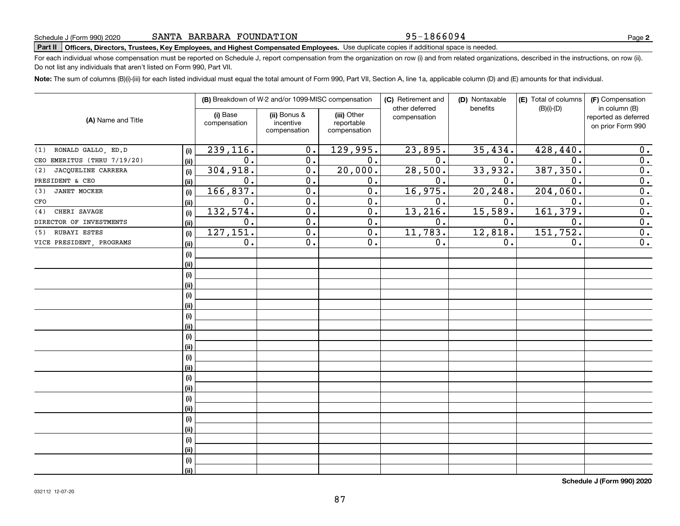# **Part II Officers, Directors, Trustees, Key Employees, and Highest Compensated Employees.**  Schedule J (Form 990) 2020 Page Use duplicate copies if additional space is needed.

For each individual whose compensation must be reported on Schedule J, report compensation from the organization on row (i) and from related organizations, described in the instructions, on row (ii). Do not list any individuals that aren't listed on Form 990, Part VII.

**Note:**  The sum of columns (B)(i)-(iii) for each listed individual must equal the total amount of Form 990, Part VII, Section A, line 1a, applicable column (D) and (E) amounts for that individual.

|                             |      |                          | (B) Breakdown of W-2 and/or 1099-MISC compensation |                                           | (C) Retirement and<br>other deferred | (D) Nontaxable<br>benefits | (E) Total of columns<br>$(B)(i)-(D)$ | (F) Compensation<br>in column (B)         |
|-----------------------------|------|--------------------------|----------------------------------------------------|-------------------------------------------|--------------------------------------|----------------------------|--------------------------------------|-------------------------------------------|
| (A) Name and Title          |      | (i) Base<br>compensation | (ii) Bonus &<br>incentive<br>compensation          | (iii) Other<br>reportable<br>compensation | compensation                         |                            |                                      | reported as deferred<br>on prior Form 990 |
| (1) RONALD GALLO, ED.D      | (i)  | 239,116.                 | 0.                                                 | 129,995.                                  | 23,895.                              | 35,434.                    | 428,440.                             | 0.                                        |
| CEO EMERITUS (THRU 7/19/20) | (ii) | 0.                       | 0.                                                 | $\overline{0}$ .                          | 0.                                   | 0.                         | $\mathbf{0}$                         | $\overline{0}$ .                          |
| JACQUELINE CARRERA<br>(2)   | (i)  | 304,918.                 | $\mathbf 0$ .                                      | 20,000.                                   | 28,500.                              | 33,932.                    | 387, 350.                            | 0.                                        |
| PRESIDENT & CEO             | (ii) | 0.                       | 0.                                                 | 0.                                        | 0.                                   | 0.                         | $\mathbf 0$                          | $\overline{0}$ .                          |
| <b>JANET MOCKER</b><br>(3)  | (i)  | 166, 837.                | 0.                                                 | $\overline{0}$ .                          | 16,975.                              | 20,248.                    | 204,060.                             | $\overline{\mathbf{0}}$ .                 |
| CFO                         | (ii) | $0$ .                    | 0.                                                 | 0.                                        | 0.                                   | 0.                         | $\mathbf 0$ .                        | $\overline{\mathbf{0}}$ .                 |
| CHERI SAVAGE<br>(4)         | (i)  | 132,574.                 | $\overline{0}$ .                                   | 0.                                        | 13,216.                              | 15,589.                    | 161,379.                             | $\overline{\mathbf{0}}$ .                 |
| DIRECTOR OF INVESTMENTS     | (ii) | 0.                       | 0.                                                 | 0.                                        | 0.                                   | 0.                         | 0.                                   | $\overline{0}$ .                          |
| RUBAYI ESTES<br>(5)         | (i)  | 127, 151.                | $\overline{0}$ .                                   | $\overline{0}$ .                          | 11,783.                              | 12,818.                    | 151,752.                             | $\overline{\mathbf{0}}$ .                 |
| VICE PRESIDENT, PROGRAMS    | (ii) | 0.                       | $\overline{0}$ .                                   | 0.                                        | 0.                                   | 0.                         | 0.                                   | $\overline{0}$ .                          |
|                             | (i)  |                          |                                                    |                                           |                                      |                            |                                      |                                           |
|                             | (ii) |                          |                                                    |                                           |                                      |                            |                                      |                                           |
|                             | (i)  |                          |                                                    |                                           |                                      |                            |                                      |                                           |
|                             | (ii) |                          |                                                    |                                           |                                      |                            |                                      |                                           |
|                             | (i)  |                          |                                                    |                                           |                                      |                            |                                      |                                           |
|                             | (ii) |                          |                                                    |                                           |                                      |                            |                                      |                                           |
|                             | (i)  |                          |                                                    |                                           |                                      |                            |                                      |                                           |
|                             | (ii) |                          |                                                    |                                           |                                      |                            |                                      |                                           |
|                             | (i)  |                          |                                                    |                                           |                                      |                            |                                      |                                           |
|                             | (ii) |                          |                                                    |                                           |                                      |                            |                                      |                                           |
|                             | (i)  |                          |                                                    |                                           |                                      |                            |                                      |                                           |
|                             | (ii) |                          |                                                    |                                           |                                      |                            |                                      |                                           |
|                             | (i)  |                          |                                                    |                                           |                                      |                            |                                      |                                           |
|                             | (ii) |                          |                                                    |                                           |                                      |                            |                                      |                                           |
|                             | (i)  |                          |                                                    |                                           |                                      |                            |                                      |                                           |
|                             | (ii) |                          |                                                    |                                           |                                      |                            |                                      |                                           |
|                             | (i)  |                          |                                                    |                                           |                                      |                            |                                      |                                           |
|                             | (ii) |                          |                                                    |                                           |                                      |                            |                                      |                                           |
|                             | (i)  |                          |                                                    |                                           |                                      |                            |                                      |                                           |
|                             | (ii) |                          |                                                    |                                           |                                      |                            |                                      |                                           |
|                             | (i)  |                          |                                                    |                                           |                                      |                            |                                      |                                           |
|                             | (ii) |                          |                                                    |                                           |                                      |                            |                                      |                                           |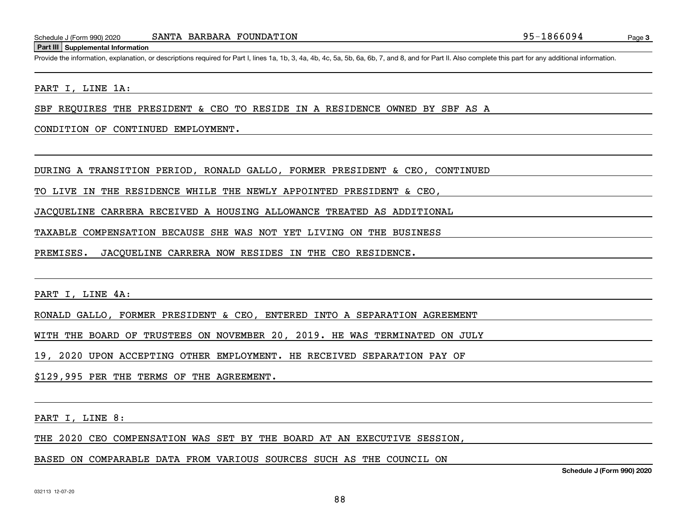#### **Part III Supplemental Information**

Schedule J (Form 990) 2020 SANTA BARBARA FOUNDATION<br>Part III Supplemental Information<br>Provide the information, explanation, or descriptions required for Part I, lines 1a, 1b, 3, 4a, 4b, 4c, 5a, 5b, 6a, 6b, 7, and 8, and fo

PART I, LINE 1A:

SBF REQUIRES THE PRESIDENT & CEO TO RESIDE IN A RESIDENCE OWNED BY SBF AS A

CONDITION OF CONTINUED EMPLOYMENT.

DURING A TRANSITION PERIOD, RONALD GALLO, FORMER PRESIDENT & CEO, CONTINUED

TO LIVE IN THE RESIDENCE WHILE THE NEWLY APPOINTED PRESIDENT & CEO,

JACQUELINE CARRERA RECEIVED A HOUSING ALLOWANCE TREATED AS ADDITIONAL

TAXABLE COMPENSATION BECAUSE SHE WAS NOT YET LIVING ON THE BUSINESS

PREMISES. JACQUELINE CARRERA NOW RESIDES IN THE CEO RESIDENCE.

PART I, LINE 4A:

RONALD GALLO, FORMER PRESIDENT & CEO, ENTERED INTO A SEPARATION AGREEMENT

WITH THE BOARD OF TRUSTEES ON NOVEMBER 20, 2019. HE WAS TERMINATED ON JULY

19, 2020 UPON ACCEPTING OTHER EMPLOYMENT. HE RECEIVED SEPARATION PAY OF

\$129,995 PER THE TERMS OF THE AGREEMENT.

PART I, LINE 8:

THE 2020 CEO COMPENSATION WAS SET BY THE BOARD AT AN EXECUTIVE SESSION,

BASED ON COMPARABLE DATA FROM VARIOUS SOURCES SUCH AS THE COUNCIL ON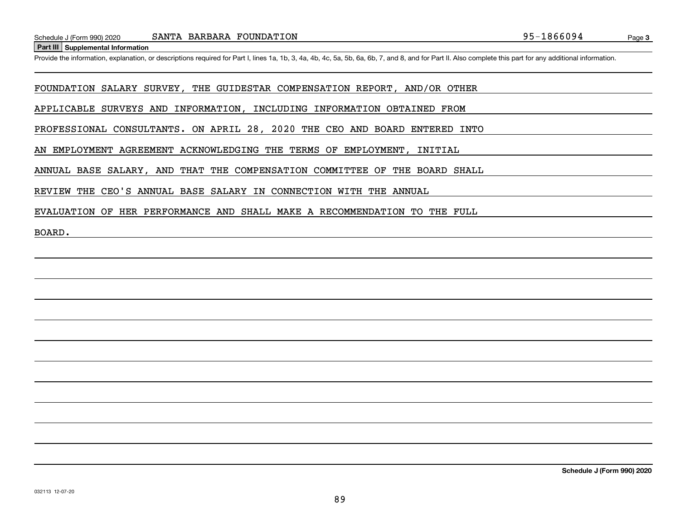**Part III Supplemental Information**

Schedule J (Form 990) 2020 SANTA BARBARA FOUNDATION<br>Part III Supplemental Information<br>Provide the information, explanation, or descriptions required for Part I, lines 1a, 1b, 3, 4a, 4b, 4c, 5a, 5b, 6a, 6b, 7, and 8, and fo

FOUNDATION SALARY SURVEY, THE GUIDESTAR COMPENSATION REPORT, AND/OR OTHER

APPLICABLE SURVEYS AND INFORMATION, INCLUDING INFORMATION OBTAINED FROM

PROFESSIONAL CONSULTANTS. ON APRIL 28, 2020 THE CEO AND BOARD ENTERED INTO

AN EMPLOYMENT AGREEMENT ACKNOWLEDGING THE TERMS OF EMPLOYMENT, INITIAL

ANNUAL BASE SALARY, AND THAT THE COMPENSATION COMMITTEE OF THE BOARD SHALL

REVIEW THE CEO'S ANNUAL BASE SALARY IN CONNECTION WITH THE ANNUAL

EVALUATION OF HER PERFORMANCE AND SHALL MAKE A RECOMMENDATION TO THE FULL

BOARD.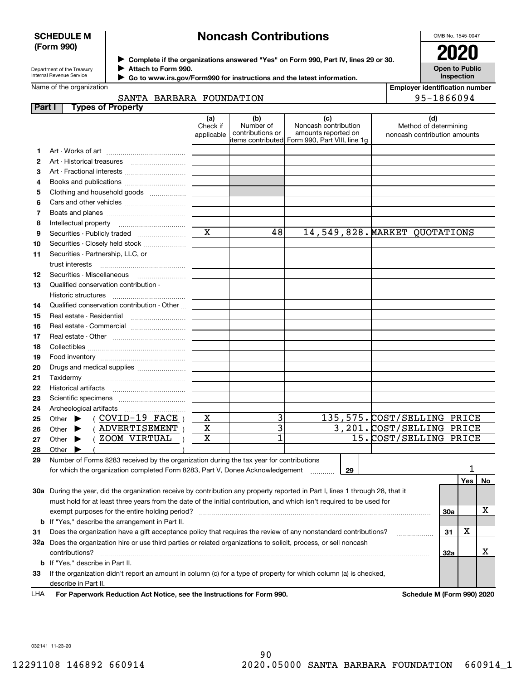## **SCHEDULE M (Form 990)**

# **Noncash Contributions**

OMB No. 1545-0047

| Department of the Treasury |
|----------------------------|
| Internal Revenue Service   |

Name of the organization

 $\blacktriangleright$ 

**Complete if the organizations answered "Yes" on Form 990, Part IV, lines 29 or 30.** <sup>J</sup>**2020 Attach to Form 990.** J

**Open to Public Inspection**

**Employer identification number**

| Go to www.irs.gov/Form990 for instructions and the latest information. |
|------------------------------------------------------------------------|
|------------------------------------------------------------------------|

|              | SANTA BARBARA FOUNDATION                                                                                                       |                               | 95-1866094                           |                                                                                                      |    |                                                       |     |     |      |  |
|--------------|--------------------------------------------------------------------------------------------------------------------------------|-------------------------------|--------------------------------------|------------------------------------------------------------------------------------------------------|----|-------------------------------------------------------|-----|-----|------|--|
|              | Part I<br><b>Types of Property</b>                                                                                             |                               |                                      |                                                                                                      |    |                                                       |     |     |      |  |
|              |                                                                                                                                | (a)<br>Check if<br>applicable | (b)<br>Number of<br>contributions or | (c)<br>Noncash contribution<br>amounts reported on<br>items contributed Form 990, Part VIII, line 1g |    | Method of determining<br>noncash contribution amounts | (d) |     |      |  |
| 1.           |                                                                                                                                |                               |                                      |                                                                                                      |    |                                                       |     |     |      |  |
| $\mathbf{2}$ |                                                                                                                                |                               |                                      |                                                                                                      |    |                                                       |     |     |      |  |
| з            |                                                                                                                                |                               |                                      |                                                                                                      |    |                                                       |     |     |      |  |
| 4            |                                                                                                                                |                               |                                      |                                                                                                      |    |                                                       |     |     |      |  |
| 5            | Clothing and household goods                                                                                                   |                               |                                      |                                                                                                      |    |                                                       |     |     |      |  |
| 6            |                                                                                                                                |                               |                                      |                                                                                                      |    |                                                       |     |     |      |  |
| 7            |                                                                                                                                |                               |                                      |                                                                                                      |    |                                                       |     |     |      |  |
| 8            |                                                                                                                                |                               |                                      |                                                                                                      |    |                                                       |     |     |      |  |
| 9            |                                                                                                                                | $\mathbf x$                   | 48                                   |                                                                                                      |    | 14,549,828. MARKET QUOTATIONS                         |     |     |      |  |
| 10           | Securities - Closely held stock                                                                                                |                               |                                      |                                                                                                      |    |                                                       |     |     |      |  |
| 11           | Securities - Partnership, LLC, or                                                                                              |                               |                                      |                                                                                                      |    |                                                       |     |     |      |  |
|              | trust interests                                                                                                                |                               |                                      |                                                                                                      |    |                                                       |     |     |      |  |
| 12           |                                                                                                                                |                               |                                      |                                                                                                      |    |                                                       |     |     |      |  |
| 13           | Qualified conservation contribution -                                                                                          |                               |                                      |                                                                                                      |    |                                                       |     |     |      |  |
|              | Historic structures                                                                                                            |                               |                                      |                                                                                                      |    |                                                       |     |     |      |  |
| 14           | Qualified conservation contribution - Other                                                                                    |                               |                                      |                                                                                                      |    |                                                       |     |     |      |  |
| 15           | Real estate - Residential                                                                                                      |                               |                                      |                                                                                                      |    |                                                       |     |     |      |  |
| 16           | Real estate - Commercial                                                                                                       |                               |                                      |                                                                                                      |    |                                                       |     |     |      |  |
| 17           |                                                                                                                                |                               |                                      |                                                                                                      |    |                                                       |     |     |      |  |
| 18           |                                                                                                                                |                               |                                      |                                                                                                      |    |                                                       |     |     |      |  |
| 19           |                                                                                                                                |                               |                                      |                                                                                                      |    |                                                       |     |     |      |  |
| 20           | Drugs and medical supplies                                                                                                     |                               |                                      |                                                                                                      |    |                                                       |     |     |      |  |
| 21           |                                                                                                                                |                               |                                      |                                                                                                      |    |                                                       |     |     |      |  |
| 22           |                                                                                                                                |                               |                                      |                                                                                                      |    |                                                       |     |     |      |  |
| 23           |                                                                                                                                |                               |                                      |                                                                                                      |    |                                                       |     |     |      |  |
| 24           |                                                                                                                                |                               |                                      |                                                                                                      |    |                                                       |     |     |      |  |
| 25           | $($ COVID-19 FACE $)$<br>Other $\blacktriangleright$                                                                           | X                             | 3                                    |                                                                                                      |    | 135,575. COST/SELLING PRICE                           |     |     |      |  |
| 26           | (ADVERTISEMENT)<br>Other $\blacktriangleright$                                                                                 | X                             | $\overline{3}$                       |                                                                                                      |    | 3,201. COST/SELLING PRICE                             |     |     |      |  |
| 27           | (ZOOM VIRTUAL<br>Other $\blacktriangleright$                                                                                   | X                             | 1                                    |                                                                                                      |    | 15. COST/SELLING PRICE                                |     |     |      |  |
| 28           | Other $\blacktriangleright$                                                                                                    |                               |                                      |                                                                                                      |    |                                                       |     |     |      |  |
| 29           | Number of Forms 8283 received by the organization during the tax year for contributions                                        |                               |                                      |                                                                                                      |    |                                                       |     |     |      |  |
|              | for which the organization completed Form 8283, Part V, Donee Acknowledgement                                                  |                               |                                      | 1.1.1.1.1.1.1.1.1                                                                                    | 29 |                                                       |     |     |      |  |
|              |                                                                                                                                |                               |                                      |                                                                                                      |    |                                                       |     | Yes | ∣ No |  |
|              | 30a During the year, did the organization receive by contribution any property reported in Part I, lines 1 through 28, that it |                               |                                      |                                                                                                      |    |                                                       |     |     |      |  |
|              | must hold for at least three years from the date of the initial contribution, and which isn't required to be used for          |                               |                                      |                                                                                                      |    |                                                       |     |     |      |  |
|              | exempt purposes for the entire holding period?                                                                                 |                               |                                      |                                                                                                      |    |                                                       | 30a |     | x    |  |
| b            | If "Yes," describe the arrangement in Part II.                                                                                 |                               |                                      |                                                                                                      |    |                                                       |     |     |      |  |
| 31           | Does the organization have a gift acceptance policy that requires the review of any nonstandard contributions?                 |                               |                                      |                                                                                                      |    |                                                       | 31  | х   |      |  |
|              | 32a Does the organization hire or use third parties or related organizations to solicit, process, or sell noncash              |                               |                                      |                                                                                                      |    |                                                       |     |     |      |  |
|              | contributions?                                                                                                                 |                               |                                      |                                                                                                      |    |                                                       | 32a |     | х    |  |
|              | b If "Yes," describe in Part II.                                                                                               |                               |                                      |                                                                                                      |    |                                                       |     |     |      |  |
| 33           | If the organization didn't report an amount in column (c) for a type of property for which column (a) is checked,              |                               |                                      |                                                                                                      |    |                                                       |     |     |      |  |
|              | describe in Part II.                                                                                                           |                               |                                      |                                                                                                      |    |                                                       |     |     |      |  |
| LHA          | For Paperwork Reduction Act Notice, see the Instructions for Form 990.                                                         |                               |                                      |                                                                                                      |    | Schedule M (Form 990) 2020                            |     |     |      |  |

032141 11-23-20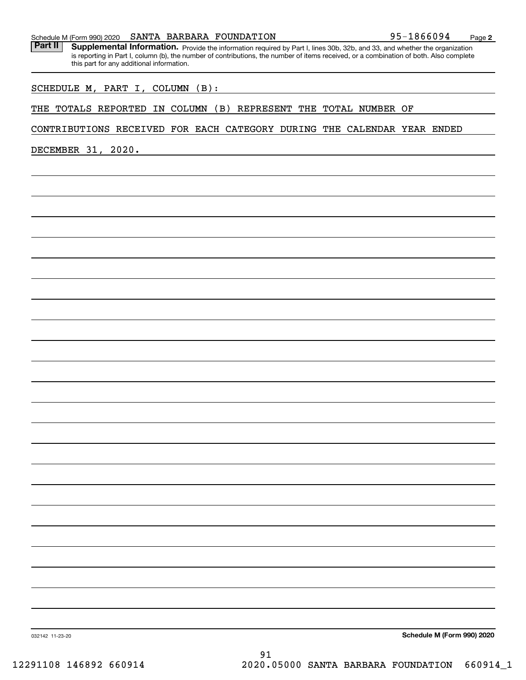| this part for any additional implifiation.                              |
|-------------------------------------------------------------------------|
| SCHEDULE M, PART I, COLUMN (B):                                         |
| THE TOTALS REPORTED IN COLUMN (B) REPRESENT THE TOTAL NUMBER OF         |
| CONTRIBUTIONS RECEIVED FOR EACH CATEGORY DURING THE CALENDAR YEAR ENDED |
| DECEMBER 31, 2020.                                                      |
|                                                                         |
|                                                                         |
|                                                                         |
|                                                                         |
|                                                                         |
|                                                                         |
|                                                                         |
|                                                                         |
|                                                                         |
|                                                                         |
|                                                                         |
|                                                                         |
|                                                                         |
|                                                                         |
|                                                                         |
|                                                                         |
|                                                                         |
|                                                                         |
|                                                                         |
|                                                                         |
|                                                                         |
|                                                                         |
|                                                                         |

**Schedule M (Form 990) 2020**

032142 11-23-20

Part II | Supplemental Information. Provide the information required by Part I, lines 30b, 32b, and 33, and whether the organization is reporting in Part I, column (b), the number of contributions, the number of items received, or a combination of both. Also complete this part for any additional information.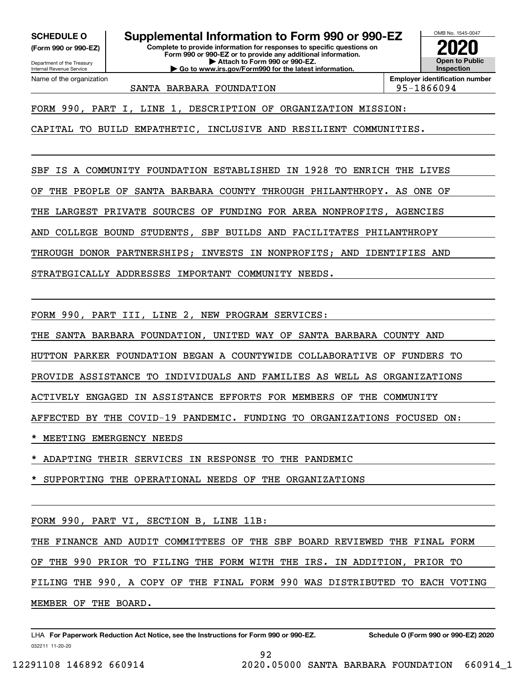**(Form 990 or 990-EZ)**

Department of the Treasury Internal Revenue Service Name of the organization

**SCHEDULE O Supplemental Information to Form 990 or 990-EZ**

**Complete to provide information for responses to specific questions on Form 990 or 990-EZ or to provide any additional information. | Attach to Form 990 or 990-EZ. | Go to www.irs.gov/Form990 for the latest information.**



SANTA BARBARA FOUNDATION 95-1866094

FORM 990, PART I, LINE 1, DESCRIPTION OF ORGANIZATION MISSION:

CAPITAL TO BUILD EMPATHETIC, INCLUSIVE AND RESILIENT COMMUNITIES.

SBF IS A COMMUNITY FOUNDATION ESTABLISHED IN 1928 TO ENRICH THE LIVES

OF THE PEOPLE OF SANTA BARBARA COUNTY THROUGH PHILANTHROPY. AS ONE OF

THE LARGEST PRIVATE SOURCES OF FUNDING FOR AREA NONPROFITS, AGENCIES

AND COLLEGE BOUND STUDENTS, SBF BUILDS AND FACILITATES PHILANTHROPY

THROUGH DONOR PARTNERSHIPS; INVESTS IN NONPROFITS; AND IDENTIFIES AND

STRATEGICALLY ADDRESSES IMPORTANT COMMUNITY NEEDS.

FORM 990, PART III, LINE 2, NEW PROGRAM SERVICES:

THE SANTA BARBARA FOUNDATION, UNITED WAY OF SANTA BARBARA COUNTY AND

HUTTON PARKER FOUNDATION BEGAN A COUNTYWIDE COLLABORATIVE OF FUNDERS TO

PROVIDE ASSISTANCE TO INDIVIDUALS AND FAMILIES AS WELL AS ORGANIZATIONS

ACTIVELY ENGAGED IN ASSISTANCE EFFORTS FOR MEMBERS OF THE COMMUNITY

AFFECTED BY THE COVID-19 PANDEMIC. FUNDING TO ORGANIZATIONS FOCUSED ON:

MEETING EMERGENCY NEEDS

\* ADAPTING THEIR SERVICES IN RESPONSE TO THE PANDEMIC

SUPPORTING THE OPERATIONAL NEEDS OF THE ORGANIZATIONS

FORM 990, PART VI, SECTION B, LINE 11B:

THE FINANCE AND AUDIT COMMITTEES OF THE SBF BOARD REVIEWED THE FINAL FORM

OF THE 990 PRIOR TO FILING THE FORM WITH THE IRS. IN ADDITION, PRIOR TO

FILING THE 990, A COPY OF THE FINAL FORM 990 WAS DISTRIBUTED TO EACH VOTING

92

MEMBER OF THE BOARD.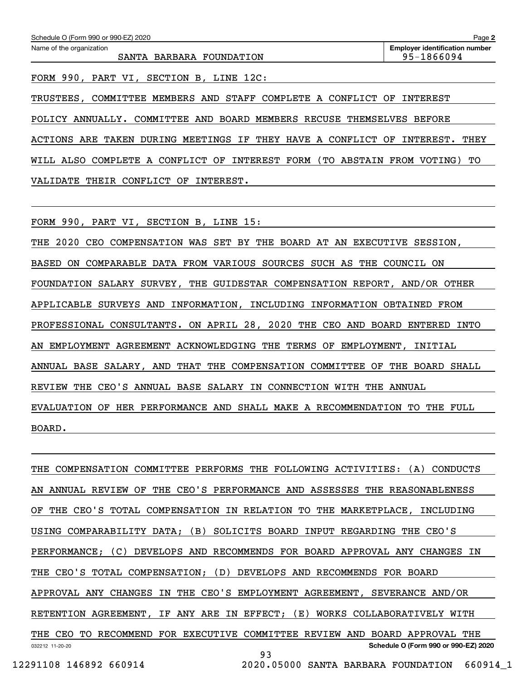ACTIONS ARE TAKEN DURING MEETINGS IF THEY HAVE A CONFLICT OF INTEREST. THEY WILL ALSO COMPLETE A CONFLICT OF INTEREST FORM (TO ABSTAIN FROM VOTING) TO

VALIDATE THEIR CONFLICT OF INTEREST.

FORM 990, PART VI, SECTION B, LINE 15:

THE 2020 CEO COMPENSATION WAS SET BY THE BOARD AT AN EXECUTIVE SESSION, BASED ON COMPARABLE DATA FROM VARIOUS SOURCES SUCH AS THE COUNCIL ON FOUNDATION SALARY SURVEY, THE GUIDESTAR COMPENSATION REPORT, AND/OR OTHER APPLICABLE SURVEYS AND INFORMATION, INCLUDING INFORMATION OBTAINED FROM PROFESSIONAL CONSULTANTS. ON APRIL 28, 2020 THE CEO AND BOARD ENTERED INTO AN EMPLOYMENT AGREEMENT ACKNOWLEDGING THE TERMS OF EMPLOYMENT, INITIAL ANNUAL BASE SALARY, AND THAT THE COMPENSATION COMMITTEE OF THE BOARD SHALL REVIEW THE CEO'S ANNUAL BASE SALARY IN CONNECTION WITH THE ANNUAL EVALUATION OF HER PERFORMANCE AND SHALL MAKE A RECOMMENDATION TO THE FULL BOARD.

032212 11-20-20 **Schedule O (Form 990 or 990-EZ) 2020** THE COMPENSATION COMMITTEE PERFORMS THE FOLLOWING ACTIVITIES: (A) CONDUCTS AN ANNUAL REVIEW OF THE CEO'S PERFORMANCE AND ASSESSES THE REASONABLENESS OF THE CEO'S TOTAL COMPENSATION IN RELATION TO THE MARKETPLACE, INCLUDING USING COMPARABILITY DATA; (B) SOLICITS BOARD INPUT REGARDING THE CEO'S PERFORMANCE; (C) DEVELOPS AND RECOMMENDS FOR BOARD APPROVAL ANY CHANGES IN THE CEO'S TOTAL COMPENSATION; (D) DEVELOPS AND RECOMMENDS FOR BOARD APPROVAL ANY CHANGES IN THE CEO'S EMPLOYMENT AGREEMENT, SEVERANCE AND/OR RETENTION AGREEMENT, IF ANY ARE IN EFFECT; (E) WORKS COLLABORATIVELY WITH THE CEO TO RECOMMEND FOR EXECUTIVE COMMITTEE REVIEW AND BOARD APPROVAL THE 93

12291108 146892 660914 2020.05000 SANTA BARBARA FOUNDATION 660914\_1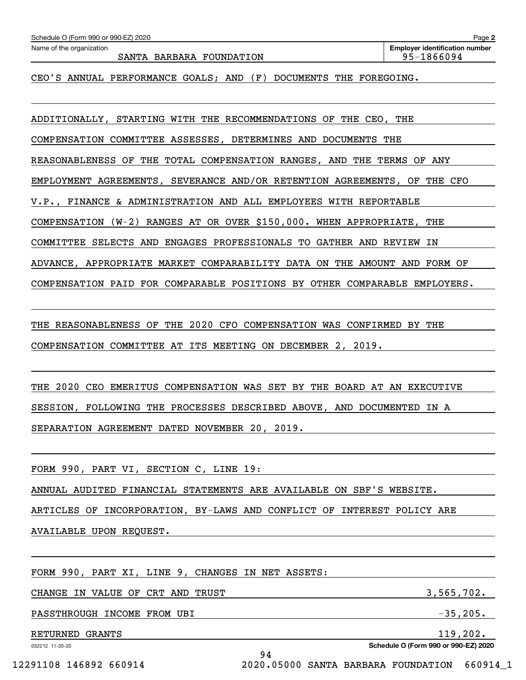SANTA BARBARA FOUNDATION 95-1866094

CEO'S ANNUAL PERFORMANCE GOALS; AND (F) DOCUMENTS THE FOREGOING.

ADDITIONALLY, STARTING WITH THE RECOMMENDATIONS OF THE CEO, THE

COMPENSATION COMMITTEE ASSESSES, DETERMINES AND DOCUMENTS THE

REASONABLENESS OF THE TOTAL COMPENSATION RANGES, AND THE TERMS OF ANY

EMPLOYMENT AGREEMENTS, SEVERANCE AND/OR RETENTION AGREEMENTS, OF THE CFO

V.P., FINANCE & ADMINISTRATION AND ALL EMPLOYEES WITH REPORTABLE

COMPENSATION (W-2) RANGES AT OR OVER \$150,000. WHEN APPROPRIATE, THE

COMMITTEE SELECTS AND ENGAGES PROFESSIONALS TO GATHER AND REVIEW IN

ADVANCE, APPROPRIATE MARKET COMPARABILITY DATA ON THE AMOUNT AND FORM OF

COMPENSATION PAID FOR COMPARABLE POSITIONS BY OTHER COMPARABLE EMPLOYERS.

THE REASONABLENESS OF THE 2020 CFO COMPENSATION WAS CONFIRMED BY THE COMPENSATION COMMITTEE AT ITS MEETING ON DECEMBER 2, 2019.

THE 2020 CEO EMERITUS COMPENSATION WAS SET BY THE BOARD AT AN EXECUTIVE SESSION, FOLLOWING THE PROCESSES DESCRIBED ABOVE, AND DOCUMENTED IN A SEPARATION AGREEMENT DATED NOVEMBER 20, 2019.

FORM 990, PART VI, SECTION C, LINE 19:

ANNUAL AUDITED FINANCIAL STATEMENTS ARE AVAILABLE ON SBF'S WEBSITE.

ARTICLES OF INCORPORATION, BY-LAWS AND CONFLICT OF INTEREST POLICY ARE

94

AVAILABLE UPON REQUEST.

FORM 990, PART XI, LINE 9, CHANGES IN NET ASSETS:

CHANGE IN VALUE OF CRT AND TRUST  $3,565,702$ .

PASSTHROUGH INCOME FROM UBI  $-35,205$ .

RETURNED GRANTS 119,202.

032212 11-20-20

**Schedule O (Form 990 or 990-EZ) 2020**

12291108 146892 660914 2020.05000 SANTA BARBARA FOUNDATION 660914\_1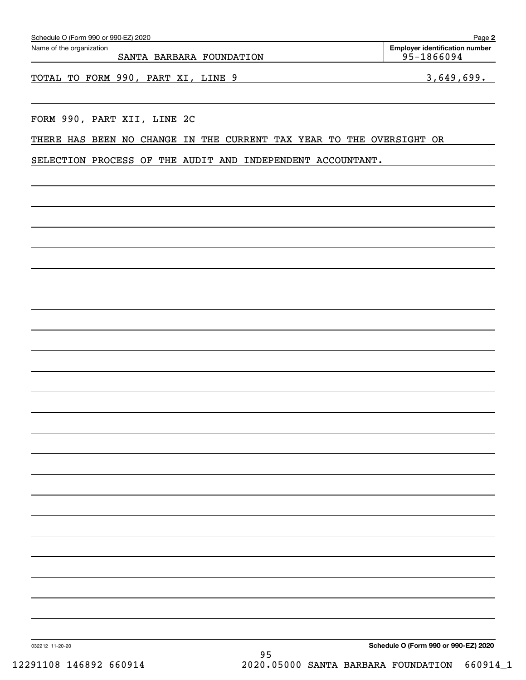| Schedule O (Form 990 or 990-EZ) 2020                                       | Page 2                                           |
|----------------------------------------------------------------------------|--------------------------------------------------|
| Name of the organization<br>SANTA BARBARA FOUNDATION                       | Employer identification number<br>$95 - 1866094$ |
| TOTAL TO FORM 990, PART XI, LINE 9                                         | 3,649,699.                                       |
| FORM 990, PART XII, LINE 2C                                                |                                                  |
| THERE HAS BEEN NO CHANGE<br>CURRENT TAX YEAR TO THE OVERSIGHT OR<br>IN THE |                                                  |
| SELECTION PROCESS OF THE AUDIT AND INDEPENDENT ACCOUNTANT.                 |                                                  |
|                                                                            |                                                  |
|                                                                            |                                                  |
|                                                                            |                                                  |
|                                                                            |                                                  |
|                                                                            |                                                  |
|                                                                            |                                                  |
|                                                                            |                                                  |
|                                                                            |                                                  |
|                                                                            |                                                  |
|                                                                            |                                                  |
|                                                                            |                                                  |
|                                                                            |                                                  |
|                                                                            |                                                  |
|                                                                            |                                                  |
|                                                                            |                                                  |
|                                                                            |                                                  |
| 032212 11-20-20<br>95                                                      | Schedule O (Form 990 or 990-EZ) 2020             |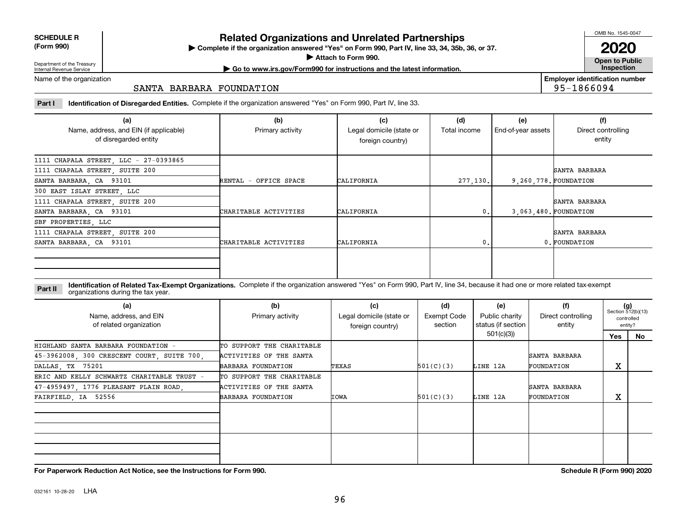| <b>SCHEDULE R</b>                          |  |
|--------------------------------------------|--|
| $\mathbf{r}$ , $\mathbf{r}$ , $\mathbf{r}$ |  |

**(Form 990)**

## **Related Organizations and Unrelated Partnerships**

**Complete if the organization answered "Yes" on Form 990, Part IV, line 33, 34, 35b, 36, or 37.** |

**Attach to Form 990.**  |

OMB No. 1545-0047

**Open to Public 2020**

**Employer identification number**

95-1866094

Department of the Treasury Internal Revenue Service

## **| Go to www.irs.gov/Form990 for instructions and the latest information. Inspection**

Name of the organization

## SANTA BARBARA FOUNDATION

**Part I Identification of Disregarded Entities.**  Complete if the organization answered "Yes" on Form 990, Part IV, line 33.

| (a)<br>Name, address, and EIN (if applicable)<br>of disregarded entity | (b)<br>Primary activity | (c)<br>Legal domicile (state or<br>foreign country) | (d)<br>Total income | (e)<br>End-of-year assets | (f)<br>Direct controlling<br>entity |
|------------------------------------------------------------------------|-------------------------|-----------------------------------------------------|---------------------|---------------------------|-------------------------------------|
| 1111 CHAPALA STREET, LLC - 27-0393865                                  |                         |                                                     |                     |                           |                                     |
| 1111 CHAPALA STREET, SUITE 200                                         |                         |                                                     |                     |                           | SANTA BARBARA                       |
| SANTA BARBARA, CA 93101                                                | RENTAL - OFFICE SPACE   | CALIFORNIA                                          | 277, 130.           |                           | 9, 260, 778. FOUNDATION             |
| 300 EAST ISLAY STREET, LLC                                             |                         |                                                     |                     |                           |                                     |
| 1111 CHAPALA STREET, SUITE 200                                         |                         |                                                     |                     |                           | SANTA BARBARA                       |
| SANTA BARBARA, CA 93101                                                | CHARITABLE ACTIVITIES   | CALIFORNIA                                          | 0.                  |                           | 3.063.480. FOUNDATION               |
| SBF PROPERTIES, LLC                                                    |                         |                                                     |                     |                           |                                     |
| 1111 CHAPALA STREET, SUITE 200                                         |                         |                                                     |                     |                           | SANTA BARBARA                       |
| SANTA BARBARA, CA 93101                                                | CHARITABLE ACTIVITIES   | CALIFORNIA                                          | 0.                  |                           | 0. FOUNDATION                       |
|                                                                        |                         |                                                     |                     |                           |                                     |

**Identification of Related Tax-Exempt Organizations.** Complete if the organization answered "Yes" on Form 990, Part IV, line 34, because it had one or more related tax-exempt **Part II** organizations during the tax year.

| (a)<br>Name, address, and EIN<br>of related organization | (b)<br>Primary activity   | (c)<br>Legal domicile (state or<br>foreign country) | (d)<br><b>Exempt Code</b><br>section | (e)<br>Public charity<br>status (if section | (f)<br>Direct controlling<br>entity | $(g)$<br>Section 512(b)(13)<br>entity? | controlled |
|----------------------------------------------------------|---------------------------|-----------------------------------------------------|--------------------------------------|---------------------------------------------|-------------------------------------|----------------------------------------|------------|
|                                                          |                           |                                                     |                                      | 501(c)(3)                                   |                                     | Yes                                    | No         |
| HIGHLAND SANTA BARBARA FOUNDATION -                      | TO SUPPORT THE CHARITABLE |                                                     |                                      |                                             |                                     |                                        |            |
| 45-3962008, 300 CRESCENT COURT, SUITE 700,               | ACTIVITIES OF THE SANTA   |                                                     |                                      |                                             | SANTA BARBARA                       |                                        |            |
| DALLAS, TX 75201                                         | BARBARA FOUNDATION        | TEXAS                                               | 501(C)(3)                            | LINE 12A                                    | FOUNDATION                          | X                                      |            |
| ERIC AND KELLY SCHWARTZ CHARITABLE TRUST =               | TO SUPPORT THE CHARITABLE |                                                     |                                      |                                             |                                     |                                        |            |
| 47-4959497, 1776 PLEASANT PLAIN ROAD,                    | ACTIVITIES OF THE SANTA   |                                                     |                                      |                                             | SANTA BARBARA                       |                                        |            |
| FAIRFIELD, IA 52556                                      | BARBARA FOUNDATION        | <b>IOWA</b>                                         | 501(C)(3)                            | LINE 12A                                    | FOUNDATION                          | X                                      |            |
|                                                          |                           |                                                     |                                      |                                             |                                     |                                        |            |
|                                                          |                           |                                                     |                                      |                                             |                                     |                                        |            |

**For Paperwork Reduction Act Notice, see the Instructions for Form 990. Schedule R (Form 990) 2020**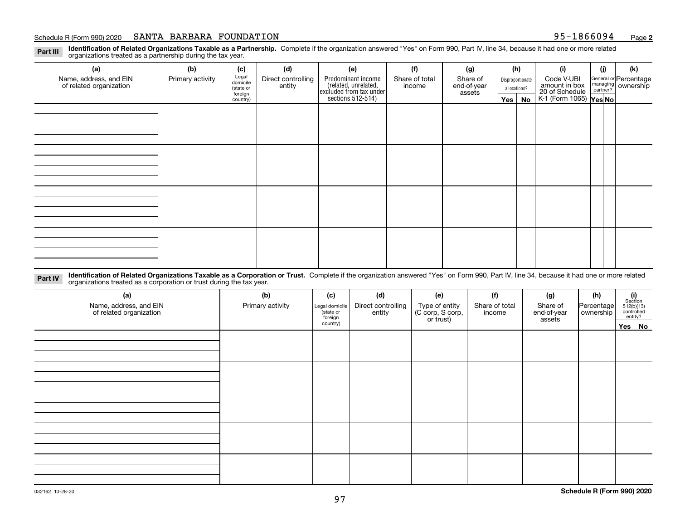#### Schedule R (Form 990) 2020  ${\bf SANTA\phantom{a}BARBARA\phantom{a}FOUNDATION}$  . The set of the set of the set of the set of the set of the set of the set of the set of the set of the set of the set of the set of the set of the set of the set

**Identification of Related Organizations Taxable as a Partnership.** Complete if the organization answered "Yes" on Form 990, Part IV, line 34, because it had one or more related **Part III** organizations treated as a partnership during the tax year.

| (a)                     | (b)              | (c)                  | (d)                | (e)                                                                 | (f)            | (g)                   |  | (h)              | (i)                                      | (j) | (k)                                                       |
|-------------------------|------------------|----------------------|--------------------|---------------------------------------------------------------------|----------------|-----------------------|--|------------------|------------------------------------------|-----|-----------------------------------------------------------|
| Name, address, and EIN  | Primary activity | Legal<br>domicile    | Direct controlling | Predominant income                                                  | Share of total | Share of              |  | Disproportionate | Code V-UBI<br>amount in box              |     | General or Percentage<br>managing<br>partner?<br>partner? |
| of related organization |                  | (state or<br>foreign | entity             | related, unrelated,<br>excluded from tax under<br>sections 512-514) | income         | end-of-year<br>assets |  | allocations?     | 20 of Schedule<br>K-1 (Form 1065) Yes No |     |                                                           |
|                         |                  | country)             |                    |                                                                     |                |                       |  | Yes   No         |                                          |     |                                                           |
|                         |                  |                      |                    |                                                                     |                |                       |  |                  |                                          |     |                                                           |
|                         |                  |                      |                    |                                                                     |                |                       |  |                  |                                          |     |                                                           |
|                         |                  |                      |                    |                                                                     |                |                       |  |                  |                                          |     |                                                           |
|                         |                  |                      |                    |                                                                     |                |                       |  |                  |                                          |     |                                                           |
|                         |                  |                      |                    |                                                                     |                |                       |  |                  |                                          |     |                                                           |
|                         |                  |                      |                    |                                                                     |                |                       |  |                  |                                          |     |                                                           |
|                         |                  |                      |                    |                                                                     |                |                       |  |                  |                                          |     |                                                           |
|                         |                  |                      |                    |                                                                     |                |                       |  |                  |                                          |     |                                                           |
|                         |                  |                      |                    |                                                                     |                |                       |  |                  |                                          |     |                                                           |
|                         |                  |                      |                    |                                                                     |                |                       |  |                  |                                          |     |                                                           |
|                         |                  |                      |                    |                                                                     |                |                       |  |                  |                                          |     |                                                           |
|                         |                  |                      |                    |                                                                     |                |                       |  |                  |                                          |     |                                                           |
|                         |                  |                      |                    |                                                                     |                |                       |  |                  |                                          |     |                                                           |
|                         |                  |                      |                    |                                                                     |                |                       |  |                  |                                          |     |                                                           |
|                         |                  |                      |                    |                                                                     |                |                       |  |                  |                                          |     |                                                           |
|                         |                  |                      |                    |                                                                     |                |                       |  |                  |                                          |     |                                                           |
|                         |                  |                      |                    |                                                                     |                |                       |  |                  |                                          |     |                                                           |

**Identification of Related Organizations Taxable as a Corporation or Trust.** Complete if the organization answered "Yes" on Form 990, Part IV, line 34, because it had one or more related **Part IV** organizations treated as a corporation or trust during the tax year.

| (a)<br>Name, address, and EIN<br>of related organization | (b)<br>Primary activity | (c)<br>Legal domicile<br>state or<br>foreign | (d)<br>Direct controlling<br>entity | (e)<br>Type of entity<br>(C corp, S corp,<br>or trust) | (f)<br>Share of total<br>income | (g)<br>Share of<br>end-of-year<br>assets | (h)<br>Percentage<br>ownership | $(i)$ Section<br>512(b)(13)<br>controlled<br>entity? |  |  |
|----------------------------------------------------------|-------------------------|----------------------------------------------|-------------------------------------|--------------------------------------------------------|---------------------------------|------------------------------------------|--------------------------------|------------------------------------------------------|--|--|
|                                                          |                         | country)                                     |                                     |                                                        |                                 |                                          |                                | Yes No                                               |  |  |
|                                                          |                         |                                              |                                     |                                                        |                                 |                                          |                                |                                                      |  |  |
|                                                          |                         |                                              |                                     |                                                        |                                 |                                          |                                |                                                      |  |  |
|                                                          |                         |                                              |                                     |                                                        |                                 |                                          |                                |                                                      |  |  |
|                                                          |                         |                                              |                                     |                                                        |                                 |                                          |                                |                                                      |  |  |
|                                                          |                         |                                              |                                     |                                                        |                                 |                                          |                                |                                                      |  |  |
|                                                          |                         |                                              |                                     |                                                        |                                 |                                          |                                |                                                      |  |  |
|                                                          |                         |                                              |                                     |                                                        |                                 |                                          |                                |                                                      |  |  |
|                                                          |                         |                                              |                                     |                                                        |                                 |                                          |                                |                                                      |  |  |
|                                                          |                         |                                              |                                     |                                                        |                                 |                                          |                                |                                                      |  |  |
|                                                          |                         |                                              |                                     |                                                        |                                 |                                          |                                |                                                      |  |  |
|                                                          |                         |                                              |                                     |                                                        |                                 |                                          |                                |                                                      |  |  |
|                                                          |                         |                                              |                                     |                                                        |                                 |                                          |                                |                                                      |  |  |
|                                                          |                         |                                              |                                     |                                                        |                                 |                                          |                                |                                                      |  |  |
|                                                          |                         |                                              |                                     |                                                        |                                 |                                          |                                |                                                      |  |  |
|                                                          |                         |                                              |                                     |                                                        |                                 |                                          |                                |                                                      |  |  |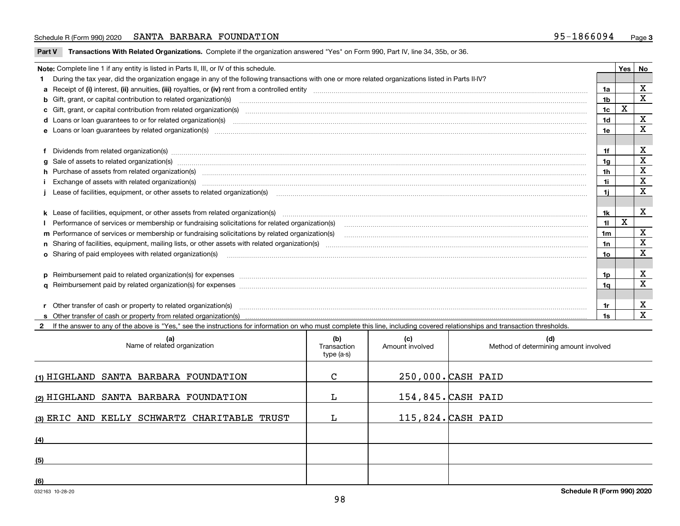### Schedule R (Form 990) 2020  ${\bf SANTA\phantom{a}BARBARA\phantom{a}FOUNDATION}$  . The set of the set of the set of the set of the set of the set of the set of the set of the set of the set of the set of the set of the set of the set of the set

**Part V** T**ransactions With Related Organizations.** Complete if the organization answered "Yes" on Form 990, Part IV, line 34, 35b, or 36.

| Note: Complete line 1 if any entity is listed in Parts II, III, or IV of this schedule. |                                                                                                                                                                                                                                |                |   |              |  |  |
|-----------------------------------------------------------------------------------------|--------------------------------------------------------------------------------------------------------------------------------------------------------------------------------------------------------------------------------|----------------|---|--------------|--|--|
|                                                                                         | During the tax year, did the organization engage in any of the following transactions with one or more related organizations listed in Parts II-IV?                                                                            |                |   |              |  |  |
|                                                                                         |                                                                                                                                                                                                                                | 1a             |   | X            |  |  |
|                                                                                         | <b>b</b> Gift, grant, or capital contribution to related organization(s)                                                                                                                                                       | 1b             |   | $\mathbf{x}$ |  |  |
|                                                                                         | c Gift, grant, or capital contribution from related organization(s) manufaction contribution from related organization(s) manufaction contribution from related organization(s) manufaction contribution from related organiza | 1c             | X |              |  |  |
|                                                                                         | d Loans or loan guarantees to or for related organization(s) mature material content to consume the content of the content of the content of the content of the content of the content of the content of the content of the co | 1 <sub>d</sub> |   | $\mathbf{x}$ |  |  |
|                                                                                         | e Loans or loan guarantees by related organization(s) manufaction contraction and contract the contract of the contract or contract or contract or contract or contract or contract or contract or contract or contract or con | 1e             |   | $\mathbf x$  |  |  |
|                                                                                         |                                                                                                                                                                                                                                |                |   |              |  |  |
|                                                                                         | f Dividends from related organization(s) manufactured contains and contained and contained contained and contained and contained and contained and contained and contained and contained and contained and contained and conta | 1f             |   | X            |  |  |
|                                                                                         |                                                                                                                                                                                                                                | 1a             |   | X            |  |  |
|                                                                                         | h Purchase of assets from related organization(s) www.assettion.com/www.assettion.com/www.assettion.com/www.assettion.com/www.assettion.com/www.assettion.com/www.assettion.com/www.assettion.com/www.assettion.com/www.assett | 1h             |   | X            |  |  |
|                                                                                         |                                                                                                                                                                                                                                | 1i             |   | X            |  |  |
|                                                                                         | Lease of facilities, equipment, or other assets to related organization(s) [11] manufactured manufactured manufactured manufactured manufactured manufactured manufactured manufactured manufactured manufactured manufactured | 1i.            |   | X            |  |  |
|                                                                                         |                                                                                                                                                                                                                                |                |   |              |  |  |
|                                                                                         |                                                                                                                                                                                                                                | 1k             |   | X            |  |  |
|                                                                                         | Performance of services or membership or fundraising solicitations for related organization(s) [11] production content in the service of services or membership or fundraising solicitations for related organization(s) [11]  | 11             | X |              |  |  |
|                                                                                         | m Performance of services or membership or fundraising solicitations by related organization(s)                                                                                                                                | 1 <sub>m</sub> |   | X            |  |  |
|                                                                                         |                                                                                                                                                                                                                                | 1n             |   | X            |  |  |
|                                                                                         | <b>o</b> Sharing of paid employees with related organization(s)                                                                                                                                                                | 10             |   | X            |  |  |
|                                                                                         |                                                                                                                                                                                                                                |                |   |              |  |  |
|                                                                                         | p Reimbursement paid to related organization(s) for expenses [111] and the material content of the set of the set of the set of the set of the set of the set of the set of the set of the set of the set of the set of the se | 1p.            |   | X            |  |  |
|                                                                                         |                                                                                                                                                                                                                                | 1a             |   | X            |  |  |
|                                                                                         |                                                                                                                                                                                                                                |                |   |              |  |  |
|                                                                                         | r Other transfer of cash or property to related organization(s)                                                                                                                                                                | 1r             |   | X            |  |  |
|                                                                                         |                                                                                                                                                                                                                                | 1s             |   | X            |  |  |
|                                                                                         | 2 If the answer to any of the above is "Yes," see the instructions for information on who must complete this line, including covered relationships and transaction thresholds.                                                 |                |   |              |  |  |

| (a)<br>Name of related organization          | (b)<br>Transaction<br>type (a-s) | (c)<br>Amount involved | (d)<br>Method of determining amount involved |
|----------------------------------------------|----------------------------------|------------------------|----------------------------------------------|
| (1) HIGHLAND SANTA BARBARA FOUNDATION        | C                                |                        | 250,000. CASH PAID                           |
| (2) HIGHLAND SANTA BARBARA FOUNDATION        | L                                |                        | 154,845. CASH PAID                           |
| (3) ERIC AND KELLY SCHWARTZ CHARITABLE TRUST |                                  |                        | $115,824.$ CASH PAID                         |
| (4)                                          |                                  |                        |                                              |
| (5)                                          |                                  |                        |                                              |
| (6)                                          |                                  |                        |                                              |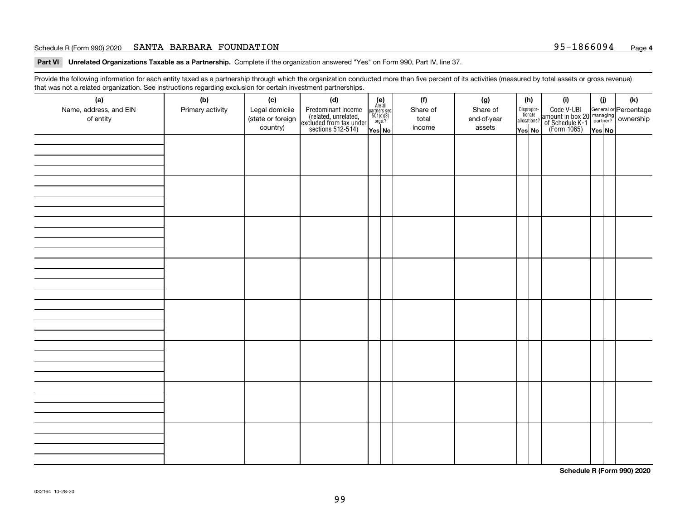### Schedule R (Form 990) 2020  ${\bf SANTA\phantom{a}BARBARA\phantom{a}FOUNDATION}$  . The set of the set of the set of the set of the set of the set of the set of the set of the set of the set of the set of the set of the set of the set of the set

**Part VI Unrelated Organizations Taxable as a Partnership. Complete if the organization answered "Yes" on Form 990, Part IV, line 37.** 

Provide the following information for each entity taxed as a partnership through which the organization conducted more than five percent of its activities (measured by total assets or gross revenue) that was not a related organization. See instructions regarding exclusion for certain investment partnerships.

| ັ                      | ັ<br>ັ           |                   |                                                                                            |                                                                                               |          |             |                                  |                                                                                                  |        |     |
|------------------------|------------------|-------------------|--------------------------------------------------------------------------------------------|-----------------------------------------------------------------------------------------------|----------|-------------|----------------------------------|--------------------------------------------------------------------------------------------------|--------|-----|
| (a)                    | (b)              | (c)               | (d)                                                                                        | $(e)$<br>Are all                                                                              | (f)      | (g)         | (h)                              | (i)                                                                                              | (i)    | (k) |
| Name, address, and EIN | Primary activity | Legal domicile    | Predominant income<br>(related, unrelated,<br>excluded from tax under<br>sections 512-514) |                                                                                               | Share of | Share of    | Disproportionate<br>allocations? | Code V-UBI<br>amount in box 20 managing<br>of Schedule K-1<br>(Form 1065)<br>$\overline{Yes}$ No |        |     |
| of entity              |                  | (state or foreign |                                                                                            | $\begin{array}{c}\n\text{partners} & \text{sec.} \\ 501(c)(3) & \text{orgs.?} \\ \end{array}$ | total    | end-of-year |                                  |                                                                                                  |        |     |
|                        |                  | country)          |                                                                                            | Yes No                                                                                        | income   | assets      | Yes No                           |                                                                                                  | Yes No |     |
|                        |                  |                   |                                                                                            |                                                                                               |          |             |                                  |                                                                                                  |        |     |
|                        |                  |                   |                                                                                            |                                                                                               |          |             |                                  |                                                                                                  |        |     |
|                        |                  |                   |                                                                                            |                                                                                               |          |             |                                  |                                                                                                  |        |     |
|                        |                  |                   |                                                                                            |                                                                                               |          |             |                                  |                                                                                                  |        |     |
|                        |                  |                   |                                                                                            |                                                                                               |          |             |                                  |                                                                                                  |        |     |
|                        |                  |                   |                                                                                            |                                                                                               |          |             |                                  |                                                                                                  |        |     |
|                        |                  |                   |                                                                                            |                                                                                               |          |             |                                  |                                                                                                  |        |     |
|                        |                  |                   |                                                                                            |                                                                                               |          |             |                                  |                                                                                                  |        |     |
|                        |                  |                   |                                                                                            |                                                                                               |          |             |                                  |                                                                                                  |        |     |
|                        |                  |                   |                                                                                            |                                                                                               |          |             |                                  |                                                                                                  |        |     |
|                        |                  |                   |                                                                                            |                                                                                               |          |             |                                  |                                                                                                  |        |     |
|                        |                  |                   |                                                                                            |                                                                                               |          |             |                                  |                                                                                                  |        |     |
|                        |                  |                   |                                                                                            |                                                                                               |          |             |                                  |                                                                                                  |        |     |
|                        |                  |                   |                                                                                            |                                                                                               |          |             |                                  |                                                                                                  |        |     |
|                        |                  |                   |                                                                                            |                                                                                               |          |             |                                  |                                                                                                  |        |     |
|                        |                  |                   |                                                                                            |                                                                                               |          |             |                                  |                                                                                                  |        |     |
|                        |                  |                   |                                                                                            |                                                                                               |          |             |                                  |                                                                                                  |        |     |
|                        |                  |                   |                                                                                            |                                                                                               |          |             |                                  |                                                                                                  |        |     |
|                        |                  |                   |                                                                                            |                                                                                               |          |             |                                  |                                                                                                  |        |     |
|                        |                  |                   |                                                                                            |                                                                                               |          |             |                                  |                                                                                                  |        |     |
|                        |                  |                   |                                                                                            |                                                                                               |          |             |                                  |                                                                                                  |        |     |
|                        |                  |                   |                                                                                            |                                                                                               |          |             |                                  |                                                                                                  |        |     |
|                        |                  |                   |                                                                                            |                                                                                               |          |             |                                  |                                                                                                  |        |     |
|                        |                  |                   |                                                                                            |                                                                                               |          |             |                                  |                                                                                                  |        |     |
|                        |                  |                   |                                                                                            |                                                                                               |          |             |                                  |                                                                                                  |        |     |
|                        |                  |                   |                                                                                            |                                                                                               |          |             |                                  |                                                                                                  |        |     |
|                        |                  |                   |                                                                                            |                                                                                               |          |             |                                  |                                                                                                  |        |     |
|                        |                  |                   |                                                                                            |                                                                                               |          |             |                                  |                                                                                                  |        |     |
|                        |                  |                   |                                                                                            |                                                                                               |          |             |                                  |                                                                                                  |        |     |
|                        |                  |                   |                                                                                            |                                                                                               |          |             |                                  |                                                                                                  |        |     |
|                        |                  |                   |                                                                                            |                                                                                               |          |             |                                  |                                                                                                  |        |     |
|                        |                  |                   |                                                                                            |                                                                                               |          |             |                                  |                                                                                                  |        |     |
|                        |                  |                   |                                                                                            |                                                                                               |          |             |                                  |                                                                                                  |        |     |
|                        |                  |                   |                                                                                            |                                                                                               |          |             |                                  |                                                                                                  |        |     |
|                        |                  |                   |                                                                                            |                                                                                               |          |             |                                  |                                                                                                  |        |     |
|                        |                  |                   |                                                                                            |                                                                                               |          |             |                                  |                                                                                                  |        |     |
|                        |                  |                   |                                                                                            |                                                                                               |          |             |                                  |                                                                                                  |        |     |
|                        |                  |                   |                                                                                            |                                                                                               |          |             |                                  |                                                                                                  |        |     |
|                        |                  |                   |                                                                                            |                                                                                               |          |             |                                  |                                                                                                  |        |     |
|                        |                  |                   |                                                                                            |                                                                                               |          |             |                                  |                                                                                                  |        |     |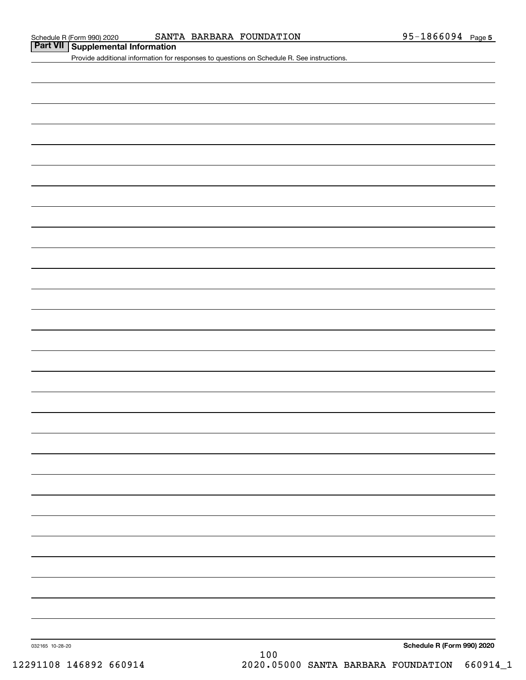## **Part VII Supplemental Information**

Provide additional information for responses to questions on Schedule R. See instructions.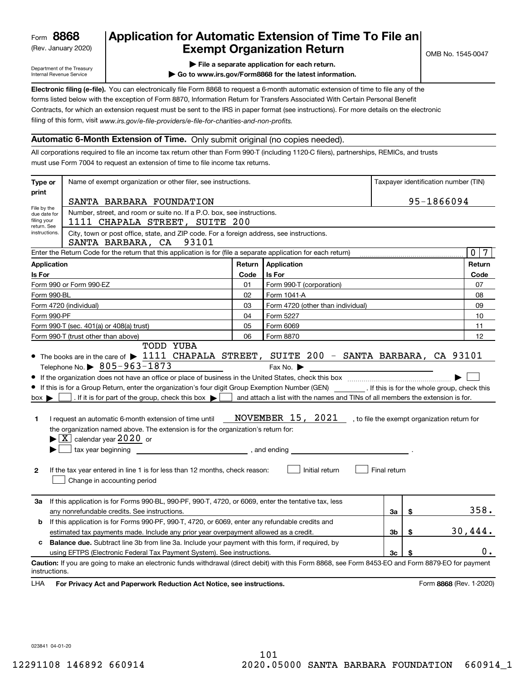(Rev. January 2020)

## **Application for Automatic Extension of Time To File an Exempt Organization Return**

Department of the Treasury Internal Revenue Service

- **| File a separate application for each return.**
- **| Go to www.irs.gov/Form8868 for the latest information.**

**Electronic filing (e-file).**  You can electronically file Form 8868 to request a 6-month automatic extension of time to file any of the filing of this form, visit www.irs.gov/e-file-providers/e-file-for-charities-and-non-profits. forms listed below with the exception of Form 8870, Information Return for Transfers Associated With Certain Personal Benefit Contracts, for which an extension request must be sent to the IRS in paper format (see instructions). For more details on the electronic

## **Automatic 6-Month Extension of Time.** Only submit original (no copies needed).

All corporations required to file an income tax return other than Form 990-T (including 1120-C filers), partnerships, REMICs, and trusts must use Form 7004 to request an extension of time to file income tax returns.

| Type or                                                                                                                                                                                                                                                                                                       | Name of exempt organization or other filer, see instructions.                                                                                                                                                                                                                                                                                                                                                                                                                                                                                                                                                                                                                               |        | Taxpayer identification number (TIN)                                                                              |                |                         |                 |  |  |  |  |
|---------------------------------------------------------------------------------------------------------------------------------------------------------------------------------------------------------------------------------------------------------------------------------------------------------------|---------------------------------------------------------------------------------------------------------------------------------------------------------------------------------------------------------------------------------------------------------------------------------------------------------------------------------------------------------------------------------------------------------------------------------------------------------------------------------------------------------------------------------------------------------------------------------------------------------------------------------------------------------------------------------------------|--------|-------------------------------------------------------------------------------------------------------------------|----------------|-------------------------|-----------------|--|--|--|--|
| print                                                                                                                                                                                                                                                                                                         | SANTA BARBARA FOUNDATION                                                                                                                                                                                                                                                                                                                                                                                                                                                                                                                                                                                                                                                                    |        | 95-1866094                                                                                                        |                |                         |                 |  |  |  |  |
| File by the<br>Number, street, and room or suite no. If a P.O. box, see instructions.<br>due date for<br>filing your<br>1111 CHAPALA STREET, SUITE 200<br>return. See<br>City, town or post office, state, and ZIP code. For a foreign address, see instructions.<br>instructions.<br>SANTA BARBARA, CA 93101 |                                                                                                                                                                                                                                                                                                                                                                                                                                                                                                                                                                                                                                                                                             |        |                                                                                                                   |                |                         |                 |  |  |  |  |
|                                                                                                                                                                                                                                                                                                               | Enter the Return Code for the return that this application is for (file a separate application for each return)                                                                                                                                                                                                                                                                                                                                                                                                                                                                                                                                                                             |        |                                                                                                                   |                |                         | 0 <sub>17</sub> |  |  |  |  |
| Application                                                                                                                                                                                                                                                                                                   |                                                                                                                                                                                                                                                                                                                                                                                                                                                                                                                                                                                                                                                                                             | Return | Application                                                                                                       |                |                         | Return          |  |  |  |  |
| Is For                                                                                                                                                                                                                                                                                                        |                                                                                                                                                                                                                                                                                                                                                                                                                                                                                                                                                                                                                                                                                             | Code   | Is For                                                                                                            |                |                         | Code            |  |  |  |  |
|                                                                                                                                                                                                                                                                                                               | Form 990 or Form 990-EZ                                                                                                                                                                                                                                                                                                                                                                                                                                                                                                                                                                                                                                                                     | 01     | Form 990-T (corporation)                                                                                          |                |                         | 07              |  |  |  |  |
|                                                                                                                                                                                                                                                                                                               | Form 990-BL                                                                                                                                                                                                                                                                                                                                                                                                                                                                                                                                                                                                                                                                                 | 02     | Form 1041-A                                                                                                       |                |                         | 08              |  |  |  |  |
|                                                                                                                                                                                                                                                                                                               | Form 4720 (individual)                                                                                                                                                                                                                                                                                                                                                                                                                                                                                                                                                                                                                                                                      | 03     | Form 4720 (other than individual)                                                                                 |                |                         | 09              |  |  |  |  |
|                                                                                                                                                                                                                                                                                                               | Form 990-PF                                                                                                                                                                                                                                                                                                                                                                                                                                                                                                                                                                                                                                                                                 | 04     | Form 5227                                                                                                         |                |                         | 10              |  |  |  |  |
|                                                                                                                                                                                                                                                                                                               | Form 990-T (sec. 401(a) or 408(a) trust)                                                                                                                                                                                                                                                                                                                                                                                                                                                                                                                                                                                                                                                    | 05     | Form 6069                                                                                                         |                |                         | 11              |  |  |  |  |
|                                                                                                                                                                                                                                                                                                               | Form 990-T (trust other than above)<br><b>TODD YUBA</b>                                                                                                                                                                                                                                                                                                                                                                                                                                                                                                                                                                                                                                     | 06     | Form 8870                                                                                                         |                |                         | 12              |  |  |  |  |
| $box \blacktriangleright$<br>1<br>$\mathbf{2}$                                                                                                                                                                                                                                                                | Telephone No. $\triangleright$ 805-963-1873<br>If this is for a Group Return, enter the organization's four digit Group Exemption Number (GEN) __________. If this is for the whole group, check this<br>. If it is for part of the group, check this box $\bullet$ $\bullet$ and attach a list with the names and TINs of all members the extension is for.<br>I request an automatic 6-month extension of time until<br>the organization named above. The extension is for the organization's return for:<br>$\blacktriangleright$ $\boxed{\text{X}}$ calendar year 2020 or<br>If the tax year entered in line 1 is for less than 12 months, check reason:<br>Change in accounting period |        | Fax No. $\blacktriangleright$<br>NOVEMBER 15, 2021 , to file the exempt organization return for<br>Initial return | Final return   |                         |                 |  |  |  |  |
| За                                                                                                                                                                                                                                                                                                            | If this application is for Forms 990-BL, 990-PF, 990-T, 4720, or 6069, enter the tentative tax, less                                                                                                                                                                                                                                                                                                                                                                                                                                                                                                                                                                                        |        |                                                                                                                   | За             | \$                      | 358.            |  |  |  |  |
| b                                                                                                                                                                                                                                                                                                             | any nonrefundable credits. See instructions.<br>If this application is for Forms 990-PF, 990-T, 4720, or 6069, enter any refundable credits and                                                                                                                                                                                                                                                                                                                                                                                                                                                                                                                                             |        |                                                                                                                   |                |                         |                 |  |  |  |  |
|                                                                                                                                                                                                                                                                                                               | estimated tax payments made. Include any prior year overpayment allowed as a credit.                                                                                                                                                                                                                                                                                                                                                                                                                                                                                                                                                                                                        |        |                                                                                                                   | 3 <sub>b</sub> | \$                      | 30,444.         |  |  |  |  |
| c.                                                                                                                                                                                                                                                                                                            | <b>Balance due.</b> Subtract line 3b from line 3a. Include your payment with this form, if required, by                                                                                                                                                                                                                                                                                                                                                                                                                                                                                                                                                                                     |        |                                                                                                                   |                |                         |                 |  |  |  |  |
|                                                                                                                                                                                                                                                                                                               | using EFTPS (Electronic Federal Tax Payment System). See instructions.                                                                                                                                                                                                                                                                                                                                                                                                                                                                                                                                                                                                                      |        |                                                                                                                   | Зc             | \$                      | 0.              |  |  |  |  |
| instructions.<br>LHA                                                                                                                                                                                                                                                                                          | Caution: If you are going to make an electronic funds withdrawal (direct debit) with this Form 8868, see Form 8453-EO and Form 8879-EO for payment<br>For Privacy Act and Paperwork Reduction Act Notice, see instructions.                                                                                                                                                                                                                                                                                                                                                                                                                                                                 |        |                                                                                                                   |                | Form 8868 (Rev. 1-2020) |                 |  |  |  |  |

023841 04-01-20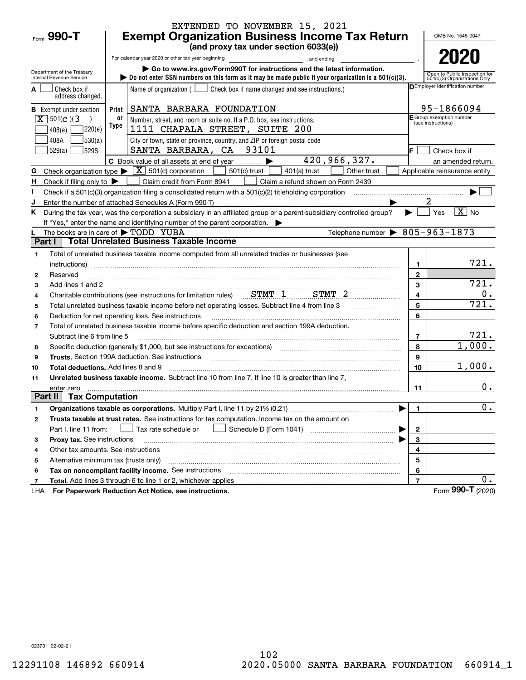|                                                          |                                                                         | EXTENDED TO NOVEMBER 15, 2021                                                                                                                                                                                                  |                         |                                                               |  |  |  |  |  |
|----------------------------------------------------------|-------------------------------------------------------------------------|--------------------------------------------------------------------------------------------------------------------------------------------------------------------------------------------------------------------------------|-------------------------|---------------------------------------------------------------|--|--|--|--|--|
| Form 990-T                                               |                                                                         | <b>Exempt Organization Business Income Tax Return</b>                                                                                                                                                                          |                         | OMB No. 1545-0047                                             |  |  |  |  |  |
|                                                          |                                                                         | (and proxy tax under section 6033(e))                                                                                                                                                                                          |                         |                                                               |  |  |  |  |  |
|                                                          |                                                                         | For calendar year 2020 or other tax year beginning<br>and ending<br>and ending<br>and ending                                                                                                                                   |                         | 2020                                                          |  |  |  |  |  |
| Department of the Treasury                               | Go to www.irs.gov/Form990T for instructions and the latest information. |                                                                                                                                                                                                                                |                         |                                                               |  |  |  |  |  |
| Internal Revenue Service                                 |                                                                         | bo not enter SSN numbers on this form as it may be made public if your organization is a $501(c)(3)$ .                                                                                                                         |                         | Open to Public Inspection for<br>501(c)(3) Organizations Only |  |  |  |  |  |
| Check box if<br>address changed.                         |                                                                         | Name of organization ( $\Box$ Check box if name changed and see instructions.)                                                                                                                                                 |                         | DEmployer identification number                               |  |  |  |  |  |
| <b>B</b> Exempt under section                            | Print                                                                   | SANTA BARBARA FOUNDATION                                                                                                                                                                                                       |                         | 95-1866094                                                    |  |  |  |  |  |
| $\boxed{\mathbf{X}}$ 501(c)(3                            | 0ľ                                                                      | Number, street, and room or suite no. If a P.O. box, see instructions.                                                                                                                                                         |                         | E Group exemption number<br>(see instructions)                |  |  |  |  |  |
| ]220(e)<br>408(e)                                        | Type                                                                    | 1111 CHAPALA STREET, SUITE 200                                                                                                                                                                                                 |                         |                                                               |  |  |  |  |  |
| 530(a) <br>408A                                          |                                                                         | City or town, state or province, country, and ZIP or foreign postal code                                                                                                                                                       |                         |                                                               |  |  |  |  |  |
| 529(a)<br>529S                                           |                                                                         | SANTA BARBARA, CA 93101                                                                                                                                                                                                        |                         | Check box if                                                  |  |  |  |  |  |
|                                                          |                                                                         | 420,966,327.<br>C Book value of all assets at end of year                                                                                                                                                                      |                         | an amended return.                                            |  |  |  |  |  |
| G                                                        |                                                                         | Check organization type $\blacktriangleright \boxed{\text{X}}$ 501(c) corporation  <br>501(c) trust<br>$401(a)$ trust<br>Other trust                                                                                           |                         | Applicable reinsurance entity                                 |  |  |  |  |  |
| Check if filing only to $\blacktriangleright$<br>н.      |                                                                         | Claim credit from Form 8941<br>Claim a refund shown on Form 2439                                                                                                                                                               |                         |                                                               |  |  |  |  |  |
|                                                          |                                                                         |                                                                                                                                                                                                                                |                         |                                                               |  |  |  |  |  |
| J                                                        |                                                                         | Enter the number of attached Schedules A (Form 990-T)                                                                                                                                                                          |                         |                                                               |  |  |  |  |  |
| K.                                                       |                                                                         | During the tax year, was the corporation a subsidiary in an affiliated group or a parent-subsidiary controlled group?                                                                                                          |                         | $\overline{X}$ No<br>Yes                                      |  |  |  |  |  |
|                                                          |                                                                         | If "Yes," enter the name and identifying number of the parent corporation.                                                                                                                                                     |                         |                                                               |  |  |  |  |  |
| The books are in care of $\blacktriangleright$ TODD YUBA |                                                                         | Telephone number $\triangleright$ 805-963-1873                                                                                                                                                                                 |                         |                                                               |  |  |  |  |  |
| Part I                                                   |                                                                         | <b>Total Unrelated Business Taxable Income</b>                                                                                                                                                                                 |                         |                                                               |  |  |  |  |  |
| 1                                                        |                                                                         | Total of unrelated business taxable income computed from all unrelated trades or businesses (see                                                                                                                               |                         |                                                               |  |  |  |  |  |
| instructions)                                            |                                                                         |                                                                                                                                                                                                                                | 1                       | 721.                                                          |  |  |  |  |  |
| Reserved<br>$\mathbf{2}$                                 |                                                                         |                                                                                                                                                                                                                                | $\mathbf{2}$            |                                                               |  |  |  |  |  |
| Add lines 1 and 2<br>3                                   |                                                                         |                                                                                                                                                                                                                                | 3                       | 721.                                                          |  |  |  |  |  |
| 4                                                        |                                                                         | Charitable contributions (see instructions for limitation rules) STMT 1 STMT 2                                                                                                                                                 | $\overline{\mathbf{4}}$ | 0.                                                            |  |  |  |  |  |
| 5                                                        |                                                                         |                                                                                                                                                                                                                                | 5                       | 721.                                                          |  |  |  |  |  |
| 6                                                        |                                                                         | Deduction for net operating loss. See instructions                                                                                                                                                                             | 6                       |                                                               |  |  |  |  |  |
| $\overline{7}$                                           |                                                                         | Total of unrelated business taxable income before specific deduction and section 199A deduction.                                                                                                                               |                         |                                                               |  |  |  |  |  |
| Subtract line 6 from line 5                              |                                                                         |                                                                                                                                                                                                                                | $\overline{7}$          | 721.                                                          |  |  |  |  |  |
| 8                                                        |                                                                         | Specific deduction (generally \$1,000, but see instructions for exceptions) [11] [11] [11] Specific deduction (generally \$1,000, but see instructions for exceptions) [11] [12] [12] [12] $\frac{1}{2}$                       | 8                       | 1,000.                                                        |  |  |  |  |  |
| 9                                                        |                                                                         | Trusts. Section 199A deduction. See instructions [11] material content content and the intervention of the intervention of the intervention of the intervention of the intervention of the intervention of the intervention of | 9                       |                                                               |  |  |  |  |  |
| <b>Total deductions.</b> Add lines 8 and 9<br>10         |                                                                         |                                                                                                                                                                                                                                | 10                      | 1,000.                                                        |  |  |  |  |  |
| 11                                                       |                                                                         | Unrelated business taxable income. Subtract line 10 from line 7. If line 10 is greater than line 7,                                                                                                                            |                         |                                                               |  |  |  |  |  |
| enter zero<br>Part II<br><b>Tax Computation</b>          |                                                                         |                                                                                                                                                                                                                                | 11                      | $0$ .                                                         |  |  |  |  |  |
|                                                          |                                                                         |                                                                                                                                                                                                                                |                         | $\overline{0}$ .                                              |  |  |  |  |  |
| 1                                                        |                                                                         |                                                                                                                                                                                                                                | 1.                      |                                                               |  |  |  |  |  |
| 2                                                        |                                                                         | Trusts taxable at trust rates. See instructions for tax computation. Income tax on the amount on                                                                                                                               |                         |                                                               |  |  |  |  |  |
| Part I, line 11 from:                                    |                                                                         | Tax rate schedule or                                                                                                                                                                                                           | $\mathbf 2$             |                                                               |  |  |  |  |  |
| Proxy tax. See instructions<br>з                         |                                                                         |                                                                                                                                                                                                                                | 3                       |                                                               |  |  |  |  |  |
| Other tax amounts. See instructions<br>4                 |                                                                         |                                                                                                                                                                                                                                | 4                       |                                                               |  |  |  |  |  |
| Alternative minimum tax (trusts only)<br>5               |                                                                         |                                                                                                                                                                                                                                | 5<br>6                  |                                                               |  |  |  |  |  |
| 6                                                        |                                                                         | Tax on noncompliant facility income. See instructions<br>Total. Add lines 3 through 6 to line 1 or 2, whichever applies                                                                                                        | $\overline{7}$          | 0.                                                            |  |  |  |  |  |
| 7<br>LHA                                                 |                                                                         | For Paperwork Reduction Act Notice, see instructions.                                                                                                                                                                          |                         | Form 990-T (2020)                                             |  |  |  |  |  |
|                                                          |                                                                         |                                                                                                                                                                                                                                |                         |                                                               |  |  |  |  |  |

LHA

023701 02-02-21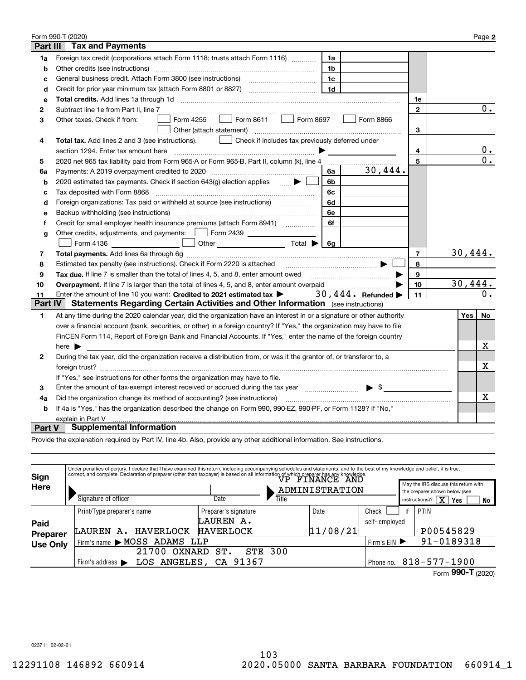|                | Form 990-T (2020)                                                                                                                                                                                                                                                                                                                                                                                                       |                | Page 2           |
|----------------|-------------------------------------------------------------------------------------------------------------------------------------------------------------------------------------------------------------------------------------------------------------------------------------------------------------------------------------------------------------------------------------------------------------------------|----------------|------------------|
| Part III       | <b>Tax and Payments</b>                                                                                                                                                                                                                                                                                                                                                                                                 |                |                  |
| 1a             | Foreign tax credit (corporations attach Form 1118; trusts attach Form 1116)<br>1a                                                                                                                                                                                                                                                                                                                                       |                |                  |
| b              | Other credits (see instructions)<br>1b                                                                                                                                                                                                                                                                                                                                                                                  |                |                  |
| c              | 1c                                                                                                                                                                                                                                                                                                                                                                                                                      |                |                  |
| d              | 1 <sub>d</sub>                                                                                                                                                                                                                                                                                                                                                                                                          |                |                  |
| е              |                                                                                                                                                                                                                                                                                                                                                                                                                         | 1е             |                  |
| 2              | Subtract line 1e from Part II, line 7                                                                                                                                                                                                                                                                                                                                                                                   | $\mathbf{2}$   | $\overline{0}$ . |
| з              | Form 8611<br>Form 8697<br>Form 4255<br>Form 8866<br>Other taxes. Check if from:<br><b>The Contract</b><br>$\mathbf{L}$                                                                                                                                                                                                                                                                                                  |                |                  |
|                | Other (attach statement)                                                                                                                                                                                                                                                                                                                                                                                                | 3              |                  |
| 4              | Check if includes tax previously deferred under<br>Total tax. Add lines 2 and 3 (see instructions).                                                                                                                                                                                                                                                                                                                     |                |                  |
|                | section 1294. Enter tax amount here<br>$\begin{picture}(20,10) \put(0,0){\vector(1,0){10}} \put(1,0){\vector(1,0){10}} \put(1,0){\vector(1,0){10}} \put(1,0){\vector(1,0){10}} \put(1,0){\vector(1,0){10}} \put(1,0){\vector(1,0){10}} \put(1,0){\vector(1,0){10}} \put(1,0){\vector(1,0){10}} \put(1,0){\vector(1,0){10}} \put(1,0){\vector(1,0){10}} \put(1,0){\vector(1,0){10}} \put(1,0){\vector(1,0){10}} \put(1,$ | 4              | 0.               |
| 5              | 2020 net 965 tax liability paid from Form 965-A or Form 965-B, Part II, column (k), line 4                                                                                                                                                                                                                                                                                                                              | 5              | 0.               |
| 6a             | 30,444.<br>Payments: A 2019 overpayment credited to 2020 [11] [11] maximum materials and Payments: A 2019 overpayment credited to 2020 [11] maximum materials and Payments: A<br>6a                                                                                                                                                                                                                                     |                |                  |
| b              | 2020 estimated tax payments. Check if section 643(g) election applies $\qquad \qquad \bullet$<br>6b                                                                                                                                                                                                                                                                                                                     |                |                  |
| c              | Tax deposited with Form 8868<br>6с                                                                                                                                                                                                                                                                                                                                                                                      |                |                  |
| d              | Foreign organizations: Tax paid or withheld at source (see instructions) [<br>6d                                                                                                                                                                                                                                                                                                                                        |                |                  |
| e              | 6e                                                                                                                                                                                                                                                                                                                                                                                                                      |                |                  |
| f              | 6f                                                                                                                                                                                                                                                                                                                                                                                                                      |                |                  |
| g              | Other credits, adjustments, and payments:   Form 2439 _ _ _ _ _ _ _                                                                                                                                                                                                                                                                                                                                                     |                |                  |
|                | Other $\overline{\hspace{1cm}}$ Total $\blacktriangleright$ $\overline{\hspace{1cm}}$ 6g<br>Form 4136                                                                                                                                                                                                                                                                                                                   |                |                  |
| 7              |                                                                                                                                                                                                                                                                                                                                                                                                                         | $\overline{7}$ | 30,444.          |
| 8              | Estimated tax penalty (see instructions). Check if Form 2220 is attached                                                                                                                                                                                                                                                                                                                                                | 8              |                  |
| 9              | Tax due, If line 7 is smaller than the total of lines 4, 5, and 8, enter amount owed                                                                                                                                                                                                                                                                                                                                    | 9              |                  |
| 10             | Overpayment. If line 7 is larger than the total of lines 4, 5, and 8, enter amount overpaid manufactures.                                                                                                                                                                                                                                                                                                               | 10             | 30,444.          |
| 11             | 30, $444$ . Refunded<br>Enter the amount of line 10 you want: Credited to 2021 estimated tax                                                                                                                                                                                                                                                                                                                            | 11             | 0.               |
| <b>Part IV</b> | <b>Statements Regarding Certain Activities and Other Information</b> (see instructions)                                                                                                                                                                                                                                                                                                                                 |                |                  |
| 1              | At any time during the 2020 calendar year, did the organization have an interest in or a signature or other authority                                                                                                                                                                                                                                                                                                   |                | Yes<br>No        |
|                | over a financial account (bank, securities, or other) in a foreign country? If "Yes," the organization may have to file                                                                                                                                                                                                                                                                                                 |                |                  |
|                | FinCEN Form 114, Report of Foreign Bank and Financial Accounts. If "Yes," enter the name of the foreign country                                                                                                                                                                                                                                                                                                         |                |                  |
|                | here $\blacktriangleright$                                                                                                                                                                                                                                                                                                                                                                                              |                | х                |
| 2              | During the tax vear, did the organization receive a distribution from, or was it the grantor of, or transferor to, a                                                                                                                                                                                                                                                                                                    |                |                  |
|                |                                                                                                                                                                                                                                                                                                                                                                                                                         |                | х                |
|                | If "Yes," see instructions for other forms the organization may have to file.                                                                                                                                                                                                                                                                                                                                           |                |                  |
| з              | Enter the amount of tax-exempt interest received or accrued during the tax year $\Box$ $\bullet$ $\Box$                                                                                                                                                                                                                                                                                                                 |                |                  |
| 4a             | Did the organization change its method of accounting? (see instructions)                                                                                                                                                                                                                                                                                                                                                |                | x.               |
| b              | If 4a is "Yes," has the organization described the change on Form 990, 990-EZ, 990-PF, or Form 1128? If "No,"                                                                                                                                                                                                                                                                                                           |                |                  |
|                | explain in Part V                                                                                                                                                                                                                                                                                                                                                                                                       |                |                  |
| <b>Part V</b>  | <b>Supplemental Information</b>                                                                                                                                                                                                                                                                                                                                                                                         |                |                  |

Provide the explanation required by Part IV, line 4b. Also, provide any other additional information. See instructions.

| Sign            |                                      | Under penalties of perjury, I declare that I have examined this return, including accompanying schedules and statements, and to the best of my knowledge and belief, it is true,<br>Figure 2.1 and complete. Declaration of preparer (other than taxpayer) is based on all information of which preparer has any knowledge.<br>FINANCE AND |                       |  |                |               |            |                                                                                                                     |
|-----------------|--------------------------------------|--------------------------------------------------------------------------------------------------------------------------------------------------------------------------------------------------------------------------------------------------------------------------------------------------------------------------------------------|-----------------------|--|----------------|---------------|------------|---------------------------------------------------------------------------------------------------------------------|
| Here            | Signature of officer                 |                                                                                                                                                                                                                                                                                                                                            | Title<br>Date         |  | ADMINISTRATION |               |            | May the IRS discuss this return with<br>the preparer shown below (see<br>instructions)? $\boxed{\mathbf{X}}$<br>Yes |
|                 |                                      |                                                                                                                                                                                                                                                                                                                                            | Preparer's signature  |  | Date           | Check         | if         | No<br>PTIN                                                                                                          |
| Paid            | Print/Type preparer's name           |                                                                                                                                                                                                                                                                                                                                            | LAUREN A.             |  |                | self-employed |            |                                                                                                                     |
| Preparer        | LAUREN<br>А.                         | HAVERLOCK                                                                                                                                                                                                                                                                                                                                  | <b>HAVERLOCK</b>      |  | 11/08/21       |               |            | P00545829                                                                                                           |
| <b>Use Only</b> |                                      | Firm's name MOSS ADAMS LLP                                                                                                                                                                                                                                                                                                                 |                       |  | Firm's $EIN$   |               | 91-0189318 |                                                                                                                     |
|                 | 300<br>21700<br>ST.<br>STE<br>OXNARD |                                                                                                                                                                                                                                                                                                                                            |                       |  |                |               |            |                                                                                                                     |
|                 | Firm's address $\blacktriangleright$ |                                                                                                                                                                                                                                                                                                                                            | LOS ANGELES, CA 91367 |  |                | Phone no.     |            | $818 - 577 - 1900$                                                                                                  |
|                 |                                      |                                                                                                                                                                                                                                                                                                                                            |                       |  |                |               |            | Form $990 - T$ (2020)                                                                                               |

023711 02-02-21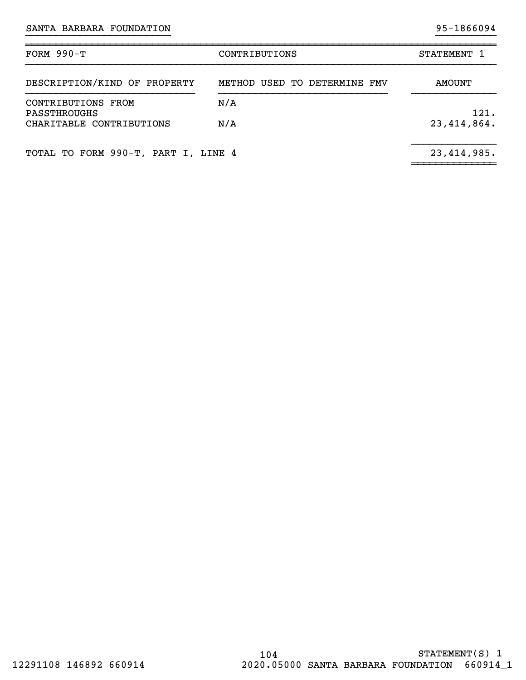| FORM $990-T$                             | STATEMENT 1                  |                       |
|------------------------------------------|------------------------------|-----------------------|
| DESCRIPTION/KIND OF PROPERTY             | METHOD USED TO DETERMINE FMV | AMOUNT                |
| CONTRIBUTIONS FROM                       | N/A                          |                       |
| PASSTHROUGHS<br>CHARITABLE CONTRIBUTIONS | N/A                          | 121.<br>23, 414, 864. |
| TOTAL TO FORM 990-T, PART I, LINE 4      |                              | 23, 414, 985.         |

}}}}}}}}}}}}}}}}}}}}}}}} }}}}}}}}}}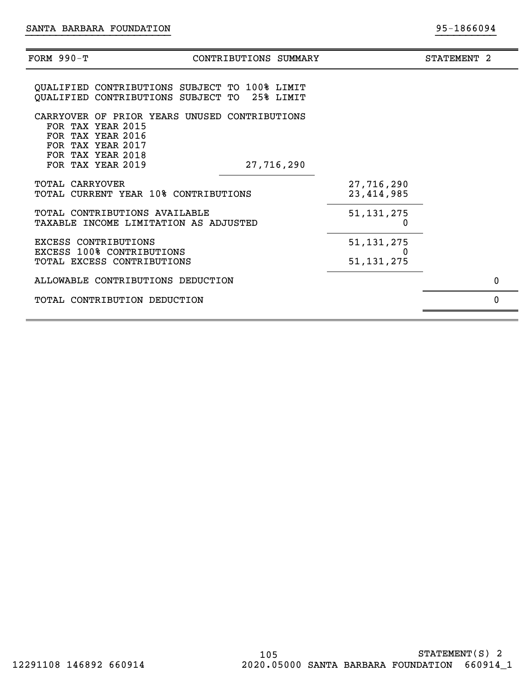| FORM 990-Т             | CONTRIBUTIONS SUMMARY                                                                                                                                                | STATEMENT <sub>2</sub> |
|------------------------|----------------------------------------------------------------------------------------------------------------------------------------------------------------------|------------------------|
|                        | QUALIFIED CONTRIBUTIONS SUBJECT TO 100% LIMIT<br>QUALIFIED CONTRIBUTIONS SUBJECT TO 25% LIMIT                                                                        |                        |
|                        | CARRYOVER OF PRIOR YEARS UNUSED CONTRIBUTIONS<br>FOR TAX YEAR 2015<br>FOR TAX YEAR 2016<br>FOR TAX YEAR 2017<br>FOR TAX YEAR 2018<br>FOR TAX YEAR 2019<br>27,716,290 |                        |
| <b>TOTAL CARRYOVER</b> | 27,716,290<br>TOTAL CURRENT YEAR 10% CONTRIBUTIONS<br>23, 414, 985                                                                                                   |                        |
|                        | TOTAL CONTRIBUTIONS AVAILABLE<br>51, 131, 275<br>TAXABLE INCOME LIMITATION AS ADJUSTED<br>0                                                                          |                        |
|                        | <b>EXCESS CONTRIBUTIONS</b><br>51, 131, 275<br>EXCESS 100% CONTRIBUTIONS<br>TOTAL EXCESS CONTRIBUTIONS<br>51, 131, 275                                               |                        |
|                        | ALLOWABLE CONTRIBUTIONS DEDUCTION                                                                                                                                    | 0                      |
|                        | TOTAL CONTRIBUTION DEDUCTION                                                                                                                                         | $\Omega$               |
|                        |                                                                                                                                                                      |                        |

}}}}}}}}}}}}}}}}}}}}}}}} }}}}}}}}}}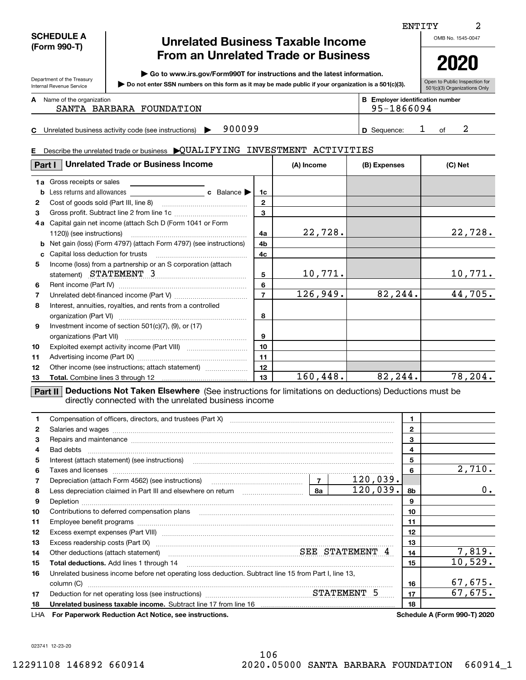| <b>SCHEDULE A</b> |
|-------------------|
| (Form 990-T)      |

Department of the Treasury Internal Revenue Service

**C**

## **Unrelated Business Taxable Income From an Unrelated Trade or Business**

**| Go to www.irs.gov/Form990T for instructions and the latest information.**

**Do not enter SSN numbers on this form as it may be made public if your organization is a 501(c)(3). |** 

Open to Public Inspection for 501(c)(3) Organizations Only

ENTITY

**A**

| Name of the organization<br>SANTA BARBARA FOUNDATION          | <b>B</b> Employer identification number<br>95-1866094 |  |  |
|---------------------------------------------------------------|-------------------------------------------------------|--|--|
| 900099<br>Unrelated business activity code (see instructions) | D Sequence:                                           |  |  |

#### **E**Describe the unrelated trade or business  $\blacktriangleright \text{QUALIFYING}$  INVESTMENT  $\text{ACTIVITIES}$

| Part I | <b>Unrelated Trade or Business Income</b>                                  | (A) Income     | (B) Expenses | (C) Net |         |
|--------|----------------------------------------------------------------------------|----------------|--------------|---------|---------|
|        | <b>1a</b> Gross receipts or sales                                          |                |              |         |         |
| b      |                                                                            | 1c             |              |         |         |
| 2      |                                                                            | $\mathbf{2}$   |              |         |         |
| 3      |                                                                            | 3              |              |         |         |
| 4a     | Capital gain net income (attach Sch D (Form 1041 or Form                   |                |              |         |         |
|        |                                                                            | 4a             | 22,728.      |         | 22,728. |
|        | <b>b</b> Net gain (loss) (Form 4797) (attach Form 4797) (see instructions) | 4b             |              |         |         |
| c      |                                                                            | 4c             |              |         |         |
| 5      | Income (loss) from a partnership or an S corporation (attach               |                |              |         |         |
|        | statement) STATEMENT 3                                                     | 5              | 10,771.      |         | 10,771. |
| 6      |                                                                            | 6              |              |         |         |
| 7      |                                                                            | $\overline{7}$ | 126,949.     | 82,244. | 44,705. |
| 8      | Interest, annuities, royalties, and rents from a controlled                |                |              |         |         |
|        |                                                                            | 8              |              |         |         |
| 9      | Investment income of section 501(c)(7), (9), or (17)                       |                |              |         |         |
|        |                                                                            | 9              |              |         |         |
| 10     |                                                                            | 10             |              |         |         |
| 11     |                                                                            | 11             |              |         |         |
| 12     | Other income (see instructions; attach statement)                          | 12             |              |         |         |
| 13     |                                                                            | 13             | 160,448.     | 82,244. | 78,204. |

**Part II Deductions Not Taken Elsewhere** (See instructions for limitations on deductions) Deductions must be directly connected with the unrelated business income

|    |                                                                                                                                                                                                                                | 1.           |                                     |
|----|--------------------------------------------------------------------------------------------------------------------------------------------------------------------------------------------------------------------------------|--------------|-------------------------------------|
| 2  | Salaries and wages with the continuum control of the control of the control of the control of the control of the control of the control of the control of the control of the control of the control of the control of the cont | $\mathbf{2}$ |                                     |
| 3  | Repairs and maintenance material content and maintenance material content and maintenance material content and                                                                                                                 | 3            |                                     |
| 4  |                                                                                                                                                                                                                                | 4            |                                     |
| 5  |                                                                                                                                                                                                                                | 5            |                                     |
| 6  | Taxes and licenses <b>with a construction of the construction of the construction of the construction</b>                                                                                                                      | 6            | 2,710.                              |
| 7  | Depreciation (attach Form 4562) (see instructions)<br>Depreciation (attach Form 4562) (see instructions)<br>120,039.                                                                                                           |              |                                     |
| 8  | 120,039.<br>  8a                                                                                                                                                                                                               | 8b           | 0.                                  |
| 9  |                                                                                                                                                                                                                                | 9            |                                     |
| 10 |                                                                                                                                                                                                                                | 10           |                                     |
| 11 |                                                                                                                                                                                                                                | 11           |                                     |
| 12 |                                                                                                                                                                                                                                | 12           |                                     |
| 13 |                                                                                                                                                                                                                                | 13           |                                     |
| 14 | Other deductions (attach statement) material material material SEE STATEMENT 4                                                                                                                                                 | 14           | 7,819.                              |
| 15 | <b>Total deductions.</b> Add lines 1 through 14                                                                                                                                                                                | 15           | 10,529.                             |
| 16 | Unrelated business income before net operating loss deduction. Subtract line 15 from Part I, line 13,                                                                                                                          |              |                                     |
|    | column (C)                                                                                                                                                                                                                     | 16           | 67,675.                             |
| 17 | Deduction for net operating loss (see instructions) manufactured and STATEMENT 5                                                                                                                                               | 17           | 67,675.                             |
| 18 |                                                                                                                                                                                                                                | 18           |                                     |
|    | LHA For Paperwork Reduction Act Notice, see instructions.                                                                                                                                                                      |              | <b>Schedule A (Form 990-T) 2020</b> |

2

**2020**

023741 12-23-20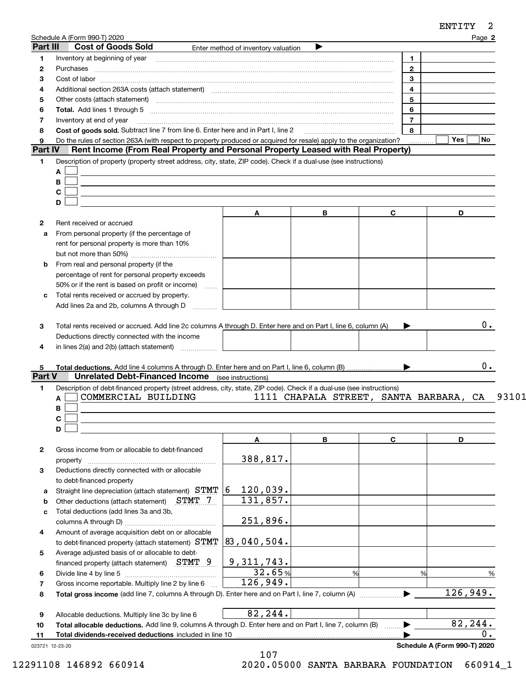|                                           | Part III<br><b>Cost of Goods Sold</b>                                                                                                                                                                                     | Enter method of inventory valuation          | ▶ |                         |                    |
|-------------------------------------------|---------------------------------------------------------------------------------------------------------------------------------------------------------------------------------------------------------------------------|----------------------------------------------|---|-------------------------|--------------------|
| 1.                                        | Inventory at beginning of year encouragement and the material control of year and the material control of year                                                                                                            |                                              |   | $\mathbf{1}$            |                    |
| 2                                         |                                                                                                                                                                                                                           |                                              |   | $\overline{2}$          |                    |
| 3                                         |                                                                                                                                                                                                                           |                                              |   | 3                       |                    |
| 4                                         | Additional section 263A costs (attach statement) material content and according to the Additional section 263A                                                                                                            |                                              |   | $\overline{\mathbf{4}}$ |                    |
| 5                                         |                                                                                                                                                                                                                           |                                              |   | 5                       |                    |
| 6                                         |                                                                                                                                                                                                                           |                                              |   | 6                       |                    |
| 7                                         | Inventory at end of year                                                                                                                                                                                                  |                                              |   | $\overline{7}$          |                    |
| 8                                         | Cost of goods sold. Subtract line 7 from line 6. Enter here and in Part I, line 2 [11] [11] Cost of goods sold. Subtract line 7 from line 6. Enter here and in Part I, line 2                                             |                                              |   | 8                       |                    |
| 9                                         | Do the rules of section 263A (with respect to property produced or acquired for resale) apply to the organization?                                                                                                        |                                              |   |                         | Yes $ $<br>No      |
| Part IV                                   | Rent Income (From Real Property and Personal Property Leased with Real Property)                                                                                                                                          |                                              |   |                         |                    |
| 1.                                        | Description of property (property street address, city, state, ZIP code). Check if a dual-use (see instructions)                                                                                                          |                                              |   |                         |                    |
|                                           | A                                                                                                                                                                                                                         |                                              |   |                         |                    |
|                                           | В                                                                                                                                                                                                                         |                                              |   |                         |                    |
|                                           | C                                                                                                                                                                                                                         |                                              |   |                         |                    |
|                                           | D                                                                                                                                                                                                                         |                                              |   |                         |                    |
|                                           |                                                                                                                                                                                                                           | A                                            | В | C.                      | D                  |
|                                           | Rent received or accrued                                                                                                                                                                                                  |                                              |   |                         |                    |
| $\mathbf{2}$                              |                                                                                                                                                                                                                           |                                              |   |                         |                    |
| a                                         | From personal property (if the percentage of<br>rent for personal property is more than 10%                                                                                                                               |                                              |   |                         |                    |
|                                           |                                                                                                                                                                                                                           |                                              |   |                         |                    |
|                                           |                                                                                                                                                                                                                           |                                              |   |                         |                    |
| b                                         | From real and personal property (if the                                                                                                                                                                                   |                                              |   |                         |                    |
|                                           | percentage of rent for personal property exceeds                                                                                                                                                                          |                                              |   |                         |                    |
|                                           | 50% or if the rent is based on profit or income)                                                                                                                                                                          |                                              |   |                         |                    |
| c                                         | Total rents received or accrued by property.<br>Add lines 2a and 2b, columns A through D                                                                                                                                  |                                              |   |                         |                    |
|                                           |                                                                                                                                                                                                                           |                                              |   |                         |                    |
|                                           | Total rents received or accrued. Add line 2c columns A through D. Enter here and on Part I, line 6, column (A)<br>Deductions directly connected with the income<br>in lines $2(a)$ and $2(b)$ (attach statement) $\ldots$ |                                              |   |                         | 0.                 |
|                                           |                                                                                                                                                                                                                           |                                              |   |                         |                    |
| 3<br>4<br>5.<br>Part V                    |                                                                                                                                                                                                                           |                                              |   |                         |                    |
| 1.                                        | <b>Unrelated Debt-Financed Income</b> (see instructions)                                                                                                                                                                  |                                              |   |                         |                    |
|                                           | Description of debt-financed property (street address, city, state, ZIP code). Check if a dual-use (see instructions)<br>COMMERCIAL BUILDING<br>A                                                                         | 1111 CHAPALA STREET, SANTA BARBARA, CA 93101 |   |                         |                    |
|                                           | В                                                                                                                                                                                                                         |                                              |   |                         |                    |
|                                           |                                                                                                                                                                                                                           |                                              |   |                         |                    |
|                                           | C.<br>D                                                                                                                                                                                                                   |                                              |   |                         |                    |
|                                           |                                                                                                                                                                                                                           | A                                            | B | C                       | D                  |
|                                           | Gross income from or allocable to debt-financed                                                                                                                                                                           |                                              |   |                         |                    |
|                                           |                                                                                                                                                                                                                           |                                              |   |                         |                    |
|                                           |                                                                                                                                                                                                                           | 388,817.                                     |   |                         |                    |
|                                           | Deductions directly connected with or allocable                                                                                                                                                                           |                                              |   |                         |                    |
|                                           | to debt-financed property                                                                                                                                                                                                 | 16                                           |   |                         |                    |
|                                           | Straight line depreciation (attach statement) STMT                                                                                                                                                                        | 120,039.                                     |   |                         |                    |
|                                           | STMT 7<br>Other deductions (attach statement)                                                                                                                                                                             | 131,857.                                     |   |                         |                    |
|                                           | Total deductions (add lines 3a and 3b,                                                                                                                                                                                    |                                              |   |                         |                    |
|                                           |                                                                                                                                                                                                                           | 251,896.                                     |   |                         |                    |
|                                           | Amount of average acquisition debt on or allocable                                                                                                                                                                        |                                              |   |                         |                    |
|                                           | to debt-financed property (attach statement) STMT                                                                                                                                                                         | 83,040,504.                                  |   |                         |                    |
|                                           | Average adjusted basis of or allocable to debt-                                                                                                                                                                           |                                              |   |                         |                    |
|                                           | financed property (attach statement) STMT 9                                                                                                                                                                               | 9,311,743.                                   |   |                         |                    |
|                                           |                                                                                                                                                                                                                           | 32.65%                                       | % | $\frac{1}{2}$           |                    |
| 2<br>з<br>а<br>b<br>c<br>4<br>5<br>6<br>7 | Gross income reportable. Multiply line 2 by line 6                                                                                                                                                                        | 126,949.                                     |   |                         |                    |
| 8                                         |                                                                                                                                                                                                                           |                                              |   |                         | 126,949.           |
|                                           |                                                                                                                                                                                                                           |                                              |   |                         |                    |
| 9<br>10                                   | Allocable deductions. Multiply line 3c by line 6<br>Total allocable deductions. Add line 9, columns A through D. Enter here and on Part I, line 7, column (B)                                                             | 82,244.                                      |   |                         | 0.<br>%<br>82,244. |

023721 12-23-20

ENTITY 2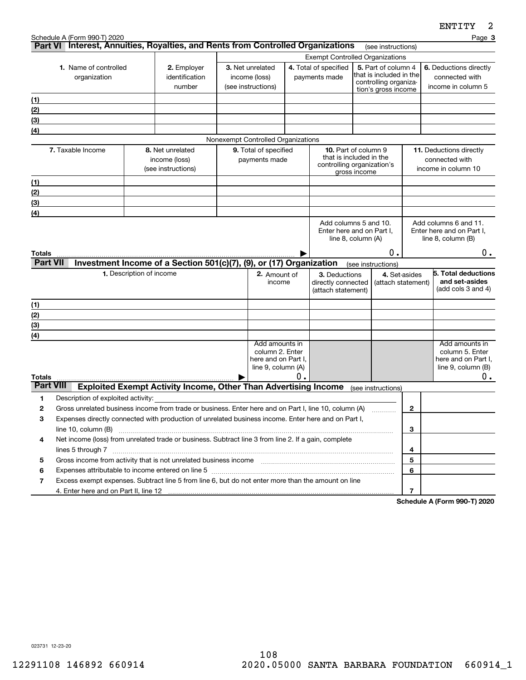|                           | Schedule A (Form 990-T) 2020<br>Part VI Interest, Annuities, Royalties, and Rents from Controlled Organizations                                                                                                                              |                          |                                                                        |                                                                            |                                                                                |    |                                                                                                      |                                                                                                                                          |                                     |                                                                         |                                                                | Page 3                                                                         |
|---------------------------|----------------------------------------------------------------------------------------------------------------------------------------------------------------------------------------------------------------------------------------------|--------------------------|------------------------------------------------------------------------|----------------------------------------------------------------------------|--------------------------------------------------------------------------------|----|------------------------------------------------------------------------------------------------------|------------------------------------------------------------------------------------------------------------------------------------------|-------------------------------------|-------------------------------------------------------------------------|----------------------------------------------------------------|--------------------------------------------------------------------------------|
|                           |                                                                                                                                                                                                                                              |                          |                                                                        |                                                                            |                                                                                |    |                                                                                                      |                                                                                                                                          | (see instructions)                  |                                                                         |                                                                |                                                                                |
|                           | <b>1.</b> Name of controlled<br>organization                                                                                                                                                                                                 |                          | 2. Employer<br>identification<br>number                                | 3. Net unrelated<br>income (loss)<br>(see instructions)                    |                                                                                |    | 4. Total of specified<br>payments made                                                               | <b>Exempt Controlled Organizations</b><br>5. Part of column 4<br>that is included in the<br>controlling organiza-<br>tion's gross income |                                     |                                                                         | 6. Deductions directly<br>connected with<br>income in column 5 |                                                                                |
| (1)                       |                                                                                                                                                                                                                                              |                          |                                                                        |                                                                            |                                                                                |    |                                                                                                      |                                                                                                                                          |                                     |                                                                         |                                                                |                                                                                |
| (2)                       |                                                                                                                                                                                                                                              |                          |                                                                        |                                                                            |                                                                                |    |                                                                                                      |                                                                                                                                          |                                     |                                                                         |                                                                |                                                                                |
| (3)                       |                                                                                                                                                                                                                                              |                          |                                                                        |                                                                            |                                                                                |    |                                                                                                      |                                                                                                                                          |                                     |                                                                         |                                                                |                                                                                |
| (4)                       |                                                                                                                                                                                                                                              |                          |                                                                        |                                                                            |                                                                                |    |                                                                                                      |                                                                                                                                          |                                     |                                                                         |                                                                |                                                                                |
|                           |                                                                                                                                                                                                                                              |                          |                                                                        |                                                                            | Nonexempt Controlled Organizations                                             |    |                                                                                                      |                                                                                                                                          |                                     |                                                                         |                                                                |                                                                                |
|                           | 7. Taxable Income                                                                                                                                                                                                                            |                          | 8. Net unrelated<br>income (loss)<br>(see instructions)                | 9. Total of specified<br>payments made                                     |                                                                                |    | <b>10.</b> Part of column 9<br>that is included in the<br>controlling organization's<br>gross income |                                                                                                                                          |                                     | <b>11.</b> Deductions directly<br>connected with<br>income in column 10 |                                                                |                                                                                |
| (1)                       |                                                                                                                                                                                                                                              |                          |                                                                        |                                                                            |                                                                                |    |                                                                                                      |                                                                                                                                          |                                     |                                                                         |                                                                |                                                                                |
| (2)                       |                                                                                                                                                                                                                                              |                          |                                                                        |                                                                            |                                                                                |    |                                                                                                      |                                                                                                                                          |                                     |                                                                         |                                                                |                                                                                |
| (3)                       |                                                                                                                                                                                                                                              |                          |                                                                        |                                                                            |                                                                                |    |                                                                                                      |                                                                                                                                          |                                     |                                                                         |                                                                |                                                                                |
| (4)                       |                                                                                                                                                                                                                                              |                          |                                                                        |                                                                            |                                                                                |    |                                                                                                      |                                                                                                                                          |                                     |                                                                         |                                                                |                                                                                |
|                           |                                                                                                                                                                                                                                              |                          |                                                                        | Add columns 5 and 10.<br>Enter here and on Part I,<br>line 8, column $(A)$ |                                                                                |    |                                                                                                      | Add columns 6 and 11.<br>Enter here and on Part I.<br>line $8$ , column $(B)$                                                            |                                     |                                                                         |                                                                |                                                                                |
| Totals<br><b>Part VII</b> |                                                                                                                                                                                                                                              |                          | Investment Income of a Section 501(c)(7), (9), or (17) Organization    |                                                                            |                                                                                |    |                                                                                                      | (see instructions)                                                                                                                       | Ο.                                  |                                                                         |                                                                | 0.                                                                             |
|                           |                                                                                                                                                                                                                                              | 1. Description of income |                                                                        |                                                                            | 2. Amount of<br>income                                                         |    | 3. Deductions<br>directly connected<br>(attach statement)                                            |                                                                                                                                          | 4. Set-asides<br>(attach statement) |                                                                         |                                                                | 5. Total deductions<br>and set-asides<br>(add cols $3$ and $4$ )               |
| (1)                       |                                                                                                                                                                                                                                              |                          |                                                                        |                                                                            |                                                                                |    |                                                                                                      |                                                                                                                                          |                                     |                                                                         |                                                                |                                                                                |
| (2)                       |                                                                                                                                                                                                                                              |                          |                                                                        |                                                                            |                                                                                |    |                                                                                                      |                                                                                                                                          |                                     |                                                                         |                                                                |                                                                                |
| (3)                       |                                                                                                                                                                                                                                              |                          |                                                                        |                                                                            |                                                                                |    |                                                                                                      |                                                                                                                                          |                                     |                                                                         |                                                                |                                                                                |
| (4)                       |                                                                                                                                                                                                                                              |                          |                                                                        |                                                                            |                                                                                |    |                                                                                                      |                                                                                                                                          |                                     |                                                                         |                                                                |                                                                                |
|                           |                                                                                                                                                                                                                                              |                          |                                                                        |                                                                            | Add amounts in<br>column 2. Enter<br>here and on Part I.<br>line 9, column (A) |    |                                                                                                      |                                                                                                                                          |                                     |                                                                         |                                                                | Add amounts in<br>column 5. Enter<br>here and on Part I,<br>line 9, column (B) |
| Totals                    |                                                                                                                                                                                                                                              |                          |                                                                        |                                                                            |                                                                                | Ο. |                                                                                                      |                                                                                                                                          |                                     |                                                                         |                                                                | 0.                                                                             |
| <b>Part VIII</b>          |                                                                                                                                                                                                                                              |                          | <b>Exploited Exempt Activity Income, Other Than Advertising Income</b> |                                                                            |                                                                                |    |                                                                                                      |                                                                                                                                          | (see instructions)                  |                                                                         |                                                                |                                                                                |
| 1                         | Description of exploited activity:                                                                                                                                                                                                           |                          |                                                                        |                                                                            |                                                                                |    |                                                                                                      |                                                                                                                                          |                                     |                                                                         |                                                                |                                                                                |
| 2                         | Gross unrelated business income from trade or business. Enter here and on Part I, line 10, column (A)                                                                                                                                        |                          |                                                                        |                                                                            |                                                                                |    |                                                                                                      |                                                                                                                                          | .                                   | 2                                                                       |                                                                |                                                                                |
|                           | Expenses directly connected with production of unrelated business income. Enter here and on Part I,<br>з<br>line 10, column (B)<br>Net income (loss) from unrelated trade or business. Subtract line 3 from line 2. If a gain, complete<br>4 |                          |                                                                        |                                                                            |                                                                                |    |                                                                                                      |                                                                                                                                          |                                     |                                                                         |                                                                |                                                                                |
|                           |                                                                                                                                                                                                                                              |                          |                                                                        |                                                                            |                                                                                |    |                                                                                                      |                                                                                                                                          | 3                                   |                                                                         |                                                                |                                                                                |
|                           |                                                                                                                                                                                                                                              |                          |                                                                        |                                                                            |                                                                                |    |                                                                                                      |                                                                                                                                          |                                     |                                                                         |                                                                |                                                                                |
|                           | lines 5 through 7                                                                                                                                                                                                                            |                          |                                                                        |                                                                            |                                                                                |    |                                                                                                      |                                                                                                                                          |                                     | 4                                                                       |                                                                |                                                                                |
| 5                         |                                                                                                                                                                                                                                              |                          |                                                                        |                                                                            |                                                                                |    | 5<br>6                                                                                               |                                                                                                                                          |                                     |                                                                         |                                                                |                                                                                |
| 6                         |                                                                                                                                                                                                                                              |                          |                                                                        |                                                                            |                                                                                |    |                                                                                                      |                                                                                                                                          |                                     |                                                                         |                                                                |                                                                                |
|                           | Excess exempt expenses. Subtract line 5 from line 6, but do not enter more than the amount on line<br>7                                                                                                                                      |                          |                                                                        |                                                                            |                                                                                |    |                                                                                                      |                                                                                                                                          |                                     | 7                                                                       |                                                                |                                                                                |
|                           |                                                                                                                                                                                                                                              |                          |                                                                        |                                                                            |                                                                                |    |                                                                                                      |                                                                                                                                          |                                     |                                                                         |                                                                | $O_{\text{sh}}$ and a $H_{\text{h}}$ and $O(0.7)$ 0000                         |

**Schedule A (Form 990-T) 2020**

023731 12-23-20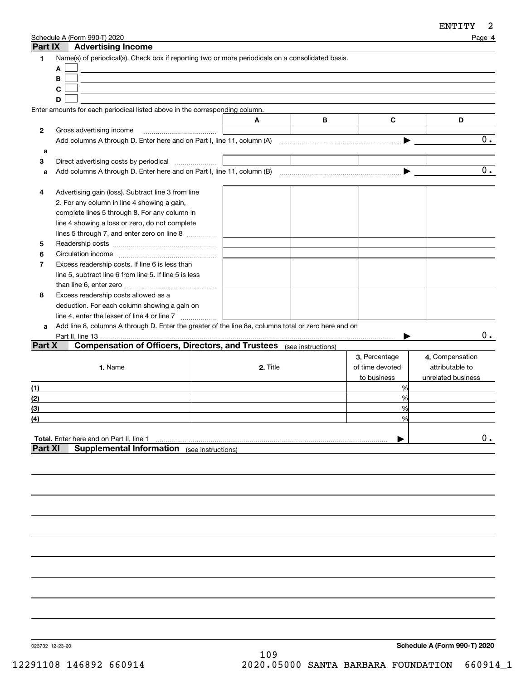| Part IX        | Schedule A (Form 990-T) 2020<br><b>Advertising Income</b>                                            |                    |          |   |                 | Page 4             |
|----------------|------------------------------------------------------------------------------------------------------|--------------------|----------|---|-----------------|--------------------|
| 1              | Name(s) of periodical(s). Check box if reporting two or more periodicals on a consolidated basis.    |                    |          |   |                 |                    |
|                | A                                                                                                    |                    |          |   |                 |                    |
|                | B                                                                                                    |                    |          |   |                 |                    |
|                | C                                                                                                    |                    |          |   |                 |                    |
|                | D                                                                                                    |                    |          |   |                 |                    |
|                | Enter amounts for each periodical listed above in the corresponding column.                          |                    |          |   |                 |                    |
|                |                                                                                                      |                    | A        | B | C               | D                  |
| 2              | Gross advertising income                                                                             |                    |          |   |                 |                    |
|                |                                                                                                      |                    |          |   |                 | О.                 |
| a              |                                                                                                      |                    |          |   |                 |                    |
| 3              | Direct advertising costs by periodical                                                               |                    |          |   |                 |                    |
| a              |                                                                                                      |                    |          |   |                 | 0.                 |
|                |                                                                                                      |                    |          |   |                 |                    |
| 4              | Advertising gain (loss). Subtract line 3 from line                                                   |                    |          |   |                 |                    |
|                | 2. For any column in line 4 showing a gain,                                                          |                    |          |   |                 |                    |
|                | complete lines 5 through 8. For any column in                                                        |                    |          |   |                 |                    |
|                | line 4 showing a loss or zero, do not complete                                                       |                    |          |   |                 |                    |
|                | lines 5 through 7, and enter zero on line 8                                                          |                    |          |   |                 |                    |
| 5              |                                                                                                      |                    |          |   |                 |                    |
| 6              |                                                                                                      |                    |          |   |                 |                    |
| $\overline{7}$ | Excess readership costs. If line 6 is less than                                                      |                    |          |   |                 |                    |
|                | line 5, subtract line 6 from line 5. If line 5 is less                                               |                    |          |   |                 |                    |
|                |                                                                                                      |                    |          |   |                 |                    |
| 8              | Excess readership costs allowed as a                                                                 |                    |          |   |                 |                    |
|                | deduction. For each column showing a gain on                                                         |                    |          |   |                 |                    |
|                | line 4, enter the lesser of line 4 or line 7                                                         |                    |          |   |                 |                    |
| a              | Add line 8, columns A through D. Enter the greater of the line 8a, columns total or zero here and on |                    |          |   |                 |                    |
|                | Part II, line 13                                                                                     |                    |          |   |                 | О.                 |
| Part X         | <b>Compensation of Officers, Directors, and Trustees</b> (see instructions)                          |                    |          |   |                 |                    |
|                |                                                                                                      |                    |          |   | 3. Percentage   | 4. Compensation    |
|                | 1. Name                                                                                              |                    | 2. Title |   | of time devoted | attributable to    |
|                |                                                                                                      |                    |          |   | to business     | unrelated business |
| (1)            |                                                                                                      |                    |          |   | %               |                    |
| (2)            |                                                                                                      |                    |          |   | %               |                    |
| (3)            |                                                                                                      |                    |          |   | %               |                    |
| (4)            |                                                                                                      |                    |          |   | %               |                    |
|                |                                                                                                      |                    |          |   |                 |                    |
|                | <b>Total.</b> Enter here and on Part II, line 1                                                      |                    |          |   |                 | $0$ .              |
| <b>Part XI</b> | <b>Supplemental Information</b>                                                                      | (see instructions) |          |   |                 |                    |
|                |                                                                                                      |                    |          |   |                 |                    |
|                |                                                                                                      |                    |          |   |                 |                    |
|                |                                                                                                      |                    |          |   |                 |                    |

023732 12-23-20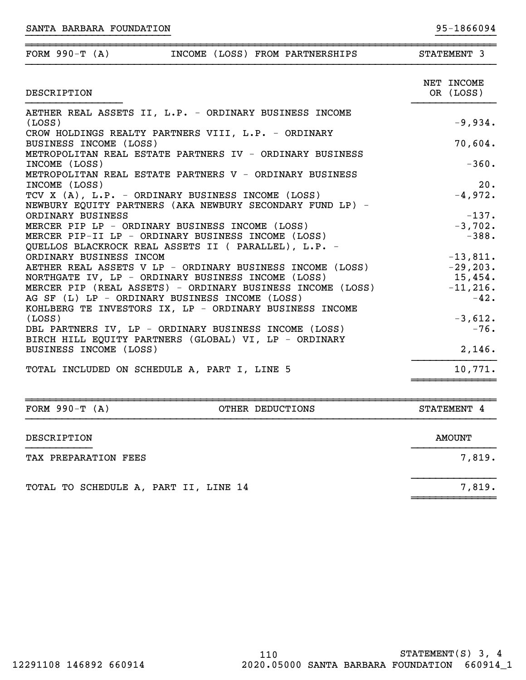| FORM $990-T (A)$<br>INCOME (LOSS) FROM PARTNERSHIPS                                                                     | STATEMENT 3               |
|-------------------------------------------------------------------------------------------------------------------------|---------------------------|
| DESCRIPTION                                                                                                             | NET INCOME<br>OR (LOSS)   |
| AETHER REAL ASSETS II, L.P. - ORDINARY BUSINESS INCOME<br>(LOSS)<br>CROW HOLDINGS REALTY PARTNERS VIII, L.P. - ORDINARY | $-9,934.$                 |
| BUSINESS INCOME (LOSS)<br>METROPOLITAN REAL ESTATE PARTNERS IV - ORDINARY BUSINESS                                      | 70,604.                   |
| INCOME (LOSS)<br>METROPOLITAN REAL ESTATE PARTNERS V - ORDINARY BUSINESS                                                | $-360.$                   |
| INCOME (LOSS)                                                                                                           | 20.                       |
| TCV X (A), L.P. - ORDINARY BUSINESS INCOME (LOSS)<br>NEWBURY EQUITY PARTNERS (AKA NEWBURY SECONDARY FUND LP) -          | $-4,972.$                 |
| ORDINARY BUSINESS                                                                                                       | $-137.$                   |
| MERCER PIP LP - ORDINARY BUSINESS INCOME (LOSS)                                                                         | $-3,702.$                 |
| MERCER PIP-II LP - ORDINARY BUSINESS INCOME (LOSS)                                                                      | $-388.$                   |
| QUELLOS BLACKROCK REAL ASSETS II ( PARALLEL), L.P. -                                                                    |                           |
| ORDINARY BUSINESS INCOM                                                                                                 | $-13,811.$                |
| AETHER REAL ASSETS V LP - ORDINARY BUSINESS INCOME (LOSS)                                                               | $-29, 203.$               |
| NORTHGATE IV, LP - ORDINARY BUSINESS INCOME (LOSS)                                                                      | $15,454$ .<br>$-11, 216.$ |
| MERCER PIP (REAL ASSETS) - ORDINARY BUSINESS INCOME (LOSS)<br>AG SF (L) LP - ORDINARY BUSINESS INCOME (LOSS)            | $-42.$                    |
| KOHLBERG TE INVESTORS IX, LP - ORDINARY BUSINESS INCOME                                                                 |                           |
| (LOSS)                                                                                                                  | $-3,612.$                 |
| DBL PARTNERS IV, LP - ORDINARY BUSINESS INCOME (LOSS)                                                                   | $-76.$                    |
| BIRCH HILL EQUITY PARTNERS (GLOBAL) VI, LP - ORDINARY                                                                   |                           |
| BUSINESS INCOME (LOSS)                                                                                                  | 2,146.                    |
| TOTAL INCLUDED ON SCHEDULE A, PART I, LINE 5                                                                            | 10,771.                   |

}}}}}}}}}}}}}}}}}}}}}}}} }}}}}}}}}}

| FORM $990-T (A)$                      | OTHER DEDUCTIONS | STATEMENT 4 |
|---------------------------------------|------------------|-------------|
| DESCRIPTION                           |                  | AMOUNT      |
| TAX PREPARATION FEES                  |                  | 7,819.      |
| TOTAL TO SCHEDULE A, PART II, LINE 14 |                  | 7,819.      |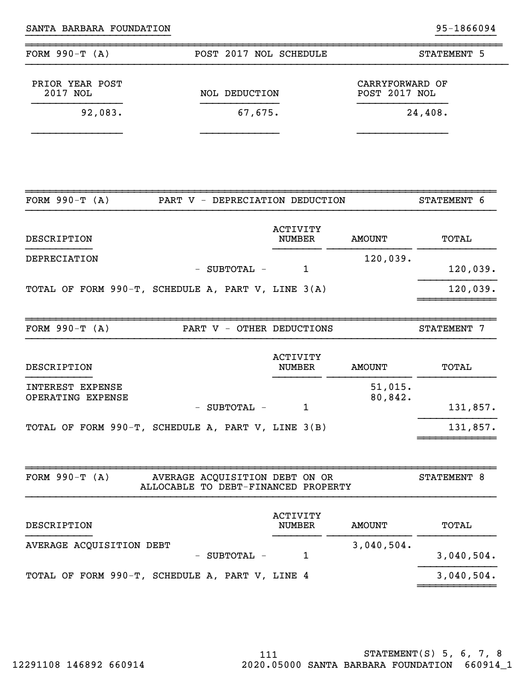| FORM $990-T (A)$<br>POST 2017 NOL SCHEDULE                                                |                                  |                                  | STATEMENT 5 |
|-------------------------------------------------------------------------------------------|----------------------------------|----------------------------------|-------------|
| PRIOR YEAR POST<br>2017 NOL<br><b>NOL DEDUCTION</b>                                       |                                  | CARRYFORWARD OF<br>POST 2017 NOL |             |
| 92,083.<br>67,675.                                                                        |                                  |                                  | 24,408.     |
|                                                                                           |                                  |                                  |             |
| FORM $990-T (A)$<br>PART V - DEPRECIATION DEDUCTION                                       |                                  |                                  | STATEMENT 6 |
| DESCRIPTION                                                                               | ACTIVITY<br><b>NUMBER</b>        | <b>AMOUNT</b>                    | TOTAL       |
| DEPRECIATION<br>- SUBTOTAL -                                                              | 1                                | 120,039.                         | 120,039.    |
| TOTAL OF FORM 990-T, SCHEDULE A, PART V, LINE 3(A)                                        |                                  |                                  | 120,039.    |
| FORM $990-T (A)$<br>PART V - OTHER DEDUCTIONS                                             |                                  |                                  | STATEMENT 7 |
| DESCRIPTION                                                                               | <b>ACTIVITY</b><br><b>NUMBER</b> | <b>AMOUNT</b>                    | TOTAL       |
| INTEREST EXPENSE<br>OPERATING EXPENSE<br>SUBTOTAL -                                       | 1                                | 51,015.<br>80,842.               | 131,857.    |
| TOTAL OF FORM 990-T, SCHEDULE A, PART V, LINE 3(B)                                        |                                  |                                  | 131,857.    |
| FORM $990-T (A)$<br>AVERAGE ACQUISITION DEBT ON OR<br>ALLOCABLE TO DEBT-FINANCED PROPERTY |                                  |                                  | STATEMENT 8 |
| DESCRIPTION                                                                               | <b>ACTIVITY</b><br><b>NUMBER</b> | <b>AMOUNT</b>                    | TOTAL       |
| AVERAGE ACQUISITION DEBT<br>- SUBTOTAL -                                                  | 1                                | 3,040,504.                       | 3,040,504.  |
|                                                                                           |                                  |                                  |             |

}}}}}}}}}}}}}}}}}}}}}}}} }}}}}}}}}}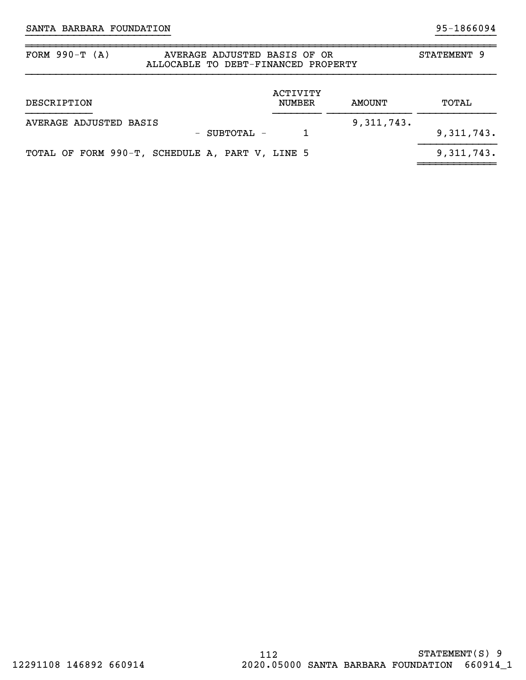9, 311, 743.

## FORM 990-T (A) AVERAGE ADJUSTED BASIS OF OR STATEMENT 9 ALLOCABLE TO DEBT-FINANCED PROPERTY ACTIVITY DESCRIPTION NUMBER AMOUNT TOTAL }}}}}}}}}}} }}}}}}}} }}}}}}}}}}}}}} }}}}}}}}}}}}} AVERAGE ADJUSTED BASIS 311,743. - SUBTOTAL - 1 9,311,743.

~~~~~~~~~~~~~

}}}}}}}}}}}}}}}}}}}}}}}} }}}}}}}}}}

~~~~~~~~~~~~~~~~~~~~~~~~~~~~~~~~~~~~~~~~~~~~~~~~~~~~~~~~~~~~~~~~~~~~~~~~~~~~~~

|  |  | TOTAL OF FORM 990-T, SCHEDULE A, PART V, LINE 5 |  |  |
|--|--|-------------------------------------------------|--|--|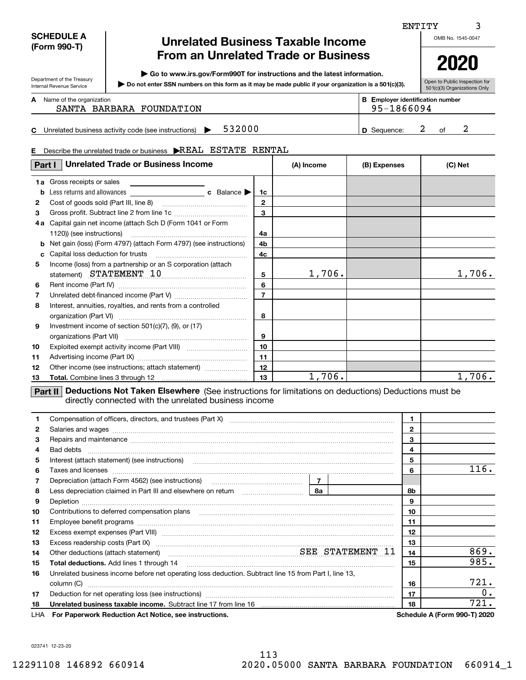| <b>SCHEDULE A</b> |
|-------------------|
| (Form 990-T)      |

Department of the Treasury Internal Revenue Service

I

## **Unrelated Business Taxable Income From an Unrelated Trade or Business**

**| Go to www.irs.gov/Form990T for instructions and the latest information.**

**Do not enter SSN numbers on this form as it may be made public if your organization is a 501(c)(3). |** 

Open to Public Inspection for 501(c)(3) Organizations Only

OMB No. 1545-0047

ENTITY

| <b>A</b> Name of the organization<br>SANTA BARBARA FOUNDATION          | <b>B</b> Employer identification number<br>95-1866094 |  |  |
|------------------------------------------------------------------------|-------------------------------------------------------|--|--|
| 532000<br><b>C</b> Unrelated business activity code (see instructions) | D Sequence:                                           |  |  |

#### **E**Describe the unrelated trade or business  $\,$   $\!\triangleright$  REAL  $\,$  ESTATE  $\,$  RENTAL

| Part I       | <b>Unrelated Trade or Business Income</b>                                                                                                                              |                | (A) Income | (B) Expenses | (C) Net |  |  |  |  |
|--------------|------------------------------------------------------------------------------------------------------------------------------------------------------------------------|----------------|------------|--------------|---------|--|--|--|--|
|              | 1a Gross receipts or sales                                                                                                                                             |                |            |              |         |  |  |  |  |
| b            |                                                                                                                                                                        | 1c             |            |              |         |  |  |  |  |
| $\mathbf{2}$ |                                                                                                                                                                        | $\mathbf{2}$   |            |              |         |  |  |  |  |
| 3            |                                                                                                                                                                        | 3              |            |              |         |  |  |  |  |
| 4а           | Capital gain net income (attach Sch D (Form 1041 or Form                                                                                                               |                |            |              |         |  |  |  |  |
|              | 1120)) (see instructions)                                                                                                                                              | 4a             |            |              |         |  |  |  |  |
| b            | Net gain (loss) (Form 4797) (attach Form 4797) (see instructions)                                                                                                      | 4b             |            |              |         |  |  |  |  |
| c            | Capital loss deduction for trusts                                                                                                                                      | 4c             |            |              |         |  |  |  |  |
| 5            | Income (loss) from a partnership or an S corporation (attach<br>statement) STATEMENT 10                                                                                | 5              | 1,706.     |              | 1,706.  |  |  |  |  |
| 6            |                                                                                                                                                                        | 6              |            |              |         |  |  |  |  |
| 7            |                                                                                                                                                                        | $\overline{7}$ |            |              |         |  |  |  |  |
| 8            | Interest, annuities, royalties, and rents from a controlled                                                                                                            | 8              |            |              |         |  |  |  |  |
| 9            | Investment income of section $501(c)(7)$ , $(9)$ , or $(17)$                                                                                                           | 9              |            |              |         |  |  |  |  |
| 10           |                                                                                                                                                                        | 10             |            |              |         |  |  |  |  |
| 11           |                                                                                                                                                                        | 11             |            |              |         |  |  |  |  |
| 12           | Other income (see instructions; attach statement)                                                                                                                      | 12             |            |              |         |  |  |  |  |
| 13           |                                                                                                                                                                        | 13             | 1,706.     |              | 1,706.  |  |  |  |  |
|              | Deductions Not Taken Elsewhere (See instructions for limitations on deductions) Deductions must be<br>Part II<br>directly connected with the unrelated business income |                |            |              |         |  |  |  |  |

| 1.  |                                                                                                                                                                                                                                     |              |    |                                     |
|-----|-------------------------------------------------------------------------------------------------------------------------------------------------------------------------------------------------------------------------------------|--------------|----|-------------------------------------|
| 2   |                                                                                                                                                                                                                                     | $\mathbf{2}$ |    |                                     |
| 3   | Repairs and maintenance material content and maintenance and maintenance and maintenance and maintenance and maintenance and maintenance and maintenance and maintenance and maintenance and maintenance and maintenance and m      |              | 3  |                                     |
| 4   |                                                                                                                                                                                                                                     |              | 4  |                                     |
| 5   | Interest (attach statement) (see instructions) <b>manually construct in the construction of the construction</b> of the constructions of the constructions of the constructions of the constructions of the constructions of the co |              | 5  |                                     |
| 6   |                                                                                                                                                                                                                                     |              | 6  | 116.                                |
| 7   |                                                                                                                                                                                                                                     |              |    |                                     |
| 8   |                                                                                                                                                                                                                                     |              | 8b |                                     |
| 9   |                                                                                                                                                                                                                                     |              | 9  |                                     |
| 10  |                                                                                                                                                                                                                                     |              | 10 |                                     |
| 11  |                                                                                                                                                                                                                                     |              | 11 |                                     |
| 12  |                                                                                                                                                                                                                                     |              | 12 |                                     |
| 13  |                                                                                                                                                                                                                                     |              | 13 |                                     |
| 14  | Other deductions (attach statement) manufactured and SEE STATEMENT 11                                                                                                                                                               |              | 14 | 869.                                |
| 15  | <b>Total deductions.</b> Add lines 1 through 14                                                                                                                                                                                     |              | 15 | 985.                                |
| 16  | Unrelated business income before net operating loss deduction. Subtract line 15 from Part I, line 13,                                                                                                                               |              |    |                                     |
|     | column (C)                                                                                                                                                                                                                          |              | 16 | 721.                                |
| 17  |                                                                                                                                                                                                                                     |              | 17 | 0.                                  |
| 18  |                                                                                                                                                                                                                                     |              | 18 | 721.                                |
| LHA | For Paperwork Reduction Act Notice, see instructions.                                                                                                                                                                               |              |    | <b>Schedule A (Form 990-T) 2020</b> |

023741 12-23-20

**2020**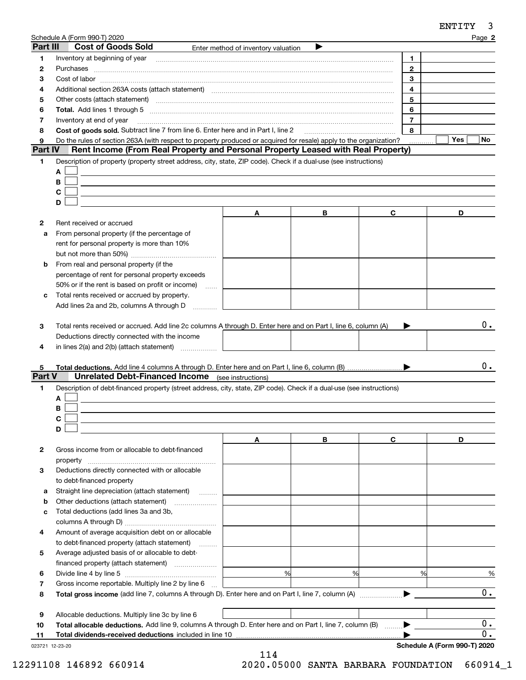| Part III            | Schedule A (Form 990-T) 2020                                                                                                                                                                                                   |                                     |   |                | Page 2 |
|---------------------|--------------------------------------------------------------------------------------------------------------------------------------------------------------------------------------------------------------------------------|-------------------------------------|---|----------------|--------|
|                     | <b>Cost of Goods Sold</b>                                                                                                                                                                                                      | Enter method of inventory valuation |   |                |        |
| 1                   | Inventory at beginning of year                                                                                                                                                                                                 |                                     |   | 1.             |        |
| 2                   |                                                                                                                                                                                                                                |                                     |   | $\mathbf{2}$   |        |
| з                   |                                                                                                                                                                                                                                |                                     |   | 3              |        |
| 4                   | Additional section 263A costs (attach statement) material content and according to the Additional section 263A                                                                                                                 |                                     |   | 4              |        |
| 5                   | Other costs (attach statement) manufactured and contract and contract at the costs (attach statement)                                                                                                                          |                                     |   | 5              |        |
| 6                   | Total. Add lines 1 through 5 [111] manual contract the contract of the contract of the contract of the contract of the contract of the contract of the contract of the contract of the contract of the contract of the contrac |                                     |   | 6              |        |
| 7                   | Inventory at end of year                                                                                                                                                                                                       |                                     |   | $\overline{7}$ |        |
| 8                   | Cost of goods sold. Subtract line 7 from line 6. Enter here and in Part I, line 2                                                                                                                                              |                                     |   | 8              | Yes    |
| 9<br><b>Part IV</b> | Do the rules of section 263A (with respect to property produced or acquired for resale) apply to the organization?<br>Rent Income (From Real Property and Personal Property Leased with Real Property)                         |                                     |   |                | No     |
|                     |                                                                                                                                                                                                                                |                                     |   |                |        |
| 1                   | Description of property (property street address, city, state, ZIP code). Check if a dual-use (see instructions)                                                                                                               |                                     |   |                |        |
|                     | A                                                                                                                                                                                                                              |                                     |   |                |        |
|                     | В                                                                                                                                                                                                                              |                                     |   |                |        |
|                     | C                                                                                                                                                                                                                              |                                     |   |                |        |
|                     | D                                                                                                                                                                                                                              |                                     |   |                |        |
|                     |                                                                                                                                                                                                                                | A                                   | В | C              | D      |
| 2                   | Rent received or accrued                                                                                                                                                                                                       |                                     |   |                |        |
| a                   | From personal property (if the percentage of                                                                                                                                                                                   |                                     |   |                |        |
|                     | rent for personal property is more than 10%                                                                                                                                                                                    |                                     |   |                |        |
|                     |                                                                                                                                                                                                                                |                                     |   |                |        |
| b                   | From real and personal property (if the                                                                                                                                                                                        |                                     |   |                |        |
|                     | percentage of rent for personal property exceeds                                                                                                                                                                               |                                     |   |                |        |
|                     | 50% or if the rent is based on profit or income)<br>$\sim$                                                                                                                                                                     |                                     |   |                |        |
| c                   | Total rents received or accrued by property.                                                                                                                                                                                   |                                     |   |                |        |
|                     | Add lines 2a and 2b, columns A through D                                                                                                                                                                                       |                                     |   |                |        |
| 3<br>4              | Total rents received or accrued. Add line 2c columns A through D. Enter here and on Part I, line 6, column (A)<br>Deductions directly connected with the income<br>in lines 2(a) and 2(b) (attach statement)                   |                                     |   |                | 0.     |
|                     |                                                                                                                                                                                                                                |                                     |   |                |        |
| 5.                  |                                                                                                                                                                                                                                |                                     |   |                | 0.     |
| <b>Part V</b>       | <b>Unrelated Debt-Financed Income</b> (see instructions)                                                                                                                                                                       |                                     |   |                |        |
| 1                   | Description of debt-financed property (street address, city, state, ZIP code). Check if a dual-use (see instructions)                                                                                                          |                                     |   |                |        |
|                     | A                                                                                                                                                                                                                              |                                     |   |                |        |
|                     | В                                                                                                                                                                                                                              |                                     |   |                |        |
|                     | C                                                                                                                                                                                                                              |                                     |   |                |        |
|                     | D                                                                                                                                                                                                                              |                                     |   |                |        |
|                     |                                                                                                                                                                                                                                | A                                   | В | C              | D      |
| 2                   | Gross income from or allocable to debt-financed<br>property                                                                                                                                                                    |                                     |   |                |        |
| з                   | Deductions directly connected with or allocable                                                                                                                                                                                |                                     |   |                |        |
|                     | to debt-financed property                                                                                                                                                                                                      |                                     |   |                |        |
| a                   | Straight line depreciation (attach statement)                                                                                                                                                                                  |                                     |   |                |        |
| b                   | Other deductions (attach statement)                                                                                                                                                                                            |                                     |   |                |        |
| c                   | Total deductions (add lines 3a and 3b,                                                                                                                                                                                         |                                     |   |                |        |
|                     |                                                                                                                                                                                                                                |                                     |   |                |        |
| 4                   | Amount of average acquisition debt on or allocable                                                                                                                                                                             |                                     |   |                |        |
|                     | to debt-financed property (attach statement)<br>.                                                                                                                                                                              |                                     |   |                |        |
| 5                   | Average adjusted basis of or allocable to debt-                                                                                                                                                                                |                                     |   |                |        |
|                     | financed property (attach statement)                                                                                                                                                                                           |                                     |   |                |        |
| 6                   |                                                                                                                                                                                                                                | %                                   | % | %              | $\%$   |
| 7                   | Gross income reportable. Multiply line 2 by line 6                                                                                                                                                                             |                                     |   |                |        |
| 8                   | Total gross income (add line 7, columns A through D). Enter here and on Part I, line 7, column (A)                                                                                                                             |                                     |   |                | 0.     |
|                     |                                                                                                                                                                                                                                |                                     |   |                |        |
| 9                   | Allocable deductions. Multiply line 3c by line 6                                                                                                                                                                               |                                     |   |                |        |
|                     | Total allocable deductions. Add line 9, columns A through D. Enter here and on Part I, line 7, column (B)                                                                                                                      |                                     |   |                | 0.     |

|  | 10 Total allocable deductions. Add line 9, columns A through D. Enter here and on Part I, line 7, column (B) |  |  |  |  |  |  |
|--|--------------------------------------------------------------------------------------------------------------|--|--|--|--|--|--|
|--|--------------------------------------------------------------------------------------------------------------|--|--|--|--|--|--|

**Schedule A (Form 990-T) 2020**

 $\overline{0}$ .

ENTITY 3

 $\blacktriangleright$ 

023721 12-23-20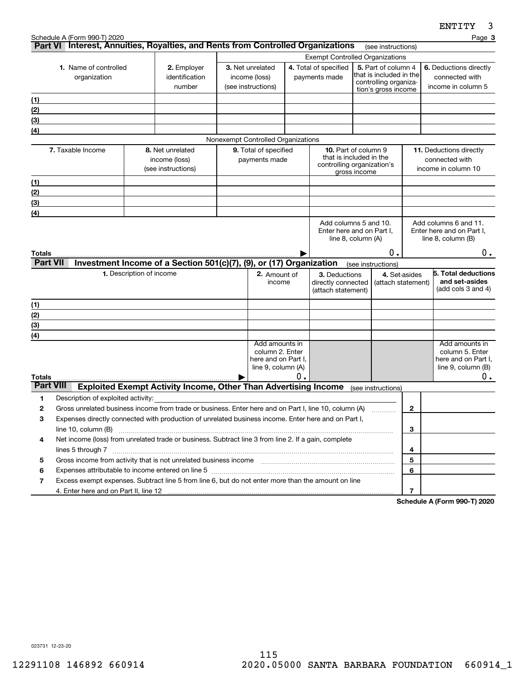|                                                                                 |                                                                                                                                                                                           |                          |                                                                        |  |                                                                                |                                        |                                                                                                      |                                                                                                |                    |              | <b>CMITTI</b><br>J                                                                   |
|---------------------------------------------------------------------------------|-------------------------------------------------------------------------------------------------------------------------------------------------------------------------------------------|--------------------------|------------------------------------------------------------------------|--|--------------------------------------------------------------------------------|----------------------------------------|------------------------------------------------------------------------------------------------------|------------------------------------------------------------------------------------------------|--------------------|--------------|--------------------------------------------------------------------------------------|
|                                                                                 | Schedule A (Form 990-T) 2020                                                                                                                                                              |                          |                                                                        |  |                                                                                |                                        |                                                                                                      |                                                                                                | (see instructions) |              | Page 3                                                                               |
| Part VI Interest, Annuities, Royalties, and Rents from Controlled Organizations |                                                                                                                                                                                           |                          |                                                                        |  |                                                                                | <b>Exempt Controlled Organizations</b> |                                                                                                      |                                                                                                |                    |              |                                                                                      |
|                                                                                 | 1. Name of controlled<br>organization                                                                                                                                                     |                          | 2. Employer<br>identification<br>number                                |  | 3. Net unrelated<br>income (loss)<br>(see instructions)                        |                                        | 4. Total of specified<br>payments made                                                               | 5. Part of column 4<br>that is included in the<br>controlling organiza-<br>tion's gross income |                    |              | 6. Deductions directly<br>connected with<br>income in column 5                       |
| <u>(1)</u>                                                                      |                                                                                                                                                                                           |                          |                                                                        |  |                                                                                |                                        |                                                                                                      |                                                                                                |                    |              |                                                                                      |
| (2)                                                                             |                                                                                                                                                                                           |                          |                                                                        |  |                                                                                |                                        |                                                                                                      |                                                                                                |                    |              |                                                                                      |
| (3)                                                                             |                                                                                                                                                                                           |                          |                                                                        |  |                                                                                |                                        |                                                                                                      |                                                                                                |                    |              |                                                                                      |
| (4)                                                                             |                                                                                                                                                                                           |                          |                                                                        |  |                                                                                |                                        |                                                                                                      |                                                                                                |                    |              |                                                                                      |
|                                                                                 |                                                                                                                                                                                           |                          |                                                                        |  | Nonexempt Controlled Organizations                                             |                                        |                                                                                                      |                                                                                                |                    |              |                                                                                      |
|                                                                                 | 7. Taxable Income                                                                                                                                                                         |                          | 8. Net unrelated<br>income (loss)<br>(see instructions)                |  | 9. Total of specified<br>payments made                                         |                                        | <b>10.</b> Part of column 9<br>that is included in the<br>controlling organization's<br>gross income |                                                                                                |                    |              | <b>11.</b> Deductions directly<br>connected with<br>income in column 10              |
| (1)                                                                             |                                                                                                                                                                                           |                          |                                                                        |  |                                                                                |                                        |                                                                                                      |                                                                                                |                    |              |                                                                                      |
| (2)                                                                             |                                                                                                                                                                                           |                          |                                                                        |  |                                                                                |                                        |                                                                                                      |                                                                                                |                    |              |                                                                                      |
| (3)                                                                             |                                                                                                                                                                                           |                          |                                                                        |  |                                                                                |                                        |                                                                                                      |                                                                                                |                    |              |                                                                                      |
| (4)                                                                             |                                                                                                                                                                                           |                          |                                                                        |  |                                                                                |                                        |                                                                                                      |                                                                                                |                    |              |                                                                                      |
|                                                                                 |                                                                                                                                                                                           |                          |                                                                        |  |                                                                                |                                        | Add columns 5 and 10.<br>Enter here and on Part I,                                                   | line 8, column (A)                                                                             |                    |              | Add columns 6 and 11.<br>Enter here and on Part I,<br>line $8$ , column $(B)$        |
| Totals<br><b>Part VII</b>                                                       |                                                                                                                                                                                           |                          | Investment Income of a Section 501(c)(7), (9), or (17) Organization    |  |                                                                                |                                        |                                                                                                      |                                                                                                | 0.                 |              | 0.                                                                                   |
|                                                                                 |                                                                                                                                                                                           | 1. Description of income |                                                                        |  | 2. Amount of                                                                   |                                        | 3. Deductions                                                                                        | (see instructions)                                                                             | 4. Set-asides      |              | 5. Total deductions                                                                  |
|                                                                                 |                                                                                                                                                                                           |                          |                                                                        |  | income                                                                         |                                        | directly connected<br>(attach statement)                                                             |                                                                                                | (attach statement) |              | and set-asides<br>(add cols 3 and 4)                                                 |
| (1)                                                                             |                                                                                                                                                                                           |                          |                                                                        |  |                                                                                |                                        |                                                                                                      |                                                                                                |                    |              |                                                                                      |
| (2)                                                                             |                                                                                                                                                                                           |                          |                                                                        |  |                                                                                |                                        |                                                                                                      |                                                                                                |                    |              |                                                                                      |
| (3)                                                                             |                                                                                                                                                                                           |                          |                                                                        |  |                                                                                |                                        |                                                                                                      |                                                                                                |                    |              |                                                                                      |
| (4)                                                                             |                                                                                                                                                                                           |                          |                                                                        |  |                                                                                |                                        |                                                                                                      |                                                                                                |                    |              |                                                                                      |
| Totals                                                                          |                                                                                                                                                                                           |                          |                                                                        |  | Add amounts in<br>column 2. Enter<br>here and on Part I,<br>line 9, column (A) | Ο.                                     |                                                                                                      |                                                                                                |                    |              | Add amounts in<br>column 5. Enter<br>here and on Part I,<br>line 9, column (B)<br>0. |
| <b>Part VIII</b>                                                                |                                                                                                                                                                                           |                          | <b>Exploited Exempt Activity Income, Other Than Advertising Income</b> |  |                                                                                |                                        |                                                                                                      | (see instructions)                                                                             |                    |              |                                                                                      |
| 1                                                                               | Description of exploited activity:                                                                                                                                                        |                          |                                                                        |  |                                                                                |                                        |                                                                                                      |                                                                                                |                    |              |                                                                                      |
| 2                                                                               | Gross unrelated business income from trade or business. Enter here and on Part I, line 10, column (A)                                                                                     |                          |                                                                        |  |                                                                                |                                        |                                                                                                      |                                                                                                |                    | $\mathbf{2}$ |                                                                                      |
| 3                                                                               | Expenses directly connected with production of unrelated business income. Enter here and on Part I,                                                                                       |                          |                                                                        |  |                                                                                |                                        |                                                                                                      |                                                                                                |                    |              |                                                                                      |
|                                                                                 | line 10, column (B)                                                                                                                                                                       |                          |                                                                        |  |                                                                                |                                        |                                                                                                      |                                                                                                |                    | 3            |                                                                                      |
| 4                                                                               | Net income (loss) from unrelated trade or business. Subtract line 3 from line 2. If a gain, complete                                                                                      |                          |                                                                        |  |                                                                                |                                        |                                                                                                      |                                                                                                |                    |              |                                                                                      |
|                                                                                 |                                                                                                                                                                                           |                          |                                                                        |  |                                                                                |                                        |                                                                                                      |                                                                                                |                    | 4            |                                                                                      |
| 5                                                                               |                                                                                                                                                                                           |                          |                                                                        |  |                                                                                |                                        |                                                                                                      |                                                                                                | 5                  |              |                                                                                      |
| 6                                                                               | Expenses attributable to income entered on line 5 [111] [12] matter control and attributable to income entered on line 5 [11] matter control and attributable to income entered on line 5 |                          |                                                                        |  |                                                                                |                                        |                                                                                                      |                                                                                                |                    | 6            |                                                                                      |
| 7                                                                               | Excess exempt expenses. Subtract line 5 from line 6, but do not enter more than the amount on line                                                                                        |                          |                                                                        |  |                                                                                |                                        |                                                                                                      |                                                                                                |                    |              |                                                                                      |
|                                                                                 |                                                                                                                                                                                           |                          |                                                                        |  |                                                                                |                                        |                                                                                                      |                                                                                                |                    | 7            |                                                                                      |

**Schedule A (Form 990-T) 2020**

023731 12-23-20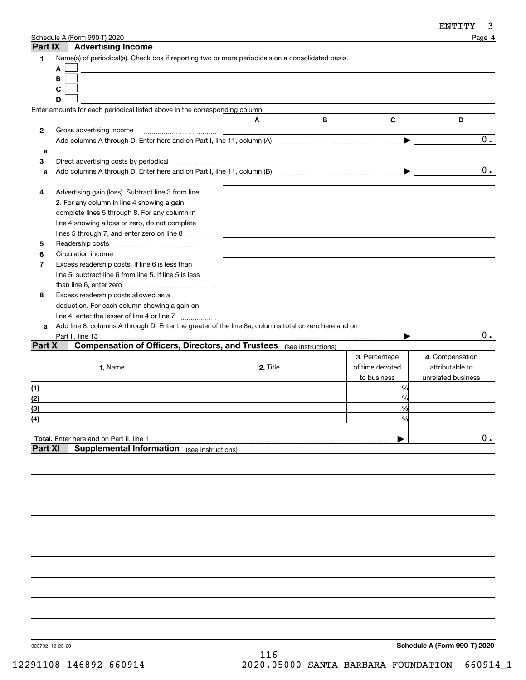| Part IX        | Schedule A (Form 990-T) 2020<br><b>Advertising Income</b>                                            |                    |          |   |                 | Page 4             |
|----------------|------------------------------------------------------------------------------------------------------|--------------------|----------|---|-----------------|--------------------|
| 1              | Name(s) of periodical(s). Check box if reporting two or more periodicals on a consolidated basis.    |                    |          |   |                 |                    |
|                | A                                                                                                    |                    |          |   |                 |                    |
|                | B                                                                                                    |                    |          |   |                 |                    |
|                | C                                                                                                    |                    |          |   |                 |                    |
|                | D                                                                                                    |                    |          |   |                 |                    |
|                | Enter amounts for each periodical listed above in the corresponding column.                          |                    |          |   |                 |                    |
|                |                                                                                                      | Α                  |          | B | C               | D                  |
| 2              | Gross advertising income                                                                             |                    |          |   |                 |                    |
|                | Add columns A through D. Enter here and on Part I, line 11, column (A)                               |                    |          |   |                 | 0.                 |
| a              |                                                                                                      |                    |          |   |                 |                    |
| 3              | Direct advertising costs by periodical                                                               |                    |          |   |                 |                    |
| a              |                                                                                                      |                    |          |   |                 | 0.                 |
|                |                                                                                                      |                    |          |   |                 |                    |
| 4              | Advertising gain (loss). Subtract line 3 from line                                                   |                    |          |   |                 |                    |
|                | 2. For any column in line 4 showing a gain,                                                          |                    |          |   |                 |                    |
|                | complete lines 5 through 8. For any column in                                                        |                    |          |   |                 |                    |
|                | line 4 showing a loss or zero, do not complete                                                       |                    |          |   |                 |                    |
|                | lines 5 through 7, and enter zero on line 8                                                          |                    |          |   |                 |                    |
| 5              |                                                                                                      |                    |          |   |                 |                    |
| 6              |                                                                                                      |                    |          |   |                 |                    |
| $\overline{7}$ | Excess readership costs. If line 6 is less than                                                      |                    |          |   |                 |                    |
|                | line 5, subtract line 6 from line 5. If line 5 is less                                               |                    |          |   |                 |                    |
|                |                                                                                                      |                    |          |   |                 |                    |
| 8              | Excess readership costs allowed as a                                                                 |                    |          |   |                 |                    |
|                | deduction. For each column showing a gain on                                                         |                    |          |   |                 |                    |
|                | line 4, enter the lesser of line 4 or line 7                                                         |                    |          |   |                 |                    |
| a              | Add line 8, columns A through D. Enter the greater of the line 8a, columns total or zero here and on |                    |          |   |                 |                    |
|                | Part II, line 13.                                                                                    |                    |          |   |                 | 0.                 |
| Part X         | <b>Compensation of Officers, Directors, and Trustees</b> (see instructions)                          |                    |          |   |                 |                    |
|                |                                                                                                      |                    |          |   | 3. Percentage   | 4. Compensation    |
|                | 1. Name                                                                                              |                    | 2. Title |   | of time devoted | attributable to    |
|                |                                                                                                      |                    |          |   | to business     | unrelated business |
| (1)            |                                                                                                      |                    |          |   | %               |                    |
| (2)            |                                                                                                      |                    |          |   | %               |                    |
| (3)            |                                                                                                      |                    |          |   | %               |                    |
| (4)            |                                                                                                      |                    |          |   | %               |                    |
|                |                                                                                                      |                    |          |   |                 |                    |
|                | Total. Enter here and on Part II, line 1                                                             |                    |          |   |                 | 0.                 |
| <b>Part XI</b> | <b>Supplemental Information</b>                                                                      | (see instructions) |          |   |                 |                    |
|                |                                                                                                      |                    |          |   |                 |                    |
|                |                                                                                                      |                    |          |   |                 |                    |
|                |                                                                                                      |                    |          |   |                 |                    |

023732 12-23-20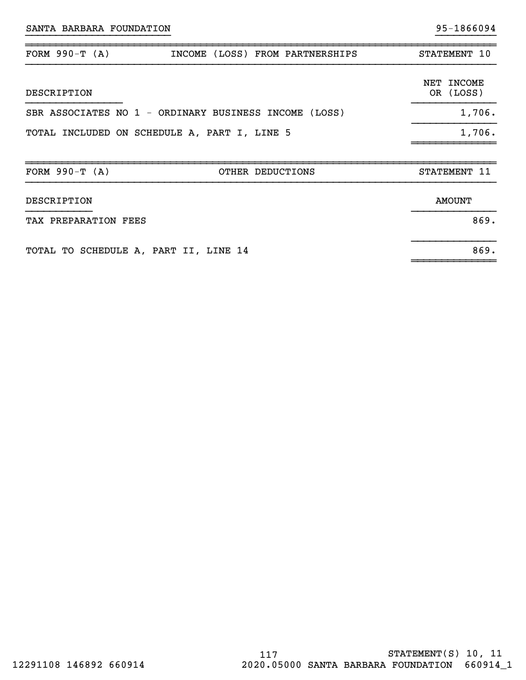| SANTA BARBARA FOUNDATION |                                                       | 95-1866094              |
|--------------------------|-------------------------------------------------------|-------------------------|
| FORM $990-T (A)$         | INCOME (LOSS) FROM PARTNERSHIPS                       | STATEMENT 10            |
| DESCRIPTION              |                                                       | NET INCOME<br>OR (LOSS) |
|                          | SBR ASSOCIATES NO 1 - ORDINARY BUSINESS INCOME (LOSS) | 1,706.                  |
|                          | TOTAL INCLUDED ON SCHEDULE A, PART I, LINE 5          | 1,706.                  |
| FORM $990-T (A)$         | OTHER DEDUCTIONS                                      | STATEMENT 11            |
| DESCRIPTION              |                                                       | <b>AMOUNT</b>           |
| TAX PREPARATION FEES     |                                                       | 869.                    |

}}}}}}}}}}}}}}

~~~~~~~~~~~~~~

TOTAL TO SCHEDULE A, PART II, LINE 14 869.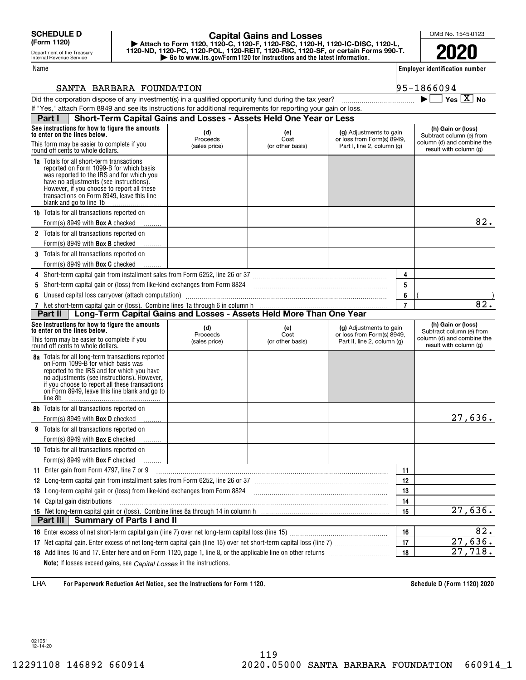Department of the Treasury Internal Revenue Service

### Name

## **| Go to www.irs.gov/Form1120 for instructions and the latest information. | Attach to Form 1120, 1120-C, 1120-F, 1120-FSC, 1120-H, 1120-IC-DISC, 1120-L, 1120-ND, 1120-PC, 1120-POL, 1120-REIT, 1120-RIC, 1120-SF, or certain Forms 990-T. Capital Gains and Losses**

**Employer identification number**

 $\blacktriangleright$   $\Box$  Yes  $\boxed{X}$  No

OMB No. 1545-0123

**2020**

### SANTA BARBARA FOUNDATION 95-1866094

| Did the corporation dispose of any investment(s) in a qualified opportunity fund during the tax year?            |  |
|------------------------------------------------------------------------------------------------------------------|--|
| If "Yes," attach Form 8949 and see its instructions for additional requirements for reporting your gain or loss. |  |

| Short-Term Capital Gains and Losses - Assets Held One Year or Less<br>Part I                                                                                                                                                                                                                               |                                  |                                 |                                                                                      |                |                                                                                                        |
|------------------------------------------------------------------------------------------------------------------------------------------------------------------------------------------------------------------------------------------------------------------------------------------------------------|----------------------------------|---------------------------------|--------------------------------------------------------------------------------------|----------------|--------------------------------------------------------------------------------------------------------|
| See instructions for how to figure the amounts<br>to enter on the lines below.                                                                                                                                                                                                                             | (d)<br>Proceeds                  | (e)<br>Cost                     | (g) Adjustments to gain<br>or loss from Form(s) 8949,                                |                | (h) Gain or (loss)<br>Subtract column (e) from                                                         |
| This form may be easier to complete if you<br>round off cents to whole dollars.                                                                                                                                                                                                                            | (sales price)                    | (or other basis)                | Part I, line 2, column (g)                                                           |                | column (d) and combine the<br>result with column (g)                                                   |
| <b>1a</b> Totals for all short-term transactions<br>reported on Form 1099-B for which basis<br>was reported to the IRS and for which you<br>have no adjustments (see instructions).<br>However, if you choose to report all these<br>transactions on Form 8949, leave this line<br>blank and go to line 1b |                                  |                                 |                                                                                      |                |                                                                                                        |
| <b>1b</b> Totals for all transactions reported on                                                                                                                                                                                                                                                          |                                  |                                 |                                                                                      |                | 82.                                                                                                    |
| Form(s) 8949 with <b>Box A</b> checked                                                                                                                                                                                                                                                                     |                                  |                                 |                                                                                      |                |                                                                                                        |
| 2 Totals for all transactions reported on                                                                                                                                                                                                                                                                  |                                  |                                 |                                                                                      |                |                                                                                                        |
| Form(s) 8949 with <b>Box B</b> checked<br>3 Totals for all transactions reported on                                                                                                                                                                                                                        |                                  |                                 |                                                                                      |                |                                                                                                        |
| Form(s) 8949 with <b>Box C</b> checked                                                                                                                                                                                                                                                                     |                                  |                                 |                                                                                      |                |                                                                                                        |
|                                                                                                                                                                                                                                                                                                            |                                  |                                 |                                                                                      | 4              |                                                                                                        |
| Short-term capital gain or (loss) from like-kind exchanges from Form 8824 [11] [11] [11] [11] [11] [11] Short-term capital gain or (loss) from like-kind exchanges from Form 8824                                                                                                                          |                                  |                                 |                                                                                      | 5              |                                                                                                        |
| Unused capital loss carryover (attach computation)                                                                                                                                                                                                                                                         |                                  |                                 |                                                                                      | 6              |                                                                                                        |
|                                                                                                                                                                                                                                                                                                            |                                  |                                 |                                                                                      | $\overline{7}$ | 82.                                                                                                    |
| 7 Net short-term capital gain or (loss). Combine lines 1a through 6 in column h<br><b>Part II</b>   Long-Term Capital Gains and Losses - Assets Held More Than One Year                                                                                                                                    |                                  |                                 |                                                                                      |                |                                                                                                        |
| See instructions for how to figure the amounts<br>to enter on the lines below.<br>This form may be easier to complete if you<br>round off cents to whole dollars.                                                                                                                                          | (d)<br>Proceeds<br>(sales price) | (e)<br>Cost<br>(or other basis) | (g) Adjustments to gain<br>or loss from Form(s) 8949,<br>Part II, line 2, column (g) |                | (h) Gain or (loss)<br>Subtract column (e) from<br>column (d) and combine the<br>result with column (g) |
| <b>8a</b> Totals for all long-term transactions reported                                                                                                                                                                                                                                                   |                                  |                                 |                                                                                      |                |                                                                                                        |
| on Form 1099-B for which basis was<br>reported to the IRS and for which you have<br>no adjustments (see instructions). However,<br>if you choose to report all these transactions<br>on Form 8949, leave this line blank and go to<br>line 8b                                                              |                                  |                                 |                                                                                      |                |                                                                                                        |
| 8b Totals for all transactions reported on                                                                                                                                                                                                                                                                 |                                  |                                 |                                                                                      |                |                                                                                                        |
| Form(s) 8949 with <b>Box D</b> checked                                                                                                                                                                                                                                                                     |                                  |                                 |                                                                                      |                | 27,636.                                                                                                |
| Totals for all transactions reported on<br>9                                                                                                                                                                                                                                                               |                                  |                                 |                                                                                      |                |                                                                                                        |
| Form(s) 8949 with <b>Box E</b> checked                                                                                                                                                                                                                                                                     |                                  |                                 |                                                                                      |                |                                                                                                        |
| <b>10</b> Totals for all transactions reported on                                                                                                                                                                                                                                                          |                                  |                                 |                                                                                      |                |                                                                                                        |
| Form(s) 8949 with <b>Box F</b> checked                                                                                                                                                                                                                                                                     |                                  |                                 |                                                                                      |                |                                                                                                        |
| 11 Enter gain from Form 4797, line 7 or 9                                                                                                                                                                                                                                                                  |                                  |                                 |                                                                                      | 11             |                                                                                                        |
| 12 Long-term capital gain from installment sales from Form 6252, line 26 or 37 [11] [12] Long-term capital gain from installment sales from Form 6252, line 26 or 37                                                                                                                                       |                                  |                                 |                                                                                      | 12             |                                                                                                        |
| 13 Long-term capital gain or (loss) from like-kind exchanges from Form 8824                                                                                                                                                                                                                                |                                  |                                 |                                                                                      | 13             |                                                                                                        |
| 14 Capital gain distributions                                                                                                                                                                                                                                                                              |                                  |                                 |                                                                                      | 14             |                                                                                                        |
|                                                                                                                                                                                                                                                                                                            |                                  |                                 |                                                                                      | 15             | 27,636.                                                                                                |
| Part III<br><b>Summary of Parts I and II</b>                                                                                                                                                                                                                                                               |                                  |                                 |                                                                                      |                |                                                                                                        |
|                                                                                                                                                                                                                                                                                                            |                                  |                                 |                                                                                      | 16             | 82.                                                                                                    |
|                                                                                                                                                                                                                                                                                                            |                                  |                                 |                                                                                      | 17             | 27,636.                                                                                                |
| 18 Add lines 16 and 17. Enter here and on Form 1120, page 1, line 8, or the applicable line on other returns<br>Note: If losses exceed gains, see Capital Losses in the instructions.                                                                                                                      |                                  |                                 |                                                                                      | 18             | 27,718.                                                                                                |

**For Paperwork Reduction Act Notice, see the Instructions for Form 1120. Schedule D (Form 1120) 2020** LHA

021051 12-14-20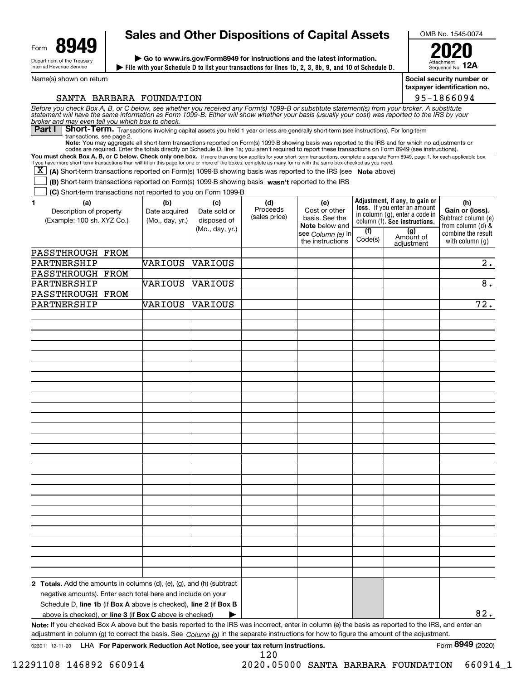

Name(s) shown on return

# **Sales and Other Dispositions of Capital Assets**

**File with your Schedule D to list your transactions for lines 1b, 2, 3, 8b, 9, and 10 of Schedule D. | | Go to www.irs.gov/Form8949 for instructions and the latest information.**



**12A**

 Sequence No. **Social security number or taxpayer identification no.**

95-1866094

Attachment

SANTA BARBARA FOUNDATION

| Before you check Box A, B, or C below, see whether you received any Form(s) 1099-B or substitute statement(s) from your broker. A substitute<br>statement will have the same information as Form 1099-B. Either will show whether your basis (usually your cost) was reported to the IRS by your<br>broker and may even tell you which box to check.       |                                         |                                                       |                                  |                                                                 |         |                                                                                                        |                                                                      |
|------------------------------------------------------------------------------------------------------------------------------------------------------------------------------------------------------------------------------------------------------------------------------------------------------------------------------------------------------------|-----------------------------------------|-------------------------------------------------------|----------------------------------|-----------------------------------------------------------------|---------|--------------------------------------------------------------------------------------------------------|----------------------------------------------------------------------|
| <b>Part I</b><br>Short-Term. Transactions involving capital assets you held 1 year or less are generally short-term (see instructions). For long-term                                                                                                                                                                                                      |                                         |                                                       |                                  |                                                                 |         |                                                                                                        |                                                                      |
| transactions, see page 2.<br>Note: You may aggregate all short-term transactions reported on Form(s) 1099-B showing basis was reported to the IRS and for which no adjustments or<br>codes are required. Enter the totals directly on Schedule D, line 1a; you aren't required to report these transactions on Form 8949 (see instructions).               |                                         |                                                       |                                  |                                                                 |         |                                                                                                        |                                                                      |
| You must check Box A, B, or C below. Check only one box. If more than one box applies for your short-term transactions, complete a separate Form 8949, page 1, for each applicable box.<br>If you have more short-term transactions than will fit on this page for one or more of the boxes, complete as many forms with the same box checked as you need. |                                         |                                                       |                                  |                                                                 |         |                                                                                                        |                                                                      |
| $\overline{X}$ (A) Short-term transactions reported on Form(s) 1099-B showing basis was reported to the IRS (see Note above)                                                                                                                                                                                                                               |                                         |                                                       |                                  |                                                                 |         |                                                                                                        |                                                                      |
| (B) Short term transactions reported on Form(s) 1099-B showing basis wasn't reported to the IRS                                                                                                                                                                                                                                                            |                                         |                                                       |                                  |                                                                 |         |                                                                                                        |                                                                      |
| (C) Short-term transactions not reported to you on Form 1099-B                                                                                                                                                                                                                                                                                             |                                         |                                                       |                                  |                                                                 |         |                                                                                                        |                                                                      |
|                                                                                                                                                                                                                                                                                                                                                            |                                         |                                                       |                                  |                                                                 |         | Adjustment, if any, to gain or                                                                         |                                                                      |
| (a)<br>1<br>Description of property<br>(Example: 100 sh. XYZ Co.)                                                                                                                                                                                                                                                                                          | (b)<br>Date acquired<br>(Mo., day, yr.) | (c)<br>Date sold or<br>disposed of<br>(Mo., day, yr.) | (d)<br>Proceeds<br>(sales price) | (e)<br>Cost or other<br>basis. See the<br><b>Note</b> below and | (f)     | <b>loss.</b> If you enter an amount<br>in column (g), enter a code in<br>column (f). See instructions. | (h)<br>Gain or (loss).<br>Subtract column (e)<br>from column $(d)$ & |
|                                                                                                                                                                                                                                                                                                                                                            |                                         |                                                       |                                  | see Column (e) in<br>the instructions                           | Code(s) | (g)<br>Amount of                                                                                       | combine the result<br>with column $(q)$                              |
|                                                                                                                                                                                                                                                                                                                                                            |                                         |                                                       |                                  |                                                                 |         | adjustment                                                                                             |                                                                      |
| PASSTHROUGH FROM                                                                                                                                                                                                                                                                                                                                           |                                         |                                                       |                                  |                                                                 |         |                                                                                                        |                                                                      |
| PARTNERSHIP                                                                                                                                                                                                                                                                                                                                                | VARIOUS                                 | <b>VARIOUS</b>                                        |                                  |                                                                 |         |                                                                                                        | 2.                                                                   |
| PASSTHROUGH FROM                                                                                                                                                                                                                                                                                                                                           |                                         |                                                       |                                  |                                                                 |         |                                                                                                        |                                                                      |
| PARTNERSHIP                                                                                                                                                                                                                                                                                                                                                | VARIOUS                                 | <b>VARIOUS</b>                                        |                                  |                                                                 |         |                                                                                                        | $\overline{8}$ .                                                     |
| PASSTHROUGH FROM                                                                                                                                                                                                                                                                                                                                           |                                         |                                                       |                                  |                                                                 |         |                                                                                                        |                                                                      |
| PARTNERSHIP                                                                                                                                                                                                                                                                                                                                                | VARIOUS                                 | <b>VARIOUS</b>                                        |                                  |                                                                 |         |                                                                                                        | $\overline{72}$ .                                                    |
|                                                                                                                                                                                                                                                                                                                                                            |                                         |                                                       |                                  |                                                                 |         |                                                                                                        |                                                                      |
|                                                                                                                                                                                                                                                                                                                                                            |                                         |                                                       |                                  |                                                                 |         |                                                                                                        |                                                                      |
|                                                                                                                                                                                                                                                                                                                                                            |                                         |                                                       |                                  |                                                                 |         |                                                                                                        |                                                                      |
|                                                                                                                                                                                                                                                                                                                                                            |                                         |                                                       |                                  |                                                                 |         |                                                                                                        |                                                                      |
|                                                                                                                                                                                                                                                                                                                                                            |                                         |                                                       |                                  |                                                                 |         |                                                                                                        |                                                                      |
|                                                                                                                                                                                                                                                                                                                                                            |                                         |                                                       |                                  |                                                                 |         |                                                                                                        |                                                                      |
|                                                                                                                                                                                                                                                                                                                                                            |                                         |                                                       |                                  |                                                                 |         |                                                                                                        |                                                                      |
|                                                                                                                                                                                                                                                                                                                                                            |                                         |                                                       |                                  |                                                                 |         |                                                                                                        |                                                                      |
|                                                                                                                                                                                                                                                                                                                                                            |                                         |                                                       |                                  |                                                                 |         |                                                                                                        |                                                                      |
|                                                                                                                                                                                                                                                                                                                                                            |                                         |                                                       |                                  |                                                                 |         |                                                                                                        |                                                                      |
|                                                                                                                                                                                                                                                                                                                                                            |                                         |                                                       |                                  |                                                                 |         |                                                                                                        |                                                                      |
|                                                                                                                                                                                                                                                                                                                                                            |                                         |                                                       |                                  |                                                                 |         |                                                                                                        |                                                                      |
|                                                                                                                                                                                                                                                                                                                                                            |                                         |                                                       |                                  |                                                                 |         |                                                                                                        |                                                                      |
|                                                                                                                                                                                                                                                                                                                                                            |                                         |                                                       |                                  |                                                                 |         |                                                                                                        |                                                                      |
|                                                                                                                                                                                                                                                                                                                                                            |                                         |                                                       |                                  |                                                                 |         |                                                                                                        |                                                                      |
|                                                                                                                                                                                                                                                                                                                                                            |                                         |                                                       |                                  |                                                                 |         |                                                                                                        |                                                                      |
|                                                                                                                                                                                                                                                                                                                                                            |                                         |                                                       |                                  |                                                                 |         |                                                                                                        |                                                                      |
|                                                                                                                                                                                                                                                                                                                                                            |                                         |                                                       |                                  |                                                                 |         |                                                                                                        |                                                                      |
|                                                                                                                                                                                                                                                                                                                                                            |                                         |                                                       |                                  |                                                                 |         |                                                                                                        |                                                                      |
|                                                                                                                                                                                                                                                                                                                                                            |                                         |                                                       |                                  |                                                                 |         |                                                                                                        |                                                                      |
|                                                                                                                                                                                                                                                                                                                                                            |                                         |                                                       |                                  |                                                                 |         |                                                                                                        |                                                                      |
|                                                                                                                                                                                                                                                                                                                                                            |                                         |                                                       |                                  |                                                                 |         |                                                                                                        |                                                                      |
|                                                                                                                                                                                                                                                                                                                                                            |                                         |                                                       |                                  |                                                                 |         |                                                                                                        |                                                                      |
|                                                                                                                                                                                                                                                                                                                                                            |                                         |                                                       |                                  |                                                                 |         |                                                                                                        |                                                                      |
|                                                                                                                                                                                                                                                                                                                                                            |                                         |                                                       |                                  |                                                                 |         |                                                                                                        |                                                                      |
|                                                                                                                                                                                                                                                                                                                                                            |                                         |                                                       |                                  |                                                                 |         |                                                                                                        |                                                                      |
|                                                                                                                                                                                                                                                                                                                                                            |                                         |                                                       |                                  |                                                                 |         |                                                                                                        |                                                                      |
| <b>2 Totals.</b> Add the amounts in columns $(d)$ , $(e)$ , $(g)$ , and $(h)$ (subtract                                                                                                                                                                                                                                                                    |                                         |                                                       |                                  |                                                                 |         |                                                                                                        |                                                                      |
| negative amounts). Enter each total here and include on your                                                                                                                                                                                                                                                                                               |                                         |                                                       |                                  |                                                                 |         |                                                                                                        |                                                                      |
| Schedule D, line 1b (if Box A above is checked), line 2 (if Box B                                                                                                                                                                                                                                                                                          |                                         |                                                       |                                  |                                                                 |         |                                                                                                        |                                                                      |
| above is checked), or <b>line 3</b> (if <b>Box C</b> above is checked)                                                                                                                                                                                                                                                                                     |                                         |                                                       |                                  |                                                                 |         |                                                                                                        | 82.                                                                  |
| Note: If you checked Box A above but the basis reported to the IRS was incorrect, enter in column (e) the basis as reported to the IRS, and enter an<br>adjustment in column (g) to correct the basis. See $Column(q)$ in the separate instructions for how to figure the amount of the adjustment.                                                        |                                         |                                                       |                                  |                                                                 |         |                                                                                                        |                                                                      |

023011 12-11-20 **For Paperwork Reduction Act Notice, see your tax return instructions.** LHA Form (2020)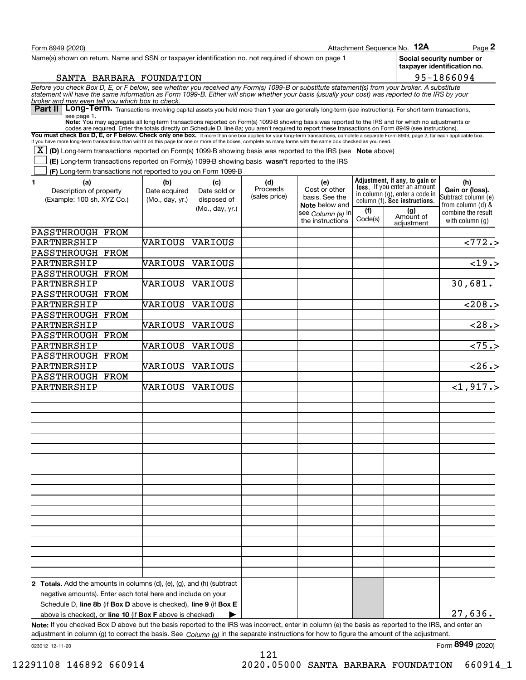| Form 8949 (2020)                                                                                                                                                                                                                                                                                               |                      |                     |                 |                                       |         | Attachment Sequence No. 12A                                     | $Page$ 2                                                 |
|----------------------------------------------------------------------------------------------------------------------------------------------------------------------------------------------------------------------------------------------------------------------------------------------------------------|----------------------|---------------------|-----------------|---------------------------------------|---------|-----------------------------------------------------------------|----------------------------------------------------------|
| Name(s) shown on return. Name and SSN or taxpayer identification no. not required if shown on page 1                                                                                                                                                                                                           |                      |                     |                 |                                       |         |                                                                 | Social security number or<br>taxpayer identification no. |
| SANTA BARBARA FOUNDATION                                                                                                                                                                                                                                                                                       |                      |                     |                 |                                       |         |                                                                 | 95-1866094                                               |
| Before you check Box D, E, or F below, see whether you received any Form(s) 1099-B or substitute statement(s) from your broker. A substitute<br>statement will have the same information as Form 1099-B. Either will show whether<br>broker and may even tell you which box to check.                          |                      |                     |                 |                                       |         |                                                                 |                                                          |
| Part II   Long-Term. Transactions involving capital assets you held more than 1 year are generally long-term (see instructions). For short-term transactions,<br>see page 1.                                                                                                                                   |                      |                     |                 |                                       |         |                                                                 |                                                          |
| Note: You may aggregate all long-term transactions reported on Form(s) 1099-B showing basis was reported to the IRS and for which no adjustments or<br>codes are required. Enter the totals directly on Schedule D, line 8a; you aren't required to report these transactions on Form 8949 (see instructions). |                      |                     |                 |                                       |         |                                                                 |                                                          |
| You must check Box D, E, or F below. Check only one box. If more than one box applies for your long-term transactions, complete a separate Form 8949, page 2, for each applicable box.                                                                                                                         |                      |                     |                 |                                       |         |                                                                 |                                                          |
| If you have more long-term transactions than will fit on this page for one or more of the boxes, complete as many forms with the same box checked as you need.                                                                                                                                                 |                      |                     |                 |                                       |         |                                                                 |                                                          |
| $\boxed{\text{X}}$ (D) Long-term transactions reported on Form(s) 1099-B showing basis was reported to the IRS (see Note above)                                                                                                                                                                                |                      |                     |                 |                                       |         |                                                                 |                                                          |
| (E) Long-term transactions reported on Form(s) 1099-B showing basis wasn't reported to the IRS                                                                                                                                                                                                                 |                      |                     |                 |                                       |         |                                                                 |                                                          |
| (F) Long-term transactions not reported to you on Form 1099-B                                                                                                                                                                                                                                                  |                      |                     |                 |                                       |         | Adjustment, if any, to gain or                                  |                                                          |
| (a)<br>1<br>Description of property                                                                                                                                                                                                                                                                            | (b)<br>Date acquired | (c)<br>Date sold or | (d)<br>Proceeds | (e)<br>Cost or other                  |         | <b>loss.</b> If you enter an amount                             | (h)<br>Gain or (loss).                                   |
| (Example: 100 sh. XYZ Co.)                                                                                                                                                                                                                                                                                     | (Mo., day, yr.)      | disposed of         | (sales price)   | basis. See the                        |         | in column (g), enter a code in<br>column (f). See instructions. | Subtract column (e)                                      |
|                                                                                                                                                                                                                                                                                                                |                      | (Mo., day, yr.)     |                 | <b>Note</b> below and                 | (f)     | (g)                                                             | from column (d) $\&$<br>combine the result               |
|                                                                                                                                                                                                                                                                                                                |                      |                     |                 | see Column (e) in<br>the instructions | Code(s) | Amount of                                                       | with column $(q)$                                        |
| PASSTHROUGH FROM                                                                                                                                                                                                                                                                                               |                      |                     |                 |                                       |         | adjustment                                                      |                                                          |
| PARTNERSHIP                                                                                                                                                                                                                                                                                                    | VARIOUS              | VARIOUS             |                 |                                       |         |                                                                 | $\sqrt{772.}$                                            |
| PASSTHROUGH FROM                                                                                                                                                                                                                                                                                               |                      |                     |                 |                                       |         |                                                                 |                                                          |
| PARTNERSHIP                                                                                                                                                                                                                                                                                                    | VARIOUS              | VARIOUS             |                 |                                       |         |                                                                 | $\sqrt{19.5}$                                            |
| PASSTHROUGH FROM                                                                                                                                                                                                                                                                                               |                      |                     |                 |                                       |         |                                                                 |                                                          |
| PARTNERSHIP                                                                                                                                                                                                                                                                                                    | VARIOUS              | VARIOUS             |                 |                                       |         |                                                                 | 30,681.                                                  |
| PASSTHROUGH FROM                                                                                                                                                                                                                                                                                               |                      |                     |                 |                                       |         |                                                                 |                                                          |
| PARTNERSHIP                                                                                                                                                                                                                                                                                                    | VARIOUS              | VARIOUS             |                 |                                       |         |                                                                 | $\overline{208.}$                                        |
| PASSTHROUGH FROM                                                                                                                                                                                                                                                                                               |                      |                     |                 |                                       |         |                                                                 |                                                          |
| PARTNERSHIP                                                                                                                                                                                                                                                                                                    | VARIOUS              | VARIOUS             |                 |                                       |         |                                                                 | 28.5                                                     |
| PASSTHROUGH FROM                                                                                                                                                                                                                                                                                               |                      |                     |                 |                                       |         |                                                                 |                                                          |
| PARTNERSHIP                                                                                                                                                                                                                                                                                                    | VARIOUS              | VARIOUS             |                 |                                       |         |                                                                 | $\overline{275.}$                                        |
| PASSTHROUGH FROM                                                                                                                                                                                                                                                                                               |                      |                     |                 |                                       |         |                                                                 |                                                          |
| PARTNERSHIP                                                                                                                                                                                                                                                                                                    | VARIOUS              | VARIOUS             |                 |                                       |         |                                                                 | $\overline{26.5}$                                        |
| PASSTHROUGH FROM                                                                                                                                                                                                                                                                                               |                      |                     |                 |                                       |         |                                                                 |                                                          |
| PARTNERSHIP                                                                                                                                                                                                                                                                                                    | VARIOUS              | VARIOUS             |                 |                                       |         |                                                                 | <1,917.>                                                 |
|                                                                                                                                                                                                                                                                                                                |                      |                     |                 |                                       |         |                                                                 |                                                          |
|                                                                                                                                                                                                                                                                                                                |                      |                     |                 |                                       |         |                                                                 |                                                          |
|                                                                                                                                                                                                                                                                                                                |                      |                     |                 |                                       |         |                                                                 |                                                          |
|                                                                                                                                                                                                                                                                                                                |                      |                     |                 |                                       |         |                                                                 |                                                          |
|                                                                                                                                                                                                                                                                                                                |                      |                     |                 |                                       |         |                                                                 |                                                          |
|                                                                                                                                                                                                                                                                                                                |                      |                     |                 |                                       |         |                                                                 |                                                          |
|                                                                                                                                                                                                                                                                                                                |                      |                     |                 |                                       |         |                                                                 |                                                          |
|                                                                                                                                                                                                                                                                                                                |                      |                     |                 |                                       |         |                                                                 |                                                          |
|                                                                                                                                                                                                                                                                                                                |                      |                     |                 |                                       |         |                                                                 |                                                          |
|                                                                                                                                                                                                                                                                                                                |                      |                     |                 |                                       |         |                                                                 |                                                          |
|                                                                                                                                                                                                                                                                                                                |                      |                     |                 |                                       |         |                                                                 |                                                          |
|                                                                                                                                                                                                                                                                                                                |                      |                     |                 |                                       |         |                                                                 |                                                          |
|                                                                                                                                                                                                                                                                                                                |                      |                     |                 |                                       |         |                                                                 |                                                          |
|                                                                                                                                                                                                                                                                                                                |                      |                     |                 |                                       |         |                                                                 |                                                          |
|                                                                                                                                                                                                                                                                                                                |                      |                     |                 |                                       |         |                                                                 |                                                          |
|                                                                                                                                                                                                                                                                                                                |                      |                     |                 |                                       |         |                                                                 |                                                          |
|                                                                                                                                                                                                                                                                                                                |                      |                     |                 |                                       |         |                                                                 |                                                          |
|                                                                                                                                                                                                                                                                                                                |                      |                     |                 |                                       |         |                                                                 |                                                          |
| <b>2 Totals.</b> Add the amounts in columns $(d)$ , $(e)$ , $(g)$ , and $(h)$ (subtract                                                                                                                                                                                                                        |                      |                     |                 |                                       |         |                                                                 |                                                          |
| negative amounts). Enter each total here and include on your                                                                                                                                                                                                                                                   |                      |                     |                 |                                       |         |                                                                 |                                                          |
| Schedule D, line 8b (if Box D above is checked), line 9 (if Box E                                                                                                                                                                                                                                              |                      |                     |                 |                                       |         |                                                                 |                                                          |
| above is checked), or line 10 (if Box F above is checked)                                                                                                                                                                                                                                                      |                      |                     |                 |                                       |         |                                                                 | 27,636.                                                  |
| Note: If you checked Box D above but the basis reported to the IRS was incorrect, enter in column (e) the basis as reported to the IRS, and enter an                                                                                                                                                           |                      |                     |                 |                                       |         |                                                                 |                                                          |
| adjustment in column (g) to correct the basis. See $Column(q)$ in the separate instructions for how to figure the amount of the adjustment.                                                                                                                                                                    |                      |                     |                 |                                       |         |                                                                 |                                                          |

121

023012 12-11-20

Form (2020) **8949**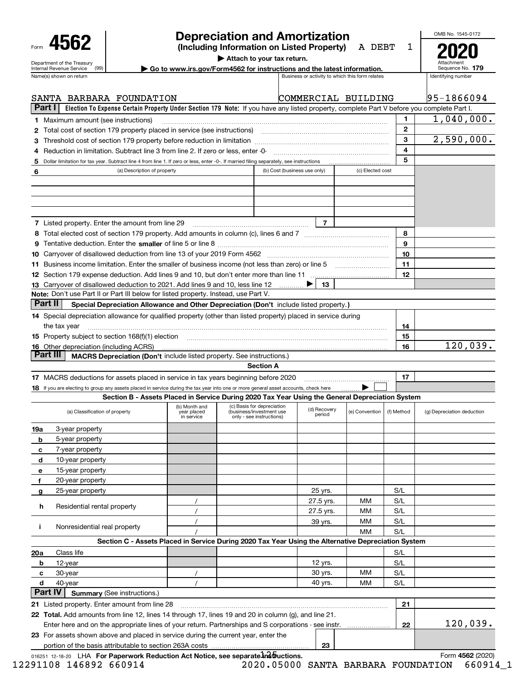| Form |                                                        |  |
|------|--------------------------------------------------------|--|
|      | Department of the Treasury<br>Internal Revenue Service |  |

|   | 4562                                                                                                                                                                                                                           | <b>Depreciation and Amortization</b><br>(Including Information on Listed Property) |                              |                | A DEBT                                          | 1            | OMB No. 1545-0172  |
|---|--------------------------------------------------------------------------------------------------------------------------------------------------------------------------------------------------------------------------------|------------------------------------------------------------------------------------|------------------------------|----------------|-------------------------------------------------|--------------|--------------------|
|   |                                                                                                                                                                                                                                | Attach to your tax return.                                                         |                              |                |                                                 |              |                    |
|   | Department of the Treasury<br>Go to www.irs.gov/Form4562 for instructions and the latest information.<br>(99)<br>Internal Revenue Service                                                                                      |                                                                                    |                              |                |                                                 |              | Sequence No. 179   |
|   | Name(s) shown on return                                                                                                                                                                                                        |                                                                                    |                              |                | Business or activity to which this form relates |              | Identifying number |
|   | SANTA BARBARA FOUNDATION                                                                                                                                                                                                       |                                                                                    |                              |                | COMMERCIAL BUILDING                             |              | 95-1866094         |
|   | Part I<br>Election To Expense Certain Property Under Section 179 Note: If you have any listed property, complete Part V before you complete Part I.                                                                            |                                                                                    |                              |                |                                                 |              |                    |
|   | 1 Maximum amount (see instructions)                                                                                                                                                                                            |                                                                                    |                              |                |                                                 | 1            | 1,040,000.         |
|   | 2 Total cost of section 179 property placed in service (see instructions) manufactured cost of section 179 property placed in service (see instructions)                                                                       |                                                                                    |                              |                |                                                 | $\mathbf{2}$ |                    |
|   |                                                                                                                                                                                                                                |                                                                                    |                              |                |                                                 | 3            | 2,590,000.         |
|   |                                                                                                                                                                                                                                |                                                                                    |                              |                |                                                 | 4            |                    |
| 5 | Dollar limitation for tax year. Subtract line 4 from line 1. If zero or less, enter -0-. If married filing separately, see instructions                                                                                        |                                                                                    |                              |                |                                                 | 5            |                    |
| 6 | (a) Description of property                                                                                                                                                                                                    |                                                                                    | (b) Cost (business use only) |                | (c) Elected cost                                |              |                    |
|   | 7 Listed property. Enter the amount from line 29                                                                                                                                                                               |                                                                                    |                              | $\overline{7}$ |                                                 |              |                    |
|   |                                                                                                                                                                                                                                |                                                                                    |                              |                |                                                 | 8            |                    |
|   |                                                                                                                                                                                                                                |                                                                                    |                              |                |                                                 | 9            |                    |
|   |                                                                                                                                                                                                                                |                                                                                    |                              |                |                                                 | 10           |                    |
|   | 11 Business income limitation. Enter the smaller of business income (not less than zero) or line 5                                                                                                                             |                                                                                    |                              |                |                                                 | 11           |                    |
|   |                                                                                                                                                                                                                                |                                                                                    |                              |                |                                                 | 12           |                    |
|   | 13 Carryover of disallowed deduction to 2021. Add lines 9 and 10, less line 12                                                                                                                                                 |                                                                                    |                              | 13             |                                                 |              |                    |
|   | Note: Don't use Part II or Part III below for listed property. Instead, use Part V.                                                                                                                                            |                                                                                    |                              |                |                                                 |              |                    |
|   | Part II<br>Special Depreciation Allowance and Other Depreciation (Don't include listed property.)                                                                                                                              |                                                                                    |                              |                |                                                 |              |                    |
|   | 14 Special depreciation allowance for qualified property (other than listed property) placed in service during                                                                                                                 |                                                                                    |                              |                |                                                 |              |                    |
|   | the tax year                                                                                                                                                                                                                   |                                                                                    |                              |                |                                                 | 14           |                    |
|   | 15 Property subject to section 168(f)(1) election material content content and a set of the content of the content of the content of the content of the content of the content of the content of the content of the content of |                                                                                    |                              |                |                                                 | 15           |                    |
|   | <b>16</b> Other depreciation (including ACRS)                                                                                                                                                                                  |                                                                                    |                              |                |                                                 | 16           | 120,039.           |
|   | Part III<br>MACRS Depreciation (Don't include listed property. See instructions.)                                                                                                                                              |                                                                                    |                              |                |                                                 |              |                    |

**Section A**

| 17 MACRS deductions for assets placed in service in tax years beginning before 2020 |  |
|-------------------------------------------------------------------------------------|--|
|                                                                                     |  |

#### **18** If you are electing to group any assets placed in service during the tax year into one or more general asset accounts, check here **Section B - Assets Placed in Service During 2020 Tax Year Using the General Depreciation System** . . . . . . . . .  $\blacktriangleright$

|              |                                                                                                      |                                            | Section B - Assets Placed in Service During 2020 Tax Year Using the General Depreciation System     |                        |                |            |                            |
|--------------|------------------------------------------------------------------------------------------------------|--------------------------------------------|-----------------------------------------------------------------------------------------------------|------------------------|----------------|------------|----------------------------|
|              | (a) Classification of property                                                                       | (b) Month and<br>year placed<br>in service | (c) Basis for depreciation<br>(business/investment use<br>only - see instructions)                  | (d) Recovery<br>period | (e) Convention | (f) Method | (g) Depreciation deduction |
| 19a          | 3-year property                                                                                      |                                            |                                                                                                     |                        |                |            |                            |
| b            | 5-year property                                                                                      |                                            |                                                                                                     |                        |                |            |                            |
| c            | 7-year property                                                                                      |                                            |                                                                                                     |                        |                |            |                            |
| d            | 10-year property                                                                                     |                                            |                                                                                                     |                        |                |            |                            |
| $\mathbf{e}$ | 15-year property                                                                                     |                                            |                                                                                                     |                        |                |            |                            |
| f            | 20-year property                                                                                     |                                            |                                                                                                     |                        |                |            |                            |
| <b>q</b>     | 25-year property                                                                                     |                                            |                                                                                                     | 25 yrs.                |                | S/L        |                            |
|              |                                                                                                      |                                            |                                                                                                     | 27.5 yrs.              | <b>MM</b>      | S/L        |                            |
| h.           | Residential rental property                                                                          |                                            |                                                                                                     | 27.5 yrs.              | MМ             | S/L        |                            |
|              |                                                                                                      |                                            |                                                                                                     | 39 yrs.                | MМ             | S/L        |                            |
|              | Nonresidential real property                                                                         |                                            |                                                                                                     |                        | <b>MM</b>      | S/L        |                            |
|              |                                                                                                      |                                            | Section C - Assets Placed in Service During 2020 Tax Year Using the Alternative Depreciation System |                        |                |            |                            |
| 20a          | Class life                                                                                           |                                            |                                                                                                     |                        |                | S/L        |                            |
| b            | 12-year                                                                                              |                                            |                                                                                                     | 12 yrs.                |                | S/L        |                            |
| c            | 30-year                                                                                              |                                            |                                                                                                     | 30 yrs.                | МM             | S/L        |                            |
| d            | 40-year                                                                                              |                                            |                                                                                                     | 40 yrs.                | MМ             | S/L        |                            |
|              | <b>Part IV</b><br><b>Summary (See instructions.)</b>                                                 |                                            |                                                                                                     |                        |                |            |                            |
|              | 21 Listed property. Enter amount from line 28                                                        |                                            |                                                                                                     |                        |                | 21         |                            |
|              | 22 Total. Add amounts from line 12, lines 14 through 17, lines 19 and 20 in column (g), and line 21. |                                            |                                                                                                     |                        |                |            |                            |
|              | Enter here and on the appropriate lines of your return. Partnerships and S corporations - see instr. |                                            |                                                                                                     |                        |                | 22         | 120,039.                   |
|              | 23 For assets shown above and placed in service during the current year, enter the                   |                                            |                                                                                                     |                        |                |            |                            |
|              |                                                                                                      |                                            |                                                                                                     | 23                     |                |            |                            |

016251 12-18-20 LHA **For Paperwork Reduction Act Notice, see separate in Structions.** 

12291108 146892 660914 2020.05000 SANTA BARBARA FOUNDATION 660914\_1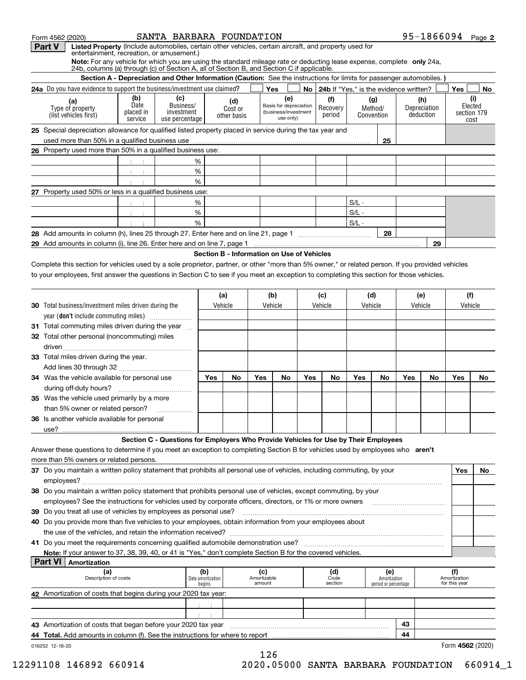| Form 4562 (2020) |                                                                                                                                                    |                                                             | SANTA BARBARA FOUNDATION                                                                                             |                                            |                        |                       |                               |     |                                             |         |                       |         |                           | 95-1866094 Page 2             |                |
|------------------|----------------------------------------------------------------------------------------------------------------------------------------------------|-------------------------------------------------------------|----------------------------------------------------------------------------------------------------------------------|--------------------------------------------|------------------------|-----------------------|-------------------------------|-----|---------------------------------------------|---------|-----------------------|---------|---------------------------|-------------------------------|----------------|
| Part V           | Listed Property (Include automobiles, certain other vehicles, certain aircraft, and property used for<br>entertainment, recreation, or amusement.) |                                                             |                                                                                                                      |                                            |                        |                       |                               |     |                                             |         |                       |         |                           |                               |                |
|                  | Note: For any vehicle for which you are using the standard mileage rate or deducting lease expense, complete only 24a,                             |                                                             |                                                                                                                      |                                            |                        |                       |                               |     |                                             |         |                       |         |                           |                               |                |
|                  | 24b, columns (a) through (c) of Section A, all of Section B, and Section C if applicable.                                                          |                                                             |                                                                                                                      |                                            |                        |                       |                               |     |                                             |         |                       |         |                           |                               |                |
|                  |                                                                                                                                                    |                                                             | Section A - Depreciation and Other Information (Caution: See the instructions for limits for passenger automobiles.) |                                            |                        |                       |                               |     |                                             |         |                       |         |                           |                               |                |
|                  | 24a Do you have evidence to support the business/investment use claimed?                                                                           |                                                             |                                                                                                                      |                                            |                        |                       | Yes                           |     | No   24b If "Yes," is the evidence written? |         |                       |         |                           | Yes                           | No             |
|                  | (a)                                                                                                                                                | (b)<br>Date                                                 | (c)<br>Business/                                                                                                     |                                            | (d)                    |                       | (e)<br>Basis for depreciation |     | (f)                                         |         | (g)                   |         | (h)                       |                               | (i)<br>Elected |
|                  | Type of property<br>(list vehicles first)                                                                                                          | placed in                                                   | investment                                                                                                           |                                            | Cost or<br>other basis |                       | (business/investment          |     | Recovery<br>period                          |         | Method/<br>Convention |         | Depreciation<br>deduction |                               | section 179    |
|                  |                                                                                                                                                    | service                                                     | use percentage                                                                                                       |                                            |                        |                       | use only)                     |     |                                             |         |                       |         |                           |                               | cost           |
|                  | 25 Special depreciation allowance for qualified listed property placed in service during the tax year and                                          |                                                             |                                                                                                                      |                                            |                        |                       |                               |     |                                             |         |                       |         |                           |                               |                |
|                  | 26 Property used more than 50% in a qualified business use:                                                                                        |                                                             |                                                                                                                      |                                            |                        |                       |                               |     |                                             |         | 25                    |         |                           |                               |                |
|                  |                                                                                                                                                    |                                                             |                                                                                                                      |                                            |                        |                       |                               |     |                                             |         |                       |         |                           |                               |                |
|                  |                                                                                                                                                    | $3 - 3$                                                     |                                                                                                                      | %                                          |                        |                       |                               |     |                                             |         |                       |         |                           |                               |                |
|                  |                                                                                                                                                    | $\mathcal{A}^{\mathcal{A}}$ , $\mathcal{A}^{\mathcal{A}}$   |                                                                                                                      | %<br>%                                     |                        |                       |                               |     |                                             |         |                       |         |                           |                               |                |
|                  | 27 Property used 50% or less in a qualified business use:                                                                                          | $\mathcal{X}^{\mathcal{A}}$ and $\mathcal{X}^{\mathcal{A}}$ |                                                                                                                      |                                            |                        |                       |                               |     |                                             |         |                       |         |                           |                               |                |
|                  |                                                                                                                                                    |                                                             |                                                                                                                      | %                                          |                        |                       |                               |     |                                             | $S/L -$ |                       |         |                           |                               |                |
|                  |                                                                                                                                                    | $-3 - 3$<br>$-1 - 1$                                        |                                                                                                                      | %                                          |                        |                       |                               |     |                                             | $S/L -$ |                       |         |                           |                               |                |
|                  |                                                                                                                                                    |                                                             |                                                                                                                      | %                                          |                        |                       |                               |     |                                             | $S/L -$ |                       |         |                           |                               |                |
|                  |                                                                                                                                                    |                                                             |                                                                                                                      |                                            |                        |                       |                               |     |                                             |         | 28                    |         |                           |                               |                |
|                  |                                                                                                                                                    |                                                             |                                                                                                                      |                                            |                        |                       |                               |     |                                             |         |                       |         | 29                        |                               |                |
|                  |                                                                                                                                                    |                                                             |                                                                                                                      | Section B - Information on Use of Vehicles |                        |                       |                               |     |                                             |         |                       |         |                           |                               |                |
|                  | Complete this section for vehicles used by a sole proprietor, partner, or other "more than 5% owner," or related person. If you provided vehicles  |                                                             |                                                                                                                      |                                            |                        |                       |                               |     |                                             |         |                       |         |                           |                               |                |
|                  | to your employees, first answer the questions in Section C to see if you meet an exception to completing this section for those vehicles.          |                                                             |                                                                                                                      |                                            |                        |                       |                               |     |                                             |         |                       |         |                           |                               |                |
|                  |                                                                                                                                                    |                                                             |                                                                                                                      |                                            |                        |                       |                               |     |                                             |         |                       |         |                           |                               |                |
|                  |                                                                                                                                                    |                                                             |                                                                                                                      |                                            | (a)                    |                       | (b)                           |     | (c)                                         | (d)     |                       | (e)     |                           | (f)                           |                |
|                  | <b>30</b> Total business/investment miles driven during the                                                                                        |                                                             |                                                                                                                      |                                            | Vehicle                |                       | Vehicle                       |     | Vehicle                                     | Vehicle |                       | Vehicle |                           | Vehicle                       |                |
|                  | year (don't include commuting miles)                                                                                                               |                                                             |                                                                                                                      |                                            |                        |                       |                               |     |                                             |         |                       |         |                           |                               |                |
|                  | 31 Total commuting miles driven during the year                                                                                                    |                                                             |                                                                                                                      |                                            |                        |                       |                               |     |                                             |         |                       |         |                           |                               |                |
|                  | 32 Total other personal (noncommuting) miles                                                                                                       |                                                             |                                                                                                                      |                                            |                        |                       |                               |     |                                             |         |                       |         |                           |                               |                |
|                  |                                                                                                                                                    |                                                             |                                                                                                                      |                                            |                        |                       |                               |     |                                             |         |                       |         |                           |                               |                |
|                  | 33 Total miles driven during the year.                                                                                                             |                                                             |                                                                                                                      |                                            |                        |                       |                               |     |                                             |         |                       |         |                           |                               |                |
|                  |                                                                                                                                                    |                                                             |                                                                                                                      |                                            |                        |                       |                               |     |                                             |         |                       |         |                           |                               |                |
|                  | 34 Was the vehicle available for personal use                                                                                                      |                                                             |                                                                                                                      | Yes                                        | No                     | Yes                   | No                            | Yes | No                                          | Yes     | No                    | Yes     | No                        | Yes                           | No             |
|                  |                                                                                                                                                    |                                                             |                                                                                                                      |                                            |                        |                       |                               |     |                                             |         |                       |         |                           |                               |                |
|                  | 35 Was the vehicle used primarily by a more                                                                                                        |                                                             |                                                                                                                      |                                            |                        |                       |                               |     |                                             |         |                       |         |                           |                               |                |
|                  | than 5% owner or related person?                                                                                                                   |                                                             |                                                                                                                      |                                            |                        |                       |                               |     |                                             |         |                       |         |                           |                               |                |
|                  | 36 Is another vehicle available for personal                                                                                                       |                                                             |                                                                                                                      |                                            |                        |                       |                               |     |                                             |         |                       |         |                           |                               |                |
|                  |                                                                                                                                                    |                                                             |                                                                                                                      |                                            |                        |                       |                               |     |                                             |         |                       |         |                           |                               |                |
| use?             |                                                                                                                                                    |                                                             |                                                                                                                      |                                            |                        |                       |                               |     |                                             |         |                       |         |                           |                               |                |
|                  |                                                                                                                                                    |                                                             | Section C - Questions for Employers Who Provide Vehicles for Use by Their Employees                                  |                                            |                        |                       |                               |     |                                             |         |                       |         |                           |                               |                |
|                  | Answer these questions to determine if you meet an exception to completing Section B for vehicles used by employees who aren't                     |                                                             |                                                                                                                      |                                            |                        |                       |                               |     |                                             |         |                       |         |                           |                               |                |
|                  | more than 5% owners or related persons.                                                                                                            |                                                             |                                                                                                                      |                                            |                        |                       |                               |     |                                             |         |                       |         |                           |                               |                |
|                  | 37 Do you maintain a written policy statement that prohibits all personal use of vehicles, including commuting, by your                            |                                                             |                                                                                                                      |                                            |                        |                       |                               |     |                                             |         |                       |         |                           | Yes                           | No.            |
|                  |                                                                                                                                                    |                                                             |                                                                                                                      |                                            |                        |                       |                               |     |                                             |         |                       |         |                           |                               |                |
|                  | 38 Do you maintain a written policy statement that prohibits personal use of vehicles, except commuting, by your                                   |                                                             |                                                                                                                      |                                            |                        |                       |                               |     |                                             |         |                       |         |                           |                               |                |
|                  | employees? See the instructions for vehicles used by corporate officers, directors, or 1% or more owners                                           |                                                             |                                                                                                                      |                                            |                        |                       |                               |     |                                             |         |                       |         |                           |                               |                |
|                  | 39 Do you treat all use of vehicles by employees as personal use?                                                                                  |                                                             |                                                                                                                      |                                            |                        |                       |                               |     |                                             |         |                       |         |                           |                               |                |
|                  | 40 Do you provide more than five vehicles to your employees, obtain information from your employees about                                          |                                                             |                                                                                                                      |                                            |                        |                       |                               |     |                                             |         |                       |         |                           |                               |                |
|                  |                                                                                                                                                    |                                                             |                                                                                                                      |                                            |                        |                       |                               |     |                                             |         |                       |         |                           |                               |                |
|                  |                                                                                                                                                    |                                                             |                                                                                                                      |                                            |                        |                       |                               |     |                                             |         |                       |         |                           |                               |                |
|                  | Note: If your answer to 37, 38, 39, 40, or 41 is "Yes," don't complete Section B for the covered vehicles.                                         |                                                             |                                                                                                                      |                                            |                        |                       |                               |     |                                             |         |                       |         |                           |                               |                |
| <b>Part VI</b>   | Amortization                                                                                                                                       |                                                             |                                                                                                                      |                                            |                        |                       |                               |     |                                             |         |                       |         |                           |                               |                |
|                  | (a)<br>Description of costs                                                                                                                        |                                                             |                                                                                                                      | (b)<br>Date amortization                   |                        | (c)                   |                               |     | (d)<br>Code                                 |         | (e)<br>Amortization   |         |                           | (f)                           |                |
|                  |                                                                                                                                                    |                                                             |                                                                                                                      | begins                                     |                        | Amortizable<br>amount |                               |     | section                                     |         | period or percentage  |         |                           | Amortization<br>for this year |                |
|                  | 42 Amortization of costs that begins during your 2020 tax year:                                                                                    |                                                             |                                                                                                                      |                                            |                        |                       |                               |     |                                             |         |                       |         |                           |                               |                |
|                  |                                                                                                                                                    |                                                             |                                                                                                                      | $\sim 100$                                 |                        |                       |                               |     |                                             |         |                       |         |                           |                               |                |
|                  | 43 Amortization of costs that began before your 2020 tax year                                                                                      |                                                             |                                                                                                                      |                                            |                        |                       |                               |     |                                             |         |                       | 43      |                           |                               |                |

**44 Total.** Add amounts in column (f). See the instructions for where to report encontenative manumumumumumum

016252 12-18-20

 **4562** Form (2020)

<sup>126</sup> 12291108 146892 660914 2020.05000 SANTA BARBARA FOUNDATION 660914\_1